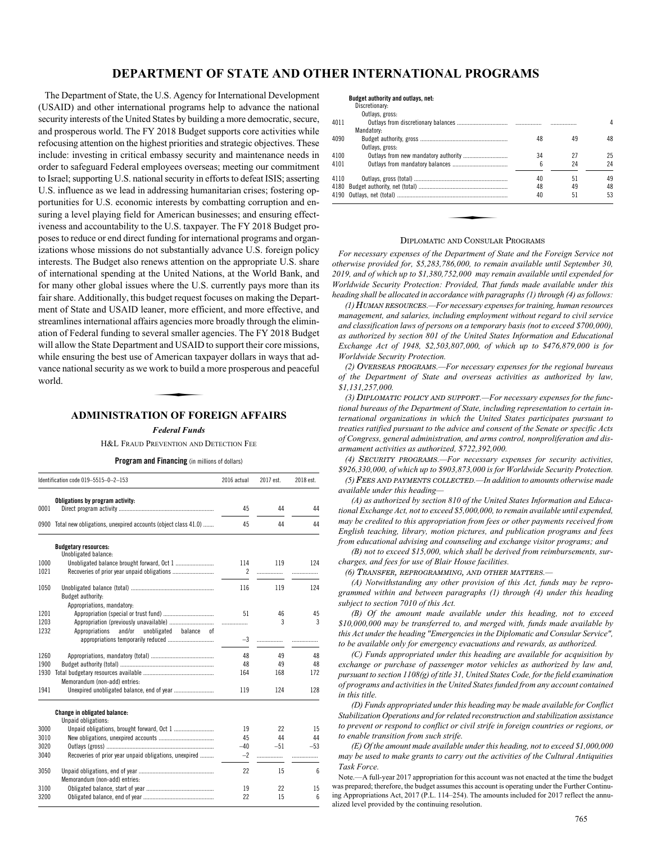# **DEPARTMENT OF STATE AND OTHER INTERNATIONAL PROGRAMS**

The Department of State, the U.S. Agency for International Development (USAID) and other international programs help to advance the national security interests of the United States by building a more democratic, secure, and prosperous world. The FY 2018 Budget supports core activities while refocusing attention on the highest priorities and strategic objectives. These include: investing in critical embassy security and maintenance needs in order to safeguard Federal employees overseas; meeting our commitment to Israel; supporting U.S. national security in efforts to defeat ISIS; asserting U.S. influence as we lead in addressing humanitarian crises; fostering opportunities for U.S. economic interests by combatting corruption and ensuring a level playing field for American businesses; and ensuring effectiveness and accountability to the U.S. taxpayer. The FY 2018 Budget proposes to reduce or end direct funding for international programs and organizations whose missions do not substantially advance U.S. foreign policy interests. The Budget also renews attention on the appropriate U.S. share of international spending at the United Nations, at the World Bank, and for many other global issues where the U.S. currently pays more than its fair share. Additionally, this budget request focuses on making the Department of State and USAID leaner, more efficient, and more effective, and streamlines international affairs agencies more broadly through the elimination of Federal funding to several smaller agencies. The FY 2018 Budget will allow the State Department and USAID to support their core missions, while ensuring the best use of American taxpayer dollars in ways that advance national security as we work to build a more prosperous and peaceful world. American tax<br>
Nork to build a<br>
NOR FOL

# **ADMINISTRATION OF FOREIGN AFFAIRS**

*Federal Funds*

H&L FRAUD PREVENTION AND DETECTION FEE

**Program and Financing** (in millions of dollars)

|      | Identification code 019-5515-0-2-153                          | 2016 actual | 2017 est. | 2018 est.      |
|------|---------------------------------------------------------------|-------------|-----------|----------------|
|      | Obligations by program activity:                              |             |           |                |
| 0001 |                                                               | 45          | 44        | 44             |
| 0900 | Total new obligations, unexpired accounts (object class 41.0) | 45          | 44        | 44             |
|      | <b>Budgetary resources:</b>                                   |             |           |                |
|      | Unobligated balance:                                          |             |           |                |
| 1000 | Unobligated balance brought forward, Oct 1                    | 114         | 119       | 124            |
| 1021 |                                                               | 2           | .         | .              |
| 1050 |                                                               | 116         | 119       | 124            |
|      | Budget authority:                                             |             |           |                |
|      | Appropriations, mandatory:                                    |             |           |                |
| 1201 |                                                               | 51          | 46        | 45             |
| 1203 |                                                               |             | 3         | $\overline{3}$ |
| 1232 | Appropriations<br>and/or<br>unobligated<br>balance<br>0f      |             |           |                |
|      |                                                               | $-3$        |           |                |
| 1260 |                                                               | 48          | 49        | 48             |
| 1900 |                                                               | 48          | 49        | 48             |
| 1930 |                                                               | 164         | 168       | 172            |
|      | Memorandum (non-add) entries:                                 |             |           |                |
| 1941 |                                                               | 119         | 124       | 128            |
|      | <b>Change in obligated balance:</b>                           |             |           |                |
|      | Unpaid obligations:                                           |             |           |                |
| 3000 | Unpaid obligations, brought forward, Oct 1                    | 19          | 22        | 15             |
| 3010 |                                                               | 45          | 44        | 44             |
| 3020 |                                                               | $-40$       | $-51$     | $-53$          |
| 3040 | Recoveries of prior year unpaid obligations, unexpired        | $-2$        | .         | .              |
| 3050 |                                                               | 22          | 15        | 6              |
|      | Memorandum (non-add) entries:                                 |             |           |                |
| 3100 |                                                               | 19          | 22        | 15             |
| 3200 |                                                               | 22          | 15        | 6              |

# **Budget authority and outlays, net:**

| Discretionary:    |  |
|-------------------|--|
| $\sim$ 11. $\sim$ |  |

|      | Outlays, gross: |    |    |    |
|------|-----------------|----|----|----|
| 4011 |                 |    |    | 4  |
|      | Mandatory:      |    |    |    |
| 4090 |                 | 48 | 49 | 48 |
|      | Outlays, gross: |    |    |    |
| 4100 |                 | 34 | 27 | 25 |
| 4101 |                 | հ  | 24 | 24 |
| 4110 |                 | 40 | 51 | 49 |
|      |                 | 48 | 49 | 48 |
|      |                 | 40 | 51 | 53 |
|      |                 |    |    |    |
|      |                 |    |    |    |
|      |                 |    |    |    |
|      |                 |    |    |    |

# DIPLOMATIC AND CONSULAR PROGRAMS

*For necessary expenses of the Department of State and the Foreign Service not otherwise provided for, \$5,283,786,000, to remain available until September 30, 2019, and of which up to \$1,380,752,000 may remain available until expended for Worldwide Security Protection: Provided, That funds made available under this heading shall be allocated in accordance with paragraphs (1) through (4) as follows:*

*(1)* HUMAN RESOURCES*.—For necessary expenses for training, human resources management, and salaries, including employment without regard to civil service and classification laws of persons on a temporary basis (not to exceed \$700,000), as authorized by section 801 of the United States Information and Educational Exchange Act of 1948, \$2,503,807,000, of which up to \$476,879,000 is for Worldwide Security Protection.*

*(2)* OVERSEAS PROGRAMS*.—For necessary expenses for the regional bureaus of the Department of State and overseas activities as authorized by law, \$1,131,257,000.*

*(3)* DIPLOMATIC POLICY AND SUPPORT*.—For necessary expenses for the functional bureaus of the Department of State, including representation to certain international organizations in which the United States participates pursuant to treaties ratified pursuant to the advice and consent of the Senate or specific Acts of Congress, general administration, and arms control, nonproliferation and disarmament activities as authorized, \$722,392,000.*

*(4)* SECURITY PROGRAMS*.—For necessary expenses for security activities, \$926,330,000, of which up to \$903,873,000 is for Worldwide Security Protection.*

*(5)* FEES AND PAYMENTS COLLECTED*.—In addition to amounts otherwise made available under this heading—*

*(A) as authorized by section 810 of the United States Information and Educational Exchange Act, not to exceed \$5,000,000, to remain available until expended, may be credited to this appropriation from fees or other payments received from English teaching, library, motion pictures, and publication programs and fees from educational advising and counseling and exchange visitor programs; and*

*(B) not to exceed \$15,000, which shall be derived from reimbursements, surcharges, and fees for use of Blair House facilities.*

*(6)* TRANSFER, REPROGRAMMING, AND OTHER MATTERS*.—*

*(A) Notwithstanding any other provision of this Act, funds may be reprogrammed within and between paragraphs (1) through (4) under this heading subject to section 7010 of this Act.*

*(B) Of the amount made available under this heading, not to exceed \$10,000,000 may be transferred to, and merged with, funds made available by this Act under the heading "Emergencies in the Diplomatic and Consular Service", to be available only for emergency evacuations and rewards, as authorized.*

*(C) Funds appropriated under this heading are available for acquisition by exchange or purchase of passenger motor vehicles as authorized by law and, pursuant to section 1108(g) of title 31, United States Code, for the field examination of programs and activities in the United States funded from any account contained in this title.*

*(D) Funds appropriated under this heading may be made available for Conflict Stabilization Operations and for related reconstruction and stabilization assistance to prevent or respond to conflict or civil strife in foreign countries or regions, or to enable transition from such strife.*

*(E) Of the amount made available under this heading, not to exceed \$1,000,000 may be used to make grants to carry out the activities of the Cultural Antiquities Task Force.*

Note.—A full-year 2017 appropriation for this account was not enacted at the time the budget was prepared; therefore, the budget assumes this account is operating under the Further Continuing Appropriations Act, 2017 (P.L. 114–254). The amounts included for 2017 reflect the annualized level provided by the continuing resolution.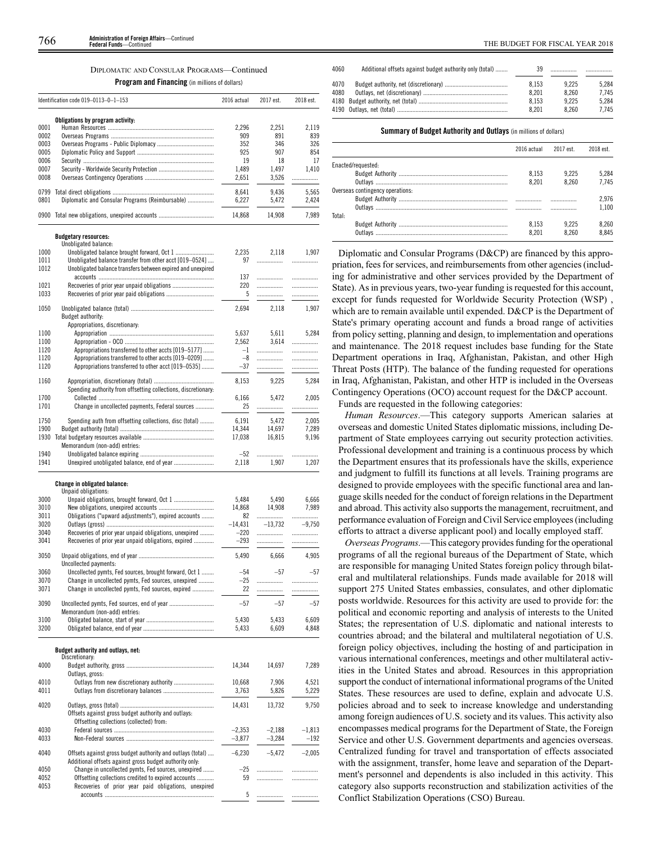# DIPLOMATIC AND CONSULAR PROGRAMS—Continued

**Program and Financing** (in millions of dollars)

|      | Identification code 019-0113-0-1-153                           | 2016 actual | 2017 est. | 2018 est. |
|------|----------------------------------------------------------------|-------------|-----------|-----------|
|      | Obligations by program activity:                               |             |           |           |
| 0001 |                                                                | 2,296       | 2.251     | 2.119     |
| 0002 |                                                                | 909         | 891       | 839       |
| 0003 |                                                                | 352         | 346       | 326       |
| 0005 |                                                                | 925         | 907       | 854       |
| 0006 |                                                                | 19          | 18        | 17        |
| 0007 |                                                                | 1,489       | 1,497     | 1,410     |
| 0008 |                                                                | 2,651       | 3,526     | .         |
| 0799 |                                                                | 8,641       | 9,436     | 5,565     |
| 0801 | Diplomatic and Consular Programs (Reimbursable)                | 6,227       | 5,472     | 2,424     |
|      |                                                                |             |           |           |
|      | 0900 Total new obligations, unexpired accounts                 | 14,868      | 14,908    | 7,989     |
|      |                                                                |             |           |           |
|      | <b>Budgetary resources:</b><br>Unobligated balance:            |             |           |           |
| 1000 | Unobligated balance brought forward, Oct 1                     | 2,235       | 2,118     | 1,907     |
| 1011 | Unobligated balance transfer from other acct [019-0524]        | 97          |           | .         |
| 1012 | Unobligated balance transfers between expired and unexpired    |             |           |           |
|      |                                                                | 137         |           | .         |
| 1021 |                                                                | 220         | .         | .         |
| 1033 |                                                                | 5           |           | .         |
|      |                                                                |             |           |           |
| 1050 |                                                                | 2,694       | 2,118     | 1,907     |
|      | Budget authority:                                              |             |           |           |
|      | Appropriations, discretionary:                                 |             |           |           |
| 1100 |                                                                | 5.637       | 5,611     | 5.284     |
| 1100 |                                                                | 2,562       | 3.614     |           |
| 1120 | Appropriations transferred to other accts [019-5177]           | $-1$        | .         | .         |
| 1120 | Appropriations transferred to other accts [019-0209]           | $-8$        |           | .         |
| 1120 | Appropriations transferred to other acct [019-0535]            | $-37$       | .         | .         |
|      |                                                                |             |           |           |
| 1160 |                                                                | 8,153       | 9,225     | 5,284     |
|      | Spending authority from offsetting collections, discretionary: |             |           |           |
| 1700 |                                                                | 6.166       | 5,472     | 2,005     |
| 1701 | Change in uncollected payments, Federal sources                | 25          | .         | .         |
| 1750 | Spending auth from offsetting collections, disc (total)        | 6.191       | 5,472     | 2,005     |
| 1900 |                                                                | 14,344      | 14,697    | 7,289     |
| 1930 |                                                                | 17,038      | 16,815    | 9,196     |
|      | Memorandum (non-add) entries:                                  |             |           |           |
| 1940 |                                                                | $-52$       | .         | .         |
| 1941 | Unexpired unobligated balance, end of year                     | 2,118       | 1,907     | 1,207     |
|      |                                                                |             |           |           |
|      |                                                                |             |           |           |
|      | Change in obligated balance:<br>Unpaid obligations:            |             |           |           |
| 3000 |                                                                | 5,484       | 5,490     | 6,666     |
| 3010 |                                                                | 14,868      | 14,908    | 7,989     |
| 3011 | Obligations ("upward adjustments"), expired accounts           | 82          | .         | .         |
| 3020 |                                                                | $-14,431$   | $-13,732$ | $-9,750$  |
| 3040 | Recoveries of prior year unpaid obligations, unexpired         | $-220$      |           | .         |
| 3041 | Recoveries of prior year unpaid obligations, expired           | $-293$      |           |           |
|      |                                                                |             | .         | .         |
| 3050 |                                                                | 5,490       | 6,666     | 4,905     |
|      | Uncollected payments:                                          |             |           |           |
| 3060 | Uncollected pymts, Fed sources, brought forward, Oct 1         | $-54$       | $-57$     | $-57$     |
| 3070 | Change in uncollected pymts, Fed sources, unexpired            | $-25$       | .         | .         |
| 3071 | Change in uncollected pymts, Fed sources, expired              | 22          | .         | .         |
|      |                                                                |             |           |           |
| 3090 |                                                                | $-57$       | $-57$     | $-57$     |
|      | Memorandum (non-add) entries:                                  |             |           |           |
| 3100 |                                                                | 5,430       | 5,433     | 6,609     |
| 3200 |                                                                | 5,433       | 6,609     | 4,848     |
|      |                                                                |             |           |           |
|      | Budget authority and outlays, net:                             |             |           |           |
|      | Discretionary:                                                 |             |           |           |
| 4000 |                                                                | 14,344      | 14,697    | 7,289     |
|      | Outlays, gross:                                                |             |           |           |
| 4010 | Outlays from new discretionary authority                       | 10,668      | 7,906     | 4,521     |
| 4011 |                                                                | 3,763       | 5,826     | 5,229     |
| 4020 |                                                                |             |           |           |
|      |                                                                | 14,431      | 13,732    | 9,750     |
|      | Offsets against gross budget authority and outlays:            |             |           |           |
|      | Offsetting collections (collected) from:                       |             |           |           |
| 4030 |                                                                | $-2,353$    | $-2,188$  | $-1,813$  |
| 4033 |                                                                | $-3,877$    | $-3,284$  | $-192$    |
| 4040 | Offsets against gross budget authority and outlays (total)     | $-6,230$    | $-5,472$  | $-2,005$  |
|      | Additional offsets against gross budget authority only:        |             |           |           |
| 4050 | Change in uncollected pymts, Fed sources, unexpired            | $-25$       | .         | .         |
| 4052 | Offsetting collections credited to expired accounts            | 59          | .         | .         |
| 4053 | Recoveries of prior year paid obligations, unexpired           |             |           |           |
|      |                                                                | 5           | .         | .         |
|      |                                                                |             |           |           |

| Additional offsets against budget authority only (total) | 39    |       |       |
|----------------------------------------------------------|-------|-------|-------|
|                                                          | 8.153 | 9.225 | 5.284 |
|                                                          | 8.201 | 8.260 | 7.745 |
|                                                          | 8.153 | 9.225 | 5.284 |
|                                                          | 8.201 | 8.260 | 7.745 |
|                                                          |       |       |       |

# **Summary of Budget Authority and Outlays** (in millions of dollars)

|                                  | 2016 actual | 2017 est | 2018 est. |
|----------------------------------|-------------|----------|-----------|
| Enacted/requested:               |             |          |           |
|                                  | 8.153       | 9.225    | 5.284     |
|                                  | 8.201       | 8.260    | 7.745     |
| Overseas contingency operations: |             |          |           |
|                                  |             |          | 2.976     |
|                                  |             |          | 1.100     |
| Total:                           |             |          |           |
|                                  | 8.153       | 9.225    | 8.260     |
|                                  | 8.201       | 8 260    | 8.845     |

Diplomatic and Consular Programs (D&CP) are financed by this appropriation, fees for services, and reimbursements from other agencies (including for administrative and other services provided by the Department of State). As in previous years, two-year funding is requested for this account, except for funds requested for Worldwide Security Protection (WSP) , which are to remain available until expended. D&CP is the Department of State's primary operating account and funds a broad range of activities from policy setting, planning and design, to implementation and operations and maintenance. The 2018 request includes base funding for the State Department operations in Iraq, Afghanistan, Pakistan, and other High Threat Posts (HTP). The balance of the funding requested for operations in Iraq, Afghanistan, Pakistan, and other HTP is included in the Overseas Contingency Operations (OCO) account request for the D&CP account.

Funds are requested in the following categories:

*Human Resources*.—This category supports American salaries at overseas and domestic United States diplomatic missions, including Department of State employees carrying out security protection activities. Professional development and training is a continuous process by which the Department ensures that its professionals have the skills, experience and judgment to fulfill its functions at all levels. Training programs are designed to provide employees with the specific functional area and language skills needed for the conduct of foreign relations in the Department and abroad. This activity also supports the management, recruitment, and performance evaluation of Foreign and Civil Service employees (including efforts to attract a diverse applicant pool) and locally employed staff.

*Overseas Programs*.—This category provides funding for the operational programs of all the regional bureaus of the Department of State, which are responsible for managing United States foreign policy through bilateral and multilateral relationships. Funds made available for 2018 will support 275 United States embassies, consulates, and other diplomatic posts worldwide. Resources for this activity are used to provide for: the political and economic reporting and analysis of interests to the United States; the representation of U.S. diplomatic and national interests to countries abroad; and the bilateral and multilateral negotiation of U.S. foreign policy objectives, including the hosting of and participation in various international conferences, meetings and other multilateral activities in the United States and abroad. Resources in this appropriation support the conduct of international informational programs of the United States. These resources are used to define, explain and advocate U.S. policies abroad and to seek to increase knowledge and understanding among foreign audiences of U.S. society and its values. This activity also encompasses medical programs for the Department of State, the Foreign Service and other U.S. Government departments and agencies overseas. Centralized funding for travel and transportation of effects associated with the assignment, transfer, home leave and separation of the Department's personnel and dependents is also included in this activity. This category also supports reconstruction and stabilization activities of the Conflict Stabilization Operations (CSO) Bureau.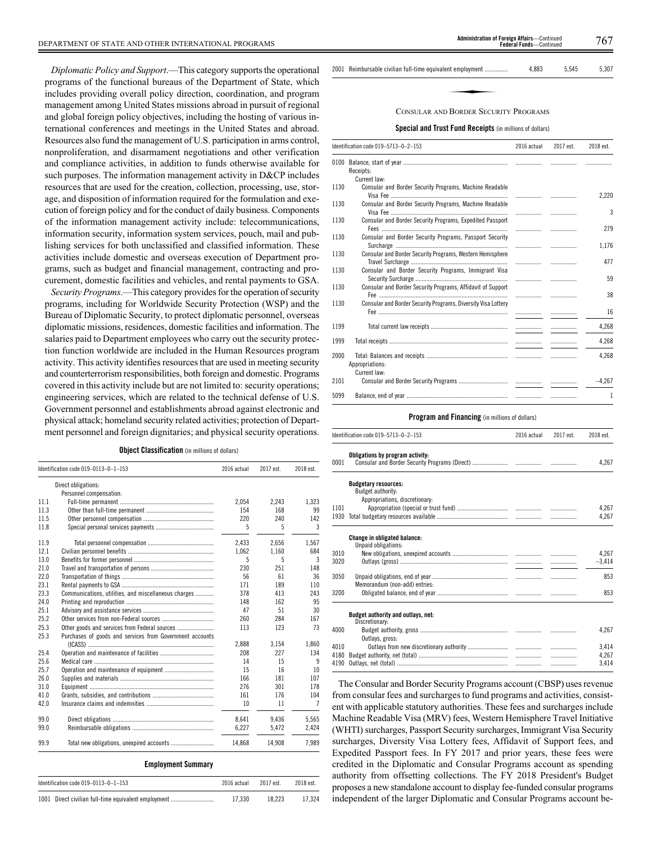*Diplomatic Policy and Support*.—This category supports the operational programs of the functional bureaus of the Department of State, which includes providing overall policy direction, coordination, and program management among United States missions abroad in pursuit of regional and global foreign policy objectives, including the hosting of various international conferences and meetings in the United States and abroad. Resources also fund the management of U.S. participation in arms control, nonproliferation, and disarmament negotiations and other verification and compliance activities, in addition to funds otherwise available for such purposes. The information management activity in D&CP includes resources that are used for the creation, collection, processing, use, storage, and disposition of information required for the formulation and execution of foreign policy and for the conduct of daily business. Components of the information management activity include: telecommunications, information security, information system services, pouch, mail and publishing services for both unclassified and classified information. These activities include domestic and overseas execution of Department programs, such as budget and financial management, contracting and procurement, domestic facilities and vehicles, and rental payments to GSA.

*Security Programs*.—This category provides for the operation of security programs, including for Worldwide Security Protection (WSP) and the Bureau of Diplomatic Security, to protect diplomatic personnel, overseas diplomatic missions, residences, domestic facilities and information. The salaries paid to Department employees who carry out the security protection function worldwide are included in the Human Resources program activity. This activity identifies resources that are used in meeting security and counterterrorism responsibilities, both foreign and domestic. Programs covered in this activity include but are not limited to: security operations; engineering services, which are related to the technical defense of U.S. Government personnel and establishments abroad against electronic and physical attack; homeland security related activities; protection of Department personnel and foreign dignitaries; and physical security operations.

|  | Object Classification (in millions of dollars) |  |  |  |  |
|--|------------------------------------------------|--|--|--|--|
|--|------------------------------------------------|--|--|--|--|

|      | Identification code 019-0113-0-1-153                     | 2016 actual | 2017 est. | 2018 est. |
|------|----------------------------------------------------------|-------------|-----------|-----------|
|      | Direct obligations:                                      |             |           |           |
|      | Personnel compensation:                                  |             |           |           |
| 11.1 |                                                          | 2.054       | 2,243     | 1.323     |
| 11.3 |                                                          | 154         | 168       | 99        |
| 11.5 |                                                          | 220         | 240       | 142       |
| 11.8 |                                                          | 5           | 5         | 3         |
| 11.9 |                                                          | 2.433       | 2.656     | 1.567     |
| 12.1 |                                                          | 1,062       | 1,160     | 684       |
| 13.0 |                                                          | 5           | 5         | 3         |
| 21.0 |                                                          | 230         | 251       | 148       |
| 22.0 |                                                          | 56          | 61        | 36        |
| 23.1 |                                                          | 171         | 189       | 110       |
| 23.3 | Communications, utilities, and miscellaneous charges     | 378         | 413       | 243       |
| 24.0 |                                                          | 148         | 162       | 95        |
| 25.1 |                                                          | 47          | 51        | 30        |
| 25.2 |                                                          | 260         | 284       | 167       |
| 25.3 | Other goods and services from Federal sources            | 113         | 123       | 73        |
| 25.3 | Purchases of goods and services from Government accounts |             |           |           |
|      |                                                          | 2.888       | 3.154     | 1,860     |
| 25.4 |                                                          | 208         | 227       | 134       |
| 25.6 |                                                          | 14          | 15        | 9         |
| 25.7 |                                                          | 15          | 16        | 10        |
| 26.0 |                                                          | 166         | 181       | 107       |
| 31.0 |                                                          | 276         | 301       | 178       |
| 41.0 |                                                          | 161         | 176       | 104       |
| 42.0 |                                                          | 10          | 11        | 7         |
| 99.0 |                                                          | 8,641       | 9.436     | 5,565     |
| 99.0 |                                                          | 6.227       | 5.472     | 2.424     |
| 99.9 |                                                          | 14.868      | 14,908    | 7.989     |

# **Employment Summary**

| Identification code $019-0113-0-1-153$               | 2016 actual | 2017 est. | 2018 est. |
|------------------------------------------------------|-------------|-----------|-----------|
| 1001 Direct civilian full-time equivalent employment | 17.330      | 18.223    | 17.324    |

2001 Reimbursable civilian full-time equivalent employment ............... 4,883 5,545 5,307 ent employment ..........<br>PRORDER SECUR

# CONSULAR AND BORDER SECURITY PROGRAMS

# **Special and Trust Fund Receipts** (in millions of dollars)

|      | Identification code 019-5713-0-2-153                          | 2016 actual | 2017 est. | 2018 est. |
|------|---------------------------------------------------------------|-------------|-----------|-----------|
| 0100 | Receipts:<br>Current law:                                     |             |           |           |
| 1130 | Consular and Border Security Programs, Machine Readable       |             |           | 2.220     |
| 1130 | Consular and Border Security Programs, Machine Readable       | .           | .         | 3         |
| 1130 | Consular and Border Security Programs, Expedited Passport     | .           |           | 279       |
| 1130 | Consular and Border Security Programs, Passport Security      | .           | .         | 1,176     |
| 1130 | Consular and Border Security Programs, Western Hemisphere     | .           | .         | 477       |
| 1130 | Consular and Border Security Programs, Immigrant Visa         | .           |           | 59        |
| 1130 | Consular and Border Security Programs, Affidavit of Support   | .           |           | 38        |
| 1130 | Consular and Border Security Programs, Diversity Visa Lottery |             |           | 16        |
| 1199 |                                                               |             | .         | 4.268     |
| 1999 |                                                               |             | .         | 4,268     |
| 2000 | Appropriations:                                               |             |           | 4,268     |
| 2101 | Current law:                                                  |             |           | $-4.267$  |
| 5099 |                                                               |             |           | 1         |

#### **Program and Financing** (in millions of dollars)

|      | Identification code 019-5713-0-2-153                                               | 2016 actual | 2017 est. | 2018 est. |
|------|------------------------------------------------------------------------------------|-------------|-----------|-----------|
| 0001 | Obligations by program activity:                                                   |             |           | 4.267     |
|      | <b>Budgetary resources:</b><br>Budget authority:<br>Appropriations, discretionary: |             |           |           |
| 1101 |                                                                                    |             |           | 4.267     |
| 1930 |                                                                                    |             |           | 4.267     |
|      | <b>Change in obligated balance:</b><br>Unpaid obligations:                         |             |           |           |
| 3010 |                                                                                    |             |           | 4.267     |
| 3020 |                                                                                    |             |           | $-3,414$  |
| 3050 | Memorandum (non-add) entries:                                                      |             | .         | 853       |
| 3200 |                                                                                    |             |           | 853       |
|      | Budget authority and outlays, net:<br>Discretionary:                               |             |           |           |
| 4000 | Outlays, gross:                                                                    |             |           | 4.267     |
| 4010 |                                                                                    |             | .         | 3.414     |
| 4180 |                                                                                    |             | .         | 4.267     |
| 4190 |                                                                                    |             | .         | 3.414     |

The Consular and Border Security Programs account (CBSP) uses revenue from consular fees and surcharges to fund programs and activities, consistent with applicable statutory authorities. These fees and surcharges include Machine Readable Visa (MRV) fees, Western Hemisphere Travel Initiative (WHTI) surcharges, Passport Security surcharges, Immigrant Visa Security surcharges, Diversity Visa Lottery fees, Affidavit of Support fees, and Expedited Passport fees. In FY 2017 and prior years, these fees were credited in the Diplomatic and Consular Programs account as spending authority from offsetting collections. The FY 2018 President's Budget proposes a new standalone account to display fee-funded consular programs independent of the larger Diplomatic and Consular Programs account be-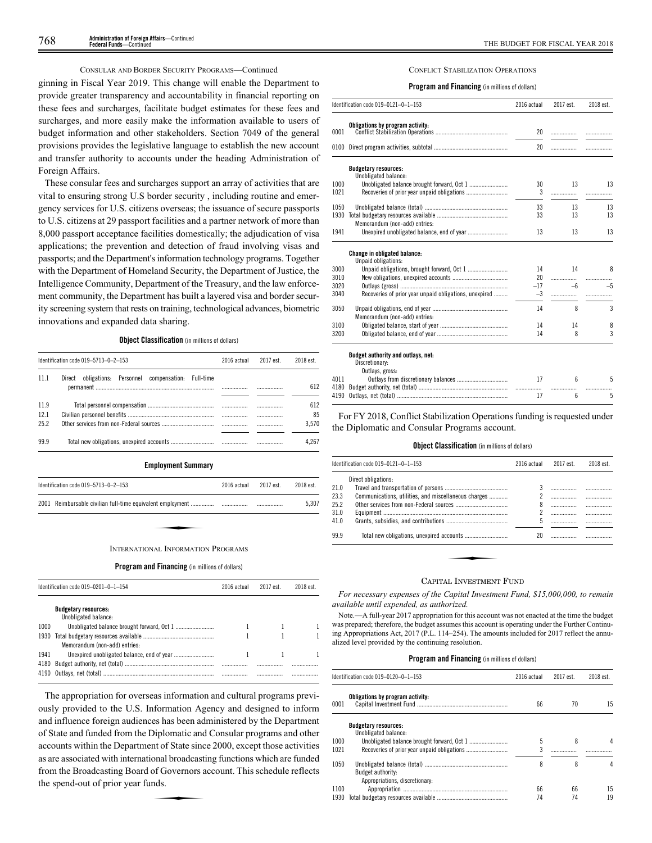# CONSULAR AND BORDER SECURITY PROGRAMS—Continued

ginning in Fiscal Year 2019. This change will enable the Department to provide greater transparency and accountability in financial reporting on these fees and surcharges, facilitate budget estimates for these fees and surcharges, and more easily make the information available to users of budget information and other stakeholders. Section 7049 of the general provisions provides the legislative language to establish the new account and transfer authority to accounts under the heading Administration of Foreign Affairs.

These consular fees and surcharges support an array of activities that are vital to ensuring strong U.S border security , including routine and emergency services for U.S. citizens overseas; the issuance of secure passports to U.S. citizens at 29 passport facilities and a partner network of more than 8,000 passport acceptance facilities domestically; the adjudication of visa applications; the prevention and detection of fraud involving visas and passports; and the Department's information technology programs. Together with the Department of Homeland Security, the Department of Justice, the Intelligence Community, Department of the Treasury, and the law enforcement community, the Department has built a layered visa and border security screening system that rests on training, technological advances, biometric innovations and expanded data sharing.

# **Object Classification** (in millions of dollars)

|      | Identification code 019-5713-0-2-153                        | 2016 actual | 2017 est. | 2018 est. |
|------|-------------------------------------------------------------|-------------|-----------|-----------|
| 11.1 | obligations: Personnel compensation:<br>Direct<br>Full-time |             |           |           |
|      |                                                             |             | .         | 612       |
|      |                                                             |             |           |           |
| 11.9 |                                                             |             |           | 612       |
| 12.1 |                                                             |             |           | 85        |
| 25.2 |                                                             |             |           | 3.570     |
|      |                                                             |             |           |           |
| 99.9 |                                                             |             |           | 4.267     |

#### **Employment Summary**

| Identification code $019-5713-0-2-153$ | 2016 actual | 2017 est. | 2018 est. |
|----------------------------------------|-------------|-----------|-----------|
|                                        |             |           | 5.307     |
|                                        |             |           |           |
| INTERNATIONAL INEORMATION PROCRAMS     |             |           |           |

## INTERNATIONAL INFORMATION PROGRAMS

# **Program and Financing** (in millions of dollars)

|      | Identification code 019-0201-0-1-154                | 2016 actual | 2017 est. | 2018 est. |
|------|-----------------------------------------------------|-------------|-----------|-----------|
|      | <b>Budgetary resources:</b><br>Unobligated balance: |             |           |           |
| 1000 |                                                     |             |           |           |
| 1930 | Memorandum (non-add) entries:                       |             |           |           |
| 1941 |                                                     |             |           |           |
| 4180 |                                                     | .           | .         | .<br>     |

The appropriation for overseas information and cultural programs previously provided to the U.S. Information Agency and designed to inform and influence foreign audiences has been administered by the Department of State and funded from the Diplomatic and Consular programs and other accounts within the Department of State since 2000, except those activities as are associated with international broadcasting functions which are funded from the Broadcasting Board of Governors account. This schedule reflects the spend-out of prior year funds. onal broadcast<br>of Governors a<br>nds.

# CONFLICT STABILIZATION OPERATIONS

# **Program and Financing** (in millions of dollars)

|              | Identification code 019-0121-0-1-153                   | 2016 actual | 2017 est. | 2018 est. |
|--------------|--------------------------------------------------------|-------------|-----------|-----------|
|              | Obligations by program activity:                       |             |           |           |
| 0001         |                                                        | 20          | .         |           |
| 0100         |                                                        | 20          | .         | .         |
|              | <b>Budgetary resources:</b><br>Unobligated balance:    |             |           |           |
| 1000         |                                                        | 30          | 13        | 13        |
| 1021         |                                                        | 3           |           |           |
|              |                                                        |             |           |           |
| 1050         |                                                        | 33          | 13        | 13        |
| 1930         |                                                        | 33          | 13        | 13        |
| 1941         | Memorandum (non-add) entries:                          | 13          | 13        | 13        |
|              |                                                        |             |           |           |
|              | Change in obligated balance:                           |             |           |           |
|              | Unpaid obligations:                                    |             |           |           |
| 3000         |                                                        | 14          | 14        | 8         |
| 3010<br>3020 |                                                        | 20<br>$-17$ | .<br>$-6$ | $-5$      |
| 3040         | Recoveries of prior year unpaid obligations, unexpired | $-3$        |           |           |
|              |                                                        |             |           | .         |
| 3050         |                                                        | 14          | 8         | 3         |
|              | Memorandum (non-add) entries:                          |             |           |           |
| 3100         |                                                        | 14          | 14        | 8         |
| 3200         |                                                        | 14          | 8         | 3         |
|              | Budget authority and outlays, net:                     |             |           |           |
|              | Discretionary:                                         |             |           |           |
|              | Outlays, gross:                                        |             |           |           |
| 4011         |                                                        | 17          | 6         | 5         |
|              |                                                        |             | .         |           |
|              | 4190 Outlays net (total)                               | 17          | 6.        | 5         |

For FY 2018, Conflict Stabilization Operations funding is requested under the Diplomatic and Consular Programs account.

4190 Outlavs, net (total)

# **Object Classification** (in millions of dollars)

|      | Identification code 019-0121-0-1-153                                       | 2016 actual | 2017 est. | 2018 est. |
|------|----------------------------------------------------------------------------|-------------|-----------|-----------|
|      | Direct obligations:                                                        |             |           |           |
| 21.0 |                                                                            | 3           |           |           |
| 23.3 | Communications, utilities, and miscellaneous charges                       |             |           |           |
| 25.2 |                                                                            | 8           |           |           |
| 31.0 |                                                                            |             | .         |           |
| 41.0 |                                                                            | 5           |           |           |
| 99.9 |                                                                            | 20          |           |           |
|      |                                                                            |             |           |           |
|      |                                                                            |             |           |           |
|      |                                                                            |             |           |           |
|      | $\alpha$ . $\ldots$ . $\ldots$ . The second contract $\Gamma$ . The second |             |           |           |

# CAPITAL INVESTMENT FUND

*For necessary expenses of the Capital Investment Fund, \$15,000,000, to remain available until expended, as authorized.*

Note.—A full-year 2017 appropriation for this account was not enacted at the time the budget was prepared; therefore, the budget assumes this account is operating under the Further Continuing Appropriations Act, 2017 (P.L. 114–254). The amounts included for 2017 reflect the annualized level provided by the continuing resolution.

|      | Identification code 019-0120-0-1-153                | 2016 actual | 2017 est. | 2018 est. |
|------|-----------------------------------------------------|-------------|-----------|-----------|
| 0001 | Obligations by program activity:                    | 66          | 70        | 15        |
|      | <b>Budgetary resources:</b><br>Unobligated balance: |             |           |           |
| 1000 |                                                     | 5           | 8         |           |
| 1021 |                                                     | 3           |           |           |
| 1050 | Budget authority:<br>Appropriations, discretionary: | 8           | 8         |           |
| 1100 |                                                     | 66          | 66        | 15        |
| 1930 |                                                     | 74          | 74        | 19        |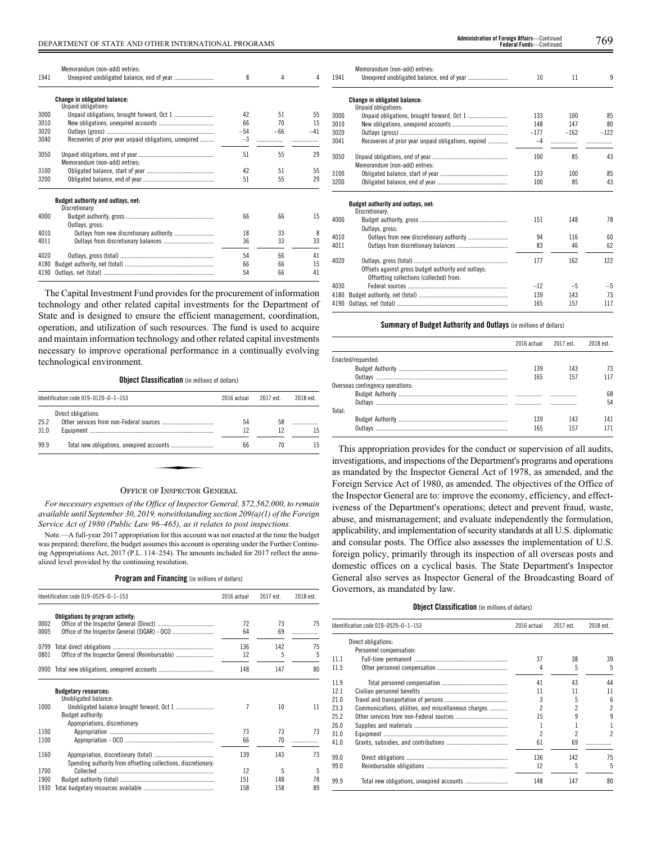| Memorandum (non-add) entries:                          | 8                                                                                                | 4        | 4        |
|--------------------------------------------------------|--------------------------------------------------------------------------------------------------|----------|----------|
|                                                        |                                                                                                  |          |          |
|                                                        |                                                                                                  |          |          |
|                                                        | 42                                                                                               | 51       | 55       |
|                                                        | 66                                                                                               | 70       | 15       |
|                                                        | $-54$                                                                                            | $-66$    | $-41$    |
| Recoveries of prior year unpaid obligations, unexpired | $-3$                                                                                             | .        |          |
|                                                        | 51                                                                                               | 55       | 29       |
| Memorandum (non-add) entries:                          |                                                                                                  |          |          |
|                                                        | 42                                                                                               | 51       | 55       |
|                                                        | 51                                                                                               | 55       | 29       |
|                                                        |                                                                                                  |          |          |
| Discretionary:                                         |                                                                                                  |          |          |
|                                                        | 66                                                                                               | 66       | 15       |
| Outlays, gross:                                        |                                                                                                  |          |          |
|                                                        | 18                                                                                               | 33       | 8        |
|                                                        | 36                                                                                               | 33       | 33       |
|                                                        |                                                                                                  |          | 41       |
|                                                        |                                                                                                  |          | 15       |
|                                                        | 54                                                                                               | 66       | 41       |
|                                                        | <b>Change in obligated balance:</b><br>Unpaid obligations:<br>Budget authority and outlays, net: | 54<br>66 | 66<br>66 |

The Capital Investment Fund provides for the procurement of information technology and other related capital investments for the Department of State and is designed to ensure the efficient management, coordination, operation, and utilization of such resources. The fund is used to acquire and maintain information technology and other related capital investments necessary to improve operational performance in a continually evolving technological environment.

**Object Classification** (in millions of dollars)

| Direct obligations:<br>58<br>54<br>12<br>12<br>66<br>70 | Identification code 019-0120-0-1-153                     | 2016 actual | 2017 est. | 2018 est. |
|---------------------------------------------------------|----------------------------------------------------------|-------------|-----------|-----------|
| 25.2<br>31.0<br>99.9                                    |                                                          |             |           |           |
|                                                         |                                                          |             |           |           |
|                                                         |                                                          |             |           | 15        |
|                                                         |                                                          |             |           | 15        |
|                                                         |                                                          |             |           |           |
|                                                         | $Q_{\text{max}} = -1$ . The set of $Q_{\text{max}} = -1$ |             |           |           |

# OFFICE OF INSPECTOR GENERAL

*For necessary expenses of the Office of Inspector General, \$72,562,000, to remain available until September 30, 2019, notwithstanding section 209(a)(1) of the Foreign Service Act of 1980 (Public Law 96–465), as it relates to post inspections.*

Note.—A full-year 2017 appropriation for this account was not enacted at the time the budget was prepared; therefore, the budget assumes this account is operating under the Further Continuing Appropriations Act, 2017 (P.L. 114–254). The amounts included for 2017 reflect the annualized level provided by the continuing resolution.

|  |  | Program and Financing (in millions of dollars) |  |  |  |
|--|--|------------------------------------------------|--|--|--|
|--|--|------------------------------------------------|--|--|--|

|      | Identification code 019-0529-0-1-153                           | 2016 actual | 2017 est. | 2018 est. |
|------|----------------------------------------------------------------|-------------|-----------|-----------|
|      | Obligations by program activity:                               |             |           |           |
| 0002 |                                                                | 72          | 73        | 75        |
| 0005 |                                                                | 64          | 69        |           |
| 0799 |                                                                | 136         | 142       | 75        |
| 0801 |                                                                | 12          | 5         | 5         |
| 0900 |                                                                | 148         | 147       | 80        |
|      | <b>Budgetary resources:</b><br>Unobligated balance:            |             |           |           |
| 1000 | Budget authority:                                              | 7           | 10        | 11        |
|      | Appropriations, discretionary:                                 |             |           |           |
| 1100 |                                                                | 73          | 73        | 73        |
| 1100 |                                                                | 66          | 70        |           |
| 1160 | Spending authority from offsetting collections, discretionary: | 139         | 143       | 73        |
| 1700 |                                                                | 12          | 5         | 5         |
| 1900 |                                                                | 151         | 148       | 78        |
| 1930 |                                                                | 158         | 158       | 89        |

DEPARTMENT OF STATE AND OTHER INTERNATIONAL PROGRAMS 769 **Administration of Foreign Affairs**—Continued **Administration of Foreign Affairs**—Continued<br>**Federal Funds**—Continued

| 1941 | Memorandum (non-add) entries:                                                                   | 10     | 11     | 9      |
|------|-------------------------------------------------------------------------------------------------|--------|--------|--------|
|      | <b>Change in obligated balance:</b><br>Unpaid obligations:                                      |        |        |        |
| 3000 |                                                                                                 | 133    | 100    | 85     |
| 3010 |                                                                                                 | 148    | 147    | 80     |
| 3020 |                                                                                                 | $-177$ | $-162$ | $-122$ |
| 3041 | Recoveries of prior year unpaid obligations, expired                                            | $-4$   |        |        |
|      |                                                                                                 |        |        |        |
| 3050 |                                                                                                 | 100    | 85     | 43     |
|      | Memorandum (non-add) entries:                                                                   |        |        |        |
| 3100 |                                                                                                 | 133    | 100    | 85     |
| 3200 |                                                                                                 | 100    | 85     | 43     |
|      | Budget authority and outlays, net:                                                              |        |        |        |
|      | Discretionary:                                                                                  |        |        |        |
| 4000 |                                                                                                 | 151    | 148    | 78     |
| 4010 | Outlays, gross:                                                                                 | 94     | 116    | 60     |
|      |                                                                                                 |        |        | 62     |
| 4011 |                                                                                                 | 83     | 46     |        |
| 4020 |                                                                                                 | 177    | 162    | 122    |
|      | Offsets against gross budget authority and outlays:<br>Offsetting collections (collected) from: |        |        |        |
| 4030 |                                                                                                 | $-12$  | $-5$   | $-5$   |
| 4180 |                                                                                                 | 139    | 143    | 73     |
| 4190 |                                                                                                 | 165    | 157    | 117    |
|      |                                                                                                 |        |        |        |

# **Summary of Budget Authority and Outlays** (in millions of dollars)

|                                  |     | 2016 actual 2017 est. | 2018 est. |
|----------------------------------|-----|-----------------------|-----------|
| Enacted/requested:               |     |                       |           |
|                                  | 139 | 143                   | 73        |
|                                  | 165 | 157                   | 117       |
| Overseas contingency operations: |     |                       |           |
|                                  |     |                       | 68        |
|                                  | .   | .                     | 54        |
| Total:                           |     |                       |           |
|                                  | 139 | 143                   | 141       |
| Outlays                          | 165 | 157                   |           |

This appropriation provides for the conduct or supervision of all audits, investigations, and inspections of the Department's programs and operations as mandated by the Inspector General Act of 1978, as amended, and the Foreign Service Act of 1980, as amended. The objectives of the Office of the Inspector General are to: improve the economy, efficiency, and effectiveness of the Department's operations; detect and prevent fraud, waste, abuse, and mismanagement; and evaluate independently the formulation, applicability, and implementation of security standards at all U.S. diplomatic and consular posts. The Office also assesses the implementation of U.S. foreign policy, primarily through its inspection of all overseas posts and domestic offices on a cyclical basis. The State Department's Inspector General also serves as Inspector General of the Broadcasting Board of Governors, as mandated by law.

# **Object Classification** (in millions of dollars)

|      | Identification code 019-0529-0-1-153                 | 2016 actual | 2017 est. | 2018 est.       |
|------|------------------------------------------------------|-------------|-----------|-----------------|
|      | Direct obligations:                                  |             |           |                 |
|      | Personnel compensation:                              |             |           |                 |
| 11.1 |                                                      | 37          | 38        | 39              |
| 11.5 |                                                      |             | 5         | 5               |
| 11.9 |                                                      | 41          | 43        | 44              |
| 12.1 |                                                      | 11          | 11        | 11              |
| 21.0 |                                                      |             |           | $6\overline{6}$ |
| 23.3 | Communications, utilities, and miscellaneous charges |             |           | 2               |
| 25.2 |                                                      | 15          |           | 9               |
| 26.0 |                                                      |             |           |                 |
| 31.0 |                                                      |             |           | 2               |
| 41.0 |                                                      | 61          | 69        |                 |
| 99.0 |                                                      | 136         | 142       | 75              |
| 99.0 |                                                      | 12          |           | 5               |
| 99.9 |                                                      | 148         | 147       | 80              |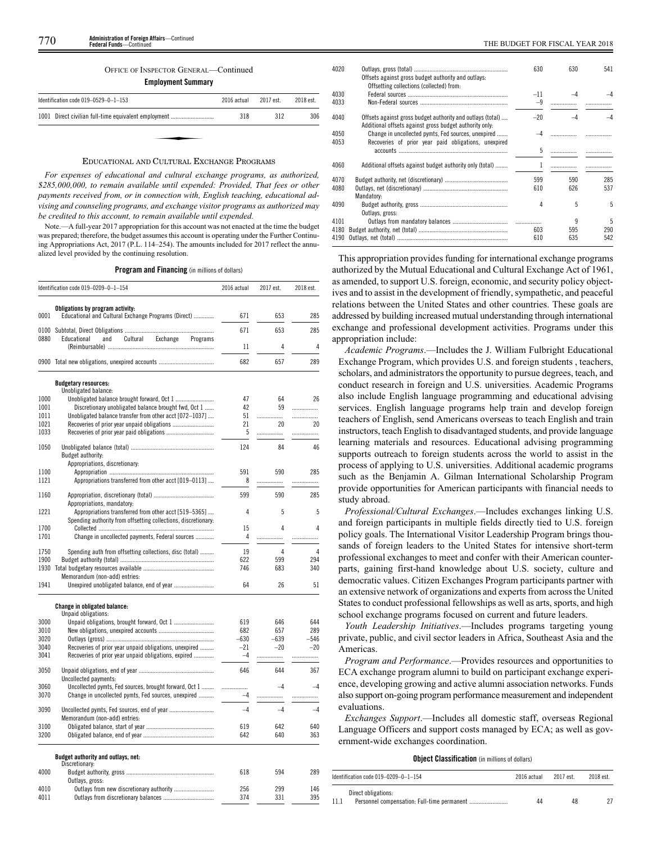# OFFICE OF INSPECTOR GENERAL—Continued

**Employment Summary**

| Identification code 019-0529-0-1-153                 | 2016 actual | 2017 est. | 2018 est. |
|------------------------------------------------------|-------------|-----------|-----------|
| 1001 Direct civilian full-time equivalent employment | 318         | 312       | 306       |
|                                                      |             |           |           |
|                                                      |             |           |           |

# EDUCATIONAL AND CULTURAL EXCHANGE PROGRAMS

*For expenses of educational and cultural exchange programs, as authorized, \$285,000,000, to remain available until expended: Provided, That fees or other payments received from, or in connection with, English teaching, educational advising and counseling programs, and exchange visitor programs as authorized may be credited to this account, to remain available until expended.*

Note.—A full-year 2017 appropriation for this account was not enacted at the time the budget was prepared; therefore, the budget assumes this account is operating under the Further Continuing Appropriations Act, 2017 (P.L. 114–254). The amounts included for 2017 reflect the annualized level provided by the continuing resolution.

**Program and Financing** (in millions of dollars)

|              | Identification code 019-0209-0-1-154                           | 2016 actual | 2017 est.  | 2018 est.  |
|--------------|----------------------------------------------------------------|-------------|------------|------------|
|              | Obligations by program activity:                               |             |            |            |
| 0001         | Educational and Cultural Exchange Programs (Direct)            | 671         | 653        | 285        |
| 0100         |                                                                | 671         | 653        | 285        |
| 0880         | Educational<br>and<br>Cultural<br>Exchange<br>Programs         |             |            |            |
|              |                                                                | 11          | 4          | 4          |
|              | 0900 Total new obligations, unexpired accounts                 | 682         | 657        | 289        |
|              | <b>Budgetary resources:</b>                                    |             |            |            |
| 1000         | Unobligated balance:                                           | 47          | 64         | 26         |
| 1001         | Discretionary unobligated balance brought fwd, Oct 1           | 42          | 59         |            |
| 1011         | Unobligated balance transfer from other acct [072-1037]        | 51          | .          | .          |
| 1021         |                                                                | 21          | 20         | 20         |
| 1033         |                                                                | 5           | .          | .          |
| 1050         |                                                                | 124         | 84         | 46         |
|              | Budget authority:                                              |             |            |            |
|              | Appropriations, discretionary:                                 |             |            |            |
| 1100         |                                                                | 591         | 590        | 285        |
| 1121         | Appropriations transferred from other acct [019-0113]          | 8           | .          | .          |
| 1160         |                                                                | 599         | 590        | 285        |
|              | Appropriations, mandatory:                                     |             |            |            |
| 1221         | Appropriations transferred from other acct [519-5365]          | 4           | 5          | 5          |
|              | Spending authority from offsetting collections, discretionary: |             | 4          | 4          |
| 1700<br>1701 | Change in uncollected payments, Federal sources                | 15<br>4     | .          | .          |
|              |                                                                |             |            |            |
| 1750         | Spending auth from offsetting collections, disc (total)        | 19          | 4          | 4          |
| 1900<br>1930 |                                                                | 622<br>746  | 599<br>683 | 294<br>340 |
|              | Memorandum (non-add) entries:                                  |             |            |            |
| 1941         | Unexpired unobligated balance, end of year                     | 64          | 26         | 51         |
|              |                                                                |             |            |            |
|              | <b>Change in obligated balance:</b><br>Unpaid obligations:     |             |            |            |
| 3000         |                                                                | 619         | 646        | 644        |
| 3010         |                                                                | 682         | 657        | 289        |
| 3020         |                                                                | $-630$      | $-639$     | $-546$     |
| 3040         | Recoveries of prior year unpaid obligations, unexpired         | $-21$       | $-20$      | $-20$      |
| 3041         | Recoveries of prior year unpaid obligations, expired           | $-4$        | .          | .          |
| 3050         | Uncollected payments:                                          | 646         | 644        | 367        |
| 3060         | Uncollected pymts, Fed sources, brought forward, Oct 1         | .           | $-4$       | $-4$       |
| 3070         | Change in uncollected pymts, Fed sources, unexpired            | $-4$        | .          | .          |
| 3090         | Uncollected pymts, Fed sources, end of year                    | $-4$        | $-4$       | $-4$       |
|              | Memorandum (non-add) entries:                                  |             |            |            |
| 3100         |                                                                | 619         | 642        | 640        |
| 3200         |                                                                | 642         | 640        | 363        |
|              | Budget authority and outlays, net:<br>Discretionary:           |             |            |            |
| 4000         |                                                                | 618         | 594        | 289        |
|              | Outlays, gross:                                                |             |            |            |
| 4010         | Outlays from new discretionary authority                       | 256         | 299        | 146        |
| 4011         | Outlays from discretionary balances                            | 374         | 331        | 395        |

| 4020 | Offsets against gross budget authority and outlays:                                                            | 630       | 630       | 541 |
|------|----------------------------------------------------------------------------------------------------------------|-----------|-----------|-----|
|      | Offsetting collections (collected) from:                                                                       |           |           |     |
| 4030 |                                                                                                                | $-11$     |           |     |
| 4033 |                                                                                                                | $-9$      |           |     |
| 4040 | Offsets against gross budget authority and outlays (total)                                                     | $-20$     | $-\Delta$ |     |
| 4050 | Additional offsets against gross budget authority only.<br>Change in uncollected pymts, Fed sources, unexpired | $-\Delta$ |           |     |
| 4053 | Recoveries of prior year paid obligations, unexpired                                                           |           |           |     |
|      |                                                                                                                | 5         |           |     |
| 4060 | Additional offsets against budget authority only (total)                                                       |           |           |     |
| 4070 |                                                                                                                | 599       | 590       | 285 |
| 4080 | Mandatory:                                                                                                     | 610       | 626       | 537 |
| 4090 |                                                                                                                | 4         | 5         | 5.  |
|      | Outlays, gross:                                                                                                |           |           |     |
| 4101 |                                                                                                                |           | 9         | 5   |
| 4180 |                                                                                                                | 603       | 595       | 290 |
| 4190 |                                                                                                                | 610       | 635       | 542 |
|      |                                                                                                                |           |           |     |

4

This appropriation provides funding for international exchange programs authorized by the Mutual Educational and Cultural Exchange Act of 1961, as amended, to support U.S. foreign, economic, and security policy objectives and to assist in the development of friendly, sympathetic, and peaceful relations between the United States and other countries. These goals are addressed by building increased mutual understanding through international exchange and professional development activities. Programs under this appropriation include:

*Academic Programs*.—Includes the J. William Fulbright Educational Exchange Program, which provides U.S. and foreign students , teachers, scholars, and administrators the opportunity to pursue degrees, teach, and conduct research in foreign and U.S. universities. Academic Programs also include English language programming and educational advising services. English language programs help train and develop foreign teachers of English, send Americans overseas to teach English and train instructors, teach English to disadvantaged students, and provide language learning materials and resources. Educational advising programming supports outreach to foreign students across the world to assist in the process of applying to U.S. universities. Additional academic programs such as the Benjamin A. Gilman International Scholarship Program provide opportunities for American participants with financial needs to study abroad.

*Professional/Cultural Exchanges*.—Includes exchanges linking U.S. and foreign participants in multiple fields directly tied to U.S. foreign policy goals. The International Visitor Leadership Program brings thousands of foreign leaders to the United States for intensive short-term professional exchanges to meet and confer with their American counterparts, gaining first-hand knowledge about U.S. society, culture and democratic values. Citizen Exchanges Program participants partner with an extensive network of organizations and experts from across the United States to conduct professional fellowships as well as arts, sports, and high school exchange programs focused on current and future leaders.

*Youth Leadership Initiatives*.—Includes programs targeting young private, public, and civil sector leaders in Africa, Southeast Asia and the Americas.

*Program and Performance*.—Provides resources and opportunities to ECA exchange program alumni to build on participant exchange experience, developing growing and active alumni association networks. Funds also support on-going program performance measurement and independent evaluations.

*Exchanges Support*.—Includes all domestic staff, overseas Regional Language Officers and support costs managed by ECA; as well as government-wide exchanges coordination.

# **Object Classification** (in millions of dollars)

| Identification code $019-0209-0-1-154$ | 2016 actual | 2017 est. | 2018 est. |
|----------------------------------------|-------------|-----------|-----------|
| Direct obligations:                    |             |           |           |
|                                        | 44          | 48        |           |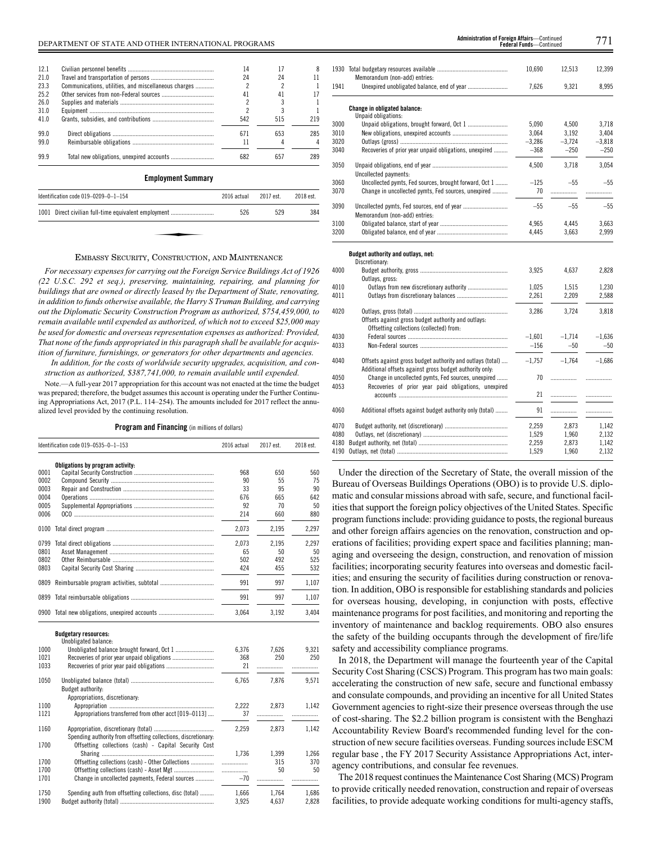# DEPARTMENT OF STATE AND OTHER INTERNATIONAL PROGRAMS 771 **Administration of Foreign Affairs**—Continued

| 12.1 |                                                      | 14                       | 17        | 8         |
|------|------------------------------------------------------|--------------------------|-----------|-----------|
| 21.0 |                                                      | 24                       | 24        | 11        |
| 23.3 | Communications, utilities, and miscellaneous charges |                          |           |           |
| 25.2 |                                                      | 41                       | 41        | 17        |
| 26.0 |                                                      | 2                        | 3         |           |
| 31.0 |                                                      | $\overline{\phantom{a}}$ | 3         |           |
| 41.0 |                                                      | 542                      | 515       | 219       |
| 99.0 |                                                      | 671                      | 653       | 285       |
| 99.0 |                                                      | 11                       |           |           |
| 99.9 |                                                      | 682                      | 657       | 289       |
|      | <b>Employment Summary</b>                            |                          |           |           |
|      | Identification code 019-0209-0-1-154                 | 2016 actual              | 2017 est. | 2018 est. |
| 1001 | Direct civilian full-time equivalent employment      | 526                      | 529       | 384       |
|      |                                                      |                          |           |           |

# EMBASSY SECURITY, CONSTRUCTION, AND MAINTENANCE

*For necessary expenses for carrying out the Foreign Service Buildings Act of 1926 (22 U.S.C. 292 et seq.), preserving, maintaining, repairing, and planning for buildings that are owned or directly leased by the Department of State, renovating, in addition to funds otherwise available, the Harry S Truman Building, and carrying out the Diplomatic Security Construction Program as authorized, \$754,459,000, to remain available until expended as authorized, of which not to exceed \$25,000 may be used for domestic and overseas representation expenses as authorized: Provided, That none of the funds appropriated in this paragraph shall be available for acquisition of furniture, furnishings, or generators for other departments and agencies.*

*In addition, for the costs of worldwide security upgrades, acquisition, and construction as authorized, \$387,741,000, to remain available until expended.*

Note.—A full-year 2017 appropriation for this account was not enacted at the time the budget was prepared; therefore, the budget assumes this account is operating under the Further Continuing Appropriations Act, 2017 (P.L. 114–254). The amounts included for 2017 reflect the annualized level provided by the continuing resolution.

**Program and Financing** (in millions of dollars)

|              | Identification code 019-0535-0-1-153                           |       | 2017 est.    | 2018 est.    |
|--------------|----------------------------------------------------------------|-------|--------------|--------------|
|              | Obligations by program activity:                               |       |              |              |
| 0001         |                                                                | 968   | 650          | 560          |
| 0002         |                                                                | 90    | 55           | 75           |
| 0003         |                                                                | 33    | 95           | 90           |
| 0004         |                                                                | 676   | 665          | 642          |
| 0005         |                                                                | 92    | 70           | 50           |
| 0006         |                                                                | 214   | 660          | 880          |
| 0100         |                                                                | 2,073 | 2,195        | 2.297        |
| 0799         |                                                                | 2.073 | 2.195        | 2.297        |
| 0801         |                                                                | 65    | 50           | 50           |
| 0802         |                                                                | 502   | 492          | 525          |
| 0803         |                                                                | 424   | 455          | 532          |
| 0809         |                                                                | 991   | 997          | 1,107        |
|              |                                                                | 991   | 997          | 1,107        |
|              | 0900 Total new obligations, unexpired accounts                 | 3,064 | 3,192        | 3,404        |
|              | <b>Budgetary resources:</b>                                    |       |              |              |
|              | Unobligated balance:                                           |       |              |              |
| 1000<br>1021 |                                                                | 6,376 | 7,626<br>250 | 9,321<br>250 |
|              |                                                                | 368   |              |              |
| 1033         |                                                                | 21    | .            | .            |
| 1050         |                                                                | 6,765 | 7,876        | 9,571        |
|              | Budget authority:                                              |       |              |              |
|              | Appropriations, discretionary:                                 |       |              |              |
| 1100         |                                                                | 2,222 | 2,873        | 1,142        |
| 1121         | Appropriations transferred from other acct [019-0113]          | 37    |              |              |
| 1160         |                                                                | 2.259 | 2.873        | 1.142        |
|              | Spending authority from offsetting collections, discretionary: |       |              |              |
| 1700         | Offsetting collections (cash) - Capital Security Cost          |       |              |              |
|              |                                                                | 1.736 | 1,399        | 1.266        |
| 1700         | Offsetting collections (cash) - Other Collections              | .     | 315          | 370          |
| 1700         |                                                                |       | 50           | 50           |
| 1701         | Change in uncollected payments, Federal sources                | $-70$ | .            | .            |
| 1750         | Spending auth from offsetting collections, disc (total)        | 1.666 | 1.764        | 1.686        |
| 1900         |                                                                | 3,925 | 4,637        | 2,828        |
|              |                                                                |       |              |              |

|      |                                                            | 10,690   | 12,513   | 12,399   |
|------|------------------------------------------------------------|----------|----------|----------|
|      | Memorandum (non-add) entries:                              |          |          |          |
| 1941 |                                                            | 7,626    | 9,321    | 8,995    |
|      | <b>Change in obligated balance:</b>                        |          |          |          |
|      | Unpaid obligations:                                        |          |          |          |
| 3000 |                                                            | 5,090    | 4,500    | 3,718    |
| 3010 |                                                            | 3,064    | 3.192    | 3.404    |
| 3020 |                                                            | $-3,286$ | $-3,724$ | $-3,818$ |
| 3040 | Recoveries of prior year unpaid obligations, unexpired     | $-368$   | $-250$   | $-250$   |
| 3050 |                                                            | 4,500    | 3,718    | 3,054    |
|      | Uncollected payments:                                      |          |          |          |
| 3060 | Uncollected pymts, Fed sources, brought forward, Oct 1     | $-125$   | $-55$    | $-55$    |
| 3070 | Change in uncollected pymts, Fed sources, unexpired        | 70       | .        | .        |
| 3090 |                                                            | $-55$    | $-55$    | $-55$    |
|      | Memorandum (non-add) entries:                              |          |          |          |
| 3100 |                                                            | 4,965    | 4,445    | 3,663    |
| 3200 |                                                            | 4,445    | 3,663    | 2,999    |
|      | Budget authority and outlays, net:                         |          |          |          |
|      | Discretionary:                                             |          |          |          |
| 4000 |                                                            | 3,925    | 4,637    | 2,828    |
|      | Outlays, gross:                                            |          |          |          |
| 4010 | Outlays from new discretionary authority                   | 1,025    | 1,515    | 1,230    |
| 4011 |                                                            | 2,261    | 2,209    | 2,588    |
| 4020 |                                                            | 3.286    | 3.724    | 3,818    |
|      | Offsets against gross budget authority and outlays:        |          |          |          |
|      | Offsetting collections (collected) from:                   |          |          |          |
| 4030 |                                                            | $-1,601$ | $-1,714$ | $-1,636$ |
| 4033 |                                                            | $-156$   | $-50$    | $-50$    |
|      |                                                            |          |          |          |
| 4040 | Offsets against gross budget authority and outlays (total) | $-1,757$ | $-1,764$ | $-1,686$ |
|      | Additional offsets against gross budget authority only:    |          |          |          |
| 4050 | Change in uncollected pymts, Fed sources, unexpired        | 70       |          | .        |
| 4053 | Recoveries of prior year paid obligations, unexpired       |          |          |          |
|      |                                                            | 21       | .        | .        |
| 4060 | Additional offsets against budget authority only (total)   | 91       |          | .        |
| 4070 |                                                            | 2,259    | 2,873    | 1,142    |
| 4080 |                                                            | 1,529    | 1,960    | 2,132    |
| 4180 |                                                            | 2,259    | 2,873    | 1,142    |
| 4190 |                                                            | 1.529    | 1.960    | 2.132    |

**Federal Funds**—Continue

Under the direction of the Secretary of State, the overall mission of the Bureau of Overseas Buildings Operations (OBO) is to provide U.S. diplomatic and consular missions abroad with safe, secure, and functional facilities that support the foreign policy objectives of the United States. Specific program functions include: providing guidance to posts, the regional bureaus and other foreign affairs agencies on the renovation, construction and operations of facilities; providing expert space and facilities planning; managing and overseeing the design, construction, and renovation of mission facilities; incorporating security features into overseas and domestic facilities; and ensuring the security of facilities during construction or renovation. In addition, OBO is responsible for establishing standards and policies for overseas housing, developing, in conjunction with posts, effective maintenance programs for post facilities, and monitoring and reporting the inventory of maintenance and backlog requirements. OBO also ensures the safety of the building occupants through the development of fire/life safety and accessibility compliance programs.

4190 Outlays, net (total) ........................................................................ 1,529 1,960 2,132

In 2018, the Department will manage the fourteenth year of the Capital Security Cost Sharing (CSCS) Program. This program has two main goals: accelerating the construction of new safe, secure and functional embassy and consulate compounds, and providing an incentive for all United States Government agencies to right-size their presence overseas through the use of cost-sharing. The \$2.2 billion program is consistent with the Benghazi Accountability Review Board's recommended funding level for the construction of new secure facilities overseas. Funding sources include ESCM regular base , the FY 2017 Security Assistance Appropriations Act, interagency contributions, and consular fee revenues.

The 2018 request continues the Maintenance Cost Sharing (MCS) Program to provide critically needed renovation, construction and repair of overseas facilities, to provide adequate working conditions for multi-agency staffs,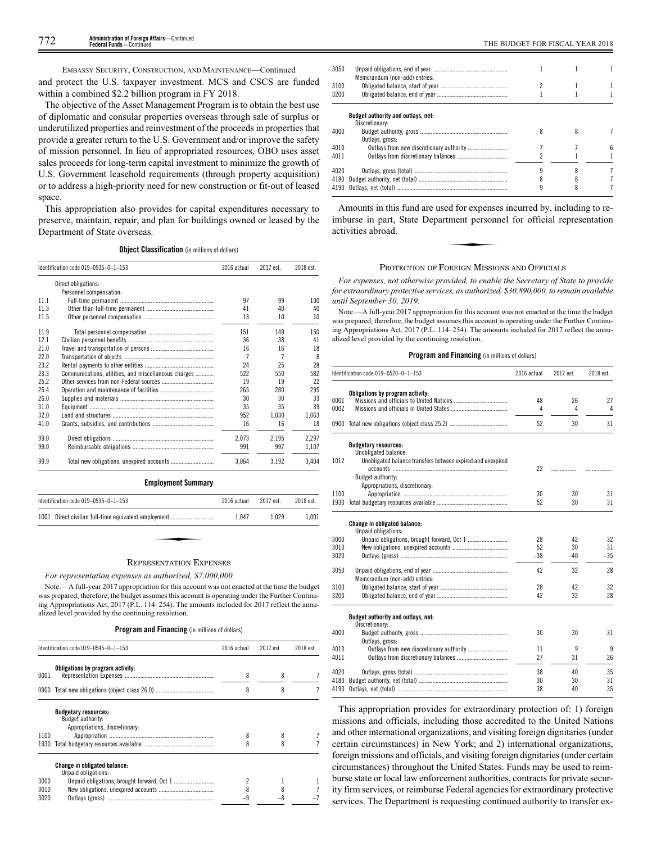EMBASSY SECURITY, CONSTRUCTION, AND MAINTENANCE—Continued

and protect the U.S. taxpayer investment. MCS and CSCS are funded within a combined \$2.2 billion program in FY 2018.

The objective of the Asset Management Program is to obtain the best use of diplomatic and consular properties overseas through sale of surplus or underutilized properties and reinvestment of the proceeds in properties that provide a greater return to the U.S. Government and/or improve the safety of mission personnel. In lieu of appropriated resources, OBO uses asset sales proceeds for long-term capital investment to minimize the growth of U.S. Government leasehold requirements (through property acquisition) or to address a high-priority need for new construction or fit-out of leased space.

This appropriation also provides for capital expenditures necessary to preserve, maintain, repair, and plan for buildings owned or leased by the Department of State overseas.

**Object Classification** (in millions of dollars)

|      | Identification code 019-0535-0-1-153                 | 2016 actual | 2017 est. | 2018 est. |
|------|------------------------------------------------------|-------------|-----------|-----------|
|      | Direct obligations:                                  |             |           |           |
|      | Personnel compensation:                              |             |           |           |
| 11.1 |                                                      | 97          | 99        | 100       |
| 11.3 |                                                      | 41          | 40        | 40        |
| 11.5 |                                                      | 13          | 10        | 10        |
| 11.9 |                                                      | 151         | 149       | 150       |
| 12.1 |                                                      | 36          | 38        | 41        |
| 21.0 |                                                      | 16          | 16        | 18        |
| 22.0 |                                                      | 7           | 7         | 8         |
| 23.2 |                                                      | 24          | 25        | 28        |
| 23.3 | Communications, utilities, and miscellaneous charges | 522         | 550       | 582       |
| 25.2 |                                                      | 19          | 19        | 22        |
| 25.4 |                                                      | 265         | 280       | 295       |
| 26.0 |                                                      | 30          | 30        | 33        |
| 31.0 |                                                      | 35          | 35        | 39        |
| 32.0 |                                                      | 952         | 1.030     | 1.063     |
| 41.0 |                                                      | 16          | 16        | 18        |
| 99.0 |                                                      | 2,073       | 2,195     | 2,297     |
| 99.0 |                                                      | 991         | 997       | 1,107     |
| 99.9 |                                                      | 3.064       | 3.192     | 3,404     |

# **Employment Summary**

| Identification code $019-0535-0-1-153$                                                                                                                                                                                                                                                           | 2016 actual | 2017 est. | 2018 est. |
|--------------------------------------------------------------------------------------------------------------------------------------------------------------------------------------------------------------------------------------------------------------------------------------------------|-------------|-----------|-----------|
| 1001 Direct civilian full-time equivalent employment                                                                                                                                                                                                                                             | 1.047       | 1.029     | 1.001     |
|                                                                                                                                                                                                                                                                                                  |             |           |           |
| $\mathbf{r}$ and $\mathbf{r}$ and $\mathbf{r}$ and $\mathbf{r}$ and $\mathbf{r}$ and $\mathbf{r}$ and $\mathbf{r}$ and $\mathbf{r}$ and $\mathbf{r}$ and $\mathbf{r}$ and $\mathbf{r}$ and $\mathbf{r}$ and $\mathbf{r}$ and $\mathbf{r}$ and $\mathbf{r}$ and $\mathbf{r}$ and $\mathbf{r}$ and |             |           |           |

# REPRESENTATION EXPENSES

*For representation expenses as authorized, \$7,000,000.*

Note.—A full-year 2017 appropriation for this account was not enacted at the time the budget was prepared; therefore, the budget assumes this account is operating under the Further Continuing Appropriations Act, 2017 (P.L. 114–254). The amounts included for 2017 reflect the annualized level provided by the continuing resolution.

# **Program and Financing** (in millions of dollars)

|                      | Identification code 019-0545-0-1-153                                               | 2016 actual | 2017 est. | 2018 est. |
|----------------------|------------------------------------------------------------------------------------|-------------|-----------|-----------|
| 0001                 | Obligations by program activity:                                                   | 8           | 8         |           |
| 0900                 |                                                                                    | 8           | 8         |           |
| 1100<br>1930         | <b>Budgetary resources:</b><br>Budget authority:<br>Appropriations, discretionary: | 8<br>8      | 8         |           |
| 3000<br>3010<br>3020 | Change in obligated balance:<br>Unpaid obligations:                                | 8           |           |           |

| entries: |  |  |
|----------|--|--|

|      | Memorandum (non-add) entries:      |  |  |
|------|------------------------------------|--|--|
| 3100 |                                    |  |  |
| 3200 |                                    |  |  |
|      | Budget authority and outlays, net: |  |  |
|      | Discretionary:                     |  |  |
| 4000 |                                    |  |  |
|      | Outlays, gross:                    |  |  |
| 4010 |                                    |  |  |
| 4011 |                                    |  |  |
|      |                                    |  |  |
| 4020 |                                    |  |  |
|      |                                    |  |  |
|      |                                    |  |  |
|      |                                    |  |  |

3050 Unpaid obligations, end

Amounts in this fund are used for expenses incurred by, including to re-<br>
nburse in part, State Department personnel for official representation<br>
tivities abroad. imburse in part, State Department personnel for official representation activities abroad.

# PROTECTION OF FOREIGN MISSIONS AND OFFICIALS

*For expenses, not otherwise provided, to enable the Secretary of State to provide for extraordinary protective services, as authorized, \$30,890,000, to remain available until September 30, 2019.*

Note.—A full-year 2017 appropriation for this account was not enacted at the time the budget was prepared; therefore, the budget assumes this account is operating under the Further Continuing Appropriations Act, 2017 (P.L. 114–254). The amounts included for 2017 reflect the annualized level provided by the continuing resolution.

# **Program and Financing** (in millions of dollars)

|      | Identification code 019-0520-0-1-153                        | 2016 actual | 2017 est. | 2018 est. |
|------|-------------------------------------------------------------|-------------|-----------|-----------|
|      | Obligations by program activity:                            |             |           |           |
| 0001 |                                                             | 48          | 26        | 27        |
| 0002 |                                                             | 4           | 4         | 4         |
|      |                                                             | 52          | 30        | 31        |
|      | <b>Budgetary resources:</b>                                 |             |           |           |
| 1012 | Unobligated balance:                                        |             |           |           |
|      | Unobligated balance transfers between expired and unexpired | 22          |           |           |
|      | Budget authority:                                           |             | .         |           |
|      | Appropriations, discretionary:                              |             |           |           |
| 1100 |                                                             | 30          | 30        | 31        |
| 1930 |                                                             | 52          | 30        | 31        |
|      |                                                             |             |           |           |
|      | <b>Change in obligated balance:</b><br>Unpaid obligations:  |             |           |           |
| 3000 |                                                             | 28          | 42        | 32        |
| 3010 |                                                             | 52          | 30        | 31        |
| 3020 |                                                             | $-38$       | $-40$     | $-35$     |
| 3050 |                                                             | 42          | 32        | 28        |
|      | Memorandum (non-add) entries:                               |             |           |           |
| 3100 |                                                             | 28          | 42        | 32        |
| 3200 |                                                             | 42          | 32        | 28        |
|      | Budget authority and outlays, net:                          |             |           |           |
|      | Discretionary:                                              |             |           |           |
| 4000 |                                                             | 30          | 30        | 31        |
|      | Outlays, gross:                                             |             |           |           |
| 4010 | Outlays from new discretionary authority                    | 11          | 9         | 9         |
| 4011 |                                                             | 27          | 31        | 26        |
| 4020 |                                                             | 38          | 40        | 35        |
| 4180 |                                                             | 30          | 30        | 31        |
| 4190 |                                                             | 38          | 40        | 35        |

This appropriation provides for extraordinary protection of: 1) foreign missions and officials, including those accredited to the United Nations and other international organizations, and visiting foreign dignitaries (under certain circumstances) in New York; and 2) international organizations, foreign missions and officials, and visiting foreign dignitaries (under certain circumstances) throughout the United States. Funds may be used to reimburse state or local law enforcement authorities, contracts for private security firm services, or reimburse Federal agencies for extraordinary protective services. The Department is requesting continued authority to transfer ex-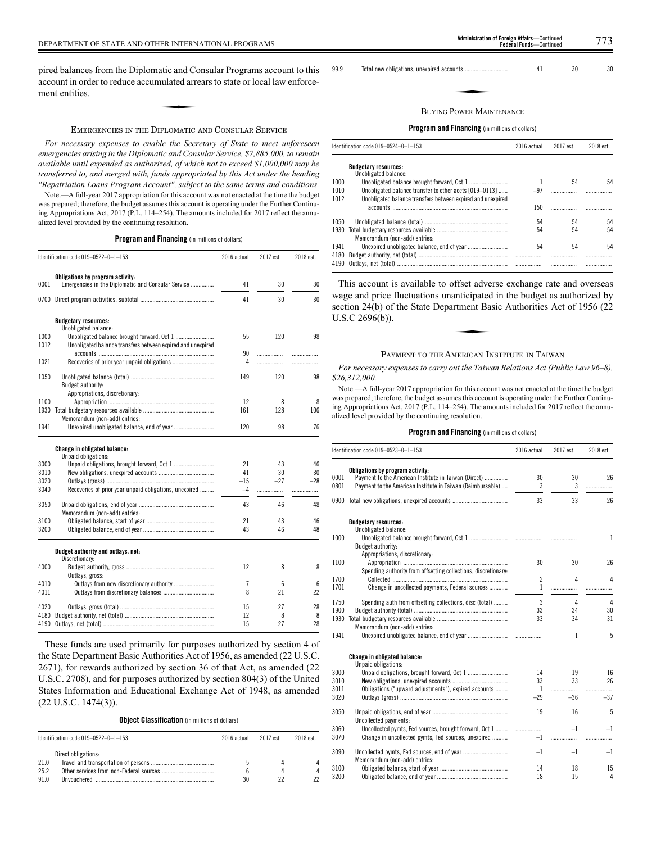pired balances from the Diplomatic and Consular Programs account to this<br>account in order to reduce accumulated arrears to state or local law enforce-<br>ment entities. account in order to reduce accumulated arrears to state or local law enforcement entities.

# EMERGENCIES IN THE DIPLOMATIC AND CONSULAR SERVICE

*For necessary expenses to enable the Secretary of State to meet unforeseen emergencies arising in the Diplomatic and Consular Service, \$7,885,000, to remain available until expended as authorized, of which not to exceed \$1,000,000 may be transferred to, and merged with, funds appropriated by this Act under the heading "Repatriation Loans Program Account", subject to the same terms and conditions.*

Note.—A full-year 2017 appropriation for this account was not enacted at the time the budget was prepared; therefore, the budget assumes this account is operating under the Further Continuing Appropriations Act, 2017 (P.L. 114–254). The amounts included for 2017 reflect the annualized level provided by the continuing resolution.

**Program and Financing** (in millions of dollars)

|              | Identification code 019-0522-0-1-153                                                   | 2016 actual | 2017 est. | 2018 est. |
|--------------|----------------------------------------------------------------------------------------|-------------|-----------|-----------|
| 0001         | Obligations by program activity:<br>Emergencies in the Diplomatic and Consular Service | 41          | 30        | 30        |
|              |                                                                                        |             |           |           |
| 0700         |                                                                                        | 41          | 30        | 30        |
|              | <b>Budgetary resources:</b><br>Unobligated balance:                                    |             |           |           |
| 1000         |                                                                                        | 55          | 120       | 98        |
| 1012         | Unobligated balance transfers between expired and unexpired                            |             |           |           |
|              |                                                                                        | 90          | .         | .         |
| 1021         |                                                                                        | 4           | .         |           |
| 1050         |                                                                                        | 149         | 120       | 98        |
|              | Budget authority:<br>Appropriations, discretionary:                                    |             |           |           |
| 1100         |                                                                                        | 12          | 8         | 8         |
| 1930         |                                                                                        | 161         | 128       | 106       |
|              | Memorandum (non-add) entries:                                                          |             |           |           |
| 1941         |                                                                                        | 120         | 98        | 76        |
|              | Change in obligated balance:<br>Unpaid obligations:                                    |             |           |           |
| 3000         |                                                                                        | 21          | 43        | 46        |
| 3010         |                                                                                        | 41          | 30        | 30        |
| 3020         |                                                                                        | $-15$       | $-27$     | $-28$     |
| 3040         | Recoveries of prior year unpaid obligations, unexpired                                 | $-4$        | .         | .         |
| 3050         | Memorandum (non-add) entries:                                                          | 43          | 46        | 48        |
| 3100         |                                                                                        | 21          | 43        | 46        |
| 3200         |                                                                                        | 43          | 46        | 48        |
|              | Budget authority and outlays, net:                                                     |             |           |           |
|              | Discretionary:                                                                         |             |           |           |
| 4000         |                                                                                        | 12          | 8         | 8         |
|              | Outlays, gross:                                                                        |             |           |           |
| 4010<br>4011 |                                                                                        | 7<br>8      | 6<br>21   | 6<br>22   |
|              |                                                                                        |             |           |           |
| 4020         |                                                                                        | 15          | 27        | 28        |
| 4180         |                                                                                        | 12          | 8         | 8         |
| 4190         |                                                                                        | 15          | 27        | 28        |

These funds are used primarily for purposes authorized by section 4 of the State Department Basic Authorities Act of 1956, as amended (22 U.S.C. 2671), for rewards authorized by section 36 of that Act, as amended (22 U.S.C. 2708), and for purposes authorized by section 804(3) of the United States Information and Educational Exchange Act of 1948, as amended (22 U.S.C. 1474(3)).

**Object Classification** (in millions of dollars)

|              | Identification code $019-0522-0-1-153$ | 2016 actual | 2017 est | 2018 est |
|--------------|----------------------------------------|-------------|----------|----------|
| 21.0<br>25.2 | Direct obligations:                    |             |          |          |
| 910          |                                        | 30          |          |          |

99.9 Total new obligations, unexpired accounts ............................ 41 30 30 ✦

# BUYING POWER MAINTENANCE

# **Program and Financing** (in millions of dollars)

|              | Identification code $019-0524-0-1-153$                                                                                | 2016 actual | 2017 est. | 2018 est. |
|--------------|-----------------------------------------------------------------------------------------------------------------------|-------------|-----------|-----------|
|              | <b>Budgetary resources:</b><br>Unobligated balance:                                                                   |             |           |           |
| 1000         |                                                                                                                       |             | 54        | 54        |
| 1010<br>1012 | Unobligated balance transfer to other accts [019-0113]<br>Unobligated balance transfers between expired and unexpired | $-97$       |           |           |
|              | accounts                                                                                                              | 150         |           |           |
| 1050         |                                                                                                                       | 54          | 54        | 54        |
| 1930         | Memorandum (non-add) entries:                                                                                         | 54          | 54        | 54        |
| 1941<br>4180 |                                                                                                                       | 54          | 54        | 54        |
| 4190         |                                                                                                                       |             |           |           |

This account is available to offset adverse exchange rate and overseas wage and price fluctuations unanticipated in the budget as authorized by section 24(b) of the State Department Basic Authorities Act of 1956 (22 U.S.C 2696(b)). Exercise davers<br>
manticipated in<br>
partment Basic<br>
Annexus Lem

# PAYMENT TO THE AMERICAN INSTITUTE IN TAIWAN

*For necessary expenses to carry out the Taiwan Relations Act (Public Law 96–8), \$26,312,000.*

Note.—A full-year 2017 appropriation for this account was not enacted at the time the budget was prepared; therefore, the budget assumes this account is operating under the Further Continuing Appropriations Act, 2017 (P.L. 114–254). The amounts included for 2017 reflect the annualized level provided by the continuing resolution.

# **Program and Financing** (in millions of dollars)

|              | Identification code 019-0523-0-1-153                                                                                                                   | 2016 actual         | 2017 est. | 2018 est. |
|--------------|--------------------------------------------------------------------------------------------------------------------------------------------------------|---------------------|-----------|-----------|
| 0001<br>0801 | Obligations by program activity:<br>Payment to the American Institute in Taiwan (Direct)<br>Payment to the American Institute in Taiwan (Reimbursable) | 30<br>3             | 30<br>3   | 26<br>.   |
| 0900         |                                                                                                                                                        | 33                  | 33        | 26        |
|              | <b>Budgetary resources:</b>                                                                                                                            |                     |           |           |
| 1000         | Unobligated balance:<br>Budget authority:                                                                                                              |                     |           | 1         |
| 1100         | Appropriations, discretionary:<br>Spending authority from offsetting collections, discretionary:                                                       | 30                  | 30        | 26        |
| 1700<br>1701 | Change in uncollected payments, Federal sources                                                                                                        | $\overline{c}$<br>1 | 4<br>     | 4         |
| 1750         | Spending auth from offsetting collections, disc (total)                                                                                                | 3                   | 4         | 4         |
| 1900<br>1930 |                                                                                                                                                        | 33<br>33            | 34<br>34  | 30<br>31  |
| 1941         | Memorandum (non-add) entries:                                                                                                                          |                     | 1         | 5         |
|              | <b>Change in obligated balance:</b><br>Unpaid obligations:                                                                                             |                     |           |           |
| 3000         |                                                                                                                                                        | 14                  | 19        | 16        |
| 3010         |                                                                                                                                                        | 33                  | 33        | 26        |
| 3011         | Obligations ("upward adjustments"), expired accounts                                                                                                   | $\mathbf{1}$        | .         | .         |
| 3020         |                                                                                                                                                        | $-29$               | $-36$     | $-37$     |
| 3050         | Uncollected payments:                                                                                                                                  | 19                  | 16        | 5         |
| 3060         | Uncollected pymts, Fed sources, brought forward, Oct 1                                                                                                 | .                   | $-1$      | -1        |
| 3070         | Change in uncollected pymts, Fed sources, unexpired                                                                                                    | $-1$                | .         | .         |
| 3090         |                                                                                                                                                        | $-1$                | $-1$      | $-1$      |

3100 Obligated balance, start of year ............................................ 14 18 15 3200 Obligated balance, end of year .............................................. 18 15 4

Memorandum (non-add) entries: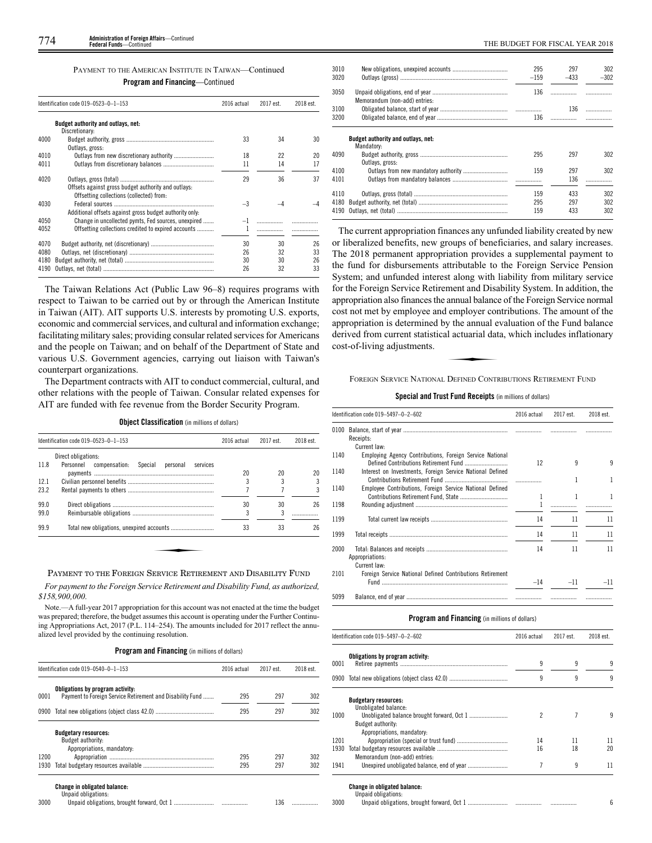| PAYMENT TO THE AMERICAN INSTITUTE IN TAIWAN—Continued |  |  |  |
|-------------------------------------------------------|--|--|--|
|                                                       |  |  |  |

**Program and Financing**—Continued

|              | Identification code 019-0523-0-1-153                                                                       |           | 2017 est. | 2018 est. |
|--------------|------------------------------------------------------------------------------------------------------------|-----------|-----------|-----------|
|              | Budget authority and outlays, net:<br>Discretionary:                                                       |           |           |           |
| 4000         | Outlays, gross:                                                                                            | 33        | 34        | 30        |
| 4010         |                                                                                                            | 18        | 22        | 20        |
| 4011         |                                                                                                            | 11        | 14        | 17        |
| 4020         | Offsets against gross budget authority and outlays:<br>Offsetting collections (collected) from:            | 29        | 36        | 37        |
| 4030         | Additional offsets against gross budget authority only.                                                    | $-3$      |           |           |
| 4050<br>4052 | Change in uncollected pymts, Fed sources, unexpired<br>Offsetting collections credited to expired accounts | $-1$<br>1 |           |           |
| 4070         |                                                                                                            | 30        | 30        | 26        |
| 4080         |                                                                                                            | 26        | 32        | 33        |
| 4180         |                                                                                                            | 30        | 30        | 26        |
| 4190         |                                                                                                            | 26        | 32        | 33        |

The Taiwan Relations Act (Public Law 96–8) requires programs with respect to Taiwan to be carried out by or through the American Institute in Taiwan (AIT). AIT supports U.S. interests by promoting U.S. exports, economic and commercial services, and cultural and information exchange; facilitating military sales; providing consular related services for Americans and the people on Taiwan; and on behalf of the Department of State and various U.S. Government agencies, carrying out liaison with Taiwan's counterpart organizations.

The Department contracts with AIT to conduct commercial, cultural, and other relations with the people of Taiwan. Consular related expenses for AIT are funded with fee revenue from the Border Security Program.

**Object Classification** (in millions of dollars)

|      | Identification code 019-0523-0-1-153                       | 2016 actual | 2017 est. | 2018 est. |
|------|------------------------------------------------------------|-------------|-----------|-----------|
|      | Direct obligations:                                        |             |           |           |
| 11.8 | Personnel<br>compensation:<br>Special personal<br>services | 20          | 20        | 20        |
| 12.1 |                                                            |             |           |           |
| 23.2 |                                                            |             |           |           |
| 99.0 |                                                            | 30          | 30        | 26        |
| 99.0 |                                                            | 3           | 3         |           |
| 99.9 |                                                            | 33          | 33        | 26        |

# PAYMENT TO THE FOREIGN SERVICE RETIREMENT AND DISABILITY FUND

*For payment to the Foreign Service Retirement and Disability Fund, as authorized, \$158,900,000.*

Note.—A full-year 2017 appropriation for this account was not enacted at the time the budget was prepared; therefore, the budget assumes this account is operating under the Further Continuing Appropriations Act, 2017 (P.L. 114–254). The amounts included for 2017 reflect the annualized level provided by the continuing resolution.

**Program and Financing** (in millions of dollars)

|      | Identification code 019-0540-0-1-153                                                          | 2016 actual | 2017 est. | 2018 est. |
|------|-----------------------------------------------------------------------------------------------|-------------|-----------|-----------|
| 0001 | Obligations by program activity:<br>Payment to Foreign Service Retirement and Disability Fund | 295         | 297       | 302       |
| 0900 |                                                                                               | 295         | 297       | 302       |
|      | <b>Budgetary resources:</b>                                                                   |             |           |           |
|      | Budget authority:                                                                             |             |           |           |
| 1200 | Appropriations, mandatory:                                                                    | 295         | 297       | 302       |
| 1930 |                                                                                               | 295         | 297       | 302       |
|      |                                                                                               |             |           |           |
|      | <b>Change in obligated balance:</b><br>Unpaid obligations:                                    |             |           |           |
| 3000 |                                                                                               |             | 136       |           |

| 3010         |                                                  | 295    | 297        | 302    |
|--------------|--------------------------------------------------|--------|------------|--------|
| 3020         |                                                  | $-159$ | $-433$     | $-302$ |
| 3050         | Memorandum (non-add) entries:                    | 136    | .          |        |
| 3100         |                                                  |        | 136        | .      |
| 3200         |                                                  | 136    |            |        |
|              | Budget authority and outlays, net:<br>Mandatory: |        |            |        |
| 4090         | Outlays, gross:                                  | 295    | 297        | 302    |
| 4100<br>4101 |                                                  | 159    | 297<br>136 | 302    |
| 4110         |                                                  | 159    | 433        | 302    |
| 4180         |                                                  | 295    | 297        | 302    |
| 4190         |                                                  | 159    | 433        | 302    |
|              |                                                  |        |            |        |

The current appropriation finances any unfunded liability created by new or liberalized benefits, new groups of beneficiaries, and salary increases. The 2018 permanent appropriation provides a supplemental payment to the fund for disbursements attributable to the Foreign Service Pension System; and unfunded interest along with liability from military service for the Foreign Service Retirement and Disability System. In addition, the appropriation also finances the annual balance of the Foreign Service normal cost not met by employee and employer contributions. The amount of the appropriation is determined by the annual evaluation of the Fund balance derived from current statistical actuarial data, which includes inflationary cost-of-living adjustments. Employer contract the annual example.<br>
References

FOREIGN SERVICE NATIONAL DEFINED CONTRIBUTIONS RETIREMENT FUND

# **Special and Trust Fund Receipts** (in millions of dollars)

|      | Identification code 019-5497-0-2-602                      |       | 2017 est. | 2018 est. |
|------|-----------------------------------------------------------|-------|-----------|-----------|
| 0100 | Receipts:                                                 |       |           |           |
|      | Current law:                                              |       |           |           |
| 1140 | Employing Agency Contributions, Foreign Service National  | 12    | 9         | 9         |
| 1140 | Interest on Investments, Foreign Service National Defined |       |           |           |
| 1140 | Employee Contributions, Foreign Service National Defined  | 1     | 1         | 1         |
| 1198 |                                                           |       |           |           |
| 1199 |                                                           | 14    | 11        | 11        |
| 1999 |                                                           | 14    | 11        | 11        |
| 2000 | Appropriations:<br>Current law:                           | 14    | 11        | 11        |
| 2101 | Foreign Service National Defined Contributions Retirement | $-14$ | $-11$     | $-11$     |
| 5099 |                                                           |       |           |           |

|      | Identification code 019-5497-0-2-602                                                                | 2016 actual | 2017 est. | 2018 est. |
|------|-----------------------------------------------------------------------------------------------------|-------------|-----------|-----------|
| 0001 | Obligations by program activity:                                                                    | 9           | 9         | 9         |
|      |                                                                                                     | 9           | 9         | 9         |
|      | <b>Budgetary resources:</b><br>Unobligated balance:                                                 |             |           |           |
| 1000 | Budget authority:                                                                                   | 2           |           | 9         |
| 1201 | Appropriations, mandatory:                                                                          | 14          | 11        | 11        |
| 1930 | Memorandum (non-add) entries:                                                                       | 16          | 18        | 20        |
| 1941 |                                                                                                     | 7           | 9         | 11        |
| 3000 | Change in obligated balance:<br>Unpaid obligations:<br>Ilnnaid obligations, brought forward, Oct 1. |             |           | հ         |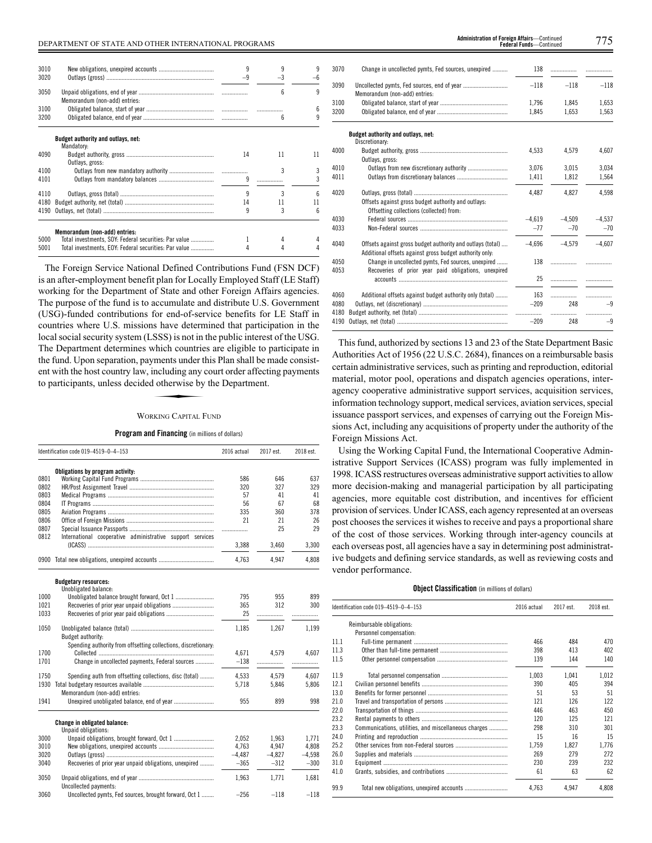| 3010 |                                                       | 9    |      | q  |
|------|-------------------------------------------------------|------|------|----|
| 3020 |                                                       | $-9$ | $-3$ |    |
|      |                                                       |      |      |    |
| 3050 |                                                       |      | ĥ    | q  |
|      | Memorandum (non-add) entries:                         |      |      |    |
| 3100 |                                                       |      |      |    |
|      |                                                       |      |      | 6  |
| 3200 |                                                       |      | ĥ    | q  |
|      |                                                       |      |      |    |
|      | Budget authority and outlays, net:                    |      |      |    |
|      | Mandatory:                                            |      |      |    |
| 4090 |                                                       | 14   | 11   | 11 |
|      | Outlays, gross:                                       |      |      |    |
| 4100 |                                                       |      | 3    | 3  |
| 4101 |                                                       | q    |      | 3  |
|      |                                                       |      |      |    |
| 4110 |                                                       | q    | 3    | ĥ  |
| 4180 |                                                       | 14   | 11   | 11 |
| 4190 |                                                       | q    | 3    | հ  |
|      |                                                       |      |      |    |
|      |                                                       |      |      |    |
|      | Memorandum (non-add) entries:                         |      |      |    |
| 5000 | Total investments, SOY: Federal securities: Par value |      |      |    |
| 5001 | Total investments, EOY: Federal securities: Par value |      |      |    |
|      |                                                       |      |      |    |

The Foreign Service National Defined Contributions Fund (FSN DCF) is an after-employment benefit plan for Locally Employed Staff (LE Staff) working for the Department of State and other Foreign Affairs agencies. The purpose of the fund is to accumulate and distribute U.S. Government (USG)-funded contributions for end-of-service benefits for LE Staff in countries where U.S. missions have determined that participation in the local social security system (LSSS) is not in the public interest of the USG. The Department determines which countries are eligible to participate in The Explanation determines which collates are englise to participate in<br>the fund. Upon separation, payments under this Plan shall be made consist-<br>ent with the host country law, including any court order affecting payments ent with the host country law, including any court order affecting payments to participants, unless decided otherwise by the Department.

# WORKING CAPITAL FUND

# **Program and Financing** (in millions of dollars)

|      | Identification code 019-4519-0-4-153                           | 2016 actual | 2017 est. | 2018 est. |
|------|----------------------------------------------------------------|-------------|-----------|-----------|
|      | Obligations by program activity:                               |             |           |           |
| 0801 |                                                                | 586         | 646       | 637       |
| 0802 |                                                                | 320         | 327       | 329       |
| 0803 |                                                                | 57          | 41        | 41        |
| 0804 |                                                                | 56          | 67        | 68        |
| 0805 |                                                                | 335         | 360       | 378       |
| 0806 |                                                                | 21          | 21        | 26        |
| 0807 |                                                                | .           | 25        | 29        |
| 0812 | International cooperative administrative support services      |             |           |           |
|      |                                                                | 3,388       | 3.460     | 3,300     |
| 0900 |                                                                | 4.763       | 4.947     | 4,808     |
|      | <b>Budgetary resources:</b>                                    |             |           |           |
|      | Unobligated balance:                                           |             |           |           |
| 1000 |                                                                | 795         | 955       | 899       |
| 1021 |                                                                | 365         | 312       | 300       |
| 1033 |                                                                | 25          | .         |           |
| 1050 |                                                                | 1.185       | 1.267     | 1.199     |
|      | Budget authority:                                              |             |           |           |
|      | Spending authority from offsetting collections, discretionary: |             |           |           |
| 1700 |                                                                | 4.671       | 4.579     | 4.607     |
| 1701 | Change in uncollected payments, Federal sources                | $-138$      | .         |           |
| 1750 | Spending auth from offsetting collections, disc (total)        | 4,533       | 4,579     | 4,607     |
| 1930 |                                                                | 5,718       | 5.846     | 5,806     |
|      | Memorandum (non-add) entries:                                  |             |           |           |
| 1941 |                                                                | 955         | 899       | 998       |
|      | Change in obligated balance:                                   |             |           |           |
|      | Unpaid obligations:                                            |             |           |           |
| 3000 |                                                                | 2.052       | 1.963     | 1.771     |
| 3010 |                                                                | 4.763       | 4.947     | 4,808     |
| 3020 |                                                                | $-4,487$    | $-4,827$  | $-4,598$  |
| 3040 | Recoveries of prior year unpaid obligations, unexpired         | $-365$      | $-312$    | $-300$    |
| 3050 | Uncollected payments:                                          | 1.963       | 1.771     | 1.681     |
| 3060 | Uncollected pymts, Fed sources, brought forward, Oct 1         | $-256$      | $-118$    | $-118$    |

**Federal Funds**—Continued

| 3070         | Change in uncollected pymts, Fed sources, unexpired                                                                   | 138        | .        | .         |
|--------------|-----------------------------------------------------------------------------------------------------------------------|------------|----------|-----------|
| 3090         | Memorandum (non-add) entries:                                                                                         | $-118$     | $-118$   | $-118$    |
| 3100         |                                                                                                                       | 1.796      | 1,845    | 1,653     |
| 3200         |                                                                                                                       | 1,845      | 1,653    | 1,563     |
|              | Budget authority and outlays, net:<br>Discretionary:                                                                  |            |          |           |
| 4000         | Outlays, gross:                                                                                                       | 4.533      | 4.579    | 4.607     |
| 4010         |                                                                                                                       | 3.076      | 3,015    | 3,034     |
| 4011         |                                                                                                                       | 1,411      | 1,812    | 1,564     |
| 4020         | Offsets against gross budget authority and outlays:<br>Offsetting collections (collected) from:                       | 4.487      | 4.827    | 4.598     |
| 4030         |                                                                                                                       | $-4,619$   | $-4.509$ | $-4.537$  |
| 4033         |                                                                                                                       | $-77$      | $-70$    | $-70$     |
| 4040         | Offsets against gross budget authority and outlays (total)<br>Additional offsets against gross budget authority only: | $-4.696$   | $-4.579$ | $-4.607$  |
| 4050<br>4053 | Change in uncollected pymts, Fed sources, unexpired<br>Recoveries of prior year paid obligations, unexpired           | 138        | .        |           |
|              |                                                                                                                       | 25         |          |           |
| 4060         | Additional offsets against budget authority only (total)                                                              | 163        |          | .         |
| 4080<br>4180 |                                                                                                                       | $-209$<br> | 248<br>. | $-9$<br>. |
| 4190         |                                                                                                                       | $-209$     | 248      | $-9$      |

This fund, authorized by sections 13 and 23 of the State Department Basic Authorities Act of 1956 (22 U.S.C. 2684), finances on a reimbursable basis certain administrative services, such as printing and reproduction, editorial material, motor pool, operations and dispatch agencies operations, interagency cooperative administrative support services, acquisition services, information technology support, medical services, aviation services, special issuance passport services, and expenses of carrying out the Foreign Missions Act, including any acquisitions of property under the authority of the Foreign Missions Act.

Using the Working Capital Fund, the International Cooperative Administrative Support Services (ICASS) program was fully implemented in 1998. ICASS restructures overseas administrative support activities to allow more decision-making and managerial participation by all participating agencies, more equitable cost distribution, and incentives for efficient provision of services. Under ICASS, each agency represented at an overseas post chooses the services it wishes to receive and pays a proportional share of the cost of those services. Working through inter-agency councils at each overseas post, all agencies have a say in determining post administrative budgets and defining service standards, as well as reviewing costs and vendor performance.

# **Object Classification** (in millions of dollars)

|      | Identification code 019-4519-0-4-153                 | 2016 actual | 2017 est. | 2018 est. |
|------|------------------------------------------------------|-------------|-----------|-----------|
|      | Reimbursable obligations:                            |             |           |           |
|      | Personnel compensation:                              |             |           |           |
| 11.1 |                                                      | 466         | 484       | 470       |
| 11.3 |                                                      | 398         | 413       | 402       |
| 11.5 |                                                      | 139         | 144       | 140       |
| 11.9 |                                                      | 1,003       | 1,041     | 1,012     |
| 12.1 |                                                      | 390         | 405       | 394       |
| 13.0 |                                                      | 51          | 53        | 51        |
| 21.0 |                                                      | 121         | 126       | 122       |
| 22.0 |                                                      | 446         | 463       | 450       |
| 23.2 |                                                      | 120         | 125       | 121       |
| 23.3 | Communications, utilities, and miscellaneous charges | 298         | 310       | 301       |
| 24.0 |                                                      | 15          | 16        | 15        |
| 25.2 |                                                      | 1.759       | 1.827     | 1.776     |
| 26.0 |                                                      | 269         | 279       | 272       |
| 31.0 |                                                      | 230         | 239       | 232       |
| 41.0 |                                                      | 61          | 63        | 62        |
| 99.9 | Total new obligations, unexpired accounts            | 4.763       | 4.947     | 4,808     |
|      |                                                      |             |           |           |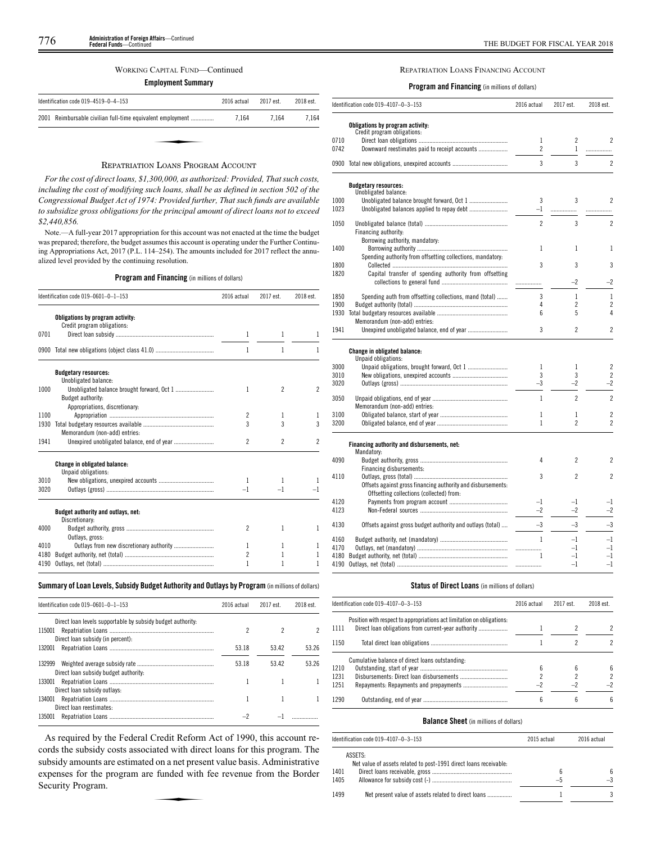# WORKING CAPITAL FUND—Continued

**Employment Summary**

| Identification code $019-4519-0-4-153$                     | 2016 actual | 2017 est. | 2018 est. |
|------------------------------------------------------------|-------------|-----------|-----------|
| 2001 Reimbursable civilian full-time equivalent employment | 7.164       | 7.164     | 7.164     |
|                                                            |             |           |           |
| $\mathbf{r}$ , $\mathbf{r}$ , $\mathbf{r}$ , $\mathbf{r}$  |             |           |           |

# REPATRIATION LOANS PROGRAM ACCOUNT

*For the cost of direct loans, \$1,300,000, as authorized: Provided, That such costs, including the cost of modifying such loans, shall be as defined in section 502 of the Congressional Budget Act of 1974: Provided further, That such funds are available to subsidize gross obligations for the principal amount of direct loans not to exceed \$2,440,856.*

Note.—A full-year 2017 appropriation for this account was not enacted at the time the budget was prepared; therefore, the budget assumes this account is operating under the Further Continuing Appropriations Act, 2017 (P.L. 114–254). The amounts included for 2017 reflect the annualized level provided by the continuing resolution.

# **Program and Financing** (in millions of dollars)

|      | Identification code 019-0601-0-1-153                            | 2016 actual              | 2017 est.                | 2018 est. |
|------|-----------------------------------------------------------------|--------------------------|--------------------------|-----------|
|      | Obligations by program activity:<br>Credit program obligations: |                          |                          |           |
| 0701 |                                                                 | 1                        | 1                        |           |
|      |                                                                 | 1                        | 1                        |           |
|      | <b>Budgetary resources:</b><br>Unobligated balance:             |                          |                          |           |
| 1000 |                                                                 | 1                        | $\overline{\phantom{a}}$ | 2         |
|      | Budget authority:<br>Appropriations, discretionary:             |                          |                          |           |
| 1100 |                                                                 | 2                        | 1                        | 1         |
| 1930 |                                                                 | 3                        | 3                        | 3         |
|      | Memorandum (non-add) entries:                                   |                          |                          |           |
| 1941 |                                                                 | $\overline{2}$           | $\overline{\phantom{a}}$ | 2         |
|      | <b>Change in obligated balance:</b>                             |                          |                          |           |
|      | Unpaid obligations:                                             |                          |                          |           |
| 3010 |                                                                 | 1                        | 1                        |           |
| 3020 |                                                                 | $-1$                     | $-1$                     |           |
|      | Budget authority and outlays, net:<br>Discretionary:            |                          |                          |           |
| 4000 | Outlays, gross:                                                 | $\overline{\phantom{a}}$ | 1                        | 1         |
| 4010 |                                                                 | 1                        | 1                        | 1         |
| 4180 |                                                                 | $\overline{c}$           | 1                        | 1         |
| 4190 |                                                                 | 1                        | 1                        |           |
|      |                                                                 |                          |                          |           |

# **Summary ofLoan Levels, Subsidy Budget Authority and Outlays by Program** (inmillionsof dollars)

| Identification code 019-0601-0-1-153                        | 2016 actual | 2017 est. | 2018 est. |
|-------------------------------------------------------------|-------------|-----------|-----------|
| Direct loan levels supportable by subsidy budget authority. |             |           |           |
| 115001<br>Direct loan subsidy (in percent):                 |             |           |           |
| 132001                                                      | 53.18       | 53.42     | 53 26     |
| 132999<br>Direct loan subsidy budget authority:             | 53.18       | 5342      | 53 26     |
| 133001<br>Direct loan subsidy outlays:                      |             |           |           |
| 134001<br>Direct loan reestimates:                          |             |           |           |
| 135001                                                      |             |           |           |

As required by the Federal Credit Reform Act of 1990, this account records the subsidy costs associated with direct loans for this program. The subsidy amounts are estimated on a net present value basis. Administrative expenses for the program are funded with fee revenue from the Border Security Program. expenses for the program are funded with fee revenue from the Border Security Program.

# REPATRIATION LOANS FINANCING ACCOUNT

**Program and Financing** (in millions of dollars)

|      | Identification code 019-4107-0-3-153                         | 2016 actual    | 2017 est.       | 2018 est.                |
|------|--------------------------------------------------------------|----------------|-----------------|--------------------------|
|      | Obligations by program activity:                             |                |                 |                          |
|      | Credit program obligations:                                  |                |                 |                          |
| 0710 |                                                              | $\mathbf{1}$   | $\overline{c}$  | $\overline{\mathcal{C}}$ |
| 0742 | Downward reestimates paid to receipt accounts                | $\overline{c}$ | $\mathbf{1}$    | .                        |
| 0900 |                                                              | 3              | 3               | $\overline{c}$           |
|      | <b>Budgetary resources:</b>                                  |                |                 |                          |
| 1000 | Unobligated balance:                                         | 3              | 3               | $\overline{\phantom{a}}$ |
| 1023 | Unobligated balance brought forward, Oct 1                   | $-1$           |                 |                          |
|      |                                                              |                |                 |                          |
| 1050 |                                                              | $\overline{c}$ | 3               | $\overline{c}$           |
|      | Financing authority:<br>Borrowing authority, mandatory:      |                |                 |                          |
| 1400 |                                                              | 1              | 1               | 1                        |
|      | Spending authority from offsetting collections, mandatory:   |                |                 |                          |
| 1800 |                                                              | 3              | 3               | 3                        |
| 1820 | Capital transfer of spending authority from offsetting       |                |                 |                          |
|      |                                                              |                | -2              | $^{-2}$                  |
| 1850 | Spending auth from offsetting collections, mand (total)      | 3              | $\mathbf{1}$    | 1                        |
| 1900 |                                                              | 4              | $\overline{c}$  | $\overline{c}$           |
| 1930 |                                                              | 6              | 5               | 4                        |
|      | Memorandum (non-add) entries:                                |                |                 |                          |
| 1941 |                                                              | 3              | $\overline{c}$  | $\overline{\phantom{a}}$ |
|      | Change in obligated balance:<br>Unpaid obligations:          |                |                 |                          |
| 3000 |                                                              | $\mathbf{1}$   | 1               | $\overline{c}$           |
| 3010 |                                                              | 3              | 3               | $\overline{c}$           |
| 3020 |                                                              | $-3$           | $-2$            | $-2$                     |
| 3050 | Memorandum (non-add) entries:                                | $\mathbf{1}$   | $\overline{2}$  | $\overline{c}$           |
| 3100 |                                                              | 1              | 1               | $\overline{c}$           |
| 3200 |                                                              | 1              | $\overline{c}$  | $\overline{c}$           |
|      | Financing authority and disbursements, net:                  |                |                 |                          |
|      | Mandatory:                                                   |                | $\overline{c}$  |                          |
| 4090 |                                                              | 4              |                 | $\overline{c}$           |
| 4110 | Financing disbursements:                                     | 3              | $\overline{c}$  | $\overline{c}$           |
|      | Offsets against gross financing authority and disbursements: |                |                 |                          |
|      | Offsetting collections (collected) from:                     |                |                 |                          |
| 4120 |                                                              | $-1$           | $^{-1}$         | $^{-1}$                  |
| 4123 |                                                              | $-2$           | $-2$            | $^{-2}$                  |
|      |                                                              | $-3$           | $-3$            | $-3$                     |
| 4130 | Offsets against gross budget authority and outlays (total)   |                |                 |                          |
| 4160 |                                                              | 1              | $^{-1}$         | $-1$                     |
| 4170 |                                                              |                | $-1$            | $-1$                     |
| 4180 |                                                              | 1              | $^{-1}$<br>$-1$ | $-1$<br>$-1$             |
| 4190 |                                                              | .              |                 |                          |

# **Status of Direct Loans** (in millions of dollars)

|      | Identification code 019-4107-0-3-153                                   | 2016 actual | 2017 est. | 2018 est. |
|------|------------------------------------------------------------------------|-------------|-----------|-----------|
| 1111 | Position with respect to appropriations act limitation on obligations. |             |           | 2         |
| 1150 |                                                                        |             |           |           |
|      | Cumulative balance of direct loans outstanding:                        |             |           |           |
| 1210 |                                                                        |             |           | 6         |
| 1231 |                                                                        |             |           | 2         |
| 1251 |                                                                        | -2          | -2        | -2        |
| 1290 |                                                                        |             |           | հ         |

# **Balance Sheet** (in millions of dollars)

|              | Identification code 019-4107-0-3-153                                         | 2015 actual | 2016 actual |
|--------------|------------------------------------------------------------------------------|-------------|-------------|
|              | ASSETS:<br>Net value of assets related to post-1991 direct loans receivable: |             |             |
| 1401<br>1405 |                                                                              | 6<br>—ე     |             |
| 1499         | Net present value of assets related to direct loans                          |             |             |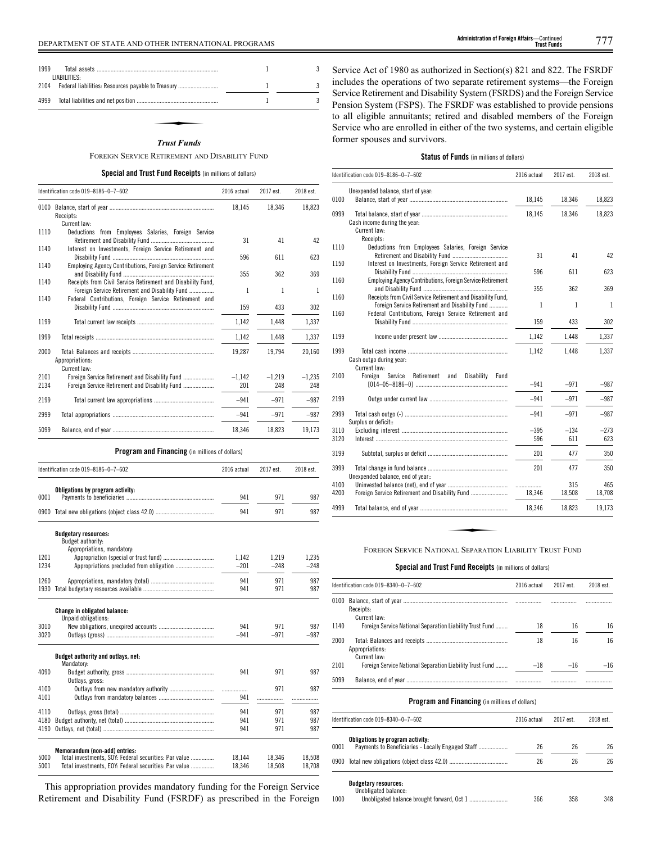| 1999<br>LIABILITIES: |                                                    |  |
|----------------------|----------------------------------------------------|--|
| 2104                 | Federal liabilities: Resources payable to Treasury |  |
| 4999                 |                                                    |  |
|                      |                                                    |  |
|                      | <b>Trust Funds</b>                                 |  |

# *Trust Funds*

FOREIGN SERVICE RETIREMENT AND DISABILITY FUND

# **Special and Trust Fund Receipts** (in millions of dollars)

|              | Identification code 019-8186-0-7-602                                                                             | 2016 actual     | 2017 est.       | 2018 est.       |
|--------------|------------------------------------------------------------------------------------------------------------------|-----------------|-----------------|-----------------|
|              | Receipts:<br>Current law:                                                                                        | 18,145          | 18,346          | 18,823          |
| 1110         | Deductions from Employees Salaries, Foreign Service                                                              |                 |                 |                 |
| 1140         | Interest on Investments, Foreign Service Retirement and                                                          | 31              | 41              | 42              |
| 1140         | Employing Agency Contributions, Foreign Service Retirement                                                       | 596             | 611             | 623             |
|              |                                                                                                                  | 355             | 362             | 369             |
| 1140<br>1140 | Receipts from Civil Service Retirement and Disability Fund,<br>Foreign Service Retirement and Disability Fund    | 1               | 1               | 1               |
|              | Federal Contributions, Foreign Service Retirement and                                                            | 159             | 433             | 302             |
| 1199         |                                                                                                                  | 1,142           | 1,448           | 1,337           |
| 1999         |                                                                                                                  | 1,142           | 1,448           | 1.337           |
| 2000         | Appropriations:                                                                                                  | 19,287          | 19,794          | 20,160          |
| 2101<br>2134 | Current law:<br>Foreign Service Retirement and Disability Fund<br>Foreign Service Retirement and Disability Fund | $-1,142$<br>201 | $-1,219$<br>248 | $-1,235$<br>248 |
| 2199         |                                                                                                                  | $-941$          | $-971$          | $-987$          |
| 2999         |                                                                                                                  | $-941$          | $-971$          | $-987$          |
| 5099         |                                                                                                                  | 18,346          | 18,823          | 19,173          |
|              | <b>Program and Financing</b> (in millions of dollars)                                                            |                 |                 |                 |
|              | Identification code 019-8186-0-7-602                                                                             | 2016 actual     | 2017 est.       | 2018 est.       |
|              | Obligations by program activity:                                                                                 |                 |                 |                 |
| 0001         |                                                                                                                  | 941             | 971             | 987             |
|              |                                                                                                                  | 941             | 971             | 987             |
|              | <b>Budgetary resources:</b><br>Budget authority:                                                                 |                 |                 |                 |
| 1201         | Appropriations, mandatory:                                                                                       | 1,142           | 1,219           | 1,235           |
| 1234         |                                                                                                                  | $-201$          | $-248$          | $-248$          |
| 1260         |                                                                                                                  | 941             | 971             | 987             |
|              |                                                                                                                  | 941             | 971             | 987             |
|              | <b>Change in obligated balance:</b><br>Unpaid obligations:                                                       |                 |                 |                 |
| 3010         |                                                                                                                  | 941             | 971             | 987             |

| 30 I U |                                                       | .94 I  | 97 L   | Yŏ/    |
|--------|-------------------------------------------------------|--------|--------|--------|
| 3020   |                                                       | $-941$ | $-971$ | $-987$ |
|        | <b>Budget authority and outlays, net:</b>             |        |        |        |
|        | Mandatory:                                            |        |        |        |
| 4090   |                                                       | 941    | 971    | 987    |
|        | Outlays, gross:                                       |        |        |        |
| 4100   |                                                       |        | 971    | 987    |
| 4101   |                                                       | 941    |        |        |
| 4110   |                                                       | 941    | 971    | 987    |
| 4180   |                                                       | 941    | 971    | 987    |
| 4190   |                                                       | 941    | 971    | 987    |
|        | Memorandum (non-add) entries:                         |        |        |        |
| 5000   | Total investments, SOY: Federal securities: Par value | 18.144 | 18.346 | 18.508 |
| 5001   | Total investments. EOY: Federal securities: Par value | 18.346 | 18.508 | 18.708 |

This appropriation provides mandatory funding for the Foreign Service Retirement and Disability Fund (FSRDF) as prescribed in the Foreign

Service Act of 1980 as authorized in Section(s) 821 and 822. The FSRDF includes the operations of two separate retirement systems—the Foreign Service Retirement and Disability System (FSRDS) and the Foreign Service Pension System (FSPS). The FSRDF was established to provide pensions to all eligible annuitants; retired and disabled members of the Foreign Service who are enrolled in either of the two systems, and certain eligible former spouses and survivors.

# **Status of Funds** (in millions of dollars)

|              | Identification code 019-8186-0-7-602                                                                          | 2016 actual      | 2017 est.     | 2018 est.     |
|--------------|---------------------------------------------------------------------------------------------------------------|------------------|---------------|---------------|
|              | Unexpended balance, start of year:                                                                            |                  |               |               |
| 0100         |                                                                                                               | 18,145           | 18,346        | 18,823        |
| 0999         | Cash income during the year:<br>Current law:                                                                  | 18,145           | 18,346        | 18,823        |
| 1110         | Receipts:<br>Deductions from Employees Salaries, Foreign Service                                              | 31               | 41            | 42            |
| 1150         | Interest on Investments, Foreign Service Retirement and                                                       | 596              | 611           | 623           |
| 1160         | Employing Agency Contributions, Foreign Service Retirement                                                    | 355              | 362           | 369           |
| 1160         | Receipts from Civil Service Retirement and Disability Fund.<br>Foreign Service Retirement and Disability Fund | $\mathbf{1}$     | 1             | 1             |
| 1160         | Federal Contributions, Foreign Service Retirement and                                                         | 159              | 433           | 302           |
| 1199         |                                                                                                               | 1,142            | 1,448         | 1,337         |
| 1999         | Cash outgo during year:<br>Current law:                                                                       | 1,142            | 1.448         | 1,337         |
| 2100         | Service<br>Foreign<br>Retirement<br>and<br>Disability<br>Fund                                                 | -941             | $-971$        | $-987$        |
| 2199         |                                                                                                               | $-941$           | $-971$        | $-987$        |
| 2999         | Surplus or deficit::                                                                                          | $-941$           | $-971$        | $-987$        |
| 3110         |                                                                                                               | $-395$           | $-134$        | $-273$        |
| 3120         |                                                                                                               | 596              | 611           | 623           |
| 3199         |                                                                                                               | 201              | 477           | 350           |
| 3999         | Unexpended balance, end of year.:                                                                             | 201              | 477           | 350           |
| 4100<br>4200 |                                                                                                               | .<br>.<br>18.346 | 315<br>18,508 | 465<br>18,708 |
| 4999         |                                                                                                               | 18,346           | 18,823        | 19,173        |
|              | FOREIGN SERVICE NATIONAL SEPARATION LIABILITY TRUST FUND                                                      |                  |               |               |

# **Special and Trust Fund Receipts** (in millions of dollars)

|      | Identification code 019-8340-0-7-602                                     |             | 2017 est. | 2018 est. |
|------|--------------------------------------------------------------------------|-------------|-----------|-----------|
|      | Receipts:                                                                |             |           |           |
| 1140 | Current law:<br>Foreign Service National Separation Liability Trust Fund | 18          | 16        | 16        |
| 2000 | Appropriations:<br>Current law:                                          | 18          | 16        | 16        |
| 2101 | Foreign Service National Separation Liability Trust Fund  – 78           |             | $-16$     | $-16$     |
| 5099 |                                                                          |             |           |           |
|      | <b>Program and Financing</b> (in millions of dollars)                    |             |           |           |
|      | ldentification code 019–8340–0–7–602                                     | 2016 actual | 2017 est. | 2018 est. |
| 0001 | Obligations by program activity:                                         | 26          | 26        | 26        |
|      | 0900 Total new obligations (object class 42.0)                           | 26          | 26        | 26        |
|      | <b>Budgetary resources:</b><br>Unobligated balance:                      |             |           |           |

| 1000 |  | 358 | 348 |
|------|--|-----|-----|
|------|--|-----|-----|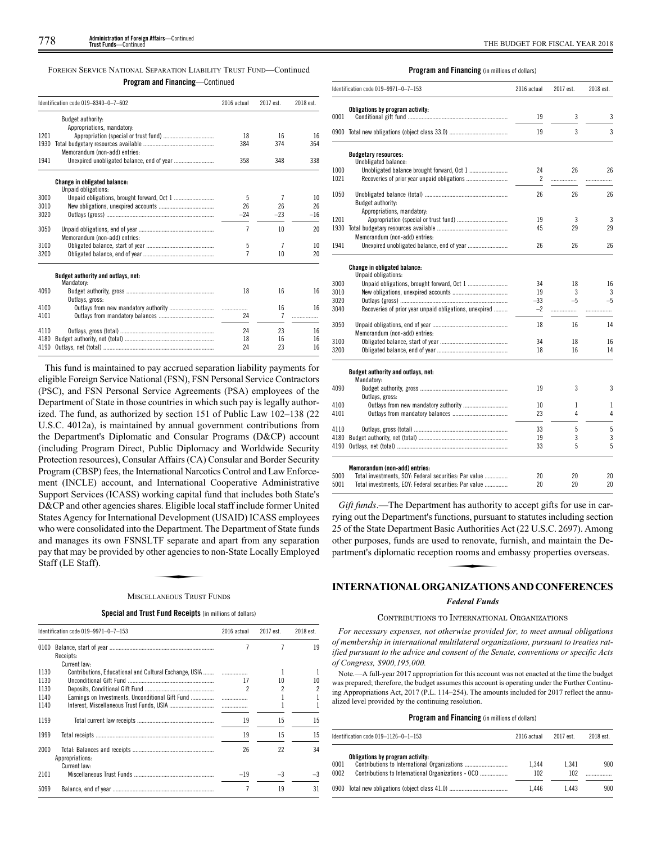FOREIGN SERVICE NATIONAL SEPARATION LIABILITY TRUST FUND—Continued

# **Program and Financing**—Continued

|      | Identification code 019-8340-0-7-602                       | 2016 actual    | 2017 est. | 2018 est. |  |
|------|------------------------------------------------------------|----------------|-----------|-----------|--|
|      | Budget authority:                                          |                |           |           |  |
|      | Appropriations, mandatory:                                 |                |           |           |  |
| 1201 |                                                            | 18             | 16        | 16        |  |
| 1930 |                                                            | 384            | 374       | 364       |  |
|      | Memorandum (non-add) entries:                              |                |           |           |  |
| 1941 |                                                            | 358            | 348       | 338       |  |
|      | <b>Change in obligated balance:</b><br>Unpaid obligations: |                |           |           |  |
| 3000 |                                                            | 5              | 7         | 10        |  |
| 3010 |                                                            | 26             | 26        | 26        |  |
| 3020 |                                                            | $-24$          | $-23$     | $-16$     |  |
|      |                                                            |                |           |           |  |
| 3050 |                                                            | 7              | 10        | 20        |  |
|      | Memorandum (non-add) entries:                              |                |           |           |  |
| 3100 |                                                            | 5              | 7         | 10        |  |
| 3200 |                                                            | $\overline{7}$ | 10        | 20        |  |
|      | Budget authority and outlays, net:<br>Mandatory:           |                |           |           |  |
| 4090 |                                                            | 18             | 16        | 16        |  |
|      | Outlays, gross:                                            |                |           |           |  |
| 4100 |                                                            |                | 16        | 16        |  |
| 4101 |                                                            | 24             | 7         | .         |  |
| 4110 |                                                            | 24             | 23        | 16        |  |
| 4180 |                                                            | 18             | 16        | 16        |  |
| 4190 |                                                            | 24             | 23        | 16        |  |

This fund is maintained to pay accrued separation liability payments for eligible Foreign Service National (FSN), FSN Personal Service Contractors (PSC), and FSN Personal Service Agreements (PSA) employees of the Department of State in those countries in which such pay is legally authorized. The fund, as authorized by section 151 of Public Law 102–138 (22 U.S.C. 4012a), is maintained by annual government contributions from the Department's Diplomatic and Consular Programs (D&CP) account (including Program Direct, Public Diplomacy and Worldwide Security Protection resources), Consular Affairs (CA) Consular and Border Security Program (CBSP) fees, the International Narcotics Control and Law Enforcement (INCLE) account, and International Cooperative Administrative Support Services (ICASS) working capital fund that includes both State's D&CP and other agencies shares. Eligible local staff include former United States Agency for International Development (USAID) ICASS employees who were consolidated into the Department. The Department of State funds and manages its own FSNSLTF separate and apart from any separation<br>pay that may be provided by other agencies to non-State Locally Employed<br>Staff (LE Staff).<br>MISCELLANEOUS TRUST FUNDS pay that may be provided by other agencies to non-State Locally Employed Staff (LE Staff).

# MISCELLANEOUS TRUST FUNDS

**Special and Trust Fund Receipts** (in millions of dollars)

|      | Identification code 019-9971-0-7-153                   |       | 2017 est. | 2018 est. |  |
|------|--------------------------------------------------------|-------|-----------|-----------|--|
| 0100 |                                                        |       |           | 19        |  |
|      | Receipts:                                              |       |           |           |  |
|      | Current law:                                           |       |           |           |  |
| 1130 | Contributions, Educational and Cultural Exchange, USIA |       |           |           |  |
| 1130 |                                                        | 17    | 10        | 10        |  |
| 1130 |                                                        | 2     |           | 2         |  |
| 1140 |                                                        |       |           |           |  |
| 1140 |                                                        |       |           |           |  |
| 1199 |                                                        | 19    | 15        | 15        |  |
| 1999 |                                                        | 19    | 15        | 15        |  |
| 2000 | Appropriations:                                        | 26    | 22        | 34        |  |
|      | Current law:                                           |       |           |           |  |
| 2101 |                                                        | $-19$ | $-3$      | $-3$      |  |
| 5099 |                                                        |       | 19        | 31        |  |

# **Program and Financing** (in millions of dollars)

|      | Identification code 019-9971-0-7-153                       |       | 2017 est. | 2018 est. |  |
|------|------------------------------------------------------------|-------|-----------|-----------|--|
| 0001 | Obligations by program activity:                           | 19    | 3         | 3         |  |
|      |                                                            | 19    | 3         | 3         |  |
|      |                                                            |       |           |           |  |
|      | <b>Budgetary resources:</b><br>Unobligated balance:        |       |           |           |  |
| 1000 |                                                            | 24    | 26        | 26        |  |
| 1021 | Recoveries of prior year unpaid obligations                | 2     | .         |           |  |
| 1050 | Budget authority:                                          | 26    | 26        | 26        |  |
|      | Appropriations, mandatory:                                 |       |           |           |  |
| 1201 |                                                            | 19    | 3         | 3         |  |
| 1930 | Memorandum (non-add) entries:                              | 45    | 29        | 29        |  |
| 1941 |                                                            | 26    | 26        | 26        |  |
|      | <b>Change in obligated balance:</b><br>Unpaid obligations: |       |           |           |  |
| 3000 |                                                            | 34    | 18        | 16        |  |
| 3010 |                                                            | 19    | 3         | 3         |  |
| 3020 |                                                            | $-33$ | $-5$      | $-5$      |  |
| 3040 | Recoveries of prior year unpaid obligations, unexpired     | $-2$  | .         |           |  |
| 3050 |                                                            | 18    | 16        | 14        |  |
|      | Memorandum (non-add) entries:                              |       |           |           |  |
| 3100 |                                                            | 34    | 18        | 16        |  |
| 3200 |                                                            | 18    | 16        | 14        |  |
|      | Budget authority and outlays, net:<br>Mandatory:           |       |           |           |  |
| 4090 | Outlays, gross:                                            | 19    | 3         | 3         |  |
| 4100 | Outlays from new mandatory authority                       | 10    | 1         | 1         |  |
| 4101 |                                                            | 23    | 4         | 4         |  |
| 4110 |                                                            | 33    | 5         | 5         |  |
| 4180 |                                                            | 19    | 3         | 3         |  |
| 4190 |                                                            | 33    | 5         | 5         |  |
|      | Memorandum (non-add) entries:                              |       |           |           |  |
| 5000 | Total investments, SOY: Federal securities: Par value      | 20    | 20        | 20        |  |
| 5001 | Total investments, EOY: Federal securities: Par value      | 20    | 20        | 20        |  |

*Gift funds*.—The Department has authority to accept gifts for use in carrying out the Department's functions, pursuant to statutes including section 25 of the State Department Basic Authorities Act (22 U.S.C. 2697). Among<br>25 of the State Department Basic Authorities Act (22 U.S.C. 2697). Among<br>other purposes, funds are used to renovate, furnish, and maintain the De-<br>pa other purposes, funds are used to renovate, furnish, and maintain the Department's diplomatic reception rooms and embassy properties overseas.

# **INTERNATIONAL ORGANIZATIONS AND CONFERENCES**

# *Federal Funds*

# CONTRIBUTIONS TO INTERNATIONAL ORGANIZATIONS

*For necessary expenses, not otherwise provided for, to meet annual obligations of membership in international multilateral organizations, pursuant to treaties ratified pursuant to the advice and consent of the Senate, conventions or specific Acts of Congress, \$900,195,000.*

Note.—A full-year 2017 appropriation for this account was not enacted at the time the budget was prepared; therefore, the budget assumes this account is operating under the Further Continuing Appropriations Act, 2017 (P.L. 114–254). The amounts included for 2017 reflect the annualized level provided by the continuing resolution.

|              | Identification code $019 - 1126 - 0 - 1 - 153$                                         | 2016 actual  | 2017 est     | 2018 est. |  |
|--------------|----------------------------------------------------------------------------------------|--------------|--------------|-----------|--|
| 0001<br>0002 | Obligations by program activity:<br>Contributions to International Organizations - OCO | 1.344<br>102 | 1.341<br>102 | 900       |  |
|              |                                                                                        | 1.446        | 1.443        | 900       |  |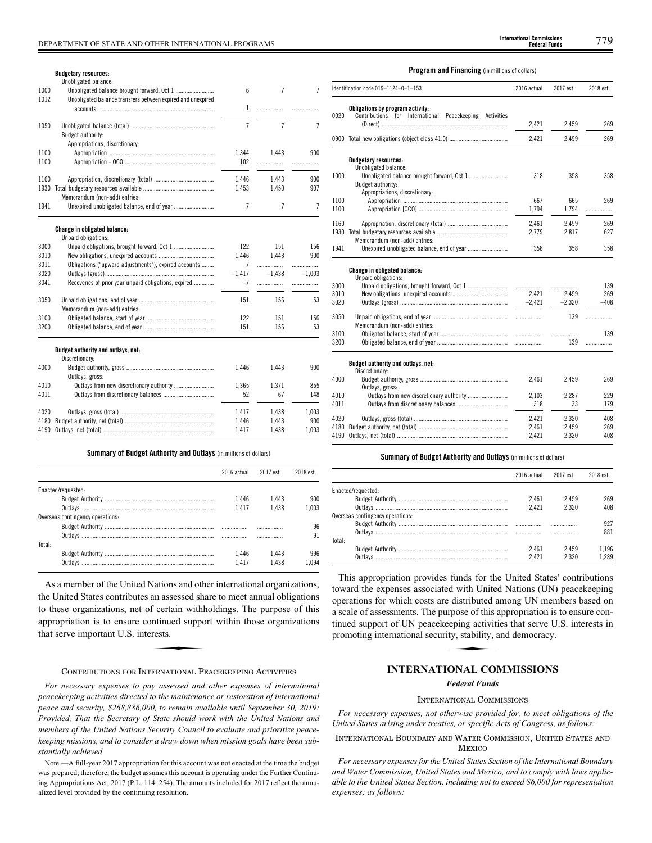|      | <b>Budgetary resources:</b><br>Unobligated balance:         |          |                |          |
|------|-------------------------------------------------------------|----------|----------------|----------|
| 1000 |                                                             | 6        | $\overline{7}$ | 7        |
| 1012 | Unobligated balance transfers between expired and unexpired |          |                |          |
|      |                                                             | 1        | .              | .        |
|      |                                                             |          |                |          |
| 1050 |                                                             | 7        | 7              | 7        |
|      | Budget authority:                                           |          |                |          |
|      | Appropriations, discretionary:                              |          |                |          |
| 1100 |                                                             | 1,344    | 1.443          | 900      |
| 1100 |                                                             | 102      | .              | .        |
| 1160 |                                                             | 1,446    | 1,443          | 900      |
| 1930 |                                                             | 1,453    | 1,450          | 907      |
|      | Memorandum (non-add) entries:                               |          |                |          |
| 1941 |                                                             | 7        | 7              | 7        |
|      |                                                             |          |                |          |
|      | Change in obligated balance:                                |          |                |          |
|      | Unpaid obligations:                                         |          |                |          |
| 3000 |                                                             | 122      | 151            | 156      |
| 3010 |                                                             | 1.446    | 1.443          | 900      |
| 3011 | Obligations ("upward adjustments"), expired accounts        | 7        |                | .        |
| 3020 |                                                             | $-1,417$ | $-1.438$       | $-1.003$ |
| 3041 | Recoveries of prior year unpaid obligations, expired        | $-7$     | .              | .        |
|      |                                                             |          |                |          |
| 3050 |                                                             | 151      | 156            | 53       |
|      | Memorandum (non-add) entries:                               |          |                |          |
| 3100 |                                                             | 122      | 151            | 156      |
| 3200 |                                                             | 151      | 156            | 53       |
|      | Budget authority and outlays, net:                          |          |                |          |
|      | Discretionary:                                              |          |                |          |
| 4000 |                                                             | 1,446    | 1,443          | 900      |
|      | Outlays, gross:                                             |          |                |          |
| 4010 |                                                             | 1,365    | 1,371          | 855      |
| 4011 |                                                             | 52       | 67             | 148      |
| 4020 |                                                             | 1,417    | 1,438          | 1,003    |
| 4180 |                                                             | 1,446    | 1,443          | 900      |
| 4190 |                                                             | 1.417    | 1.438          | 1.003    |
|      |                                                             |          |                |          |

|  |  |  | <b>Summary of Budget Authority and Outlays</b> (in millions of dollars) |  |  |  |  |  |  |  |
|--|--|--|-------------------------------------------------------------------------|--|--|--|--|--|--|--|
|--|--|--|-------------------------------------------------------------------------|--|--|--|--|--|--|--|

|                                  | 2016 actual | 2017 est. | 2018 est. |
|----------------------------------|-------------|-----------|-----------|
| Enacted/requested:               |             |           |           |
|                                  | 1.446       | 1.443     | 900       |
|                                  | 1.417       | 1.438     | 1.003     |
| Overseas contingency operations: |             |           |           |
|                                  |             |           | 96        |
|                                  |             | .         | 91        |
| Total:                           |             |           |           |
|                                  | 1.446       | 1.443     | 996       |
|                                  | 1417        | 438       |           |

As a member of the United Nations and other international organizations, the United States contributes an assessed share to meet annual obligations to these organizations, net of certain withholdings. The purpose of this<br>appropriation is to ensure continued support within those organizations<br>that serve important U.S. interests. appropriation is to ensure continued support within those organizations that serve important U.S. interests.

# CONTRIBUTIONS FOR INTERNATIONAL PEACEKEEPING ACTIVITIES

*For necessary expenses to pay assessed and other expenses of international peacekeeping activities directed to the maintenance or restoration of international peace and security, \$268,886,000, to remain available until September 30, 2019: Provided, That the Secretary of State should work with the United Nations and members of the United Nations Security Council to evaluate and prioritize peacekeeping missions, and to consider a draw down when mission goals have been substantially achieved.*

Note.—A full-year 2017 appropriation for this account was not enacted at the time the budget was prepared; therefore, the budget assumes this account is operating under the Further Continuing Appropriations Act, 2017 (P.L. 114–254). The amounts included for 2017 reflect the annualized level provided by the continuing resolution.

**Federal Funds**

# **Program and Financing** (in millions of dollars)

|      | Identification code 019-1124-0-1-153                                                              | 2016 actual | 2017 est. | 2018 est. |  |
|------|---------------------------------------------------------------------------------------------------|-------------|-----------|-----------|--|
| 0020 | Obligations by program activity:<br>International Peacekeeping Activities<br>Contributions<br>for | 2,421       | 2,459     | 269       |  |
|      |                                                                                                   | 2,421       | 2,459     | 269       |  |
|      | <b>Budgetary resources:</b>                                                                       |             |           |           |  |
|      | Unobligated balance:                                                                              |             |           |           |  |
| 1000 | Budget authority:                                                                                 | 318         | 358       | 358       |  |
|      | Appropriations, discretionary:                                                                    |             |           |           |  |
| 1100 |                                                                                                   | 667         | 665       | 269       |  |
| 1100 |                                                                                                   | 1,794       | 1,794     | .         |  |
| 1160 |                                                                                                   | 2.461       | 2.459     | 269       |  |
| 1930 |                                                                                                   | 2.779       | 2,817     | 627       |  |
|      | Memorandum (non-add) entries:                                                                     |             |           |           |  |
| 1941 |                                                                                                   | 358         | 358       | 358       |  |
|      | Change in obligated balance:                                                                      |             |           |           |  |
| 3000 | Unpaid obligations:                                                                               |             | .         | 139       |  |
| 3010 |                                                                                                   | 2.421       | 2,459     | 269       |  |
| 3020 |                                                                                                   | $-2,421$    | $-2.320$  | $-408$    |  |
|      |                                                                                                   |             |           |           |  |
| 3050 |                                                                                                   |             | 139       | .         |  |
|      | Memorandum (non-add) entries:                                                                     |             |           |           |  |
| 3100 |                                                                                                   |             | .         | 139       |  |
| 3200 |                                                                                                   |             | 139       | .         |  |
|      | Budget authority and outlays, net:                                                                |             |           |           |  |
|      | Discretionary:                                                                                    |             |           |           |  |
| 4000 |                                                                                                   | 2.461       | 2,459     | 269       |  |
|      | Outlays, gross:                                                                                   |             |           |           |  |
| 4010 |                                                                                                   | 2,103       | 2.287     | 229       |  |
| 4011 |                                                                                                   | 318         | 33        | 179       |  |
| 4020 |                                                                                                   | 2.421       | 2,320     | 408       |  |
| 4180 |                                                                                                   | 2,461       | 2,459     | 269       |  |
| 4190 |                                                                                                   | 2,421       | 2,320     | 408       |  |

# **Summary of Budget Authority and Outlays** (in millions of dollars)

|                                  | 2016 actual | 2017 est | 2018 est |
|----------------------------------|-------------|----------|----------|
| Enacted/requested:               |             |          |          |
|                                  | 2.461       | 2.459    | 269      |
|                                  | 2.421       | 2.320    | 408      |
| Overseas contingency operations: |             |          |          |
|                                  |             |          | 927      |
|                                  | .           |          | 881      |
| Total:                           |             |          |          |
|                                  | 2.461       | 2.459    | 1.196    |
|                                  | 2.421       | 2.320    | 1.289    |

This appropriation provides funds for the United States' contributions toward the expenses associated with United Nations (UN) peacekeeping operations for which costs are distributed among UN members based on a scale of assessments. The purpose of this appropriation is to ensure continued support of UN peacekeeping activities that serve U.S. interests in promoting international security, stability, and democracy. re distributed a<br>urpose of this a<br>eeping activities,<br>tity, stability, a

# **INTERNATIONAL COMMISSIONS**

# *Federal Funds*

# INTERNATIONAL COMMISSIONS

*For necessary expenses, not otherwise provided for, to meet obligations of the United States arising under treaties, or specific Acts of Congress, as follows:*

# INTERNATIONAL BOUNDARY AND WATER COMMISSION, UNITED STATES AND **MEXICO**

*For necessary expenses for the United States Section of the International Boundary and Water Commission, United States and Mexico, and to comply with laws applicable to the United States Section, including not to exceed \$6,000 for representation expenses; as follows:*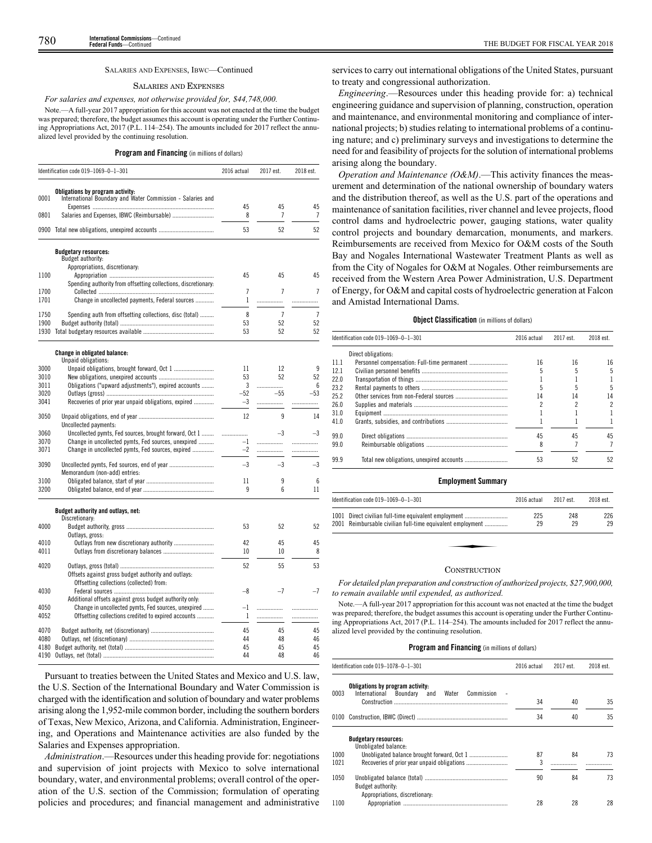# SALARIES AND EXPENSES, IBWC—Continued

# SALARIES AND EXPENSES

# *For salaries and expenses, not otherwise provided for, \$44,748,000.*

Note.—A full-year 2017 appropriation for this account was not enacted at the time the budget was prepared; therefore, the budget assumes this account is operating under the Further Continuing Appropriations Act, 2017 (P.L. 114–254). The amounts included for 2017 reflect the annualized level provided by the continuing resolution.

# **Program and Financing** (in millions of dollars)

|              | Identification code 019-1069-0-1-301                                                           | 2016 actual   | 2017 est.      | 2018 est.      |
|--------------|------------------------------------------------------------------------------------------------|---------------|----------------|----------------|
| 0001         | Obligations by program activity:<br>International Boundary and Water Commission - Salaries and | 45            | 45             | 45             |
| 0801         | Salaries and Expenses, IBWC (Reimbursable)                                                     | 8             | $\overline{1}$ | 7              |
|              | 0900 Total new obligations, unexpired accounts                                                 | 53            | 52             | 52             |
|              | <b>Budgetary resources:</b>                                                                    |               |                |                |
|              | Budget authority:                                                                              |               |                |                |
|              | Appropriations, discretionary:                                                                 |               |                |                |
| 1100         |                                                                                                | 45            | 45             | 45             |
|              | Spending authority from offsetting collections, discretionary:                                 | 7             | 7              | 7              |
| 1700<br>1701 | Change in uncollected payments, Federal sources                                                | 1             | .              | .              |
|              |                                                                                                |               |                |                |
| 1750         | Spending auth from offsetting collections, disc (total)                                        | 8             | $\overline{7}$ | $\overline{1}$ |
| 1900         |                                                                                                | 53            | 52             | 52             |
|              |                                                                                                | 53            | 52             | 52             |
|              | <b>Change in obligated balance:</b>                                                            |               |                |                |
|              | Unpaid obligations:                                                                            |               |                |                |
| 3000         |                                                                                                | 11            | 12             | 9              |
| 3010         |                                                                                                | 53            | 52             | 52             |
| 3011         | Obligations ("upward adjustments"), expired accounts                                           | 3             | .              | 6              |
| 3020<br>3041 | Recoveries of prior year unpaid obligations, expired                                           | $-52$<br>$-3$ | $-55$          | $-53$          |
|              |                                                                                                |               | .              | .              |
| 3050         |                                                                                                | 12            | 9              | 14             |
|              | Uncollected payments:                                                                          |               |                |                |
| 3060         | Uncollected pymts, Fed sources, brought forward, Oct 1                                         | .             | $-3$           | $-3$           |
| 3070         | Change in uncollected pymts, Fed sources, unexpired                                            | $-1$          | .              | .              |
| 3071         | Change in uncollected pymts, Fed sources, expired                                              | $-2$          | .              | .              |
| 3090         |                                                                                                | $-3$          | -3             | -3             |
|              | Memorandum (non-add) entries:                                                                  |               |                |                |
| 3100         |                                                                                                | 11            | 9              | 6              |
| 3200         |                                                                                                | 9             | 6              | 11             |
|              | Budget authority and outlays, net:                                                             |               |                |                |
|              | Discretionary:                                                                                 |               |                |                |
| 4000         |                                                                                                | 53            | 52             | 52             |
|              | Outlays, gross:                                                                                |               |                |                |
| 4010         | Outlays from new discretionary authority                                                       | 42            | 45             | 45             |
| 4011         |                                                                                                | 10            | 10             | 8              |
|              |                                                                                                | 52            | 55             |                |
| 4020         | Offsets against gross budget authority and outlays:                                            |               |                | 53             |
|              | Offsetting collections (collected) from:                                                       |               |                |                |
| 4030         |                                                                                                | -8            | $-7$           | $-7$           |
|              | Additional offsets against gross budget authority only:                                        |               |                |                |
| 4050         | Change in uncollected pymts, Fed sources, unexpired                                            | $-1$          |                | .              |
| 4052         | Offsetting collections credited to expired accounts                                            | 1             | .              | .              |
|              |                                                                                                |               |                |                |
| 4070         |                                                                                                | 45            | 45             | 45             |
| 4080         |                                                                                                | 44            | 48             | 46             |
| 4180         |                                                                                                | 45            | 45             | 45             |
| 4190         |                                                                                                | 44            | 48             | 46             |

Pursuant to treaties between the United States and Mexico and U.S. law, the U.S. Section of the International Boundary and Water Commission is charged with the identification and solution of boundary and water problems arising along the 1,952-mile common border, including the southern borders of Texas, New Mexico, Arizona, and California. Administration, Engineering, and Operations and Maintenance activities are also funded by the Salaries and Expenses appropriation.

*Administration*.—Resources under this heading provide for: negotiations and supervision of joint projects with Mexico to solve international boundary, water, and environmental problems; overall control of the operation of the U.S. section of the Commission; formulation of operating policies and procedures; and financial management and administrative

services to carry out international obligations of the United States, pursuant to treaty and congressional authorization.

*Engineering*.—Resources under this heading provide for: a) technical engineering guidance and supervision of planning, construction, operation and maintenance, and environmental monitoring and compliance of international projects; b) studies relating to international problems of a continuing nature; and c) preliminary surveys and investigations to determine the need for and feasibility of projects for the solution of international problems arising along the boundary.

*Operation and Maintenance (O&M)*.—This activity finances the measurement and determination of the national ownership of boundary waters and the distribution thereof, as well as the U.S. part of the operations and maintenance of sanitation facilities, river channel and levee projects, flood control dams and hydroelectric power, gauging stations, water quality control projects and boundary demarcation, monuments, and markers. Reimbursements are received from Mexico for O&M costs of the South Bay and Nogales International Wastewater Treatment Plants as well as from the City of Nogales for O&M at Nogales. Other reimbursements are received from the Western Area Power Administration, U.S. Department of Energy, for O&M and capital costs of hydroelectric generation at Falcon and Amistad International Dams.

# **Object Classification** (in millions of dollars)

|      | Identification code 019-1069-0-1-301 | 2016 actual | 2017 est. | 2018 est. |
|------|--------------------------------------|-------------|-----------|-----------|
|      | Direct obligations:                  |             |           |           |
| 11.1 |                                      | 16          | 16        | 16        |
| 12.1 |                                      |             |           | 5         |
| 22.0 |                                      |             |           |           |
| 23.2 |                                      |             |           | 5         |
| 25.2 |                                      | 14          | 14        | 14        |
| 26.0 |                                      |             |           | 2         |
| 31.0 |                                      |             |           |           |
| 41.0 |                                      |             |           |           |
| 99.0 |                                      | 45          | 45        | 45        |
| 99.0 |                                      |             |           |           |
| 99.9 |                                      | 53          | 52        | 52        |
|      |                                      |             |           |           |

# **Employment Summary**

| Identification code 019-1069-0-1-301                       | 2016 actual | 2017 est. | 2018 est. |
|------------------------------------------------------------|-------------|-----------|-----------|
| 1001 Direct civilian full-time equivalent employment       | 225         | 248       | 226       |
| 2001 Reimbursable civilian full-time equivalent employment | 29          | 29        | 29        |
|                                                            |             |           |           |
|                                                            |             |           |           |
|                                                            |             |           |           |

#### **CONSTRUCTION**

*For detailed plan preparation and construction of authorized projects, \$27,900,000, to remain available until expended, as authorized.*

Note.—A full-year 2017 appropriation for this account was not enacted at the time the budget was prepared; therefore, the budget assumes this account is operating under the Further Continuing Appropriations Act, 2017 (P.L. 114–254). The amounts included for 2017 reflect the annualized level provided by the continuing resolution.

|      | ldentification code 019—1078—0—1—301                                                     | 2016 actual | 2017 est. | 2018 est. |
|------|------------------------------------------------------------------------------------------|-------------|-----------|-----------|
| 0003 | Obligations by program activity:<br>International<br>Boundary and<br>Water<br>Commission |             |           |           |
|      | Construction                                                                             | 34          | 40        | 35        |
|      |                                                                                          | 34          | 40        | 35        |
|      | <b>Budgetary resources:</b><br>Unobligated balance:                                      |             |           |           |
| 1000 |                                                                                          | 87          | 84        | 73        |
| 1021 |                                                                                          | 3           |           |           |
| 1050 |                                                                                          | 90          | 84        | 73        |
|      | Budget authority:                                                                        |             |           |           |
|      | Appropriations, discretionary:                                                           |             |           |           |
| 1100 |                                                                                          | 28          | 28        | 28        |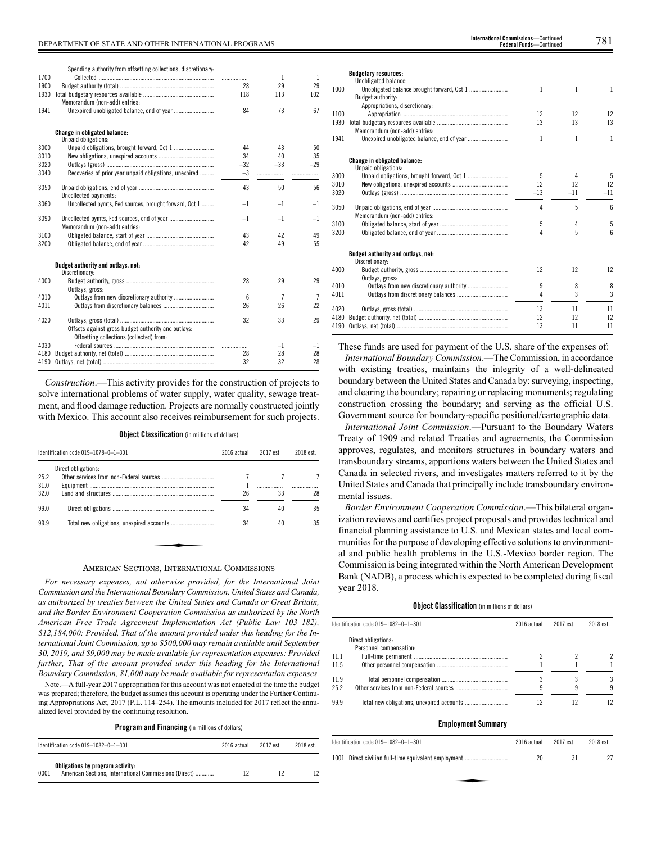Spending authority from offsetting collections, discretionary:

|      | Spending authority from offsetting collections, discretionary: |       |       |       |
|------|----------------------------------------------------------------|-------|-------|-------|
| 1700 |                                                                |       | 1     | 1     |
| 1900 |                                                                | 28    | 29    | 29    |
| 1930 |                                                                | 118   | 113   | 102   |
|      | Memorandum (non-add) entries:                                  |       |       |       |
| 1941 |                                                                | 84    | 73    | 67    |
|      | <b>Change in obligated balance:</b><br>Unpaid obligations:     |       |       |       |
| 3000 | Unpaid obligations, brought forward, Oct 1                     | 44    | 43    | 50    |
| 3010 |                                                                | 34    | 40    | 35    |
| 3020 |                                                                | $-32$ | $-33$ | $-29$ |
| 3040 | Recoveries of prior year unpaid obligations, unexpired         | $-3$  | .     | .     |
| 3050 | Uncollected payments:                                          | 43    | 50    | 56    |
| 3060 | Uncollected pymts, Fed sources, brought forward, Oct 1         | $-1$  | $-1$  | $-1$  |
| 3090 | Memorandum (non-add) entries:                                  | $-1$  | $-1$  | $-1$  |
| 3100 |                                                                | 43    | 42    | 49    |
| 3200 |                                                                | 42    | 49    | 55    |
|      | Budget authority and outlays, net:<br>Discretionary:           |       |       |       |
| 4000 |                                                                | 28    | 29    | 29    |
|      | Outlays, gross:                                                |       |       |       |
| 4010 | Outlays from new discretionary authority                       | 6     | 7     |       |
| 4011 |                                                                | 26    | 26    | 22    |

| 4020 |                                                     | 32 |    | 29 |
|------|-----------------------------------------------------|----|----|----|
|      | Offsets against gross budget authority and outlays: |    |    |    |
|      | Offsetting collections (collected) from:            |    |    |    |
| 4030 |                                                     |    |    |    |
|      |                                                     | 28 | 28 | 28 |
|      |                                                     | 32 |    | 28 |
|      |                                                     |    |    |    |

*Construction*.—This activity provides for the construction of projects to solve international problems of water supply, water quality, sewage treatment, and flood damage reduction. Projects are normally constructed jointly with Mexico. This account also receives reimbursement for such projects.

**Object Classification** (in millions of dollars)

| Direct obligations:<br>26<br>33<br>34<br>40 | Identification code 019-1078-0-1-301 | 2016 actual | 2017 est. | 2018 est. |
|---------------------------------------------|--------------------------------------|-------------|-----------|-----------|
| 25.2<br>31.0<br>32.0<br>99.0                |                                      |             |           |           |
|                                             |                                      |             |           |           |
|                                             |                                      |             |           |           |
|                                             |                                      |             |           | 28        |
|                                             |                                      |             |           | 35        |
| 99.9<br>34<br>40                            |                                      |             |           | 35        |

# AMERICAN SECTIONS, INTERNATIONAL COMMISSIONS

*For necessary expenses, not otherwise provided, for the International Joint Commission and the International Boundary Commission, United States and Canada, as authorized by treaties between the United States and Canada or Great Britain, and the Border Environment Cooperation Commission as authorized by the North American Free Trade Agreement Implementation Act (Public Law 103–182), \$12,184,000: Provided, That of the amount provided under this heading for the International Joint Commission, up to \$500,000 may remain available until September 30, 2019, and \$9,000 may be made available for representation expenses: Provided further, That of the amount provided under this heading for the International Boundary Commission, \$1,000 may be made available for representation expenses.*

Note.—A full-year 2017 appropriation for this account was not enacted at the time the budget was prepared; therefore, the budget assumes this account is operating under the Further Continuing Appropriations Act, 2017 (P.L. 114–254). The amounts included for 2017 reflect the annualized level provided by the continuing resolution.

**Program and Financing** (in millions of dollars)

|      | Identification code $019-1082-0-1-301$                                                    | 2016 actual | 2017 est. | 2018 est. |
|------|-------------------------------------------------------------------------------------------|-------------|-----------|-----------|
| 0001 | Obligations by program activity:<br>American Sections, International Commissions (Direct) |             |           |           |

| <b>International Commissions</b> —Continued |  |
|---------------------------------------------|--|
| <b>Federal Funds</b> —Continued             |  |

|      | <b>Budgetary resources:</b>                                |       |              |       |
|------|------------------------------------------------------------|-------|--------------|-------|
|      | Unobligated balance:                                       |       |              |       |
| 1000 |                                                            | 1     | 1            | 1     |
|      | Budget authority:                                          |       |              |       |
|      | Appropriations, discretionary:                             |       |              |       |
| 1100 |                                                            | 12    | 12           | 12    |
| 1930 |                                                            | 13    | 13           | 13    |
|      | Memorandum (non-add) entries:                              |       |              |       |
| 1941 |                                                            | 1     | $\mathbf{1}$ | 1     |
|      | <b>Change in obligated balance:</b><br>Unpaid obligations: |       |              |       |
| 3000 |                                                            | 5     | 4            | 5     |
| 3010 |                                                            | 12    | 12           | 12    |
| 3020 |                                                            | $-13$ | $-11$        | $-11$ |
|      |                                                            |       |              |       |
| 3050 |                                                            | 4     | 5            | 6     |
|      | Memorandum (non-add) entries:                              |       |              |       |
| 3100 |                                                            | 5     | 4            | 5     |
| 3200 |                                                            | 4     | 5            | 6     |
|      | Budget authority and outlays, net:<br>Discretionary:       |       |              |       |
| 4000 |                                                            | 12    | 12           | 12    |
|      | Outlays, gross:                                            |       |              |       |
| 4010 |                                                            | 9     | 8            | 8     |
| 4011 |                                                            | 4     | 3            | 3     |
| 4020 |                                                            | 13    | 11           | 11    |
| 4180 |                                                            | 12    | 12           | 12    |
| 4190 |                                                            | 13    | 11           | 11    |
|      |                                                            |       |              |       |

These funds are used for payment of the U.S. share of the expenses of:

*International Boundary Commission*.—The Commission, in accordance with existing treaties, maintains the integrity of a well-delineated boundary between the United States and Canada by: surveying, inspecting, and clearing the boundary; repairing or replacing monuments; regulating construction crossing the boundary; and serving as the official U.S. Government source for boundary-specific positional/cartographic data.

*International Joint Commission*.—Pursuant to the Boundary Waters Treaty of 1909 and related Treaties and agreements, the Commission approves, regulates, and monitors structures in boundary waters and transboundary streams, apportions waters between the United States and Canada in selected rivers, and investigates matters referred to it by the United States and Canada that principally include transboundary environmental issues.

*Border Environment Cooperation Commission*.—This bilateral organization reviews and certifies project proposals and provides technical and financial planning assistance to U.S. and Mexican states and local communities for the purpose of developing effective solutions to environmental and public health problems in the U.S.-Mexico border region. The Commission is being integrated within the North American Development Bank (NADB), a process which is expected to be completed during fiscal year 2018.

# **Object Classification** (in millions of dollars)

|      | ldentification code 019–1082–0–1–301           | 2016 actual | 2017 est. | 2018 est. |
|------|------------------------------------------------|-------------|-----------|-----------|
|      | Direct obligations:<br>Personnel compensation: |             |           |           |
| 11.1 |                                                |             |           |           |
| 11.5 |                                                |             |           |           |
| 11.9 |                                                |             |           | 3         |
| 252  |                                                |             |           | 9         |
| 99.9 |                                                |             | 12        | 12        |

# **Employment Summary**

| Identification code 019-1082-0-1-301                 | 2016 actual | 2017 est. | 2018 est. |
|------------------------------------------------------|-------------|-----------|-----------|
| 1001 Direct civilian full-time equivalent employment | 20          | 31        |           |
|                                                      |             |           |           |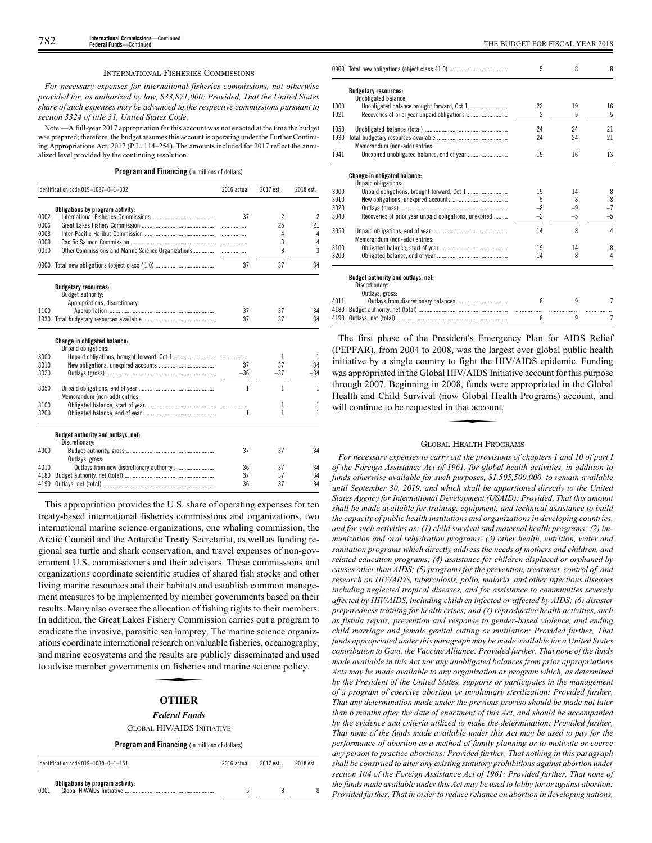#### INTERNATIONAL FISHERIES COMMISSIONS

*For necessary expenses for international fisheries commissions, not otherwise provided for, as authorized by law, \$33,871,000: Provided, That the United States share of such expenses may be advanced to the respective commissions pursuant to section 3324 of title 31, United States Code.*

Note.—A full-year 2017 appropriation for this account was not enacted at the time the budget was prepared; therefore, the budget assumes this account is operating under the Further Continuing Appropriations Act, 2017 (P.L. 114–254). The amounts included for 2017 reflect the annualized level provided by the continuing resolution.

# **Program and Financing** (in millions of dollars)

|      | Identification code 019-1087-0-1-302                       | 2016 actual                   | 2017 est.                | 2018 est.                |
|------|------------------------------------------------------------|-------------------------------|--------------------------|--------------------------|
|      | Obligations by program activity:                           |                               |                          |                          |
| 0002 |                                                            | 37                            | $\overline{\phantom{a}}$ | $\overline{\phantom{a}}$ |
| 0006 |                                                            |                               | 25                       | 21                       |
| 0008 |                                                            | .                             | 4                        | 4                        |
| 0009 |                                                            | .                             | 3                        | 4                        |
| 0010 | Other Commissions and Marine Science Organizations         | $\ldots \ldots \ldots \ldots$ | 3                        | 3                        |
|      |                                                            | 37                            | 37                       | 34                       |
|      | <b>Budgetary resources:</b>                                |                               |                          |                          |
|      | Budget authority:                                          |                               |                          |                          |
|      | Appropriations, discretionary:                             |                               |                          |                          |
| 1100 |                                                            | 37                            | 37                       | 34                       |
| 1930 |                                                            | 37                            | 37                       | 34                       |
|      | <b>Change in obligated balance:</b><br>Unpaid obligations: |                               |                          |                          |
| 3000 |                                                            |                               | 1                        | 1                        |
| 3010 |                                                            | 37                            | 37                       | 34                       |
| 3020 |                                                            | $-36$                         | $-37$                    | $-34$                    |
|      |                                                            |                               |                          |                          |
| 3050 | Memorandum (non-add) entries:                              | $\mathbf{1}$                  | 1                        | 1                        |
| 3100 |                                                            |                               | 1                        | 1                        |
| 3200 |                                                            | 1                             | 1                        | 1                        |
|      |                                                            |                               |                          |                          |
|      | Budget authority and outlays, net:<br>Discretionary:       |                               |                          |                          |
| 4000 | Outlays, gross:                                            | 37                            | 37                       | 34                       |
| 4010 |                                                            | 36                            | 37                       | 34                       |
| 4180 |                                                            | 37                            | 37                       | 34                       |
| 4190 |                                                            | 36                            | 37                       | 34                       |

This appropriation provides the U.S. share of operating expenses for ten treaty-based international fisheries commissions and organizations, two international marine science organizations, one whaling commission, the Arctic Council and the Antarctic Treaty Secretariat, as well as funding regional sea turtle and shark conservation, and travel expenses of non-government U.S. commissioners and their advisors. These commissions and organizations coordinate scientific studies of shared fish stocks and other living marine resources and their habitats and establish common management measures to be implemented by member governments based on their results. Many also oversee the allocation of fishing rights to their members. In addition, the Great Lakes Fishery Commission carries out a program to eradicate the invasive, parasitic sea lamprey. The marine science organiz-Exercise of the metallicity of the matter of the matter sections coordinate international research on valuable fisheries, oceanography, and marine ecosystems and the results are publicly disseminated and used to advise mem and marine ecosystems and the results are publicly disseminated and used to advise member governments on fisheries and marine science policy.

# **OTHER**

# *Federal Funds*

GLOBAL HIV/AIDS INITIATIVE

# **Program and Financing** (in millions of dollars)

| Identification code $019-1030-0-1-151$   | 2016 actual | 2017 est. | 2018 est. |
|------------------------------------------|-------------|-----------|-----------|
| Obligations by program activity:<br>0001 |             |           |           |

|      |                                                        | 5              | 8       | 8    |
|------|--------------------------------------------------------|----------------|---------|------|
|      | <b>Budgetary resources:</b>                            |                |         |      |
| 1000 | Unobligated balance:                                   | 22             |         |      |
| 1021 |                                                        | $\mathfrak{p}$ | 19<br>5 | 16   |
|      |                                                        |                |         | 5    |
| 1050 |                                                        | 24             | 24      | 21   |
| 1930 |                                                        | 24             | 24      | 21   |
|      | Memorandum (non-add) entries:                          |                |         |      |
| 1941 |                                                        | 19             | 16      | 13   |
|      | Change in obligated balance:                           |                |         |      |
|      | Unpaid obligations:                                    |                |         |      |
| 3000 |                                                        | 19             | 14      | 8    |
| 3010 |                                                        | 5              | 8       | 8    |
| 3020 |                                                        | $-8$           | $-9$    | $-7$ |
| 3040 | Recoveries of prior year unpaid obligations, unexpired | $-2$           | $-5$    | -5   |
| 3050 |                                                        | 14             | 8       | 4    |
|      | Memorandum (non-add) entries:                          |                |         |      |
| 3100 |                                                        | 19             | 14      | 8    |
| 3200 |                                                        | 14             | 8       | 4    |
|      | Budget authority and outlays, net:                     |                |         |      |
|      | Discretionary:                                         |                |         |      |
|      | Outlays, gross:                                        |                |         |      |
| 4011 |                                                        | 8              | q       |      |
| 4180 |                                                        |                |         |      |
| 4190 |                                                        | 8              | 9       | 7    |

The first phase of the President's Emergency Plan for AIDS Relief (PEPFAR), from 2004 to 2008, was the largest ever global public health initiative by a single country to fight the HIV/AIDS epidemic. Funding was appropriated in the Global HIV/AIDS Initiative account for this purpose was appropriated in the Global Health 2007. Beginning in 2008, funds were appropriated in the Global Health and Child Survival (now Global Health Programs) account, and will continue to be requested in that account. Health and Child Survival (now Global Health Programs) account, and will continue to be requested in that account.

# GLOBAL HEALTH PROGRAMS

*For necessary expenses to carry out the provisions of chapters 1 and 10 of part I of the Foreign Assistance Act of 1961, for global health activities, in addition to funds otherwise available for such purposes, \$1,505,500,000, to remain available until September 30, 2019, and which shall be apportioned directly to the United States Agency for International Development (USAID): Provided, That this amount shall be made available for training, equipment, and technical assistance to build the capacity of public health institutions and organizations in developing countries, and for such activities as: (1) child survival and maternal health programs; (2) immunization and oral rehydration programs; (3) other health, nutrition, water and sanitation programs which directly address the needs of mothers and children, and related education programs; (4) assistance for children displaced or orphaned by causes other than AIDS; (5) programs for the prevention, treatment, control of, and research on HIV/AIDS, tuberculosis, polio, malaria, and other infectious diseases including neglected tropical diseases, and for assistance to communities severely affected by HIV/AIDS, including children infected or affected by AIDS; (6) disaster preparedness training for health crises; and (7) reproductive health activities, such as fistula repair, prevention and response to gender-based violence, and ending child marriage and female genital cutting or mutilation: Provided further, That funds appropriated under this paragraph may be made available for a United States contribution to Gavi, the Vaccine Alliance: Provided further, That none of the funds made available in this Act nor any unobligated balances from prior appropriations Acts may be made available to any organization or program which, as determined by the President of the United States, supports or participates in the management of a program of coercive abortion or involuntary sterilization: Provided further, That any determination made under the previous proviso should be made not later than 6 months after the date of enactment of this Act, and should be accompanied by the evidence and criteria utilized to make the determination: Provided further, That none of the funds made available under this Act may be used to pay for the performance of abortion as a method of family planning or to motivate or coerce any person to practice abortions: Provided further, That nothing in this paragraph shall be construed to alter any existing statutory prohibitions against abortion under section 104 of the Foreign Assistance Act of 1961: Provided further, That none of the funds made available under this Act may be used to lobby for or against abortion: Provided further, That in order to reduce reliance on abortion in developing nations,*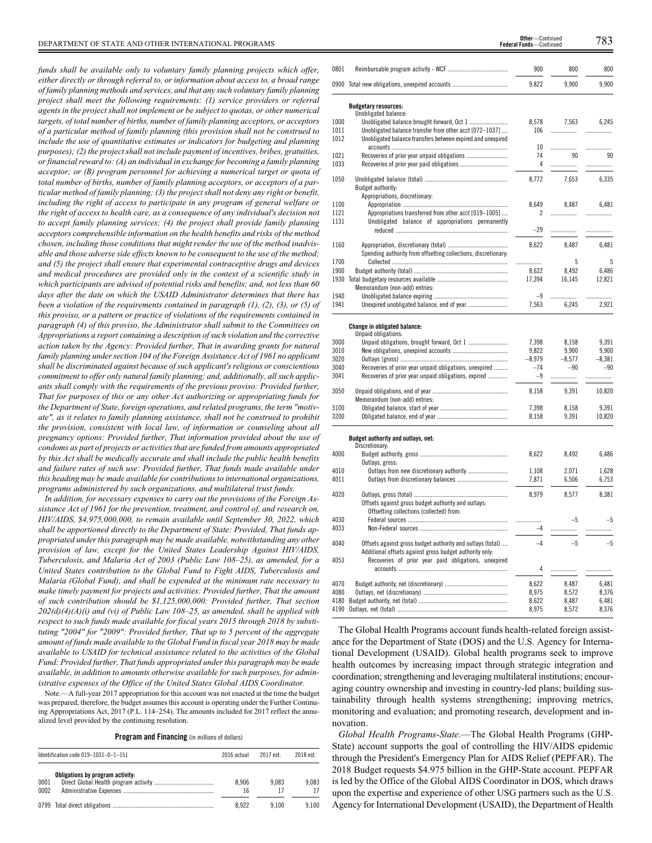*funds shall be available only to voluntary family planning projects which offer, either directly or through referral to, or information about access to, a broad range of family planning methods and services, and that any such voluntary family planning project shall meet the following requirements: (1) service providers or referral agents in the project shall not implement or be subject to quotas, or other numerical targets, of total number of births, number of family planning acceptors, or acceptors of a particular method of family planning (this provision shall not be construed to include the use of quantitative estimates or indicators for budgeting and planning purposes); (2) the project shall not include payment of incentives, bribes, gratuities, or financial reward to: (A) an individual in exchange for becoming a family planning acceptor; or (B) program personnel for achieving a numerical target or quota of total number of births, number of family planning acceptors, or acceptors of a particular method of family planning; (3) the project shall not deny any right or benefit, including the right of access to participate in any program of general welfare or the right of access to health care, as a consequence of any individual's decision not to accept family planning services; (4) the project shall provide family planning acceptors comprehensible information on the health benefits and risks of the method chosen, including those conditions that might render the use of the method inadvisable and those adverse side effects known to be consequent to the use of the method; and (5) the project shall ensure that experimental contraceptive drugs and devices and medical procedures are provided only in the context of a scientific study in which participants are advised of potential risks and benefits; and, not less than 60 days after the date on which the USAID Administrator determines that there has been a violation of the requirements contained in paragraph (1), (2), (3), or (5) of this proviso, or a pattern or practice of violations of the requirements contained in paragraph (4) of this proviso, the Administrator shall submit to the Committees on Appropriations a report containing a description of such violation and the corrective action taken by the Agency: Provided further, That in awarding grants for natural family planning under section 104 of the Foreign Assistance Act of 1961 no applicant shall be discriminated against because of such applicant's religious or conscientious commitment to offer only natural family planning; and, additionally, all such applicants shall comply with the requirements of the previous proviso: Provided further, That for purposes of this or any other Act authorizing or appropriating funds for the Department of State, foreign operations, and related programs, the term "motivate", as it relates to family planning assistance, shall not be construed to prohibit the provision, consistent with local law, of information or counseling about all pregnancy options: Provided further, That information provided about the use of condoms as part of projects or activities that are funded from amounts appropriated by this Act shall be medically accurate and shall include the public health benefits and failure rates of such use: Provided further, That funds made available under this heading may be made available for contributions to international organizations, programs administered by such organizations, and multilateral trust funds.*

*In addition, for necessary expenses to carry out the provisions of the Foreign Assistance Act of 1961 for the prevention, treatment, and control of, and research on, HIV/AIDS, \$4,975,000,000, to remain available until September 30, 2022, which shall be apportioned directly to the Department of State: Provided, That funds appropriated under this paragraph may be made available, notwithstanding any other provision of law, except for the United States Leadership Against HIV/AIDS, Tuberculosis, and Malaria Act of 2003 (Public Law 108–25), as amended, for a United States contribution to the Global Fund to Fight AIDS, Tuberculosis and Malaria (Global Fund), and shall be expended at the minimum rate necessary to make timely payment for projects and activities: Provided further, That the amount of such contribution should be \$1,125,000,000: Provided further, That section 202(d)(4)(A)(i) and (vi) of Public Law 108–25, as amended, shall be applied with respect to such funds made available for fiscal years 2015 through 2018 by substituting "2004" for "2009": Provided further, That up to 5 percent of the aggregate amount of funds made available to the Global Fund in fiscal year 2018 may be made available to USAID for technical assistance related to the activities of the Global Fund: Provided further, That funds appropriated under this paragraph may be made available, in addition to amounts otherwise available for such purposes, for administrative expenses of the Office of the United States Global AIDS Coordinator.*

Note.—A full-year 2017 appropriation for this account was not enacted at the time the budget was prepared; therefore, the budget assumes this account is operating under the Further Continuing Appropriations Act, 2017 (P.L. 114–254). The amounts included for 2017 reflect the annualized level provided by the continuing resolution.

# **Program and Financing** (in millions of dollars)

|              | Identification code $019-1031-0-1-151$ | 2016 actual | 2017 est. | 2018 est.   |
|--------------|----------------------------------------|-------------|-----------|-------------|
| 0001<br>0002 | Obligations by program activity:       | 8.906<br>16 | 9.083     | 9.083<br>17 |
|              |                                        | 8.922       | 9.100     | 9.100       |

| 0801         |                                                                | 900             | 800        | 800             |
|--------------|----------------------------------------------------------------|-----------------|------------|-----------------|
|              | 0900 Total new obligations, unexpired accounts                 | 9.822           | 9,900      | 9,900           |
|              | <b>Budgetary resources:</b>                                    |                 |            |                 |
|              | Unobligated balance:                                           |                 |            |                 |
| 1000         | Unobligated balance brought forward, Oct 1                     | 8,578           | 7,563      | 6,245           |
| 1011         | Unobligated balance transfer from other acct [072-1037]        | 106             | .          | .               |
| 1012         | Unobligated balance transfers between expired and unexpired    |                 |            |                 |
|              |                                                                | 10<br>74        | .<br>90    |                 |
| 1021<br>1033 |                                                                | 4               |            | 90              |
|              |                                                                |                 | .          | .               |
| 1050         |                                                                | 8,772           | 7,653      | 6,335           |
|              | Budget authority:                                              |                 |            |                 |
|              | Appropriations, discretionary:                                 |                 |            |                 |
| 1100         |                                                                | 8,649           | 8,487      | 6,481           |
| 1121         | Appropriations transferred from other acct [019-1005]          | 2               |            | .               |
| 1131         | Unobligated balance of appropriations permanently              |                 |            |                 |
|              |                                                                | $-29$           |            | .               |
|              |                                                                |                 |            |                 |
| 1160         |                                                                | 8,622           | 8,487      | 6,481           |
|              | Spending authority from offsetting collections, discretionary: |                 |            | 5               |
| 1700<br>1900 |                                                                | .               | 5<br>8,492 |                 |
|              |                                                                | 8,622<br>17,394 | 16,145     | 6,486<br>12,821 |
|              | Memorandum (non-add) entries:                                  |                 |            |                 |
| 1940         |                                                                | $-9$            | .          | .               |
| 1941         |                                                                | 7,563           | 6,245      | 2,921           |
|              |                                                                |                 |            |                 |
|              |                                                                |                 |            |                 |
|              | Change in obligated balance:<br>Unpaid obligations:            |                 |            |                 |
| 3000         | Unpaid obligations, brought forward, Oct 1                     | 7,398           | 8,158      | 9,391           |
| 3010         |                                                                | 9,822           | 9,900      | 9,900           |
| 3020         |                                                                | $-8,979$        | $-8,577$   | $-8,381$        |
| 3040         | Recoveries of prior year unpaid obligations, unexpired         | $-74$           | $-90$      | $-90$           |
| 3041         | Recoveries of prior year unpaid obligations, expired           | $-9$            | .          | .               |
|              |                                                                |                 |            |                 |
| 3050         |                                                                | 8,158           | 9,391      | 10,820          |
|              | Memorandum (non-add) entries:                                  |                 |            |                 |
| 3100         |                                                                | 7,398           | 8,158      | 9,391           |
| 3200         |                                                                | 8,158           | 9,391      | 10,820          |
|              |                                                                |                 |            |                 |
|              | Budget authority and outlays, net:                             |                 |            |                 |
|              | Discretionary:                                                 |                 |            |                 |
| 4000         | Outlays, gross:                                                | 8,622           | 8,492      | 6,486           |
| 4010         |                                                                | 1.108           | 2,071      | 1,628           |
| 4011         |                                                                | 7,871           | 6,506      | 6,753           |
|              |                                                                |                 |            |                 |
| 4020         |                                                                | 8,979           | 8,577      | 8,381           |
|              | Offsets against gross budget authority and outlays:            |                 |            |                 |
|              | Offsetting collections (collected) from:                       |                 |            |                 |
| 4030         |                                                                |                 | $-5$       | $-5$            |
| 4033         |                                                                | $-4$            | .          | .               |
| 4040         | Offsets against gross budget authority and outlays (total)     | $-4$            | $-5$       | $-5$            |
|              | Additional offsets against gross budget authority only:        |                 |            |                 |
| 4053         | Recoveries of prior year paid obligations, unexpired           |                 |            |                 |
|              |                                                                | 4               | .          |                 |
|              |                                                                |                 |            |                 |
| 4070         |                                                                | 8,622           | 8,487      | 6,481           |
| 4080         |                                                                | 8,975           | 8,572      | 8,376           |
| 4180         |                                                                | 8,622           | 8,487      | 6,481           |
| 4190         |                                                                | 8,975           | 8,572      | 8,376           |
|              |                                                                |                 |            |                 |

**Federal Funds**—Continued

The Global Health Programs account funds health-related foreign assistance for the Department of State (DOS) and the U.S. Agency for International Development (USAID). Global health programs seek to improve health outcomes by increasing impact through strategic integration and coordination; strengthening and leveraging multilateral institutions; encouraging country ownership and investing in country-led plans; building sustainability through health systems strengthening; improving metrics, monitoring and evaluation; and promoting research, development and innovation.

*Global Health Programs-State*.—The Global Health Programs (GHP-State) account supports the goal of controlling the HIV/AIDS epidemic through the President's Emergency Plan for AIDS Relief (PEPFAR). The 2018 Budget requests \$4.975 billion in the GHP-State account. PEPFAR is led by the Office of the Global AIDS Coordinator in DOS, which draws upon the expertise and experience of other USG partners such as the U.S. Agency for International Development (USAID), the Department of Health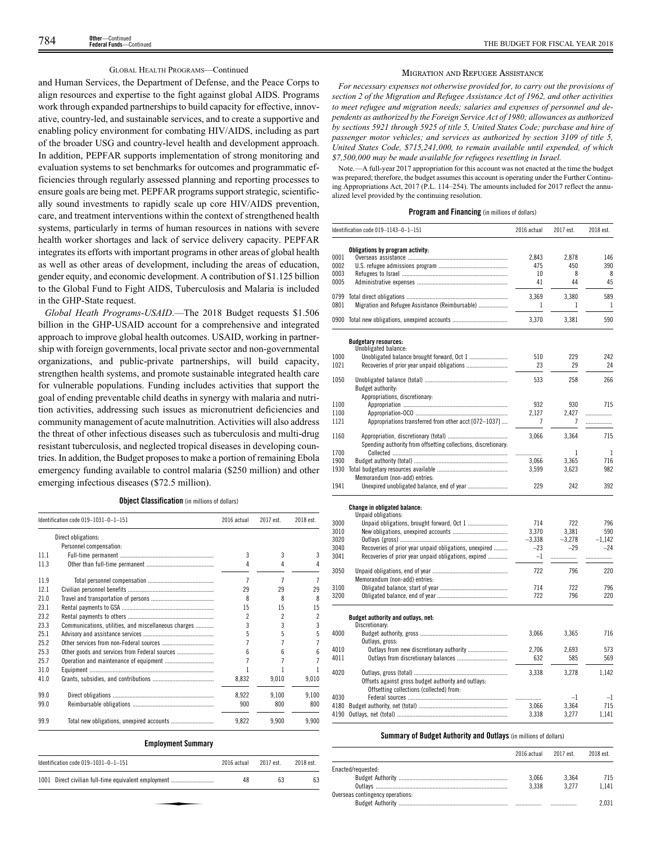# GLOBAL HEALTH PROGRAMS—Continued

and Human Services, the Department of Defense, and the Peace Corps to align resources and expertise to the fight against global AIDS. Programs work through expanded partnerships to build capacity for effective, innovative, country-led, and sustainable services, and to create a supportive and enabling policy environment for combating HIV/AIDS, including as part of the broader USG and country-level health and development approach. In addition, PEPFAR supports implementation of strong monitoring and evaluation systems to set benchmarks for outcomes and programmatic efficiencies through regularly assessed planning and reporting processes to ensure goals are being met. PEPFAR programs support strategic, scientifically sound investments to rapidly scale up core HIV/AIDS prevention, care, and treatment interventions within the context of strengthened health systems, particularly in terms of human resources in nations with severe health worker shortages and lack of service delivery capacity. PEPFAR integrates its efforts with important programs in other areas of global health as well as other areas of development, including the areas of education, gender equity, and economic development. A contribution of \$1.125 billion to the Global Fund to Fight AIDS, Tuberculosis and Malaria is included in the GHP-State request.

*Global Heath Programs-USAID*.—The 2018 Budget requests \$1.506 billion in the GHP-USAID account for a comprehensive and integrated approach to improve global health outcomes. USAID, working in partnership with foreign governments, local private sector and non-governmental organizations, and public-private partnerships, will build capacity, strengthen health systems, and promote sustainable integrated health care for vulnerable populations. Funding includes activities that support the goal of ending preventable child deaths in synergy with malaria and nutrition activities, addressing such issues as micronutrient deficiencies and community management of acute malnutrition. Activities will also address the threat of other infectious diseases such as tuberculosis and multi-drug resistant tuberculosis, and neglected tropical diseases in developing countries. In addition, the Budget proposes to make a portion of remaining Ebola emergency funding available to control malaria (\$250 million) and other emerging infectious diseases (\$72.5 million).

**Object Classification** (in millions of dollars)

|      | Identification code 019-1031-0-1-151                 | 2016 actual | 2017 est. | 2018 est. |
|------|------------------------------------------------------|-------------|-----------|-----------|
|      | Direct obligations:                                  |             |           |           |
|      | Personnel compensation:                              |             |           |           |
| 111  |                                                      | 3           | 3         | 3         |
| 11.3 |                                                      | 4           | 4         | 4         |
| 11.9 |                                                      | 7           | 7         | 7         |
| 12.1 |                                                      | 29          | 29        | 29        |
| 210  |                                                      | 8           | 8         | 8         |
| 23.1 |                                                      | 15          | 15        | 15        |
| 23.2 |                                                      | 2           | 2         | 2         |
| 23.3 | Communications, utilities, and miscellaneous charges | 3           | 3         | 3         |
| 25.1 |                                                      |             |           | 5         |
| 25.2 |                                                      |             |           |           |
| 25.3 | Other goods and services from Federal sources        | հ           |           | հ         |
| 25.7 |                                                      |             |           |           |
| 31.0 |                                                      |             |           |           |
| 41.0 |                                                      | 8.832       | 9,010     | 9,010     |
| 99 O |                                                      | 8,922       | 9,100     | 9,100     |
| 99.0 |                                                      | 900         | 800       | 800       |
| 99.9 |                                                      | 9.822       | 9.900     | 9.900     |

# **Employment Summary**

| Identification code $019-1031-0-1-151$               | 2016 actual | 2017 est. | 2018 est. |
|------------------------------------------------------|-------------|-----------|-----------|
| 1001 Direct civilian full-time equivalent employment | 48          | 63        | 63        |
|                                                      |             |           |           |

#### MIGRATION AND REFUGEE ASSISTANCE

*For necessary expenses not otherwise provided for, to carry out the provisions of section 2 of the Migration and Refugee Assistance Act of 1962, and other activities to meet refugee and migration needs; salaries and expenses of personnel and dependents as authorized by the Foreign Service Act of 1980; allowances as authorized by sections 5921 through 5925 of title 5, United States Code; purchase and hire of passenger motor vehicles; and services as authorized by section 3109 of title 5, United States Code, \$715,241,000, to remain available until expended, of which \$7,500,000 may be made available for refugees resettling in Israel.*

Note.—A full-year 2017 appropriation for this account was not enacted at the time the budget was prepared; therefore, the budget assumes this account is operating under the Further Continuing Appropriations Act, 2017 (P.L. 114–254). The amounts included for 2017 reflect the annualized level provided by the continuing resolution.

# **Program and Financing** (in millions of dollars)

|              | Identification code $019-1143-0-1-151$                                                          | 2016 actual       | 2017 est.         | 2018 est.         |
|--------------|-------------------------------------------------------------------------------------------------|-------------------|-------------------|-------------------|
|              | Obligations by program activity:                                                                |                   |                   |                   |
| 0001         |                                                                                                 | 2.843             | 2,878             | 146               |
| 0002         |                                                                                                 | 475               | 450               | 390               |
| 0003         |                                                                                                 | 10                | 8                 | 8                 |
| 0005         |                                                                                                 | 41                | 44                | 45                |
| 0799         |                                                                                                 | 3,369             | 3,380             | 589               |
| 0801         | Migration and Refugee Assistance (Reimbursable)                                                 | 1                 | 1                 | $\mathbf{1}$      |
|              | 0900 Total new obligations, unexpired accounts                                                  | 3,370             | 3,381             | 590               |
|              | <b>Budgetary resources:</b>                                                                     |                   |                   |                   |
| 1000         | Unobligated balance:                                                                            | 510               | 229               | 242               |
| 1021         |                                                                                                 | 23                | 29                | 24                |
|              |                                                                                                 |                   |                   |                   |
| 1050         | Budget authority:                                                                               | 533               | 258               | 266               |
|              | Appropriations, discretionary:                                                                  |                   |                   |                   |
| 1100         |                                                                                                 | 932               | 930               | 715               |
| 1100         |                                                                                                 | 2.127             | 2.427             |                   |
| 1121         | Appropriations transferred from other acct [072-1037]                                           | 7                 | 7                 | .                 |
| 1160         |                                                                                                 | 3,066             | 3,364             | 715               |
|              | Spending authority from offsetting collections, discretionary:                                  |                   |                   |                   |
| 1700<br>1900 |                                                                                                 | .                 | 1<br>3.365        | 1<br>716          |
| 1930         |                                                                                                 | 3.066<br>3,599    | 3,623             | 982               |
|              | Memorandum (non-add) entries:                                                                   |                   |                   |                   |
| 1941         |                                                                                                 | 229               | 242               | 392               |
|              | <b>Change in obligated balance:</b>                                                             |                   |                   |                   |
|              | Unpaid obligations:                                                                             |                   |                   |                   |
| 3000         |                                                                                                 | 714               | 722               | 796               |
| 3010         |                                                                                                 | 3,370             | 3,381             | 590               |
| 3020<br>3040 | Recoveries of prior year unpaid obligations, unexpired                                          | $-3,338$<br>$-23$ | $-3,278$<br>$-29$ | $-1.142$<br>$-24$ |
| 3041         | Recoveries of prior year unpaid obligations, expired                                            | $-1$              |                   |                   |
|              |                                                                                                 |                   | .                 | .                 |
| 3050         |                                                                                                 | 722               | 796               | 220               |
| 3100         | Memorandum (non-add) entries:                                                                   | 714               | 722               | 796               |
| 3200         |                                                                                                 | 722               | 796               | 220               |
|              | Budget authority and outlays, net:                                                              |                   |                   |                   |
|              | Discretionary:                                                                                  |                   |                   |                   |
| 4000         | Outlays, gross:                                                                                 | 3,066             | 3,365             | 716               |
| 4010         |                                                                                                 | 2.706             | 2.693             | 573               |
| 4011         |                                                                                                 | 632               | 585               | 569               |
| 4020         |                                                                                                 | 3,338             | 3.278             | 1.142             |
|              | Offsets against gross budget authority and outlays:<br>Offsetting collections (collected) from: |                   |                   |                   |
| 4030         |                                                                                                 | .                 | $-1$              | $-1$              |
|              |                                                                                                 | 3.066             | 3.364             | 715               |
| 4190         |                                                                                                 | 3,338             | 3,277             | 1,141             |
|              |                                                                                                 |                   |                   |                   |

# **Summary of Budget Authority and Outlays** (in millions of dollars)

|                                  | 2016 actual 2017 est. |         | 2018 est. |
|----------------------------------|-----------------------|---------|-----------|
| Enacted/requested:               |                       |         |           |
|                                  | 3.066                 | 3.364   | 715       |
|                                  | 3.338                 | 3 2 7 7 | 1.141     |
| Overseas contingency operations: |                       |         |           |
|                                  |                       |         | 2.031     |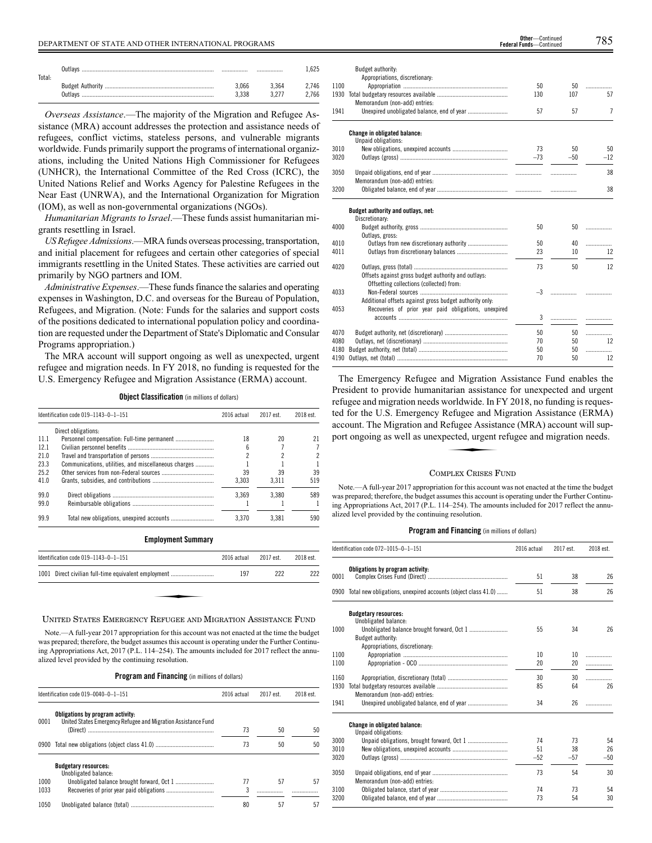| Outlavs<br>Total: |                |       |                |
|-------------------|----------------|-------|----------------|
|                   | 3.066<br>3.338 | 3.364 | 2.746<br>2.766 |

*Overseas Assistance*.—The majority of the Migration and Refugee Assistance (MRA) account addresses the protection and assistance needs of refugees, conflict victims, stateless persons, and vulnerable migrants worldwide. Funds primarily support the programs of international organizations, including the United Nations High Commissioner for Refugees (UNHCR), the International Committee of the Red Cross (ICRC), the United Nations Relief and Works Agency for Palestine Refugees in the Near East (UNRWA), and the International Organization for Migration (IOM), as well as non-governmental organizations (NGOs).

*Humanitarian Migrants to Israel*.—These funds assist humanitarian migrants resettling in Israel.

*US Refugee Admissions*.—MRA funds overseas processing, transportation, and initial placement for refugees and certain other categories of special immigrants resettling in the United States. These activities are carried out primarily by NGO partners and IOM.

*Administrative Expenses*.—These funds finance the salaries and operating expenses in Washington, D.C. and overseas for the Bureau of Population, Refugees, and Migration. (Note: Funds for the salaries and support costs of the positions dedicated to international population policy and coordination are requested under the Department of State's Diplomatic and Consular Programs appropriation.)

The MRA account will support ongoing as well as unexpected, urgent refugee and migration needs. In FY 2018, no funding is requested for the U.S. Emergency Refugee and Migration Assistance (ERMA) account.

**Object Classification** (in millions of dollars)

|      | Identification code 019-1143-0-1-151                 | 2016 actual | 2017 est. | 2018 est. |
|------|------------------------------------------------------|-------------|-----------|-----------|
|      | Direct obligations:                                  |             |           |           |
| 11.1 |                                                      | 18          | 20        |           |
| 12.1 |                                                      |             |           |           |
| 21.0 |                                                      |             |           |           |
| 23.3 | Communications, utilities, and miscellaneous charges |             |           |           |
| 25.2 |                                                      | 39          | 39        | 39        |
| 41.0 |                                                      | 3.303       | 3.311     | 519       |
| 99.0 |                                                      | 3.369       | 3.380     | 589       |
| 99.0 |                                                      |             |           |           |
| 99.9 |                                                      | 3.370       | 3.381     | 590       |

| <b>Employment Summary</b>                            |             |           |           |
|------------------------------------------------------|-------------|-----------|-----------|
| Identification code 019-1143-0-1-151                 | 2016 actual | 2017 est. | 2018 est. |
| 1001 Direct civilian full-time equivalent employment | 197         | 222       | 222       |
|                                                      |             |           |           |
|                                                      |             |           |           |
|                                                      |             |           |           |

# UNITED STATES EMERGENCY REFUGEE AND MIGRATION ASSISTANCE FUND

Note.—A full-year 2017 appropriation for this account was not enacted at the time the budget was prepared; therefore, the budget assumes this account is operating under the Further Continuing Appropriations Act, 2017 (P.L. 114–254). The amounts included for 2017 reflect the annualized level provided by the continuing resolution.

**Program and Financing** (in millions of dollars)

|      | Identification code $019-0040-0-1-151$                                                            | 2016 actual | 2017 est. | 2018 est. |
|------|---------------------------------------------------------------------------------------------------|-------------|-----------|-----------|
| 0001 | Obligations by program activity:<br>United States Emergency Refugee and Migration Assistance Fund |             |           |           |
|      |                                                                                                   | 73          | 50        | 50        |
|      |                                                                                                   | 73          | 50        | 50        |
|      | <b>Budgetary resources:</b><br>Unobligated balance:                                               |             |           |           |
| 1000 |                                                                                                   | 77          | 57        | 57        |
| 1033 |                                                                                                   |             |           |           |
| 1050 |                                                                                                   | 80          | 57        | 57        |

|      | Budget authority:                                       |       |                 |       |
|------|---------------------------------------------------------|-------|-----------------|-------|
|      | Appropriations, discretionary:                          |       |                 |       |
| 1100 |                                                         | 50    | 50              | .     |
| 1930 |                                                         | 130   | 107             | 57    |
|      | Memorandum (non-add) entries:                           |       |                 |       |
| 1941 |                                                         | 57    | 57              | 7     |
|      | Change in obligated balance:                            |       |                 |       |
|      | Unpaid obligations:                                     |       |                 |       |
| 3010 |                                                         | 73    | 50              | 50    |
| 3020 |                                                         | $-73$ | $-50$           | $-12$ |
|      |                                                         |       |                 |       |
| 3050 |                                                         |       | .               | 38    |
|      | Memorandum (non-add) entries:                           |       |                 |       |
| 3200 |                                                         |       | .               | 38    |
|      | Budget authority and outlays, net:                      |       |                 |       |
|      | Discretionary:                                          |       |                 |       |
| 4000 |                                                         | 50    | 50              | .     |
|      | Outlays, gross:                                         |       |                 |       |
| 4010 |                                                         | 50    | 40              | .     |
| 4011 |                                                         | 23    | 10              | 12    |
| 4020 |                                                         | 73    | 50              | 12    |
|      | Offsets against gross budget authority and outlays:     |       |                 |       |
|      | Offsetting collections (collected) from:                |       |                 |       |
| 4033 |                                                         | $-3$  | .               |       |
|      | Additional offsets against gross budget authority only: |       |                 |       |
| 4053 | Recoveries of prior year paid obligations, unexpired    |       |                 |       |
|      |                                                         | 3     | .               |       |
| 4070 |                                                         | 50    | 50 <sub>2</sub> | .     |
| 4080 |                                                         | 70    | 50              | 12    |
| 4180 |                                                         | 50    | 50              | .     |
| 4190 |                                                         | 70    | 50              | 12    |
|      |                                                         |       |                 |       |

The Emergency Refugee and Migration Assistance Fund enables the President to provide humanitarian assistance for unexpected and urgent refugee and migration needs worldwide. In FY 2018, no funding is requested for the U.S. Emergency Refugee and Migration Assistance (ERMA) account. The Migration and Refugee Assistance (MRA) account will support ongoing as well as unexpected, urgent refugee and migration needs. account. The Migration and Refugee Assistance (MRA) account will support ongoing as well as unexpected, urgent refugee and migration needs.

# COMPLEX CRISES FUND

Note.—A full-year 2017 appropriation for this account was not enacted at the time the budget was prepared; therefore, the budget assumes this account is operating under the Further Continuing Appropriations Act, 2017 (P.L. 114–254). The amounts included for 2017 reflect the annualized level provided by the continuing resolution.

# **Program and Financing** (in millions of dollars)

|      | Identification code 072-1015-0-1-151                               | 2016 actual | 2017 est. | 2018 est. |
|------|--------------------------------------------------------------------|-------------|-----------|-----------|
| 0001 | Obligations by program activity:                                   | 51          | 38        | 26        |
|      | 0900 Total new obligations, unexpired accounts (object class 41.0) | 51          | 38        | 26        |
|      | <b>Budgetary resources:</b><br>Unobligated balance:                |             |           |           |
| 1000 | Budget authority:<br>Appropriations, discretionary:                | 55          | 34        | 26        |
| 1100 |                                                                    | 10          | 10        | .         |
| 1100 |                                                                    | 20          | 20        | .         |
|      |                                                                    |             |           |           |
| 1160 |                                                                    | 30          | 30        | .         |
| 1930 | Memorandum (non-add) entries:                                      | 85          | 64        | 26        |
| 1941 |                                                                    | 34          | 26        | .         |
|      | <b>Change in obligated balance:</b><br>Unpaid obligations:         |             |           |           |
| 3000 |                                                                    | 74          | 73        | 54        |
| 3010 |                                                                    | 51          | 38        | 26        |
| 3020 |                                                                    | $-52$       | $-57$     | $-50$     |
| 3050 | Memorandum (non-add) entries:                                      | 73          | 54        | 30        |
| 3100 |                                                                    | 74          | 73        | 54        |
| 3200 |                                                                    | 73          | 54        | 30        |

**Federal Funds**—Continued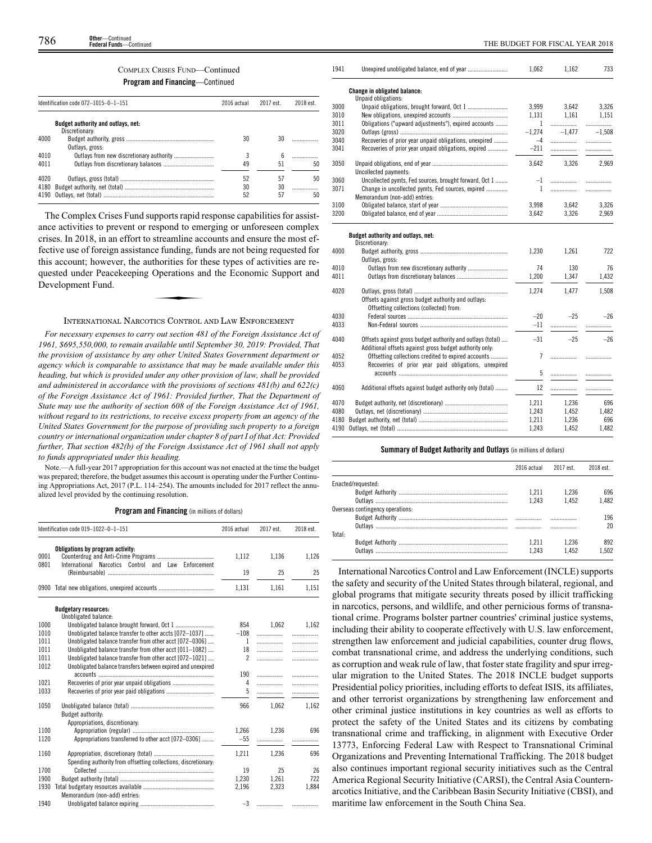# COMPLEX CRISES FUND—Continued

**Program and Financing**—Continued

|      | Identification code 072-1015-0-1-151                 | 2016 actual | 2017 est. | 2018 est. |
|------|------------------------------------------------------|-------------|-----------|-----------|
|      | Budget authority and outlays, net:<br>Discretionary: |             |           |           |
| 4000 | Outlays, gross:                                      | 30          | 30        |           |
| 4010 |                                                      | 3           | 6         | .         |
| 4011 |                                                      | 49          | 51        | 50        |
| 4020 |                                                      | 52          | 57        | 50        |
| 4180 |                                                      | 30          | 30        |           |
| 4190 |                                                      | 52          | 57        | 50        |

The Complex Crises Fund supports rapid response capabilities for assistance activities to prevent or respond to emerging or unforeseen complex crises. In 2018, in an effort to streamline accounts and ensure the most effective use of foreign assistance funding, funds are not being requested for this account; however, the authorities for these types of activities are re-<br>quested under Peacekeeping Operations and the Economic Support and<br>Development Fund. quested under Peacekeeping Operations and the Economic Support and Development Fund.

# INTERNATIONAL NARCOTICS CONTROL AND LAW ENFORCEMENT

*For necessary expenses to carry out section 481 of the Foreign Assistance Act of 1961, \$695,550,000, to remain available until September 30, 2019: Provided, That the provision of assistance by any other United States Government department or agency which is comparable to assistance that may be made available under this heading, but which is provided under any other provision of law, shall be provided and administered in accordance with the provisions of sections 481(b) and 622(c) of the Foreign Assistance Act of 1961: Provided further, That the Department of State may use the authority of section 608 of the Foreign Assistance Act of 1961, without regard to its restrictions, to receive excess property from an agency of the United States Government for the purpose of providing such property to a foreign country or international organization under chapter 8 of part I of that Act: Provided further, That section 482(b) of the Foreign Assistance Act of 1961 shall not apply to funds appropriated under this heading.*

Note.—A full-year 2017 appropriation for this account was not enacted at the time the budget was prepared; therefore, the budget assumes this account is operating under the Further Continuing Appropriations Act, 2017 (P.L. 114–254). The amounts included for 2017 reflect the annualized level provided by the continuing resolution.

**Program and Financing** (in millions of dollars)

|              | Identification code 019-1022-0-1-151                                                    | 2016 actual    | 2017 est. | 2018 est. |
|--------------|-----------------------------------------------------------------------------------------|----------------|-----------|-----------|
| 0001<br>0801 | Obligations by program activity:<br>International Narcotics Control and Law Enforcement | 1,112          | 1,136     | 1,126     |
|              |                                                                                         | 19             | 25        | 25        |
|              | 0900 Total new obligations, unexpired accounts                                          | 1,131          | 1,161     | 1,151     |
|              | <b>Budgetary resources:</b><br>Unobligated balance:                                     |                |           |           |
| 1000         |                                                                                         | 854            | 1,062     | 1,162     |
| 1010         | Unobligated balance transfer to other accts [072-1037]                                  | $-108$         |           |           |
| 1011         | Unobligated balance transfer from other acct [072-0306]                                 | $\mathbf{1}$   |           |           |
| 1011         | Unobligated balance transfer from other acct [011-1082]                                 | 18             | .         | .         |
| 1011         | Unobligated balance transfer from other acct [072-1021]                                 | $\mathfrak{p}$ | .         | .         |
| 1012         | Unobligated balance transfers between expired and unexpired                             |                |           |           |
|              |                                                                                         | 190            | .         | .         |
| 1021         |                                                                                         | 4              |           | .         |
| 1033         |                                                                                         | 5              | .         | .         |
| 1050         |                                                                                         | 966            | 1.062     | 1.162     |
|              | Budget authority:                                                                       |                |           |           |
|              | Appropriations, discretionary:                                                          |                |           |           |
| 1100         |                                                                                         | 1.266          | 1.236     | 696       |
| 1120         | Appropriations transferred to other acct [072-0306]                                     | $-55$          |           | .         |
| 1160         |                                                                                         | 1.211          | 1.236     | 696       |
|              | Spending authority from offsetting collections, discretionary:                          |                |           |           |
| 1700         |                                                                                         | 19             | 25        | 26        |
| 1900         |                                                                                         | 1.230          | 1.261     | 722       |
| 1930         |                                                                                         | 2,196          | 2,323     | 1,884     |
|              | Memorandum (non-add) entries:                                                           |                |           |           |
| 1940         |                                                                                         | $-3$           | -   -     |           |

| 1941 | Unexpired unobligated balance, end of year                 | 1,062        | 1,162    | 733      |
|------|------------------------------------------------------------|--------------|----------|----------|
|      | Change in obligated balance:                               |              |          |          |
|      | Unpaid obligations:                                        |              |          |          |
| 3000 |                                                            | 3,999        | 3,642    | 3,326    |
| 3010 |                                                            | 1,131        | 1,161    | 1,151    |
| 3011 | Obligations ("upward adjustments"), expired accounts       | 1            | .        | .        |
| 3020 |                                                            | $-1,274$     | $-1.477$ | $-1,508$ |
| 3040 | Recoveries of prior year unpaid obligations, unexpired     | $-4$         | .        | .        |
| 3041 | Recoveries of prior year unpaid obligations, expired       | $-211$       |          | .        |
| 3050 |                                                            | 3.642        | 3.326    | 2.969    |
|      | Uncollected payments:                                      |              |          |          |
| 3060 | Uncollected pymts, Fed sources, brought forward, Oct 1     | $-1$         | .        |          |
| 3071 | Change in uncollected pymts, Fed sources, expired          | $\mathbf{1}$ | .        |          |
|      | Memorandum (non-add) entries:                              |              |          |          |
| 3100 |                                                            | 3.998        | 3.642    | 3.326    |
| 3200 |                                                            | 3,642        | 3,326    | 2,969    |
|      |                                                            |              |          |          |
|      | Budget authority and outlays, net:<br>Discretionary:       |              |          |          |
| 4000 |                                                            | 1,230        | 1,261    | 722      |
|      | Outlays, gross:                                            |              |          |          |
| 4010 |                                                            | 74           | 130      | 76       |
| 4011 |                                                            | 1.200        | 1.347    | 1.432    |
|      |                                                            |              |          |          |
| 4020 |                                                            | 1,274        | 1,477    | 1,508    |
|      | Offsets against gross budget authority and outlays:        |              |          |          |
|      | Offsetting collections (collected) from:                   |              |          |          |
| 4030 |                                                            | $-20$        | $-25$    | $-26$    |
| 4033 |                                                            | $-11$        | .        | .        |
|      |                                                            |              |          |          |
| 4040 | Offsets against gross budget authority and outlays (total) | $-31$        | $-25$    | $-26$    |
|      | Additional offsets against gross budget authority only:    |              |          |          |
| 4052 | Offsetting collections credited to expired accounts        | 7            | .        |          |
| 4053 | Recoveries of prior year paid obligations, unexpired       |              |          |          |
|      |                                                            | 5            | .        | .        |
| 4060 | Additional offsets against budget authority only (total)   | 12           | .        | .        |
| 4070 |                                                            | 1,211        | 1,236    | 696      |
| 4080 |                                                            | 1,243        | 1,452    | 1,482    |
| 4180 |                                                            | 1,211        | 1,236    | 696      |
| 4190 |                                                            | 1,243        | 1,452    | 1,482    |
|      |                                                            |              |          |          |

# **Summary of Budget Authority and Outlays** (in millions of dollars)

|                                  | 2016 actual | 2017 est | 2018 est. |
|----------------------------------|-------------|----------|-----------|
| Enacted/requested:               |             |          |           |
|                                  | 1.211       | 1.236    | 696       |
|                                  | 1.243       | 1.452    | 1.482     |
| Overseas contingency operations: |             |          |           |
|                                  |             |          | 196       |
|                                  | .           | .        | 20        |
| Total:                           |             |          |           |
|                                  | 1.211       | 1.236    | 892       |
| Outlavs                          | 1.243       | 1452     | 1.502     |

International Narcotics Control and Law Enforcement (INCLE) supports the safety and security of the United States through bilateral, regional, and global programs that mitigate security threats posed by illicit trafficking in narcotics, persons, and wildlife, and other pernicious forms of transnational crime. Programs bolster partner countries' criminal justice systems, including their ability to cooperate effectively with U.S. law enforcement, strengthen law enforcement and judicial capabilities, counter drug flows, combat transnational crime, and address the underlying conditions, such as corruption and weak rule of law, that foster state fragility and spur irregular migration to the United States. The 2018 INCLE budget supports Presidential policy priorities, including efforts to defeat ISIS, its affiliates, and other terrorist organizations by strengthening law enforcement and other criminal justice institutions in key countries as well as efforts to protect the safety of the United States and its citizens by combating transnational crime and trafficking, in alignment with Executive Order 13773, Enforcing Federal Law with Respect to Transnational Criminal Organizations and Preventing International Trafficking. The 2018 budget also continues important regional security initiatives such as the Central America Regional Security Initiative (CARSI), the Central Asia Counternarcotics Initiative, and the Caribbean Basin Security Initiative (CBSI), and maritime law enforcement in the South China Sea.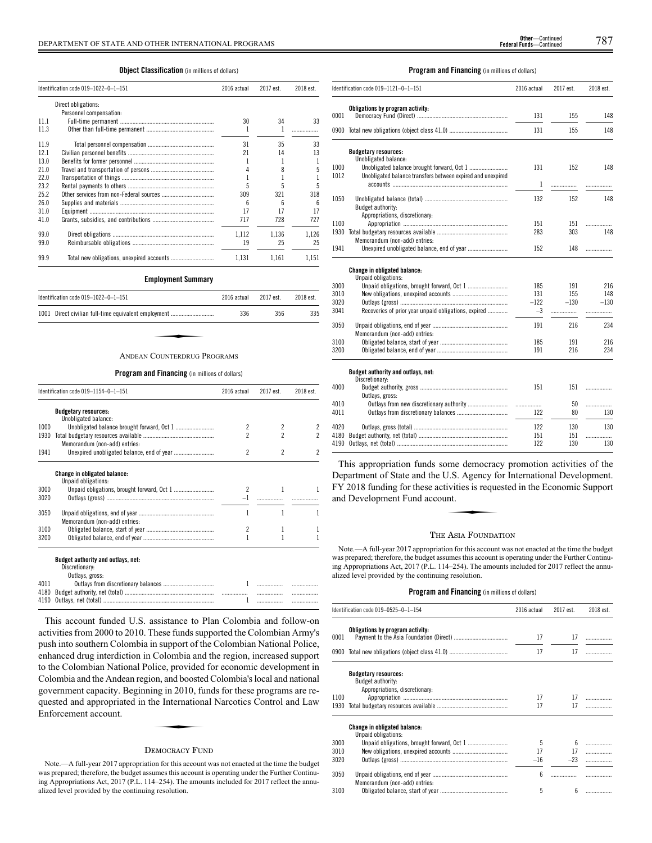# **Object Classification** (in millions of dollars)

|      | Identification code 019-1022-0-1-151<br>2016 actual |       | 2017 est. | 2018 est. |
|------|-----------------------------------------------------|-------|-----------|-----------|
|      | Direct obligations:                                 |       |           |           |
|      | Personnel compensation:                             |       |           |           |
| 11.1 |                                                     | 30    | 34        | 33        |
| 11.3 |                                                     |       |           |           |
| 11.9 |                                                     | 31    | 35        | 33        |
| 12.1 |                                                     | 21    | 14        | 13        |
| 13.0 |                                                     |       |           |           |
| 21.0 |                                                     | 4     |           | 5         |
| 22.0 |                                                     |       |           |           |
| 23.2 |                                                     | 5     |           | 5         |
| 25.2 |                                                     | 309   | 321       | 318       |
| 26.0 |                                                     | 6     | ĥ         | 6         |
| 31.0 |                                                     | 17    | 17        | 17        |
| 41.0 |                                                     | 717   | 728       | 727       |
| 99.0 |                                                     | 1.112 | 1,136     | 1.126     |
| 99.0 |                                                     | 19    | 25        | 25        |
| 99.9 |                                                     | 1.131 | 1.161     | 1.151     |

# **Employment Summary**

| Identification code 019-1022-0-1-151<br>2016 actual  |     | 2017 est. | 2018 est. |
|------------------------------------------------------|-----|-----------|-----------|
| 1001 Direct civilian full-time equivalent employment | 336 | 356       | 335       |
|                                                      |     |           |           |
| ANDEAN COINTERDRUG PROGRAMS                          |     |           |           |

# ANDEAN COUNTERDRUG PROGRAMS

# **Program and Financing** (in millions of dollars)

|      | Identification code 019-1154-0-1-151                                    | 2016 actual              | 2017 est.                | 2018 est.           |
|------|-------------------------------------------------------------------------|--------------------------|--------------------------|---------------------|
|      | <b>Budgetary resources:</b><br>Unobligated balance:                     |                          |                          |                     |
| 1000 |                                                                         | $\overline{\phantom{a}}$ | $\overline{2}$           | 2                   |
| 1930 | Memorandum (non-add) entries:                                           | 2                        | $\overline{\phantom{a}}$ | 2                   |
| 1941 |                                                                         | $\overline{\phantom{a}}$ | $\overline{\phantom{a}}$ | $\boldsymbol{\eta}$ |
|      | <b>Change in obligated balance:</b><br>Unpaid obligations:              |                          |                          |                     |
| 3000 |                                                                         | $\overline{\phantom{a}}$ |                          |                     |
| 3020 |                                                                         | $-1$                     | .                        |                     |
| 3050 | Memorandum (non-add) entries:                                           | 1                        | 1                        | 1                   |
| 3100 |                                                                         | $\overline{\phantom{a}}$ | 1                        | 1                   |
| 3200 |                                                                         |                          |                          |                     |
|      | Budget authority and outlays, net:<br>Discretionary:<br>Outlays, gross: |                          |                          |                     |
| 4011 |                                                                         | 1                        |                          |                     |
| 4180 |                                                                         |                          |                          |                     |

This account funded U.S. assistance to Plan Colombia and follow-on activities from 2000 to 2010. These funds supported the Colombian Army's push into southern Colombia in support of the Colombian National Police, enhanced drug interdiction in Colombia and the region, increased support to the Colombian National Police, provided for economic development in Colombia and the Andean region, and boosted Colombia's local and national government capacity. Beginning in 2010, funds for these programs are re-<br>quested and appropriated in the International Narcotics Control and Law<br>Enforcement account. quested and appropriated in the International Narcotics Control and Law Enforcement account.

4190 Outlays, net (total) ........................................................................ 1 ................. .................

# DEMOCRACY FUND

Note.—A full-year 2017 appropriation for this account was not enacted at the time the budget was prepared; therefore, the budget assumes this account is operating under the Further Continuing Appropriations Act, 2017 (P.L. 114–254). The amounts included for 2017 reflect the annualized level provided by the continuing resolution.

# **Program and Financing** (in millions of dollars)

|      | Identification code 019–1121–0–1–151                        | 2016 actual | 2017 est. | 2018 est. |
|------|-------------------------------------------------------------|-------------|-----------|-----------|
|      | Obligations by program activity:                            |             |           |           |
| 0001 |                                                             | 131         | 155       | 148       |
|      | 0900 Total new obligations (object class 41.0)              | 131         | 155       | 148       |
|      | <b>Budgetary resources:</b>                                 |             |           |           |
|      | Unobligated balance:                                        |             |           |           |
| 1000 |                                                             | 131         | 152       | 148       |
| 1012 | Unobligated balance transfers between expired and unexpired |             |           |           |
|      |                                                             | 1           | .         | .         |
| 1050 |                                                             | 132         | 152       | 148       |
|      | Budget authority:                                           |             |           |           |
|      | Appropriations, discretionary:                              |             |           |           |
| 1100 |                                                             | 151         | 151       | .         |
| 1930 |                                                             | 283         | 303       | 148       |
|      | Memorandum (non-add) entries:                               |             |           |           |
| 1941 |                                                             | 152         | 148       | .         |
|      | Change in obligated balance:                                |             |           |           |
|      | Unpaid obligations:                                         |             |           |           |
| 3000 |                                                             | 185         | 191       | 216       |
| 3010 |                                                             | 131         | 155       | 148       |
| 3020 |                                                             | $-122$      | $-130$    | $-130$    |
| 3041 | Recoveries of prior year unpaid obligations, expired        | $-3$        | .         | .         |
| 3050 |                                                             | 191         | 216       | 234       |
|      | Memorandum (non-add) entries:                               |             |           |           |
| 3100 |                                                             | 185         | 191       | 216       |
| 3200 |                                                             | 191         | 216       | 234       |
|      |                                                             |             |           |           |
|      | Budget authority and outlays, net:<br>Discretionary:        |             |           |           |
| 4000 |                                                             | 151         | 151       | .         |
|      | Outlays, gross:                                             |             |           |           |
| 4010 |                                                             |             | 50        | .         |
| 4011 |                                                             | 122         | 80        | 130       |
| 4020 |                                                             | 122         | 130       | 130       |
| 4180 |                                                             | 151         | 151       | .         |
| 4190 |                                                             | 122         | 130       | 130       |
|      |                                                             |             |           |           |

This appropriation funds some democracy promotion activities of the Department of State and the U.S. Agency for International Development.<br>FY 2018 funding for these activities is requested in the Economic Support<br>and Development Fund account. FY 2018 funding for these activities is requested in the Economic Support and Development Fund account.

# THE ASIA FOUNDATION

Note.—A full-year 2017 appropriation for this account was not enacted at the time the budget was prepared; therefore, the budget assumes this account is operating under the Further Continuing Appropriations Act, 2017 (P.L. 114–254). The amounts included for 2017 reflect the annualized level provided by the continuing resolution.

|      | Identification code 019-0525-0-1-154                       | 2016 actual     | 2017 est. | 2018 est. |
|------|------------------------------------------------------------|-----------------|-----------|-----------|
| 0001 | Obligations by program activity:                           | 17              | 17        | .         |
|      |                                                            |                 |           |           |
| 0900 |                                                            | 17              | 17        |           |
|      | <b>Budgetary resources:</b>                                |                 |           |           |
|      | Budget authority:                                          |                 |           |           |
|      | Appropriations, discretionary:                             |                 |           |           |
| 1100 |                                                            | 17              | 17        |           |
| 1930 |                                                            | 17              | 17        |           |
|      | <b>Change in obligated balance:</b><br>Unpaid obligations: |                 |           |           |
| 3000 |                                                            | 5               |           |           |
| 3010 |                                                            | 17              | 17        | .         |
| 3020 |                                                            | $-16$           | $-23$     |           |
| 3050 | Memorandum (non-add) entries:                              | $6\overline{6}$ |           |           |
| 3100 |                                                            | 5               | 6         |           |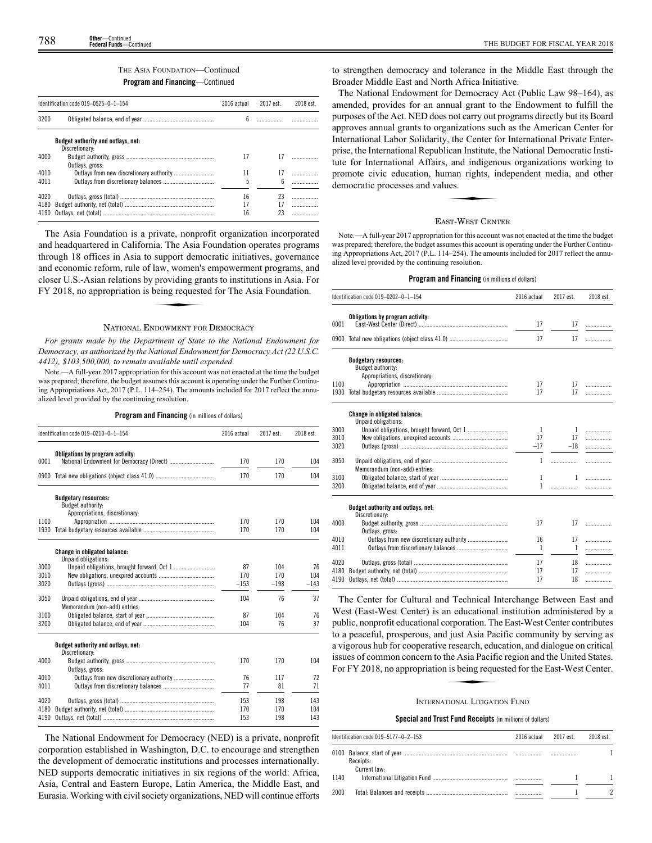# THE ASIA FOUNDATION—Continued **Program and Financing**—Continued

|      | Identification code 019-0525-0-1-154<br>2016 actual |    | 2017 est. | 2018 est. |
|------|-----------------------------------------------------|----|-----------|-----------|
| 3200 |                                                     | 6  |           |           |
|      | <b>Budget authority and outlays, net:</b>           |    |           |           |
| 4000 | Discretionary:                                      | 17 | 17        |           |
|      | Outlays, gross:                                     |    |           |           |
| 4010 |                                                     | 11 | 17        |           |
| 4011 |                                                     | 5  | 6         |           |
| 4020 |                                                     | 16 | 23        | .         |
| 4180 |                                                     | 17 | 17        | .         |
| 4190 |                                                     | 16 | 23        | .         |

The Asia Foundation is a private, nonprofit organization incorporated and headquartered in California. The Asia Foundation operates programs through 18 offices in Asia to support democratic initiatives, governance and economic reform, rule of law, women's empowerment programs, and<br>closer U.S.-Asian relations by providing grants to institutions in Asia. For<br>FY 2018, no appropriation is being requested for The Asia Foundation. closer U.S.-Asian relations by providing grants to institutions in Asia. For FY 2018, no appropriation is being requested for The Asia Foundation.

# NATIONAL ENDOWMENT FOR DEMOCRACY

*For grants made by the Department of State to the National Endowment for Democracy, as authorized by the National Endowment for Democracy Act (22 U.S.C. 4412), \$103,500,000, to remain available until expended.*

Note.—A full-year 2017 appropriation for this account was not enacted at the time the budget was prepared; therefore, the budget assumes this account is operating under the Further Continuing Appropriations Act, 2017 (P.L. 114–254). The amounts included for 2017 reflect the annualized level provided by the continuing resolution.

**Program and Financing** (in millions of dollars)

|              | Identification code 019-0210-0-1-154                                                      | 2016 actual | 2017 est.  | 2018 est.  |
|--------------|-------------------------------------------------------------------------------------------|-------------|------------|------------|
| 0001         | Obligations by program activity:                                                          | 170         | 170        | 104        |
| 0900         |                                                                                           | 170         | 170        | 104        |
|              | <b>Budgetary resources:</b><br><b>Budget authority:</b><br>Appropriations, discretionary: |             |            |            |
| 1100         |                                                                                           | 170         | 170        | 104        |
| 1930         |                                                                                           | 170         | 170        | 104        |
|              | <b>Change in obligated balance:</b><br>Unpaid obligations:                                |             |            |            |
| 3000         |                                                                                           | 87          | 104        | 76         |
| 3010         |                                                                                           | 170         | 170        | 104        |
| 3020         |                                                                                           | $-153$      | $-198$     | $-143$     |
| 3050         | Memorandum (non-add) entries:                                                             | 104         | 76         | 37         |
| 3100         |                                                                                           | 87          | 104        | 76         |
| 3200         |                                                                                           | 104         | 76         | 37         |
|              | Budget authority and outlays, net:<br>Discretionary:                                      |             |            |            |
| 4000         |                                                                                           | 170         | 170        | 104        |
| 4010         | Outlays, gross:                                                                           | 76          | 117        | 72         |
| 4011         |                                                                                           | 77          | 81         | 71         |
|              |                                                                                           |             |            |            |
| 4020<br>4180 |                                                                                           | 153<br>170  | 198<br>170 | 143<br>104 |
| 4190         |                                                                                           | 153         | 198        | 143        |
|              |                                                                                           |             |            |            |

The National Endowment for Democracy (NED) is a private, nonprofit corporation established in Washington, D.C. to encourage and strengthen the development of democratic institutions and processes internationally. NED supports democratic initiatives in six regions of the world: Africa, Asia, Central and Eastern Europe, Latin America, the Middle East, and Eurasia. Working with civil society organizations, NED will continue efforts to strengthen democracy and tolerance in the Middle East through the Broader Middle East and North Africa Initiative.

The National Endowment for Democracy Act (Public Law 98–164), as amended, provides for an annual grant to the Endowment to fulfill the purposes of the Act. NED does not carry out programs directly but its Board approves annual grants to organizations such as the American Center for International Labor Solidarity, the Center for International Private Enterprise, the International Republican Institute, the National Democratic Instiprise, the international Affairs, and indigenous organizations working to<br>tute for International Affairs, and indigenous organizations working to<br>promote civic education, human rights, independent media, and other<br>democrat promote civic education, human rights, independent media, and other democratic processes and values.

# EAST-WEST CENTER

Note.—A full-year 2017 appropriation for this account was not enacted at the time the budget was prepared; therefore, the budget assumes this account is operating under the Further Continuing Appropriations Act, 2017 (P.L. 114–254). The amounts included for 2017 reflect the annualized level provided by the continuing resolution.

# **Program and Financing** (in millions of dollars)

|              | Identification code 019-0202-0-1-154                       | 2016 actual | 2017 est. | 2018 est. |
|--------------|------------------------------------------------------------|-------------|-----------|-----------|
| 0001         | Obligations by program activity:                           | 17          | 17        | .         |
|              |                                                            | 17          | 17        |           |
|              | <b>Budgetary resources:</b><br>Budget authority:           |             |           |           |
| 1100<br>1930 | Appropriations, discretionary:                             | 17<br>17    | 17<br>17  | .<br>.    |
|              | <b>Change in obligated balance:</b><br>Unpaid obligations: |             |           |           |
| 3000         |                                                            | 1           | 1         | .         |
| 3010         |                                                            | 17          | 17        | .         |
| 3020         |                                                            | $-17$       | $-18$     | .         |
| 3050         | Memorandum (non-add) entries:                              | 1           | .         | .         |
| 3100         |                                                            | 1           | 1         |           |
| 3200         |                                                            | 1           | .         |           |
|              | Budget authority and outlays, net:<br>Discretionary:       |             |           |           |
| 4000         | Outlavs, gross:                                            | 17          | 17        | .         |
| 4010         | Outlays from new discretionary authority                   | 16          | 17        | .         |
| 4011         |                                                            | 1           | 1         | .         |
| 4020         |                                                            | 17          | 18        | .         |
| 4180         |                                                            | 17          | 17        | .         |
| 4190         |                                                            | 17          | 18        | .         |

The Center for Cultural and Technical Interchange Between East and West (East-West Center) is an educational institution administered by a public, nonprofit educational corporation. The East-West Center contributes to a peaceful, prosperous, and just Asia Pacific community by serving as a vigorous hub for cooperative research, education, and dialogue on critical<br>issues of common concern to the Asia Pacific region and the United States.<br>For FY 2018, no appropriation is being requested for the East-West Cen issues of common concern to the Asia Pacific region and the United States. For FY 2018, no appropriation is being requested for the East-West Center.

# INTERNATIONAL LITIGATION FUND

# **Special and Trust Fund Receipts** (in millions of dollars)

|      | Identification code 019-5177-0-2-153 | 2016 actual | 2017 est. | 2018 est. |
|------|--------------------------------------|-------------|-----------|-----------|
|      | Receipts:<br>Current law:            |             |           |           |
| 1140 |                                      |             |           |           |
| 2000 |                                      |             |           |           |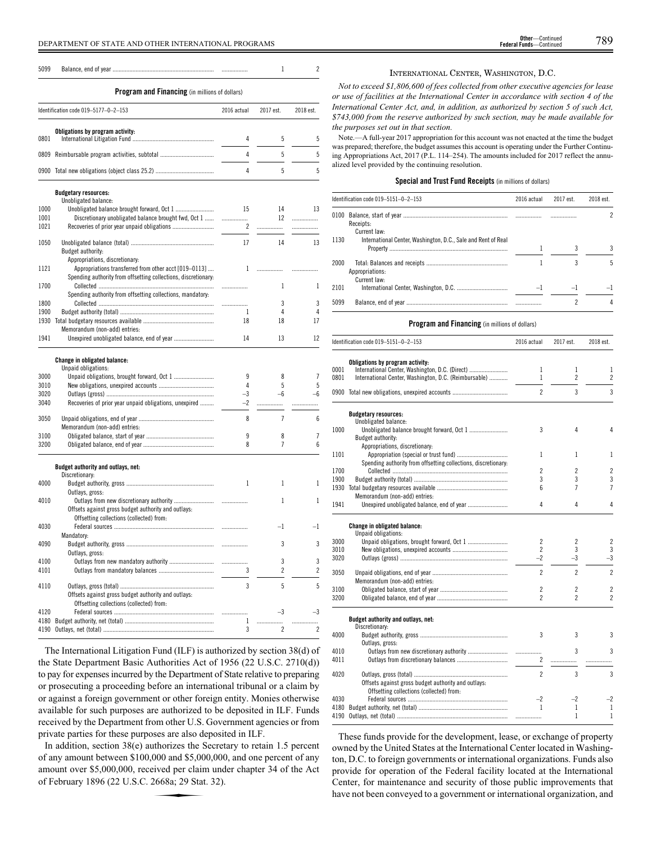5099 Balance, end of year .................................................................. ................. 1 2

# **Program and Financing** (in millions of dollars)

|      | Identification code 019-5177-0-2-153           | 2016 actual | 2017 est. | 2018 est. |
|------|------------------------------------------------|-------------|-----------|-----------|
| 0801 | Obligations by program activity:               |             |           |           |
|      | 0809 Reimbursable program activities, subtotal |             |           |           |
|      |                                                |             |           |           |

|      | <b>Budgetary resources:</b>                                    |                |                          |      |
|------|----------------------------------------------------------------|----------------|--------------------------|------|
|      | Unobligated balance:                                           |                |                          |      |
| 1000 |                                                                | 15             | 14                       | 13   |
| 1001 | Discretionary unobligated balance brought fwd, Oct 1           |                | 12                       | .    |
| 1021 |                                                                | $\overline{c}$ | .                        | .    |
| 1050 |                                                                | 17             | 14                       | 13   |
|      | Budget authority:                                              |                |                          |      |
|      | Appropriations, discretionary:                                 |                |                          |      |
| 1121 | Appropriations transferred from other acct [019-0113]          | 1              |                          |      |
|      | Spending authority from offsetting collections, discretionary: |                |                          |      |
| 1700 |                                                                | .              | 1                        | 1    |
|      | Spending authority from offsetting collections, mandatory:     |                |                          |      |
| 1800 |                                                                | .              | 3                        | 3    |
| 1900 |                                                                | 1              | 4                        | 4    |
| 1930 |                                                                | 18             | 18                       | 17   |
|      | Memorandum (non-add) entries:                                  |                |                          |      |
| 1941 |                                                                | 14             | 13                       | 12   |
|      | Change in obligated balance:                                   |                |                          |      |
|      | Unpaid obligations:                                            |                |                          |      |
| 3000 |                                                                | 9              | 8                        | 7    |
| 3010 |                                                                | 4              | 5                        | 5    |
| 3020 |                                                                | $-3$           | $-6$                     | $-6$ |
| 3040 | Recoveries of prior year unpaid obligations, unexpired         | $-2$           | .                        | .    |
| 3050 |                                                                | 8              | $\overline{7}$           | 6    |
|      | Memorandum (non-add) entries:                                  |                |                          |      |
| 3100 |                                                                | 9              | 8                        | 7    |
| 3200 |                                                                | 8              | $\overline{7}$           | 6    |
|      | Budget authority and outlays, net:<br>Discretionary:           |                |                          |      |
| 4000 |                                                                | 1              | 1                        | 1    |
|      | Outlays, gross:                                                |                |                          |      |
| 4010 |                                                                |                | 1                        | 1    |
|      | Offsets against gross budget authority and outlays:            |                |                          |      |
|      | Offsetting collections (collected) from:                       |                |                          |      |
| 4030 |                                                                |                | $-1$                     | $-1$ |
|      | Mandatory:                                                     |                |                          |      |
| 4090 |                                                                | .              | 3                        | 3    |
|      | Outlays, gross:                                                |                |                          |      |
| 4100 |                                                                | .              | 3                        | 3    |
| 4101 |                                                                | 3              | $\overline{\phantom{a}}$ | 2    |
| 4110 |                                                                | 3              | 5                        | 5    |
|      | Offsets against gross budget authority and outlays:            |                |                          |      |
|      | Offsetting collections (collected) from:                       |                |                          |      |
| 4120 |                                                                |                | $-3$                     | -3   |
| 4180 |                                                                | 1              | .                        | .    |
| 4190 |                                                                | 3              | 2                        | 2    |

The International Litigation Fund (ILF) is authorized by section 38(d) of the State Department Basic Authorities Act of 1956 (22 U.S.C. 2710(d)) to pay for expenses incurred by the Department of State relative to preparing or prosecuting a proceeding before an international tribunal or a claim by or against a foreign government or other foreign entity. Monies otherwise available for such purposes are authorized to be deposited in ILF. Funds received by the Department from other U.S. Government agencies or from private parties for these purposes are also deposited in ILF.

In addition, section 38(e) authorizes the Secretary to retain 1.5 percent of any amount between \$100,000 and \$5,000,000, and one percent of any amount over \$5,000,000, received per claim under chapter 34 of the Act of February 1896 (22 U.S.C. 2668a; 29 Stat. 32). 000 and \$5,00<br>eived per clain<br>2668a; 29 Stat

# INTERNATIONAL CENTER, WASHINGTON, D.C.

*Not to exceed \$1,806,600 of fees collected from other executive agencies for lease or use of facilities at the International Center in accordance with section 4 of the International Center Act, and, in addition, as authorized by section 5 of such Act, \$743,000 from the reserve authorized by such section, may be made available for the purposes set out in that section.*

Note.—A full-year 2017 appropriation for this account was not enacted at the time the budget was prepared; therefore, the budget assumes this account is operating under the Further Continuing Appropriations Act, 2017 (P.L. 114–254). The amounts included for 2017 reflect the annualized level provided by the continuing resolution.

# **Special and Trust Fund Receipts** (in millions of dollars)

|      | Identification code 019-5151-0-2-153                          | 2016 actual | 2017 est. | 2018 est. |
|------|---------------------------------------------------------------|-------------|-----------|-----------|
|      | Receipts:<br>Current law:                                     |             |           |           |
| 1130 | International Center, Washington, D.C., Sale and Rent of Real |             |           |           |
| 2000 | Appropriations:<br>Current law:                               |             |           | 5         |
| 2101 |                                                               |             |           |           |
| 5099 |                                                               |             |           |           |

# **Program and Financing** (in millions of dollars)

|      | Identification code 019-5151-0-2-153                                                            | 2016 actual          | 2017 est.      | 2018 est.      |
|------|-------------------------------------------------------------------------------------------------|----------------------|----------------|----------------|
|      | Obligations by program activity:                                                                |                      |                |                |
| 0001 | International Center, Washington, D.C. (Direct)                                                 | 1                    | 1              | 1              |
| 0801 | International Center, Washington, D.C. (Reimbursable)                                           | $\mathbf{1}$         | $\overline{c}$ | $\overline{c}$ |
|      | 0900 Total new obligations, unexpired accounts                                                  | $\overline{2}$       | 3              | 3              |
|      | <b>Budgetary resources:</b><br>Unobligated balance:                                             |                      |                |                |
| 1000 | Budget authority:                                                                               | 3                    | 4              | 4              |
|      | Appropriations, discretionary:                                                                  |                      |                |                |
| 1101 |                                                                                                 | 1                    | 1              | 1              |
| 1700 | Spending authority from offsetting collections, discretionary:                                  | 2                    | $\overline{c}$ | $\overline{2}$ |
| 1900 |                                                                                                 | 3                    | 3              | 3              |
| 1930 |                                                                                                 | 6                    | 7              | $\overline{7}$ |
|      | Memorandum (non-add) entries:                                                                   |                      |                |                |
| 1941 |                                                                                                 | 4                    | 4              | 4              |
|      | Change in obligated balance:<br>Unpaid obligations:                                             |                      |                |                |
| 3000 | Unpaid obligations, brought forward, Oct 1                                                      | 2                    | 2              | $\overline{c}$ |
| 3010 |                                                                                                 | $\overline{c}$       | 3              | 3              |
| 3020 |                                                                                                 | $-2$                 | $-3$           | $-3$           |
| 3050 | Memorandum (non-add) entries:                                                                   | $\overline{2}$       | $\overline{c}$ | $\overline{2}$ |
| 3100 |                                                                                                 | $\overline{c}$       | $\overline{2}$ | $\overline{2}$ |
| 3200 |                                                                                                 | $\overline{c}$       | 2              | $\overline{c}$ |
|      | Budget authority and outlays, net:<br>Discretionary:                                            |                      |                |                |
| 4000 |                                                                                                 | 3                    | 3              | 3              |
|      | Outlays, gross:                                                                                 |                      |                |                |
| 4010 |                                                                                                 |                      | 3              | 3              |
| 4011 |                                                                                                 | $\mathbf{2}^{\circ}$ |                |                |
| 4020 |                                                                                                 | $\mathfrak{p}$       | 3              | 3              |
|      | Offsets against gross budget authority and outlays:<br>Offsetting collections (collected) from: |                      |                |                |
| 4030 |                                                                                                 | $-2$                 | $-2$           | $-2$           |
| 4180 |                                                                                                 | $\mathbf{1}$         | 1              | $\mathbf{1}$   |
| 4190 |                                                                                                 |                      | 1              | $\mathbf{1}$   |

These funds provide for the development, lease, or exchange of property owned by the United States at the International Center located in Washington, D.C. to foreign governments or international organizations. Funds also provide for operation of the Federal facility located at the International Center, for maintenance and security of those public improvements that have not been conveyed to a government or international organization, and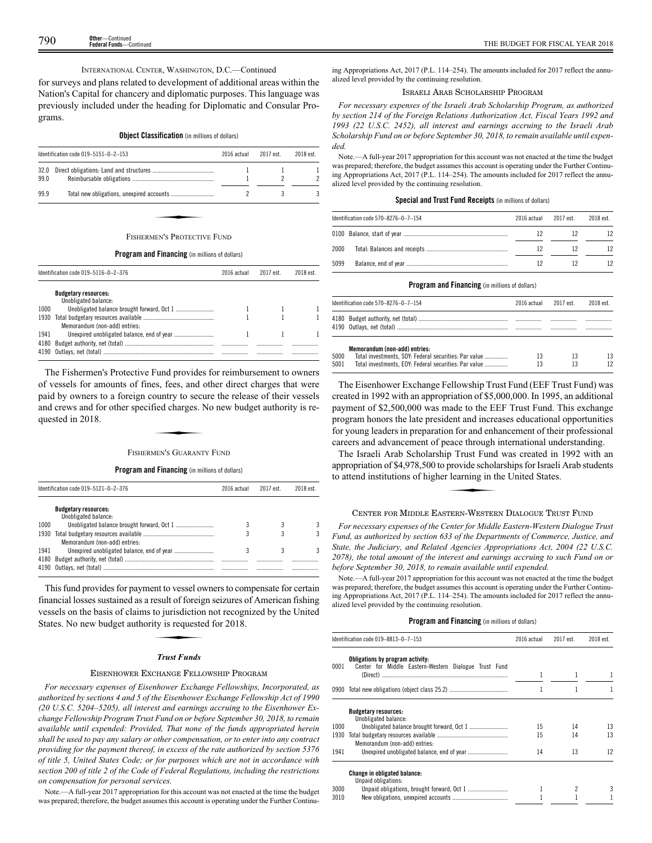THE BUDGET FOR FISCAL YEAR 2018<br>
Federal Funds—Continued **Other**—Continued **Federal Funds**—Continued

INTERNATIONAL CENTER, WASHINGTON, D.C.—Continued

for surveys and plans related to development of additional areas within the Nation's Capital for chancery and diplomatic purposes. This language was previously included under the heading for Diplomatic and Consular Programs.

# **Object Classification** (in millions of dollars)

|              | Identification code 019-5151-0-2-153<br>2016 actual |  | 2017 est. | 2018 est. |
|--------------|-----------------------------------------------------|--|-----------|-----------|
| 32.0<br>99.0 |                                                     |  |           |           |
| 99.9         |                                                     |  |           |           |
|              | FISHERMEN'S PROTECTIVE FUND                         |  |           |           |

#### **Program and Financing** (in millions of dollars)

|              | Identification code 019-5116-0-2-376<br>2016 actual |  | 2017 est | 2018 est. |
|--------------|-----------------------------------------------------|--|----------|-----------|
|              | <b>Budgetary resources:</b><br>Unobligated balance: |  |          |           |
| 1000         |                                                     |  |          |           |
| 1930         | Memorandum (non-add) entries:                       |  |          |           |
| 1941<br>4180 |                                                     |  |          |           |
| 4190         |                                                     |  |          |           |

The Fishermen's Protective Fund provides for reimbursement to owners of vessels for amounts of fines, fees, and other direct charges that were paid by owners to a foreign country to secure the release of their vessels and crews and for other specified charges. No new budget authority is requested in 2018. es, less, and country to security to security to security of the Security of the MEN's GUARANT

# FISHERMEN'S GUARANTY FUND

# **Program and Financing** (in millions of dollars)

|      | Identification code 019-5121-0-2-376                | 2016 actual | 2017 est. | 2018 est. |
|------|-----------------------------------------------------|-------------|-----------|-----------|
|      | <b>Budgetary resources:</b><br>Unobligated balance: |             |           |           |
| 1000 |                                                     |             |           | 3         |
| 1930 | Memorandum (non-add) entries:                       |             |           | २         |
| 1941 |                                                     |             |           | ৭         |
| 4180 |                                                     |             |           |           |

This fund provides for payment to vessel owners to compensate for certain financial losses sustained as a result of foreign seizures of American fishing<br>financial losses sustained as a result of foreign seizures of American fishing<br>vessels on the basis of claims to jurisdiction not recognized by vessels on the basis of claims to jurisdiction not recognized by the United States. No new budget authority is requested for 2018.

# *Trust Funds*

# EISENHOWER EXCHANGE FELLOWSHIP PROGRAM

*For necessary expenses of Eisenhower Exchange Fellowships, Incorporated, as authorized by sections 4 and 5 of the Eisenhower Exchange Fellowship Act of 1990 (20 U.S.C. 5204–5205), all interest and earnings accruing to the Eisenhower Exchange Fellowship Program Trust Fund on or before September 30, 2018, to remain available until expended: Provided, That none of the funds appropriated herein shall be used to pay any salary or other compensation, or to enter into any contract providing for the payment thereof, in excess of the rate authorized by section 5376 of title 5, United States Code; or for purposes which are not in accordance with section 200 of title 2 of the Code of Federal Regulations, including the restrictions on compensation for personal services.*

Note.—A full-year 2017 appropriation for this account was not enacted at the time the budget was prepared; therefore, the budget assumes this account is operating under the Further Continuing Appropriations Act, 2017 (P.L. 114–254). The amounts included for 2017 reflect the annualized level provided by the continuing resolution.

# ISRAELI ARAB SCHOLARSHIP PROGRAM

*For necessary expenses of the Israeli Arab Scholarship Program, as authorized by section 214 of the Foreign Relations Authorization Act, Fiscal Years 1992 and 1993 (22 U.S.C. 2452), all interest and earnings accruing to the Israeli Arab Scholarship Fund on or before September 30, 2018, to remain available until expended.*

Note.—A full-year 2017 appropriation for this account was not enacted at the time the budget was prepared; therefore, the budget assumes this account is operating under the Further Continuing Appropriations Act, 2017 (P.L. 114–254). The amounts included for 2017 reflect the annualized level provided by the continuing resolution.

# **Special and Trust Fund Receipts** (in millions of dollars)

|      | Identification code 570-8276-0-7-154 | 2016 actual | 2017 est. | 2018 est. |
|------|--------------------------------------|-------------|-----------|-----------|
|      |                                      | 12          |           | 12        |
| 2000 |                                      | 12          | 12        | 12        |
| 5099 |                                      | 12          |           | 12        |

# **Program and Financing** (in millions of dollars)

|      | Identification code 570-8276-0-7-154                                                   | 2016 actual | 2017 est. | 2018 est. |
|------|----------------------------------------------------------------------------------------|-------------|-----------|-----------|
|      |                                                                                        |             |           |           |
| 5000 | Memorandum (non-add) entries:<br>Total investments, SOY: Federal securities: Par value | 13          | 13        | 13        |
| 5001 | Total investments. EOY: Federal securities: Par value                                  | 13          | 13        | 12        |

The Eisenhower Exchange Fellowship Trust Fund (EEF Trust Fund) was created in 1992 with an appropriation of \$5,000,000. In 1995, an additional payment of \$2,500,000 was made to the EEF Trust Fund. This exchange program honors the late president and increases educational opportunities for young leaders in preparation for and enhancement of their professional careers and advancement of peace through international understanding.

The Israeli Arab Scholarship Trust Fund was created in 1992 with an<br>propriation of \$4,978,500 to provide scholarships for Israeli Arab students<br>attend institutions of higher learning in the United States. appropriation of \$4,978,500 to provide scholarships for Israeli Arab students to attend institutions of higher learning in the United States.

# CENTER FOR MIDDLE EASTERN-WESTERN DIALOGUE TRUST FUND

*For necessary expenses of the Center for Middle Eastern-Western Dialogue Trust Fund, as authorized by section 633 of the Departments of Commerce, Justice, and State, the Judiciary, and Related Agencies Appropriations Act, 2004 (22 U.S.C. 2078), the total amount of the interest and earnings accruing to such Fund on or before September 30, 2018, to remain available until expended.*

Note.—A full-year 2017 appropriation for this account was not enacted at the time the budget was prepared; therefore, the budget assumes this account is operating under the Further Continuing Appropriations Act, 2017 (P.L. 114–254). The amounts included for 2017 reflect the annualized level provided by the continuing resolution.

|      | Identification code 019-8813-0-7-153                                                      | 2016 actual | 2017 est. | 2018 est. |
|------|-------------------------------------------------------------------------------------------|-------------|-----------|-----------|
| 0001 | Obligations by program activity:<br>Center for Middle Eastern-Western Dialogue Trust Fund |             |           |           |
|      |                                                                                           | 1           |           |           |
|      |                                                                                           |             |           |           |
|      | <b>Budgetary resources:</b><br>Unobligated balance:                                       |             |           |           |
| 1000 |                                                                                           | 15          | 14        | 13        |
| 1930 | Memorandum (non-add) entries:                                                             | 15          | 14        | 13        |
| 1941 |                                                                                           | 14          | 13        | 12        |
|      | <b>Change in obligated balance:</b><br>Unpaid obligations:                                |             |           |           |
| 3000 |                                                                                           |             | 2         | 3         |
| 3010 |                                                                                           |             |           |           |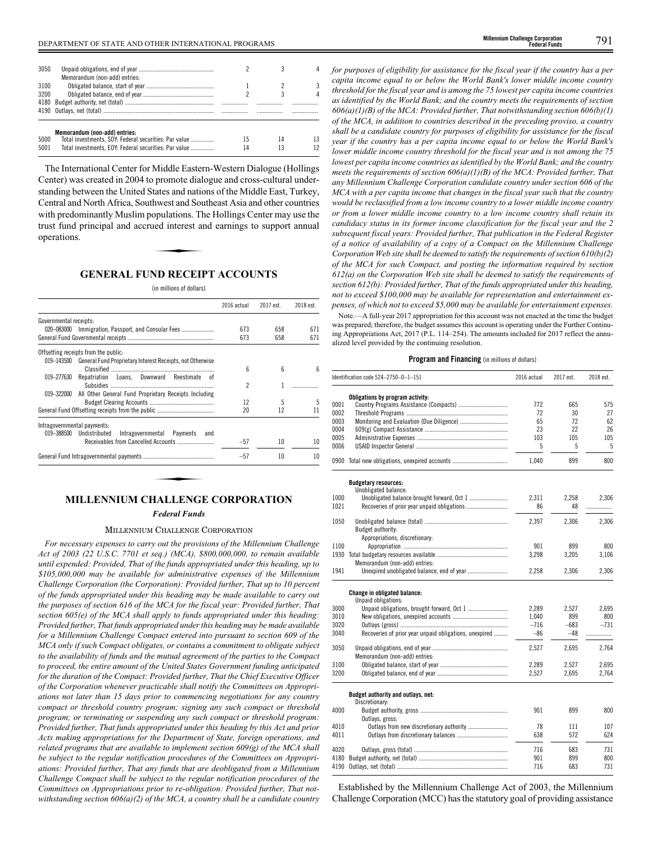The International Center for Middle Eastern-Western Dialogue (Hollings Center) was created in 2004 to promote dialogue and cross-cultural understanding between the United States and nations of the Middle East, Turkey, Central and North Africa, Southwest and Southeast Asia and other countries with predominantly Muslim populations. The Hollings Center may use the trust fund principal and accrued interest and earnings to support annual operations. trust fund principal and accrued interest and earnings to support annual operations.

# **GENERAL FUND RECEIPT ACCOUNTS**

#### (in millions of dollars)

|                                                                         | 2016 actual | 2017 est. | 2018 est. |
|-------------------------------------------------------------------------|-------------|-----------|-----------|
| Governmental receipts:                                                  |             |           |           |
| 020–083000 Immigration, Passport, and Consular Fees                     | 673         | 658       | 671       |
|                                                                         | 673         | 658       | 671       |
| Offsetting receipts from the public:                                    |             |           |           |
| General Fund Proprietary Interest Receipts, not Otherwise<br>019-143500 |             |           |           |
|                                                                         | 6           | 6         | 6         |
| Repatriation Loans, Downward Reestimate of<br>019-277630                |             |           |           |
|                                                                         | 2           |           |           |
| 019-322000 All Other General Fund Proprietary Receipts Including        |             |           |           |
|                                                                         | 12          | 5         | 5         |
|                                                                         | 20          | 12        | 11        |
| Intragovernmental payments:                                             |             |           |           |
| 019-388500<br>Undistributed<br>Intragovernmental Payments<br>and        |             |           |           |
|                                                                         | $-57$       | 10        | 10        |
|                                                                         | $-57$       | 10        | 10        |

# **MILLENNIUM CHALLENGE CORPORATION**

# *Federal Funds*

#### MILLENNIUM CHALLENGE CORPORATION

*For necessary expenses to carry out the provisions of the Millennium Challenge Act of 2003 (22 U.S.C. 7701 et seq.) (MCA), \$800,000,000, to remain available until expended: Provided, That of the funds appropriated under this heading, up to \$105,000,000 may be available for administrative expenses of the Millennium Challenge Corporation (the Corporation): Provided further, That up to 10 percent of the funds appropriated under this heading may be made available to carry out the purposes of section 616 of the MCA for the fiscal year: Provided further, That section 605(e) of the MCA shall apply to funds appropriated under this heading: Provided further, That funds appropriated under this heading may be made available for a Millennium Challenge Compact entered into pursuant to section 609 of the MCA only if such Compact obligates, or contains a commitment to obligate subject to the availability of funds and the mutual agreement of the parties to the Compact to proceed, the entire amount of the United States Government funding anticipated for the duration of the Compact: Provided further, That the Chief Executive Officer of the Corporation whenever practicable shall notify the Committees on Appropriations not later than 15 days prior to commencing negotiations for any country compact or threshold country program; signing any such compact or threshold program; or terminating or suspending any such compact or threshold program: Provided further, That funds appropriated under this heading by this Act and prior Acts making appropriations for the Department of State, foreign operations, and related programs that are available to implement section 609(g) of the MCA shall be subject to the regular notification procedures of the Committees on Appropriations: Provided further, That any funds that are deobligated from a Millennium Challenge Compact shall be subject to the regular notification procedures of the Committees on Appropriations prior to re-obligation: Provided further, That notwithstanding section 606(a)(2) of the MCA, a country shall be a candidate country* *for purposes of eligibility for assistance for the fiscal year if the country has a per capita income equal to or below the World Bank's lower middle income country threshold for the fiscal year and is among the 75 lowest per capita income countries as identified by the World Bank; and the country meets the requirements of section 606(a)(1)(B) of the MCA: Provided further, That notwithstanding section 606(b)(1) of the MCA, in addition to countries described in the preceding proviso, a country shall be a candidate country for purposes of eligibility for assistance for the fiscal year if the country has a per capita income equal to or below the World Bank's lower middle income country threshold for the fiscal year and is not among the 75 lowest per capita income countries as identified by the World Bank; and the country meets the requirements of section 606(a)(1)(B) of the MCA: Provided further, That any Millennium Challenge Corporation candidate country under section 606 of the MCA with a per capita income that changes in the fiscal year such that the country would be reclassified from a low income country to a lower middle income country or from a lower middle income country to a low income country shall retain its candidacy status in its former income classification for the fiscal year and the 2 subsequent fiscal years: Provided further, That publication in the Federal Register of a notice of availability of a copy of a Compact on the Millennium Challenge Corporation Web site shall be deemed to satisfy the requirements of section 610(b)(2) of the MCA for such Compact, and posting the information required by section 612(a) on the Corporation Web site shall be deemed to satisfy the requirements of section 612(b): Provided further, That of the funds appropriated under this heading, not to exceed \$100,000 may be available for representation and entertainment expenses, of which not to exceed \$5,000 may be available for entertainment expenses.*

Note.—A full-year 2017 appropriation for this account was not enacted at the time the budget was prepared; therefore, the budget assumes this account is operating under the Further Continuing Appropriations Act, 2017 (P.L. 114–254). The amounts included for 2017 reflect the annualized level provided by the continuing resolution.

# **Program and Financing** (in millions of dollars)

|      | Identification code 524-2750-0-1-151                       | 2016 actual | 2017 est.   | 2018 est. |
|------|------------------------------------------------------------|-------------|-------------|-----------|
|      | Obligations by program activity:                           |             |             |           |
| 0001 |                                                            | 772         | 665         | 575       |
| 0002 |                                                            | 72          | 30          | 27        |
| 0003 |                                                            | 65          | 72          | 62        |
| 0004 |                                                            | 23          | 22          | 26        |
| 0005 |                                                            | 103         | 105         | 105       |
| 0006 |                                                            | 5           | 5           | 5         |
|      | 0900 Total new obligations, unexpired accounts             | 1,040       | 899         | 800       |
|      | <b>Budgetary resources:</b>                                |             |             |           |
| 1000 | Unobligated balance:                                       | 2,311       |             |           |
| 1021 | Unobligated balance brought forward, Oct 1                 | 86          | 2,258<br>48 | 2,306     |
|      |                                                            |             |             | .         |
| 1050 |                                                            | 2,397       | 2,306       | 2,306     |
|      | Budget authority:                                          |             |             |           |
|      | Appropriations, discretionary:                             |             |             |           |
| 1100 |                                                            | 901         | 899         | 800       |
| 1930 |                                                            | 3,298       | 3,205       | 3,106     |
|      | Memorandum (non-add) entries:                              |             |             |           |
| 1941 |                                                            | 2,258       | 2,306       | 2,306     |
|      | <b>Change in obligated balance:</b><br>Unpaid obligations: |             |             |           |
| 3000 |                                                            | 2.289       | 2.527       | 2.695     |
| 3010 |                                                            | 1.040       | 899         | 800       |
| 3020 |                                                            | $-716$      | $-683$      | $-731$    |
| 3040 | Recoveries of prior year unpaid obligations, unexpired     | $-86$       | $-48$       | .         |
| 3050 |                                                            | 2,527       | 2,695       | 2,764     |
|      | Memorandum (non-add) entries:                              |             |             |           |
| 3100 |                                                            | 2,289       | 2,527       | 2,695     |
| 3200 |                                                            | 2,527       | 2,695       | 2,764     |
|      | Budget authority and outlays, net:                         |             |             |           |
|      | Discretionary:                                             |             |             |           |
| 4000 |                                                            | 901         | 899         | 800       |
|      | Outlays, gross:                                            |             |             |           |
| 4010 |                                                            | 78          | 111         | 107       |
| 4011 |                                                            | 638         | 572         | 624       |
| 4020 |                                                            | 716         | 683         | 731       |
| 4180 |                                                            | 901         | 899         | 800       |
| 4190 |                                                            | 716         | 683         | 731       |
|      |                                                            |             |             |           |

Established by the Millennium Challenge Act of 2003, the Millennium Challenge Corporation (MCC) has the statutory goal of providing assistance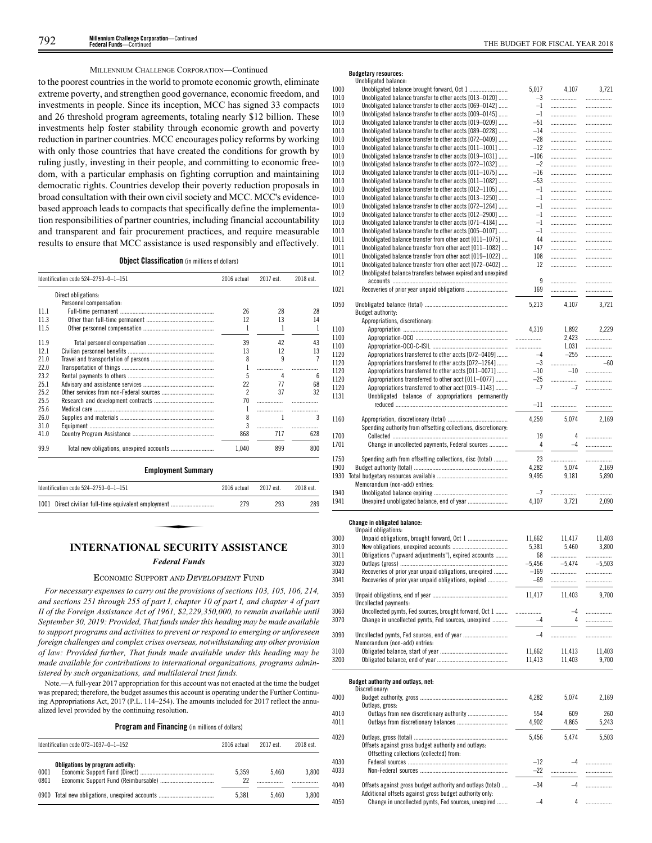# MILLENNIUM CHALLENGE CORPORATION—Continued

to the poorest countries in the world to promote economic growth, eliminate extreme poverty, and strengthen good governance, economic freedom, and investments in people. Since its inception, MCC has signed 33 compacts and 26 threshold program agreements, totaling nearly \$12 billion. These investments help foster stability through economic growth and poverty reduction in partner countries. MCC encourages policy reforms by working with only those countries that have created the conditions for growth by ruling justly, investing in their people, and committing to economic freedom, with a particular emphasis on fighting corruption and maintaining democratic rights. Countries develop their poverty reduction proposals in broad consultation with their own civil society and MCC. MCC's evidencebased approach leads to compacts that specifically define the implementation responsibilities of partner countries, including financial accountability and transparent and fair procurement practices, and require measurable results to ensure that MCC assistance is used responsibly and effectively.

**Object Classification** (in millions of dollars)

|      | Identification code 524-2750-0-1-151                 | 2016 actual              | 2017 est. | 2018 est. |
|------|------------------------------------------------------|--------------------------|-----------|-----------|
|      | Direct obligations:                                  |                          |           |           |
|      | Personnel compensation:                              |                          |           |           |
| 11.1 |                                                      | 26                       | 28        | 28        |
| 11.3 |                                                      | 12                       | 13        | 14        |
| 11.5 |                                                      | 1                        | 1         | 1         |
| 11.9 |                                                      | 39                       | 42        | 43        |
| 12.1 |                                                      | 13                       | 12        | 13        |
| 21.0 |                                                      | 8                        | 9         | 7         |
| 22.0 |                                                      | 1                        | .         |           |
| 23.2 |                                                      | 5                        | 4         | 6         |
| 25.1 |                                                      | 22                       | 77        | 68        |
| 25.2 |                                                      | $\overline{\phantom{a}}$ | 37        | 32        |
| 25.5 |                                                      | 70                       | .         | .         |
| 25.6 |                                                      | 1                        | .         |           |
| 26.0 |                                                      | 8                        | 1         | 3         |
| 31.0 |                                                      | 3                        | .         |           |
| 41.0 |                                                      | 868                      | 717       | 628       |
| 99.9 |                                                      | 1.040                    | 899       | 800       |
|      | <b>Employment Summary</b>                            |                          |           |           |
|      | Identification code 524-2750-0-1-151                 | 2016 actual              | 2017 est. | 2018 est. |
|      | 1001 Direct civilian full-time equivalent employment | 279                      | 293       | 289       |

# **INTERNATIONAL SECURITY ASSISTANCE**

# *Federal Funds*

# ECONOMIC SUPPORT AND DEVELOPMENT FUND

*For necessary expenses to carry out the provisions of sections 103, 105, 106, 214, and sections 251 through 255 of part I, chapter 10 of part I, and chapter 4 of part II of the Foreign Assistance Act of 1961, \$2,229,350,000, to remain available until September 30, 2019: Provided, That funds under this heading may be made available to support programs and activities to prevent or respond to emerging or unforeseen foreign challenges and complex crises overseas, notwithstanding any other provision of law: Provided further, That funds made available under this heading may be made available for contributions to international organizations, programs administered by such organizations, and multilateral trust funds.*

Note.—A full-year 2017 appropriation for this account was not enacted at the time the budget was prepared; therefore, the budget assumes this account is operating under the Further Continuing Appropriations Act, 2017 (P.L. 114–254). The amounts included for 2017 reflect the annualized level provided by the continuing resolution.

**Program and Financing** (in millions of dollars)

|              | Identification code $072-1037-0-1-152$         | 2016 actual | 2017 est. | 2018 est. |
|--------------|------------------------------------------------|-------------|-----------|-----------|
| 0001<br>0801 | Obligations by program activity:               | 5.359<br>22 | 5.460     | 3.800     |
|              | 0900 Total new obligations, unexpired accounts | 5.381       | 5.460     | 3.800     |

# **Budgetary resources:**

|      | Unobligated balance:                                           |          |          |          |
|------|----------------------------------------------------------------|----------|----------|----------|
| 1000 | Unobligated balance brought forward, Oct 1                     | 5,017    | 4,107    | 3,721    |
| 1010 | Unobligated balance transfer to other accts [013-0120]         | -3       | .        | .        |
| 1010 | Unobligated balance transfer to other accts [069-0142]         | $-1$     |          |          |
| 1010 | Unobligated balance transfer to other accts [009-0145]         | $-1$     | .        |          |
| 1010 | Unobligated balance transfer to other accts [019–0209]         | -51      |          |          |
| 1010 | Unobligated balance transfer to other accts [089-0228]         | -14      | .        |          |
| 1010 | Unobligated balance transfer to other accts [072-0409]         | $-28$    | .        |          |
| 1010 | Unobligated balance transfer to other accts [011-1001]         | -12      | .        |          |
| 1010 | Unobligated balance transfer to other accts [019-1031]         | $-106$   | .        |          |
| 1010 | Unobligated balance transfer to other accts [072-1032]         | $-2$     | .        | .        |
| 1010 | Unobligated balance transfer to other accts [011-1075]         | -16      | .        |          |
| 1010 | Unobligated balance transfer to other accts [011-1082]         | $-53$    | .        | .        |
| 1010 | Unobligated balance transfer to other accts [012-1105]         | $-1$     | .        | .        |
| 1010 | Unobligated balance transfer to other accts [013-1250]         | $-1$     | .        | .        |
| 1010 | Unobligated balance transfer to other accts [072-1264]         | $-1$     |          | .        |
| 1010 | Unobligated balance transfer to other accts [012-2900]         | $-1$     |          | .        |
| 1010 | Unobligated balance transfer to other accts [071-4184]         | $-1$     | .        | .        |
| 1010 | Unobligated balance transfer to other accts [005-0107]         | $-1$     | .        |          |
| 1011 | Unobligated balance transfer from other acct [011-1075]        | 44       | .        |          |
| 1011 | Unobligated balance transfer from other acct [011-1082]        | 147      |          |          |
| 1011 |                                                                |          | .        | .        |
|      | Unobligated balance transfer from other acct [019-1022]        | 108      |          | .        |
| 1011 | Unobligated balance transfer from other acct [072-0402]        | 12       |          |          |
| 1012 | Unobligated balance transfers between expired and unexpired    |          |          |          |
|      |                                                                | 9        | .        | .        |
| 1021 |                                                                | 169      | .        | .        |
| 1050 | Budget authority:                                              | 5,213    | 4,107    | 3,721    |
|      |                                                                |          |          |          |
|      | Appropriations, discretionary:                                 |          |          |          |
| 1100 |                                                                | 4,319    | 1,892    | 2,229    |
| 1100 |                                                                |          | 2,423    | .        |
| 1100 |                                                                | .        | 1,031    |          |
| 1120 | Appropriations transferred to other accts [072-0409]           | $-4$     | $-255$   | .        |
| 1120 | Appropriations transferred to other accts [072-1264]           | $-3$     | .        | $-60$    |
| 1120 | Appropriations transferred to other accts [011-0071]           | $-10$    | $-10$    |          |
| 1120 | Appropriations transferred to other acct [011-0077]            | -25      | .        | .        |
| 1120 | Appropriations transferred to other acct [019-1143]            | $-7$     | $-7$     |          |
| 1131 | Unobligated balance of appropriations permanently              |          |          |          |
|      |                                                                | -11      |          |          |
|      |                                                                |          |          |          |
| 1160 |                                                                | 4,259    | 5,074    | 2,169    |
|      | Spending authority from offsetting collections, discretionary: |          |          |          |
| 1700 |                                                                | 19       | 4        | .        |
| 1701 | Change in uncollected payments, Federal sources                | 4        | $-4$     | .        |
|      |                                                                |          |          |          |
| 1750 | Spending auth from offsetting collections, disc (total)        | 23       | .        | .        |
| 1900 |                                                                | 4,282    | 5,074    | 2,169    |
| 1930 |                                                                | 9,495    | 9,181    | 5,890    |
|      | Memorandum (non-add) entries:                                  |          |          |          |
| 1940 |                                                                | -7       |          | .        |
| 1941 |                                                                | 4,107    | 3,721    | 2,090    |
|      |                                                                |          |          |          |
|      |                                                                |          |          |          |
|      | Change in obligated balance:                                   |          |          |          |
|      | Unpaid obligations:                                            |          |          |          |
| 3000 |                                                                | 11,662   | 11,417   | 11,403   |
| 3010 |                                                                | 5,381    | 5,460    | 3,800    |
| 3011 | Obligations ("upward adjustments"), expired accounts           | 68       |          |          |
| 3020 |                                                                | $-5,456$ | $-5,474$ | $-5,503$ |
| 3040 | Recoveries of prior year unpaid obligations, unexpired         | $-169$   | .        |          |
| 3041 | Recoveries of prior year unpaid obligations, expired           | -69      | .        |          |
|      |                                                                |          |          |          |
| 3050 |                                                                | 11,417   | 11,403   | 9,700    |
|      | Uncollected payments:                                          |          |          |          |
| 3060 | Uncollected pymts, Fed sources, brought forward, Oct 1         | .        | $-4$     |          |
| 3070 | Change in uncollected pymts, Fed sources, unexpired            | $-4$     | 4        | .        |
|      |                                                                |          |          |          |
| 3090 |                                                                | $-4$     | .        |          |
|      | Memorandum (non-add) entries:                                  |          |          |          |
| 3100 |                                                                | 11,662   | 11,413   | 11,403   |
| 3200 |                                                                | 11,413   | 11,403   | 9,700    |
|      |                                                                |          |          |          |
|      |                                                                |          |          |          |
|      | Budget authority and outlays, net:                             |          |          |          |
|      | Discretionary:                                                 |          |          |          |
| 4000 |                                                                | 4,282    | 5,074    | 2,169    |
|      | Outlays, gross:                                                |          |          |          |
| 4010 | Outlays from new discretionary authority                       | 554      | 609      | 260      |
| 4011 |                                                                | 4,902    | 4.865    | 5,243    |
|      |                                                                |          |          |          |
| 4020 |                                                                | 5,456    | 5,474    | 5,503    |
|      | Offsets against gross budget authority and outlays:            |          |          |          |
|      | Offsetting collections (collected) from:                       |          |          |          |
| 4030 |                                                                | $-12$    | $-4$     | .        |
| 4033 |                                                                | $-22$    |          |          |
|      |                                                                |          | .        |          |
| 4040 | Offsets against gross budget authority and outlays (total)     | $-34$    | $-4$     |          |
|      | Additional offsets against gross budget authority only:        |          |          |          |
| 4050 | Change in uncollected pymts, Fed sources, unexpired            | $-4$     | 4        |          |
|      |                                                                |          |          |          |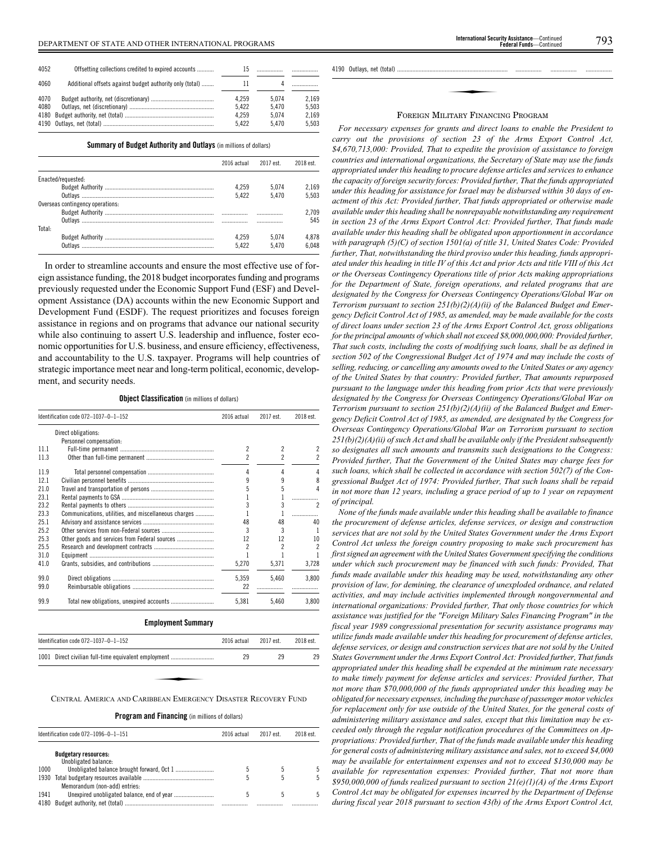| 4052         | Offsetting collections credited to expired accounts      |                |                |                |
|--------------|----------------------------------------------------------|----------------|----------------|----------------|
| 4060         | Additional offsets against budget authority only (total) | ш              |                |                |
| 4070<br>4080 |                                                          | 4.259<br>5.422 | 5.074<br>5.470 | 2.169<br>5.503 |
|              |                                                          | 4.259          | 5.074          | 2.169          |
|              |                                                          | 5.422          | 5.470          | 5.503          |

**Summary of Budget Authority and Outlays** (in millions of dollars)

|                                  | 2016 actual | 2017 est. | 2018 est. |
|----------------------------------|-------------|-----------|-----------|
|                                  |             |           |           |
| Enacted/requested:               |             |           |           |
|                                  | 4.259       | 5.074     | 2.169     |
|                                  | 5.422       | 5.470     | 5.503     |
| Overseas contingency operations: |             |           |           |
|                                  |             | .         | 2.709     |
|                                  |             | .         | 545       |
| Total:                           |             |           |           |
|                                  | 4.259       | 5.074     | 4.878     |
| Outlavs                          | 5.422       | 5.470     | 6.048     |

In order to streamline accounts and ensure the most effective use of foreign assistance funding, the 2018 budget incorporates funding and programs previously requested under the Economic Support Fund (ESF) and Development Assistance (DA) accounts within the new Economic Support and Development Fund (ESDF). The request prioritizes and focuses foreign assistance in regions and on programs that advance our national security while also continuing to assert U.S. leadership and influence, foster economic opportunities for U.S. business, and ensure efficiency, effectiveness, and accountability to the U.S. taxpayer. Programs will help countries of strategic importance meet near and long-term political, economic, development, and security needs.

**Object Classification** (in millions of dollars)

|      | Identification code 072-1037-0-1-152                 | 2016 actual | 2017 est.                | 2018 est. |
|------|------------------------------------------------------|-------------|--------------------------|-----------|
|      | Direct obligations:                                  |             |                          |           |
|      | Personnel compensation:                              |             |                          |           |
| 11.1 |                                                      | 2           | 2                        |           |
| 11.3 |                                                      | 2           | $\overline{\phantom{a}}$ |           |
| 119  |                                                      | 4           | 4                        |           |
| 121  |                                                      | ٩           | 9                        | 8         |
| 21.0 |                                                      |             | 5                        | Δ         |
| 231  |                                                      |             |                          |           |
| 23.2 |                                                      | 3           | 3                        | 2         |
| 23.3 | Communications, utilities, and miscellaneous charges |             |                          |           |
| 25.1 |                                                      | 48          | 48                       | 40        |
| 25.2 |                                                      | 3           | 3                        |           |
| 25.3 | Other goods and services from Federal sources        | 12          | 12                       | 10        |
| 25.5 |                                                      | 2           | 2                        | 2         |
| 31.0 |                                                      |             |                          |           |
| 41.0 |                                                      | 5,270       | 5,371                    | 3,728     |
| 99.0 |                                                      | 5,359       | 5,460                    | 3,800     |
| 99.0 |                                                      | 22          |                          |           |
| 99.9 |                                                      | 5,381       | 5,460                    | 3,800     |

| <b>Employment Summary</b>                                      |             |           |           |
|----------------------------------------------------------------|-------------|-----------|-----------|
| Identification code $072 - 1037 - 0 - 1 - 152$                 | 2016 actual | 2017 est. | 2018 est. |
| 1001 Direct civilian full-time equivalent employment           | 29          | 29        | 29        |
|                                                                |             |           |           |
| CENTRAL AMERICA AND CARIBBEAN EMERGENCY DISASTER RECOVERY FUND |             |           |           |

CENTRAL AMERICA AND CARIBBEAN EMERGENCY DISASTER RECOVERY FUND

**Program and Financing** (in millions of dollars)

|      | Identification code $072-1096-0-1-151$              | 2016 actual | 2017 est. | 2018 est. |
|------|-----------------------------------------------------|-------------|-----------|-----------|
|      | <b>Budgetary resources:</b><br>Unobligated balance: |             |           |           |
| 1000 |                                                     |             | .5        |           |
| 1930 |                                                     |             |           |           |
|      | Memorandum (non-add) entries:                       |             |           |           |
| 1941 |                                                     |             |           |           |
| 4180 |                                                     |             |           | .         |

4190 Outlays, net (total)

# ✦ FOREIGN MILITARY FINANCING PROGRAM

*For necessary expenses for grants and direct loans to enable the President to carry out the provisions of section 23 of the Arms Export Control Act, \$4,670,713,000: Provided, That to expedite the provision of assistance to foreign countries and international organizations, the Secretary of State may use the funds appropriated under this heading to procure defense articles and services to enhance the capacity of foreign security forces: Provided further, That the funds appropriated under this heading for assistance for Israel may be disbursed within 30 days of enactment of this Act: Provided further, That funds appropriated or otherwise made available under this heading shall be nonrepayable notwithstanding any requirement in section 23 of the Arms Export Control Act: Provided further, That funds made available under this heading shall be obligated upon apportionment in accordance with paragraph (5)(C) of section 1501(a) of title 31, United States Code: Provided further, That, notwithstanding the third proviso under this heading, funds appropriated under this heading in title IV of this Act and prior Acts and title VIII of this Act or the Overseas Contingency Operations title of prior Acts making appropriations for the Department of State, foreign operations, and related programs that are designated by the Congress for Overseas Contingency Operations/Global War on Terrorism pursuant to section 251(b)(2)(A)(ii) of the Balanced Budget and Emergency Deficit Control Act of 1985, as amended, may be made available for the costs of direct loans under section 23 of the Arms Export Control Act, gross obligations for the principal amounts of which shall not exceed \$8,000,000,000: Provided further, That such costs, including the costs of modifying such loans, shall be as defined in section 502 of the Congressional Budget Act of 1974 and may include the costs of selling, reducing, or cancelling any amounts owed to the United States or any agency of the United States by that country: Provided further, That amounts repurposed pursuant to the language under this heading from prior Acts that were previously designated by the Congress for Overseas Contingency Operations/Global War on Terrorism pursuant to section 251(b)(2)(A)(ii) of the Balanced Budget and Emergency Deficit Control Act of 1985, as amended, are designated by the Congress for Overseas Contingency Operations/Global War on Terrorism pursuant to section 251(b)(2)(A)(ii) of such Act and shall be available only if the President subsequently so designates all such amounts and transmits such designations to the Congress: Provided further, That the Government of the United States may charge fees for such loans, which shall be collected in accordance with section 502(7) of the Congressional Budget Act of 1974: Provided further, That such loans shall be repaid in not more than 12 years, including a grace period of up to 1 year on repayment of principal.*

*None of the funds made available under this heading shall be available to finance the procurement of defense articles, defense services, or design and construction services that are not sold by the United States Government under the Arms Export Control Act unless the foreign country proposing to make such procurement has first signed an agreement with the United States Government specifying the conditions under which such procurement may be financed with such funds: Provided, That funds made available under this heading may be used, notwithstanding any other provision of law, for demining, the clearance of unexploded ordnance, and related activities, and may include activities implemented through nongovernmental and international organizations: Provided further, That only those countries for which assistance was justified for the "Foreign Military Sales Financing Program" in the fiscal year 1989 congressional presentation for security assistance programs may utilize funds made available under this heading for procurement of defense articles, defense services, or design and construction services that are not sold by the United States Government under the Arms Export Control Act: Provided further, That funds appropriated under this heading shall be expended at the minimum rate necessary to make timely payment for defense articles and services: Provided further, That not more than \$70,000,000 of the funds appropriated under this heading may be obligated for necessary expenses, including the purchase of passenger motor vehicles for replacement only for use outside of the United States, for the general costs of administering military assistance and sales, except that this limitation may be exceeded only through the regular notification procedures of the Committees on Appropriations: Provided further, That of the funds made available under this heading for general costs of administering military assistance and sales, not to exceed \$4,000 may be available for entertainment expenses and not to exceed \$130,000 may be available for representation expenses: Provided further, That not more than \$950,000,000 of funds realized pursuant to section 21(e)(1)(A) of the Arms Export Control Act may be obligated for expenses incurred by the Department of Defense during fiscal year 2018 pursuant to section 43(b) of the Arms Export Control Act,*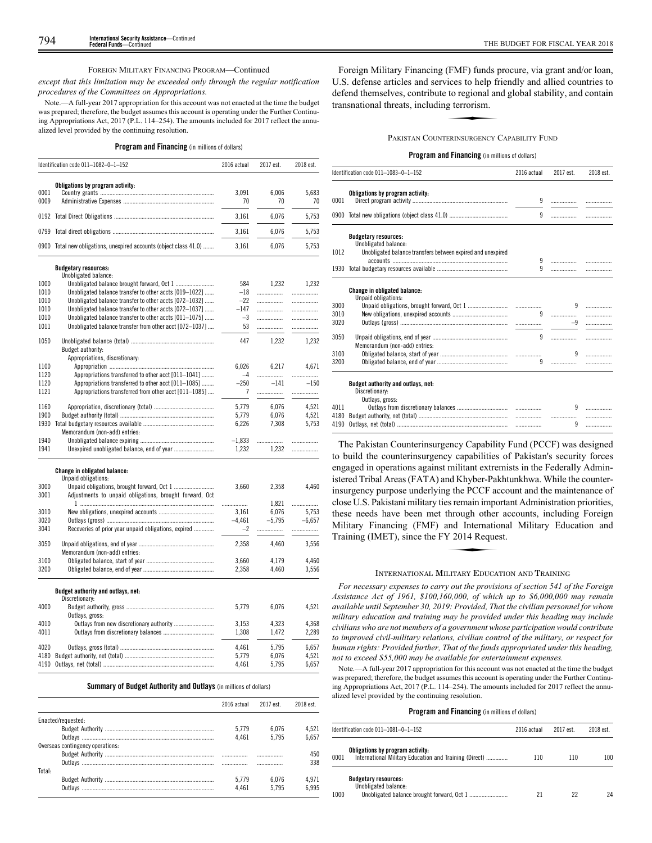# FOREIGN MILITARY FINANCING PROGRAM—Continued

*except that this limitation may be exceeded only through the regular notification procedures of the Committees on Appropriations.*

Note.—A full-year 2017 appropriation for this account was not enacted at the time the budget was prepared; therefore, the budget assumes this account is operating under the Further Continuing Appropriations Act, 2017 (P.L. 114–254). The amounts included for 2017 reflect the annualized level provided by the continuing resolution.

# **Program and Financing** (in millions of dollars)

|              | Identification code $011-1082-0-1-152$                             | 2016 actual | 2017 est.   | 2018 est.   |
|--------------|--------------------------------------------------------------------|-------------|-------------|-------------|
| 0001<br>0009 | Obligations by program activity:                                   | 3.091<br>70 | 6.006<br>70 | 5.683<br>70 |
|              |                                                                    | 3.161       | 6.076       | 5.753       |
|              |                                                                    | 3.161       | 6.076       | 5.753       |
|              | 0900 Total new obligations, unexpired accounts (object class 41.0) | 3.161       | 6.076       | 5.753       |

# **Budgetary resources:**

|              | DUUGGLUI I LGOUILGO.<br>Unobligated balance:            |                |          |          |
|--------------|---------------------------------------------------------|----------------|----------|----------|
| 1000         |                                                         | 584            | 1,232    | 1,232    |
| 1010         | Unobligated balance transfer to other accts [019-1022]  | $-18$          | .        | .        |
| 1010         | Unobligated balance transfer to other accts [072-1032]  | $-22$          | .        | .        |
| 1010         | Unobligated balance transfer to other accts [072-1037]  | $-147$         | .        | .        |
| 1010         | Unobligated balance transfer to other accts [011-1075]  | $-3$           | .        | .        |
| 1011         | Unobligated balance transfer from other acct [072-1037] | 53             | .        | .        |
|              |                                                         |                |          |          |
| 1050         |                                                         | 447            | 1,232    | 1,232    |
|              | Budget authority:                                       |                |          |          |
|              | Appropriations, discretionary:                          |                |          |          |
| 1100         |                                                         | 6,026          | 6,217    | 4,671    |
| 1120         | Appropriations transferred to other acct [011-1041]     | $-4$           |          |          |
| 1120         | Appropriations transferred to other acct [011-1085]     | $-250$         | $-141$   | $-150$   |
| 1121         | Appropriations transferred from other acct [011-1085]   | $\overline{7}$ |          | .        |
|              |                                                         |                |          |          |
| 1160         |                                                         | 5,779          | 6,076    | 4,521    |
| 1900         |                                                         | 5,779          | 6,076    | 4,521    |
| 1930         |                                                         | 6,226          | 7,308    | 5,753    |
|              | Memorandum (non-add) entries:                           |                |          |          |
| 1940<br>1941 |                                                         | $-1.833$       |          | .        |
|              |                                                         | 1,232          | 1,232    | .        |
|              | Change in obligated balance:                            |                |          |          |
|              | Unpaid obligations:                                     |                |          |          |
| 3000         |                                                         | 3,660          | 2,358    | 4,460    |
| 3001         | Adjustments to unpaid obligations, brought forward, Oct |                |          |          |
|              |                                                         | .              | 1.821    | .        |
| 3010         |                                                         | 3,161          | 6,076    | 5,753    |
| 3020         |                                                         | $-4.461$       | $-5.795$ | $-6.657$ |
| 3041         | Recoveries of prior year unpaid obligations, expired    | $-2$           |          |          |
| 3050         |                                                         | 2,358          | 4,460    | 3,556    |
|              | Memorandum (non-add) entries:                           |                |          |          |
| 3100         |                                                         | 3,660          | 4.179    | 4,460    |
| 3200         |                                                         |                |          |          |
|              |                                                         | 2,358          | 4,460    | 3,556    |
|              | Budget authority and outlays, net:                      |                |          |          |
|              | Discretionary:                                          |                |          |          |
| 4000         |                                                         | 5,779          | 6,076    | 4,521    |

|      | Outlays, gross: |       |       |       |
|------|-----------------|-------|-------|-------|
| 4010 |                 | 3.153 | 4.323 | 4.368 |
| 4011 |                 | 1.308 | 1.472 | 2.289 |
| 4020 |                 | 4.461 | 5.795 | 6.657 |
|      |                 | 5.779 | 6.076 | 4.521 |
|      |                 | 4.461 | 5.795 | 6.657 |

# **Summary of Budget Authority and Outlays** (in millions of dollars)

|                                  | 2016 actual | 2017 est | 2018 est |
|----------------------------------|-------------|----------|----------|
| Enacted/requested:               |             |          |          |
|                                  | 5.779       | 6.076    | 4.521    |
|                                  | 4.461       | 5795     | 6.657    |
| Overseas contingency operations: |             |          |          |
|                                  |             |          | 450      |
|                                  |             |          | 338      |
| Total:                           |             |          |          |
|                                  | 5.779       | 6.076    | 4.971    |
|                                  | 4.461       | 5795     | 6.995    |

Foreign Military Financing (FMF) funds procure, via grant and/or loan, U.S. defense articles and services to help friendly and allied countries to defend themselves, contribute to regional and global stability, and contain transnational threats, including terrorism. defend themselves, contribute to regional and global stability, and contain transnational threats, including terrorism.

#### PAKISTAN COUNTERINSURGENCY CAPABILITY FUND

# **Program and Financing** (in millions of dollars)

|      | Identification code 011-1083-0-1-152                                    | 2016 actual | 2017 est. | 2018 est. |
|------|-------------------------------------------------------------------------|-------------|-----------|-----------|
| 0001 | Obligations by program activity:                                        | 9           |           |           |
|      |                                                                         | 9           |           |           |
|      | <b>Budgetary resources:</b><br>Unobligated balance:                     |             |           |           |
| 1012 | Unobligated balance transfers between expired and unexpired             |             |           |           |
|      |                                                                         | 9           | .         |           |
|      |                                                                         | 9           |           |           |
| 3000 | <b>Change in obligated balance:</b><br>Unpaid obligations:              |             | 9         | .         |
| 3010 |                                                                         | 9           |           |           |
| 3020 |                                                                         |             | $-9$      |           |
| 3050 | Memorandum (non-add) entries:                                           | 9           |           |           |
| 3100 |                                                                         |             | 9         |           |
| 3200 |                                                                         | 9           |           |           |
|      | Budget authority and outlays, net:<br>Discretionary:<br>Outlays, gross: |             |           |           |
| 4011 |                                                                         |             | 9         |           |
| 4180 |                                                                         |             | .         |           |
| 4190 |                                                                         |             | 9         |           |

The Pakistan Counterinsurgency Capability Fund (PCCF) was designed to build the counterinsurgency capabilities of Pakistan's security forces engaged in operations against militant extremists in the Federally Administered Tribal Areas (FATA) and Khyber-Pakhtunkhwa. While the counterinsurgency purpose underlying the PCCF account and the maintenance of close U.S. Pakistani military ties remain important Administration priorities, these needs have been met through other accounts, including Foreign<br>
Military Financing (FMF) and International Military Education and<br>
Training (IMET), since the FY 2014 Request. Military Financing (FMF) and International Military Education and Training (IMET), since the FY 2014 Request.

# INTERNATIONAL MILITARY EDUCATION AND TRAINING

*For necessary expenses to carry out the provisions of section 541 of the Foreign Assistance Act of 1961, \$100,160,000, of which up to \$6,000,000 may remain available until September 30, 2019: Provided, That the civilian personnel for whom military education and training may be provided under this heading may include civilians who are not members of a government whose participation would contribute to improved civil-military relations, civilian control of the military, or respect for human rights: Provided further, That of the funds appropriated under this heading, not to exceed \$55,000 may be available for entertainment expenses.*

Note.—A full-year 2017 appropriation for this account was not enacted at the time the budget was prepared; therefore, the budget assumes this account is operating under the Further Continuing Appropriations Act, 2017 (P.L. 114–254). The amounts included for 2017 reflect the annualized level provided by the continuing resolution.

|      | Identification code $011-1081-0-1-152$                                                     | 2016 actual | 2017 est. | 2018 est. |
|------|--------------------------------------------------------------------------------------------|-------------|-----------|-----------|
| 0001 | Obligations by program activity:<br>International Military Education and Training (Direct) | 110         | 110       | 100       |
| 1000 | <b>Budgetary resources:</b><br>Unobligated balance:                                        | 21          | 22        | 24        |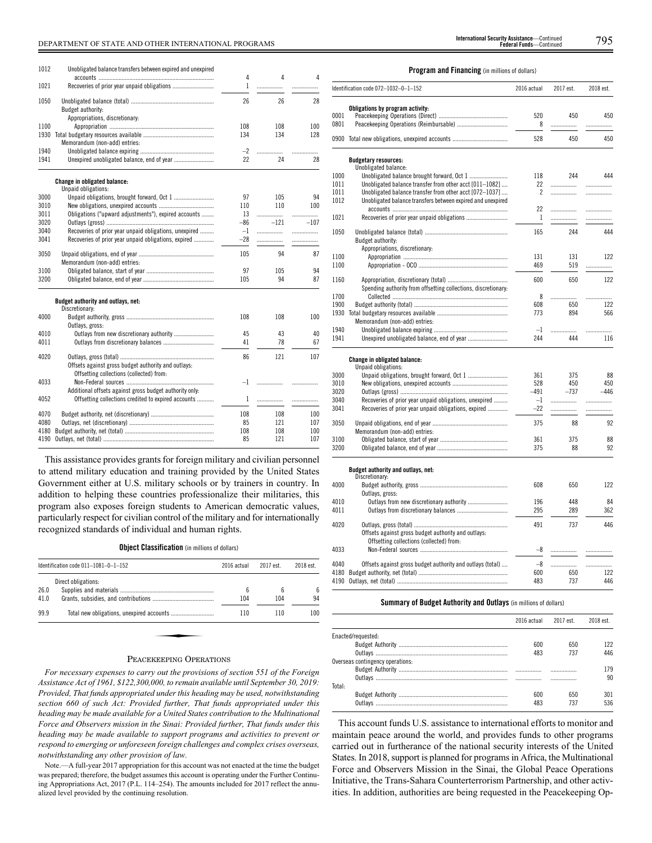# DEPARTMENT OF STATE AND OTHER INTERNATIONAL PROGRAMS 795 **International Security Assistance**—Continued

| 1012 | Unobligated balance transfers between expired and unexpired                                                    | 4     | 4      | 4      |
|------|----------------------------------------------------------------------------------------------------------------|-------|--------|--------|
| 1021 |                                                                                                                | 1     | .      |        |
| 1050 | Budget authority:                                                                                              | 26    | 26     | 28     |
|      | Appropriations, discretionary:                                                                                 |       |        |        |
| 1100 |                                                                                                                | 108   | 108    | 100    |
| 1930 | Memorandum (non-add) entries:                                                                                  | 134   | 134    | 128    |
| 1940 |                                                                                                                | $-2$  | .      | .      |
| 1941 |                                                                                                                | 22    | 24     | 28     |
|      | Change in obligated balance:<br>Unpaid obligations:                                                            |       |        |        |
| 3000 |                                                                                                                | 97    | 105    | 94     |
| 3010 |                                                                                                                | 110   | 110    | 100    |
| 3011 | Obligations ("upward adjustments"), expired accounts                                                           | 13    | .      | .      |
| 3020 |                                                                                                                | $-86$ | $-121$ | $-107$ |
| 3040 | Recoveries of prior year unpaid obligations, unexpired                                                         | $-1$  | .      | .      |
| 3041 | Recoveries of prior year unpaid obligations, expired                                                           | $-28$ | .      | .      |
|      |                                                                                                                |       |        |        |
| 3050 | Memorandum (non-add) entries:                                                                                  | 105   | 94     | 87     |
| 3100 |                                                                                                                | 97    | 105    | 94     |
| 3200 |                                                                                                                | 105   | 94     | 87     |
|      | Budget authority and outlays, net:<br>Discretionary:                                                           |       |        |        |
| 4000 | Outlays, gross:                                                                                                | 108   | 108    | 100    |
| 4010 |                                                                                                                | 45    | 43     | 40     |
| 4011 |                                                                                                                | 41    | 78     | 67     |
| 4020 | Offsets against gross budget authority and outlays:<br>Offsetting collections (collected) from:                | 86    | 121    | 107    |
| 4033 |                                                                                                                | $-1$  | .      | .      |
| 4052 | Additional offsets against gross budget authority only:<br>Offsetting collections credited to expired accounts | 1     | .      | .      |
| 4070 |                                                                                                                | 108   | 108    | 100    |
| 4080 |                                                                                                                | 85    | 121    | 107    |
| 4180 |                                                                                                                | 108   | 108    | 100    |
| 4190 |                                                                                                                | 85    | 121    | 107    |

This assistance provides grants for foreign military and civilian personnel to attend military education and training provided by the United States Government either at U.S. military schools or by trainers in country. In addition to helping these countries professionalize their militaries, this program also exposes foreign students to American democratic values, particularly respect for civilian control of the military and for internationally recognized standards of individual and human rights.

#### **Object Classification** (in millions of dollars)

|              | Identification code $011-1081-0-1-152$ | 2016 actual | 2017 est. | 2018 est. |
|--------------|----------------------------------------|-------------|-----------|-----------|
| 26.0<br>41.0 | Direct obligations:                    | 6<br>104    | 6<br>104  | 6<br>94   |
| 99.9         |                                        | 110         | 110       | 100       |

# PEACEKEEPING OPERATIONS

*For necessary expenses to carry out the provisions of section 551 of the Foreign Assistance Act of 1961, \$122,300,000, to remain available until September 30, 2019: Provided, That funds appropriated under this heading may be used, notwithstanding section 660 of such Act: Provided further, That funds appropriated under this heading may be made available for a United States contribution to the Multinational Force and Observers mission in the Sinai: Provided further, That funds under this heading may be made available to support programs and activities to prevent or respond to emerging or unforeseen foreign challenges and complex crises overseas, notwithstanding any other provision of law.*

Note.—A full-year 2017 appropriation for this account was not enacted at the time the budget was prepared; therefore, the budget assumes this account is operating under the Further Continuing Appropriations Act, 2017 (P.L. 114–254). The amounts included for 2017 reflect the annualized level provided by the continuing resolution.

# **Program and Financing** (in millions of dollars)

|      | Identification code 072-1032-0-1-152                           | 2016 actual   | 2017 est. | 2018 est. |
|------|----------------------------------------------------------------|---------------|-----------|-----------|
|      | Obligations by program activity:                               |               |           |           |
| 0001 |                                                                | 520           | 450       | 450       |
| 0801 |                                                                | 8             | .         | .         |
|      | 0900 Total new obligations, unexpired accounts                 | 528           | 450       | 450       |
|      |                                                                |               |           |           |
|      | <b>Budgetary resources:</b><br>Unobligated balance:            |               |           |           |
| 1000 |                                                                | 118           | 244       | 444       |
| 1011 | Unobligated balance transfer from other acct [011-1082]        | 22            | .         | .         |
| 1011 | Unobligated balance transfer from other acct [072-1037]        | 2             |           |           |
| 1012 | Unobligated balance transfers between expired and unexpired    |               |           |           |
|      |                                                                | 22            |           | .         |
| 1021 |                                                                | $\mathbf{1}$  | .         | .         |
| 1050 |                                                                | 165           | 244       | 444       |
|      | Budget authority:                                              |               |           |           |
|      | Appropriations, discretionary:                                 |               |           |           |
| 1100 |                                                                | 131           | 131       | 122       |
| 1100 |                                                                | 469           | 519       | .         |
|      |                                                                |               |           |           |
| 1160 |                                                                | 600           | 650       | 122       |
|      | Spending authority from offsetting collections, discretionary: |               |           |           |
| 1700 |                                                                | 8             |           | .         |
| 1900 |                                                                | 608           | 650       | 122       |
| 1930 |                                                                | 773           | 894       | 566       |
|      | Memorandum (non-add) entries:                                  |               |           |           |
| 1940 |                                                                | $-1$          | .         | .         |
| 1941 | Unexpired unobligated balance, end of year                     | 244           | 444       | 116       |
|      |                                                                |               |           |           |
|      | <b>Change in obligated balance:</b><br>Unpaid obligations:     |               |           |           |
| 3000 |                                                                | 361           | 375       | 88        |
| 3010 |                                                                | 528           | 450       | 450       |
| 3020 |                                                                | $-491$        | $-737$    | $-446$    |
| 3040 | Recoveries of prior year unpaid obligations, unexpired         | $-1$          | .         | .         |
| 3041 | Recoveries of prior year unpaid obligations, expired           | $-22$         | .         |           |
|      |                                                                |               |           | .         |
| 3050 |                                                                | 375           | 88        | 92        |
|      | Memorandum (non-add) entries:                                  |               |           |           |
| 3100 |                                                                | 361           | 375       | 88        |
| 3200 |                                                                | 375           | 88        | 92        |
|      |                                                                |               |           |           |
|      | Budget authority and outlays, net:                             |               |           |           |
|      | Discretionary:                                                 |               |           |           |
| 4000 |                                                                | 608           | 650       | 122       |
|      | Outlays, gross:                                                |               |           |           |
| 4010 |                                                                | 196           | 448       | 84        |
| 4011 |                                                                | 295           | 289       | 362       |
| 4020 |                                                                | 491           | 737       | 446       |
|      | Offsets against gross budget authority and outlays:            |               |           |           |
|      | Offsetting collections (collected) from:                       |               |           |           |
| 4033 |                                                                | $-\mathbf{8}$ | .         | .         |
|      |                                                                |               |           |           |
| 4040 | Offsets against gross budget authority and outlays (total)     | $-8$          | .         |           |
| 4180 |                                                                | 600           | 650       | 122       |
|      |                                                                | 483           | 737       | 446       |
|      |                                                                |               |           |           |

# **Summary of Budget Authority and Outlays** (in millions of dollars)

|                                  | 2016 actual | 2017 est. | 2018 est. |
|----------------------------------|-------------|-----------|-----------|
| Enacted/requested:               |             |           |           |
|                                  | 600         | 650       | 122       |
|                                  | 483         | 737       | 446       |
| Overseas contingency operations: |             |           |           |
|                                  |             |           | 179       |
|                                  |             |           | 90        |
| Total:                           |             |           |           |
|                                  | 600         | 650       | 301       |
|                                  | 483         | 737       | 536       |

This account funds U.S. assistance to international efforts to monitor and maintain peace around the world, and provides funds to other programs carried out in furtherance of the national security interests of the United States. In 2018, support is planned for programs in Africa, the Multinational Force and Observers Mission in the Sinai, the Global Peace Operations Initiative, the Trans-Sahara Counterterrorism Partnership, and other activities. In addition, authorities are being requested in the Peacekeeping Op-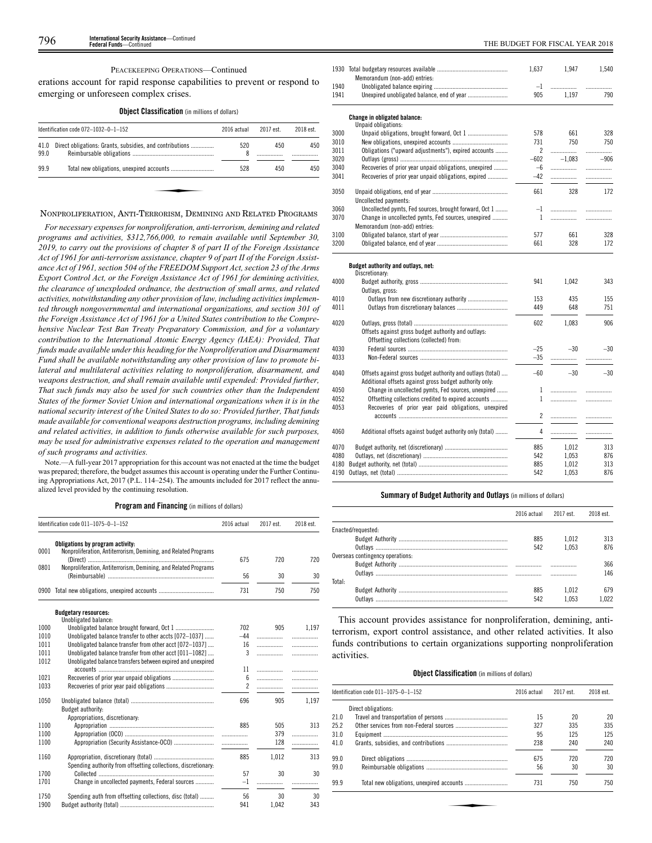# PEACEKEEPING OPERATIONS—Continued

erations account for rapid response capabilities to prevent or respond to emerging or unforeseen complex crises.

**Object Classification** (in millions of dollars)

|              |                                                          |          |     | 2018 est. |
|--------------|----------------------------------------------------------|----------|-----|-----------|
| 41.0<br>99.0 | Direct obligations: Grants, subsidies, and contributions | 520<br>8 | 450 | 450       |
| 99.9         |                                                          | 528      | 450 | 450       |

# NONPROLIFERATION, ANTI-TERRORISM, DEMINING AND RELATED PROGRAMS

*For necessary expenses for nonproliferation, anti-terrorism, demining and related programs and activities, \$312,766,000, to remain available until September 30, 2019, to carry out the provisions of chapter 8 of part II of the Foreign Assistance Act of 1961 for anti-terrorism assistance, chapter 9 of part II of the Foreign Assistance Act of 1961, section 504 of the FREEDOM Support Act, section 23 of the Arms Export Control Act, or the Foreign Assistance Act of 1961 for demining activities, the clearance of unexploded ordnance, the destruction of small arms, and related activities, notwithstanding any other provision of law, including activities implemented through nongovernmental and international organizations, and section 301 of the Foreign Assistance Act of 1961 for a United States contribution to the Comprehensive Nuclear Test Ban Treaty Preparatory Commission, and for a voluntary contribution to the International Atomic Energy Agency (IAEA): Provided, That funds made available under this heading for the Nonproliferation and Disarmament Fund shall be available notwithstanding any other provision of law to promote bilateral and multilateral activities relating to nonproliferation, disarmament, and weapons destruction, and shall remain available until expended: Provided further, That such funds may also be used for such countries other than the Independent States of the former Soviet Union and international organizations when it is in the national security interest of the United States to do so: Provided further, That funds made available for conventional weapons destruction programs, including demining and related activities, in addition to funds otherwise available for such purposes, may be used for administrative expenses related to the operation and management of such programs and activities.*

Note.—A full-year 2017 appropriation for this account was not enacted at the time the budget was prepared; therefore, the budget assumes this account is operating under the Further Continuing Appropriations Act, 2017 (P.L. 114–254). The amounts included for 2017 reflect the annualized level provided by the continuing resolution.

**Program and Financing** (in millions of dollars)

|      | Identification code 011-1075-0-1-152                                                                | 2016 actual    | 2017 est. | 2018 est. |
|------|-----------------------------------------------------------------------------------------------------|----------------|-----------|-----------|
| 0001 | Obligations by program activity:<br>Nonproliferation, Antiterrorism, Demining, and Related Programs | 675            | 720       | 720       |
| 0801 | Nonproliferation, Antiterrorism, Demining, and Related Programs                                     | 56             | 30        | 30        |
| 0900 |                                                                                                     | 731            | 750       | 750       |
|      | <b>Budgetary resources:</b><br>Unobligated balance:                                                 |                |           |           |
| 1000 |                                                                                                     | 702            | 905       | 1.197     |
| 1010 | Unobligated balance transfer to other accts [072-1037]                                              | $-44$          | .         | .         |
| 1011 | Unobligated balance transfer from other acct [072-1037]                                             | 16             | .         |           |
| 1011 | Unobligated balance transfer from other acct [011-1082]                                             | 3              | .         | .         |
| 1012 | Unobligated balance transfers between expired and unexpired                                         |                |           |           |
|      |                                                                                                     | 11             | .         | .         |
| 1021 |                                                                                                     | 6              |           | .         |
| 1033 |                                                                                                     | $\overline{c}$ |           |           |
| 1050 | Budget authority:<br>Appropriations, discretionary:                                                 | 696            | 905       | 1.197     |
| 1100 |                                                                                                     | 885            | 505       | 313       |
| 1100 |                                                                                                     |                | 379       | .         |
| 1100 |                                                                                                     |                | 128       | .         |
| 1160 | Spending authority from offsetting collections, discretionary:                                      | 885            | 1,012     | 313       |
| 1700 |                                                                                                     | 57             | 30        | 30        |
| 1701 | Change in uncollected payments, Federal sources                                                     | $-1$           |           | .         |
| 1750 | Spending auth from offsetting collections, disc (total)                                             | 56             | 30        | 30        |
| 1900 |                                                                                                     | 941            | 1,042     | 343       |

|      |                                                            | 1,637          | 1,947    | 1,540  |
|------|------------------------------------------------------------|----------------|----------|--------|
|      | Memorandum (non-add) entries:                              |                |          |        |
| 1940 |                                                            | $-1$           | .        |        |
| 1941 |                                                            | 905            | 1,197    | 790    |
|      |                                                            |                |          |        |
|      | Change in obligated balance:<br>Unpaid obligations:        |                |          |        |
| 3000 | Unpaid obligations, brought forward, Oct 1                 | 578            | 661      | 328    |
| 3010 |                                                            | 731            | 750      | 750    |
| 3011 | Obligations ("upward adjustments"), expired accounts       | $\mathfrak{p}$ | .        | .      |
| 3020 |                                                            | $-602$         | $-1.083$ | $-906$ |
| 3040 | Recoveries of prior year unpaid obligations, unexpired     | $-6$           | .        | .      |
| 3041 | Recoveries of prior year unpaid obligations, expired       | $-42$          | .        | .      |
|      |                                                            |                |          |        |
| 3050 |                                                            | 661            | 328      | 172    |
|      | Uncollected payments:                                      |                |          |        |
| 3060 | Uncollected pymts, Fed sources, brought forward, Oct 1     | $-1$           |          |        |
| 3070 | Change in uncollected pymts, Fed sources, unexpired        | $\mathbf{1}$   | .        | .      |
|      | Memorandum (non-add) entries:                              |                |          |        |
| 3100 |                                                            | 577            | 661      | 328    |
| 3200 |                                                            | 661            | 328      | 172    |
|      |                                                            |                |          |        |
|      | Budget authority and outlays, net:                         |                |          |        |
|      | Discretionary:                                             |                |          |        |
| 4000 |                                                            | 941            | 1.042    | 343    |
|      | Outlays, gross:                                            |                |          |        |
| 4010 |                                                            | 153            | 435      | 155    |
| 4011 |                                                            | 449            | 648      | 751    |
| 4020 |                                                            | 602            | 1,083    | 906    |
|      | Offsets against gross budget authority and outlays:        |                |          |        |
|      | Offsetting collections (collected) from:                   |                |          |        |
| 4030 |                                                            | $-25$          | $-30$    | $-30$  |
| 4033 |                                                            | $-35$          |          |        |
|      |                                                            |                |          |        |
| 4040 | Offsets against gross budget authority and outlays (total) | $-60$          | $-30$    | $-30$  |
|      | Additional offsets against gross budget authority only:    |                |          |        |
| 4050 | Change in uncollected pymts, Fed sources, unexpired        | 1              |          | .      |
| 4052 | Offsetting collections credited to expired accounts        | 1              |          |        |
| 4053 | Recoveries of prior year paid obligations, unexpired       |                |          |        |
|      |                                                            | 2              | .        | .      |
|      |                                                            |                |          |        |
| 4060 | Additional offsets against budget authority only (total)   | 4              | .        | .      |
| 4070 |                                                            | 885            | 1,012    | 313    |
| 4080 |                                                            | 542            | 1,053    | 876    |
| 4180 |                                                            | 885            | 1,012    | 313    |
| 4190 |                                                            | 542            | 1,053    | 876    |
|      |                                                            |                |          |        |
|      |                                                            |                |          |        |

# **Summary of Budget Authority and Outlays** (in millions of dollars)

|                                  | 2016 actual | 2017 est. | 2018 est. |
|----------------------------------|-------------|-----------|-----------|
| Enacted/requested:               |             |           |           |
|                                  | 885         | 1.012     | 313       |
|                                  | 542         | 1.053     | 876       |
| Overseas contingency operations: |             |           |           |
|                                  |             |           | 366       |
|                                  |             |           | 146       |
| Total:                           |             |           |           |
|                                  | 885         | 1.012     | 679       |
|                                  | 542         | 1 053     | 1 0 2 2   |

This account provides assistance for nonproliferation, demining, antiterrorism, export control assistance, and other related activities. It also funds contributions to certain organizations supporting nonproliferation activities.

# **Object Classification** (in millions of dollars)

|      | ldentification code 011–1075–0–1–152 | 2016 actual | 2017 est. | 2018 est. |
|------|--------------------------------------|-------------|-----------|-----------|
|      | Direct obligations:                  |             |           |           |
| 21.0 |                                      | 15          | 20        | 20        |
| 25.2 |                                      | 327         | 335       | 335       |
| 31.0 |                                      | 95          | 125       | 125       |
| 41.0 |                                      | 238         | 240       | 240       |
| 99.0 |                                      | 675         | 720       | 720       |
| 99.0 |                                      | 56          | 30        | 30        |
| 99.9 |                                      | 731         | 750       | 750       |
|      |                                      |             |           |           |
|      |                                      |             |           |           |
|      |                                      |             |           |           |
|      |                                      |             |           |           |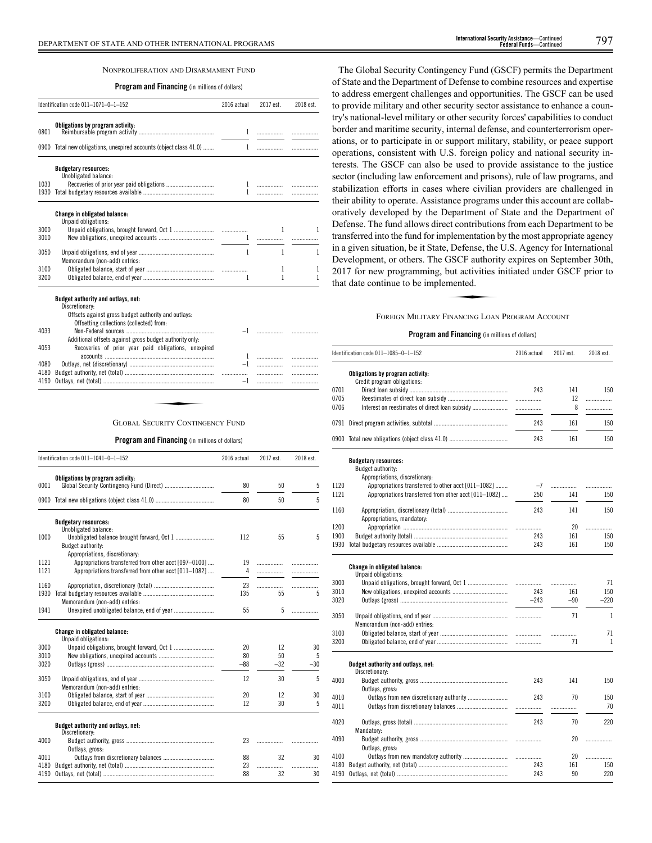# NONPROLIFERATION AND DISARMAMENT FUND

# **Program and Financing** (in millions of dollars)

|              | Identification code 011-1071-0-1-152                               | 2016 actual | 2017 est. | 2018 est. |
|--------------|--------------------------------------------------------------------|-------------|-----------|-----------|
| 0801         | Obligations by program activity:                                   |             |           |           |
|              | 0900 Total new obligations, unexpired accounts (object class 41.0) | 1           |           |           |
|              | <b>Budgetary resources:</b><br>Unobligated balance:                |             |           |           |
| 1033<br>1930 |                                                                    |             |           |           |
|              | <b>Change in obligated balance:</b><br>Unpaid obligations:         |             |           |           |
| 3000<br>3010 |                                                                    |             |           |           |
| 3050         | Memorandum (non-add) entries:                                      | 1           | 1         | 1         |
|              |                                                                    |             | 1         | 1         |
| 3100         |                                                                    |             |           |           |

|      | DISCRETIONARY:                                          |      |   |
|------|---------------------------------------------------------|------|---|
|      | Offsets against gross budget authority and outlays:     |      |   |
|      | Offsetting collections (collected) from:                |      |   |
| 4033 |                                                         |      |   |
|      | Additional offsets against gross budget authority only. |      |   |
| 4053 | Recoveries of prior year paid obligations, unexpired    |      |   |
|      |                                                         |      |   |
| 4080 |                                                         |      |   |
| 4180 |                                                         |      | . |
| 4190 |                                                         | $-1$ |   |
|      |                                                         |      |   |
|      |                                                         |      |   |
|      |                                                         |      |   |
|      |                                                         |      |   |
|      | GLOBAL SECURITY CONTINGENCY FUND                        |      |   |

# GLOBAL SECURITY CONTINGENCY FUND

# **Program and Financing** (in millions of dollars)

|      | Identification code 011-1041-0-1-152                  | 2016 actual | 2017 est. | 2018 est. |
|------|-------------------------------------------------------|-------------|-----------|-----------|
| 0001 | Obligations by program activity:                      | 80          | 50        | 5         |
|      |                                                       |             |           |           |
| 0900 |                                                       | 80          | 50        | 5         |
|      | <b>Budgetary resources:</b>                           |             |           |           |
| 1000 | Unobligated balance:                                  | 112         | 55        | 5         |
|      | Budget authority:                                     |             |           |           |
|      | Appropriations, discretionary:                        |             |           |           |
| 1121 | Appropriations transferred from other acct [097-0100] | 19          | .         | .         |
| 1121 | Appropriations transferred from other acct [011-1082] | 4           | .         | .         |
|      |                                                       |             |           |           |
| 1160 |                                                       | 23          |           | .         |
| 1930 |                                                       | 135         | 55        | 5         |
| 1941 | Memorandum (non-add) entries:                         | 55          | 5         | .         |
|      | Change in obligated balance:<br>Unpaid obligations:   |             |           |           |
| 3000 |                                                       | 20          | 12        | 30        |
| 3010 |                                                       | 80          | 50        | 5         |
| 3020 |                                                       | $-88$       | $-32$     | $-30$     |
| 3050 | Memorandum (non-add) entries:                         | 12          | 30        | 5         |
| 3100 |                                                       | 20          | 12        | 30        |
| 3200 |                                                       | 12          | 30        | 5         |
|      | Budget authority and outlays, net:<br>Discretionary:  |             |           |           |
| 4000 | Outlays, gross:                                       | 23          | .         |           |
| 4011 |                                                       | 88          | 32        | 30        |
| 4180 |                                                       | 23          | .         | .         |
| 4190 |                                                       | 88          | 32        | 30        |

The Global Security Contingency Fund (GSCF) permits the Department of State and the Department of Defense to combine resources and expertise to address emergent challenges and opportunities. The GSCF can be used to provide military and other security sector assistance to enhance a country's national-level military or other security forces' capabilities to conduct border and maritime security, internal defense, and counterterrorism operations, or to participate in or support military, stability, or peace support operations, consistent with U.S. foreign policy and national security interests. The GSCF can also be used to provide assistance to the justice sector (including law enforcement and prisons), rule of law programs, and stabilization efforts in cases where civilian providers are challenged in their ability to operate. Assistance programs under this account are collaboratively developed by the Department of State and the Department of Defense. The fund allows direct contributions from each Department to be transferred into the fund for implementation by the most appropriate agency in a given situation, be it State, Defense, the U.S. Agency for International Development, or others. The GSCF authority expires on September 30th,<br>2017 for new programming, but activities initiated under GSCF prior to<br>that date continue to be implemented.<br>FOREIGN MILITARY ENANCING LOAN PROGRAM ACCO 2017 for new programming, but activities initiated under GSCF prior to that date continue to be implemented.

# FOREIGN MILITARY FINANCING LOAN PROGRAM ACCOUNT

|      | Identification code 011-1085-0-1-152                            | 2016 actual | 2017 est. | 2018 est.    |
|------|-----------------------------------------------------------------|-------------|-----------|--------------|
|      | Obligations by program activity:<br>Credit program obligations: |             |           |              |
| 0701 |                                                                 | 243         | 141       | 150          |
| 0705 |                                                                 | .           | 12        | .            |
| 0706 | Interest on reestimates of direct loan subsidy                  | .           | 8         | .            |
| 0791 |                                                                 | 243         | 161       | 150          |
|      |                                                                 | 243         | 161       | 150          |
|      | <b>Budgetary resources:</b><br>Budget authority:                |             |           |              |
|      | Appropriations, discretionary:                                  |             |           |              |
| 1120 | Appropriations transferred to other acct [011-1082]             | $-7$        |           | .            |
| 1121 | Appropriations transferred from other acct [011-1082]           | 250         | 141       | 150          |
| 1160 | Appropriations, mandatory:                                      | 243         | 141       | 150          |
| 1200 |                                                                 | .           | 20        | .            |
| 1900 |                                                                 | 243         | 161       | 150          |
| 1930 |                                                                 | 243         | 161       | 150          |
|      | Change in obligated balance:<br>Unpaid obligations:             |             |           |              |
| 3000 | Unpaid obligations, brought forward, Oct 1                      | .           | .         | 71           |
| 3010 |                                                                 | 243         | 161       | 150          |
| 3020 |                                                                 | $-243$      | $-90$     | $-220$       |
| 3050 |                                                                 |             | 71        | $\mathbf{1}$ |
|      | Memorandum (non-add) entries:                                   |             |           |              |
| 3100 |                                                                 |             | .         | 71           |
| 3200 |                                                                 |             | 71        | 1            |
|      | Budget authority and outlays, net:<br>Discretionary:            |             |           |              |
| 4000 |                                                                 | 243         | 141       | 150          |
|      | Outlays, gross:                                                 |             |           |              |
| 4010 |                                                                 | 243         | 70        | 150          |
| 4011 |                                                                 |             | .         | 70           |
| 4020 |                                                                 | 243         | 70        | 220          |
|      | Mandatory:                                                      |             |           |              |
| 4090 |                                                                 |             | 20        | .            |
|      | Outlays, gross:                                                 |             |           |              |
| 4100 |                                                                 | .           | 20        | .            |
| 4180 |                                                                 | 243         | 161       | 150          |
| 4190 |                                                                 | 243         | 90        | 220          |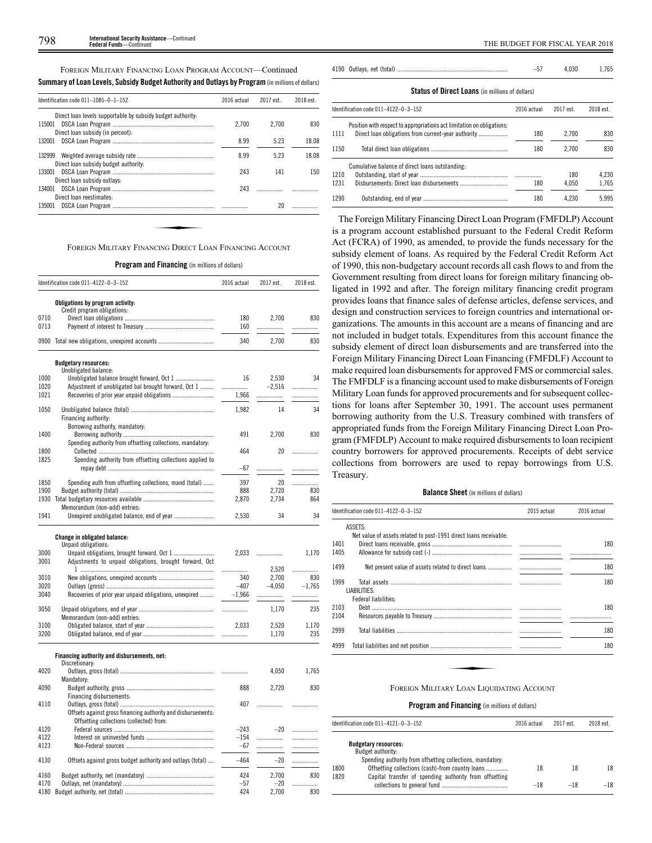FOREIGN MILITARY FINANCING LOAN PROGRAM ACCOUNT—Continued

| Direct loan levels supportable by subsidy budget authority.<br>2.700<br>2.700<br>Direct loan subsidy (in percent):<br>8.99<br>5.23<br>5.23<br>8.99<br>132999<br>Direct loan subsidy budget authority:<br>243<br>141<br>Direct loan subsidy outlays:<br>243<br>Direct loan reestimates: | Identification code 011-1085-0-1-152 | 2016 actual | 2017 est. | 2018 est. |
|----------------------------------------------------------------------------------------------------------------------------------------------------------------------------------------------------------------------------------------------------------------------------------------|--------------------------------------|-------------|-----------|-----------|
| 115001<br>132001<br>133001<br>134001                                                                                                                                                                                                                                                   |                                      |             |           |           |
|                                                                                                                                                                                                                                                                                        |                                      |             |           | 830       |
|                                                                                                                                                                                                                                                                                        |                                      |             |           |           |
|                                                                                                                                                                                                                                                                                        |                                      |             |           | 18.08     |
|                                                                                                                                                                                                                                                                                        |                                      |             |           | 18.08     |
|                                                                                                                                                                                                                                                                                        |                                      |             |           | 150       |
|                                                                                                                                                                                                                                                                                        |                                      |             |           |           |
|                                                                                                                                                                                                                                                                                        |                                      |             |           |           |
| 20<br>135001                                                                                                                                                                                                                                                                           |                                      |             |           |           |

|  |  |  |  | <b>Program and Financing</b> (in millions of dollars) |
|--|--|--|--|-------------------------------------------------------|
|--|--|--|--|-------------------------------------------------------|

|      | Identification code 011-4122-0-3-152                         | 2016 actual | 2017 est. | 2018 est. |
|------|--------------------------------------------------------------|-------------|-----------|-----------|
|      | Obligations by program activity:                             |             |           |           |
|      | Credit program obligations:                                  |             |           |           |
| 0710 |                                                              | 180         | 2,700     | 830       |
| 0713 |                                                              | 160         |           | .         |
|      | 0900 Total new obligations, unexpired accounts               | 340         | 2,700     | 830       |
|      | <b>Budgetary resources:</b>                                  |             |           |           |
|      | Unobligated balance:                                         |             |           |           |
| 1000 |                                                              | 16          | 2,530     | 34        |
| 1020 | Adjustment of unobligated bal brought forward, Oct 1         | .           | $-2,516$  | .         |
| 1021 |                                                              | 1,966       | .         | .         |
| 1050 |                                                              | 1,982       | 14        | 34        |
|      | Financing authority:                                         |             |           |           |
|      | Borrowing authority, mandatory:                              |             |           |           |
| 1400 |                                                              | 491         | 2,700     | 830       |
|      | Spending authority from offsetting collections, mandatory:   |             |           |           |
| 1800 |                                                              | 464         | 20        | .         |
| 1825 | Spending authority from offsetting collections applied to    |             |           |           |
|      |                                                              | $-67$       | .         | .         |
|      |                                                              |             |           |           |
| 1850 | Spending auth from offsetting collections, mand (total)      | 397         | 20        | .         |
| 1900 |                                                              | 888         | 2,720     | 830       |
| 1930 |                                                              | 2,870       | 2,734     | 864       |
|      | Memorandum (non-add) entries:                                |             |           |           |
| 1941 | Unexpired unobligated balance, end of year                   | 2,530       | 34        | 34        |
|      | <b>Change in obligated balance:</b>                          |             |           |           |
|      | Unpaid obligations:                                          |             |           |           |
| 3000 |                                                              | 2,033       |           | 1,170     |
| 3001 | Adjustments to unpaid obligations, brought forward, Oct      |             |           |           |
|      |                                                              | .           | 2.520     | .         |
| 3010 |                                                              | 340         | 2,700     | 830       |
| 3020 |                                                              | $-407$      | $-4,050$  | $-1,765$  |
| 3040 | Recoveries of prior year unpaid obligations, unexpired       | $-1,966$    | .         | .         |
| 3050 |                                                              |             |           | 235       |
|      | Memorandum (non-add) entries:                                |             | 1,170     |           |
| 3100 |                                                              | 2,033       | 2,520     | 1,170     |
| 3200 |                                                              |             |           | 235       |
|      |                                                              | .           | 1,170     |           |
|      | Financing authority and disbursements, net:                  |             |           |           |
|      | Discretionary:                                               |             |           |           |
| 4020 |                                                              | .           | 4,050     | 1,765     |
|      | Mandatory:                                                   |             |           |           |
| 4090 |                                                              | 888         | 2,720     | 830       |
|      | Financing disbursements:                                     |             |           |           |
| 4110 |                                                              | 407         | .         | .         |
|      | Offsets against gross financing authority and disbursements: |             |           |           |
|      | Offsetting collections (collected) from:                     |             |           |           |
| 4120 |                                                              | $-243$      | $-20$     | .         |
| 4122 |                                                              | $-154$      | .         | .         |
| 4123 |                                                              | $-67$       | .         | .         |
|      |                                                              |             |           |           |
| 4130 | Offsets against gross budget authority and outlays (total)   | $-464$      | $-20$     |           |
| 4160 |                                                              | 424         | 2,700     | 830       |
| 4170 |                                                              | $-57$       | $-20$     | .         |
| 4180 |                                                              | 424         | 2,700     | 830       |
|      |                                                              |             |           |           |

|  | 4.030 | .765 |
|--|-------|------|
|  |       |      |

**Status of Direct Loans** (in millions of dollars)

|      | Identification code 011-4122-0-3-152                                   | 2016 actual | 2017 est. | 2018 est. |
|------|------------------------------------------------------------------------|-------------|-----------|-----------|
| 1111 | Position with respect to appropriations act limitation on obligations: | 180         | 2.700     | 830       |
| 1150 |                                                                        | 180         | 2.700     | 830       |
| 1210 | Cumulative balance of direct loans outstanding:                        |             | 180       | 4.230     |
| 1231 |                                                                        |             |           |           |
|      |                                                                        | 180         | 4.050     | 1.765     |
| 1290 |                                                                        | 180         | 4.230     | 5.995     |

The Foreign Military Financing Direct Loan Program (FMFDLP) Account is a program account established pursuant to the Federal Credit Reform Act (FCRA) of 1990, as amended, to provide the funds necessary for the subsidy element of loans. As required by the Federal Credit Reform Act of 1990, this non-budgetary account records all cash flows to and from the Government resulting from direct loans for foreign military financing obligated in 1992 and after. The foreign military financing credit program provides loans that finance sales of defense articles, defense services, and design and construction services to foreign countries and international organizations. The amounts in this account are a means of financing and are not included in budget totals. Expenditures from this account finance the subsidy element of direct loan disbursements and are transferred into the Foreign Military Financing Direct Loan Financing (FMFDLF) Account to make required loan disbursements for approved FMS or commercial sales. The FMFDLF is a financing account used to make disbursements of Foreign Military Loan funds for approved procurements and for subsequent collections for loans after September 30, 1991. The account uses permanent borrowing authority from the U.S. Treasury combined with transfers of appropriated funds from the Foreign Military Financing Direct Loan Program (FMFDLP) Account to make required disbursements to loan recipient country borrowers for approved procurements. Receipts of debt service collections from borrowers are used to repay borrowings from U.S. Treasury.

# **Balance Sheet** (in millions of dollars)

| ldentification code 011–4122–0–3–152                                         | 2015 actual | 2016 actual |
|------------------------------------------------------------------------------|-------------|-------------|
| ASSETS:<br>Net value of assets related to post-1991 direct loans receivable: |             |             |
| 1401<br>1405                                                                 |             | 180         |
| 1499                                                                         |             | 180         |
| 1999<br>LIABILITIES:<br>Federal liabilities:                                 |             | 180         |
| 2103<br>2104                                                                 |             | 180         |
| 2999                                                                         |             | 180         |
| 4999                                                                         |             | 180         |
| FOREIGN MILITARY LOAN LIQUIDATING ACCOUNT                                    |             |             |

#### FOREIGN MILITARY LOAN LIQUIDATING ACCOUNT

| Identification code $011-4121-0-3-152$ |                                                            | 2016 actual | 2017 est. | 2018 est. |
|----------------------------------------|------------------------------------------------------------|-------------|-----------|-----------|
|                                        | <b>Budgetary resources:</b>                                |             |           |           |
|                                        | Budget authority:                                          |             |           |           |
|                                        | Spending authority from offsetting collections, mandatory. |             |           |           |
| 1800                                   | Offsetting collections (cash)-from country loans           | 18          | 18        | 18        |
| 1820                                   | Capital transfer of spending authority from offsetting     |             |           |           |
|                                        |                                                            | $-18$       | $-18$     | $-18$     |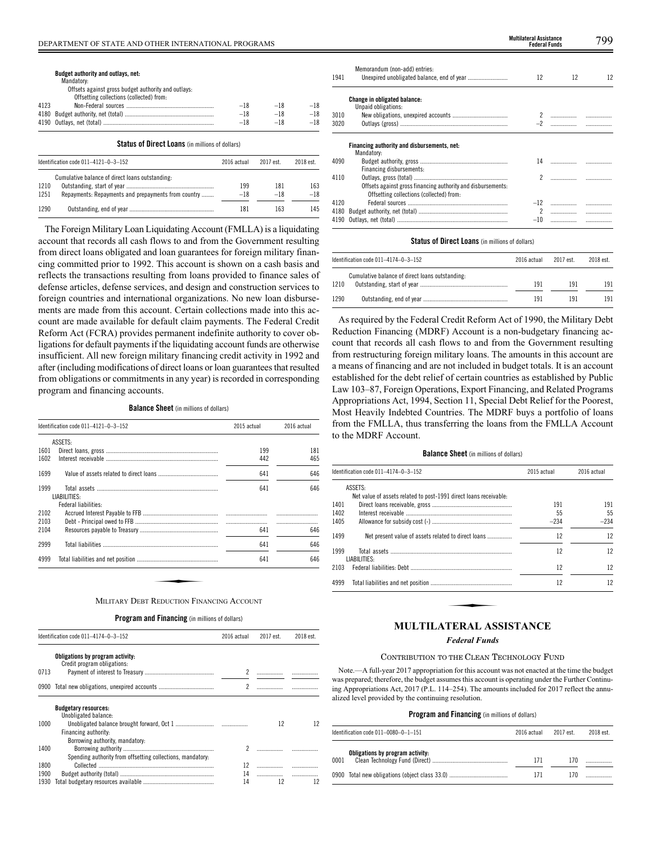|      | Budget authority and outlays, net:<br>Mandatory:<br>Offsets against gross budget authority and outlays:<br>Offsetting collections (collected) from: |               |            |       |
|------|-----------------------------------------------------------------------------------------------------------------------------------------------------|---------------|------------|-------|
| 4123 |                                                                                                                                                     | $-18$         | $-18$      | $-18$ |
| 4180 |                                                                                                                                                     | $-18$         | $-18$      | $-18$ |
|      |                                                                                                                                                     | $-18$         | $-18$      | $-18$ |
|      | <b>Status of Direct Loans</b> (in millions of dollars)                                                                                              |               |            |       |
|      |                                                                                                                                                     | $0010$ catual | $2017 - 1$ | 0010  |

|      | Identification code 011-4121-0-3-152                | 2016 actual | 2017 est | 2018 est. |
|------|-----------------------------------------------------|-------------|----------|-----------|
|      | Cumulative balance of direct loans outstanding:     |             |          |           |
| 1210 |                                                     | 199         | 181      | 163       |
| 1251 | Repayments: Repayments and prepayments from country | $-18$       | $-18$    | $-18$     |
| 1290 |                                                     | 181         | 163      | 145       |

The Foreign Military Loan Liquidating Account (FMLLA) is a liquidating account that records all cash flows to and from the Government resulting from direct loans obligated and loan guarantees for foreign military financing committed prior to 1992. This account is shown on a cash basis and reflects the transactions resulting from loans provided to finance sales of defense articles, defense services, and design and construction services to foreign countries and international organizations. No new loan disbursements are made from this account. Certain collections made into this account are made available for default claim payments. The Federal Credit Reform Act (FCRA) provides permanent indefinite authority to cover obligations for default payments if the liquidating account funds are otherwise insufficient. All new foreign military financing credit activity in 1992 and after (including modifications of direct loans or loan guarantees that resulted from obligations or commitments in any year) is recorded in corresponding program and financing accounts.

**Balance Sheet** (in millions of dollars)

|      | Identification code 011-4121-0-3-152      | 2015 actual | 2016 actual |
|------|-------------------------------------------|-------------|-------------|
|      | ASSETS:                                   |             |             |
| 1601 |                                           | 199         | 181         |
| 1602 |                                           | 442         | 465         |
| 1699 |                                           | 641         | 646         |
| 1999 | LIABILITIES:                              | 641         | 646         |
|      | Federal liabilities:                      |             |             |
| 2102 |                                           |             |             |
| 2103 |                                           |             |             |
| 2104 |                                           | 641         | 646         |
| 2999 |                                           | 641         | 646         |
| 4999 |                                           | 641         | 646         |
|      |                                           |             |             |
|      | MILITARY DEBT REDUCTION FINANCING ACCOUNT |             |             |

| <b>Program and Financing</b> (in millions of dollars) |  |  |  |
|-------------------------------------------------------|--|--|--|
|-------------------------------------------------------|--|--|--|

|      | Identification code 011-4174-0-3-152                            |                          | 2017 est. | 2018 est. |
|------|-----------------------------------------------------------------|--------------------------|-----------|-----------|
|      | Obligations by program activity:<br>Credit program obligations: |                          |           |           |
| 0713 |                                                                 | 2                        |           |           |
| 0900 |                                                                 | $\overline{\phantom{a}}$ |           |           |
|      | <b>Budgetary resources:</b><br>Unobligated balance:             |                          |           |           |
| 1000 | Financing authority:<br>Borrowing authority, mandatory:         |                          | 12        | 12        |
| 1400 | Spending authority from offsetting collections, mandatory:      | $\mathfrak{p}$           |           |           |
| 1800 |                                                                 | 12                       |           |           |
| 1900 |                                                                 | 14                       |           |           |
| 1930 |                                                                 | 14                       | 12        | 12        |

|              |                                                                                                          | <b>Federal Funds</b> |                                                    | , , , |
|--------------|----------------------------------------------------------------------------------------------------------|----------------------|----------------------------------------------------|-------|
| 1941         | Memorandum (non-add) entries:                                                                            | 12                   | 12                                                 | 12    |
| 3010<br>3020 | <b>Change in obligated balance:</b><br>Unpaid obligations:                                               |                      | $\ldots \ldots \ldots \ldots \ldots \ldots \ldots$ |       |
|              | Financing authority and disbursements, net:<br>Mandatory:                                                |                      |                                                    |       |
| 4090         | Financing disbursements:                                                                                 |                      |                                                    |       |
| 4110         | Offsets against gross financing authority and disbursements:<br>Offsetting collections (collected) from: |                      |                                                    |       |
| 4120         |                                                                                                          |                      |                                                    |       |
| 4180         |                                                                                                          |                      |                                                    |       |
|              |                                                                                                          | $-10$                |                                                    |       |

# **Status of Direct Loans** (in millions of dollars)

| Identification code $011-4174-0-3-152$ |                                                 | 2016 actual | 2017 est. | 2018 est. |
|----------------------------------------|-------------------------------------------------|-------------|-----------|-----------|
| 1210                                   | Cumulative balance of direct loans outstanding: | 191         | 191       | 191       |
| 1290                                   |                                                 | 191         | 191       | 191       |

As required by the Federal Credit Reform Act of 1990, the Military Debt Reduction Financing (MDRF) Account is a non-budgetary financing account that records all cash flows to and from the Government resulting from restructuring foreign military loans. The amounts in this account are a means of financing and are not included in budget totals. It is an account established for the debt relief of certain countries as established by Public Law 103–87, Foreign Operations, Export Financing, and Related Programs Appropriations Act, 1994, Section 11, Special Debt Relief for the Poorest, Most Heavily Indebted Countries. The MDRF buys a portfolio of loans from the FMLLA, thus transferring the loans from the FMLLA Account to the MDRF Account.

## **Balance Sheet** (in millions of dollars)

|      | ldentification code 011–4174–0–3–152                              |        | 2016 actual |
|------|-------------------------------------------------------------------|--------|-------------|
|      | ASSETS:                                                           |        |             |
|      | Net value of assets related to post-1991 direct loans receivable: |        |             |
| 1401 |                                                                   | 191    | 191         |
| 1402 |                                                                   | 55     | 55          |
| 1405 |                                                                   | $-234$ | $-234$      |
| 1499 | Net present value of assets related to direct loans               | 12     | 12          |
| 1999 | LIABILITIES:                                                      | 12     | 12          |
| 2103 |                                                                   | 12     | 12          |
| 4999 |                                                                   | 12     | 12          |
|      |                                                                   |        |             |
|      |                                                                   |        |             |
|      |                                                                   |        |             |
|      | МІН ТІІ АТЕРАІ АССІСТАНСЕ                                         |        |             |

# **MULTILATERAL ASSISTANCE**

# *Federal Funds*

# CONTRIBUTION TO THE CLEAN TECHNOLOGY FUND

Note.—A full-year 2017 appropriation for this account was not enacted at the time the budget was prepared; therefore, the budget assumes this account is operating under the Further Continuing Appropriations Act, 2017 (P.L. 114–254). The amounts included for 2017 reflect the annualized level provided by the continuing resolution.

| ldentification code 011–0080–0–1–151 |                                  | 2016 actual | 2017 est. | 2018 est. |
|--------------------------------------|----------------------------------|-------------|-----------|-----------|
| 0001                                 | Obligations by program activity: | 171         | 170       |           |
|                                      |                                  | 171         | 170.      |           |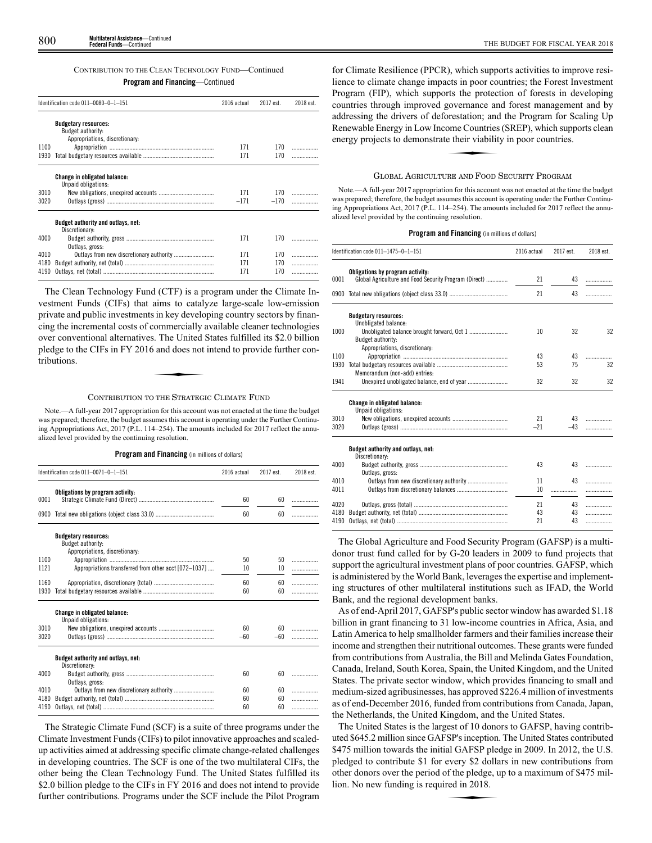# CONTRIBUTION TO THE CLEAN TECHNOLOGY FUND—Continued

# **Program and Financing**—Continued

| Identification code 011-0080-0-1-151 |                                                            | 2016 actual | 2017 est. | 2018 est. |
|--------------------------------------|------------------------------------------------------------|-------------|-----------|-----------|
|                                      | <b>Budgetary resources:</b><br>Budget authority:           |             |           |           |
|                                      | Appropriations, discretionary:                             |             |           |           |
| 1100                                 |                                                            | 171         | 170       |           |
| 1930                                 |                                                            | 171         | 170       | .         |
|                                      | <b>Change in obligated balance:</b><br>Unpaid obligations: |             |           |           |
| 3010                                 |                                                            | 171         | 170       |           |
| 3020                                 |                                                            | $-171$      | $-170$    |           |
|                                      | Budget authority and outlays, net:<br>Discretionary:       |             |           |           |
| 4000                                 | Outlays, gross:                                            | 171         | 170       |           |
| 4010                                 |                                                            | 171         | 170       |           |
| 4180                                 |                                                            | 171         | 170       | .         |
| 4190                                 |                                                            | 171         | 170       | .         |

The Clean Technology Fund (CTF) is a program under the Climate Investment Funds (CIFs) that aims to catalyze large-scale low-emission private and public investments in key developing country sectors by financing the incremental costs of commercially available cleaner technologies over conventional alternatives. The United States fulfilled its \$2.0 billion pledge to the CIFs in FY 2016 and does not intend to provide further contributions.  $\frac{1}{2}$ . The United  $\frac{1}{2}$ <br>  $\frac{1}{2}$  and does not

# CONTRIBUTION TO THE STRATEGIC CLIMATE FUND

Note.—A full-year 2017 appropriation for this account was not enacted at the time the budget was prepared; therefore, the budget assumes this account is operating under the Further Continuing Appropriations Act, 2017 (P.L. 114–254). The amounts included for 2017 reflect the annualized level provided by the continuing resolution.

# **Program and Financing** (in millions of dollars)

| Identification code 011-0071-0-1-151 |                                                                                    | 2016 actual | 2017 est. | 2018 est. |
|--------------------------------------|------------------------------------------------------------------------------------|-------------|-----------|-----------|
| 0001                                 | Obligations by program activity:                                                   | 60          | 60        |           |
|                                      |                                                                                    |             |           | .         |
|                                      |                                                                                    | 60          | 60        | .         |
|                                      | <b>Budgetary resources:</b><br>Budget authority:<br>Appropriations, discretionary: |             |           |           |
| 1100                                 |                                                                                    | 50          | 50        | .         |
| 1121                                 | Appropriations transferred from other acct [072-1037]                              | 10          | 10        | .         |
|                                      |                                                                                    |             |           |           |
| 1160                                 |                                                                                    | 60          | 60        | .         |
| 1930                                 |                                                                                    | 60          | 60        | .         |
|                                      | <b>Change in obligated balance:</b><br>Unpaid obligations:                         |             |           |           |
| 3010                                 |                                                                                    | 60          | 60        |           |
| 3020                                 |                                                                                    | $-60$       | $-60$     |           |
|                                      | Budget authority and outlays, net:<br>Discretionary:                               |             |           |           |
| 4000                                 | Outlays, gross:                                                                    | 60          | 60        |           |
| 4010                                 |                                                                                    | 60          | 60        | .         |
| 4180                                 |                                                                                    | 60          | 60        | .         |
| 4190                                 |                                                                                    | 60          | 60        | .         |
|                                      |                                                                                    |             |           |           |

The Strategic Climate Fund (SCF) is a suite of three programs under the Climate Investment Funds (CIFs) to pilot innovative approaches and scaledup activities aimed at addressing specific climate change-related challenges in developing countries. The SCF is one of the two multilateral CIFs, the other being the Clean Technology Fund. The United States fulfilled its \$2.0 billion pledge to the CIFs in FY 2016 and does not intend to provide further contributions. Programs under the SCF include the Pilot Program

for Climate Resilience (PPCR), which supports activities to improve resilience to climate change impacts in poor countries; the Forest Investment Program (FIP), which supports the protection of forests in developing countries through improved governance and forest management and by addressing the drivers of deforestation; and the Program for Scaling Up<br>Renewable Energy in Low Income Countries (SREP), which supports clean<br>energy projects to demonstrate their viability in poor countries. Renewable Energy in Low Income Countries (SREP), which supports clean energy projects to demonstrate their viability in poor countries.

# GLOBAL AGRICULTURE AND FOOD SECURITY PROGRAM

Note.—A full-year 2017 appropriation for this account was not enacted at the time the budget was prepared; therefore, the budget assumes this account is operating under the Further Continuing Appropriations Act, 2017 (P.L. 114–254). The amounts included for 2017 reflect the annualized level provided by the continuing resolution.

# **Program and Financing** (in millions of dollars)

| Identification code 011-1475-0-1-151 |                                                                                           | 2016 actual | 2017 est. | 2018 est. |
|--------------------------------------|-------------------------------------------------------------------------------------------|-------------|-----------|-----------|
| 0001                                 | Obligations by program activity:<br>Global Agriculture and Food Security Program (Direct) | 21          | 43        | .         |
| 0900                                 |                                                                                           | 21          | 43        |           |
|                                      | <b>Budgetary resources:</b>                                                               |             |           |           |
|                                      | Unobligated balance:                                                                      |             |           |           |
| 1000                                 |                                                                                           | 10          | 32        | 32        |
|                                      | <b>Budget authority:</b>                                                                  |             |           |           |
|                                      | Appropriations, discretionary:                                                            |             |           |           |
| 1100                                 |                                                                                           | 43          | 43        | .         |
| 1930                                 |                                                                                           | 53          | 75        | 32        |
|                                      | Memorandum (non-add) entries:                                                             |             |           |           |
| 1941                                 |                                                                                           | 32          | 32        | 32        |
|                                      | Change in obligated balance:                                                              |             |           |           |
|                                      | Unpaid obligations:                                                                       |             |           |           |
| 3010                                 |                                                                                           | 21          | 43        |           |
| 3020                                 |                                                                                           | $-21$       | $-43$     |           |
|                                      | Budget authority and outlays, net:<br>Discretionary:                                      |             |           |           |
| 4000                                 | Outlays, gross:                                                                           | 43          | 43        | .         |
| 4010                                 |                                                                                           | 11          | 43        |           |
| 4011                                 |                                                                                           | 10          | .         | .         |
|                                      |                                                                                           |             |           |           |
| 4020                                 |                                                                                           | 21          | 43        | .         |
| 4180                                 |                                                                                           | 43          | 43        | .         |
| 4190                                 |                                                                                           | 21          | 43        | .         |

The Global Agriculture and Food Security Program (GAFSP) is a multidonor trust fund called for by G-20 leaders in 2009 to fund projects that support the agricultural investment plans of poor countries. GAFSP, which is administered by the World Bank, leverages the expertise and implementing structures of other multilateral institutions such as IFAD, the World Bank, and the regional development banks.

As of end-April 2017, GAFSP's public sector window has awarded \$1.18 billion in grant financing to 31 low-income countries in Africa, Asia, and Latin America to help smallholder farmers and their families increase their income and strengthen their nutritional outcomes. These grants were funded from contributions from Australia, the Bill and Melinda Gates Foundation, Canada, Ireland, South Korea, Spain, the United Kingdom, and the United States. The private sector window, which provides financing to small and medium-sized agribusinesses, has approved \$226.4 million of investments as of end-December 2016, funded from contributions from Canada, Japan, the Netherlands, the United Kingdom, and the United States.

The United States is the largest of 10 donors to GAFSP, having contributed \$645.2 million since GAFSP's inception. The United States contributed \$475 million towards the initial GAFSP pledge in 2009. In 2012, the U.S. pledged to contribute \$1 for every \$2 dollars in new contributions from other donors over the period of the pledge, up to a maximum of \$475 million. No new funding is required in 2018. other donors over the period of the pledge, up to a maximum of \$475 million. No new funding is required in 2018.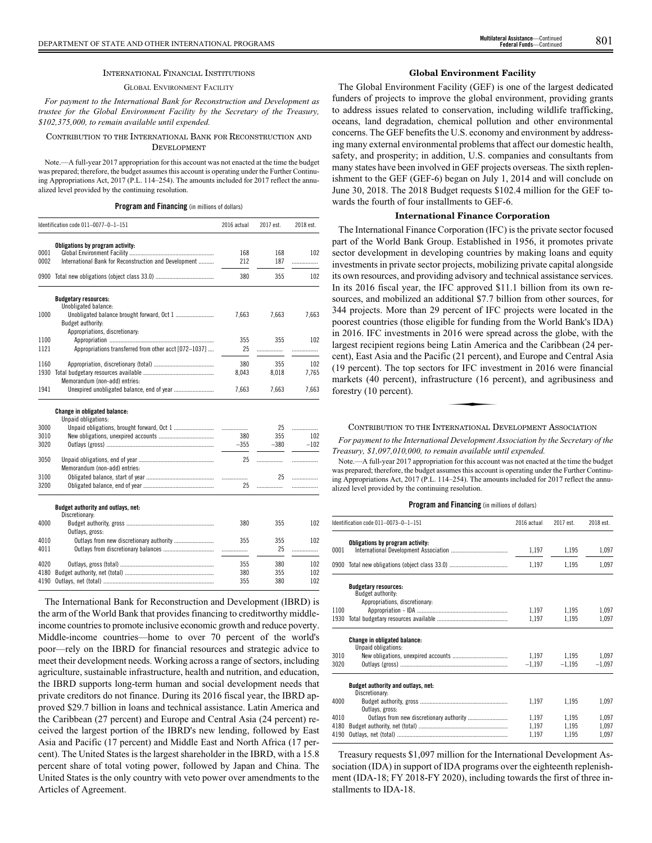#### INTERNATIONAL FINANCIAL INSTITUTIONS

## GLOBAL ENVIRONMENT FACILITY

*For payment to the International Bank for Reconstruction and Development as trustee for the Global Environment Facility by the Secretary of the Treasury, \$102,375,000, to remain available until expended.*

#### CONTRIBUTION TO THE INTERNATIONAL BANK FOR RECONSTRUCTION AND DEVELOPMENT

Note.—A full-year 2017 appropriation for this account was not enacted at the time the budget was prepared; therefore, the budget assumes this account is operating under the Further Continuing Appropriations Act, 2017 (P.L. 114–254). The amounts included for 2017 reflect the annualized level provided by the continuing resolution.

#### **Program and Financing** (in millions of dollars)

|              | Identification code 011-0077-0-1-151                       | 2016 actual | 2017 est. | 2018 est. |
|--------------|------------------------------------------------------------|-------------|-----------|-----------|
|              | Obligations by program activity:                           |             |           |           |
| 0001         |                                                            | 168         | 168       | 102       |
| 0002         | International Bank for Reconstruction and Development      | 212         | 187       | .         |
| 0900         |                                                            | 380         | 355       | 102       |
|              | <b>Budgetary resources:</b><br>Unobligated balance:        |             |           |           |
| 1000         |                                                            | 7,663       | 7,663     | 7,663     |
|              | Budget authority:                                          |             |           |           |
|              | Appropriations, discretionary:                             |             |           |           |
| 1100         |                                                            | 355         | 355       | 102       |
| 1121         | Appropriations transferred from other acct [072-1037]      | 25          | .         | .         |
| 1160         |                                                            | 380         | 355       | 102       |
| 1930         |                                                            | 8.043       | 8,018     | 7.765     |
|              | Memorandum (non-add) entries:                              |             |           |           |
| 1941         |                                                            | 7,663       | 7,663     | 7,663     |
|              | <b>Change in obligated balance:</b><br>Unpaid obligations: |             |           |           |
| 3000         |                                                            |             | 25        | .         |
| 3010         |                                                            | 380         | 355       | 102       |
| 3020         |                                                            | $-355$      | $-380$    | $-102$    |
| 3050         | Memorandum (non-add) entries:                              | 25          | .         | .         |
| 3100         |                                                            |             | 25        | .         |
| 3200         |                                                            | 25          | .         | .         |
|              |                                                            |             |           |           |
|              | Budget authority and outlays, net:<br>Discretionary:       |             |           |           |
| 4000         |                                                            | 380         | 355       | 102       |
|              | Outlays, gross:                                            | 355         | 355       | 102       |
| 4010<br>4011 |                                                            |             | 25        |           |
|              |                                                            | .           |           | .         |
| 4020         |                                                            | 355         | 380       | 102       |

The International Bank for Reconstruction and Development (IBRD) is the arm of the World Bank that provides financing to creditworthy middleincome countries to promote inclusive economic growth and reduce poverty. Middle-income countries—home to over 70 percent of the world's poor—rely on the IBRD for financial resources and strategic advice to meet their development needs. Working across a range of sectors, including agriculture, sustainable infrastructure, health and nutrition, and education, the IBRD supports long-term human and social development needs that private creditors do not finance. During its 2016 fiscal year, the IBRD approved \$29.7 billion in loans and technical assistance. Latin America and the Caribbean (27 percent) and Europe and Central Asia (24 percent) received the largest portion of the IBRD's new lending, followed by East Asia and Pacific (17 percent) and Middle East and North Africa (17 percent). The United States is the largest shareholder in the IBRD, with a 15.8 percent share of total voting power, followed by Japan and China. The United States is the only country with veto power over amendments to the Articles of Agreement.

4180 Budget authority, net (total) .......................................................... 380 355 102 4190 Outlays, net (total) ........................................................................ 355 380 102

## **Global Environment Facility**

The Global Environment Facility (GEF) is one of the largest dedicated funders of projects to improve the global environment, providing grants to address issues related to conservation, including wildlife trafficking, oceans, land degradation, chemical pollution and other environmental concerns. The GEF benefits the U.S. economy and environment by addressing many external environmental problems that affect our domestic health, safety, and prosperity; in addition, U.S. companies and consultants from many states have been involved in GEF projects overseas. The sixth replenishment to the GEF (GEF-6) began on July 1, 2014 and will conclude on June 30, 2018. The 2018 Budget requests \$102.4 million for the GEF towards the fourth of four installments to GEF-6.

## **International Finance Corporation**

The International Finance Corporation (IFC) is the private sector focused part of the World Bank Group. Established in 1956, it promotes private sector development in developing countries by making loans and equity investments in private sector projects, mobilizing private capital alongside its own resources, and providing advisory and technical assistance services. In its 2016 fiscal year, the IFC approved \$11.1 billion from its own resources, and mobilized an additional \$7.7 billion from other sources, for 344 projects. More than 29 percent of IFC projects were located in the poorest countries (those eligible for funding from the World Bank's IDA) in 2016. IFC investments in 2016 were spread across the globe, with the largest recipient regions being Latin America and the Caribbean (24 percent), East Asia and the Pacific (21 percent), and Europe and Central Asia (19 percent). The top sectors for IFC investment in 2016 were financial markets (40 percent), infrastructure (16 percent), and agribusiness and forestry (10 percent).  $\frac{1}{2}$  for IFC investors of IFC investors of  $\frac{1}{2}$ 

CONTRIBUTION TO THE INTERNATIONAL DEVELOPMENT ASSOCIATION

*For payment to the International Development Association by the Secretary of the Treasury, \$1,097,010,000, to remain available until expended.*

Note.—A full-year 2017 appropriation for this account was not enacted at the time the budget was prepared; therefore, the budget assumes this account is operating under the Further Continuing Appropriations Act, 2017 (P.L. 114–254). The amounts included for 2017 reflect the annualized level provided by the continuing resolution.

#### **Program and Financing** (in millions of dollars)

|                      | Identification code 011-0073-0-1-151                                               | 2016 actual             | 2017 est.               | 2018 est.               |
|----------------------|------------------------------------------------------------------------------------|-------------------------|-------------------------|-------------------------|
| 0001                 | Obligations by program activity:                                                   | 1,197                   | 1,195                   | 1,097                   |
|                      |                                                                                    | 1,197                   | 1,195                   | 1,097                   |
|                      | <b>Budgetary resources:</b><br>Budget authority:<br>Appropriations, discretionary: |                         |                         |                         |
| 1100<br>1930         |                                                                                    | 1,197<br>1.197          | 1,195<br>1.195          | 1,097<br>1,097          |
|                      | Change in obligated balance:<br>Unpaid obligations:                                |                         |                         |                         |
| 3010<br>3020         |                                                                                    | 1,197<br>$-1,197$       | 1,195<br>$-1,195$       | 1.097<br>$-1,097$       |
|                      | Budget authority and outlays, net:<br>Discretionary:                               |                         |                         |                         |
| 4000                 | Outlays, gross:                                                                    | 1,197                   | 1,195                   | 1,097                   |
| 4010<br>4180<br>4190 |                                                                                    | 1.197<br>1.197<br>1.197 | 1.195<br>1,195<br>1.195 | 1,097<br>1,097<br>1,097 |

Treasury requests \$1,097 million for the International Development Association (IDA) in support of IDA programs over the eighteenth replenishment (IDA-18; FY 2018-FY 2020), including towards the first of three installments to IDA-18.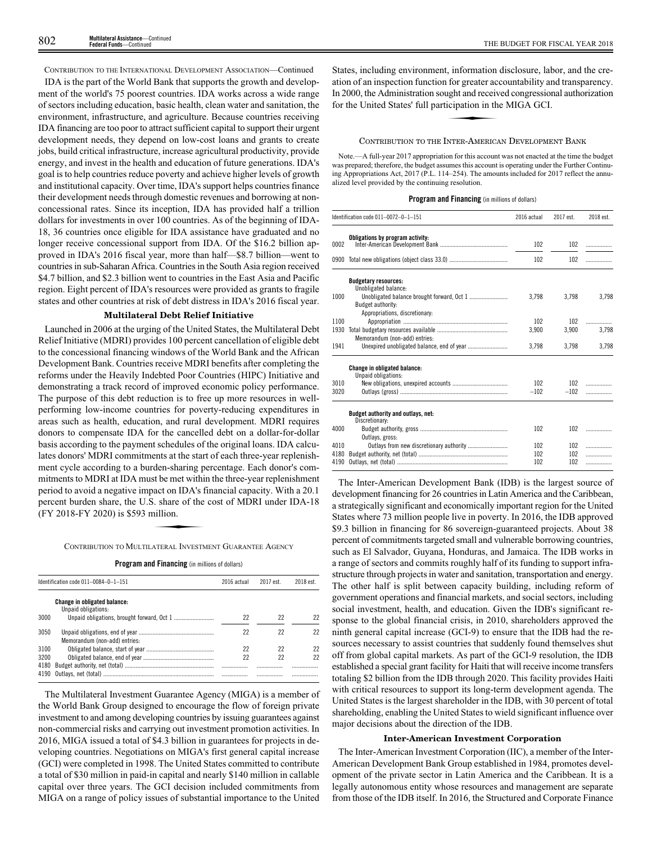CONTRIBUTION TO THE INTERNATIONAL DEVELOPMENT ASSOCIATION—Continued

IDA is the part of the World Bank that supports the growth and development of the world's 75 poorest countries. IDA works across a wide range of sectors including education, basic health, clean water and sanitation, the environment, infrastructure, and agriculture. Because countries receiving IDA financing are too poor to attract sufficient capital to support their urgent development needs, they depend on low-cost loans and grants to create jobs, build critical infrastructure, increase agricultural productivity, provide energy, and invest in the health and education of future generations. IDA's goal is to help countries reduce poverty and achieve higher levels of growth and institutional capacity. Over time, IDA's support helps countries finance their development needs through domestic revenues and borrowing at nonconcessional rates. Since its inception, IDA has provided half a trillion dollars for investments in over 100 countries. As of the beginning of IDA-18, 36 countries once eligible for IDA assistance have graduated and no longer receive concessional support from IDA. Of the \$16.2 billion approved in IDA's 2016 fiscal year, more than half—\$8.7 billion—went to countries in sub-Saharan Africa. Countries in the South Asia region received \$4.7 billion, and \$2.3 billion went to countries in the East Asia and Pacific region. Eight percent of IDA's resources were provided as grants to fragile states and other countries at risk of debt distress in IDA's 2016 fiscal year.

## **Multilateral Debt Relief Initiative**

Launched in 2006 at the urging of the United States, the Multilateral Debt Relief Initiative (MDRI) provides 100 percent cancellation of eligible debt to the concessional financing windows of the World Bank and the African Development Bank. Countries receive MDRI benefits after completing the reforms under the Heavily Indebted Poor Countries (HIPC) Initiative and demonstrating a track record of improved economic policy performance. The purpose of this debt reduction is to free up more resources in wellperforming low-income countries for poverty-reducing expenditures in areas such as health, education, and rural development. MDRI requires donors to compensate IDA for the cancelled debt on a dollar-for-dollar basis according to the payment schedules of the original loans. IDA calculates donors' MDRI commitments at the start of each three-year replenishment cycle according to a burden-sharing percentage. Each donor's commitments to MDRI at IDA must be met within the three-year replenishment period to avoid a negative impact on IDA's financial capacity. With a 20.1 percent burden share, the U.S. share of the cost of MDRI under IDA-18 (FY 2018-FY 2020) is \$593 million. act on IDA's f<br>act on IDA's f<br>S. share of the<br>nillion.

CONTRIBUTION TO MULTILATERAL INVESTMENT GUARANTEE AGENCY

**Program and Financing** (in millions of dollars)

|      | Identification code 011-0084-0-1-151                       | 2016 actual | 2017 est. | 2018 est. |
|------|------------------------------------------------------------|-------------|-----------|-----------|
|      | <b>Change in obligated balance:</b><br>Unpaid obligations: |             |           |           |
| 3000 |                                                            | 22          | 22        |           |
| 3050 | Memorandum (non-add) entries:                              | 22          | 22        | 22        |
| 3100 |                                                            | 22          | 22        | 22        |
| 3200 |                                                            | 22          | 22        | 22        |
| 4180 |                                                            |             |           |           |
|      |                                                            |             | .         |           |

The Multilateral Investment Guarantee Agency (MIGA) is a member of the World Bank Group designed to encourage the flow of foreign private investment to and among developing countries by issuing guarantees against non-commercial risks and carrying out investment promotion activities. In 2016, MIGA issued a total of \$4.3 billion in guarantees for projects in developing countries. Negotiations on MIGA's first general capital increase (GCI) were completed in 1998. The United States committed to contribute a total of \$30 million in paid-in capital and nearly \$140 million in callable capital over three years. The GCI decision included commitments from MIGA on a range of policy issues of substantial importance to the United

States, including environment, information disclosure, labor, and the creation of an inspection function for greater accountability and transparency. In 2000, the Administration sought and received congressional authorization for the United States' full participation in the MIGA GCI. the method of the state and the state of the state of the state of the state of the state of the state of the state of the state of the state of the state of the state of the state of the state of the state of the state of

#### CONTRIBUTION TO THE INTER-AMERICAN DEVELOPMENT BANK

Note.—A full-year 2017 appropriation for this account was not enacted at the time the budget was prepared; therefore, the budget assumes this account is operating under the Further Continuing Appropriations Act, 2017 (P.L. 114–254). The amounts included for 2017 reflect the annualized level provided by the continuing resolution.

## **Program and Financing** (in millions of dollars)

|      | Identification code 011-0072-0-1-151                       | 2016 actual | 2017 est. | 2018 est. |
|------|------------------------------------------------------------|-------------|-----------|-----------|
| 0002 | Obligations by program activity:                           | 102         | 102       | .         |
|      |                                                            | 102         | 102       |           |
|      | <b>Budgetary resources:</b><br>Unobligated balance:        |             |           |           |
| 1000 | Budget authority:                                          | 3.798       | 3.798     | 3,798     |
|      | Appropriations, discretionary:                             |             |           |           |
| 1100 |                                                            | 102         | 102       | .         |
| 1930 | Memorandum (non-add) entries:                              | 3.900       | 3.900     | 3.798     |
| 1941 |                                                            | 3,798       | 3,798     | 3,798     |
|      | <b>Change in obligated balance:</b><br>Unpaid obligations: |             |           |           |
| 3010 |                                                            | 102         | 102       | .         |
| 3020 |                                                            | $-102$      | $-102$    | .         |
|      | Budget authority and outlays, net:<br>Discretionary:       |             |           |           |
| 4000 | Outlays, gross:                                            | 102         | 102       |           |
| 4010 |                                                            | 102         | 102       | .         |
| 4180 |                                                            | 102         | 102       | .         |
| 4190 |                                                            | 102         | 102       | .         |

The Inter-American Development Bank (IDB) is the largest source of development financing for 26 countries in Latin America and the Caribbean, a strategically significant and economically important region for the United States where 73 million people live in poverty. In 2016, the IDB approved \$9.3 billion in financing for 86 sovereign-guaranteed projects. About 38 percent of commitments targeted small and vulnerable borrowing countries, such as El Salvador, Guyana, Honduras, and Jamaica. The IDB works in a range of sectors and commits roughly half of its funding to support infrastructure through projects in water and sanitation, transportation and energy. The other half is split between capacity building, including reform of government operations and financial markets, and social sectors, including social investment, health, and education. Given the IDB's significant response to the global financial crisis, in 2010, shareholders approved the ninth general capital increase (GCI-9) to ensure that the IDB had the resources necessary to assist countries that suddenly found themselves shut off from global capital markets. As part of the GCI-9 resolution, the IDB established a special grant facility for Haiti that will receive income transfers totaling \$2 billion from the IDB through 2020. This facility provides Haiti with critical resources to support its long-term development agenda. The United States is the largest shareholder in the IDB, with 30 percent of total shareholding, enabling the United States to wield significant influence over major decisions about the direction of the IDB.

#### **Inter-American Investment Corporation**

The Inter-American Investment Corporation (IIC), a member of the Inter-American Development Bank Group established in 1984, promotes development of the private sector in Latin America and the Caribbean. It is a legally autonomous entity whose resources and management are separate from those of the IDB itself. In 2016, the Structured and Corporate Finance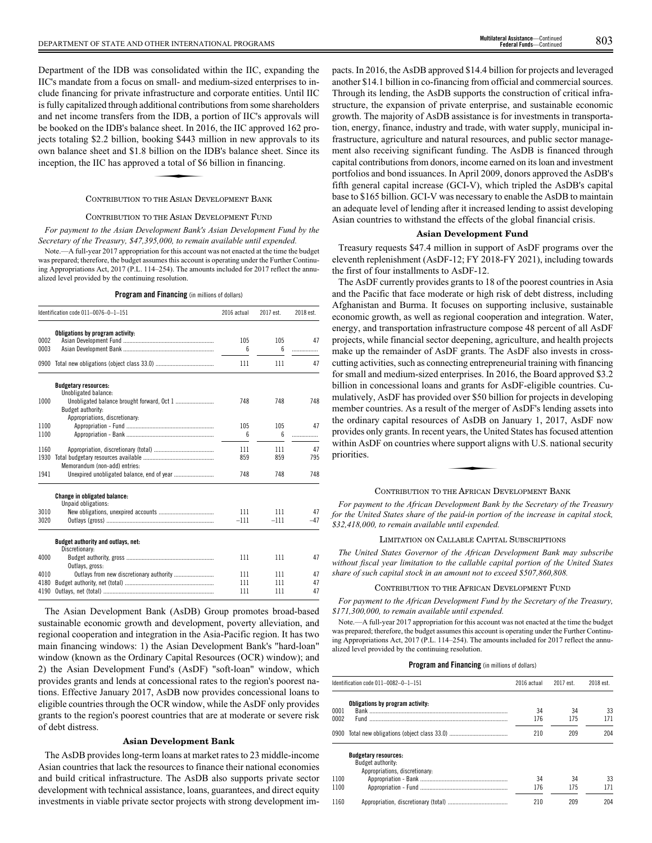Department of the IDB was consolidated within the IIC, expanding the IIC's mandate from a focus on small- and medium-sized enterprises to include financing for private infrastructure and corporate entities. Until IIC is fully capitalized through additional contributions from some shareholders and net income transfers from the IDB, a portion of IIC's approvals will be booked on the IDB's balance sheet. In 2016, the IIC approved 162 projects totaling \$2.2 billion, booking \$443 million in new approval for pro-<br>jects totaling \$2.2 billion, booking \$443 million in new approvals to its<br>own balance sheet and \$1.8 billion on the IDB's balance sheet. Since its<br> own balance sheet and \$1.8 billion on the IDB's balance sheet. Since its inception, the IIC has approved a total of \$6 billion in financing.

## CONTRIBUTION TO THE ASIAN DEVELOPMENT BANK

#### CONTRIBUTION TO THE ASIAN DEVELOPMENT FUND

*For payment to the Asian Development Bank's Asian Development Fund by the Secretary of the Treasury, \$47,395,000, to remain available until expended.*

Note.—A full-year 2017 appropriation for this account was not enacted at the time the budget was prepared; therefore, the budget assumes this account is operating under the Further Continuing Appropriations Act, 2017 (P.L. 114–254). The amounts included for 2017 reflect the annualized level provided by the continuing resolution.

## **Program and Financing** (in millions of dollars)

|      | Identification code 011-0076-0-1-151                 | 2016 actual | 2017 est. | 2018 est. |
|------|------------------------------------------------------|-------------|-----------|-----------|
| 0002 | Obligations by program activity:                     | 105         | 105       | 47        |
| 0003 |                                                      | 6           | 6         | .         |
| 0900 |                                                      | 111         | 111       | 47        |
|      | <b>Budgetary resources:</b><br>Unobligated balance:  |             |           |           |
| 1000 | Budget authority:<br>Appropriations, discretionary:  | 748         | 748       | 748       |
| 1100 |                                                      | 105         | 105       | 47        |
| 1100 |                                                      | 6           | 6         | .         |
| 1160 |                                                      | 111         | 111       | 47        |
| 1930 | Memorandum (non-add) entries:                        | 859         | 859       | 795       |
| 1941 |                                                      | 748         | 748       | 748       |
|      | Change in obligated balance:<br>Unpaid obligations:  |             |           |           |
| 3010 |                                                      | 111         | 111       | 47        |
| 3020 |                                                      | $-111$      | $-111$    | $-47$     |
|      | Budget authority and outlays, net:<br>Discretionary: |             |           |           |
| 4000 | Outlays, gross:                                      | 111         | 111       | 47        |
| 4010 |                                                      | 111         | 111       | 47        |
| 4180 |                                                      | 111         | 111       | 47        |
| 4190 |                                                      | 111         | 111       | 47        |

The Asian Development Bank (AsDB) Group promotes broad-based sustainable economic growth and development, poverty alleviation, and regional cooperation and integration in the Asia-Pacific region. It has two main financing windows: 1) the Asian Development Bank's "hard-loan" window (known as the Ordinary Capital Resources (OCR) window); and 2) the Asian Development Fund's (AsDF) "soft-loan" window, which provides grants and lends at concessional rates to the region's poorest nations. Effective January 2017, AsDB now provides concessional loans to eligible countries through the OCR window, while the AsDF only provides grants to the region's poorest countries that are at moderate or severe risk of debt distress.

### **Asian Development Bank**

The AsDB provides long-term loans at market rates to 23 middle-income Asian countries that lack the resources to finance their national economies and build critical infrastructure. The AsDB also supports private sector development with technical assistance, loans, guarantees, and direct equity investments in viable private sector projects with strong development impacts. In 2016, the AsDB approved \$14.4 billion for projects and leveraged another \$14.1 billion in co-financing from official and commercial sources. Through its lending, the AsDB supports the construction of critical infrastructure, the expansion of private enterprise, and sustainable economic growth. The majority of AsDB assistance is for investments in transportation, energy, finance, industry and trade, with water supply, municipal infrastructure, agriculture and natural resources, and public sector management also receiving significant funding. The AsDB is financed through capital contributions from donors, income earned on its loan and investment portfolios and bond issuances. In April 2009, donors approved the AsDB's fifth general capital increase (GCI-V), which tripled the AsDB's capital base to \$165 billion. GCI-V was necessary to enable the AsDB to maintain an adequate level of lending after it increased lending to assist developing Asian countries to withstand the effects of the global financial crisis.

## **Asian Development Fund**

Treasury requests \$47.4 million in support of AsDF programs over the eleventh replenishment (AsDF-12; FY 2018-FY 2021), including towards the first of four installments to AsDF-12.

The AsDF currently provides grants to 18 of the poorest countries in Asia and the Pacific that face moderate or high risk of debt distress, including Afghanistan and Burma. It focuses on supporting inclusive, sustainable economic growth, as well as regional cooperation and integration. Water, energy, and transportation infrastructure compose 48 percent of all AsDF projects, while financial sector deepening, agriculture, and health projects make up the remainder of AsDF grants. The AsDF also invests in crosscutting activities, such as connecting entrepreneurial training with financing for small and medium-sized enterprises. In 2016, the Board approved \$3.2 billion in concessional loans and grants for AsDF-eligible countries. Cumulatively, AsDF has provided over \$50 billion for projects in developing member countries. As a result of the merger of AsDF's lending assets into the ordinary capital resources of AsDB on January 1, 2017, AsDF now provides only grants. In recent years, the United States has focused attention<br>within AsDF on countries where support aligns with U.S. national security<br>priorities. within AsDF on countries where support aligns with U.S. national security priorities.

### CONTRIBUTION TO THE AFRICAN DEVELOPMENT BANK

*For payment to the African Development Bank by the Secretary of the Treasury for the United States share of the paid-in portion of the increase in capital stock, \$32,418,000, to remain available until expended.*

## LIMITATION ON CALLABLE CAPITAL SUBSCRIPTIONS

*The United States Governor of the African Development Bank may subscribe without fiscal year limitation to the callable capital portion of the United States share of such capital stock in an amount not to exceed \$507,860,808.*

## CONTRIBUTION TO THE AFRICAN DEVELOPMENT FUND

*For payment to the African Development Fund by the Secretary of the Treasury, \$171,300,000, to remain available until expended.*

Note.—A full-year 2017 appropriation for this account was not enacted at the time the budget was prepared; therefore, the budget assumes this account is operating under the Further Continuing Appropriations Act, 2017 (P.L. 114–254). The amounts included for 2017 reflect the annualized level provided by the continuing resolution.

|              | Identification code 011-0082-0-1-151                                               | 2016 actual | 2017 est. | 2018 est. |
|--------------|------------------------------------------------------------------------------------|-------------|-----------|-----------|
| 0001<br>0002 | Obligations by program activity:                                                   | 34<br>176   | 34<br>175 | 33<br>171 |
|              |                                                                                    | 210         | 209       | 204       |
| 1100<br>1100 | <b>Budgetary resources:</b><br>Budget authority:<br>Appropriations, discretionary: | 34<br>176   | 34<br>175 | 33<br>171 |
| 1160         |                                                                                    | 210         | 209       | 204       |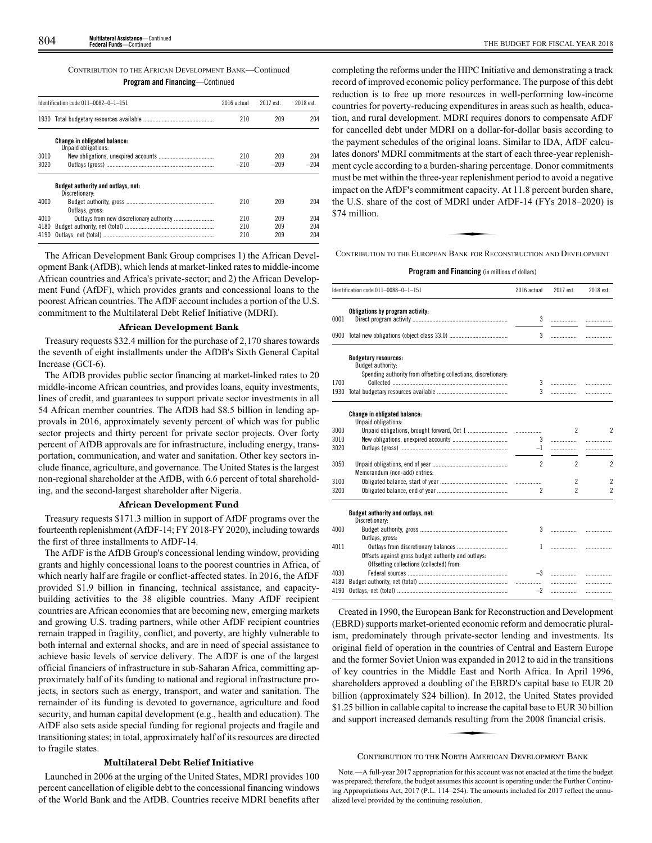CONTRIBUTION TO THE AFRICAN DEVELOPMENT BANK—Continued

**Program and Financing**—Continued

|      | Identification code 011-0082-0-1-151                        | 2016 actual | 2017 est. | 2018 est. |
|------|-------------------------------------------------------------|-------------|-----------|-----------|
|      |                                                             | 210         | 209       | 204       |
|      | <b>Change in obligated balance:</b><br>Unpaid obligations:  |             |           |           |
| 3010 |                                                             | 210         | 209       | 204       |
| 3020 |                                                             | $-210$      | $-209$    | $-204$    |
|      | <b>Budget authority and outlays, net:</b><br>Discretionary: |             |           |           |
| 4000 | Outlays, gross:                                             | 210         | 209       | 204       |
| 4010 |                                                             | 210         | 209       | 204       |
| 4180 |                                                             | 210         | 209       | 204       |
| 4190 |                                                             | 210         | 209       | 204       |

The African Development Bank Group comprises 1) the African Development Bank (AfDB), which lends at market-linked rates to middle-income African countries and Africa's private-sector; and 2) the African Development Fund (AfDF), which provides grants and concessional loans to the poorest African countries. The AfDF account includes a portion of the U.S. commitment to the Multilateral Debt Relief Initiative (MDRI).

#### **African Development Bank**

Treasury requests \$32.4 million for the purchase of 2,170 shares towards the seventh of eight installments under the AfDB's Sixth General Capital Increase (GCI-6).

The AfDB provides public sector financing at market-linked rates to 20 middle-income African countries, and provides loans, equity investments, lines of credit, and guarantees to support private sector investments in all 54 African member countries. The AfDB had \$8.5 billion in lending approvals in 2016, approximately seventy percent of which was for public sector projects and thirty percent for private sector projects. Over forty percent of AfDB approvals are for infrastructure, including energy, transportation, communication, and water and sanitation. Other key sectors include finance, agriculture, and governance. The United States is the largest non-regional shareholder at the AfDB, with 6.6 percent of total shareholding, and the second-largest shareholder after Nigeria.

## **African Development Fund**

Treasury requests \$171.3 million in support of AfDF programs over the fourteenth replenishment (AfDF-14; FY 2018-FY 2020), including towards the first of three installments to AfDF-14.

The AfDF is the AfDB Group's concessional lending window, providing grants and highly concessional loans to the poorest countries in Africa, of which nearly half are fragile or conflict-affected states. In 2016, the AfDF provided \$1.9 billion in financing, technical assistance, and capacitybuilding activities to the 38 eligible countries. Many AfDF recipient countries are African economies that are becoming new, emerging markets and growing U.S. trading partners, while other AfDF recipient countries remain trapped in fragility, conflict, and poverty, are highly vulnerable to both internal and external shocks, and are in need of special assistance to achieve basic levels of service delivery. The AfDF is one of the largest official financiers of infrastructure in sub-Saharan Africa, committing approximately half of its funding to national and regional infrastructure projects, in sectors such as energy, transport, and water and sanitation. The remainder of its funding is devoted to governance, agriculture and food security, and human capital development (e.g., health and education). The AfDF also sets aside special funding for regional projects and fragile and transitioning states; in total, approximately half of its resources are directed to fragile states.

## **Multilateral Debt Relief Initiative**

Launched in 2006 at the urging of the United States, MDRI provides 100 percent cancellation of eligible debt to the concessional financing windows of the World Bank and the AfDB. Countries receive MDRI benefits after

completing the reforms under the HIPC Initiative and demonstrating a track record of improved economic policy performance. The purpose of this debt reduction is to free up more resources in well-performing low-income countries for poverty-reducing expenditures in areas such as health, education, and rural development. MDRI requires donors to compensate AfDF for cancelled debt under MDRI on a dollar-for-dollar basis according to the payment schedules of the original loans. Similar to IDA, AfDF calculates donors' MDRI commitments at the start of each three-year replenishment cycle according to a burden-sharing percentage. Donor commitments must be met within the three-year replenishment period to avoid a negative impact on the AfDF's commitment capacity. At 11.8 percent burden share, the U.S. share of the cost of MDRI under AfDF-14 (FYs 2018–2020) is \$74 million. ment capacity.<br>MDRI under 4<br>BANK FOR RECC

CONTRIBUTION TO THE EUROPEAN BANK FOR RECONSTRUCTION AND DEVELOPMENT

**Program and Financing** (in millions of dollars)

|      | Identification code 011-0088-0-1-151                           | 2016 actual    | 2017 est.      | 2018 est.                |
|------|----------------------------------------------------------------|----------------|----------------|--------------------------|
|      | Obligations by program activity:                               |                |                |                          |
| 0001 |                                                                | 3              |                |                          |
|      |                                                                | 3              |                | .                        |
|      | <b>Budgetary resources:</b>                                    |                |                |                          |
|      | Budget authority:                                              |                |                |                          |
|      | Spending authority from offsetting collections, discretionary: |                |                |                          |
| 1700 |                                                                | 3<br>3         |                |                          |
|      |                                                                |                |                |                          |
|      | Change in obligated balance:                                   |                |                |                          |
|      | Unpaid obligations:                                            |                |                |                          |
| 3000 |                                                                |                | 2              | 2                        |
| 3010 |                                                                | 3              |                | .                        |
| 3020 |                                                                | $-1$           |                | .                        |
| 3050 |                                                                | $\overline{2}$ | $\mathfrak{p}$ | $\overline{\phantom{a}}$ |
|      | Memorandum (non-add) entries:                                  |                |                |                          |
| 3100 |                                                                |                | $\overline{c}$ | $\overline{c}$           |
| 3200 |                                                                | $\overline{c}$ | $\overline{2}$ | $\overline{\phantom{a}}$ |
|      |                                                                |                |                |                          |
|      | Budget authority and outlays, net:<br>Discretionary:           |                |                |                          |
| 4000 |                                                                |                |                |                          |
|      | Outlays, gross:                                                |                |                |                          |
| 4011 |                                                                |                |                |                          |
|      | Offsets against gross budget authority and outlays:            |                |                |                          |
|      | Offsetting collections (collected) from:                       |                |                |                          |
| 4030 |                                                                |                |                | .                        |
| 4180 |                                                                |                |                | .                        |
| 4190 |                                                                | $-2$           |                | .                        |

Created in 1990, the European Bank for Reconstruction and Development (EBRD) supports market-oriented economic reform and democratic pluralism, predominately through private-sector lending and investments. Its original field of operation in the countries of Central and Eastern Europe and the former Soviet Union was expanded in 2012 to aid in the transitions of key countries in the Middle East and North Africa. In April 1996, shareholders approved a doubling of the EBRD's capital base to EUR 20 billion (approximately \$24 billion). In 2012, the United States provided<br>\$1.25 billion in callable capital to increase the capital base to EUR 30 billion<br>and support increased demands resulting from the 2008 financial cris \$1.25 billion in callable capital to increase the capital base to EUR 30 billion and support increased demands resulting from the 2008 financial crisis.

#### CONTRIBUTION TO THE NORTH AMERICAN DEVELOPMENT BANK

Note.—A full-year 2017 appropriation for this account was not enacted at the time the budget was prepared; therefore, the budget assumes this account is operating under the Further Continuing Appropriations Act, 2017 (P.L. 114–254). The amounts included for 2017 reflect the annualized level provided by the continuing resolution.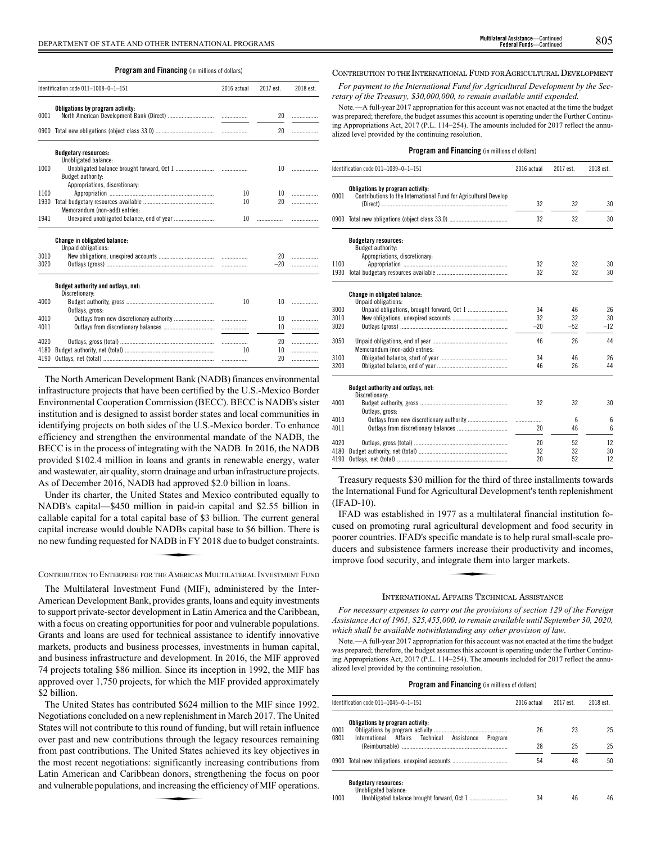## **Program and Financing** (in millions of dollars)

|      | Identification code 011-1008-0-1-151                       | 2016 actual | 2017 est. | 2018 est. |
|------|------------------------------------------------------------|-------------|-----------|-----------|
| 0001 | Obligations by program activity:                           |             |           | 20        |
|      |                                                            |             | 20        |           |
|      | <b>Budgetary resources:</b><br>Unobligated balance:        |             |           |           |
| 1000 | Budget authority:<br>Appropriations, discretionary:        |             |           |           |
| 1100 |                                                            | 10          |           |           |
| 1930 | Memorandum (non-add) entries:                              | 10          | 20        | .         |
| 1941 |                                                            |             |           |           |
|      | <b>Change in obligated balance:</b><br>Unpaid obligations: |             |           |           |
| 3010 |                                                            |             |           |           |
| 3020 |                                                            |             |           | $-20$     |
|      | Budget authority and outlays, net:<br>Discretionary:       |             |           |           |
| 4000 | Outlays, gross:                                            | 10          |           |           |
| 4010 |                                                            |             | 10        | .         |

The North American Development Bank (NADB) finances environmental infrastructure projects that have been certified by the U.S.-Mexico Border Environmental Cooperation Commission (BECC). BECC is NADB's sister institution and is designed to assist border states and local communities in identifying projects on both sides of the U.S.-Mexico border. To enhance efficiency and strengthen the environmental mandate of the NADB, the BECC is in the process of integrating with the NADB. In 2016, the NADB provided \$102.4 million in loans and grants in renewable energy, water and wastewater, air quality, storm drainage and urban infrastructure projects. As of December 2016, NADB had approved \$2.0 billion in loans.

4020 Outlays, gross (total) ............................................................. ................. 20 .................

4190 Outlays, net (total) ........................................................................ ................. 20 .................

4011 Outlays from discretionary balances

4180 Budget authority, net (total)

Under its charter, the United States and Mexico contributed equally to NADB's capital—\$450 million in paid-in capital and \$2.55 billion in Extra Secondary of the Hotel and Secondary Collection of the capital increase would double NADBs capital base to \$6 billion. There is<br>no new funding requested for NADB in FY 2018 due to budget constraints.<br>CONTRIBUTION TO capital increase would double NADBs capital base to \$6 billion. There is no new funding requested for NADB in FY 2018 due to budget constraints.

CONTRIBUTION TO ENTERPRISE FOR THE AMERICAS MULTILATERAL INVESTMENT FUND

The Multilateral Investment Fund (MIF), administered by the Inter-American Development Bank, provides grants, loans and equity investments to support private-sector development in Latin America and the Caribbean, with a focus on creating opportunities for poor and vulnerable populations. Grants and loans are used for technical assistance to identify innovative markets, products and business processes, investments in human capital, and business infrastructure and development. In 2016, the MIF approved 74 projects totaling \$86 million. Since its inception in 1992, the MIF has approved over 1,750 projects, for which the MIF provided approximately \$2 billion.

The United States has contributed \$624 million to the MIF since 1992. Negotiations concluded on a new replenishment in March 2017. The United States will not contribute to this round of funding, but will retain influence over past and new contributions through the legacy resources remaining from past contributions. The United States achieved its key objectives in the most recent negotiations: significantly increasing contributions from Latin American and Caribbean donors, strengthening the focus on poor and vulnerable populations, and increasing the efficiency of MIF operations. significantly<br>significantly<br>an donors, stred<br>dincreasing the

#### CONTRIBUTION TO THE INTERNATIONAL FUND FOR AGRICULTURAL DEVELOPMENT

*For payment to the International Fund for Agricultural Development by the Secretary of the Treasury, \$30,000,000, to remain available until expended.*

Note.—A full-year 2017 appropriation for this account was not enacted at the time the budget was prepared; therefore, the budget assumes this account is operating under the Further Continuing Appropriations Act, 2017 (P.L. 114–254). The amounts included for 2017 reflect the annualized level provided by the continuing resolution.

## **Program and Financing** (in millions of dollars)

|              | Identification code 011-1039-0-1-151                                                                 | 2016 actual | 2017 est. | 2018 est.       |
|--------------|------------------------------------------------------------------------------------------------------|-------------|-----------|-----------------|
| 0001         | Obligations by program activity:<br>Contributions to the International Fund for Agricultural Develop | 32          | 32        | 30              |
|              |                                                                                                      |             |           |                 |
|              |                                                                                                      | 32          | 32        | 30              |
|              | <b>Budgetary resources:</b><br>Budget authority:                                                     |             |           |                 |
|              | Appropriations, discretionary:                                                                       |             |           |                 |
| 1100<br>1930 |                                                                                                      | 32<br>32    | 32<br>32  | 30<br>30        |
|              |                                                                                                      |             |           |                 |
|              | Change in obligated balance:<br>Unpaid obligations:                                                  |             |           |                 |
| 3000         |                                                                                                      | 34          | 46        | 26              |
| 3010         |                                                                                                      | 32          | 32        | 30              |
| 3020         |                                                                                                      | $-20$       | $-52$     | $-12$           |
| 3050         | Memorandum (non-add) entries:                                                                        | 46          | 26        | 44              |
| 3100         |                                                                                                      | 34          | 46        | 26              |
| 3200         |                                                                                                      | 46          | 26        | 44              |
|              | Budget authority and outlays, net:<br>Discretionary:                                                 |             |           |                 |
| 4000         | Outlays, gross:                                                                                      | 32          | 32        | 30              |
| 4010         |                                                                                                      | .           | 6         | 6               |
| 4011         |                                                                                                      | 20          | 46        | $6\overline{6}$ |
| 4020         |                                                                                                      | 20          | 52        | 12              |
| 4180         |                                                                                                      | 32          | 32        | 30              |
| 4190         |                                                                                                      | 20          | 52        | 12              |

Treasury requests \$30 million for the third of three installments towards the International Fund for Agricultural Development's tenth replenishment (IFAD-10).

IFAD was established in 1977 as a multilateral financial institution focused on promoting rural agricultural development and food security in poorer countries. IFAD's specific mandate is to help rural small-scale pro-<br>ducers and subsistence farmers increase their productivity and incomes,<br>improve food security, and integrate them into larger markets. ducers and subsistence farmers increase their productivity and incomes, improve food security, and integrate them into larger markets.

### INTERNATIONAL AFFAIRS TECHNICAL ASSISTANCE

*For necessary expenses to carry out the provisions of section 129 of the Foreign Assistance Act of 1961, \$25,455,000, to remain available until September 30, 2020, which shall be available notwithstanding any other provision of law.*

Note.—A full-year 2017 appropriation for this account was not enacted at the time the budget was prepared; therefore, the budget assumes this account is operating under the Further Continuing Appropriations Act, 2017 (P.L. 114–254). The amounts included for 2017 reflect the annualized level provided by the continuing resolution.

| Identification code 011-1045-0-1-151                          | 2016 actual | 2017 est. | 2018 est. |
|---------------------------------------------------------------|-------------|-----------|-----------|
| Obligations by program activity:<br>0001                      | 26          | 23        | 25        |
| 0801<br>International Affairs Technical Assistance<br>Program | 28          | 25        | 25        |
| 0900 Total new obligations, unexpired accounts                | 54          | 48        | 50        |
| <b>Budgetary resources:</b><br>Unobligated balance:<br>1000   | 34          | 46        | 46        |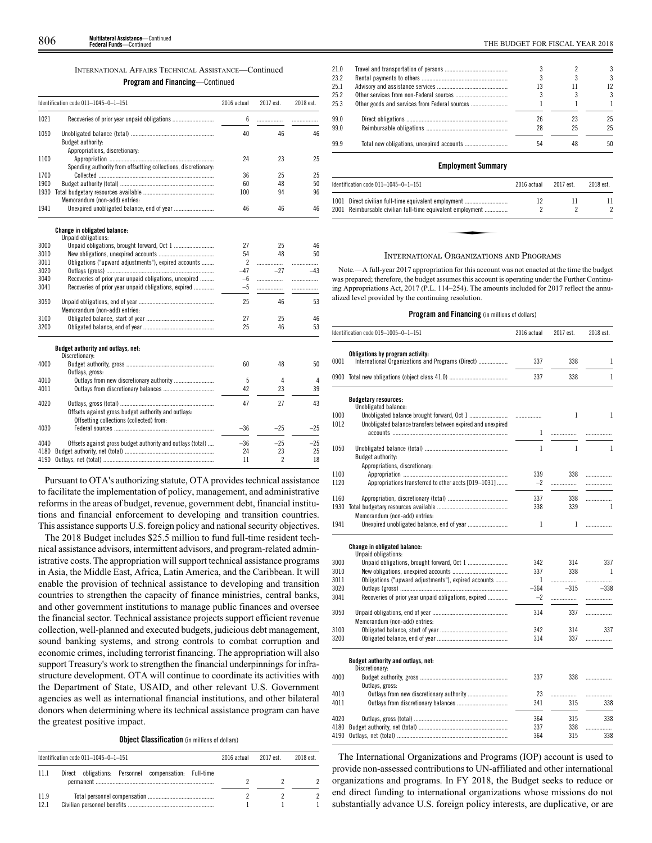| <b>INTERNATIONAL AFFAIRS TECHNICAL ASSISTANCE-Continued</b> |
|-------------------------------------------------------------|
| <b>Program and Financing</b> —Continued                     |

|      | Identification code 011-1045-0-1-151                           | 2016 actual              | 2017 est.                | 2018 est. |
|------|----------------------------------------------------------------|--------------------------|--------------------------|-----------|
| 1021 |                                                                | 6                        | .                        | .         |
| 1050 |                                                                | 40                       | 46                       | 46        |
|      | Budget authority:                                              |                          |                          |           |
|      | Appropriations, discretionary:                                 |                          |                          |           |
| 1100 |                                                                | 24                       | 23                       | 25        |
|      | Spending authority from offsetting collections, discretionary: |                          |                          |           |
| 1700 |                                                                | 36                       | 25                       | 25        |
| 1900 |                                                                | 60                       | 48                       | 50        |
|      |                                                                | 100                      | 94                       | 96        |
|      | Memorandum (non-add) entries:                                  |                          |                          |           |
| 1941 |                                                                | 46                       | 46                       | 46        |
|      | Change in obligated balance:                                   |                          |                          |           |
|      | Unpaid obligations:                                            |                          |                          |           |
| 3000 |                                                                | 27                       | 25                       | 46        |
| 3010 |                                                                | 54                       | 48                       | 50        |
| 3011 | Obligations ("upward adjustments"), expired accounts           | $\overline{\phantom{a}}$ | .                        | .         |
| 3020 |                                                                | $-47$                    | $-27$                    | $-43$     |
| 3040 | Recoveries of prior year unpaid obligations, unexpired         | $-6$                     | .                        | .         |
| 3041 | Recoveries of prior year unpaid obligations, expired           | $-5$                     | .                        |           |
| 3050 |                                                                | 25                       | 46                       | 53        |
|      | Memorandum (non-add) entries:                                  |                          |                          |           |
| 3100 |                                                                | 27                       | 25                       | 46        |
| 3200 |                                                                | 25                       | 46                       | 53        |
|      | Budget authority and outlays, net:                             |                          |                          |           |
| 4000 | Discretionary:                                                 | 60                       | 48                       | 50        |
|      | Outlays, gross:                                                |                          |                          |           |
| 4010 | Outlays from new discretionary authority                       | 5                        | 4                        | 4         |
| 4011 |                                                                | 42                       | 23                       | 39        |
|      |                                                                |                          |                          |           |
| 4020 |                                                                | 47                       | 27                       | 43        |
|      | Offsets against gross budget authority and outlays:            |                          |                          |           |
|      | Offsetting collections (collected) from:                       |                          |                          |           |
| 4030 |                                                                | $-36$                    | $-25$                    | $-25$     |
|      |                                                                |                          |                          |           |
| 4040 | Offsets against gross budget authority and outlays (total)     | $-36$                    | $-25$                    | $-25$     |
| 4180 |                                                                | 24                       | 23                       | 25        |
| 4190 |                                                                | 11                       | $\overline{\phantom{a}}$ | 18        |

Pursuant to OTA's authorizing statute, OTA provides technical assistance to facilitate the implementation of policy, management, and administrative reforms in the areas of budget, revenue, government debt, financial institutions and financial enforcement to developing and transition countries. This assistance supports U.S. foreign policy and national security objectives.

The 2018 Budget includes \$25.5 million to fund full-time resident technical assistance advisors, intermittent advisors, and program-related administrative costs. The appropriation will support technical assistance programs in Asia, the Middle East, Africa, Latin America, and the Caribbean. It will enable the provision of technical assistance to developing and transition countries to strengthen the capacity of finance ministries, central banks, and other government institutions to manage public finances and oversee the financial sector. Technical assistance projects support efficient revenue collection, well-planned and executed budgets, judicious debt management, sound banking systems, and strong controls to combat corruption and economic crimes, including terrorist financing. The appropriation will also support Treasury's work to strengthen the financial underpinnings for infrastructure development. OTA will continue to coordinate its activities with the Department of State, USAID, and other relevant U.S. Government agencies as well as international financial institutions, and other bilateral donors when determining where its technical assistance program can have the greatest positive impact.

**Object Classification** (in millions of dollars)

|              | Identification code $011-1045-0-1-151$                | 2016 actual | 2017 est. | 2018 est. |
|--------------|-------------------------------------------------------|-------------|-----------|-----------|
| 11 1         | Direct obligations: Personnel compensation: Full-time |             |           |           |
| 11.9<br>12.1 |                                                       |             |           |           |

|    |    | 3  |
|----|----|----|
|    |    | 3  |
| 13 |    | 12 |
|    |    | 3  |
|    |    |    |
| 26 | 23 | 25 |
| 28 | 25 | 25 |
| 54 | 48 | 50 |
|    |    |    |

## **Employment Summary**

| Identification code $011-1045-0-1-151$ |                                                                                                                                                                                                                                                                                                  | 2016 actual | 2017 est. | 2018 est. |
|----------------------------------------|--------------------------------------------------------------------------------------------------------------------------------------------------------------------------------------------------------------------------------------------------------------------------------------------------|-------------|-----------|-----------|
|                                        | 1001 Direct civilian full-time equivalent employment<br>2001 Reimbursable civilian full-time equivalent employment                                                                                                                                                                               | 12          |           |           |
|                                        |                                                                                                                                                                                                                                                                                                  |             |           |           |
|                                        |                                                                                                                                                                                                                                                                                                  |             |           |           |
|                                        | $\mathbf{r}$ and $\mathbf{r}$ and $\mathbf{r}$ and $\mathbf{r}$ and $\mathbf{r}$ and $\mathbf{r}$ and $\mathbf{r}$ and $\mathbf{r}$ and $\mathbf{r}$ and $\mathbf{r}$ and $\mathbf{r}$ and $\mathbf{r}$ and $\mathbf{r}$ and $\mathbf{r}$ and $\mathbf{r}$ and $\mathbf{r}$ and $\mathbf{r}$ and |             |           |           |

#### INTERNATIONAL ORGANIZATIONS AND PROGRAMS

Note.—A full-year 2017 appropriation for this account was not enacted at the time the budget was prepared; therefore, the budget assumes this account is operating under the Further Continuing Appropriations Act, 2017 (P.L. 114–254). The amounts included for 2017 reflect the annualized level provided by the continuing resolution.

### **Program and Financing** (in millions of dollars)

|              | Identification code 019-1005-0-1-151                        | 2016 actual  | 2017 est. | 2018 est. |
|--------------|-------------------------------------------------------------|--------------|-----------|-----------|
|              | Obligations by program activity:                            |              |           |           |
| 0001         | International Organizations and Programs (Direct)           | 337          | 338       | 1         |
|              |                                                             | 337          | 338       | 1         |
|              | <b>Budgetary resources:</b>                                 |              |           |           |
|              | Unobligated balance:                                        |              |           |           |
| 1000<br>1012 | Unobligated balance transfers between expired and unexpired |              | 1         | 1         |
|              |                                                             | 1            | .         |           |
|              |                                                             |              |           |           |
| 1050         |                                                             | $\mathbf{1}$ | 1         | 1         |
|              | Budget authority:                                           |              |           |           |
|              | Appropriations, discretionary:                              |              |           |           |
| 1100         |                                                             | 339          | 338       | .         |
| 1120         | Appropriations transferred to other accts [019-1031]        | $-2$         | .         | .         |
| 1160         |                                                             | 337          | 338       | .         |
| 1930         |                                                             | 338          | 339       | 1         |
|              | Memorandum (non-add) entries:                               |              |           |           |
| 1941         |                                                             | 1            | 1         | .         |
|              | Change in obligated balance:                                |              |           |           |
|              | Unpaid obligations:                                         |              |           |           |
| 3000         |                                                             | 342          | 314       | 337       |
| 3010         |                                                             | 337          | 338       | 1         |
| 3011         | Obligations ("upward adjustments"), expired accounts        | 1            | .         | .         |
| 3020         |                                                             | $-364$       | $-315$    | $-338$    |
| 3041         | Recoveries of prior year unpaid obligations, expired        | $-2$         |           | .         |
| 3050         |                                                             | 314          | 337       | .         |
|              | Memorandum (non-add) entries:                               |              |           |           |
| 3100         |                                                             | 342          | 314       | 337       |
| 3200         |                                                             | 314          | 337       | .         |
|              | Budget authority and outlays, net:                          |              |           |           |
|              | Discretionary:                                              |              |           |           |
| 4000         |                                                             | 337          | 338       | .         |
|              | Outlays, gross:                                             |              |           |           |
| 4010         |                                                             | 23           | .         | .         |
| 4011         |                                                             | 341          | 315       | 338       |
| 4020         |                                                             | 364          | 315       | 338       |
|              |                                                             |              |           |           |

4180 Budget authority, net (total) .......................................................... 337 338 ................. 4190 Outlays, net (total) ........................................................................ 364 315 338

The International Organizations and Programs (IOP) account is used to provide non-assessed contributions to UN-affiliated and other international organizations and programs. In FY 2018, the Budget seeks to reduce or end direct funding to international organizations whose missions do not substantially advance U.S. foreign policy interests, are duplicative, or are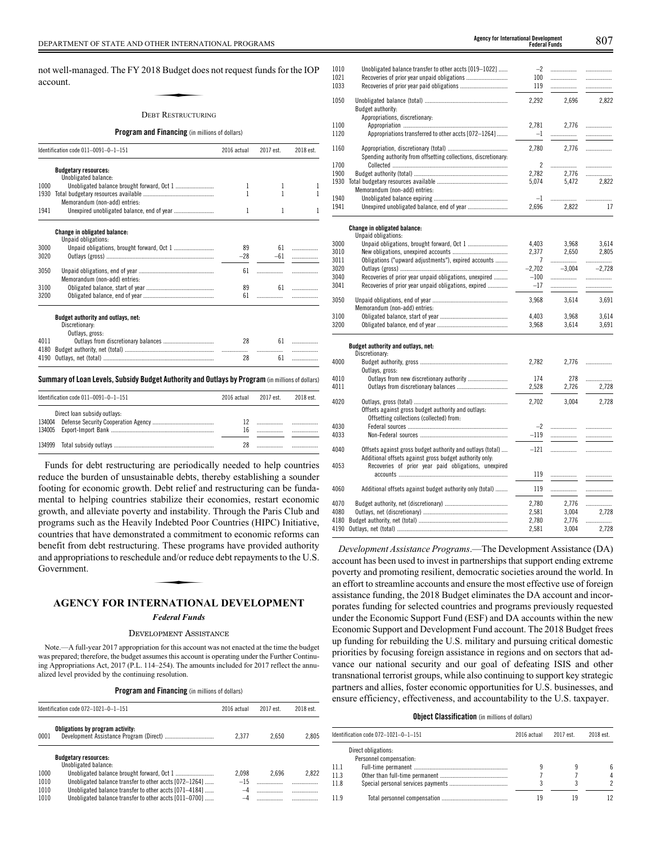not well-managed. The FY 2018 Budget does not request funds for the IOP account. 18 Budget doe<br>18 Budget doe<br>bet Restructur

#### DEBT RESTRUCTURING

## **Program and Financing** (in millions of dollars)

| Identification code 011-0091-0-1-151 |                                     | 2016 actual | 2017 est. | 2018 est. |
|--------------------------------------|-------------------------------------|-------------|-----------|-----------|
|                                      | <b>Budgetary resources:</b>         |             |           |           |
|                                      | Unobligated balance:                |             |           |           |
| 1000                                 |                                     |             |           |           |
| 1930                                 |                                     |             |           |           |
|                                      | Memorandum (non-add) entries:       |             |           |           |
| 1941                                 |                                     | 1           | 1         |           |
|                                      | <b>Change in obligated balance:</b> |             |           |           |
|                                      | Unpaid obligations:                 |             |           |           |
| 3000                                 |                                     | 89          | 61        |           |
| 3020                                 |                                     | $-28$       | $-61$     |           |
| 3050                                 |                                     | 61          |           |           |
|                                      | Memorandum (non-add) entries:       |             |           |           |
| 3100                                 |                                     | 89          | 61        |           |
| 3200                                 |                                     | 61          |           |           |
|                                      | Budget authority and outlays, net:  |             |           |           |
|                                      | Discretionary:                      |             |           |           |
|                                      | Outlays, gross:                     |             |           |           |
| 4011                                 |                                     | 28          | 61        |           |
| 4180                                 |                                     |             |           |           |
| 4190                                 |                                     | 28          | 61        |           |

## **Summary ofLoan Levels, Subsidy Budget Authority and Outlays by Program** (inmillionsof dollars)

| Identification code $011-0091-0-1-151$ |                              | 2016 actual | 2017 est | 2018 est. |
|----------------------------------------|------------------------------|-------------|----------|-----------|
|                                        | Direct loan subsidy outlays: | 16          |          |           |
|                                        |                              | 28          |          |           |

4

Funds for debt restructuring are periodically needed to help countries reduce the burden of unsustainable debts, thereby establishing a sounder footing for economic growth. Debt relief and restructuring can be fundamental to helping countries stabilize their economies, restart economic growth, and alleviate poverty and instability. Through the Paris Club and programs such as the Heavily Indebted Poor Countries (HIPC) Initiative, countries that have demonstrated a commitment to economic reforms can benefit from debt restructuring. These programs have provided authority<br>benefit from debt restructuring. These programs have provided authority<br>and appropriations to reschedule and/or reduce debt repayments to the U.S.<br>Gov and appropriations to reschedule and/or reduce debt repayments to the U.S. Government.

## **AGENCY FOR INTERNATIONAL DEVELOPMENT**

#### *Federal Funds*

#### DEVELOPMENT ASSISTANCE

Note.—A full-year 2017 appropriation for this account was not enacted at the time the budget was prepared; therefore, the budget assumes this account is operating under the Further Continuing Appropriations Act, 2017 (P.L. 114–254). The amounts included for 2017 reflect the annualized level provided by the continuing resolution.

**Program and Financing** (in millions of dollars)

| Identification code 072-1021-0-1-151 |                                                        | 2016 actual | 2017 est. | 2018 est. |
|--------------------------------------|--------------------------------------------------------|-------------|-----------|-----------|
| 0001                                 | Obligations by program activity:                       | 2.377       | 2.650     | 2.805     |
|                                      | <b>Budgetary resources:</b><br>Unobligated balance:    |             |           |           |
| 1000                                 |                                                        | 2.098       | 2.696     | 2.822     |
| 1010                                 | Unobligated balance transfer to other accts [072-1264] | $-15$       |           |           |
| 1010                                 | Unobligated balance transfer to other accts [071-4184] | $-4$        |           |           |
| 1010                                 | Unobligated balance transfer to other accts [011-0700] |             |           |           |
|                                      |                                                        |             |           |           |

| <b>Federal Funds</b> |
|----------------------|
|                      |
|                      |
|                      |
|                      |
|                      |

| 1010<br>1021<br>1033 | Unobligated balance transfer to other accts [019-1022]         | $-2$<br>100<br>119 | .<br><br>.     | <br>.<br>. |
|----------------------|----------------------------------------------------------------|--------------------|----------------|------------|
| 1050                 | Budget authority:                                              | 2,292              | 2,696          | 2,822      |
| 1100                 | Appropriations, discretionary:                                 | 2.781              | 2.776          | .          |
| 1120                 | Appropriations transferred to other accts [072-1264]           | $-1$               | .              | .          |
|                      |                                                                |                    |                |            |
| 1160                 | Spending authority from offsetting collections, discretionary: | 2,780              | 2,776          |            |
| 1700                 |                                                                | $\overline{c}$     | .              | .          |
| 1900<br>1930         |                                                                | 2,782              | 2.776<br>5.472 | <br>2.822  |
|                      | Memorandum (non-add) entries:                                  | 5,074              |                |            |
| 1940                 |                                                                | $-1$               | .              | .          |
| 1941                 |                                                                | 2,696              | 2,822          | 17         |
|                      |                                                                |                    |                |            |
|                      | Change in obligated balance:<br>Unpaid obligations:            |                    |                |            |
| 3000                 |                                                                | 4,403              | 3,968          | 3,614      |
| 3010                 |                                                                | 2.377              | 2,650          | 2,805      |
| 3011                 | Obligations ("upward adjustments"), expired accounts           | 7                  | .              | .          |
| 3020                 |                                                                | $-2,702$           | $-3.004$       | $-2,728$   |
| 3040                 | Recoveries of prior year unpaid obligations, unexpired         | $-100$             |                |            |
| 3041                 | Recoveries of prior year unpaid obligations, expired           | $-17$              | .              | .          |
| 3050                 |                                                                | 3,968              | 3,614          | 3,691      |
|                      | Memorandum (non-add) entries:                                  |                    |                |            |
| 3100                 |                                                                | 4,403              | 3,968          | 3,614      |
| 3200                 |                                                                | 3,968              | 3,614          | 3,691      |
|                      | Budget authority and outlays, net:                             |                    |                |            |
| 4000                 | Discretionary:                                                 | 2.782              | 2.776          | .          |
|                      | Outlays, gross:                                                |                    |                |            |
| 4010                 | Outlays from new discretionary authority                       | 174                | 278            | .          |
| 4011                 |                                                                | 2,528              | 2,726          | 2.728      |
|                      |                                                                |                    |                |            |
| 4020                 |                                                                | 2,702              | 3,004          | 2,728      |
|                      | Offsets against gross budget authority and outlays:            |                    |                |            |
|                      | Offsetting collections (collected) from:                       |                    |                |            |
| 4030                 |                                                                | $-2$               |                | .          |
| 4033                 |                                                                | $-119$             |                | .          |
| 4040                 | Offsets against gross budget authority and outlays (total)     | $-121$             | .              |            |
|                      | Additional offsets against gross budget authority only:        |                    |                |            |
| 4053                 | Recoveries of prior year paid obligations, unexpired           |                    |                |            |
|                      |                                                                | 119                | .              | .          |
| 4060                 | Additional offsets against budget authority only (total)       | 119                | .              |            |
| 4070                 |                                                                | 2,780              | 2,776          | .          |
| 4080                 |                                                                | 2,581              | 3,004          | 2,728      |
| 4180                 |                                                                | 2,780              | 2,776          | .          |
| 4190                 |                                                                | 2,581              | 3,004          | 2,728      |
|                      |                                                                |                    |                |            |

*Development Assistance Programs*.—The Development Assistance (DA) account has been used to invest in partnerships that support ending extreme poverty and promoting resilient, democratic societies around the world. In an effort to streamline accounts and ensure the most effective use of foreign assistance funding, the 2018 Budget eliminates the DA account and incorporates funding for selected countries and programs previously requested under the Economic Support Fund (ESF) and DA accounts within the new Economic Support and Development Fund account. The 2018 Budget frees up funding for rebuilding the U.S. military and pursuing critical domestic priorities by focusing foreign assistance in regions and on sectors that advance our national security and our goal of defeating ISIS and other transnational terrorist groups, while also continuing to support key strategic partners and allies, foster economic opportunities for U.S. businesses, and ensure efficiency, effectiveness, and accountability to the U.S. taxpayer.

#### **Object Classification** (in millions of dollars)

|      | Identification code 072—1021—0—1—151 | 2016 actual | 2017 est. | 2018 est. |
|------|--------------------------------------|-------------|-----------|-----------|
|      | Direct obligations:                  |             |           |           |
|      | Personnel compensation:              |             |           |           |
| 11.1 |                                      |             |           |           |
| 11.3 |                                      |             |           |           |
| 11.8 |                                      |             |           |           |
| 11.9 |                                      | 19          | 19        |           |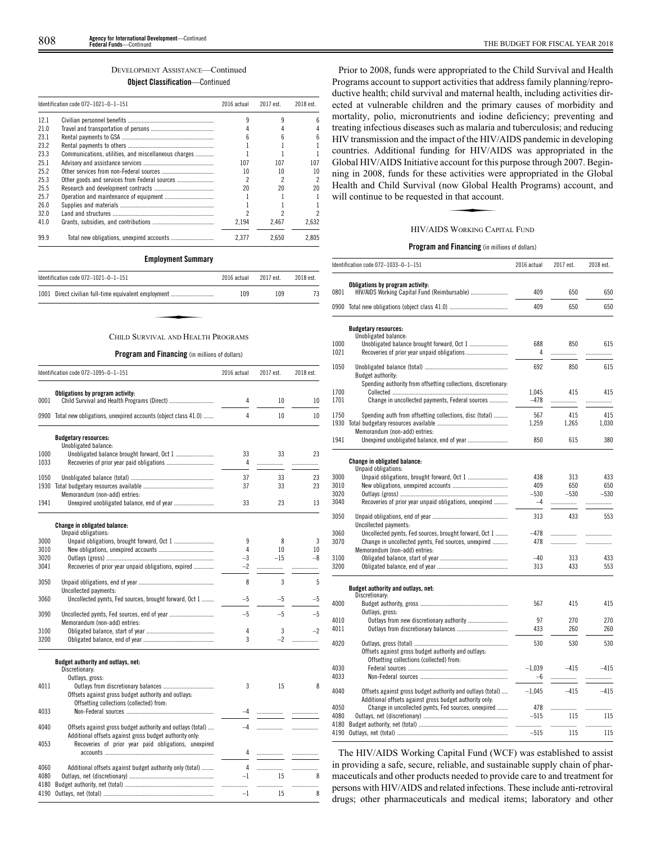# DEVELOPMENT ASSISTANCE—Continued

**Object Classification**—Continued

|      | Identification code 072-1021-0-1-151                 |       | 2017 est. | 2018 est. |
|------|------------------------------------------------------|-------|-----------|-----------|
| 12.1 |                                                      |       |           |           |
| 21.0 |                                                      |       |           |           |
| 23.1 |                                                      |       |           |           |
| 23.2 |                                                      |       |           |           |
| 23.3 | Communications, utilities, and miscellaneous charges |       |           |           |
| 25.1 |                                                      | 107   | 107       | 107       |
| 252  |                                                      | 10    | 10        | 10        |
| 25.3 | Other goods and services from Federal sources        |       |           |           |
| 25.5 |                                                      | 20    | 20        |           |
| 25.7 |                                                      |       |           |           |
| 26.0 |                                                      |       |           |           |
| 32.0 |                                                      |       |           |           |
| 41.0 |                                                      | 2.194 | 2.467     | 2.632     |
| 99.9 |                                                      | 2.377 | 2.650     | 2.805     |

## **Employment Summary**

| Identification code 072-1021-0-1-151                 | 2016 actual | 2017 est. | 2018 est. |
|------------------------------------------------------|-------------|-----------|-----------|
| 1001 Direct civilian full-time equivalent employment | 109         | 109       | 73        |
|                                                      |             |           |           |
| CHILD SURVIVAL AND HEALTH PROGRAMS                   |             |           |           |

## CHILD SURVIVAL AND HEALTH PROGRAMS

## **Program and Financing** (in millions of dollars)

|              | Identification code 072-1095-0-1-151                               | 2016 actual  | 2017 est.   | 2018 est.  |
|--------------|--------------------------------------------------------------------|--------------|-------------|------------|
|              | Obligations by program activity:                                   |              |             |            |
| 0001         |                                                                    | 4            | 10          | 10         |
|              | 0900 Total new obligations, unexpired accounts (object class 41.0) | 4            | 10          | 10         |
|              | <b>Budgetary resources:</b>                                        |              |             |            |
|              | Unobligated balance:                                               |              |             |            |
| 1000         |                                                                    | 33           | 33          | 23         |
| 1033         |                                                                    | 4            | .           | .          |
|              |                                                                    | 37           | 33          |            |
| 1050         |                                                                    | 37           | 33          | 23<br>23   |
|              | Memorandum (non-add) entries:                                      |              |             |            |
| 1941         |                                                                    | 33           | 23          | 13         |
|              |                                                                    |              |             |            |
|              | <b>Change in obligated balance:</b>                                |              |             |            |
|              | Unpaid obligations:                                                |              |             |            |
| 3000         |                                                                    | 9            | 8           | 3          |
| 3010         |                                                                    | 4            | 10<br>$-15$ | 10<br>$-8$ |
| 3020<br>3041 | Recoveries of prior year unpaid obligations, expired               | $-3$<br>$-2$ |             |            |
|              |                                                                    |              | .           | .          |
| 3050         |                                                                    | 8            | 3           | 5          |
|              | Uncollected payments:                                              |              |             |            |
| 3060         | Uncollected pymts, Fed sources, brought forward, Oct 1             | $-5$         | $-5$        | -5         |
| 3090         |                                                                    | $-5$         | $-5$        | $-5$       |
|              | Memorandum (non-add) entries:                                      |              |             |            |
| 3100         |                                                                    | 4            | 3           | $-2$       |
| 3200         |                                                                    | 3            | $-2$        |            |
|              | Budget authority and outlays, net:                                 |              |             |            |
|              | Discretionary:                                                     |              |             |            |
|              | Outlays, gross:                                                    |              |             |            |
| 4011         |                                                                    | 3            | 15          | 8          |
|              | Offsets against gross budget authority and outlays:                |              |             |            |
|              | Offsetting collections (collected) from:                           |              |             |            |
| 4033         |                                                                    | $-4$         |             |            |
| 4040         | Offsets against gross budget authority and outlays (total)         | $-4$         |             | .          |
|              | Additional offsets against gross budget authority only:            |              |             |            |
| 4053         | Recoveries of prior year paid obligations, unexpired               |              |             |            |
|              |                                                                    | 4            |             | .          |
| 4060         | Additional offsets against budget authority only (total)           | 4            |             | .          |
| 4080         |                                                                    | $-1$         | 15          | 8          |
| 4180         |                                                                    |              | .           | .          |
| 4190         |                                                                    | $-1$         | 15          | 8          |
|              |                                                                    |              |             |            |

Prior to 2008, funds were appropriated to the Child Survival and Health Programs account to support activities that address family planning/reproductive health; child survival and maternal health, including activities directed at vulnerable children and the primary causes of morbidity and mortality, polio, micronutrients and iodine deficiency; preventing and treating infectious diseases such as malaria and tuberculosis; and reducing HIV transmission and the impact of the HIV/AIDS pandemic in developing countries. Additional funding for HIV/AIDS was appropriated in the Global HIV/AIDS Initiative account for this purpose through 2007. Beginning in 2008, funds for these activities were appropriated in the Global<br>Health and Child Survival (now Global Health Programs) account, and<br>will continue to be requested in that account.<br>HIV/AIDS WORKING CAPITAL FUND Health and Child Survival (now Global Health Programs) account, and will continue to be requested in that account.

## HIV/AIDS WORKING CAPITAL FUND

## **Program and Financing** (in millions of dollars)

|              | Identification code 072-1033-0-1-151                                                                                  | 2016 actual | 2017 est. | 2018 est. |
|--------------|-----------------------------------------------------------------------------------------------------------------------|-------------|-----------|-----------|
|              | Obligations by program activity:                                                                                      |             |           |           |
| 0801         | HIV/AIDS Working Capital Fund (Reimbursable)                                                                          | 409         | 650       | 650       |
|              |                                                                                                                       | 409         | 650       | 650       |
|              | <b>Budgetary resources:</b>                                                                                           |             |           |           |
|              | Unobligated balance:                                                                                                  |             |           |           |
| 1000<br>1021 |                                                                                                                       | 688<br>4    | 850<br>.  | 615<br>.  |
| 1050         | Budget authority:                                                                                                     | 692         | 850       | 615       |
|              | Spending authority from offsetting collections, discretionary:                                                        |             |           |           |
| 1700         |                                                                                                                       | 1.045       | 415       | 415       |
| 1701         | Change in uncollected payments, Federal sources                                                                       | $-478$      | .         | .         |
| 1750         | Spending auth from offsetting collections, disc (total)                                                               | 567         | 415       | 415       |
| 1930         |                                                                                                                       | 1,259       | 1,265     | 1,030     |
|              | Memorandum (non-add) entries:                                                                                         |             |           |           |
| 1941         |                                                                                                                       | 850         | 615       | 380       |
|              | Change in obligated balance:                                                                                          |             |           |           |
|              | Unpaid obligations:                                                                                                   |             |           |           |
| 3000         |                                                                                                                       | 438         | 313       | 433       |
| 3010         |                                                                                                                       | 409         | 650       | 650       |
| 3020         |                                                                                                                       | $-530$      | $-530$    | $-530$    |
| 3040         | Recoveries of prior year unpaid obligations, unexpired                                                                | $-4$        | .         | .         |
| 3050         |                                                                                                                       | 313         | 433       | 553       |
|              | Uncollected payments:                                                                                                 |             |           |           |
| 3060         | Uncollected pymts, Fed sources, brought forward, Oct 1                                                                | $-478$      |           |           |
| 3070         | Change in uncollected pymts, Fed sources, unexpired                                                                   | 478         |           |           |
|              | Memorandum (non-add) entries:                                                                                         |             |           |           |
| 3100         |                                                                                                                       | $-40$       | 313       | 433       |
| 3200         |                                                                                                                       | 313         | 433       | 553       |
|              | Budget authority and outlays, net:                                                                                    |             |           |           |
|              | Discretionary:                                                                                                        |             |           |           |
| 4000         |                                                                                                                       | 567         | 415       | 415       |
| 4010         | Outlays, gross:<br>Outlays from new discretionary authority                                                           | 97          | 270       | 270       |
| 4011         |                                                                                                                       | 433         | 260       | 260       |
|              |                                                                                                                       |             |           |           |
| 4020         |                                                                                                                       | 530         | 530       | 530       |
|              | Offsets against gross budget authority and outlays:                                                                   |             |           |           |
| 4030         | Offsetting collections (collected) from:                                                                              | $-1,039$    | $-415$    | $-415$    |
| 4033         |                                                                                                                       | -6          |           |           |
| 4040         |                                                                                                                       | $-1.045$    | $-415$    | $-415$    |
|              | Offsets against gross budget authority and outlays (total)<br>Additional offsets against gross budget authority only: |             |           |           |
| 4050         | Change in uncollected pymts, Fed sources, unexpired                                                                   | 478         |           |           |
| 4080         |                                                                                                                       | $-515$      | 115       | .<br>115  |
| 4180         |                                                                                                                       |             | .         |           |
| 4190         |                                                                                                                       | $-515$      | 115       | 115       |
|              |                                                                                                                       |             |           |           |

The HIV/AIDS Working Capital Fund (WCF) was established to assist in providing a safe, secure, reliable, and sustainable supply chain of pharmaceuticals and other products needed to provide care to and treatment for persons with HIV/AIDS and related infections. These include anti-retroviral drugs; other pharmaceuticals and medical items; laboratory and other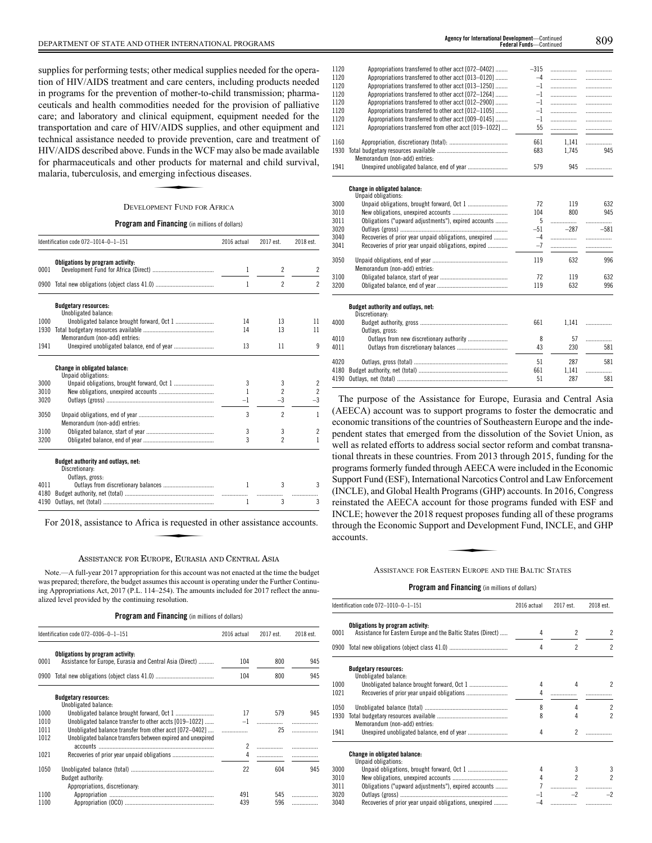supplies for performing tests; other medical supplies needed for the operation of HIV/AIDS treatment and care centers, including products needed in programs for the prevention of mother-to-child transmission; pharmaceuticals and health commodities needed for the provision of palliative care; and laboratory and clinical equipment, equipment needed for the transportation and care of HIV/AIDS supplies, and other equipment and technical assistance needed to provide prevention, care and treatment of HIV/AIDS described above. Funds in the WCF may also be made available<br>for pharmaceuticals and other products for maternal and child survival,<br>malaria, tuberculosis, and emerging infectious diseases.<br>DEVELOPMENT FUND FOR AF for pharmaceuticals and other products for maternal and child survival, malaria, tuberculosis, and emerging infectious diseases.

### DEVELOPMENT FUND FOR AFRICA

#### **Program and Financing** (in millions of dollars)

| Identification code 072-1014-0-1-151                 | 2016 actual                                                                                                                                   | 2017 est.                | 2018 est.                            |
|------------------------------------------------------|-----------------------------------------------------------------------------------------------------------------------------------------------|--------------------------|--------------------------------------|
| Obligations by program activity:                     |                                                                                                                                               |                          |                                      |
|                                                      |                                                                                                                                               |                          | 2                                    |
|                                                      | 1                                                                                                                                             | $\overline{\phantom{a}}$ | $\overline{2}$                       |
| <b>Budgetary resources:</b>                          |                                                                                                                                               |                          |                                      |
|                                                      |                                                                                                                                               |                          |                                      |
|                                                      |                                                                                                                                               |                          | 11<br>11                             |
|                                                      |                                                                                                                                               |                          |                                      |
|                                                      | 13                                                                                                                                            | 11                       | 9                                    |
| Change in obligated balance:                         |                                                                                                                                               |                          |                                      |
|                                                      | 3                                                                                                                                             |                          | 2                                    |
|                                                      | 1                                                                                                                                             | $\overline{\phantom{a}}$ | $\overline{c}$                       |
|                                                      | $-1$                                                                                                                                          | $-3$                     | $-3$                                 |
| Memorandum (non-add) entries:                        | 3                                                                                                                                             | $\overline{\phantom{a}}$ | 1                                    |
|                                                      | 3                                                                                                                                             | 3                        | 2                                    |
|                                                      | 3                                                                                                                                             | $\overline{\phantom{a}}$ | 1                                    |
| Budget authority and outlays, net:<br>Discretionary: |                                                                                                                                               |                          |                                      |
|                                                      |                                                                                                                                               |                          |                                      |
|                                                      |                                                                                                                                               |                          | 3                                    |
|                                                      | 1                                                                                                                                             | 3                        | 3                                    |
|                                                      | Unobligated balance:<br>Unobligated balance brought forward, Oct 1<br>Memorandum (non-add) entries:<br>Unpaid obligations:<br>Outlays, gross: | 1<br>14<br>14<br>1       | $\overline{2}$<br>13<br>13<br>3<br>3 |

#### ASSISTANCE FOR EUROPE, EURASIA AND CENTRAL ASIA

Note.—A full-year 2017 appropriation for this account was not enacted at the time the budget was prepared; therefore, the budget assumes this account is operating under the Further Continuing Appropriations Act, 2017 (P.L. 114–254). The amounts included for 2017 reflect the annualized level provided by the continuing resolution.

**Program and Financing** (in millions of dollars)

|              | Identification code 072-0306-0-1-151                                                                                   | 2016 actual | 2017 est. | 2018 est. |
|--------------|------------------------------------------------------------------------------------------------------------------------|-------------|-----------|-----------|
| 0001         | Obligations by program activity:<br>Assistance for Europe, Eurasia and Central Asia (Direct)                           | 104         | 800       | 945       |
| 0900         |                                                                                                                        | 104         | 800       | 945       |
|              | <b>Budgetary resources:</b><br>Unobligated balance:                                                                    |             |           |           |
| 1000         |                                                                                                                        | 17          | 579       | 945       |
| 1010         | Unobligated balance transfer to other accts [019-1022]                                                                 |             |           |           |
| 1011<br>1012 | Unobligated balance transfer from other acct [072-0402]<br>Unobligated balance transfers between expired and unexpired |             | 25        |           |
|              |                                                                                                                        | 2           |           |           |
| 1021         |                                                                                                                        | 4           |           |           |
| 1050         | <b>Budget authority:</b><br>Appropriations, discretionary:                                                             | 22          | 604       | 945       |
| 1100         |                                                                                                                        | 491         | 545       |           |
| 1100         |                                                                                                                        | 439         | 596       |           |

| 1120 | Appropriations transferred to other acct [072-0402]    | $-315$ | .      | .      |
|------|--------------------------------------------------------|--------|--------|--------|
| 1120 | Appropriations transferred to other acct [013-0120]    | $-4$   | .      | .      |
| 1120 | Appropriations transferred to other acct [013-1250]    | $-1$   | .      | .      |
| 1120 | Appropriations transferred to other acct [072-1264]    | $-1$   | .      | .      |
| 1120 | Appropriations transferred to other acct [012-2900]    | $-1$   | .      | .      |
| 1120 | Appropriations transferred to other acct [012-1105]    | $-1$   | .      | .      |
| 1120 | Appropriations transferred to other acct [009-0145]    | $-1$   | .      | .      |
| 1121 | Appropriations transferred from other acct [019-1022]  | 55     | .      |        |
| 1160 |                                                        | 661    | 1,141  | .      |
| 1930 |                                                        | 683    | 1.745  | 945    |
|      | Memorandum (non-add) entries:                          |        |        |        |
| 1941 |                                                        | 579    | 945    |        |
|      | <b>Change in obligated balance:</b>                    |        |        |        |
|      | Unpaid obligations:                                    |        |        |        |
| 3000 |                                                        | 72     | 119    | 632    |
| 3010 |                                                        | 104    | 800    | 945    |
| 3011 | Obligations ("upward adjustments"), expired accounts   | 5      | .      |        |
| 3020 |                                                        | $-51$  | $-287$ | $-581$ |
| 3040 | Recoveries of prior year unpaid obligations, unexpired | $-4$   |        |        |

| 3041 | Recoveries of prior year unpaid obligations, expired | $-7$ |       |     |
|------|------------------------------------------------------|------|-------|-----|
| 3050 | Memorandum (non-add) entries:                        | 119  | 632   | 996 |
| 3100 |                                                      | 72   | 119   | 632 |
| 3200 |                                                      | 119  | 632   | 996 |
|      | Budget authority and outlays, net:<br>Discretionary: |      |       |     |
| 4000 | Outlays, gross:                                      | 661  | 1.141 | .   |
| 4010 |                                                      | 8    | 57    | .   |
| 4011 |                                                      | 43   | 230   | 581 |
| 4020 |                                                      | 51   | 287   | 581 |
| 4180 |                                                      | 661  | 1.141 | .   |
| 4190 |                                                      | 51   | 287   | 581 |
|      |                                                      |      |       |     |

The purpose of the Assistance for Europe, Eurasia and Central Asia (AEECA) account was to support programs to foster the democratic and economic transitions of the countries of Southeastern Europe and the independent states that emerged from the dissolution of the Soviet Union, as well as related efforts to address social sector reform and combat transnational threats in these countries. From 2013 through 2015, funding for the programs formerly funded through AEECA were included in the Economic Support Fund (ESF), International Narcotics Control and Law Enforcement (INCLE), and Global Health Programs (GHP) accounts. In 2016, Congress reinstated the AEECA account for those programs funded with ESF and INCLE; however the 2018 request proposes funding all of these programs<br>
through the Economic Support and Development Fund, INCLE, and GHP<br>
accounts.<br>
ASSISTANCE FOR EASTERN EUROPE AND THE BALTIC STATES through the Economic Support and Development Fund, INCLE, and GHP accounts.

ASSISTANCE FOR EASTERN EUROPE AND THE BALTIC STATES

|              | Identification code 072-1010-0-1-151                                                             | 2016 actual | 2017 est.                | 2018 est.                |
|--------------|--------------------------------------------------------------------------------------------------|-------------|--------------------------|--------------------------|
| 0001         | Obligations by program activity:<br>Assistance for Eastern Europe and the Baltic States (Direct) | 4           | $\overline{\phantom{a}}$ | $\overline{\phantom{a}}$ |
| 0900         |                                                                                                  | 4           | $\mathfrak{p}$           | $\overline{c}$           |
|              | <b>Budgetary resources:</b><br>Unobligated balance:                                              |             |                          |                          |
| 1000<br>1021 |                                                                                                  | 4           | Δ                        | 2                        |
| 1050         |                                                                                                  | 8           | 4                        | $\overline{c}$           |
| 1930         | Memorandum (non-add) entries:                                                                    | 8           |                          | $\overline{\mathcal{C}}$ |
| 1941         |                                                                                                  | 4           | 2                        |                          |
|              | <b>Change in obligated balance:</b><br>Unpaid obligations:                                       |             |                          |                          |
| 3000         |                                                                                                  | 4           | 3                        | 3                        |
| 3010         |                                                                                                  | 4           | 2                        | 2                        |
| 3011         | Obligations ("upward adjustments"), expired accounts                                             |             |                          |                          |
| 3020         |                                                                                                  | $-1$        | $-2$                     | $-2$                     |
| 3040         | Recoveries of prior year unpaid obligations, unexpired                                           | $-4$        |                          |                          |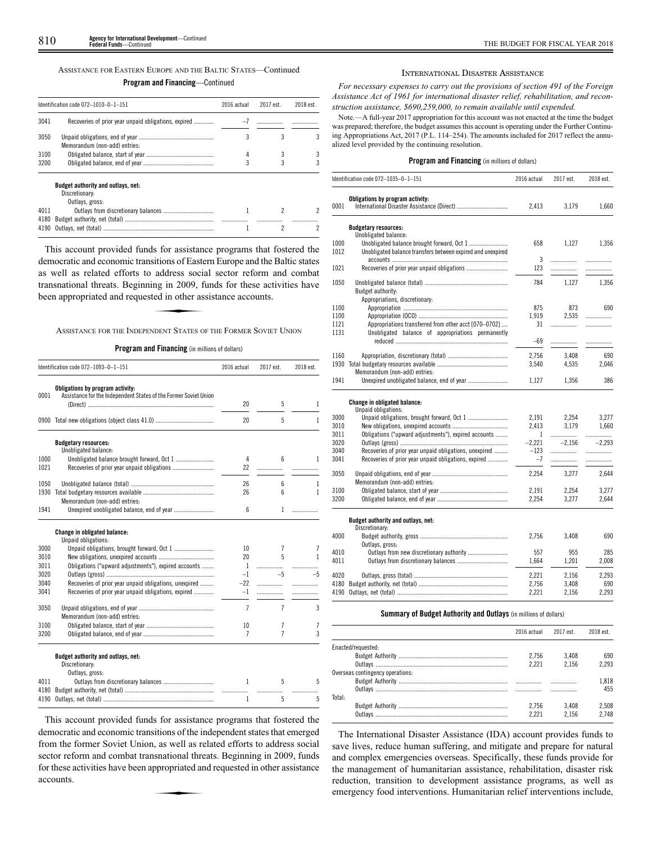## ASSISTANCE FOR EASTERN EUROPE AND THE BALTIC STATES—Continued **Program and Financing**—Continued

|      | Identification code 072-1010-0-1-151                        | 2016 actual | 2017 est. | 2018 est. |
|------|-------------------------------------------------------------|-------------|-----------|-----------|
| 3041 | Recoveries of prior year unpaid obligations, expired        | $-7$        |           |           |
| 3050 | Memorandum (non-add) entries:                               |             |           |           |
| 3100 |                                                             | 4           |           |           |
| 3200 |                                                             |             |           |           |
|      | <b>Budget authority and outlays, net:</b><br>Discretionary: |             |           |           |
|      | Outlays, gross:                                             |             |           |           |
| 4011 |                                                             |             |           |           |
| 4180 |                                                             |             |           |           |
| 4190 |                                                             |             | 2         |           |

This account provided funds for assistance programs that fostered the democratic and economic transitions of Eastern Europe and the Baltic states as well as related efforts to address social sector reform and combat transnational threats. Beginning in 2009, funds for these activities have been appropriated and requested in other assistance accounts. address social<br>ing in 2009, fixed in other as<br>spent States of

ASSISTANCE FOR THE INDEPENDENT STATES OF THE FORMER SOVIET UNION

## **Program and Financing** (in millions of dollars)

|      | Identification code 072-1093-0-1-151                                                                 | 2016 actual    | 2017 est.      | 2018 est. |
|------|------------------------------------------------------------------------------------------------------|----------------|----------------|-----------|
| 0001 | Obligations by program activity:<br>Assistance for the Independent States of the Former Soviet Union |                |                |           |
|      |                                                                                                      | 20             | 5              | 1         |
|      |                                                                                                      | 20             | 5              | 1         |
|      | <b>Budgetary resources:</b><br>Unobligated balance:                                                  |                |                |           |
| 1000 |                                                                                                      | 4              | 6              | 1         |
| 1021 |                                                                                                      | 22             | .              |           |
| 1050 |                                                                                                      | 26             | 6              | 1         |
| 1930 |                                                                                                      | 26             | 6              | 1         |
|      | Memorandum (non-add) entries:                                                                        |                |                |           |
| 1941 |                                                                                                      | 6              | 1              | .         |
|      | Change in obligated balance:<br>Unpaid obligations:                                                  |                |                |           |
| 3000 |                                                                                                      | 10             | 7              | 7         |
| 3010 |                                                                                                      | 20             | 5              | 1         |
| 3011 | Obligations ("upward adjustments"), expired accounts                                                 | 1              |                | .         |
| 3020 |                                                                                                      | $-1$           | $-5$           | $-5$      |
| 3040 | Recoveries of prior year unpaid obligations, unexpired                                               | $-22$          | .              | .         |
| 3041 | Recoveries of prior year unpaid obligations, expired                                                 | $-1$           | .              | .         |
| 3050 |                                                                                                      | $\overline{7}$ | $\overline{7}$ | 3         |
|      | Memorandum (non-add) entries:                                                                        |                |                |           |
| 3100 |                                                                                                      | 10             | 7              | 7         |
| 3200 |                                                                                                      | 7              | $\overline{7}$ | 3         |
|      | Budget authority and outlays, net:<br>Discretionary:                                                 |                |                |           |
|      | Outlays, gross:                                                                                      |                |                |           |
| 4011 |                                                                                                      | 1              | 5              | 5         |
| 4180 |                                                                                                      |                |                | .         |

This account provided funds for assistance programs that fostered the democratic and economic transitions of the independent states that emerged from the former Soviet Union, as well as related efforts to address social sector reform and combat transnational threats. Beginning in 2009, funds<br>sector reform and combat transnational threats. Beginning in 2009, funds<br>for these activities have been appropriated and requested in other assistanc for these activities have been appropriated and requested in other assistance accounts.

4190 Outlays, net (total) ........................................................................ 1 5 5

#### INTERNATIONAL DISASTER ASSISTANCE

*For necessary expenses to carry out the provisions of section 491 of the Foreign Assistance Act of 1961 for international disaster relief, rehabilitation, and reconstruction assistance, \$690,259,000, to remain available until expended.*

Note.—A full-year 2017 appropriation for this account was not enacted at the time the budget was prepared; therefore, the budget assumes this account is operating under the Further Continuing Appropriations Act, 2017 (P.L. 114–254). The amounts included for 2017 reflect the annualized level provided by the continuing resolution.

### **Program and Financing** (in millions of dollars)

|      | Identification code 072-1035-0-1-151                        | 2016 actual | 2017 est. | 2018 est. |
|------|-------------------------------------------------------------|-------------|-----------|-----------|
| 0001 | Obligations by program activity:                            | 2,413       | 3,179     | 1,660     |
|      | <b>Budgetary resources:</b>                                 |             |           |           |
| 1000 | Unobligated balance:                                        | 658         |           |           |
| 1012 | Unobligated balance transfers between expired and unexpired |             | 1.127     | 1.356     |
|      |                                                             | 3           | .         |           |
| 1021 |                                                             | 123         | .         | .<br>.    |
|      |                                                             |             |           |           |
| 1050 |                                                             | 784         | 1.127     | 1.356     |
|      | Budget authority:                                           |             |           |           |
|      | Appropriations, discretionary:                              |             |           |           |
| 1100 |                                                             | 875         | 873       | 690       |
| 1100 |                                                             | 1,919       | 2,535     | .         |
| 1121 | Appropriations transferred from other acct [070–0702]       | 31          | .         | .         |
| 1131 | Unobligated balance of appropriations permanently           |             |           |           |
|      |                                                             | -69         | .         | .         |
| 1160 |                                                             | 2,756       | 3.408     | 690       |
| 1930 |                                                             | 3,540       | 4,535     | 2,046     |
|      | Memorandum (non-add) entries:                               |             |           |           |
| 1941 |                                                             | 1,127       | 1,356     | 386       |
|      | Change in obligated balance:                                |             |           |           |
|      | Unpaid obligations:                                         |             |           |           |
| 3000 |                                                             | 2,191       | 2.254     | 3.277     |
| 3010 |                                                             | 2,413       | 3.179     | 1,660     |
| 3011 | Obligations ("upward adjustments"), expired accounts        | 1           | .         | .         |
| 3020 |                                                             | $-2,221$    | $-2,156$  | $-2,293$  |
| 3040 | Recoveries of prior year unpaid obligations, unexpired      | $-123$      |           |           |
| 3041 | Recoveries of prior year unpaid obligations, expired        | $-7$        | .         |           |
| 3050 |                                                             | 2,254       | 3,277     | 2,644     |
|      | Memorandum (non-add) entries:                               |             |           |           |
| 3100 |                                                             | 2,191       | 2,254     | 3,277     |
| 3200 |                                                             | 2,254       | 3,277     | 2,644     |
|      |                                                             |             |           |           |
|      | Budget authority and outlays, net:<br>Discretionary:        |             |           |           |
| 4000 |                                                             | 2,756       | 3,408     | 690       |
|      | Outlays, gross:                                             |             |           |           |
| 4010 |                                                             | 557         | 955       | 285       |
| 4011 |                                                             | 1,664       | 1,201     | 2,008     |
| 4020 |                                                             | 2,221       | 2,156     | 2,293     |
| 4180 |                                                             | 2,756       | 3,408     | 690       |
| 4190 |                                                             | 2,221       | 2,156     | 2,293     |
|      |                                                             |             |           |           |

## **Summary of Budget Authority and Outlays** (in millions of dollars)

|                                  | 2016 actual | 2017 est. | 2018 est. |
|----------------------------------|-------------|-----------|-----------|
| Enacted/requested:               |             |           |           |
|                                  | 2.756       | 3.408     | 690       |
|                                  | 2221        | 2156      | 2 2 9 3   |
| Overseas contingency operations: |             |           |           |
|                                  |             |           | 1.818     |
|                                  |             | .         | 455       |
| Total:                           |             |           |           |
|                                  | 2.756       | 3.408     | 2.508     |
| Outlays                          | 2221        | 2156      | 2748      |

The International Disaster Assistance (IDA) account provides funds to save lives, reduce human suffering, and mitigate and prepare for natural and complex emergencies overseas. Specifically, these funds provide for the management of humanitarian assistance, rehabilitation, disaster risk reduction, transition to development assistance programs, as well as emergency food interventions. Humanitarian relief interventions include,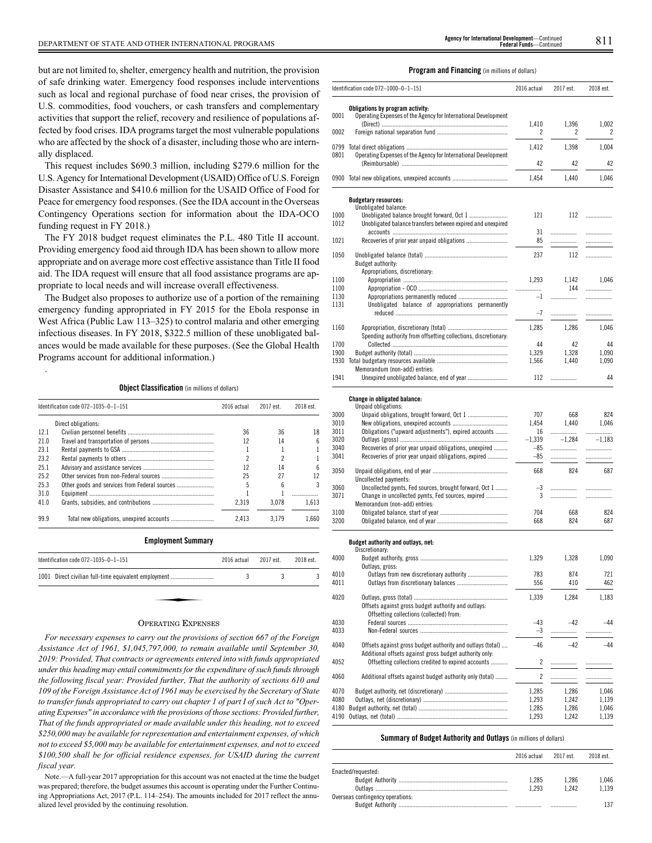but are not limited to, shelter, emergency health and nutrition, the provision of safe drinking water. Emergency food responses include interventions such as local and regional purchase of food near crises, the provision of U.S. commodities, food vouchers, or cash transfers and complementary activities that support the relief, recovery and resilience of populations affected by food crises. IDA programs target the most vulnerable populations who are affected by the shock of a disaster, including those who are internally displaced.

This request includes \$690.3 million, including \$279.6 million for the U.S. Agency for International Development (USAID) Office of U.S. Foreign Disaster Assistance and \$410.6 million for the USAID Office of Food for Peace for emergency food responses. (See the IDA account in the Overseas Contingency Operations section for information about the IDA-OCO funding request in FY 2018.)

The FY 2018 budget request eliminates the P.L. 480 Title II account. Providing emergency food aid through IDA has been shown to allow more appropriate and on average more cost effective assistance than Title II food aid. The IDA request will ensure that all food assistance programs are appropriate to local needs and will increase overall effectiveness.

The Budget also proposes to authorize use of a portion of the remaining emergency funding appropriated in FY 2015 for the Ebola response in West Africa (Public Law 113–325) to control malaria and other emerging infectious diseases. In FY 2018, \$322.5 million of these unobligated balances would be made available for these purposes. (See the Global Health Programs account for additional information.)

## **Object Classification** (in millions of dollars)

.

|      | Identification code 072-1035-0-1-151          | 2016 actual | 2017 est. | 2018 est. |
|------|-----------------------------------------------|-------------|-----------|-----------|
|      | Direct obligations:                           |             |           |           |
| 12.1 |                                               | 36          | 36        | 18        |
| 21.0 |                                               | 12          | 14        |           |
| 23.1 |                                               |             |           |           |
| 23.2 |                                               | 2           |           |           |
| 25.1 |                                               | 12          | 14        |           |
| 25.2 |                                               | 25          | 27        | 12        |
| 25.3 | Other goods and services from Federal sources | 5           | ĥ         |           |
| 31.0 |                                               |             |           |           |
| 41.0 |                                               | 2.319       | 3.078     | 1.613     |
| 99.9 |                                               | 2.413       | 3.179     | 1.660     |
|      | <b>Employment Summary</b>                     |             |           |           |

| Identification code $072-1035-0-1-151$               | 2016 actual | 2017 est. | 2018 est. |
|------------------------------------------------------|-------------|-----------|-----------|
| 1001 Direct civilian full-time equivalent employment |             |           |           |
|                                                      |             |           |           |
|                                                      |             |           |           |

### OPERATING EXPENSES

*For necessary expenses to carry out the provisions of section 667 of the Foreign Assistance Act of 1961, \$1,045,797,000, to remain available until September 30, 2019: Provided, That contracts or agreements entered into with funds appropriated under this heading may entail commitments for the expenditure of such funds through the following fiscal year: Provided further, That the authority of sections 610 and 109 of the Foreign Assistance Act of 1961 may be exercised by the Secretary of State to transfer funds appropriated to carry out chapter 1 of part I of such Act to "Operating Expenses" in accordance with the provisions of those sections: Provided further, That of the funds appropriated or made available under this heading, not to exceed \$250,000 may be available for representation and entertainment expenses, of which not to exceed \$5,000 may be available for entertainment expenses, and not to exceed \$100,500 shall be for official residence expenses, for USAID during the current fiscal year.*

Note.—A full-year 2017 appropriation for this account was not enacted at the time the budget was prepared; therefore, the budget assumes this account is operating under the Further Continuing Appropriations Act, 2017 (P.L. 114–254). The amounts included for 2017 reflect the annualized level provided by the continuing resolution.

### **Program and Financing** (in millions of dollars)

|              | Identification code 072-1000-0-1-151                                                                                  | 2016 actual    | 2017 est.     | 2018 est.     |
|--------------|-----------------------------------------------------------------------------------------------------------------------|----------------|---------------|---------------|
| 0001         | Obligations by program activity:<br>Operating Expenses of the Agency for International Development                    |                |               |               |
| 0002         |                                                                                                                       | 1,410<br>2     | 1,396<br>2    | 1,002<br>2    |
|              |                                                                                                                       | 1,412          | 1,398         | 1,004         |
| 0801         | Operating Expenses of the Agency for International Development                                                        | 42             | 42            | 42            |
|              | 0900 Total new obligations, unexpired accounts                                                                        | 1,454          | 1,440         | 1,046         |
|              | <b>Budgetary resources:</b>                                                                                           |                |               |               |
| 1000         | Unobligated balance:<br>Unobligated balance brought forward, Oct 1                                                    | 121            | 112           | .             |
| 1012         | Unobligated balance transfers between expired and unexpired                                                           |                |               |               |
| 1021         |                                                                                                                       | 31<br>85       | .<br>.        | .<br>.        |
| 1050         |                                                                                                                       | 237            | 112           |               |
|              | Budget authority:<br>Appropriations, discretionary:                                                                   |                |               |               |
| 1100         |                                                                                                                       | 1,293          | 1,142         | 1,046         |
| 1100         |                                                                                                                       | .              | 144           | .             |
| 1130         |                                                                                                                       | $-1$           | .             |               |
| 1131         | Unobligated balance of appropriations permanently                                                                     | $-7$           | .             |               |
|              |                                                                                                                       |                |               |               |
| 1160         | Spending authority from offsetting collections, discretionary:                                                        | 1,285          | 1,286         | 1,046         |
| 1700         |                                                                                                                       | 44             | 42            | 44            |
| 1900         |                                                                                                                       | 1,329          | 1,328         | 1,090         |
|              |                                                                                                                       | 1,566          | 1,440         | 1,090         |
| 1941         | Memorandum (non-add) entries:                                                                                         | 112            | .             | 44            |
|              | Change in obligated balance:<br>Unpaid obligations:                                                                   |                |               |               |
| 3000         | Unpaid obligations, brought forward, Oct 1                                                                            | 707            | 668           | 824           |
| 3010<br>3011 | Obligations ("upward adjustments"), expired accounts                                                                  | 1,454<br>16    | 1.440         | 1,046         |
| 3020         |                                                                                                                       | $-1,339$       | .<br>$-1,284$ | .<br>$-1,183$ |
| 3040         | Recoveries of prior year unpaid obligations, unexpired                                                                | $-85$          | .             | .             |
| 3041         | Recoveries of prior year unpaid obligations, expired                                                                  | -85            | .             | .             |
| 3050         | Uncollected payments:                                                                                                 | 668            | 824           | 687           |
| 3060         | Uncollected pymts, Fed sources, brought forward, Oct 1                                                                | -3             | .             | .             |
| 3071         | Change in uncollected pymts, Fed sources, expired                                                                     | 3              | .             | .             |
|              | Memorandum (non-add) entries:                                                                                         |                |               |               |
| 3100<br>3200 |                                                                                                                       | 704<br>668     | 668<br>824    | 824<br>687    |
|              |                                                                                                                       |                |               |               |
|              | Budget authority and outlays, net:<br>Discretionary:                                                                  |                |               |               |
| 4000         |                                                                                                                       | 1,329          | 1.328         | 1,090         |
|              | Outlays, gross:                                                                                                       |                |               |               |
| 4010<br>4011 |                                                                                                                       | 783<br>556     | 874<br>410    | 721<br>462    |
| 4020         |                                                                                                                       | 1,339          | 1,284         | 1,183         |
|              | Offsets against gross budget authority and outlays:<br>Offsetting collections (collected) from:                       |                |               |               |
| 4030         |                                                                                                                       | -43            | -42           | -44           |
| 4033         |                                                                                                                       | $-3$           | .             | .             |
| 4040         | Offsets against gross budget authority and outlays (total)<br>Additional offsets against gross budget authority only: | $-46$          | $-42$         | -44           |
| 4052         | Offsetting collections credited to expired accounts                                                                   | 2              | .             | .             |
| 4060         | Additional offsets against budget authority only (total)                                                              | $\overline{c}$ | .             | .             |
| 4070         |                                                                                                                       | 1,285          | 1,286         | 1,046         |
| 4080         |                                                                                                                       | 1,293          | 1,242         | 1,139         |
| 4180         |                                                                                                                       | 1,285          | 1,286         | 1,046         |
| 4190         |                                                                                                                       | 1,293          | 1,242         | 1,139         |

## **Summary of Budget Authority and Outlays** (in millions of dollars)

|                                  | 2016 actual 2017 est. |         | 2018 est. |
|----------------------------------|-----------------------|---------|-----------|
| Enacted/requested:               |                       |         |           |
|                                  | 1.285                 | 1.286   | 1.046     |
|                                  | 1.293                 | 1 2 4 2 | 1.139     |
| Overseas contingency operations: |                       |         |           |
|                                  |                       |         |           |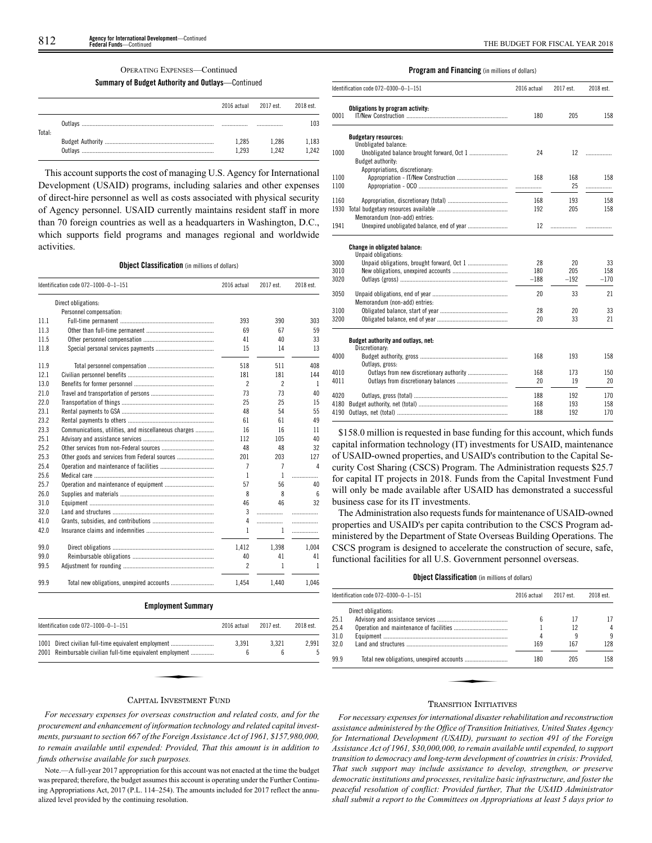## **Summary of Budget Authority and Outlays**—Continued

|        | 2016 actual 2017 est. |       | 2018 est. |
|--------|-----------------------|-------|-----------|
| Total: |                       |       | 103       |
|        | 1.285                 | 1.286 | 1,183     |
|        | 1.293                 | 1 242 | 1.242     |

This account supports the cost of managing U.S. Agency for International Development (USAID) programs, including salaries and other expenses of direct-hire personnel as well as costs associated with physical security of Agency personnel. USAID currently maintains resident staff in more than 70 foreign countries as well as a headquarters in Washington, D.C., which supports field programs and manages regional and worldwide activities.

## **Object Classification** (in millions of dollars)

|      | Identification code 072-1000-0-1-151                 | 2016 actual              | 2017 est.                | 2018 est. |
|------|------------------------------------------------------|--------------------------|--------------------------|-----------|
|      | Direct obligations:                                  |                          |                          |           |
|      | Personnel compensation:                              |                          |                          |           |
| 11.1 |                                                      | 393                      | 390                      | 303       |
| 11.3 |                                                      | 69                       | 67                       | 59        |
| 11.5 |                                                      | 41                       | 40                       | 33        |
| 11.8 |                                                      | 15                       | 14                       | 13        |
| 11.9 |                                                      | 518                      | 511                      | 408       |
| 12.1 |                                                      | 181                      | 181                      | 144       |
| 13.0 |                                                      | $\overline{\phantom{a}}$ | $\overline{\phantom{a}}$ | 1         |
| 21.0 |                                                      | 73                       | 73                       | 40        |
| 22.0 |                                                      | 25                       | 25                       | 15        |
| 23.1 |                                                      | 48                       | 54                       | 55        |
| 23.2 |                                                      | 61                       | 61                       | 49        |
| 23.3 | Communications, utilities, and miscellaneous charges | 16                       | 16                       | 11        |
| 25.1 |                                                      | 112                      | 105                      | 40        |
| 25.2 |                                                      | 48                       | 48                       | 32        |
| 25.3 |                                                      | 201                      | 203                      | 127       |
| 25.4 |                                                      | 7                        | 7                        | Δ         |
| 25.6 |                                                      | 1                        | 1                        | .         |
| 25.7 |                                                      | 57                       | 56                       | 40        |
| 26.0 |                                                      | 8                        | 8                        | ĥ         |
| 31.0 |                                                      | 46                       | 46                       | 32        |
| 32.0 |                                                      | 3                        | .                        | .         |
| 41.0 |                                                      | 4                        | .                        | .         |
| 42.0 |                                                      | 1                        | 1                        | .         |
| 99.0 |                                                      | 1,412                    | 1,398                    | 1,004     |
| 99.0 |                                                      | 40                       | 41                       | 41        |
| 99.5 |                                                      | $\overline{c}$           | 1                        | 1         |
| 99.9 | Total new obligations, unexpired accounts            | 1.454                    | 1.440                    | 1.046     |

#### **Employment Summary**

| Identification code 072-1000-0-1-151                       | 2016 actual | 2017 est. | 2018 est. |
|------------------------------------------------------------|-------------|-----------|-----------|
| 1001 Direct civilian full-time equivalent employment       | 3.391       | 3.321     | 2.991     |
| 2001 Reimbursable civilian full-time equivalent employment | 6           | 6         |           |

#### **Program and Financing** (in millions of dollars)

|      | Identification code 072-0300-0-1-151                 | 2016 actual | 2017 est. | 2018 est. |
|------|------------------------------------------------------|-------------|-----------|-----------|
| 0001 | Obligations by program activity:                     | 180         | 205       | 158       |
|      | <b>Budgetary resources:</b>                          |             |           |           |
| 1000 | Unobligated balance:                                 | 24          | 12        |           |
|      | Budget authority:                                    |             |           | .         |
|      | Appropriations, discretionary:                       |             |           |           |
| 1100 |                                                      | 168         | 168       | 158       |
| 1100 |                                                      |             | 25        | .         |
| 1160 |                                                      | 168         | 193       | 158       |
| 1930 |                                                      | 192         | 205       | 158       |
|      | Memorandum (non-add) entries:                        |             |           |           |
| 1941 | Unexpired unobligated balance, end of year           | 12          | .         |           |
|      | Change in obligated balance:<br>Unpaid obligations:  |             |           |           |
| 3000 |                                                      | 28          | 20        | 33        |
| 3010 |                                                      | 180         | 205       | 158       |
| 3020 |                                                      | $-188$      | $-192$    | $-170$    |
| 3050 | Memorandum (non-add) entries:                        | 20          | 33        | 21        |
| 3100 |                                                      | 28          | 20        | 33        |
| 3200 |                                                      | 20          | 33        | 21        |
|      | Budget authority and outlays, net:<br>Discretionary: |             |           |           |
| 4000 | Outlays, gross:                                      | 168         | 193       | 158       |
| 4010 |                                                      | 168         | 173       | 150       |
| 4011 |                                                      | 20          | 19        | 20        |
| 4020 |                                                      | 188         | 192       | 170       |
| 4180 |                                                      | 168         | 193       | 158       |
| 4190 |                                                      | 188         | 192       | 170       |

\$158.0 million is requested in base funding for this account, which funds capital information technology (IT) investments for USAID, maintenance of USAID-owned properties, and USAID's contribution to the Capital Security Cost Sharing (CSCS) Program. The Administration requests \$25.7 for capital IT projects in 2018. Funds from the Capital Investment Fund will only be made available after USAID has demonstrated a successful business case for its IT investments.

The Administration also requests funds for maintenance of USAID-owned properties and USAID's per capita contribution to the CSCS Program administered by the Department of State Overseas Building Operations. The CSCS program is designed to accelerate the construction of secure, safe, functional facilities for all U.S. Government personnel overseas.

### **Object Classification** (in millions of dollars)

|      | Identification code 072-0300-0-1-151 | 2016 actual | 2017 est. | 2018 est. |
|------|--------------------------------------|-------------|-----------|-----------|
|      | Direct obligations:                  |             |           |           |
| 25.1 |                                      | հ           | 17        | 17        |
| 25.4 |                                      |             | 12        | 4         |
| 31.0 |                                      |             |           | 9         |
| 32.0 |                                      | 169         | 167       | 128       |
| 99.9 |                                      | 180         | 205       | 158       |
|      |                                      |             |           |           |
|      |                                      |             |           |           |
|      |                                      |             |           |           |

### CAPITAL INVESTMENT FUND

*For necessary expenses for overseas construction and related costs, and for the procurement and enhancement of information technology and related capital investments, pursuant to section 667 of the Foreign Assistance Act of 1961, \$157,980,000, to remain available until expended: Provided, That this amount is in addition to funds otherwise available for such purposes.*

Note.—A full-year 2017 appropriation for this account was not enacted at the time the budget was prepared; therefore, the budget assumes this account is operating under the Further Continuing Appropriations Act, 2017 (P.L. 114–254). The amounts included for 2017 reflect the annualized level provided by the continuing resolution.

### TRANSITION INITIATIVES

*For necessary expenses for international disaster rehabilitation and reconstruction assistance administered by the Office of Transition Initiatives, United States Agency for International Development (USAID), pursuant to section 491 of the Foreign Assistance Act of 1961, \$30,000,000, to remain available until expended, to support transition to democracy and long-term development of countries in crisis: Provided, That such support may include assistance to develop, strengthen, or preserve democratic institutions and processes, revitalize basic infrastructure, and foster the peaceful resolution of conflict: Provided further, That the USAID Administrator shall submit a report to the Committees on Appropriations at least 5 days prior to*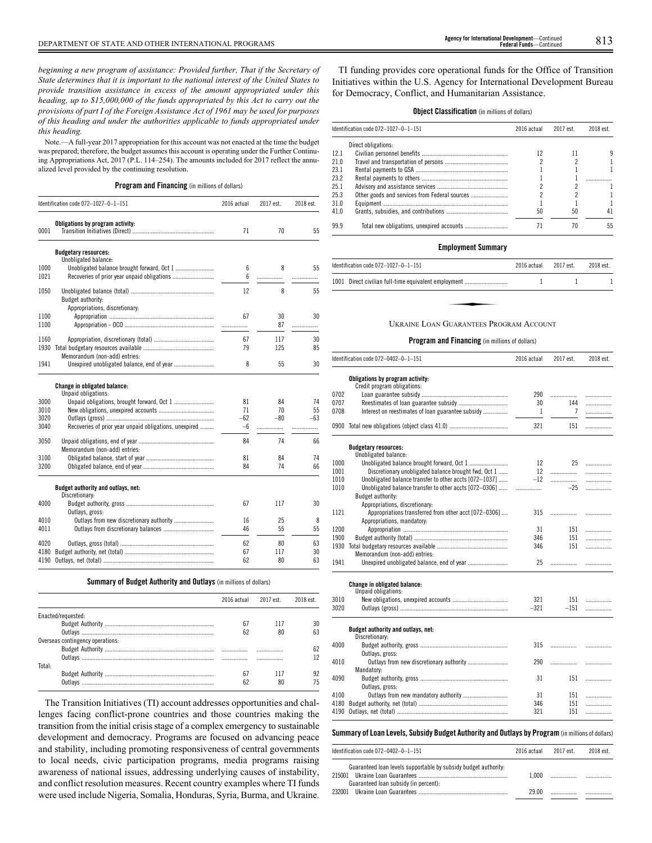*beginning a new program of assistance: Provided further, That if the Secretary of State determines that it is important to the national interest of the United States to provide transition assistance in excess of the amount appropriated under this heading, up to \$15,000,000 of the funds appropriated by this Act to carry out the provisions of part I of the Foreign Assistance Act of 1961 may be used for purposes of this heading and under the authorities applicable to funds appropriated under this heading.*

Note.—A full-year 2017 appropriation for this account was not enacted at the time the budget was prepared; therefore, the budget assumes this account is operating under the Further Continuing Appropriations Act, 2017 (P.L. 114–254). The amounts included for 2017 reflect the annualized level provided by the continuing resolution.

**Program and Financing** (in millions of dollars)

|      | Identification code 072-1027-0-1-151                   | 2016 actual | 2017 est. | 2018 est. |
|------|--------------------------------------------------------|-------------|-----------|-----------|
|      | Obligations by program activity:                       |             |           |           |
| 0001 |                                                        | 71          | 70        | 55        |
|      | <b>Budgetary resources:</b>                            |             |           |           |
|      | Unobligated balance:                                   |             |           |           |
| 1000 |                                                        | 6           | 8         | 55        |
| 1021 |                                                        | 6           | .         |           |
| 1050 |                                                        | 12          | 8         | 55        |
|      | Budget authority:                                      |             |           |           |
|      | Appropriations, discretionary:                         |             |           |           |
| 1100 |                                                        | 67          | 30        | 30        |
| 1100 |                                                        |             | 87        | .         |
| 1160 |                                                        | 67          | 117       | 30        |
| 1930 |                                                        | 79          | 125       | 85        |
|      | Memorandum (non-add) entries:                          |             |           |           |
| 1941 |                                                        | 8           | 55        | 30        |
|      | Change in obligated balance:<br>Unpaid obligations:    |             |           |           |
| 3000 |                                                        | 81          | 84        | 74        |
| 3010 |                                                        | 71          | 70        | 55        |
| 3020 |                                                        | $-62$       | $-80$     | $-63$     |
| 3040 | Recoveries of prior year unpaid obligations, unexpired | -6          | .         | .         |
| 3050 |                                                        | 84          | 74        | 66        |
|      | Memorandum (non-add) entries:                          |             |           |           |
| 3100 |                                                        | 81          | 84        | 74        |
| 3200 |                                                        | 84          | 74        | 66        |
|      | Budget authority and outlays, net:<br>Discretionary:   |             |           |           |
| 4000 |                                                        | 67          | 117       | 30        |
|      | Outlays, gross:                                        |             |           |           |
| 4010 | Outlays from new discretionary authority               | 16          | 25        | 8         |
| 4011 |                                                        | 46          | 55        | 55        |
| 4020 |                                                        | 62          | 80        | 63        |
| 4180 |                                                        | 67          | 117       | 30        |
| 4190 |                                                        | 62          | 80        | 63        |

**Summary of Budget Authority and Outlays** (in millions of dollars)

|                                  | 2016 actual | 2017 est. | 2018 est. |
|----------------------------------|-------------|-----------|-----------|
| Enacted/requested:               |             |           |           |
|                                  | 67          |           |           |
|                                  | 62          |           |           |
| Overseas contingency operations: |             |           |           |
|                                  |             |           |           |
|                                  |             |           |           |
| Total:                           |             |           |           |
|                                  | 67          |           |           |
|                                  | 62          |           |           |

The Transition Initiatives (TI) account addresses opportunities and challenges facing conflict-prone countries and those countries making the transition from the initial crisis stage of a complex emergency to sustainable development and democracy. Programs are focused on advancing peace and stability, including promoting responsiveness of central governments to local needs, civic participation programs, media programs raising awareness of national issues, addressing underlying causes of instability, and conflict resolution measures. Recent country examples where TI funds were used include Nigeria, Somalia, Honduras, Syria, Burma, and Ukraine.

TI funding provides core operational funds for the Office of Transition Initiatives within the U.S. Agency for International Development Bureau for Democracy, Conflict, and Humanitarian Assistance.

## **Object Classification** (in millions of dollars)

|      | Identification code 072-1027-0-1-151          | 2016 actual | 2017 est. | 2018 est. |
|------|-----------------------------------------------|-------------|-----------|-----------|
|      | Direct obligations:                           |             |           |           |
| 12.1 |                                               | 12          | 11        |           |
| 21.0 |                                               |             |           |           |
| 23.1 |                                               |             |           |           |
| 23.2 |                                               |             |           |           |
| 25.1 |                                               |             |           |           |
| 25.3 | Other goods and services from Federal sources |             |           |           |
| 31.0 |                                               |             |           |           |
| 41.0 |                                               | 50          | 50        | 41        |
| 99.9 |                                               |             | 70        | 55        |

### **Employment Summary**

| ldentification code 072-1027-0-1-151                 | 2016 actual | 2017 est. | 2018 est. |
|------------------------------------------------------|-------------|-----------|-----------|
| 1001 Direct civilian full-time equivalent employment |             |           |           |
|                                                      |             |           |           |
| UKRAINE LOAN GUARANTEES PROGRAM ACCOUNT              |             |           |           |

### **Program and Financing** (in millions of dollars)

|      | Identification code 072-0402-0-1-151                            | 2016 actual | 2017 est. | 2018 est. |
|------|-----------------------------------------------------------------|-------------|-----------|-----------|
|      | Obligations by program activity:<br>Credit program obligations: |             |           |           |
| 0702 |                                                                 | 290         |           | .         |
| 0707 |                                                                 | 30          | 144       | .         |
| 0708 | Interest on reestimates of loan guarantee subsidy               | 1           | 7         | .         |
| 0900 |                                                                 | 321         | 151       | .         |
|      | <b>Budgetary resources:</b>                                     |             |           |           |
|      | Unobligated balance:                                            |             |           |           |
| 1000 |                                                                 | 12          | 25        | .         |
| 1001 | Discretionary unobligated balance brought fwd, Oct 1            | 12          | .         | .         |
| 1010 | Unobligated balance transfer to other accts [072-1037]          | $-12$       | .         | .         |
| 1010 | Unobligated balance transfer to other accts [072-0306]          |             | $-25$     | .         |
|      | Budget authority:                                               |             |           |           |
|      | Appropriations, discretionary:                                  |             |           |           |
| 1121 | Appropriations transferred from other acct [072-0306]           | 315         | .         | .         |
|      | Appropriations, mandatory:                                      |             |           |           |
| 1200 |                                                                 | 31          | 151       | .         |
| 1900 |                                                                 | 346         | 151       | .         |
| 1930 |                                                                 | 346         | 151       | .         |
|      | Memorandum (non-add) entries:                                   |             |           |           |
| 1941 |                                                                 | 25          |           | .         |
|      | Change in obligated balance:<br>Unpaid obligations:             |             |           |           |
| 3010 |                                                                 | 321         | 151       | .         |
| 3020 |                                                                 | $-321$      | $-151$    | .         |
|      | Budget authority and outlays, net:<br>Discretionary:            |             |           |           |
| 4000 |                                                                 | 315         |           | .         |
|      | Outlays, gross:                                                 |             |           |           |
| 4010 |                                                                 | 290         | .         | .         |
|      | Mandatory:                                                      |             |           |           |
| 4090 |                                                                 | 31          | 151       | .         |
|      | Outlays, gross:                                                 |             |           |           |
| 4100 |                                                                 | 31          | 151       | .         |
| 4180 |                                                                 | 346         | 151       | .         |
| 4190 |                                                                 | 321         | 151       | .         |

### **Summary ofLoan Levels, Subsidy Budget Authority and Outlays by Program** (inmillionsof dollars)

| Identification code 072-0402-0-1-151                            | 2016 actual | 2017 est | 2018 est. |
|-----------------------------------------------------------------|-------------|----------|-----------|
| Guaranteed loan levels supportable by subsidy budget authority. |             |          |           |
| 215001                                                          | 1.000       |          |           |
| Guaranteed loan subsidy (in percent):                           |             |          |           |
| 232001                                                          | 29.00       |          |           |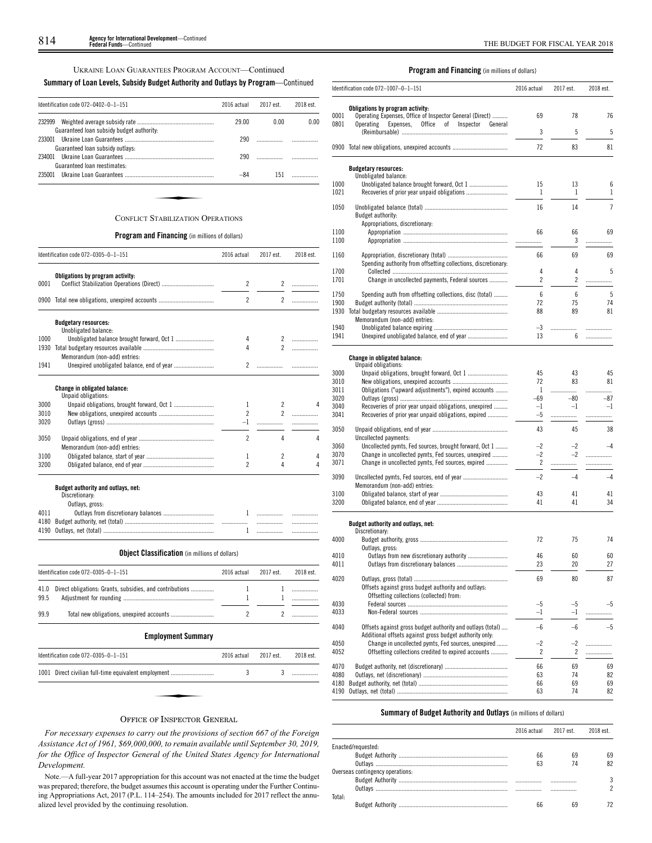UKRAINE LOAN GUARANTEES PROGRAM ACCOUNT—Continued

## **Summary of Loan Levels, Subsidy Budget Authority and Outlays by Program**—Continued

| Identification code 072-0402-0-1-151                | 2016 actual | 2017 est. | 2018 est. |
|-----------------------------------------------------|-------------|-----------|-----------|
| 232999<br>Guaranteed loan subsidy budget authority: | 29.00       | 0.00      | 0.00      |
| 233001<br>Guaranteed loan subsidy outlays:          | 290         |           |           |
| 234001<br>Guaranteed loan reestimates:              | 290         |           |           |
| 235001                                              | -84         | 151       |           |
|                                                     |             |           |           |
| <b>CONFLICT STABILIZATION OPERATIONS</b>            |             |           |           |

### **Program and Financing** (in millions of dollars)

|      | Identification code 072-0305-0-1-151                 | 2016 actual              | 2017 est.                | 2018 est. |
|------|------------------------------------------------------|--------------------------|--------------------------|-----------|
|      | Obligations by program activity:                     |                          |                          |           |
| 0001 |                                                      | 2                        | $\overline{2}$           | .         |
|      | 0900 Total new obligations, unexpired accounts       | $\overline{\phantom{a}}$ | $\overline{2}$           | .         |
|      | <b>Budgetary resources:</b><br>Unobligated balance:  |                          |                          |           |
| 1000 |                                                      | 4                        |                          |           |
| 1930 |                                                      | 4                        | $\mathfrak{p}$           |           |
|      | Memorandum (non-add) entries:                        |                          |                          |           |
| 1941 |                                                      | $\overline{2}$           |                          |           |
|      | Change in obligated balance:<br>Unpaid obligations:  |                          |                          |           |
| 3000 |                                                      | 1                        | $\overline{\phantom{a}}$ | Δ         |
| 3010 |                                                      | $\overline{2}$           | $\overline{\phantom{a}}$ | .         |
| 3020 |                                                      | $-1$                     | .                        |           |
| 3050 | Memorandum (non-add) entries:                        | $\overline{\phantom{a}}$ | 4                        | 4         |
| 3100 |                                                      | 1                        | $\overline{\phantom{a}}$ | 4         |
| 3200 |                                                      | $\overline{\phantom{a}}$ | 4                        | 4         |
|      | Budget authority and outlays, net:<br>Discretionary: |                          |                          |           |
|      | Outlays, gross:                                      |                          |                          |           |
| 4011 |                                                      | $\mathbf{1}$             | .                        |           |
| 4180 |                                                      |                          |                          |           |

**Object Classification** (in millions of dollars)

4190 Outlays, net (total) ........................................................................ 1 ................. .................

 $\overline{\phantom{0}}$ 

 $\overline{\phantom{0}}$ 

|      | Identification code $072-0305-0-1-151$                        | 2016 actual | 2017 est. | 2018 est. |
|------|---------------------------------------------------------------|-------------|-----------|-----------|
| 99.5 | 41.0 Direct obligations: Grants, subsidies, and contributions |             |           |           |
| 99.9 |                                                               |             |           |           |

## **Employment Summary**

| Identification code 072-0305-0-1-151                 |        | 2016 actual | 2017 est. | 2018 est. |
|------------------------------------------------------|--------|-------------|-----------|-----------|
| 1001 Direct civilian full-time equivalent employment |        |             |           |           |
|                                                      |        |             |           |           |
| $\sim$                                               | $\sim$ |             |           |           |

## OFFICE OF INSPECTOR GENERAL

*For necessary expenses to carry out the provisions of section 667 of the Foreign Assistance Act of 1961, \$69,000,000, to remain available until September 30, 2019, for the Office of Inspector General of the United States Agency for International Development.*

Note.—A full-year 2017 appropriation for this account was not enacted at the time the budget was prepared; therefore, the budget assumes this account is operating under the Further Continuing Appropriations Act, 2017 (P.L. 114–254). The amounts included for 2017 reflect the annualized level provided by the continuing resolution.

## **Program and Financing** (in millions of dollars)

|              | Identification code $072-1007-0-1-151$                                                                                     | 2016 actual    | 2017 est.      | 2018 est.      |
|--------------|----------------------------------------------------------------------------------------------------------------------------|----------------|----------------|----------------|
|              | Obligations by program activity:                                                                                           |                |                |                |
| 0001<br>0801 | Operating Expenses, Office of Inspector General (Direct)<br>Office<br>оf<br>Inspector<br>Operating<br>Expenses,<br>General | 69             | 78             | 76             |
|              |                                                                                                                            | 3              | 5              | 5              |
|              | 0900 Total new obligations, unexpired accounts                                                                             | 72             | 83             | 81             |
|              | <b>Budgetary resources:</b>                                                                                                |                |                |                |
|              | Unobligated balance:                                                                                                       |                |                |                |
| 1000<br>1021 |                                                                                                                            | 15<br>1        | 13<br>1        | 6<br>1         |
| 1050         |                                                                                                                            | 16             | 14             | $\overline{7}$ |
|              | Budget authority:                                                                                                          |                |                |                |
|              | Appropriations, discretionary:                                                                                             |                |                |                |
| 1100<br>1100 |                                                                                                                            | 66             | 66<br>3        | 69             |
|              |                                                                                                                            | .              |                | .              |
| 1160         | Spending authority from offsetting collections, discretionary:                                                             | 66             | 69             | 69             |
| 1700         |                                                                                                                            | 4              | 4              | 5              |
| 1701         | Change in uncollected payments, Federal sources                                                                            | $\overline{c}$ | $\overline{c}$ | .              |
| 1750         | Spending auth from offsetting collections, disc (total)                                                                    | 6              | 6              | 5              |
| 1900         |                                                                                                                            | 72             | 75             | 74             |
| 1930         | Memorandum (non-add) entries:                                                                                              | 88             | 89             | 81             |
| 1940         |                                                                                                                            | -3             | .              | .              |
| 1941         | Unexpired unobligated balance, end of year                                                                                 | 13             | 6              | .              |
|              |                                                                                                                            |                |                |                |
|              | <b>Change in obligated balance:</b><br>Unpaid obligations:                                                                 |                |                |                |
| 3000         |                                                                                                                            | 45             | 43             | 45             |
| 3010         |                                                                                                                            | 72             | 83             | 81             |
| 3011         | Obligations ("upward adjustments"), expired accounts                                                                       | 1              |                | .              |
| 3020<br>3040 | Recoveries of prior year unpaid obligations, unexpired                                                                     | -69<br>$-1$    | $-80$<br>$-1$  | -87<br>-1      |
| 3041         | Recoveries of prior year unpaid obligations, expired                                                                       | $-5$           | .              | .              |
| 3050         |                                                                                                                            | 43             | 45             | 38             |
| 3060         | Uncollected payments:<br>Uncollected pymts, Fed sources, brought forward, Oct 1                                            | $-2$           | $-2$           | $^{-4}$        |
| 3070         | Change in uncollected pymts, Fed sources, unexpired                                                                        | $-2$           | $-2$           | .              |
| 3071         | Change in uncollected pymts, Fed sources, expired                                                                          | 2              | .              | .              |
| 3090         |                                                                                                                            | $-2$           | $-4$           | $-4$           |
| 3100         | Memorandum (non-add) entries:                                                                                              | 43             | 41             | 41             |
| 3200         |                                                                                                                            | 41             | 41             | 34             |
|              |                                                                                                                            |                |                |                |
|              | Budget authority and outlays, net:<br>Discretionary:                                                                       |                |                |                |
| 4000         |                                                                                                                            | 72             | 75             | 74             |
|              | Outlays, gross:                                                                                                            |                |                |                |
| 4010         |                                                                                                                            | 46             | 60             | 60             |
| 4011         |                                                                                                                            | 23             | 20             | 27             |
| 4020         |                                                                                                                            | 69             | 80             | 87             |
|              | Offsets against gross budget authority and outlays:<br>Offsetting collections (collected) from:                            |                |                |                |
| 4030         |                                                                                                                            | $-5$           | $-5$           | -5             |
| 4033         |                                                                                                                            | $-1$           | $^{-1}$        | .              |
| 4040         | Offsets against gross budget authority and outlays (total)<br>Additional offsets against gross budget authority only:      | $-6$           | $-6$           | $-5$           |
| 4050         | Change in uncollected pymts, Fed sources, unexpired                                                                        | $-2$           | $-2$           | .              |
| 4052         | Offsetting collections credited to expired accounts                                                                        | 2              | 2              | .              |
| 4070         |                                                                                                                            | 66             | 69             | 69             |
| 4080         |                                                                                                                            | 63             | 74             | 82             |
| 4180         |                                                                                                                            | 66<br>63       | 69<br>74       | 69<br>82       |
|              |                                                                                                                            |                |                |                |

## **Summary of Budget Authority and Outlays** (in millions of dollars)

|                                  |    | 2016 actual 2017 est. | 2018 est. |
|----------------------------------|----|-----------------------|-----------|
| Enacted/requested:               |    |                       |           |
|                                  | 66 | 69                    |           |
|                                  | 63 | 74                    |           |
| Overseas contingency operations: |    |                       |           |
|                                  |    |                       |           |
|                                  |    |                       |           |
| Total:                           |    |                       |           |
|                                  | 66 |                       |           |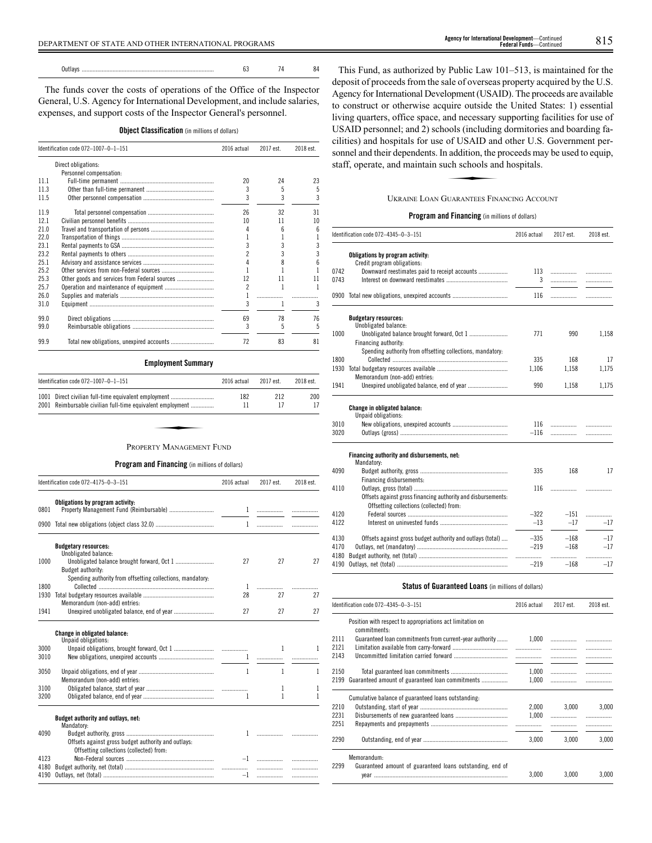The funds cover the costs of operations of the Office of the Inspector General, U.S. Agency for International Development, and include salaries, expenses, and support costs of the Inspector General's personnel.

|  |  | <b>Object Classification</b> (in millions of dollars) |  |  |  |  |
|--|--|-------------------------------------------------------|--|--|--|--|
|--|--|-------------------------------------------------------|--|--|--|--|

|      | Identification code 072-1007-0-1-151<br>2016 actual |    |    | 2018 est. |
|------|-----------------------------------------------------|----|----|-----------|
|      | Direct obligations:                                 |    |    |           |
|      | Personnel compensation:                             |    |    |           |
| 111  |                                                     | 20 | 24 | 23        |
| 11.3 |                                                     | 3  | 5  | 5         |
| 11.5 |                                                     | 3  | 3  | 3         |
| 11.9 |                                                     | 26 | 32 | 31        |
| 121  |                                                     | 10 | 11 | 10        |
| 21.0 |                                                     |    | 6  | 6         |
| 220  |                                                     |    |    |           |
| 231  |                                                     | 3  | 3  | 3         |
| 23.2 |                                                     |    | 3  |           |
| 251  |                                                     |    | 8  |           |
| 25.2 |                                                     |    |    |           |
| 25.3 | Other goods and services from Federal sources       | 12 | 11 | 11        |
| 25.7 |                                                     | 2  |    |           |
| 26.0 |                                                     |    |    |           |
| 31.0 |                                                     | 3  |    | 3         |
| 99.0 |                                                     | 69 | 78 | 76        |
| 99.0 |                                                     | 3  | 5  | 5         |
| 99.9 |                                                     | 72 | 83 | 81        |

**Employment Summary**

| Identification code $072-1007-0-1-151$                                                                             | 2016 actual | 2017 est. | 2018 est. |
|--------------------------------------------------------------------------------------------------------------------|-------------|-----------|-----------|
| 1001 Direct civilian full-time equivalent employment<br>2001 Reimbursable civilian full-time equivalent employment | 182<br>11   | 212       | 200<br>17 |
|                                                                                                                    |             |           |           |
| PROPERTY MANAGEMENT FUND                                                                                           |             |           |           |

**Program and Financing** (in millions of dollars)

|              | Identification code 072-4175-0-3-151                       | 2016 actual  | 2017 est. | 2018 est. |
|--------------|------------------------------------------------------------|--------------|-----------|-----------|
| 0801         | Obligations by program activity:                           |              |           |           |
|              |                                                            | $\mathbf{1}$ |           |           |
|              | <b>Budgetary resources:</b><br>Unobligated balance:        |              |           |           |
| 1000         | Budget authority:                                          | 27           | 27        | 27        |
| 1800         | Spending authority from offsetting collections, mandatory: | 1            | .         |           |
| 1930         | Memorandum (non-add) entries:                              | 28           | 27        | 27        |
| 1941         |                                                            | 27           | 27        | 27        |
|              | <b>Change in obligated balance:</b><br>Unpaid obligations: |              |           |           |
| 3000<br>3010 |                                                            |              | 1<br>1    | 1         |
| 3050         | Memorandum (non-add) entries:                              | 1            | 1         | 1         |
| 3100<br>3200 |                                                            | 1            | 1<br>1    | 1<br>1    |
|              | Budget authority and outlays, net:<br>Mandatory:           |              |           |           |
| 4090         | Offsets against gross budget authority and outlays:        |              |           |           |
| 4123         | Offsetting collections (collected) from:                   |              |           |           |
| 4180<br>4190 |                                                            | $-1$         | .<br>.    | .<br>.    |

This Fund, as authorized by Public Law 101–513, is maintained for the deposit of proceeds from the sale of overseas property acquired by the U.S. Agency for International Development (USAID). The proceeds are available to construct or otherwise acquire outside the United States: 1) essential living quarters, office space, and necessary supporting facilities for use of USAID personnel; and 2) schools (including dormitories and boarding facilities) and hospitals for use of USAID and other U.S. Government personnel and their dependents. In addition, the proceeds may be used to equip, staff, operate, and maintain such schools and hospitals. of USAID and<br>addition, the p<br>the schools and<br>illar anters Fin

## UKRAINE LOAN GUARANTEES FINANCING ACCOUNT

## **Program and Financing** (in millions of dollars)

|              | Identification code 072-4345-0-3-151                                                                     | 2016 actual | 2017 est.   | 2018 est.  |
|--------------|----------------------------------------------------------------------------------------------------------|-------------|-------------|------------|
|              | Obligations by program activity:<br>Credit program obligations:                                          |             |             |            |
| 0742         | Downward reestimates paid to receipt accounts                                                            | 113         | .           | .          |
| 0743         |                                                                                                          | 3           |             |            |
|              | 0900 Total new obligations, unexpired accounts                                                           | 116         |             | .          |
|              | <b>Budgetary resources:</b><br>Unobligated balance:                                                      |             |             |            |
| 1000         | Unobligated balance brought forward, Oct 1                                                               | 771         | 990         | 1,158      |
|              | Financing authority:                                                                                     |             |             |            |
|              | Spending authority from offsetting collections, mandatory:                                               |             |             |            |
| 1800         |                                                                                                          | 335         | 168         | 17         |
| 1930         | Memorandum (non-add) entries:                                                                            | 1.106       | 1.158       | 1,175      |
| 1941         |                                                                                                          | 990         | 1,158       | 1,175      |
|              | Change in obligated balance:<br>Unpaid obligations:                                                      |             |             |            |
| 3010         |                                                                                                          | 116         |             | .          |
| 3020         |                                                                                                          | $-116$      | .           |            |
|              | Financing authority and disbursements, net:<br>Mandatory:                                                |             |             |            |
| 4090         | Financing disbursements:                                                                                 | 335         | 168         | 17         |
| 4110         |                                                                                                          | 116         |             | .          |
|              | Offsets against gross financing authority and disbursements:<br>Offsetting collections (collected) from: |             |             |            |
| 4120         |                                                                                                          | $-322$      | $-151$      | .          |
| 4122         |                                                                                                          | $-13$       | $-17$       | $-17$      |
| 4130         | Offsets against gross budget authority and outlays (total)                                               | $-335$      | $-168$      | $-17$      |
| 4170<br>4180 |                                                                                                          | $-219$<br>. | $-168$<br>. | $-17$<br>. |
| 4190         |                                                                                                          | $-219$      | $-168$      | $-17$      |

## **Status of Guaranteed Loans** (in millions of dollars)

|      | Identification code 072-4345-0-3-151                                      | 2016 actual | 2017 est. | 2018 est. |
|------|---------------------------------------------------------------------------|-------------|-----------|-----------|
|      | Position with respect to appropriations act limitation on<br>commitments: |             |           |           |
| 2111 | Guaranteed loan commitments from current-year authority                   | 1,000       |           | .         |
| 2121 |                                                                           |             | .         |           |
| 2143 |                                                                           |             |           |           |
|      |                                                                           |             |           |           |
| 2150 |                                                                           | 1,000       |           | .         |
| 2199 | Guaranteed amount of guaranteed loan commitments                          | 1.000       |           | .         |
|      | Cumulative balance of guaranteed loans outstanding:                       |             |           |           |
| 2210 |                                                                           | 2,000       | 3.000     | 3,000     |
| 2231 |                                                                           | 1,000       |           | .         |
| 2251 |                                                                           |             |           |           |
|      |                                                                           |             |           |           |
| 2290 |                                                                           | 3.000       | 3.000     | 3,000     |
|      | Memorandum:                                                               |             |           |           |
| 2299 | Guaranteed amount of guaranteed loans outstanding, end of                 |             |           |           |
|      |                                                                           | 3.000       | 3,000     | 3,000     |
|      |                                                                           |             |           |           |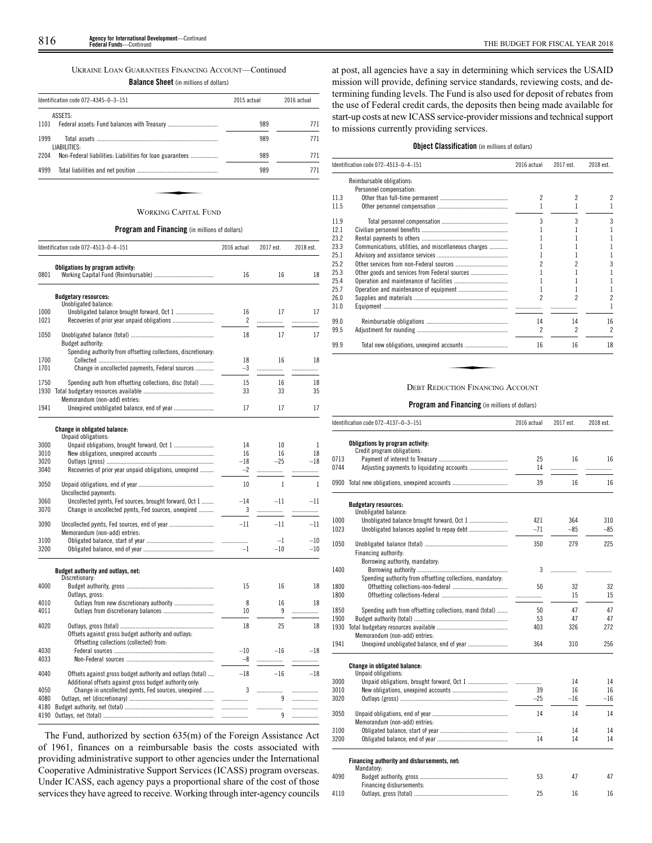## UKRAINE LOAN GUARANTEES FINANCING ACCOUNT—Continued

**Balance Sheet** (in millions of dollars)

| Identification code 072-4345-0-3-151                             | 2015 actual | 2016 actual |  |
|------------------------------------------------------------------|-------------|-------------|--|
| ASSETS:                                                          |             |             |  |
| 1101                                                             | 989         | 771         |  |
| 1999<br>LIABILITIES:                                             | 989         | 771         |  |
| 2204<br>Non-Federal liabilities: Liabilities for loan guarantees | 989         | 771         |  |
| 4999                                                             | 989         | 771         |  |
|                                                                  |             |             |  |
| <b>WORKING CAPITAL FUND</b>                                      |             |             |  |

## **Program and Financing** (in millions of dollars)

| Obligations by program activity:<br>0801<br>16<br>16<br>18<br><b>Budgetary resources:</b><br>Unobligated balance:<br>1000<br>Unobligated balance brought forward, Oct 1<br>16<br>17<br>17<br>1021<br>2<br>.<br>.<br>1050<br>18<br>17<br>17<br><b>Budget authority:</b><br>Spending authority from offsetting collections, discretionary:<br>1700<br>18<br>16<br>18<br>1701<br>Change in uncollected payments, Federal sources<br>$-3$<br>.<br>.<br>1750<br>15<br>16<br>Spending auth from offsetting collections, disc (total)<br>18<br>1930<br>33<br>33<br>35<br>Memorandum (non-add) entries:<br>Unexpired unobligated balance, end of year<br>17<br>1941<br>17<br>17<br><b>Change in obligated balance:</b><br>Unpaid obligations:<br>3000<br>14<br>10<br>1<br>16<br>16<br>18<br>3010<br>3020<br>$-18$<br>$-25$<br>$-18$<br>Recoveries of prior year unpaid obligations, unexpired<br>$-2$<br>3040<br>.<br>.<br>3050<br>$\mathbf{1}$<br>$\mathbf{1}$<br>10<br>Uncollected payments:<br>3060<br>Uncollected pymts, Fed sources, brought forward, Oct 1<br>$-14$<br>$-11$<br>$-11$<br>Change in uncollected pymts, Fed sources, unexpired<br>3070<br>3<br><br>.<br>3090<br>$-11$<br>$-11$<br>$-11$<br>Memorandum (non-add) entries:<br>3100<br>$-1$<br>$-10$<br>.<br>3200<br>$-10$<br>$-10$<br>$-1$<br>Budget authority and outlays, net:<br>Discretionary:<br>4000<br>16<br>15<br>18<br>Outlays, gross:<br>4010<br>8<br>16<br>18<br>4011<br>10<br>9<br>.<br>18<br>25<br>4020<br>18<br>Offsets against gross budget authority and outlays:<br>Offsetting collections (collected) from:<br>4030<br>$-10$<br>$-16$<br>$-18$<br>4033<br>$-8$<br>.<br>.<br>$-18$<br>$-16$<br>$-18$<br>4040<br>Offsets against gross budget authority and outlays (total)<br>Additional offsets against gross budget authority only:<br>4050<br>Change in uncollected pymts, Fed sources, unexpired<br>3<br><br>4080<br>9<br>.<br>.<br>4180<br>.<br>.<br>.<br>4190<br>9<br>.<br>. | Identification code 072-4513-0-4-151 | 2016 actual | 2017 est. | 2018 est. |
|---------------------------------------------------------------------------------------------------------------------------------------------------------------------------------------------------------------------------------------------------------------------------------------------------------------------------------------------------------------------------------------------------------------------------------------------------------------------------------------------------------------------------------------------------------------------------------------------------------------------------------------------------------------------------------------------------------------------------------------------------------------------------------------------------------------------------------------------------------------------------------------------------------------------------------------------------------------------------------------------------------------------------------------------------------------------------------------------------------------------------------------------------------------------------------------------------------------------------------------------------------------------------------------------------------------------------------------------------------------------------------------------------------------------------------------------------------------------------------------------------------------------------------------------------------------------------------------------------------------------------------------------------------------------------------------------------------------------------------------------------------------------------------------------------------------------------------------------------------------------------------------------------------------------------------------------------------------|--------------------------------------|-------------|-----------|-----------|
|                                                                                                                                                                                                                                                                                                                                                                                                                                                                                                                                                                                                                                                                                                                                                                                                                                                                                                                                                                                                                                                                                                                                                                                                                                                                                                                                                                                                                                                                                                                                                                                                                                                                                                                                                                                                                                                                                                                                                               |                                      |             |           |           |
|                                                                                                                                                                                                                                                                                                                                                                                                                                                                                                                                                                                                                                                                                                                                                                                                                                                                                                                                                                                                                                                                                                                                                                                                                                                                                                                                                                                                                                                                                                                                                                                                                                                                                                                                                                                                                                                                                                                                                               |                                      |             |           |           |
|                                                                                                                                                                                                                                                                                                                                                                                                                                                                                                                                                                                                                                                                                                                                                                                                                                                                                                                                                                                                                                                                                                                                                                                                                                                                                                                                                                                                                                                                                                                                                                                                                                                                                                                                                                                                                                                                                                                                                               |                                      |             |           |           |
|                                                                                                                                                                                                                                                                                                                                                                                                                                                                                                                                                                                                                                                                                                                                                                                                                                                                                                                                                                                                                                                                                                                                                                                                                                                                                                                                                                                                                                                                                                                                                                                                                                                                                                                                                                                                                                                                                                                                                               |                                      |             |           |           |
|                                                                                                                                                                                                                                                                                                                                                                                                                                                                                                                                                                                                                                                                                                                                                                                                                                                                                                                                                                                                                                                                                                                                                                                                                                                                                                                                                                                                                                                                                                                                                                                                                                                                                                                                                                                                                                                                                                                                                               |                                      |             |           |           |
|                                                                                                                                                                                                                                                                                                                                                                                                                                                                                                                                                                                                                                                                                                                                                                                                                                                                                                                                                                                                                                                                                                                                                                                                                                                                                                                                                                                                                                                                                                                                                                                                                                                                                                                                                                                                                                                                                                                                                               |                                      |             |           |           |
|                                                                                                                                                                                                                                                                                                                                                                                                                                                                                                                                                                                                                                                                                                                                                                                                                                                                                                                                                                                                                                                                                                                                                                                                                                                                                                                                                                                                                                                                                                                                                                                                                                                                                                                                                                                                                                                                                                                                                               |                                      |             |           |           |
|                                                                                                                                                                                                                                                                                                                                                                                                                                                                                                                                                                                                                                                                                                                                                                                                                                                                                                                                                                                                                                                                                                                                                                                                                                                                                                                                                                                                                                                                                                                                                                                                                                                                                                                                                                                                                                                                                                                                                               |                                      |             |           |           |
|                                                                                                                                                                                                                                                                                                                                                                                                                                                                                                                                                                                                                                                                                                                                                                                                                                                                                                                                                                                                                                                                                                                                                                                                                                                                                                                                                                                                                                                                                                                                                                                                                                                                                                                                                                                                                                                                                                                                                               |                                      |             |           |           |
|                                                                                                                                                                                                                                                                                                                                                                                                                                                                                                                                                                                                                                                                                                                                                                                                                                                                                                                                                                                                                                                                                                                                                                                                                                                                                                                                                                                                                                                                                                                                                                                                                                                                                                                                                                                                                                                                                                                                                               |                                      |             |           |           |
|                                                                                                                                                                                                                                                                                                                                                                                                                                                                                                                                                                                                                                                                                                                                                                                                                                                                                                                                                                                                                                                                                                                                                                                                                                                                                                                                                                                                                                                                                                                                                                                                                                                                                                                                                                                                                                                                                                                                                               |                                      |             |           |           |
|                                                                                                                                                                                                                                                                                                                                                                                                                                                                                                                                                                                                                                                                                                                                                                                                                                                                                                                                                                                                                                                                                                                                                                                                                                                                                                                                                                                                                                                                                                                                                                                                                                                                                                                                                                                                                                                                                                                                                               |                                      |             |           |           |
|                                                                                                                                                                                                                                                                                                                                                                                                                                                                                                                                                                                                                                                                                                                                                                                                                                                                                                                                                                                                                                                                                                                                                                                                                                                                                                                                                                                                                                                                                                                                                                                                                                                                                                                                                                                                                                                                                                                                                               |                                      |             |           |           |
|                                                                                                                                                                                                                                                                                                                                                                                                                                                                                                                                                                                                                                                                                                                                                                                                                                                                                                                                                                                                                                                                                                                                                                                                                                                                                                                                                                                                                                                                                                                                                                                                                                                                                                                                                                                                                                                                                                                                                               |                                      |             |           |           |
|                                                                                                                                                                                                                                                                                                                                                                                                                                                                                                                                                                                                                                                                                                                                                                                                                                                                                                                                                                                                                                                                                                                                                                                                                                                                                                                                                                                                                                                                                                                                                                                                                                                                                                                                                                                                                                                                                                                                                               |                                      |             |           |           |
|                                                                                                                                                                                                                                                                                                                                                                                                                                                                                                                                                                                                                                                                                                                                                                                                                                                                                                                                                                                                                                                                                                                                                                                                                                                                                                                                                                                                                                                                                                                                                                                                                                                                                                                                                                                                                                                                                                                                                               |                                      |             |           |           |
|                                                                                                                                                                                                                                                                                                                                                                                                                                                                                                                                                                                                                                                                                                                                                                                                                                                                                                                                                                                                                                                                                                                                                                                                                                                                                                                                                                                                                                                                                                                                                                                                                                                                                                                                                                                                                                                                                                                                                               |                                      |             |           |           |
|                                                                                                                                                                                                                                                                                                                                                                                                                                                                                                                                                                                                                                                                                                                                                                                                                                                                                                                                                                                                                                                                                                                                                                                                                                                                                                                                                                                                                                                                                                                                                                                                                                                                                                                                                                                                                                                                                                                                                               |                                      |             |           |           |
|                                                                                                                                                                                                                                                                                                                                                                                                                                                                                                                                                                                                                                                                                                                                                                                                                                                                                                                                                                                                                                                                                                                                                                                                                                                                                                                                                                                                                                                                                                                                                                                                                                                                                                                                                                                                                                                                                                                                                               |                                      |             |           |           |
|                                                                                                                                                                                                                                                                                                                                                                                                                                                                                                                                                                                                                                                                                                                                                                                                                                                                                                                                                                                                                                                                                                                                                                                                                                                                                                                                                                                                                                                                                                                                                                                                                                                                                                                                                                                                                                                                                                                                                               |                                      |             |           |           |
|                                                                                                                                                                                                                                                                                                                                                                                                                                                                                                                                                                                                                                                                                                                                                                                                                                                                                                                                                                                                                                                                                                                                                                                                                                                                                                                                                                                                                                                                                                                                                                                                                                                                                                                                                                                                                                                                                                                                                               |                                      |             |           |           |
|                                                                                                                                                                                                                                                                                                                                                                                                                                                                                                                                                                                                                                                                                                                                                                                                                                                                                                                                                                                                                                                                                                                                                                                                                                                                                                                                                                                                                                                                                                                                                                                                                                                                                                                                                                                                                                                                                                                                                               |                                      |             |           |           |
|                                                                                                                                                                                                                                                                                                                                                                                                                                                                                                                                                                                                                                                                                                                                                                                                                                                                                                                                                                                                                                                                                                                                                                                                                                                                                                                                                                                                                                                                                                                                                                                                                                                                                                                                                                                                                                                                                                                                                               |                                      |             |           |           |
|                                                                                                                                                                                                                                                                                                                                                                                                                                                                                                                                                                                                                                                                                                                                                                                                                                                                                                                                                                                                                                                                                                                                                                                                                                                                                                                                                                                                                                                                                                                                                                                                                                                                                                                                                                                                                                                                                                                                                               |                                      |             |           |           |
|                                                                                                                                                                                                                                                                                                                                                                                                                                                                                                                                                                                                                                                                                                                                                                                                                                                                                                                                                                                                                                                                                                                                                                                                                                                                                                                                                                                                                                                                                                                                                                                                                                                                                                                                                                                                                                                                                                                                                               |                                      |             |           |           |
|                                                                                                                                                                                                                                                                                                                                                                                                                                                                                                                                                                                                                                                                                                                                                                                                                                                                                                                                                                                                                                                                                                                                                                                                                                                                                                                                                                                                                                                                                                                                                                                                                                                                                                                                                                                                                                                                                                                                                               |                                      |             |           |           |
|                                                                                                                                                                                                                                                                                                                                                                                                                                                                                                                                                                                                                                                                                                                                                                                                                                                                                                                                                                                                                                                                                                                                                                                                                                                                                                                                                                                                                                                                                                                                                                                                                                                                                                                                                                                                                                                                                                                                                               |                                      |             |           |           |
|                                                                                                                                                                                                                                                                                                                                                                                                                                                                                                                                                                                                                                                                                                                                                                                                                                                                                                                                                                                                                                                                                                                                                                                                                                                                                                                                                                                                                                                                                                                                                                                                                                                                                                                                                                                                                                                                                                                                                               |                                      |             |           |           |
|                                                                                                                                                                                                                                                                                                                                                                                                                                                                                                                                                                                                                                                                                                                                                                                                                                                                                                                                                                                                                                                                                                                                                                                                                                                                                                                                                                                                                                                                                                                                                                                                                                                                                                                                                                                                                                                                                                                                                               |                                      |             |           |           |
|                                                                                                                                                                                                                                                                                                                                                                                                                                                                                                                                                                                                                                                                                                                                                                                                                                                                                                                                                                                                                                                                                                                                                                                                                                                                                                                                                                                                                                                                                                                                                                                                                                                                                                                                                                                                                                                                                                                                                               |                                      |             |           |           |
|                                                                                                                                                                                                                                                                                                                                                                                                                                                                                                                                                                                                                                                                                                                                                                                                                                                                                                                                                                                                                                                                                                                                                                                                                                                                                                                                                                                                                                                                                                                                                                                                                                                                                                                                                                                                                                                                                                                                                               |                                      |             |           |           |
|                                                                                                                                                                                                                                                                                                                                                                                                                                                                                                                                                                                                                                                                                                                                                                                                                                                                                                                                                                                                                                                                                                                                                                                                                                                                                                                                                                                                                                                                                                                                                                                                                                                                                                                                                                                                                                                                                                                                                               |                                      |             |           |           |
|                                                                                                                                                                                                                                                                                                                                                                                                                                                                                                                                                                                                                                                                                                                                                                                                                                                                                                                                                                                                                                                                                                                                                                                                                                                                                                                                                                                                                                                                                                                                                                                                                                                                                                                                                                                                                                                                                                                                                               |                                      |             |           |           |
|                                                                                                                                                                                                                                                                                                                                                                                                                                                                                                                                                                                                                                                                                                                                                                                                                                                                                                                                                                                                                                                                                                                                                                                                                                                                                                                                                                                                                                                                                                                                                                                                                                                                                                                                                                                                                                                                                                                                                               |                                      |             |           |           |
|                                                                                                                                                                                                                                                                                                                                                                                                                                                                                                                                                                                                                                                                                                                                                                                                                                                                                                                                                                                                                                                                                                                                                                                                                                                                                                                                                                                                                                                                                                                                                                                                                                                                                                                                                                                                                                                                                                                                                               |                                      |             |           |           |
|                                                                                                                                                                                                                                                                                                                                                                                                                                                                                                                                                                                                                                                                                                                                                                                                                                                                                                                                                                                                                                                                                                                                                                                                                                                                                                                                                                                                                                                                                                                                                                                                                                                                                                                                                                                                                                                                                                                                                               |                                      |             |           |           |
|                                                                                                                                                                                                                                                                                                                                                                                                                                                                                                                                                                                                                                                                                                                                                                                                                                                                                                                                                                                                                                                                                                                                                                                                                                                                                                                                                                                                                                                                                                                                                                                                                                                                                                                                                                                                                                                                                                                                                               |                                      |             |           |           |

The Fund, authorized by section 635(m) of the Foreign Assistance Act of 1961, finances on a reimbursable basis the costs associated with providing administrative support to other agencies under the International Cooperative Administrative Support Services (ICASS) program overseas. Under ICASS, each agency pays a proportional share of the cost of those services they have agreed to receive. Working through inter-agency councils at post, all agencies have a say in determining which services the USAID mission will provide, defining service standards, reviewing costs, and determining funding levels. The Fund is also used for deposit of rebates from the use of Federal credit cards, the deposits then being made available for start-up costs at new ICASS service-provider missions and technical support to missions currently providing services.

## **Object Classification** (in millions of dollars)

|      | Identification code 072-4513-0-4-151                 | 2016 actual    | 2017 est.                | 2018 est.                |
|------|------------------------------------------------------|----------------|--------------------------|--------------------------|
|      | Reimbursable obligations:                            |                |                          |                          |
|      | Personnel compensation:                              |                |                          |                          |
| 11.3 |                                                      | $\mathfrak{p}$ | $\overline{\phantom{a}}$ | 2                        |
| 11.5 |                                                      |                |                          |                          |
| 11.9 |                                                      | 3              | 3                        | 3                        |
| 12.1 |                                                      |                |                          | 1                        |
| 23.2 |                                                      |                |                          |                          |
| 23.3 | Communications, utilities, and miscellaneous charges |                | 2<br>2                   |                          |
| 25.1 |                                                      |                | 14<br>2<br>16            |                          |
| 25.2 |                                                      |                |                          | 3                        |
| 25.3 | Other goods and services from Federal sources        |                |                          |                          |
| 25.4 |                                                      |                |                          |                          |
| 25.7 |                                                      |                |                          |                          |
| 26.0 |                                                      | 2              |                          | $\overline{c}$           |
| 31.0 |                                                      |                |                          | 1                        |
| 99.0 |                                                      | 14             |                          | 16                       |
| 99.5 |                                                      | 2              |                          | $\overline{\phantom{a}}$ |
| 99.9 |                                                      | 16             |                          | 18                       |
|      | <b>DEBT REDUCTION FINANCING ACCOUNT</b>              |                |                          |                          |

|      | Identification code 072-4137-0-3-151                            | 2016 actual | 2017 est. | 2018 est. |
|------|-----------------------------------------------------------------|-------------|-----------|-----------|
|      | Obligations by program activity:<br>Credit program obligations: |             |           |           |
| 0713 |                                                                 | 25          | 16        | 16        |
| 0744 |                                                                 | 14          | .         |           |
| 0900 |                                                                 | 39          | 16        | 16        |
|      | <b>Budgetary resources:</b><br>Unobligated balance:             |             |           |           |
| 1000 |                                                                 | 421         | 364       | 310       |
| 1023 |                                                                 | $-71$       | $-85$     | $-85$     |
| 1050 | Financing authority:<br>Borrowing authority, mandatory:         | 350         | 279       | 225       |
| 1400 | Spending authority from offsetting collections, mandatory:      | 3           | .         |           |
| 1800 |                                                                 | 50          | 32        | 32        |
| 1800 | .                                                               | 15          | 15        |           |
| 1850 | Spending auth from offsetting collections, mand (total)         | 50          | 47        | 47        |
| 1900 |                                                                 | 53          | 47        | 47        |
| 1930 |                                                                 | 403         | 326       | 272       |
|      | Memorandum (non-add) entries:                                   |             |           |           |
| 1941 |                                                                 | 364         | 310       | 256       |
|      | Change in obligated balance:<br>Unpaid obligations:             |             |           |           |
| 3000 |                                                                 |             | 14        | 14        |
| 3010 |                                                                 | 39          | 16        | 16        |
| 3020 |                                                                 | $-25$       | $-16$     | $-16$     |
| 3050 | Memorandum (non-add) entries:                                   | 14          | 14        | 14        |
| 3100 |                                                                 |             | 14        | 14        |
| 3200 |                                                                 | 14          | 14        | 14        |
|      | Financing authority and disbursements, net:<br>Mandatory:       |             |           |           |
| 4090 |                                                                 | 53          | 47        | 47        |
|      | Financing disbursements:                                        | 25          |           |           |
| 4110 |                                                                 |             | 16        | 16        |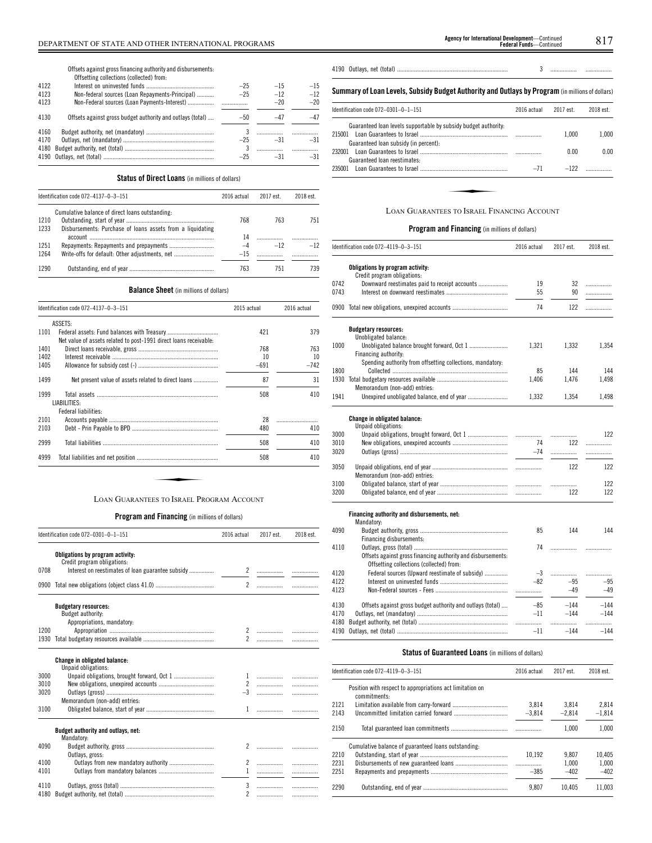Offsets against grossfinancing authority and disbursements: Offsetting collections (collected) from:

|      | UTTSELLING CONECLIONS (CONECTED) TION.                     |       |       |       |
|------|------------------------------------------------------------|-------|-------|-------|
| 4122 |                                                            | $-25$ | $-15$ | $-15$ |
| 4123 | Non-federal sources (Loan Repayments-Principal)            | $-25$ | $-12$ | $-12$ |
| 4123 |                                                            |       | $-20$ | $-20$ |
| 4130 | Offsets against gross budget authority and outlays (total) | $-50$ | $-4/$ | $-47$ |
| 4160 |                                                            |       |       |       |
| 4170 |                                                            | $-25$ | $-31$ | $-31$ |
| 4180 |                                                            |       |       |       |
|      |                                                            | $-25$ | $-31$ | $-31$ |
|      |                                                            |       |       |       |

## **Status of Direct Loans** (in millions of dollars)

|      | Identification code 072-4137-0-3-151                       | 2016 actual | 2017 est. | 2018 est. |
|------|------------------------------------------------------------|-------------|-----------|-----------|
|      | Cumulative balance of direct loans outstanding:            |             |           |           |
| 1210 |                                                            | 768         | 763       | 751       |
| 1233 | Disbursements: Purchase of loans assets from a liquidating |             |           |           |
|      |                                                            | 14          |           |           |
| 1251 |                                                            | -4          | $-12$     | $-12$     |
| 1264 | Write-offs for default: Other adiustments, net             | $-15$       |           |           |
| 1290 |                                                            | 763         | 751       | 739       |

## **Balance Sheet** (in millions of dollars)

|      | Identification code 072-4137-0-3-151                              | 2015 actual | 2016 actual |
|------|-------------------------------------------------------------------|-------------|-------------|
|      | ASSETS:                                                           |             |             |
| 1101 | Net value of assets related to post-1991 direct loans receivable: | 421         | 379         |
| 1401 |                                                                   | 768         | 763         |
| 1402 |                                                                   | 10          | 10          |
| 1405 |                                                                   | $-691$      | $-742$      |
| 1499 | Net present value of assets related to direct loans               | 87          | 31          |
| 1999 | LIABILITIES:<br>Federal liabilities:                              | 508         | 410         |
| 2101 |                                                                   | 28          |             |
| 2103 |                                                                   | 480         | 410         |
| 2999 |                                                                   | 508         | 410         |
| 4999 |                                                                   | 508         | 410         |

## **Program and Financing** (in millions of dollars)

|      | Identification code 072-0301-0-1-151                            | 2016 actual              | 2017 est.                | 2018 est. |
|------|-----------------------------------------------------------------|--------------------------|--------------------------|-----------|
|      | Obligations by program activity:<br>Credit program obligations: |                          |                          |           |
| 0708 | Interest on reestimates of loan guarantee subsidy               |                          |                          |           |
|      |                                                                 | $\overline{\phantom{a}}$ |                          |           |
|      | <b>Budgetary resources:</b><br>Budget authority:                |                          |                          |           |
|      | Appropriations, mandatory:                                      |                          |                          |           |
| 1200 |                                                                 |                          |                          |           |
| 1930 |                                                                 | $\overline{2}$           | .                        |           |
|      | <b>Change in obligated balance:</b><br>Unpaid obligations:      |                          |                          |           |
| 3000 |                                                                 |                          | $1$                      | .         |
| 3010 |                                                                 |                          | 2                        | .         |
| 3020 |                                                                 |                          |                          | .         |
|      | Memorandum (non-add) entries:                                   |                          |                          |           |
| 3100 |                                                                 | 1                        |                          | .         |
|      | Budget authority and outlays, net:<br>Mandatory:                |                          |                          |           |
| 4090 |                                                                 | $\mathfrak{p}$           | $\overline{\phantom{a}}$ |           |
|      | Outlays, gross:                                                 |                          |                          |           |
| 4100 |                                                                 | $\mathcal{L}$            | .                        |           |
| 4101 |                                                                 | $\mathbf{1}$             |                          | .         |
| 4110 |                                                                 |                          |                          |           |
|      |                                                                 | 3                        | .                        |           |
| 4180 |                                                                 | $\overline{\phantom{a}}$ | .                        | .         |

|--|--|--|--|--|--|

## **Summary ofLoan Levels, Subsidy Budget Authority and Outlays by Program** (inmillionsof dollars)

| Guaranteed loan levels supportable by subsidy budget authority.<br>1.000<br>Guaranteed loan subsidy (in percent):<br>0.00 | 1.000 |
|---------------------------------------------------------------------------------------------------------------------------|-------|
|                                                                                                                           |       |
|                                                                                                                           | 0.00  |
| Guaranteed loan reestimates:                                                                                              |       |
| $-122$<br>235001<br>$-71$                                                                                                 |       |

## **Program and Financing** (in millions of dollars)

|      | Identification code 072-4119-0-3-151                            | 2016 actual | 2017 est. | 2018 est. |
|------|-----------------------------------------------------------------|-------------|-----------|-----------|
|      | Obligations by program activity:<br>Credit program obligations: |             |           |           |
| 0742 | Downward reestimates paid to receipt accounts                   | 19          | 32        | .         |
| 0743 |                                                                 | 55          | 90        | .         |
|      | 0900 Total new obligations, unexpired accounts                  | 74          | 122       | .         |
|      | <b>Budgetary resources:</b>                                     |             |           |           |
|      | Unobligated balance:                                            |             |           |           |
| 1000 |                                                                 | 1,321       | 1,332     | 1,354     |
|      | Financing authority:                                            |             |           |           |
| 1800 | Spending authority from offsetting collections, mandatory:      | 85          | 144       | 144       |
| 1930 |                                                                 | 1.406       | 1.476     | 1,498     |
|      | Memorandum (non-add) entries:                                   |             |           |           |
| 1941 | Unexpired unobligated balance, end of year                      | 1,332       | 1,354     | 1,498     |
|      | Change in obligated balance:                                    |             |           |           |
|      | Unpaid obligations:                                             |             |           |           |
| 3000 |                                                                 |             | .         | 122       |
| 3010 |                                                                 | 74          | 122       | .         |
| 3020 |                                                                 | $-74$       |           | .         |
| 3050 |                                                                 |             | 122       | 122       |
|      | Memorandum (non-add) entries:                                   |             |           |           |
| 3100 |                                                                 |             | .         | 122       |
| 3200 |                                                                 |             | 122       | 122       |
|      | Financing authority and disbursements, net:<br>Mandatory:       |             |           |           |
| 4090 |                                                                 | 85          | 144       | 144       |
|      | Financing disbursements:                                        |             |           |           |
| 4110 |                                                                 | 74          |           | .         |
|      | Offsets against gross financing authority and disbursements:    |             |           |           |
|      | Offsetting collections (collected) from:                        |             |           |           |
| 4120 | Federal sources (Upward reestimate of subsidy)                  | $-3$        | .         |           |
| 4122 |                                                                 | $-82$       | $-95$     | $-95$     |
| 4123 |                                                                 | .           | $-49$     | $-49$     |
| 4130 | Offsets against gross budget authority and outlays (total)      | $-85$       | $-144$    | $-144$    |
| 4170 |                                                                 | $-11$       | $-144$    | $-144$    |
| 4180 |                                                                 | .           | .         | .         |
| 4190 |                                                                 | -11         | $-144$    | $-144$    |

## **Status of Guaranteed Loans** (in millions of dollars)

|      | Identification code 072-4119-0-3-151                                      |          | 2017 est. | 2018 est. |
|------|---------------------------------------------------------------------------|----------|-----------|-----------|
|      | Position with respect to appropriations act limitation on<br>commitments: |          |           |           |
| 2121 |                                                                           | 3.814    | 3.814     | 2.814     |
| 2143 |                                                                           | $-3.814$ | $-2.814$  | $-1.814$  |
| 2150 |                                                                           |          | 1.000     | 1.000     |
|      | Cumulative balance of guaranteed loans outstanding.                       |          |           |           |
| 2210 |                                                                           | 10.192   | 9.807     | 10.405    |
| 2231 |                                                                           |          | 1.000     | 1.000     |
| 2251 |                                                                           | $-385$   | $-402$    | $-402$    |
| 2290 |                                                                           | 9.807    | 10.405    | 11.003    |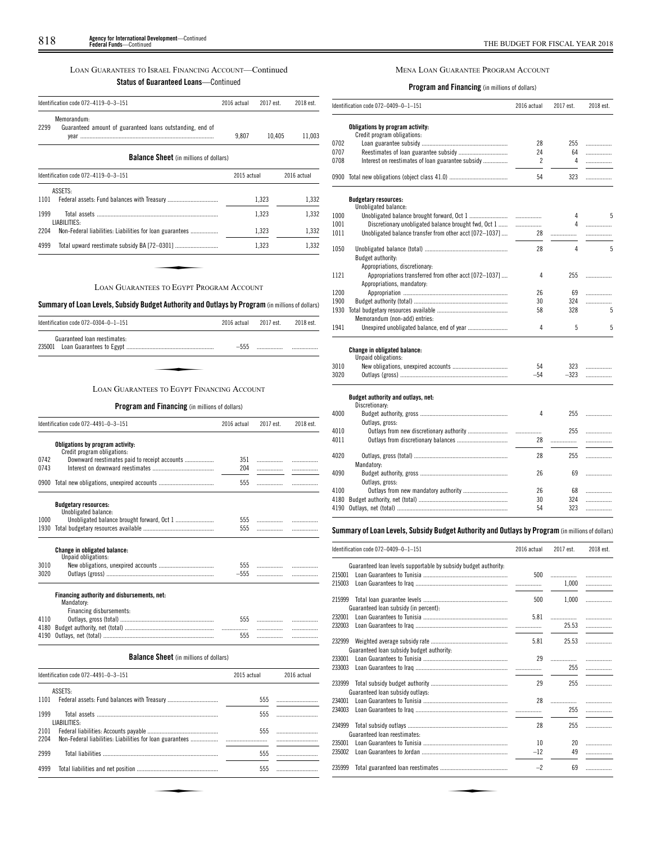## LOAN GUARANTEES TO ISRAEL FINANCING ACCOUNT—Continued

## **Status of Guaranteed Loans**—Continued

|      | Identification code 072-4119-0-3-151                                     | 2016 actual | 2017 est. | 2018 est.   |
|------|--------------------------------------------------------------------------|-------------|-----------|-------------|
| 2299 | Memorandum:<br>Guaranteed amount of guaranteed loans outstanding, end of | 9.807       | 10,405    | 11,003      |
|      | <b>Balance Sheet</b> (in millions of dollars)                            |             |           |             |
|      | Identification code 072-4119-0-3-151                                     | 2015 actual |           | 2016 actual |
|      | ASSETS:                                                                  |             |           |             |
| 1101 |                                                                          |             | 1,323     | 1,332       |
| 1999 | LIABILITIES:                                                             |             | 1,323     | 1,332       |
| 2204 | Non-Federal liabilities: Liabilities for loan guarantees                 |             | 1,323     | 1,332       |
| 4999 |                                                                          |             | 1,323     | 1,332       |

## **Summary ofLoan Levels, Subsidy Budget Authority and Outlays by Program** (inmillionsof dollars)

| Identification code $072-0304-0-1-151$     | 2016 actual | 2017 est. | 2018 est. |
|--------------------------------------------|-------------|-----------|-----------|
| Guaranteed loan reestimates:               | $-555$      |           |           |
|                                            |             |           |           |
| LOAN GUARANTEES TO EGYPT FINANCING ACCOUNT |             |           |           |

## **Program and Financing** (in millions of dollars)

|      | Identification code 072-4491-0-3-151                      |        | 2016 actual<br>2017 est. | 2018 est. |
|------|-----------------------------------------------------------|--------|--------------------------|-----------|
|      | Obligations by program activity:                          |        |                          |           |
|      | Credit program obligations:                               |        |                          |           |
| 0742 | Downward reestimates paid to receipt accounts             | 351    |                          |           |
| 0743 |                                                           | 204    | .                        |           |
|      | 0900 Total new obligations, unexpired accounts            | 555    |                          |           |
|      | <b>Budgetary resources:</b>                               |        |                          |           |
|      | Unobligated balance:                                      |        |                          |           |
| 1000 |                                                           | 555    |                          |           |
| 1930 |                                                           | 555    |                          |           |
|      | Change in obligated balance:<br>Unpaid obligations:       |        |                          |           |
| 3010 |                                                           | 555    |                          |           |
| 3020 |                                                           | $-555$ | .                        |           |
|      | Financing authority and disbursements, net:<br>Mandatory: |        |                          |           |
|      | Financing disbursements:                                  |        |                          |           |
| 4110 |                                                           | 555    |                          |           |
| 4180 |                                                           |        | .                        |           |
| 4190 |                                                           | 555    |                          | .         |
|      |                                                           |        | .                        | .         |

## **Balance Sheet** (in millions of dollars)

|              | Identification code 072-4491-0-3-151 | 2015 actual | 2016 actual |
|--------------|--------------------------------------|-------------|-------------|
|              | ASSETS:                              |             |             |
| 1101         |                                      | 555         |             |
| 1999         | LIABILITIES:                         | 555         |             |
| 2101<br>2204 |                                      | 555         |             |
| 2999         |                                      | 555         |             |
| 4999         |                                      | 555         |             |
|              |                                      |             |             |
|              |                                      |             |             |
|              |                                      |             |             |

## MENA LOAN GUARANTEE PROGRAM ACCOUNT

## **Program and Financing** (in millions of dollars)

|      | Identification code 072-0409-0-1-151                            | 2016 actual    | 2017 est. | 2018 est. |
|------|-----------------------------------------------------------------|----------------|-----------|-----------|
|      | Obligations by program activity:<br>Credit program obligations: |                |           |           |
| 0702 |                                                                 | 28             | 255       | .         |
| 0707 |                                                                 | 24             | 64        | .         |
| 0708 | Interest on reestimates of loan guarantee subsidy               | $\overline{c}$ | 4         | .         |
| 0900 |                                                                 | 54             | 323       | .         |
|      | <b>Budgetary resources:</b><br>Unobligated balance:             |                |           |           |
| 1000 |                                                                 |                | 4         | 5         |
| 1001 | Discretionary unobligated balance brought fwd, Oct 1            | .              | 4         | .         |
| 1011 | Unobligated balance transfer from other acct [072-1037]         | 28             | .         | .         |
| 1050 | Budget authority:                                               | 28             | 4         | 5         |
|      | Appropriations, discretionary:                                  |                |           |           |
| 1121 | Appropriations transferred from other acct [072-1037]           | 4              | 255       | .         |
|      | Appropriations, mandatory:                                      |                |           |           |
| 1200 |                                                                 | 26             | 69        | .         |
| 1900 |                                                                 | 30             | 324       | .         |
| 1930 |                                                                 | 58             | 328       | 5         |
|      | Memorandum (non-add) entries:                                   |                |           |           |
| 1941 |                                                                 | $\overline{4}$ | 5         | 5         |
|      | <b>Change in obligated balance:</b><br>Unpaid obligations:      |                |           |           |
| 3010 |                                                                 | 54             | 323       | .         |
| 3020 |                                                                 | $-54$          | $-323$    | .         |
|      | Budget authority and outlays, net:<br>Discretionary:            |                |           |           |
| 4000 | Outlays, gross:                                                 | 4              | 255       | .         |
| 4010 |                                                                 |                | 255       | .         |
| 4011 |                                                                 | 28             | .         | .         |
| 4020 |                                                                 | 28             | 255       | .         |
|      | Mandatory:                                                      |                |           |           |
| 4090 | Outlays, gross:                                                 | 26             | 69        | .         |
| 4100 |                                                                 | 26             | 68        | .         |
| 4180 |                                                                 | 30             | 324       | .         |
|      |                                                                 | 54             | 323       | .         |
|      |                                                                 |                |           |           |

## **Summary ofLoan Levels, Subsidy Budget Authority and Outlays by Program** (inmillionsof dollars)

|                  | Identification code 072-0409-0-1-151                            | 2016 actual | 2017 est.  | 2018 est. |
|------------------|-----------------------------------------------------------------|-------------|------------|-----------|
| 215001<br>215003 | Guaranteed loan levels supportable by subsidy budget authority: | 500<br>.    | .<br>1,000 | .<br>.    |
| 215999           | Guaranteed loan subsidy (in percent):                           | 500         | 1.000      | .         |
| 232001<br>232003 |                                                                 | 5.81<br>.   | .<br>25.53 | .<br>.    |
| 232999           | Guaranteed loan subsidy budget authority:                       | 5.81        | 25.53      | .         |
| 233001<br>233003 |                                                                 | 29          | .<br>255   | .<br>.    |
| 233999           | Guaranteed loan subsidy outlays:                                | 29          | 255        | .         |
| 234001<br>234003 |                                                                 | 28          | .<br>255   | .<br>.    |
| 234999           | Guaranteed loan reestimates:                                    | 28          | 255        | .         |
| 235001<br>235002 |                                                                 | 10<br>$-12$ | 20<br>49   | .<br>.    |
| 235999           |                                                                 | $-2$        | 69         | .         |
|                  |                                                                 |             |            |           |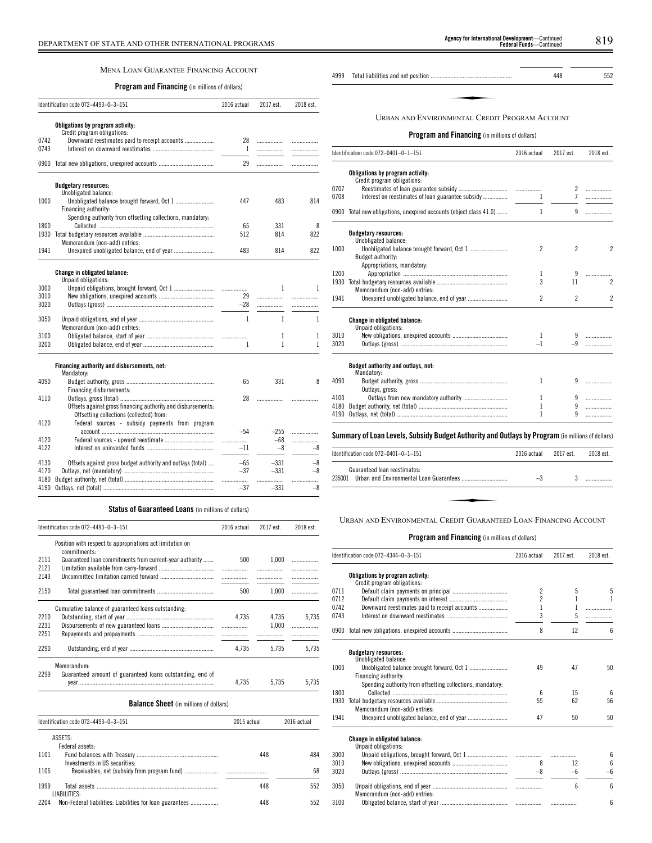## MENA LOAN GUARANTEE FINANCING ACCOUNT

## **Program and Financing** (in millions of dollars)

|              | Identification code 072-4493-0-3-151                                               | 2016 actual  | 2017 est. | 2018 est. |
|--------------|------------------------------------------------------------------------------------|--------------|-----------|-----------|
|              | Obligations by program activity:                                                   |              |           |           |
|              | Credit program obligations:                                                        |              |           |           |
| 0742         | Downward reestimates paid to receipt accounts                                      | 28           | .         | .         |
| 0743         |                                                                                    | $\mathbf{1}$ | .         | .         |
|              | 0900 Total new obligations, unexpired accounts                                     | 29           | .         | .         |
|              | <b>Budgetary resources:</b>                                                        |              |           |           |
|              | Unobligated balance:                                                               |              |           |           |
| 1000         |                                                                                    | 447          | 483       | 814       |
|              | Financing authority:<br>Spending authority from offsetting collections, mandatory: |              |           |           |
| 1800         |                                                                                    | 65           | 331       | 8         |
|              |                                                                                    | 512          | 814       | 822       |
|              | Memorandum (non-add) entries:                                                      |              |           |           |
| 1941         |                                                                                    | 483          | 814       | 822       |
|              |                                                                                    |              |           |           |
|              | <b>Change in obligated balance:</b><br>Unpaid obligations:                         |              |           |           |
| 3000         |                                                                                    | .            | 1         | 1         |
| 3010         |                                                                                    | 29           | .         | .         |
| 3020         |                                                                                    | -28          | .         | .         |
|              |                                                                                    |              |           |           |
| 3050         |                                                                                    | 1            | 1         | 1         |
|              | Memorandum (non-add) entries:                                                      |              |           |           |
| 3100<br>3200 |                                                                                    | 1            | 1<br>1    | 1<br>1    |
|              |                                                                                    |              |           |           |
|              | Financing authority and disbursements, net:                                        |              |           |           |
|              | Mandatory:                                                                         |              |           |           |
| 4090         |                                                                                    | 65           | 331       | 8         |
| 4110         | Financing disbursements:                                                           |              |           |           |
|              | Offsets against gross financing authority and disbursements:                       | 28           | .         |           |
|              | Offsetting collections (collected) from:                                           |              |           |           |
| 4120         | Federal sources - subsidy payments from program                                    |              |           |           |
|              |                                                                                    | $-54$        | $-255$    | .         |
| 4120         |                                                                                    | .            | $-68$     | .         |
| 4122         |                                                                                    | $-11$        | $-8$      | -8        |
| 4130         | Offsets against gross budget authority and outlays (total)                         | $-65$        | $-331$    | $-8$      |
| 4170         |                                                                                    | $-37$        | $-331$    | $-8$      |
| 4180         |                                                                                    | .            | .         | .         |
| 4190         |                                                                                    | $-37$        | $-331$    | $-8$      |

## **Status of Guaranteed Loans** (in millions of dollars)

|                      | Identification code 072-4493-0-3-151                                      | 2016 actual                       | 2017 est.      | 2018 est.   |
|----------------------|---------------------------------------------------------------------------|-----------------------------------|----------------|-------------|
|                      | Position with respect to appropriations act limitation on<br>commitments. |                                   |                |             |
| 2111<br>2121<br>2143 | Guaranteed loan commitments from current-year authority                   | 500<br>.                          | 1.000          | .           |
| 2150                 |                                                                           | 500                               | 1.000          |             |
| 2210<br>2231<br>2251 | Cumulative balance of guaranteed loans outstanding.                       | 4.735<br>$\overline{\phantom{a}}$ | 4.735<br>1.000 | 5.735<br>.  |
| 2290                 |                                                                           | 4.735                             | 5.735          | 5.735       |
| 2299                 | Memorandum:<br>Guaranteed amount of guaranteed loans outstanding, end of  | 4.735                             | 5.735          | 5.735       |
|                      | <b>Balance Sheet</b> (in millions of dollars)                             |                                   |                |             |
|                      | Identification code 072-4493-0-3-151                                      | 2015 actual                       |                | 2016 actual |
|                      | ASSETS:<br>Federal assets:                                                |                                   |                |             |

| 1101 |                               | 448 | 484 |
|------|-------------------------------|-----|-----|
|      | Investments in US securities: |     |     |
| 1106 |                               |     | 68  |
|      |                               |     |     |
| 1999 |                               | 448 | 552 |
|      | LIABILITIES:                  |     |     |
| 2204 |                               | 448 | 552 |

| gency for International Development-Continued<br><b>Federal Funds</b> —Continued |
|----------------------------------------------------------------------------------|
|                                                                                  |
|                                                                                  |

## **Program and Financing** (in millions of dollars)

|      | ldentification code 072—0401—0—1—151                                                             | 2016 actual    | 2017 est.      | 2018 est.                |
|------|--------------------------------------------------------------------------------------------------|----------------|----------------|--------------------------|
|      | Obligations by program activity:                                                                 |                |                |                          |
|      | Credit program obligations:                                                                      |                |                |                          |
| 0707 |                                                                                                  |                |                | .                        |
| 0708 |                                                                                                  | 1              | $\overline{7}$ | .                        |
|      | 0900 Total new obligations, unexpired accounts (object class 41.0)                               | $\mathbf{1}$   | 9              |                          |
|      | <b>Budgetary resources:</b>                                                                      |                |                |                          |
|      | Unobligated balance:                                                                             |                |                |                          |
| 1000 |                                                                                                  | $\overline{c}$ | $\overline{2}$ | $\overline{\phantom{a}}$ |
|      | Budget authority:                                                                                |                |                |                          |
|      | Appropriations, mandatory:                                                                       |                |                |                          |
| 1200 |                                                                                                  | 1              | 9              |                          |
| 1930 |                                                                                                  | 3              | 11             | $\overline{\mathcal{L}}$ |
|      | Memorandum (non-add) entries:                                                                    |                |                |                          |
| 1941 |                                                                                                  | $\mathfrak{p}$ | $\overline{2}$ | $\overline{\mathcal{C}}$ |
|      | <b>Change in obligated balance:</b>                                                              |                |                |                          |
|      | Unpaid obligations:                                                                              |                |                |                          |
| 3010 |                                                                                                  | 1              |                |                          |
| 3020 |                                                                                                  | $-1$           | $-9$           |                          |
|      | Budget authority and outlays, net:<br>Mandatory:                                                 |                |                |                          |
| 4090 |                                                                                                  | 1              | 9              | .                        |
|      | Outlays, gross:                                                                                  |                |                |                          |
| 4100 |                                                                                                  | 1              | 9              | .                        |
| 4180 |                                                                                                  | 1              | 9              | .                        |
| 4190 |                                                                                                  | 1              | 9              |                          |
|      | Summary of Loan Levels, Subsidy Budget Authority and Outlays by Program (in millions of dollars) |                |                |                          |

| ldentification code 072–0401–0–1–151                                               | 2016 actual | 2017 est. | 2018 est. |
|------------------------------------------------------------------------------------|-------------|-----------|-----------|
| Guaranteed loan reestimates:<br>235001     Urban and Environmental Loan Guarantees | $-3$        |           |           |
|                                                                                    |             |           |           |
| URBAN AND ENVIRONMENTAL CREDIT GUARANTEED LOAN FINANCING ACCOUNT                   |             |           |           |

|      | Identification code 072-4344-0-3-151                       | 2016 actual     | 2017 est. | 2018 est.       |
|------|------------------------------------------------------------|-----------------|-----------|-----------------|
|      | Obligations by program activity:                           |                 |           |                 |
|      | Credit program obligations:                                |                 |           |                 |
| 0711 |                                                            | $\mathfrak{p}$  | 5         | 5               |
| 0712 |                                                            | $\overline{2}$  | 1         | 1               |
| 0742 | Downward reestimates paid to receipt accounts              | 1               | 1         | .               |
| 0743 |                                                            | 3               | 5         | .               |
|      | 0900 Total new obligations, unexpired accounts             | 8               | 12        | 6               |
|      | <b>Budgetary resources:</b>                                |                 |           |                 |
|      | Unobligated balance:                                       |                 |           |                 |
| 1000 |                                                            | 49              | 47        | 50              |
|      | Financing authority:                                       |                 |           |                 |
|      | Spending authority from offsetting collections, mandatory. |                 |           |                 |
| 1800 |                                                            | $6\overline{6}$ | 15        | $6\overline{6}$ |
| 1930 |                                                            | 55              | 62        | 56              |
|      | Memorandum (non-add) entries:                              |                 |           |                 |
| 1941 |                                                            | 47              | 50        | 50              |
|      | <b>Change in obligated balance:</b>                        |                 |           |                 |
|      | Unpaid obligations:                                        |                 |           |                 |
| 3000 |                                                            |                 |           | 6               |
| 3010 |                                                            | 8               | 12        | 6               |
| 3020 |                                                            | $-8$            | $-6$      | $-6$            |
| 3050 | Memorandum (non-add) entries:                              |                 | 6         | 6               |
| 3100 |                                                            |                 |           | 6               |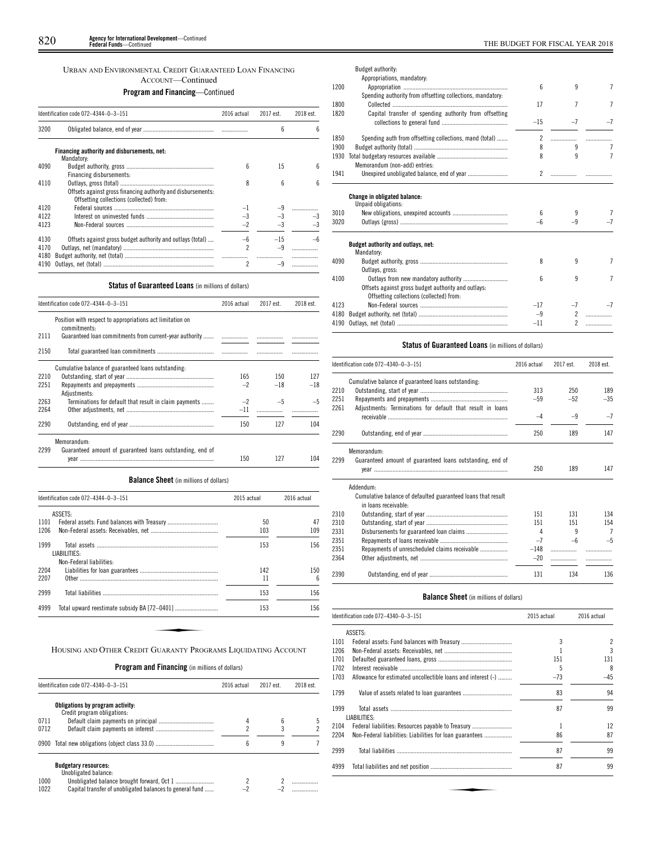## URBAN AND ENVIRONMENTAL CREDIT GUARANTEED LOAN FINANCING ACCOUNT—Continued

## **Program and Financing**—Continued

|                      | Identification code 072-4344-0-3-151                                                                     | 2016 actual                    | 2017 est. | 2018 est. |
|----------------------|----------------------------------------------------------------------------------------------------------|--------------------------------|-----------|-----------|
| 3200                 |                                                                                                          |                                | 6         | h         |
|                      | Financing authority and disbursements, net:<br>Mandatory:                                                |                                |           |           |
| 4090                 | Financing disbursements:                                                                                 | ĥ                              | 15        | ĥ         |
| 4110                 | Offsets against gross financing authority and disbursements:<br>Offsetting collections (collected) from: | 8                              | 6         | 6         |
| 4120<br>4122         |                                                                                                          | $-3$                           | $-3$      |           |
| 4123                 |                                                                                                          | $-2$                           | $-3$      |           |
| 4130<br>4170<br>4180 | Offsets against gross budget authority and outlays (total)                                               | -6<br>$\overline{\phantom{a}}$ | $-15$     |           |
| 4190                 |                                                                                                          | $\overline{\phantom{a}}$       |           |           |

## **Status of Guaranteed Loans** (in millions of dollars)

|      | Identification code 072-4344-0-3-151                                      | 2016 actual | 2017 est. | 2018 est. |
|------|---------------------------------------------------------------------------|-------------|-----------|-----------|
|      | Position with respect to appropriations act limitation on<br>commitments: |             |           |           |
| 2111 | Guaranteed loan commitments from current-year authority                   |             |           |           |
| 2150 |                                                                           |             |           |           |
|      | Cumulative balance of guaranteed loans outstanding.                       |             |           |           |
| 2210 |                                                                           | 165         | 150       | 127       |
| 2251 | Adiustments:                                                              | $-2$        | $-18$     | $-18$     |
| 2263 | Terminations for default that result in claim payments                    | $-2$        | $-5$      | $-5$      |
| 2264 |                                                                           | $-11$       |           |           |
| 2290 |                                                                           | 150         | 127       | 104       |
| 2299 | Memorandum:<br>Guaranteed amount of guaranteed loans outstanding, end of  | 150         | 127       | 104       |

**Balance Sheet** (in millions of dollars)

| Identification code 072-4344-0-3-151 |                          | 2015 actual | 2016 actual |
|--------------------------------------|--------------------------|-------------|-------------|
|                                      | ASSETS:                  |             |             |
| 1101                                 |                          | 50          | 47          |
| 1206                                 |                          | 103         | 109         |
| 1999                                 |                          | 153         | 156         |
|                                      | LIABILITIES:             |             |             |
|                                      | Non-Federal liabilities: |             |             |
| 2204                                 |                          | 142         | 150         |
| 2207                                 |                          | 11          | 6           |
| 2999                                 |                          | 153         | 156         |
| 4999                                 |                          | 153         | 156         |

## **Program and Financing** (in millions of dollars)

|      | Identification code 072-4340-0-3-151                            | 2016 actual | 2017 est. | 2018 est. |
|------|-----------------------------------------------------------------|-------------|-----------|-----------|
|      | Obligations by program activity:<br>Credit program obligations: |             |           |           |
| 0711 |                                                                 |             | 6         |           |
| 0712 |                                                                 |             |           |           |
|      |                                                                 | 6           | 9         |           |
|      | <b>Budgetary resources:</b><br>Unobligated balance:             |             |           |           |
| 1000 |                                                                 |             |           |           |
| 1022 | Capital transfer of unobligated balances to general fund        |             |           |           |

|      | Budget authority:<br>Appropriations, mandatory:                                                 |                |                |                |
|------|-------------------------------------------------------------------------------------------------|----------------|----------------|----------------|
| 1200 |                                                                                                 | 6              | 9              | 7              |
| 1800 | Spending authority from offsetting collections, mandatory:                                      | 17             | 7              | 7              |
| 1820 | Capital transfer of spending authority from offsetting                                          | $-15$          | $-7$           | $-7$           |
| 1850 | Spending auth from offsetting collections, mand (total)                                         | $\overline{c}$ |                |                |
| 1900 |                                                                                                 | 8              | 9              |                |
| 1930 | Memorandum (non-add) entries:                                                                   | 8              | 9              | $\overline{7}$ |
| 1941 |                                                                                                 | 2              | .              |                |
|      | <b>Change in obligated balance:</b><br>Unpaid obligations:                                      |                |                |                |
| 3010 |                                                                                                 | 6              | 9              | 7              |
| 3020 |                                                                                                 | $-6$           | $-9$           |                |
|      | Budget authority and outlays, net:<br>Mandatory:                                                |                |                |                |
| 4090 | Outlays, gross:                                                                                 | 8              | 9              | 7              |
| 4100 | Offsets against gross budget authority and outlays:<br>Offsetting collections (collected) from: | 6              | 9              | 7              |
| 4123 |                                                                                                 | $-17$          | $-7$           |                |
| 4180 |                                                                                                 | $-9$           | $\mathfrak{p}$ | .              |
| 4190 |                                                                                                 | $-11$          | $\mathfrak{p}$ |                |

## **Status of Guaranteed Loans** (in millions of dollars)

|      | Identification code 072-4340-0-3-151                                                 | 2016 actual | 2017 est. | 2018 est.      |
|------|--------------------------------------------------------------------------------------|-------------|-----------|----------------|
| 2210 | Cumulative balance of guaranteed loans outstanding:                                  | 313         | 250       | 189            |
| 2251 |                                                                                      | $-59$       | $-52$     | $-35$          |
| 2261 | Adjustments: Terminations for default that result in loans                           | $-4$        | $-9$      | $-7$           |
| 2290 |                                                                                      | 250         | 189       | 147            |
|      | Memorandum:                                                                          |             |           |                |
| 2299 | Guaranteed amount of guaranteed loans outstanding, end of                            | 250         | 189       | 147            |
|      | Addendum:                                                                            |             |           |                |
|      | Cumulative balance of defaulted guaranteed loans that result<br>in loans receivable: |             |           |                |
| 2310 |                                                                                      | 151         | 131       | 134            |
| 2310 |                                                                                      | 151         | 151       | 154            |
| 2331 |                                                                                      | 4           | 9         | $\overline{7}$ |
| 2351 |                                                                                      | $-7$        | -6        | $-5$           |
| 2351 | Repayments of unrescheduled claims receivable                                        | $-148$      | .         |                |
| 2364 |                                                                                      | $-20$       | .         |                |
| 2390 |                                                                                      | 131         | 134       | 136            |

## **Balance Sheet** (in millions of dollars)

| Identification code 072-4340-0-3-151 |                                                              | 2015 actual | 2016 actual |
|--------------------------------------|--------------------------------------------------------------|-------------|-------------|
|                                      | ASSETS:                                                      |             |             |
| 1101                                 |                                                              | 3           | 2           |
| 1206                                 |                                                              |             | 3           |
| 1701                                 |                                                              | 151         | 131         |
| 1702                                 |                                                              | 5           | 8           |
| 1703                                 | Allowance for estimated uncollectible loans and interest (-) | $-73$       | $-45$       |
| 1799                                 |                                                              | 83          | 94          |
| 1999                                 | LIABILITIES:                                                 | 87          | 99          |
| 2104                                 | Federal liabilities: Resources payable to Treasury           | 1           | 12          |
| 2204                                 |                                                              | 86          | 87          |
| 2999                                 |                                                              | 87          | 99          |
| 4999                                 |                                                              | 87          | 99          |
|                                      |                                                              |             |             |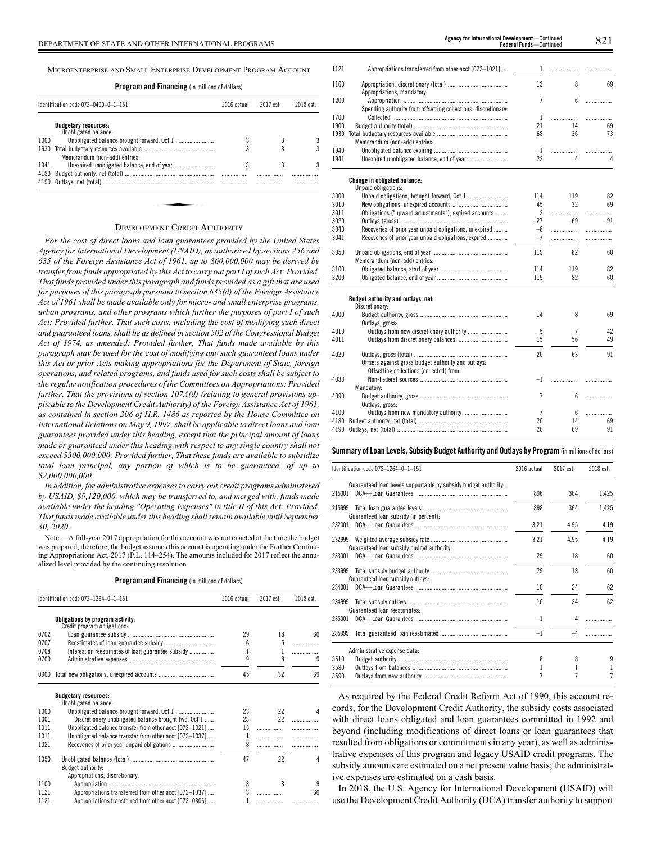MICROENTERPRISE AND SMALL ENTERPRISE DEVELOPMENT PROGRAM ACCOUNT

**Program and Financing** (in millions of dollars)

| Identification code 072-0400-0-1-151 |                                                     | 2016 actual | 2017 est. | 2018 est. |
|--------------------------------------|-----------------------------------------------------|-------------|-----------|-----------|
|                                      | <b>Budgetary resources:</b><br>Unobligated balance: |             |           |           |
| 1000                                 |                                                     |             |           |           |
| 1930                                 |                                                     |             |           |           |
|                                      | Memorandum (non-add) entries:                       |             |           |           |
| 1941                                 |                                                     | 3           | 3         | 3         |
| 4180                                 |                                                     |             |           | .         |
| 4190                                 |                                                     |             | .         |           |
|                                      |                                                     |             |           |           |
|                                      |                                                     |             |           |           |
|                                      |                                                     |             |           |           |
|                                      | $\mathcal{L}$ and $\mathcal{L}$                     |             |           |           |

#### DEVELOPMENT CREDIT AUTHORITY

*For the cost of direct loans and loan guarantees provided by the United States Agency for International Development (USAID), as authorized by sections 256 and 635 of the Foreign Assistance Act of 1961, up to \$60,000,000 may be derived by transfer from funds appropriated by this Act to carry out part I of such Act: Provided, That funds provided under this paragraph and funds provided as a gift that are used for purposes of this paragraph pursuant to section 635(d) of the Foreign Assistance Act of 1961 shall be made available only for micro- and small enterprise programs, urban programs, and other programs which further the purposes of part I of such Act: Provided further, That such costs, including the cost of modifying such direct and guaranteed loans, shall be as defined in section 502 of the Congressional Budget Act of 1974, as amended: Provided further, That funds made available by this paragraph may be used for the cost of modifying any such guaranteed loans under this Act or prior Acts making appropriations for the Department of State, foreign operations, and related programs, and funds used for such costs shall be subject to the regular notification procedures of the Committees on Appropriations: Provided further, That the provisions of section 107A(d) (relating to general provisions applicable to the Development Credit Authority) of the Foreign Assistance Act of 1961, as contained in section 306 of H.R. 1486 as reported by the House Committee on International Relations on May 9, 1997, shall be applicable to direct loans and loan guarantees provided under this heading, except that the principal amount of loans made or guaranteed under this heading with respect to any single country shall not exceed \$300,000,000: Provided further, That these funds are available to subsidize total loan principal, any portion of which is to be guaranteed, of up to \$2,000,000,000.*

*In addition, for administrative expenses to carry out credit programs administered by USAID, \$9,120,000, which may be transferred to, and merged with, funds made available under the heading "Operating Expenses" in title II of this Act: Provided, That funds made available under this heading shall remain available until September 30, 2020.*

Note.—A full-year 2017 appropriation for this account was not enacted at the time the budget was prepared; therefore, the budget assumes this account is operating under the Further Continuing Appropriations Act, 2017 (P.L. 114–254). The amounts included for 2017 reflect the annualized level provided by the continuing resolution.

**Program and Financing** (in millions of dollars)

|      | Identification code 072-1264-0-1-151                            | 2016 actual | 2017 est. | 2018 est. |
|------|-----------------------------------------------------------------|-------------|-----------|-----------|
|      | Obligations by program activity:<br>Credit program obligations: |             |           |           |
| 0702 |                                                                 | 29          | 18        | 60        |
| 0707 |                                                                 | 6           | 5         | .         |
| 0708 | Interest on reestimates of loan guarantee subsidy               | 1           | 1         | .         |
| 0709 |                                                                 | 9           | 8         | 9         |
| 0900 |                                                                 | 45          | 32        | 69        |
|      | <b>Budgetary resources:</b><br>Unobligated balance:             |             |           |           |
| 1000 |                                                                 | 23          | 22        | 4         |
| 1001 | Discretionary unobligated balance brought fwd, Oct 1            | 23          | 22        |           |
| 1011 | Unobligated balance transfer from other acct [072-1021]         | 15          | .         | .         |
| 1011 | Unobligated balance transfer from other acct [072-1037]         | 1           | .         | .         |
| 1021 |                                                                 | 8           | .         |           |
| 1050 | <b>Budget authority:</b><br>Appropriations, discretionary:      | 47          | 22        | 4         |
| 1100 |                                                                 | 8           | 8         | 9         |
| 1121 | Appropriations transferred from other acct [072-1037]           | 3           |           | 60        |
| 1121 | Appropriations transferred from other acct [072-0306]           |             | .         |           |

| sferred from other acct [072-1021] |    |  |
|------------------------------------|----|--|
| atorv.                             | 13 |  |

1121 Appropriations tran

| 1160 |                                                                | 13             | 8     | 69    |
|------|----------------------------------------------------------------|----------------|-------|-------|
| 1200 | Appropriations, mandatory:                                     | $\overline{7}$ |       |       |
|      |                                                                |                | 6     | .     |
| 1700 | Spending authority from offsetting collections, discretionary: |                |       |       |
|      |                                                                | 1              | .     | .     |
| 1900 |                                                                | 21             | 14    | 69    |
| 1930 |                                                                | 68             | 36    | 73    |
|      | Memorandum (non-add) entries:                                  |                |       |       |
| 1940 |                                                                | $-1$           |       | .     |
| 1941 |                                                                | 22             | 4     | 4     |
|      | Change in obligated balance:                                   |                |       |       |
|      | Unpaid obligations:                                            |                |       |       |
| 3000 |                                                                | 114            | 119   | 82    |
| 3010 |                                                                | 45             | 32    | 69    |
| 3011 | Obligations ("upward adjustments"), expired accounts           | $\overline{c}$ |       | .     |
| 3020 |                                                                | $-27$          | $-69$ | $-91$ |
| 3040 | Recoveries of prior year unpaid obligations, unexpired         | -8             |       | .     |
| 3041 | Recoveries of prior year unpaid obligations, expired           | $-7$           |       | .     |
| 3050 |                                                                | 119            | 82    | 60    |
|      | Memorandum (non-add) entries:                                  |                |       |       |
| 3100 |                                                                | 114            | 119   | 82    |
| 3200 |                                                                | 119            | 82    | 60    |
|      | Budget authority and outlays, net:                             |                |       |       |
|      | Discretionary:                                                 |                |       |       |
| 4000 |                                                                | 14             | 8     | 69    |
|      | Outlays, gross:                                                |                |       |       |
| 4010 |                                                                | 5              | 7     | 42    |
| 4011 |                                                                | 15             | 56    | 49    |
| 4020 |                                                                | 20             | 63    | 91    |
|      | Offsets against gross budget authority and outlays:            |                |       |       |
|      | Offsetting collections (collected) from:                       |                |       |       |
| 4033 |                                                                | $-1$           |       | .     |
|      | Mandatory:                                                     |                |       |       |
| 4090 |                                                                | $\overline{7}$ | 6     | .     |
|      | Outlays, gross:                                                |                |       |       |
| 4100 |                                                                | 7              | 6     | .     |
| 4180 |                                                                | 20             | 14    | 69    |
| 4190 |                                                                | 26             | 69    | 91    |
|      |                                                                |                |       |       |

## **Summary ofLoan Levels, Subsidy Budget Authority and Outlays by Program** (inmillionsof dollars)

| Identification code 072-1264-0-1-151                |                                                                 | 2016 actual | 2017 est. | 2018 est. |
|-----------------------------------------------------|-----------------------------------------------------------------|-------------|-----------|-----------|
| 215001                                              | Guaranteed loan levels supportable by subsidy budget authority: | 898         | 364       | 1,425     |
| 215999<br>Guaranteed loan subsidy (in percent):     |                                                                 | 898         | 364       | 1,425     |
| 232001                                              |                                                                 | 3.21        | 4.95      | 4.19      |
| 232999<br>Guaranteed loan subsidy budget authority: |                                                                 | 3.21        | 4.95      | 4.19      |
| 233001                                              |                                                                 | 29          | 18        | 60        |
| 233999<br>Guaranteed loan subsidy outlays:          |                                                                 | 29          | 18        | 60        |
| 234001                                              |                                                                 | 10          | 24        | 62        |
| 234999<br>Guaranteed loan reestimates:              |                                                                 | 10          | 24        | 62        |
| 235001                                              |                                                                 | $-1$        |           |           |
| 235999                                              |                                                                 | $-1$        |           |           |
| Administrative expense data:                        |                                                                 |             |           |           |
| 3510                                                |                                                                 | 8           | 8         | 9         |
| 3580                                                |                                                                 |             |           |           |
| 3590                                                |                                                                 |             |           | 7         |

As required by the Federal Credit Reform Act of 1990, this account records, for the Development Credit Authority, the subsidy costs associated with direct loans obligated and loan guarantees committed in 1992 and beyond (including modifications of direct loans or loan guarantees that resulted from obligations or commitments in any year), as well as administrative expenses of this program and legacy USAID credit programs. The subsidy amounts are estimated on a net present value basis; the administrative expenses are estimated on a cash basis.

In 2018, the U.S. Agency for International Development (USAID) will use the Development Credit Authority (DCA) transfer authority to support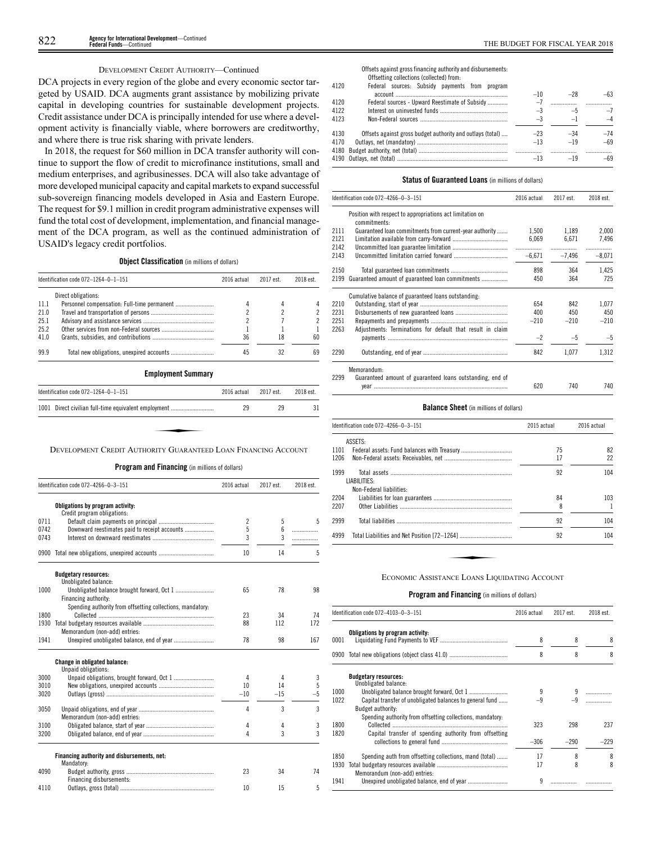## DEVELOPMENT CREDIT AUTHORITY—Continued

DCA projects in every region of the globe and every economic sector targeted by USAID. DCA augments grant assistance by mobilizing private capital in developing countries for sustainable development projects. Credit assistance under DCA is principally intended for use where a development activity is financially viable, where borrowers are creditworthy, and where there is true risk sharing with private lenders.

In 2018, the request for \$60 million in DCA transfer authority will continue to support the flow of credit to microfinance institutions, small and medium enterprises, and agribusinesses. DCA will also take advantage of more developed municipal capacity and capital markets to expand successful sub-sovereign financing models developed in Asia and Eastern Europe. The request for \$9.1 million in credit program administrative expenses will fund the total cost of development, implementation, and financial management of the DCA program, as well as the continued administration of USAID's legacy credit portfolios.

**Object Classification** (in millions of dollars)

|       | Identification code 072-1264-0-1-151 | 2016 actual | 2017 est. | 2018 est. |
|-------|--------------------------------------|-------------|-----------|-----------|
|       | Direct obligations:                  |             |           |           |
| -11.1 |                                      |             |           |           |
| 21.0  |                                      | 2           |           |           |
| 25.1  |                                      |             |           |           |
| 25.2  |                                      |             |           |           |
| 41.0  |                                      | 36          | 18        | 60        |
| 99.9  |                                      | 45          |           | 69        |

**Employment Summary**

| Identification code 072-1264-0-1-151 |                                                                | 2016 actual | 2017 est | 2018 est. |
|--------------------------------------|----------------------------------------------------------------|-------------|----------|-----------|
| 1001                                 | Direct civilian full-time equivalent employment                | 29          | 29       | 31        |
|                                      |                                                                |             |          |           |
|                                      |                                                                |             |          |           |
|                                      | DEVELOPMENT CREDIT AUTHORITY GUARANTEED LOAN FINANCING ACCOUNT |             |          |           |

**Program and Financing** (in millions of dollars)

|      | Identification code 072-4266-0-3-151                       | 2016 actual    | 2017 est. | 2018 est. |
|------|------------------------------------------------------------|----------------|-----------|-----------|
|      | Obligations by program activity:                           |                |           |           |
|      | Credit program obligations:                                |                |           |           |
| 0711 |                                                            | $\overline{c}$ | 5         | 5         |
| 0742 | Downward reestimates paid to receipt accounts              | 5              | 6         | .         |
| 0743 |                                                            | 3              | 3         | .         |
| 0900 |                                                            | 10             | 14        | 5         |
|      | <b>Budgetary resources:</b>                                |                |           |           |
|      | Unobligated balance:                                       |                |           |           |
| 1000 |                                                            | 65             | 78        | 98        |
|      | Financing authority:                                       |                |           |           |
| 1800 | Spending authority from offsetting collections, mandatory: | 23             | 34        | 74        |
| 1930 |                                                            | 88             | 112       | 172       |
|      | Memorandum (non-add) entries:                              |                |           |           |
| 1941 |                                                            | 78             | 98        | 167       |
|      |                                                            |                |           |           |
|      | Change in obligated balance:<br>Unpaid obligations:        |                |           |           |
| 3000 |                                                            | 4              | 4         | 3         |
| 3010 |                                                            | 10             | 14        | 5         |
| 3020 |                                                            | $-10$          | $-15$     | $-5$      |
| 3050 |                                                            | 4              | 3         | 3         |
|      | Memorandum (non-add) entries:                              |                |           |           |
| 3100 |                                                            | 4              | 4         | 3         |
| 3200 |                                                            | 4              | 3         | 3         |
|      | Financing authority and disbursements, net:<br>Mandatory:  |                |           |           |
| 4090 |                                                            | 23             | 34        | 74        |
|      | Financing disbursements:                                   |                |           |           |
| 4110 |                                                            | 10             | 15        | 5         |

Offsets against gross financing authority and disbursements: Offsetting collections (collected) from:<br>Enderal sources: Subsidy payment

4120

| 4120 | Federal sources: Subsidy payments from program             |       |       |       |
|------|------------------------------------------------------------|-------|-------|-------|
|      |                                                            | $-10$ | $-28$ | $-63$ |
| 4120 | Federal sources - Upward Reestimate of Subsidy             | $-7$  |       |       |
| 4122 |                                                            | $-3$  | $-5$  | $-7$  |
| 4123 |                                                            | $-3$  | $-1$  | $-4$  |
|      |                                                            |       |       |       |
| 4130 | Offsets against gross budget authority and outlays (total) | $-23$ | $-34$ | $-74$ |
| 4170 |                                                            | $-13$ | $-19$ | $-69$ |
|      |                                                            |       |       |       |
|      |                                                            | $-13$ | $-19$ | $-69$ |
|      |                                                            |       |       |       |

## **Status of Guaranteed Loans** (in millions of dollars)

|      | Identification code 072-4266-0-3-151                                      | 2016 actual | 2017 est. | 2018 est. |
|------|---------------------------------------------------------------------------|-------------|-----------|-----------|
|      | Position with respect to appropriations act limitation on<br>commitments: |             |           |           |
| 2111 | Guaranteed loan commitments from current-year authority                   | 1.500       | 1,189     | 2,000     |
| 2121 |                                                                           | 6,069       | 6,671     | 7,496     |
| 2142 |                                                                           |             | .         | .         |
| 2143 |                                                                           | $-6.671$    | $-7.496$  | $-8.071$  |
| 2150 |                                                                           | 898         | 364       | 1.425     |
| 2199 | Guaranteed amount of guaranteed loan commitments                          | 450         | 364       | 725       |
|      | Cumulative balance of guaranteed loans outstanding:                       |             |           |           |
| 2210 |                                                                           | 654         | 842       | 1.077     |
| 2231 |                                                                           | 400         | 450       | 450       |
| 2251 |                                                                           | $-210$      | $-210$    | $-210$    |
| 2263 | Adjustments: Terminations for default that result in claim                |             |           |           |
|      |                                                                           | $-2$        | $-5$      | $-5$      |
| 2290 |                                                                           | 842         | 1.077     | 1,312     |
|      | Memorandum:                                                               |             |           |           |
| 2299 | Guaranteed amount of guaranteed loans outstanding, end of                 |             |           |           |
|      |                                                                           | 620         | 740       | 740       |

## **Balance Sheet** (in millions of dollars)

| ldentification code 072—4266—0—3—151                 | 2015 actual | 2016 actual |
|------------------------------------------------------|-------------|-------------|
| ASSETS:                                              |             |             |
| 1101                                                 | 75          | 82          |
| 1206                                                 | 17          | 22          |
| 1999<br>LIABILITIES:                                 | 92          | 104         |
| Non-Federal liabilities:                             |             |             |
| 2204                                                 | 84          | 103         |
| 2207                                                 | 8           |             |
| 2999                                                 | 92          | 104         |
| 4999<br>Total Liabilities and Net Position [72-1264] | 92          | 104         |
|                                                      |             |             |
| ECONOMIC ASSISTANCE LOANS LIQUIDATING ACCOUNT        |             |             |

|              | Identification code 072-4103-0-3-151                                            | 2016 actual | 2017 est. | 2018 est. |
|--------------|---------------------------------------------------------------------------------|-------------|-----------|-----------|
| 0001         | Obligations by program activity:                                                | 8           | 8         | 8         |
|              |                                                                                 |             |           |           |
|              |                                                                                 | 8           | 8         | 8         |
|              | <b>Budgetary resources:</b><br>Unobligated balance:                             |             |           |           |
| 1000         |                                                                                 | 9           |           |           |
| 1022         | Capital transfer of unobligated balances to general fund                        | -9          |           |           |
|              | Budget authority:<br>Spending authority from offsetting collections, mandatory: |             |           |           |
| 1800<br>1820 | Capital transfer of spending authority from offsetting                          | 323         | 298       | 237       |
|              |                                                                                 | $-306$      | $-290$    | $-229$    |
| 1850         | Spending auth from offsetting collections, mand (total)                         | 17          | 8         | 8         |
| 1930         | Memorandum (non-add) entries:                                                   | 17          | 8         | 8         |
| 1941         |                                                                                 | 9           |           |           |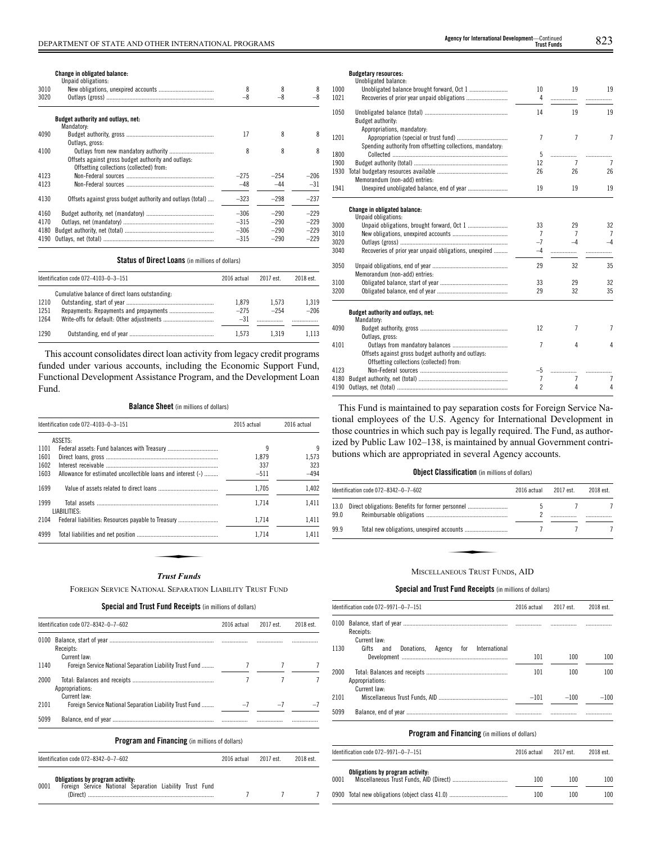# **Change in obligated balance:** Unpaid obligations:

|      | UIIDAIU UDIIEALIUIIS:                                      |        |        |        |
|------|------------------------------------------------------------|--------|--------|--------|
| 3010 |                                                            | 8      |        | 8      |
| 3020 |                                                            | $-8$   | $-8$   |        |
|      | Budget authority and outlays, net:                         |        |        |        |
|      | Mandatory:                                                 |        |        |        |
| 4090 |                                                            | 17     | 8      | 8      |
|      | Outlays, gross:                                            |        |        |        |
| 4100 |                                                            | 8      | 8      | 8      |
|      | Offsets against gross budget authority and outlays:        |        |        |        |
|      | Offsetting collections (collected) from:                   |        |        |        |
| 4123 |                                                            | $-275$ | $-254$ | $-206$ |
| 4123 |                                                            | $-48$  | $-44$  | $-31$  |
| 4130 | Offsets against gross budget authority and outlays (total) | $-323$ | $-298$ | $-237$ |
|      |                                                            |        |        |        |
| 4160 |                                                            | $-306$ | $-290$ | $-229$ |
| 4170 |                                                            | $-315$ | $-290$ | $-229$ |
| 4180 |                                                            | $-306$ | $-290$ | $-229$ |
| 4190 |                                                            | $-315$ | $-290$ | $-229$ |
|      |                                                            |        |        |        |

#### **Status of Direct Loans** (in millions of dollars)

|                      | Identification code 072-4103-0-3-151            |                          | 2017 est        | 2018 est.       |
|----------------------|-------------------------------------------------|--------------------------|-----------------|-----------------|
| 1210<br>1251<br>1264 | Cumulative balance of direct loans outstanding: | 1.879<br>$-275$<br>$-31$ | 1.573<br>$-254$ | 1.319<br>$-206$ |
| 1290                 |                                                 | 1.573                    | 1.319           | 1.113           |

This account consolidates direct loan activity from legacy credit programs funded under various accounts, including the Economic Support Fund, Functional Development Assistance Program, and the Development Loan Fund.

## **Balance Sheet** (in millions of dollars)

|      | Identification code 072-4103-0-3-151                         | 2015 actual | 2016 actual |
|------|--------------------------------------------------------------|-------------|-------------|
|      | ASSETS:                                                      |             |             |
| 1101 |                                                              | 9           | 9           |
| 1601 |                                                              | 1.879       | 1.573       |
| 1602 |                                                              | 337         | 323         |
| 1603 | Allowance for estimated uncollectible loans and interest (-) | $-511$      | $-494$      |
| 1699 |                                                              | 1.705       | 1,402       |
| 1999 | LIABILITIES:                                                 | 1.714       | 1.411       |
| 2104 |                                                              | 1.714       | 1,411       |
| 4999 |                                                              | 1.714       | 1.411       |
|      |                                                              |             |             |
|      |                                                              |             |             |
|      |                                                              |             |             |
|      | <b>Trust Funds</b>                                           |             |             |

## *Trust Funds*

FOREIGN SERVICE NATIONAL SEPARATION LIABILITY TRUST FUND

**Special and Trust Fund Receipts** (in millions of dollars)

|      | Identification code 072-8342-0-7-602                     | 2016 actual | 2017 est. | 2018 est. |
|------|----------------------------------------------------------|-------------|-----------|-----------|
| 0100 | Receipts:<br>Current law:                                |             |           |           |
| 1140 | Foreign Service National Separation Liability Trust Fund |             |           |           |
| 2000 | Appropriations:<br>Current law:                          |             |           |           |
| 2101 | Foreign Service National Separation Liability Trust Fund | $-7$        | $-7$      |           |
| 5099 |                                                          |             |           |           |
|      | <b>Program and Financing</b> (in millions of dollars)    |             |           |           |
|      | Identification code 072-8342-0-7-602                     | 2016 actual | 2017 est. | 2018 est. |

7 7 7

|      | Obligations by program activity: |  |                                                          |  |  |
|------|----------------------------------|--|----------------------------------------------------------|--|--|
| 0001 |                                  |  | Foreign Service National Separation Liability Trust Fund |  |  |
|      |                                  |  |                                                          |  |  |

## **Budgetary resources:**

|      | Unobligated balance:                                       |                |                     |                         |
|------|------------------------------------------------------------|----------------|---------------------|-------------------------|
| 1000 |                                                            | 10             | 19                  | 19                      |
| 1021 |                                                            | 4              | .                   | .                       |
| 1050 |                                                            | 14             | 19                  | 19                      |
|      | Budget authority:                                          |                |                     |                         |
|      | Appropriations, mandatory:                                 |                |                     |                         |
| 1201 |                                                            | $\overline{7}$ | $\overline{1}$      | $\overline{7}$          |
|      | Spending authority from offsetting collections, mandatory: |                |                     |                         |
| 1800 |                                                            | 5              | .                   | .                       |
| 1900 |                                                            | 12             | $\overline{7}$      | $\overline{7}$          |
| 1930 |                                                            | 26             | 26                  | 26                      |
|      | Memorandum (non-add) entries:                              |                |                     |                         |
| 1941 |                                                            | 19             | 19                  | 19                      |
|      |                                                            |                |                     |                         |
|      | Change in obligated balance:                               |                |                     |                         |
|      | Unpaid obligations:                                        |                |                     |                         |
| 3000 |                                                            | 33             | 29                  | 32                      |
| 3010 |                                                            | 7              | $\overline{7}$      | $\overline{7}$          |
| 3020 |                                                            | $-7$           | $-4$                | $-4$                    |
| 3040 | Recoveries of prior year unpaid obligations, unexpired     | -4             | .                   |                         |
| 3050 |                                                            | 29             | 32                  | 35                      |
|      | Memorandum (non-add) entries:                              |                |                     |                         |
| 3100 |                                                            | 33             | 29                  | 32                      |
| 3200 |                                                            | 29             | 32                  | 35                      |
|      |                                                            |                |                     |                         |
|      | Budget authority and outlays, net:<br>Mandatory:           |                |                     |                         |
| 4090 |                                                            | 12             | $\overline{7}$      | $\overline{7}$          |
|      | Outlays, gross:                                            |                |                     |                         |
| 4101 |                                                            | 7              | 4                   | $\pmb{\mathtt{\Delta}}$ |
|      | Offsets against gross budget authority and outlays:        |                |                     |                         |
|      | Offsetting collections (collected) from:                   |                |                     |                         |
| 4123 |                                                            | -5             |                     |                         |
| 4180 |                                                            | $\overline{7}$ | .<br>$\overline{7}$ | $\overline{7}$          |
| 4190 |                                                            | $\overline{2}$ | 4                   | 4                       |
|      |                                                            |                |                     |                         |

This Fund is maintained to pay separation costs for Foreign Service National employees of the U.S. Agency for International Development in those countries in which such pay is legally required. The Fund, as authorized by Public Law 102–138, is maintained by annual Government contributions which are appropriated in several Agency accounts.

#### **Object Classification** (in millions of dollars)

|              | Identification code 072-8342-0-7-602<br>2016 actual |  | 2017 est. | 2018 est. |
|--------------|-----------------------------------------------------|--|-----------|-----------|
| 13.0<br>99.0 | Direct obligations: Benefits for former personnel   |  |           |           |
| 99.9         |                                                     |  |           |           |
|              | MISCELLANEOUS TRUST FUNDS, AID                      |  |           |           |

## **Special and Trust Fund Receipts** (in millions of dollars)

|      | Identification code 072-9971-0-7-151                      | 2016 actual | 2017 est. | 2018 est. |
|------|-----------------------------------------------------------|-------------|-----------|-----------|
|      | Receipts:<br>Current law:                                 |             |           |           |
| 1130 | International<br>Donations.<br>Agency for<br>Gifts<br>and | 101         | 100       | 100       |
| 2000 | Appropriations:<br>Current law:                           | 101         | 100       | 100       |
| 2101 |                                                           | $-101$      | $-100$    | $-100$    |
| 5099 |                                                           |             | .         |           |

|      | Identification code 072-9971-0-7-151 |     | 2017 est. | 2018 est. |
|------|--------------------------------------|-----|-----------|-----------|
| 0001 | Obligations by program activity:     | 100 | 100       | 100       |
|      |                                      | 100 | 100       | 100       |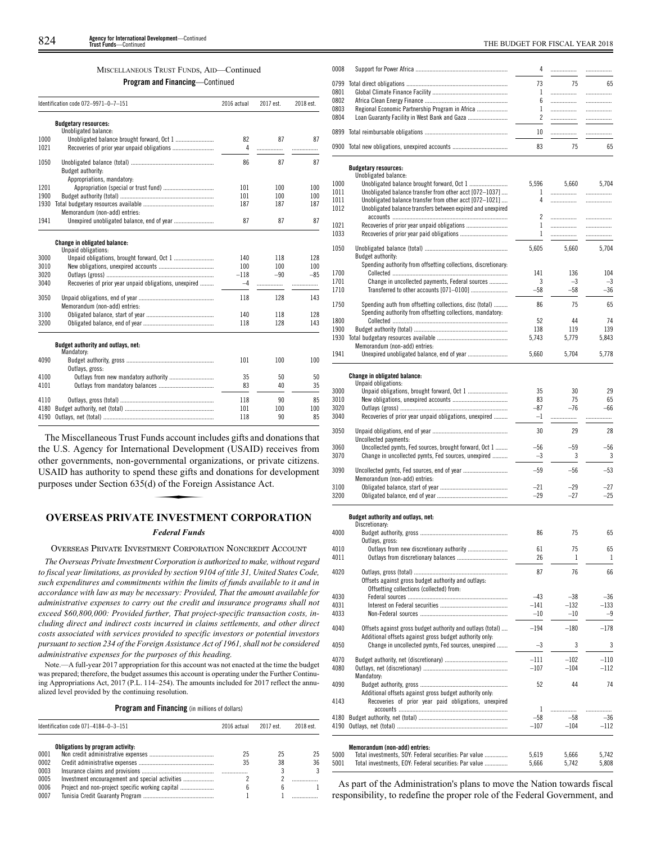## MISCELLANEOUS TRUST FUNDS, AID—Continued

**Program and Financing**—Continued

|              | Identification code 072-9971-0-7-151                   | 2016 actual | 2017 est. | 2018 est. |
|--------------|--------------------------------------------------------|-------------|-----------|-----------|
|              | <b>Budgetary resources:</b>                            |             |           |           |
|              | Unobligated balance:                                   |             | 87        | 87        |
| 1000<br>1021 | Unobligated balance brought forward, Oct 1             | 82          |           |           |
|              |                                                        | 4           | .         |           |
| 1050         |                                                        | 86          | 87        | 87        |
|              | Budget authority:                                      |             |           |           |
|              | Appropriations, mandatory:                             |             |           |           |
| 1201         |                                                        | 101         | 100       | 100       |
| 1900         |                                                        | 101         | 100       | 100       |
| 1930         |                                                        | 187         | 187       | 187       |
|              | Memorandum (non-add) entries:                          |             |           |           |
| 1941         | Unexpired unobligated balance, end of year             | 87          | 87        | 87        |
|              | Change in obligated balance:                           |             |           |           |
|              | Unpaid obligations:                                    |             |           |           |
| 3000         |                                                        | 140         | 118       | 128       |
| 3010         |                                                        | 100         | 100       | 100       |
| 3020         |                                                        | $-118$      | $-90$     | $-85$     |
| 3040         | Recoveries of prior year unpaid obligations, unexpired | $-4$        |           | .         |
| 3050         |                                                        | 118         | 128       | 143       |
|              | Memorandum (non-add) entries:                          |             |           |           |
| 3100         |                                                        | 140         | 118       | 128       |
| 3200         |                                                        | 118         | 128       | 143       |
|              | Budget authority and outlays, net:                     |             |           |           |
|              | Mandatory:                                             |             |           |           |
| 4090         |                                                        | 101         | 100       | 100       |
|              | Outlays, gross:                                        |             |           |           |
| 4100         | Outlays from new mandatory authority                   | 35          | 50        | 50        |
| 4101         |                                                        | 83          | 40        | 35        |
| 4110         |                                                        | 118         | 90        | 85        |
| 4180         |                                                        | 101         | 100       | 100       |
| 4190         |                                                        | 118         | 90        | 85        |

The Miscellaneous Trust Funds account includes gifts and donations that the U.S. Agency for International Development (USAID) receives from of the governments, non-governmental organizations, or private citizens.<br>
USAID has authority to spend these gifts and donations for development<br>
purposes under Section 635(d) of the Foreign Assistance Act.<br> **OVERSE AS PRI** USAID has authority to spend these gifts and donations for development purposes under Section 635(d) of the Foreign Assistance Act.

# **OVERSEAS PRIVATE INVESTMENT CORPORATION**

## *Federal Funds*

OVERSEAS PRIVATE INVESTMENT CORPORATION NONCREDIT ACCOUNT

*The Overseas Private Investment Corporation is authorized to make, without regard to fiscal year limitations, as provided by section 9104 of title 31, United States Code, such expenditures and commitments within the limits of funds available to it and in accordance with law as may be necessary: Provided, That the amount available for administrative expenses to carry out the credit and insurance programs shall not exceed \$60,800,000: Provided further, That project-specific transaction costs, including direct and indirect costs incurred in claims settlements, and other direct costs associated with services provided to specific investors or potential investors pursuant to section 234 of the Foreign Assistance Act of 1961, shall not be considered administrative expenses for the purposes of this heading.*

Note.—A full-year 2017 appropriation for this account was not enacted at the time the budget was prepared; therefore, the budget assumes this account is operating under the Further Continuing Appropriations Act, 2017 (P.L. 114–254). The amounts included for 2017 reflect the annualized level provided by the continuing resolution.

**Program and Financing** (in millions of dollars)

| Identification code 071-4184-0-3-151 |                                  | 2016 actual | 2017 est. | 2018 est. |
|--------------------------------------|----------------------------------|-------------|-----------|-----------|
|                                      | Obligations by program activity: |             |           |           |
| 0001                                 |                                  | 25          | 25        | 25        |
| 0002                                 |                                  | 35          | 38        | 36        |
| 0003                                 |                                  |             |           |           |
| 0005                                 |                                  |             |           |           |
| 0006                                 |                                  |             | h         |           |
| 0007                                 |                                  |             |           |           |

| 0008         |                                                                                 | 4              | .             | .           |
|--------------|---------------------------------------------------------------------------------|----------------|---------------|-------------|
| 0799         |                                                                                 | 73             |               |             |
| 0801         |                                                                                 | 1              | 75<br>        | 65<br>.     |
| 0802         |                                                                                 | 6              | .             | .           |
| 0803         | Regional Economic Partnership Program in Africa                                 | 1              |               | .           |
| 0804         | Loan Guaranty Facility in West Bank and Gaza                                    | $\overline{c}$ |               | .           |
| 0899         |                                                                                 | 10             | .             | .           |
|              | 0900 Total new obligations, unexpired accounts                                  | 83             | 75            | 65          |
|              | <b>Budgetary resources:</b>                                                     |                |               |             |
|              | Unobligated balance:                                                            |                |               |             |
| 1000<br>1011 | Unobligated balance transfer from other acct [072-1037]                         | 5,596<br>1     | 5,660<br>.    | 5.704<br>.  |
| 1011         | Unobligated balance transfer from other acct [072-1021]                         | 4              |               | .           |
| 1012         | Unobligated balance transfers between expired and unexpired                     |                |               |             |
| 1021         |                                                                                 | 2<br>1         | .<br>         | .<br>.      |
| 1033         |                                                                                 | 1              | .             | .           |
| 1050         |                                                                                 | 5,605          | 5,660         | 5,704       |
|              | Budget authority:                                                               |                |               |             |
|              | Spending authority from offsetting collections, discretionary:                  |                |               |             |
| 1700         |                                                                                 | 141            | 136           | 104         |
| 1701<br>1710 | Change in uncollected payments, Federal sources                                 | 3<br>$-58$     | $-3$<br>$-58$ | $-3$<br>-36 |
|              |                                                                                 |                |               |             |
| 1750         | Spending auth from offsetting collections, disc (total)                         | 86             | 75            | 65          |
| 1800         | Spending authority from offsetting collections, mandatory:                      | 52             | 44            | 74          |
| 1900         |                                                                                 | 138            | 119           | 139         |
| 1930         |                                                                                 | 5,743          | 5,779         | 5,843       |
|              | Memorandum (non-add) entries:                                                   |                |               |             |
| 1941         |                                                                                 | 5,660          | 5,704         | 5,778       |
|              |                                                                                 |                |               |             |
|              | <b>Change in obligated balance:</b><br>Unpaid obligations:                      |                |               |             |
| 3000         |                                                                                 | 35             | 30            | 29          |
| 3010         |                                                                                 | 83             | 75            | 65          |
| 3020         |                                                                                 | $-87$          | $-76$         | -66         |
| 3040         | Recoveries of prior year unpaid obligations, unexpired                          | $-1$           | .             | .           |
| 3050         |                                                                                 | 30             | 29            | 28          |
| 3060         | Uncollected payments:<br>Uncollected pymts, Fed sources, brought forward, Oct 1 | $-56$          | $-59$         | -56         |
| 3070         | Change in uncollected pymts, Fed sources, unexpired                             | $-3$           | 3             | 3           |
|              |                                                                                 |                |               |             |
| 3090         | Memorandum (non-add) entries:                                                   | $-59$          | $-56$         | -53         |
| 3100         |                                                                                 | $-21$          | $-29$         | $-27$       |
| 3200         |                                                                                 | $-29$          | $-27$         | $-25$       |
|              | Budget authority and outlays, net:                                              |                |               |             |
|              | Discretionary:                                                                  |                |               |             |
| 4000         |                                                                                 | 86             | 75            | 65          |
| 4010         | Outlays, gross:<br>Outlays from new discretionary authority                     | 61             | 75            | 65          |
| 4011         |                                                                                 | 26             | 1             | 1           |
|              |                                                                                 |                |               |             |
| 4020         | Offsets against gross budget authority and outlays:                             | 87             | 76            | 66          |
|              | Offsetting collections (collected) from:                                        |                |               |             |
| 4030         |                                                                                 | $-43$          | $-38$         | -36         |
| 4031         |                                                                                 | $-141$         | $-132$        | $-133$      |
| 4033         |                                                                                 | $-10$          | $-10$         | $-9$        |
| 4040         | Offsets against gross budget authority and outlays (total)                      | $-194$         | $-180$        | $-178$      |
|              | Additional offsets against gross budget authority only:                         |                |               |             |
| 4050         | Change in uncollected pymts, Fed sources, unexpired                             | -3             | 3             | 3           |
| 4070         |                                                                                 | $-111$         | $-102$        | $-110$      |
| 4080         |                                                                                 | $-107$         | $-104$        | $-112$      |
|              | Mandatory:                                                                      |                |               |             |
| 4090         |                                                                                 | 52             | 44            | 74          |
|              | Additional offsets against gross budget authority only:                         |                |               |             |
| 4143         | Recoveries of prior year paid obligations, unexpired                            | 1              | .             | .           |
| 4180         |                                                                                 | $-58$          | $-58$         | $-36$       |
| 4190         |                                                                                 | $-107$         | $-104$        | $-112$      |
|              |                                                                                 |                |               |             |
|              | Memorandum (non-add) entries:                                                   |                |               |             |
| 5000         | Total investments, SOY: Federal securities: Par value                           | 5,619          | 5,666         | 5,742       |

| 5001 | Total investments. EOY: Federal securities: Par value | 5.666 5.742 | 5.808 |
|------|-------------------------------------------------------|-------------|-------|
|      |                                                       |             |       |

As part of the Administration's plans to move the Nation towards fiscal responsibility, to redefine the proper role of the Federal Government, and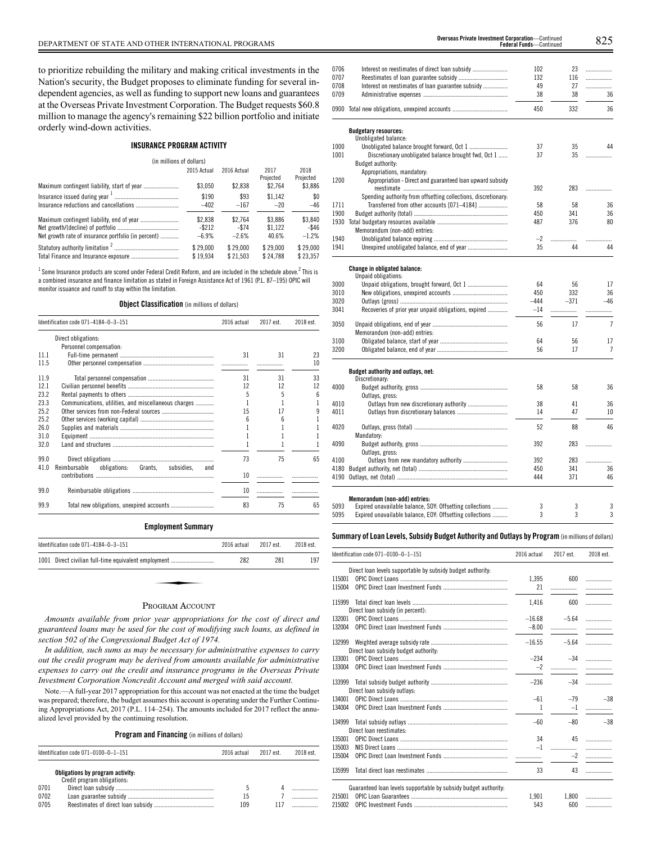to prioritize rebuilding the military and making critical investments in the Nation's security, the Budget proposes to eliminate funding for several independent agencies, as well as funding to support new loans and guarantees at the Overseas Private Investment Corporation. The Budget requests \$60.8 million to manage the agency's remaining \$22 billion portfolio and initiate orderly wind-down activities.

## **INSURANCE PROGRAM ACTIVITY**

| (in millions of dollars)                            |             |             |                   |                   |
|-----------------------------------------------------|-------------|-------------|-------------------|-------------------|
|                                                     | 2015 Actual | 2016 Actual | 2017<br>Projected | 2018<br>Projected |
|                                                     | \$3.050     | \$2,838     | \$2.764           | \$3,886           |
|                                                     | \$190       | \$93        | \$1.142           | \$0               |
|                                                     | $-402$      | $-167$      | $-20$             | $-46$             |
|                                                     | \$2,838     | \$2.764     | \$3.886           | \$3,840           |
|                                                     | $-$ \$212   | $-$ \$74    | \$1.122           | -\$46             |
| Net growth rate of insurance portfolio (in percent) | $-6.9%$     | $-2.6%$     | 40.6%             | $-1.2%$           |
|                                                     | \$29.000    | \$29.000    | \$29.000          | \$29,000          |
|                                                     | \$19.934    | \$21.503    | \$24.788          | \$23.357          |

 $^1$ Some Insurance products are scored under Federal Credit Reform, and are included in the schedule above. $^2$  This is a combined insurance and finance limitation as stated in Foreign Assistance Act of 1961 (P.L. 87–195) OPIC will monitor issuance and runoff to stay within the limitation.

**Object Classification** (in millions of dollars)

|      | Identification code 071-4184-0-3-151                   | 2016 actual     | 2017 est. | 2018 est. |
|------|--------------------------------------------------------|-----------------|-----------|-----------|
|      | Direct obligations:                                    |                 |           |           |
|      | Personnel compensation:                                |                 |           |           |
| 111  |                                                        | 31              | 31        | 23        |
| 11.5 |                                                        |                 |           | 10        |
| 119  |                                                        | 31              | 31        | 33        |
| 121  |                                                        | 12              | 12        | 12        |
| 23.2 |                                                        | 5               | 5         | ĥ         |
| 23.3 | Communications, utilities, and miscellaneous charges   |                 |           |           |
| 25.2 |                                                        | 15              | 17        |           |
| 25.2 |                                                        | ĥ               | 6         |           |
| 26.0 |                                                        |                 |           |           |
| 31.0 |                                                        |                 |           |           |
| 32.0 |                                                        |                 |           |           |
| 99.0 |                                                        | 73              | 75        | 65        |
| 41.0 | Reimbursable<br>obligations: Grants, subsidies,<br>and |                 |           |           |
|      |                                                        | 10              |           |           |
| 99.0 |                                                        | 10 <sup>2</sup> |           |           |
| 99.9 |                                                        | 83              | 75        | 65        |

## **Employment Summary**

| Identification code 071-4184-0-3-151                 | 2016 actual | 2017 est. | 2018 est. |
|------------------------------------------------------|-------------|-----------|-----------|
| 1001 Direct civilian full-time equivalent employment | 282         | 281       | 197       |
|                                                      |             |           |           |
| $\mathbf{r}$ $\mathbf{r}$                            |             |           |           |

### PROGRAM ACCOUNT

*Amounts available from prior year appropriations for the cost of direct and guaranteed loans may be used for the cost of modifying such loans, as defined in section 502 of the Congressional Budget Act of 1974.*

*In addition, such sums as may be necessary for administrative expenses to carry out the credit program may be derived from amounts available for administrative expenses to carry out the credit and insurance programs in the Overseas Private Investment Corporation Noncredit Account and merged with said account.*

Note.—A full-year 2017 appropriation for this account was not enacted at the time the budget was prepared; therefore, the budget assumes this account is operating under the Further Continuing Appropriations Act, 2017 (P.L. 114–254). The amounts included for 2017 reflect the annualized level provided by the continuing resolution.

**Program and Financing** (in millions of dollars)

| Identification code 071-0100-0-1-151                                                    | 2016 actual | 2017 est | 2018 est. |
|-----------------------------------------------------------------------------------------|-------------|----------|-----------|
| Obligations by program activity:<br>Credit program obligations:<br>0701<br>0702<br>0705 | 15<br>109   |          |           |

| 0706         |                                                                | 102      | 23       | .              |
|--------------|----------------------------------------------------------------|----------|----------|----------------|
| 0707         |                                                                | 132      | 116      | .              |
| 0708<br>0709 | Interest on reestimates of loan guarantee subsidy              | 49<br>38 | 27<br>38 | .<br>36        |
| 0900         |                                                                | 450      | 332      | 36             |
|              |                                                                |          |          |                |
|              | <b>Budgetary resources:</b>                                    |          |          |                |
|              | Unobligated balance:                                           |          |          |                |
| 1000         |                                                                | 37       | 35       | 44             |
| 1001         | Discretionary unobligated balance brought fwd, Oct 1           | 37       | 35       |                |
|              | Budget authority:                                              |          |          |                |
|              | Appropriations, mandatory:                                     |          |          |                |
| 1200         | Appropriation - Direct and guaranteed loan upward subsidy      |          |          |                |
|              |                                                                | 392      | 283      | .              |
|              | Spending authority from offsetting collections, discretionary: |          |          |                |
| 1711         | Transferred from other accounts [071-4184]                     | 58       | 58       | 36             |
| 1900         |                                                                | 450      | 341      | 36             |
| 1930         |                                                                | 487      | 376      | 80             |
|              | Memorandum (non-add) entries:                                  |          |          |                |
| 1940         |                                                                | $-2$     | .        |                |
| 1941         |                                                                | 35       | 44       | 44             |
|              | <b>Change in obligated balance:</b>                            |          |          |                |
|              | Unpaid obligations:                                            |          |          |                |
| 3000         | Unpaid obligations, brought forward, Oct 1                     | 64       | 56       | 17             |
| 3010         |                                                                | 450      | 332      | 36             |
| 3020         |                                                                | $-444$   | $-371$   | $-46$          |
| 3041         | Recoveries of prior year unpaid obligations, expired           | $-14$    | .        | .              |
| 3050         |                                                                | 56       | 17       | $\overline{7}$ |
|              | Memorandum (non-add) entries:                                  |          |          |                |
| 3100         |                                                                | 64       | 56       | 17             |
| 3200         |                                                                | 56       | 17       | $\overline{7}$ |
|              |                                                                |          |          |                |
|              | Budget authority and outlays, net:<br>Discretionary:           |          |          |                |
| 4000         |                                                                | 58       | 58       | 36             |
|              | Outlays, gross:                                                |          |          |                |
| 4010         | Outlays from new discretionary authority                       | 38       | 41       | 36             |
| 4011         |                                                                | 14       | 47       | 10             |
|              |                                                                |          |          |                |
| 4020         |                                                                | 52       | 88       | 46             |
|              | Mandatory:                                                     |          |          |                |
| 4090         |                                                                | 392      | 283      | .              |
|              | Outlays, gross:                                                |          |          |                |
| 4100         |                                                                | 392      | 283      | .              |
| 4180         |                                                                | 450      | 341      | 36             |
| 4190         |                                                                | 444      | 371      | 46             |
|              | Memorandum (non-add) entries:                                  |          |          |                |
| 5093         | Expired unavailable balance, SOY: Offsetting collections       | 3        | 3        | 3              |
| 5095         | Expired unavailable balance, EOY: Offsetting collections       | 3        | 3        | 3              |
|              |                                                                |          |          |                |

**Summary ofLoan Levels, Subsidy Budget Authority and Outlays by Program** (inmillionsof dollars)

|        | Identification code 071-0100-0-1-151                            | 2016 actual | 2017 est. | 2018 est. |
|--------|-----------------------------------------------------------------|-------------|-----------|-----------|
|        | Direct loan levels supportable by subsidy budget authority:     |             |           |           |
| 115001 |                                                                 | 1.395       | 600       | .         |
| 115004 |                                                                 | 21          | .         |           |
| 115999 |                                                                 | 1.416       | 600       | .         |
|        | Direct loan subsidy (in percent):                               |             |           |           |
| 132001 |                                                                 | $-16.68$    | $-5.64$   | .         |
| 132004 |                                                                 | $-8.00$     | .         |           |
| 132999 | Direct loan subsidy budget authority:                           | $-16.55$    | $-5.64$   | .         |
| 133001 |                                                                 | $-234$      | $-34$     | .         |
| 133004 |                                                                 | $-2$        | .         |           |
| 133999 | Direct loan subsidy outlays:                                    | $-236$      | $-34$     | .         |
| 134001 |                                                                 | $-61$       | $-79$     | $-38$     |
| 134004 |                                                                 | 1           | $-1$      | .         |
| 134999 | Direct loan reestimates:                                        | $-60$       | $-80$     | $-38$     |
| 135001 |                                                                 | 34          | 45        |           |
| 135003 |                                                                 | $-1$        | .         | .         |
| 135004 |                                                                 |             | $-2$      | .         |
| 135999 |                                                                 | 33          | 43        |           |
|        | Guaranteed loan levels supportable by subsidy budget authority. |             |           |           |
| 215001 |                                                                 | 1.901       | 1.800     | .         |
| 215002 |                                                                 | 543         | 600       | .         |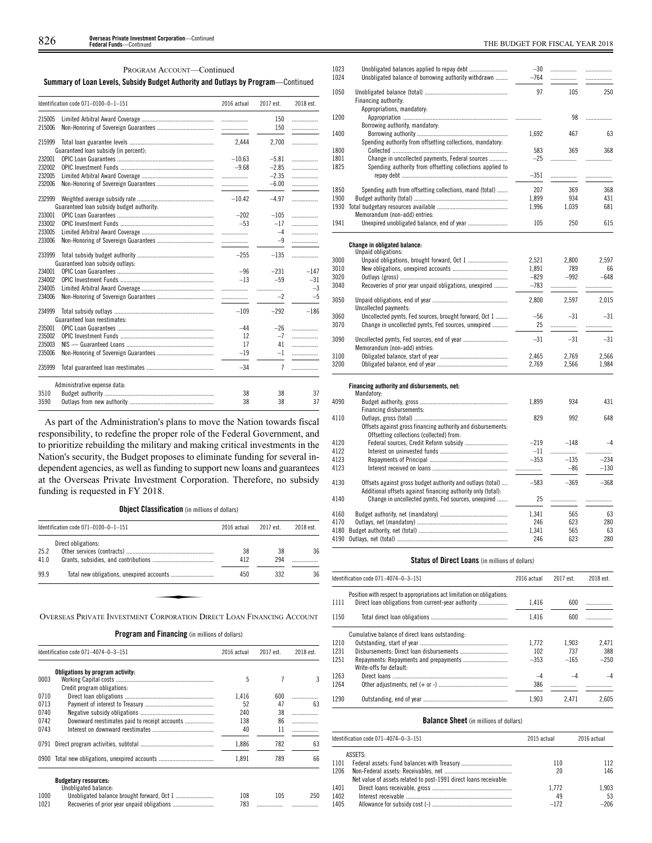PROGRAM ACCOUNT—Continued

## **Summary of Loan Levels, Subsidy Budget Authority and Outlays by Program**—Continued

|        | Identification code 071-0100-0-1-151      | 2016 actual | 2017 est. | 2018 est. |
|--------|-------------------------------------------|-------------|-----------|-----------|
| 215005 |                                           | .           | 150       | .         |
| 215006 |                                           |             | 150       | .         |
| 215999 |                                           | 2.444       | 2,700     | .         |
|        | Guaranteed loan subsidy (in percent):     |             |           |           |
| 232001 |                                           | $-10.63$    | $-5.81$   | .         |
| 232002 |                                           | $-9.68$     | $-2.85$   | .         |
| 232005 |                                           |             | $-2.35$   | .         |
| 232006 |                                           |             | $-6.00$   | .         |
| 232999 | Guaranteed loan subsidy budget authority: | $-10.42$    | $-4.97$   | .         |
| 233001 |                                           | $-202$      | $-105$    | .         |
| 233002 |                                           | $-53$       | $-17$     | .         |
| 233005 |                                           | .           | $-4$      | .         |
| 233006 |                                           | .           | $-9$      | .         |
| 233999 | Guaranteed loan subsidy outlays:          | $-255$      | $-135$    | .         |
| 234001 |                                           | $-96$       | $-231$    | $-147$    |
| 234002 |                                           | $-13$       | $-59$     | $-31$     |
| 234005 |                                           | .           | .         | $-3$      |
| 234006 |                                           |             | $-2$      | $-5$      |
| 234999 | Guaranteed loan reestimates:              | $-109$      | $-292$    | $-186$    |
| 235001 |                                           | -44         | $-26$     | .         |
| 235002 |                                           | 12          | $-7$      | .         |
| 235003 |                                           | 17          | 41        | .         |
| 235006 |                                           | $-19$       | $-1$      | .         |
| 235999 |                                           | $-34$       | 7         | .         |
|        | Administrative expense data:              |             |           |           |
| 3510   |                                           | 38          | 38        | 37        |
| 3590   |                                           | 38          | 38        | 37        |

As part of the Administration's plans to move the Nation towards fiscal responsibility, to redefine the proper role of the Federal Government, and to prioritize rebuilding the military and making critical investments in the Nation's security, the Budget proposes to eliminate funding for several independent agencies, as well as funding to support new loans and guarantees at the Overseas Private Investment Corporation. Therefore, no subsidy funding is requested in FY 2018.

**Object Classification** (in millions of dollars)

|      | Identification code $071-0100-0-1-151$                                | 2016 actual | 2017 est. | 2018 est. |
|------|-----------------------------------------------------------------------|-------------|-----------|-----------|
|      | Direct obligations:                                                   |             |           |           |
| 25.2 |                                                                       | 38          | 38        | 36        |
| 41.0 |                                                                       | 412         | 294       |           |
| 99.9 |                                                                       | 450         | 332       | 36        |
|      |                                                                       |             |           |           |
|      |                                                                       |             |           |           |
|      | OVERSEAS PRIVATE INVESTMENT CORPORATION DIRECT LOAN FINANCING ACCOUNT |             |           |           |

## **Program and Financing** (in millions of dollars)

|      | Identification code 071-4074-0-3-151                | 2016 actual | 2017 est. | 2018 est. |
|------|-----------------------------------------------------|-------------|-----------|-----------|
|      | Obligations by program activity:                    |             |           |           |
| 0003 |                                                     | 5           |           |           |
|      | Credit program obligations:                         |             |           |           |
| 0710 |                                                     | 1.416       | 600       |           |
| 0713 |                                                     | 52          | 47        | 63        |
| 0740 |                                                     | 240         | 38        |           |
| 0742 | Downward reestimates paid to receipt accounts       | 138         | 86        | .         |
| 0743 |                                                     | 40          | 11        |           |
| 0791 |                                                     | 1.886       | 782       | 63        |
|      | 0900 Total new obligations, unexpired accounts      | 1.891       | 789       | 66        |
|      | <b>Budgetary resources:</b><br>Unobligated balance: |             |           |           |
| 1000 |                                                     | 108         | 105       | 250       |
| 1021 |                                                     | 783         |           | .         |

| 1023         |                                                                                                          | $-30$  | .          | .          |
|--------------|----------------------------------------------------------------------------------------------------------|--------|------------|------------|
| 1024         | Unobligated balance of borrowing authority withdrawn                                                     | $-764$ | .          | .          |
| 1050         | Financing authority:                                                                                     | 97     | 105        | 250        |
|              | Appropriations, mandatory:                                                                               |        |            |            |
| 1200         |                                                                                                          | .      | 98         | .          |
|              | Borrowing authority, mandatory:                                                                          |        |            |            |
| 1400         |                                                                                                          | 1,692  | 467        | 63         |
| 1800         | Spending authority from offsetting collections, mandatory:                                               | 583    | 369        | 368        |
| 1801         | Change in uncollected payments, Federal sources                                                          | $-25$  |            | .          |
| 1825         | Spending authority from offsetting collections applied to                                                |        |            |            |
|              |                                                                                                          | $-351$ | .          | .          |
|              |                                                                                                          | 207    |            |            |
| 1850<br>1900 | Spending auth from offsetting collections, mand (total)                                                  | 1.899  | 369<br>934 | 368<br>431 |
| 1930         |                                                                                                          | 1,996  | 1,039      | 681        |
|              | Memorandum (non-add) entries:                                                                            |        |            |            |
| 1941         |                                                                                                          | 105    | 250        | 615        |
|              | Change in obligated balance:                                                                             |        |            |            |
|              | Unpaid obligations:                                                                                      |        |            |            |
| 3000         |                                                                                                          | 2,521  | 2.800      | 2.597      |
| 3010         |                                                                                                          | 1,891  | 789        | 66         |
| 3020         |                                                                                                          | $-829$ | $-992$     | $-648$     |
| 3040         | Recoveries of prior year unpaid obligations, unexpired                                                   | $-783$ | .          | .          |
| 3050         | Uncollected payments:                                                                                    | 2,800  | 2,597      | 2,015      |
| 3060         | Uncollected pymts, Fed sources, brought forward, Oct 1                                                   | $-56$  | $-31$      | $-31$      |
| 3070         | Change in uncollected pymts, Fed sources, unexpired                                                      | 25     | .          | .          |
| 3090         | Uncollected pymts, Fed sources, end of year                                                              | $-31$  | $-31$      | $-31$      |
|              | Memorandum (non-add) entries:                                                                            |        |            |            |
| 3100         |                                                                                                          | 2,465  | 2,769      | 2,566      |
| 3200         |                                                                                                          | 2,769  | 2,566      | 1,984      |
|              | Financing authority and disbursements, net:                                                              |        |            |            |
|              | Mandatory:                                                                                               |        |            |            |
| 4090         |                                                                                                          | 1,899  | 934        | 431        |
|              | Financing disbursements:                                                                                 |        |            |            |
| 4110         |                                                                                                          | 829    | 992        | 648        |
|              | Offsets against gross financing authority and disbursements:<br>Offsetting collections (collected) from: |        |            |            |
| 4120         | Federal sources, Credit Reform subsidy                                                                   | $-219$ | $-148$     | $-4$       |
| 4122         |                                                                                                          | $-11$  | .          | .          |
| 4123         |                                                                                                          | $-353$ | $-135$     | $-234$     |
| 4123         |                                                                                                          | .      | $-86$      | $-130$     |
| 4130         | Offsets against gross budget authority and outlays (total)                                               | $-583$ | $-369$     | $-368$     |
|              | Additional offsets against financing authority only (total):                                             |        |            |            |
| 4140         | Change in uncollected pymts, Fed sources, unexpired                                                      | 25     | .          | .          |
| 4160         |                                                                                                          | 1,341  | 565        | 63         |
| 4170         |                                                                                                          | 246    | 623        | 280        |
| 4180         |                                                                                                          | 1,341  | 565        | 63         |
| 4190         |                                                                                                          | 246    | 623        | 280        |

## **Status of Direct Loans** (in millions of dollars)

|      | Identification code 071-4074-0-3-151                                   | 2016 actual | 2017 est. | 2018 est. |
|------|------------------------------------------------------------------------|-------------|-----------|-----------|
| 1111 | Position with respect to appropriations act limitation on obligations: | 1.416       | 600       |           |
| 1150 |                                                                        | 1.416       | 600       |           |
|      | Cumulative balance of direct loans outstanding:                        |             |           |           |
| 1210 |                                                                        | 1.772       | 1.903     | 2.471     |
| 1231 |                                                                        | 102         | 737       | 388       |
| 1251 | Write-offs for default:                                                | $-353$      | $-165$    | $-250$    |
| 1263 |                                                                        | $-4$        | -4        | $-4$      |
| 1264 |                                                                        | 386         |           |           |
| 1290 |                                                                        | 1.903       | 2.471     | 2.605     |

## **Balance Sheet** (in millions of dollars)

|      | Identification code 071-4074-0-3-151<br>2015 actual               |        | 2016 actual |  |
|------|-------------------------------------------------------------------|--------|-------------|--|
|      | ASSETS:                                                           |        |             |  |
| 1101 |                                                                   | 110    | 112         |  |
| 1206 |                                                                   | 20     | 146         |  |
|      | Net value of assets related to post-1991 direct loans receivable: |        |             |  |
| 1401 |                                                                   | 1.772  | 1.903       |  |
| 1402 |                                                                   | 49     | 53          |  |
| 1405 |                                                                   | $-172$ | $-206$      |  |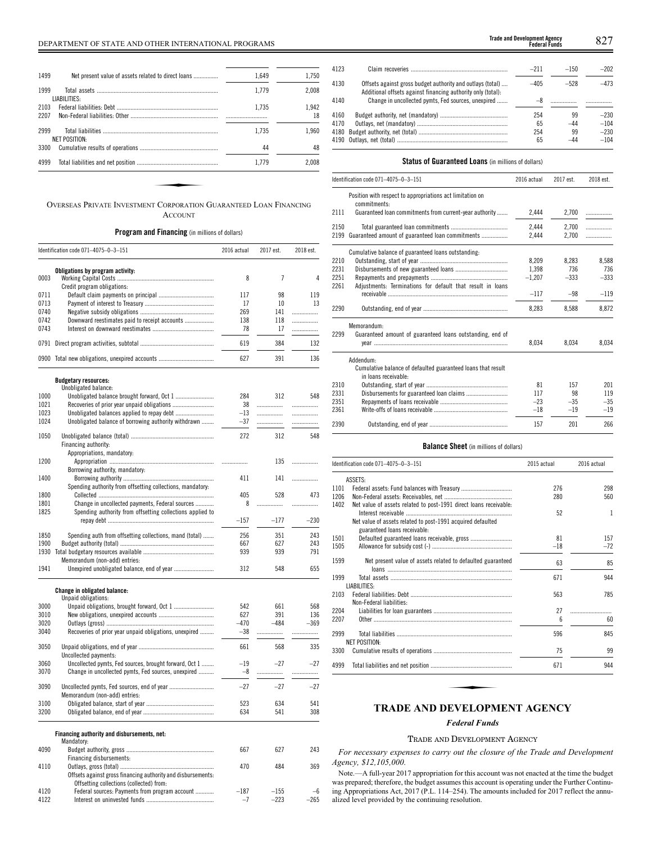| 1.649<br>1499<br>Net present value of assets related to direct loans<br>1.779<br>LIABILITIES:<br>1.735<br>1.735<br>NET POSITION:<br>44 |       |  |  |
|----------------------------------------------------------------------------------------------------------------------------------------|-------|--|--|
| 1999                                                                                                                                   | 1.750 |  |  |
| 2103<br>2207                                                                                                                           | 2.008 |  |  |
|                                                                                                                                        |       |  |  |
| 2999<br>3300                                                                                                                           | 1.942 |  |  |
|                                                                                                                                        | 18    |  |  |
|                                                                                                                                        | 1.960 |  |  |
|                                                                                                                                        |       |  |  |
|                                                                                                                                        | 48    |  |  |
| 4999<br>1.779                                                                                                                          | 2.008 |  |  |

ACCOUNT

## **Program and Financing** (in millions of dollars)

|              | Identification code 071-4075-0-3-151                                                                          | 2016 actual   | 2017 est.      | 2018 est. |
|--------------|---------------------------------------------------------------------------------------------------------------|---------------|----------------|-----------|
|              | Obligations by program activity:                                                                              |               |                |           |
| 0003         |                                                                                                               | 8             | $\overline{7}$ | 4         |
|              | Credit program obligations:                                                                                   |               |                |           |
| 0711         |                                                                                                               | 117           | 98             | 119       |
| 0713         |                                                                                                               | 17            | 10             | 13        |
| 0740         |                                                                                                               | 269           | 141            |           |
| 0742         | Downward reestimates paid to receipt accounts                                                                 | 138           | 118            |           |
| 0743         |                                                                                                               | 78            | 17             | .         |
| 0791         |                                                                                                               | 619           | 384            | 132       |
|              | 0900 Total new obligations, unexpired accounts                                                                | 627           | 391            | 136       |
|              | <b>Budgetary resources:</b>                                                                                   |               |                |           |
|              | Unobligated balance:                                                                                          |               |                |           |
| 1000         |                                                                                                               | 284           | 312            | 548       |
| 1021         |                                                                                                               | 38            |                | .         |
| 1023         |                                                                                                               | $-13$         | .              | .         |
| 1024         | Unobligated balance of borrowing authority withdrawn                                                          | $-37$         |                | .         |
| 1050         |                                                                                                               | 272           | 312            | 548       |
|              | Financing authority:<br>Appropriations, mandatory:                                                            |               |                |           |
| 1200         |                                                                                                               | .             | 135            | .         |
|              | Borrowing authority, mandatory:                                                                               |               |                |           |
| 1400         |                                                                                                               | 411           | 141            |           |
|              | Spending authority from offsetting collections, mandatory:                                                    |               |                |           |
| 1800         |                                                                                                               | 405           | 528            | 473       |
| 1801         | Change in uncollected payments, Federal sources                                                               | 8             | .              | .         |
| 1825         | Spending authority from offsetting collections applied to                                                     |               |                |           |
|              |                                                                                                               | $-157$        | $-177$         | $-230$    |
|              |                                                                                                               |               |                |           |
| 1850         | Spending auth from offsetting collections, mand (total)                                                       | 256           | 351            | 243       |
| 1900         |                                                                                                               | 667           | 627            | 243       |
| 1930         | Memorandum (non-add) entries:                                                                                 | 939           | 939            | 791       |
| 1941         |                                                                                                               | 312           | 548            | 655       |
|              |                                                                                                               |               |                |           |
|              | Change in obligated balance:<br>Unpaid obligations:                                                           |               |                |           |
| 3000         |                                                                                                               | 542           | 661            | 568       |
| 3010         |                                                                                                               | 627           | 391            | 136       |
| 3020         |                                                                                                               | $-470$        | $-484$         | $-369$    |
| 3040         | Recoveries of prior year unpaid obligations, unexpired                                                        | $-38$         |                | .         |
| 3050         |                                                                                                               | 661           | 568            | 335       |
|              | Uncollected payments:                                                                                         |               |                |           |
| 3060<br>3070 | Uncollected pymts, Fed sources, brought forward, Oct 1<br>Change in uncollected pymts, Fed sources, unexpired | $-19$<br>$-8$ | $-27$<br>.     | $-27$     |
|              |                                                                                                               |               |                | .         |
| 3090         |                                                                                                               | $-27$         | $-27$          | $-27$     |
|              | Memorandum (non-add) entries:                                                                                 |               |                |           |
| 3100         |                                                                                                               | 523           | 634            | 541       |
| 3200         |                                                                                                               | 634           | 541            | 308       |
|              | Financing authority and disbursements, net:                                                                   |               |                |           |
|              | Mandatory:                                                                                                    |               |                |           |
| 4090         |                                                                                                               | 667           | 627            | 243       |
|              | Financing disbursements:                                                                                      |               |                |           |
| 4110         |                                                                                                               | 470           | 484            | 369       |
|              | Offsets against gross financing authority and disbursements:                                                  |               |                |           |
|              | Offsetting collections (collected) from:                                                                      |               |                |           |
| 4120         | Federal sources: Payments from program account                                                                | $-187$        | $-155$         | $-6$      |
| 4122         |                                                                                                               | $-7$          | $-223$         | $-265$    |
|              |                                                                                                               |               |                |           |

| <b>Trade and Development Agency</b><br><b>Federal Funds</b> |  |
|-------------------------------------------------------------|--|
|                                                             |  |

| 4123 |                                                                                                                            | $-211$ | $-150$ | $-202$ |
|------|----------------------------------------------------------------------------------------------------------------------------|--------|--------|--------|
| 4130 | Offsets against gross budget authority and outlays (total)<br>Additional offsets against financing authority only (total): | $-405$ | $-528$ | $-473$ |
| 4140 | Change in uncollected pymts, Fed sources, unexpired                                                                        |        |        |        |
| 4160 |                                                                                                                            | 254    | 99     | $-230$ |
| 4170 |                                                                                                                            | 65     | $-44$  | $-104$ |
|      |                                                                                                                            | 254    | 99     | $-230$ |
|      |                                                                                                                            | 65     | $-44$  | $-104$ |
|      |                                                                                                                            |        |        |        |

## **Status of Guaranteed Loans** (in millions of dollars)

|      | Identification code 071-4075-0-3-151                                      | 2016 actual | 2017 est. | 2018 est. |
|------|---------------------------------------------------------------------------|-------------|-----------|-----------|
|      | Position with respect to appropriations act limitation on<br>commitments: |             |           |           |
| 2111 | Guaranteed loan commitments from current-year authority                   | 2,444       | 2,700     |           |
| 2150 |                                                                           | 2.444       | 2,700     | .         |
| 2199 | Guaranteed amount of guaranteed loan commitments                          | 2.444       | 2.700     |           |
|      | Cumulative balance of guaranteed loans outstanding:                       |             |           |           |
| 2210 |                                                                           | 8.209       | 8.283     | 8,588     |
| 2231 |                                                                           | 1.398       | 736       | 736       |
| 2251 |                                                                           | $-1,207$    | $-333$    | $-333$    |
| 2261 | Adjustments: Terminations for default that result in loans                |             |           |           |
|      |                                                                           | $-117$      | $-98$     | $-119$    |
| 2290 |                                                                           | 8,283       | 8,588     | 8,872     |
|      | Memorandum:                                                               |             |           |           |
| 2299 | Guaranteed amount of guaranteed loans outstanding, end of                 |             |           |           |
|      |                                                                           | 8,034       | 8.034     | 8,034     |
|      | Addendum:                                                                 |             |           |           |
|      | Cumulative balance of defaulted guaranteed loans that result              |             |           |           |
|      | in loans receivable:                                                      |             |           |           |
| 2310 |                                                                           | 81          | 157       | 201       |
| 2331 |                                                                           | 117         | 98        | 119       |
| 2351 |                                                                           | $-23$       | $-35$     | $-35$     |
| 2361 |                                                                           | $-18$       | $-19$     | $-19$     |
| 2390 |                                                                           | 157         | 201       | 266       |

#### **Balance Sheet** (in millions of dollars)

| Identification code 071-4075-0-3-151                              | 2015 actual                                                                                 | 2016 actual       |
|-------------------------------------------------------------------|---------------------------------------------------------------------------------------------|-------------------|
| ASSETS:                                                           |                                                                                             |                   |
|                                                                   | 276                                                                                         | 298               |
|                                                                   | 280                                                                                         | 560               |
| Net value of assets related to post-1991 direct loans receivable: |                                                                                             |                   |
|                                                                   |                                                                                             | 1                 |
|                                                                   |                                                                                             |                   |
|                                                                   |                                                                                             |                   |
|                                                                   |                                                                                             | 157               |
|                                                                   |                                                                                             | $-72$             |
| Net present value of assets related to defaulted guaranteed       | 63                                                                                          | 85                |
|                                                                   | 671                                                                                         | 944               |
| LIABILITIES:                                                      |                                                                                             |                   |
|                                                                   | 563                                                                                         | 785               |
| Non-Federal liabilities:                                          |                                                                                             |                   |
|                                                                   | 27                                                                                          |                   |
|                                                                   | $6\overline{6}$                                                                             | 60                |
|                                                                   | 596                                                                                         | 845               |
| <b>NET POSITION:</b>                                              |                                                                                             |                   |
|                                                                   | 75                                                                                          | 99                |
|                                                                   | 671                                                                                         | 944               |
|                                                                   | Net value of assets related to post-1991 acquired defaulted<br>guaranteed loans receivable: | 52<br>81<br>$-18$ |

## *Federal Funds*

## TRADE AND DEVELOPMENT AGENCY

*For necessary expenses to carry out the closure of the Trade and Development Agency, \$12,105,000.*

Note.—A full-year 2017 appropriation for this account was not enacted at the time the budget was prepared; therefore, the budget assumes this account is operating under the Further Continuing Appropriations Act, 2017 (P.L. 114–254). The amounts included for 2017 reflect the annualized level provided by the continuing resolution.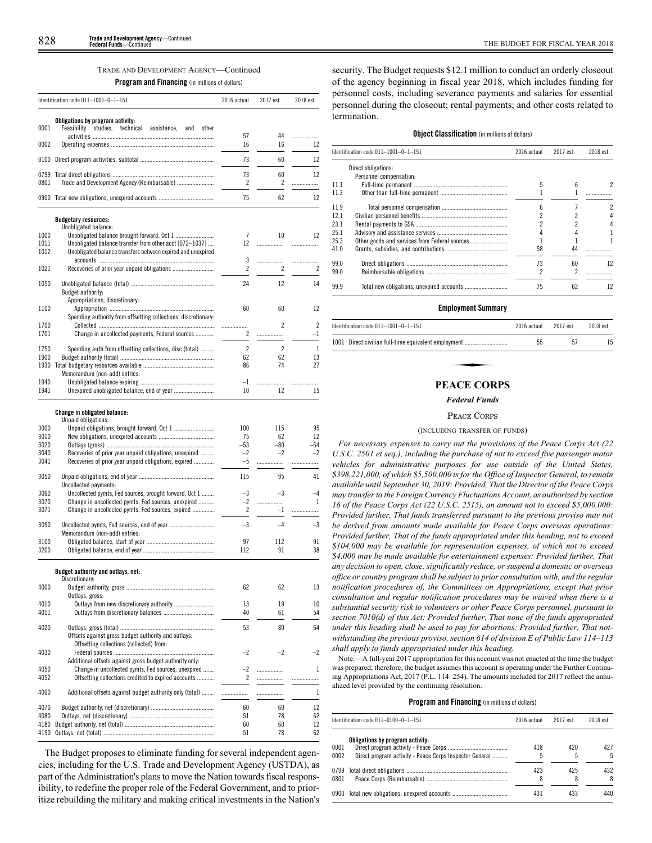**Program and Financing** (in millions of dollars)

|                      | Identification code $011-1001-0-1-151$                                                                                 | 2016 actual    | 2017 est.   | 2018 est.    |
|----------------------|------------------------------------------------------------------------------------------------------------------------|----------------|-------------|--------------|
| 0001                 | Obligations by program activity:<br>Feasibility studies, technical<br>assistance,<br>and<br>other                      | 57             | 44          | .            |
| 0002                 |                                                                                                                        | 16             | 16          | 12           |
| 0100                 |                                                                                                                        | 73             | 60          | 12           |
| 0799<br>0801         |                                                                                                                        | 73<br>2        | 60<br>2     | 12<br>.      |
|                      | 0900 Total new obligations, unexpired accounts                                                                         | 75             | 62          | 12           |
|                      | <b>Budgetary resources:</b><br>Unobligated balance:                                                                    |                |             |              |
| 1000<br>1011<br>1012 | Unobligated balance transfer from other acct [072-1037]<br>Unobligated balance transfers between expired and unexpired | 7<br>12        | 10<br>.     | 12<br>.      |
| 1021                 |                                                                                                                        | 3<br>2         | .<br>2      | .<br>2       |
| 1050                 |                                                                                                                        | 24             | 12          | 14           |
| 1100                 | Budget authority:<br>Appropriations, discretionary:                                                                    | 60             | 60          | 12           |
|                      | Spending authority from offsetting collections, discretionary:                                                         |                |             |              |
| 1700<br>1701         | Change in uncollected payments, Federal sources                                                                        | .<br>2         | 2<br>.      | 2<br>$-1$    |
| 1750                 | Spending auth from offsetting collections, disc (total)                                                                | $\overline{c}$ | 2           | $\mathbf{1}$ |
| 1900<br>1930         |                                                                                                                        | 62<br>86       | 62<br>74    | 13<br>27     |
|                      | Memorandum (non-add) entries:                                                                                          |                |             |              |
| 1940<br>1941         |                                                                                                                        | $-1$<br>10     | <br>12      | .<br>15      |
|                      | Change in obligated balance:<br>Unpaid obligations:                                                                    |                |             |              |
| 3000                 |                                                                                                                        | 100            | 115         | 95           |
| 3010<br>3020         |                                                                                                                        | 75<br>$-53$    | 62<br>$-80$ | 12<br>-64    |
| 3040<br>3041         | Recoveries of prior year unpaid obligations, unexpired<br>Recoveries of prior year unpaid obligations, expired         | $-2$<br>$-5$   | $-2$<br>.   | $-2$<br>.    |
| 3050                 | Uncollected payments:                                                                                                  | 115            | 95          | 41           |
| 3060                 | Uncollected pymts, Fed sources, brought forward, Oct 1                                                                 | -3             | $-3$        | -4           |
| 3070<br>3071         | Change in uncollected pymts, Fed sources, unexpired<br>Change in uncollected pymts, Fed sources, expired               | $-2$<br>2      | .<br>$-1$   | 1<br>.       |
| 3090                 |                                                                                                                        | $-3$           | $-4$        | -3           |
| 3100                 | Memorandum (non-add) entries:                                                                                          | 97             | 112         | 91           |
| 3200                 |                                                                                                                        | 112            | 91          | 38           |
|                      | Budget authority and outlays, net:<br>Discretionary:                                                                   |                |             |              |
| 4000                 | Outlays, gross:                                                                                                        | 62             | 62          | 13           |
| 4010<br>4011         |                                                                                                                        | 13<br>40       | 19<br>61    | 10<br>54     |
| 4020                 | Offsets against gross budget authority and outlays:<br>Offsetting collections (collected) from:                        | 53             | 80          | 64           |
| 4030                 | Additional offsets against gross budget authority only:                                                                | $-2$           | $-2$        | -2           |
| 4050<br>4052         | Change in uncollected pymts, Fed sources, unexpired<br>Offsetting collections credited to expired accounts             | $-2$<br>2      | <br>        | 1<br>.       |
| 4060                 | Additional offsets against budget authority only (total)                                                               | .              | .           | 1            |
| 4070                 |                                                                                                                        | 60             | 60          | 12           |
| 4080<br>4180         |                                                                                                                        | 51<br>60       | 78<br>60    | 62<br>12     |
| 4190                 |                                                                                                                        | 51             | 78          | 62           |
|                      |                                                                                                                        |                |             |              |

The Budget proposes to eliminate funding for several independent agencies, including for the U.S. Trade and Development Agency (USTDA), as part of the Administration's plans to move the Nation towards fiscal responsibility, to redefine the proper role of the Federal Government, and to prioritize rebuilding the military and making critical investments in the Nation's security. The Budget requests \$12.1 million to conduct an orderly closeout of the agency beginning in fiscal year 2018, which includes funding for personnel costs, including severance payments and salaries for essential personnel during the closeout; rental payments; and other costs related to termination.

| <b>Object Classification</b> (in millions of dollars) |  |
|-------------------------------------------------------|--|
|-------------------------------------------------------|--|

|      | Identification code 011-1001-0-1-151 | 2016 actual | 2017 est. | 2018 est. |
|------|--------------------------------------|-------------|-----------|-----------|
|      | Direct obligations:                  |             |           |           |
|      | Personnel compensation:              |             |           |           |
| 11.1 |                                      |             |           | 2         |
| 11.3 |                                      |             |           |           |
| 11.9 |                                      |             |           | 2         |
| 12.1 |                                      |             |           |           |
| 23.1 |                                      |             |           |           |
| 25.1 |                                      |             |           |           |
| 25.3 |                                      |             |           |           |
| 41.0 |                                      | 58          | 44        |           |
| 99.0 |                                      | 73          | 60        | $12 \,$   |
| 99.0 |                                      |             |           |           |
| 99.9 |                                      | 75          | 62        | 12        |

## **Employment Summary**

|             | Identification code $011-1001-0-1-151$               | 2016 actual | 2017 est. | 2018 est. |  |
|-------------|------------------------------------------------------|-------------|-----------|-----------|--|
|             | 1001 Direct civilian full-time equivalent employment | 55          | 57        | 15        |  |
|             |                                                      |             |           |           |  |
| PEACE CORPS |                                                      |             |           |           |  |

### *Federal Funds*

#### PEACE CORPS

#### (INCLUDING TRANSFER OF FUNDS)

*For necessary expenses to carry out the provisions of the Peace Corps Act (22 U.S.C. 2501 et seq.), including the purchase of not to exceed five passenger motor vehicles for administrative purposes for use outside of the United States, \$398,221,000, of which \$5,500,000 is for the Office of Inspector General, to remain available until September 30, 2019: Provided, That the Director of the Peace Corps may transfer to the Foreign Currency Fluctuations Account, as authorized by section 16 of the Peace Corps Act (22 U.S.C. 2515), an amount not to exceed \$5,000,000: Provided further, That funds transferred pursuant to the previous proviso may not be derived from amounts made available for Peace Corps overseas operations: Provided further, That of the funds appropriated under this heading, not to exceed \$104,000 may be available for representation expenses, of which not to exceed \$4,000 may be made available for entertainment expenses: Provided further, That any decision to open, close, significantly reduce, or suspend a domestic or overseas office or country program shall be subject to prior consultation with, and the regular notification procedures of, the Committees on Appropriations, except that prior consultation and regular notification procedures may be waived when there is a substantial security risk to volunteers or other Peace Corps personnel, pursuant to section 7010(d) of this Act: Provided further, That none of the funds appropriated under this heading shall be used to pay for abortions: Provided further, That notwithstanding the previous proviso, section 614 of division E of Public Law 114–113 shall apply to funds appropriated under this heading.*

Note.—A full-year 2017 appropriation for this account was not enacted at the time the budget was prepared; therefore, the budget assumes this account is operating under the Further Continuing Appropriations Act, 2017 (P.L. 114–254). The amounts included for 2017 reflect the annualized level provided by the continuing resolution.

|              | Identification code 011-0100-0-1-151                                                        | 2016 actual | 2017 est. | 2018 est. |
|--------------|---------------------------------------------------------------------------------------------|-------------|-----------|-----------|
| 0001<br>0002 | Obligations by program activity:<br>Direct program activity - Peace Corps Inspector General | 418         | 420<br>5  | 427<br>5  |
| 0801         |                                                                                             | 423         | 425       | 432<br>8  |
|              | 0900 Total new obligations, unexpired accounts                                              | 431         | 433       | 440       |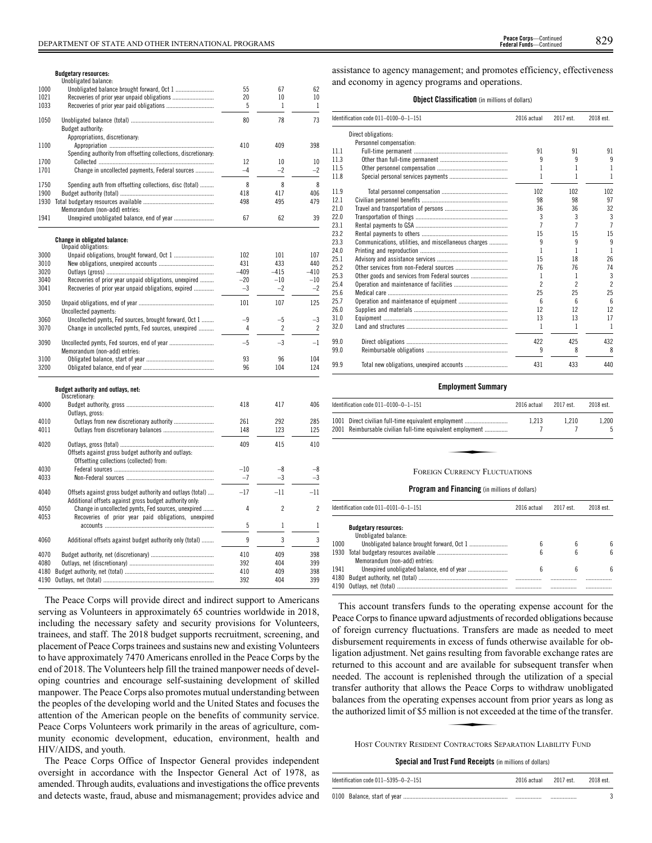|              | Unobligated balance:                                           |          |                |                |
|--------------|----------------------------------------------------------------|----------|----------------|----------------|
| 1000         |                                                                | 55       | 67             | 62             |
| 1021         | Recoveries of prior year unpaid obligations                    | 20       | 10             | 10             |
| 1033         | Recoveries of prior year paid obligations                      | 5        | 1              | 1              |
| 1050         |                                                                | 80       | 78             | 73             |
|              | Budget authority:                                              |          |                |                |
|              | Appropriations, discretionary:                                 |          |                |                |
| 1100         |                                                                | 410      | 409            | 398            |
|              | Spending authority from offsetting collections, discretionary: |          |                |                |
| 1700         |                                                                | 12       | 10             | 10             |
| 1701         | Change in uncollected payments, Federal sources                | $-4$     | $-2$           | $-2$           |
|              |                                                                |          |                |                |
| 1750         | Spending auth from offsetting collections, disc (total)        | 8        | 8              | 8              |
| 1900         |                                                                | 418      | 417            | 406            |
|              |                                                                | 498      | 495            | 479            |
|              | Memorandum (non-add) entries:                                  |          |                |                |
| 1941         |                                                                | 67       | 62             | 39             |
|              | Change in obligated balance:                                   |          |                |                |
|              | Unpaid obligations:                                            |          |                |                |
| 3000         | Unpaid obligations, brought forward, Oct 1                     | 102      | 101            | 107            |
| 3010         |                                                                | 431      | 433            | 440            |
| 3020         |                                                                | $-409$   | $-415$         | $-410$         |
| 3040         | Recoveries of prior year unpaid obligations, unexpired         | $-20$    | $-10$          | $-10$          |
| 3041         | Recoveries of prior year unpaid obligations, expired           | $-3$     | $-2$           | $-2$           |
| 3050         |                                                                | 101      | 107            | 125            |
|              | Uncollected payments:                                          |          |                |                |
| 3060         | Uncollected pymts, Fed sources, brought forward, Oct 1         | $-9$     | $-5$           | $-3$           |
| 3070         | Change in uncollected pymts, Fed sources, unexpired            | 4        | 2              | $\overline{c}$ |
|              |                                                                |          |                |                |
| 3090         | Uncollected pymts, Fed sources, end of year                    | $-5$     | $-3$           | $-1$           |
|              | Memorandum (non-add) entries:                                  |          |                |                |
| 3100<br>3200 |                                                                | 93<br>96 | 96<br>104      | 104<br>124     |
|              |                                                                |          |                |                |
|              | Budget authority and outlays, net:                             |          |                |                |
|              | Discretionary:                                                 |          |                |                |
| 4000         |                                                                | 418      | 417            | 406            |
|              | Outlays, gross:                                                | 261      | 292            | 285            |
| 4010<br>4011 |                                                                | 148      | 123            | 125            |
|              |                                                                |          |                |                |
| 4020         |                                                                | 409      | 415            | 410            |
|              | Offsets against gross budget authority and outlays:            |          |                |                |
|              | Offsetting collections (collected) from:                       |          |                |                |
| 4030         |                                                                | $-10$    | $-8$           | $-8$           |
| 4033         |                                                                | $-7$     | $-3$           | $-3$           |
|              |                                                                |          |                |                |
| 4040         | Offsets against gross budget authority and outlays (total)     | $-17$    | $-11$          | $-11$          |
|              | Additional offsets against gross budget authority only:        |          |                |                |
| 4050         | Change in uncollected pymts, Fed sources, unexpired            | 4        | $\overline{c}$ | $\overline{c}$ |
| 4053         | Recoveries of prior year paid obligations, unexpired           |          |                |                |
|              |                                                                | 5        | $\mathbf 1$    | $\mathbf{1}$   |
| 4060         | Additional offsets against budget authority only (total)       | 9        | 3              | 3              |
|              |                                                                |          |                |                |
| 4070         |                                                                | 410      | 409            | 398            |
| 4080         |                                                                | 392      | 404            | 399            |
| 4180         |                                                                | 410      | 409            | 398            |
|              |                                                                | 392      | 404            | 399            |
|              |                                                                |          |                |                |

The Peace Corps will provide direct and indirect support to Americans serving as Volunteers in approximately 65 countries worldwide in 2018, including the necessary safety and security provisions for Volunteers, trainees, and staff. The 2018 budget supports recruitment, screening, and placement of Peace Corps trainees and sustains new and existing Volunteers to have approximately 7470 Americans enrolled in the Peace Corps by the end of 2018. The Volunteers help fill the trained manpower needs of developing countries and encourage self-sustaining development of skilled manpower. The Peace Corps also promotes mutual understanding between the peoples of the developing world and the United States and focuses the attention of the American people on the benefits of community service. Peace Corps Volunteers work primarily in the areas of agriculture, community economic development, education, environment, health and HIV/AIDS, and youth.

The Peace Corps Office of Inspector General provides independent oversight in accordance with the Inspector General Act of 1978, as amended. Through audits, evaluations and investigations the office prevents and detects waste, fraud, abuse and mismanagement; provides advice and assistance to agency management; and promotes efficiency, effectiveness and economy in agency programs and operations.

## **Object Classification** (in millions of dollars)

|      | Identification code 011-0100-0-1-151                 | 2016 actual              | 2017 est.      | 2018 est.      |
|------|------------------------------------------------------|--------------------------|----------------|----------------|
|      | Direct obligations:                                  |                          |                |                |
|      | Personnel compensation:                              |                          |                |                |
| 11.1 |                                                      | 91                       | 91             | 91             |
| 11.3 |                                                      | 9                        | 9              | 9              |
| 11.5 |                                                      |                          |                | 1              |
| 11.8 |                                                      |                          |                | 1              |
| 11.9 |                                                      | 102                      | 102            | 102            |
| 12.1 |                                                      | 98                       | 98             | 97             |
| 21.0 |                                                      | 36                       | 36             | 32             |
| 22.0 |                                                      | 3                        | 3              | 3              |
| 23.1 |                                                      |                          |                | $\overline{7}$ |
| 23.2 |                                                      | 15                       | 15             | 15             |
| 23.3 | Communications, utilities, and miscellaneous charges | 9                        | 9              | 9              |
| 24.0 |                                                      | 1                        | 1              | 1              |
| 25.1 |                                                      | 15                       | 18             | 26             |
| 25.2 |                                                      | 76                       | 76             | 74             |
| 25.3 |                                                      | ı                        |                | 3              |
| 25.4 |                                                      | $\overline{\phantom{a}}$ | $\overline{2}$ | $\overline{2}$ |
| 25.6 |                                                      | 25                       | 25             | 25             |
| 25.7 |                                                      | $6\overline{6}$          | 6              | 6              |
| 26.0 |                                                      | 12                       | 12             | 12             |
| 31.0 |                                                      | 13                       | 13             | 17             |
| 32.0 |                                                      | 1                        | 1              | 1              |
| 99.0 |                                                      | 422                      | 425            | 432            |
| 99.0 |                                                      | 9                        | 8              | 8              |
| 99.9 |                                                      | 431                      | 433            | 440            |

#### **Employment Summary**

| Identification code 011-0100-0-1-151                                                                               | 2016 actual | 2017 est. | 2018 est. |
|--------------------------------------------------------------------------------------------------------------------|-------------|-----------|-----------|
| 1001 Direct civilian full-time equivalent employment<br>2001 Reimbursable civilian full-time equivalent employment | 1.213       | 1.210     | 1.200     |
|                                                                                                                    |             |           |           |
| <b>FOREIGN CURRENCY FLUCTUATIONS</b>                                                                               |             |           |           |

#### **Program and Financing** (in millions of dollars)

|      | ldentification code 011–0101–0–1–151                            | 2016 actual | 2017 est. | 2018 est. |
|------|-----------------------------------------------------------------|-------------|-----------|-----------|
|      | <b>Budgetary resources:</b>                                     |             |           |           |
|      | Unobligated balance:                                            |             |           |           |
| 1000 |                                                                 | 6           | 6         | հ         |
|      |                                                                 | ĥ           | 6         | հ         |
|      | Memorandum (non-add) entries:                                   |             |           |           |
| 1941 |                                                                 |             |           | հ         |
|      | 4180 Budget authority, net (total) ………………………………………………………………………… |             |           |           |
|      |                                                                 |             |           |           |
|      |                                                                 |             |           |           |

This account transfers funds to the operating expense account for the Peace Corps to finance upward adjustments of recorded obligations because of foreign currency fluctuations. Transfers are made as needed to meet disbursement requirements in excess of funds otherwise available for obligation adjustment. Net gains resulting from favorable exchange rates are returned to this account and are available for subsequent transfer when needed. The account is replenished through the utilization of a special Transfer authority that allows the Peace Corps to withdraw unobligated<br>balances from the operating expenses account from prior years as long as<br>the authorized limit of \$5 million is not exceeded at the time of the transfer balances from the operating expenses account from prior years as long as the authorized limit of \$5 million is not exceeded at the time of the transfer.

HOST COUNTRY RESIDENT CONTRACTORS SEPARATION LIABILITY FUND

**Special and Trust Fund Receipts** (in millions of dollars)

| Identification code 011-5395-0-2-151 | 2016 actual | 2017 est. | 2018 est. |
|--------------------------------------|-------------|-----------|-----------|
|                                      |             |           |           |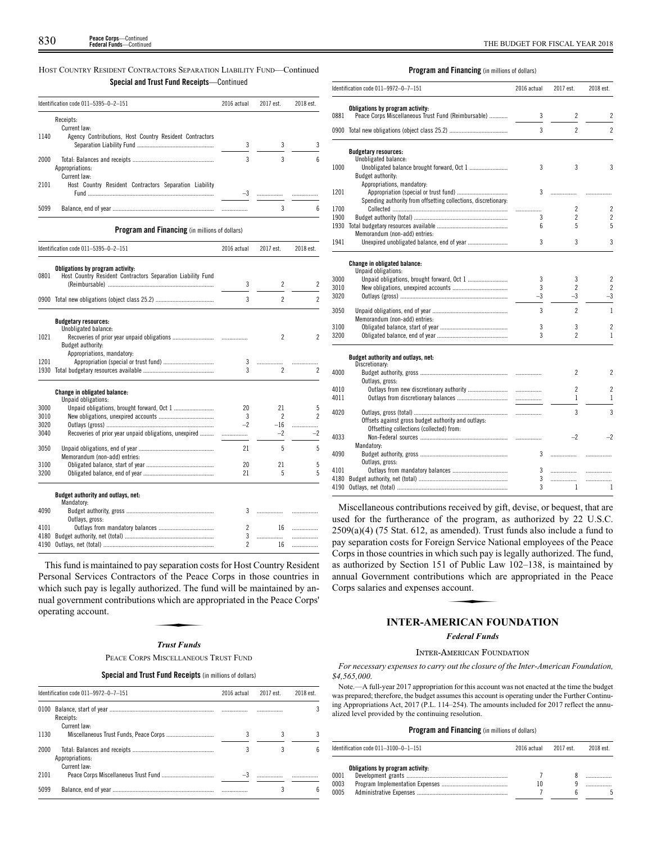## HOST COUNTRY RESIDENT CONTRACTORS SEPARATION LIABILITY FUND—Continued **Special and Trust Fund Receipts**—Continued

|      | Identification code 011-5395-0-2-151                                                            | 2016 actual | 2017 est.                | 2018 est.                |
|------|-------------------------------------------------------------------------------------------------|-------------|--------------------------|--------------------------|
|      | Receipts:                                                                                       |             |                          |                          |
|      | Current law:                                                                                    |             |                          |                          |
| 1140 | Agency Contributions, Host Country Resident Contractors                                         |             |                          |                          |
|      |                                                                                                 | 3           | 3                        | 3                        |
| 2000 |                                                                                                 | 3           | 3                        | 6                        |
|      | Appropriations:                                                                                 |             |                          |                          |
|      | Current law:                                                                                    |             |                          |                          |
| 2101 | Host Country Resident Contractors Separation Liability                                          |             |                          |                          |
|      |                                                                                                 | $-3$        |                          |                          |
| 5099 |                                                                                                 | .           | 3                        | 6                        |
|      | <b>Program and Financing</b> (in millions of dollars)                                           |             |                          |                          |
|      | Identification code 011-5395-0-2-151                                                            | 2016 actual | 2017 est.                | 2018 est.                |
|      |                                                                                                 |             |                          |                          |
| 0801 | Obligations by program activity:<br>Host Country Resident Contractors Separation Liability Fund |             |                          |                          |
|      |                                                                                                 | 3           | 2                        | $\overline{c}$           |
|      |                                                                                                 |             |                          |                          |
|      |                                                                                                 | 3           | $\overline{2}$           | $\overline{c}$           |
|      | <b>Budgetary resources:</b>                                                                     |             |                          |                          |
|      | Unobligated balance:                                                                            |             |                          |                          |
| 1021 |                                                                                                 |             | $\overline{2}$           | $\overline{\phantom{a}}$ |
|      | Budget authority:                                                                               |             |                          |                          |
|      | Appropriations, mandatory:                                                                      |             |                          |                          |
| 1201 |                                                                                                 | 3<br>3      | .<br>$\overline{c}$      | $\overline{c}$           |
|      |                                                                                                 |             |                          |                          |
|      | Change in obligated balance:                                                                    |             |                          |                          |
| 3000 | Unpaid obligations:                                                                             | 20          | 21                       | 5                        |
| 3010 |                                                                                                 | 3           | $\overline{\phantom{a}}$ | $\overline{\phantom{a}}$ |
| 3020 |                                                                                                 | $-2$        | $-16$                    |                          |
| 3040 | Recoveries of prior year unpaid obligations, unexpired                                          |             | $-2$                     | $-2$                     |
|      |                                                                                                 |             |                          |                          |
| 3050 |                                                                                                 | 21          | 5                        | 5                        |
|      | Memorandum (non-add) entries:                                                                   |             |                          |                          |
| 3100 |                                                                                                 | 20          | 21                       | 5                        |
| 3200 |                                                                                                 | 21          | 5                        | 5                        |
|      | Budget authority and outlays, net:                                                              |             |                          |                          |
| 4090 | Mandatory:                                                                                      | 3           | .                        |                          |
|      | Outlays, gross:                                                                                 |             |                          |                          |
| 4101 |                                                                                                 | 2           | 16                       | .                        |
| 4180 |                                                                                                 | 3           |                          | .                        |
|      |                                                                                                 |             |                          |                          |

This fund is maintained to pay separation costs for Host Country Resident Personal Services Contractors of the Peace Corps in those countries in which such pay is legally authorized. The fund will be maintained by an-<br>mual government contributions which are appropriated in the Peace Corps'<br>operating account. nual government contributions which are appropriated in the Peace Corps' operating account.

4190 Outlays, net (total) ........................................................................ 2 16 .................

### *Trust Funds*

PEACE CORPS MISCELLANEOUS TRUST FUND

**Special and Trust Fund Receipts** (in millions of dollars)

|      | Identification code 011-9972-0-7-151 | 2016 actual | 2017 est. | 2018 est. |
|------|--------------------------------------|-------------|-----------|-----------|
| 0100 | Receipts:<br>Current law:            |             |           |           |
| 1130 |                                      |             |           |           |
| 2000 | Appropriations:<br>Current law:      | 3           |           | h         |
| 2101 |                                      |             |           |           |
| 5099 |                                      |             |           |           |

## **Program and Financing** (in millions of dollars)

|      | Identification code 011-9972-0-7-151                           | 2016 actual | 2017 est.      | 2018 est.      |
|------|----------------------------------------------------------------|-------------|----------------|----------------|
|      | Obligations by program activity:                               |             |                |                |
| 0881 | Peace Corps Miscellaneous Trust Fund (Reimbursable)            | 3           | $\overline{c}$ | $\overline{c}$ |
|      |                                                                | 3           | $\overline{2}$ | $\overline{c}$ |
|      | <b>Budgetary resources:</b>                                    |             |                |                |
|      | Unobligated balance:                                           |             |                |                |
| 1000 | Budget authority:                                              | 3           | 3              | 3              |
|      | Appropriations, mandatory:                                     |             |                |                |
| 1201 |                                                                | 3           | .              |                |
|      | Spending authority from offsetting collections, discretionary: |             |                |                |
| 1700 |                                                                |             | 2              | 2              |
| 1900 |                                                                | 3           | $\mathfrak{p}$ | $\overline{2}$ |
| 1930 |                                                                | 6           | 5              | 5              |
|      | Memorandum (non-add) entries:                                  |             |                |                |
| 1941 |                                                                | 3           | 3              | 3              |
|      | <b>Change in obligated balance:</b>                            |             |                |                |
|      | Unpaid obligations:                                            |             |                |                |
| 3000 | Unpaid obligations, brought forward, Oct 1                     | 3           | 3              | 2              |
| 3010 |                                                                | 3           | $\overline{c}$ | $\overline{c}$ |
| 3020 |                                                                | $-3$        | $-3$           | $-3$           |
|      |                                                                |             |                |                |
| 3050 |                                                                | 3           | $\overline{2}$ | $\mathbf{1}$   |
|      | Memorandum (non-add) entries:                                  |             |                |                |
| 3100 |                                                                | 3           | 3              | $\overline{c}$ |
| 3200 |                                                                | 3           | $\overline{2}$ | 1              |
|      | Budget authority and outlays, net:                             |             |                |                |
|      | Discretionary:                                                 |             |                |                |
| 4000 |                                                                |             | $\overline{c}$ | $\overline{c}$ |
|      | Outlays, gross:                                                |             |                |                |
| 4010 |                                                                |             | $\overline{c}$ | $\overline{c}$ |
| 4011 |                                                                |             | $\mathbf{1}$   | $\mathbf{1}$   |
|      |                                                                |             |                |                |
| 4020 |                                                                |             | 3              | 3              |
|      | Offsets against gross budget authority and outlays:            |             |                |                |
|      | Offsetting collections (collected) from:                       |             |                |                |
| 4033 |                                                                |             | $-2$           | $-2$           |
|      | Mandatory:                                                     |             |                |                |
| 4090 |                                                                | 3           |                | .              |
|      | Outlays, gross:                                                |             |                |                |
| 4101 |                                                                | 3           |                | .              |
| 4180 |                                                                | 3           |                | .              |
| 4190 |                                                                | 3           | 1              | 1              |
|      |                                                                |             |                |                |

Miscellaneous contributions received by gift, devise, or bequest, that are used for the furtherance of the program, as authorized by 22 U.S.C.  $2509(a)(4)$  (75 Stat. 612, as amended). Trust funds also include a fund to pay separation costs for Foreign Service National employees of the Peace Corps in those countries in which such pay is legally authorized. The fund, corps in those countries in which such pay is regarly authorized. The rand,<br>as authorized by Section 151 of Public Law 102–138, is maintained by<br>annual Government contributions which are appropriated in the Peace<br>Corps sal annual Government contributions which are appropriated in the Peace Corps salaries and expenses account.

## **INTER-AMERICAN FOUNDATION**

## *Federal Funds*

## INTER-AMERICAN FOUNDATION

*For necessary expenses to carry out the closure of the Inter-American Foundation, \$4,565,000.*

Note.—A full-year 2017 appropriation for this account was not enacted at the time the budget was prepared; therefore, the budget assumes this account is operating under the Further Continuing Appropriations Act, 2017 (P.L. 114–254). The amounts included for 2017 reflect the annualized level provided by the continuing resolution.

|      | Identification code 011-3100-0-1-151 | 2016 actual | 2017 est. | 2018 est. |
|------|--------------------------------------|-------------|-----------|-----------|
| 0001 | Obligations by program activity:     |             |           |           |
| 0003 |                                      | 10          | o         | .         |
| 0005 |                                      |             |           |           |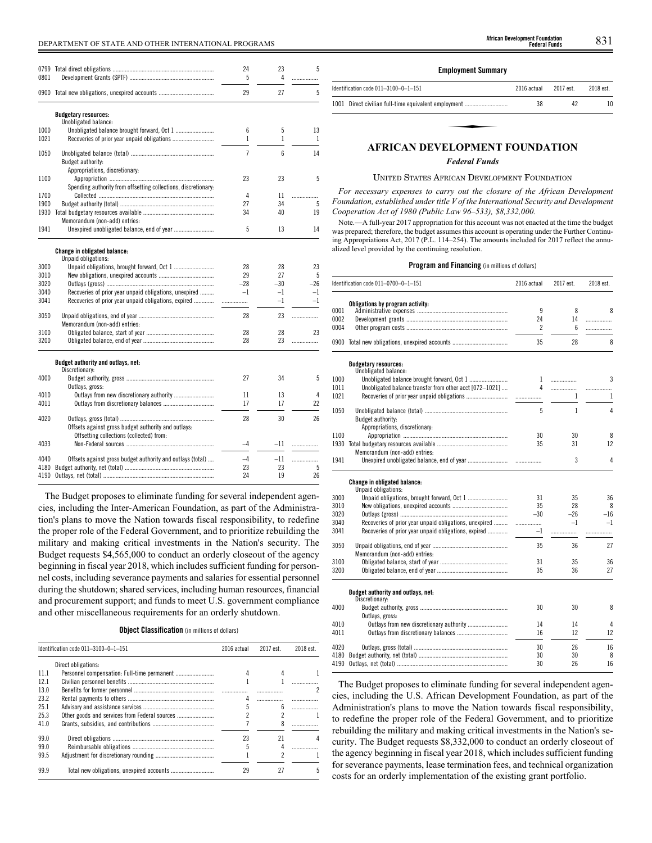# DEPARTMENT OF STATE AND OTHER INTERNATIONAL PROGRAMS 831 **African Development Foundation**

| 0799 |                                                                | 24             | 23    | 5            |
|------|----------------------------------------------------------------|----------------|-------|--------------|
| 0801 |                                                                | 5              | 4     |              |
|      | 0900 Total new obligations, unexpired accounts                 | 29             | 27    | 5            |
|      | <b>Budgetary resources:</b>                                    |                |       |              |
|      | Unobligated balance:                                           |                |       |              |
| 1000 |                                                                | 6              | 5     | 13           |
| 1021 |                                                                | 1              | 1     | $\mathbf{1}$ |
| 1050 |                                                                | $\overline{7}$ | 6     | 14           |
|      | Budget authority:                                              |                |       |              |
|      | Appropriations, discretionary:                                 |                |       |              |
| 1100 |                                                                | 23             | 23    | 5            |
|      | Spending authority from offsetting collections, discretionary: |                |       |              |
| 1700 |                                                                | 4              | 11    | .            |
| 1900 |                                                                | 27             | 34    | 5            |
| 1930 |                                                                | 34             | 40    | 19           |
|      | Memorandum (non-add) entries:                                  |                |       |              |
| 1941 | Unexpired unobligated balance, end of year                     | 5              | 13    | 14           |
|      |                                                                |                |       |              |
|      | Change in obligated balance:                                   |                |       |              |
|      | Unpaid obligations:                                            |                |       |              |
| 3000 |                                                                | 28             | 28    | 23           |
| 3010 |                                                                | 29             | 27    | 5            |
| 3020 |                                                                | $-28$          | $-30$ | $-26$        |
| 3040 | Recoveries of prior year unpaid obligations, unexpired         | $-1$           | $-1$  | $-1$         |
| 3041 | Recoveries of prior year unpaid obligations, expired           | .              | $-1$  | $-1$         |
| 3050 |                                                                | 28             | 23    | .            |
|      | Memorandum (non-add) entries:                                  |                |       |              |
| 3100 |                                                                | 28             | 28    | 23           |
| 3200 |                                                                | 28             | 23    | .            |
|      |                                                                |                |       |              |
|      | Budget authority and outlays, net:                             |                |       |              |
|      | Discretionary:                                                 |                |       |              |
| 4000 |                                                                | 27             | 34    | 5            |
|      | Outlays, gross:                                                |                |       |              |
| 4010 | Outlays from new discretionary authority                       | 11             | 13    | 4            |
| 4011 |                                                                | 17             | 17    | 22           |
| 4020 |                                                                | 28             | 30    | 26           |
|      | Offsets against gross budget authority and outlays:            |                |       |              |
|      | Offsetting collections (collected) from:                       |                |       |              |
| 4033 |                                                                | $-4$           | $-11$ |              |
|      |                                                                |                |       | .            |
| 4040 | Offsets against gross budget authority and outlays (total)     | $-4$           | -11   | .            |
| 4180 |                                                                | 23             | 23    | 5            |
| 4190 |                                                                | 24             | 19    | 26           |
|      |                                                                |                |       |              |

The Budget proposes to eliminate funding for several independent agencies, including the Inter-American Foundation, as part of the Administration's plans to move the Nation towards fiscal responsibility, to redefine the proper role of the Federal Government, and to prioritize rebuilding the military and making critical investments in the Nation's security. The Budget requests \$4,565,000 to conduct an orderly closeout of the agency beginning in fiscal year 2018, which includes sufficient funding for personnel costs, including severance payments and salaries for essential personnel during the shutdown; shared services, including human resources, financial and procurement support; and funds to meet U.S. government compliance and other miscellaneous requirements for an orderly shutdown.

**Object Classification** (in millions of dollars)

|      | Identification code $011-3100-0-1-151$ | 2016 actual | 2017 est. | 2018 est. |
|------|----------------------------------------|-------------|-----------|-----------|
|      | Direct obligations:                    |             |           |           |
| 11.1 |                                        |             |           |           |
| 12.1 |                                        |             |           |           |
| 13.0 |                                        |             |           |           |
| 23.2 |                                        |             |           |           |
| 25.1 |                                        |             | 6         | .         |
| 25.3 |                                        |             |           |           |
| 41.0 |                                        |             |           |           |
| 99.0 |                                        | 23          | 21        |           |
| 99.0 |                                        | 5           |           |           |
| 99.5 |                                        |             |           |           |
| 99.9 |                                        | 29          | 27        | 5         |

### **Employment Summary**

| Identification code 011-3100-0-1-151                 | 2016 actual | 2017 est. | 2018 est. |
|------------------------------------------------------|-------------|-----------|-----------|
| 1001 Direct civilian full-time equivalent employment | 38          | 42        |           |
|                                                      |             |           |           |
| <b>AFRICAN DEVELOPMENT FOUNDATION</b>                |             |           |           |

## *Federal Funds*

#### UNITED STATES AFRICAN DEVELOPMENT FOUNDATION

*For necessary expenses to carry out the closure of the African Development Foundation, established under title V of the International Security and Development Cooperation Act of 1980 (Public Law 96–533), \$8,332,000.*

Note.—A full-year 2017 appropriation for this account was not enacted at the time the budget was prepared; therefore, the budget assumes this account is operating under the Further Continuing Appropriations Act, 2017 (P.L. 114–254). The amounts included for 2017 reflect the annualized level provided by the continuing resolution.

#### **Program and Financing** (in millions of dollars)

|      | Identification code 011-0700-0-1-151                    | 2016 actual    | 2017 est. | 2018 est.      |
|------|---------------------------------------------------------|----------------|-----------|----------------|
|      | Obligations by program activity:                        |                |           |                |
| 0001 |                                                         | 9              | 8         | 8              |
| 0002 |                                                         | 24             | 14        | .              |
| 0004 |                                                         | $\mathfrak{p}$ | 6         | .              |
|      | 0900 Total new obligations, unexpired accounts          | 35             | 28        | 8              |
|      | <b>Budgetary resources:</b><br>Unobligated balance:     |                |           |                |
| 1000 |                                                         | 1              | .         | 3              |
| 1011 | Unobligated balance transfer from other acct [072-1021] | 4              | .         |                |
| 1021 |                                                         |                | 1         | .<br>1         |
|      |                                                         |                |           |                |
| 1050 | Budget authority:                                       | 5              | 1         | $\overline{4}$ |
|      | Appropriations, discretionary:                          |                |           |                |
| 1100 |                                                         | 30             | 30        | 8              |
| 1930 |                                                         | 35             | 31        | 12             |
|      | Memorandum (non-add) entries:                           |                |           |                |
| 1941 |                                                         |                | 3         | $\overline{4}$ |
|      | Change in obligated balance:                            |                |           |                |
|      | Unpaid obligations:                                     |                |           |                |
| 3000 | Unpaid obligations, brought forward, Oct 1              | 31             | 35        | 36             |
| 3010 |                                                         | 35             | 28        | 8              |
| 3020 |                                                         | $-30$          | $-26$     | $-16$          |
| 3040 | Recoveries of prior year unpaid obligations, unexpired  | .              | $-1$      | $-1$           |
| 3041 | Recoveries of prior year unpaid obligations, expired    | $-1$           | .         | .              |
| 3050 |                                                         | 35             | 36        | 27             |
|      | Memorandum (non-add) entries:                           |                |           |                |
| 3100 |                                                         | 31             | 35        | 36             |
| 3200 |                                                         | 35             | 36        | 27             |
|      | Budget authority and outlays, net:                      |                |           |                |
|      | Discretionary:                                          |                |           |                |
| 4000 |                                                         | 30             | 30        | 8              |
|      | Outlays, gross:                                         |                |           |                |
| 4010 | Outlays from new discretionary authority                | 14             | 14        | 4              |
| 4011 |                                                         | 16             | 12        | 12             |
| 4020 |                                                         | 30             | 26        | 16             |
| 4180 |                                                         | 30             | 30        | 8              |
| 4190 |                                                         | 30             | 26        | 16             |

The Budget proposes to eliminate funding for several independent agencies, including the U.S. African Development Foundation, as part of the Administration's plans to move the Nation towards fiscal responsibility, to redefine the proper role of the Federal Government, and to prioritize rebuilding the military and making critical investments in the Nation's security. The Budget requests \$8,332,000 to conduct an orderly closeout of the agency beginning in fiscal year 2018, which includes sufficient funding for severance payments, lease termination fees, and technical organization costs for an orderly implementation of the existing grant portfolio.

**Federal Funds**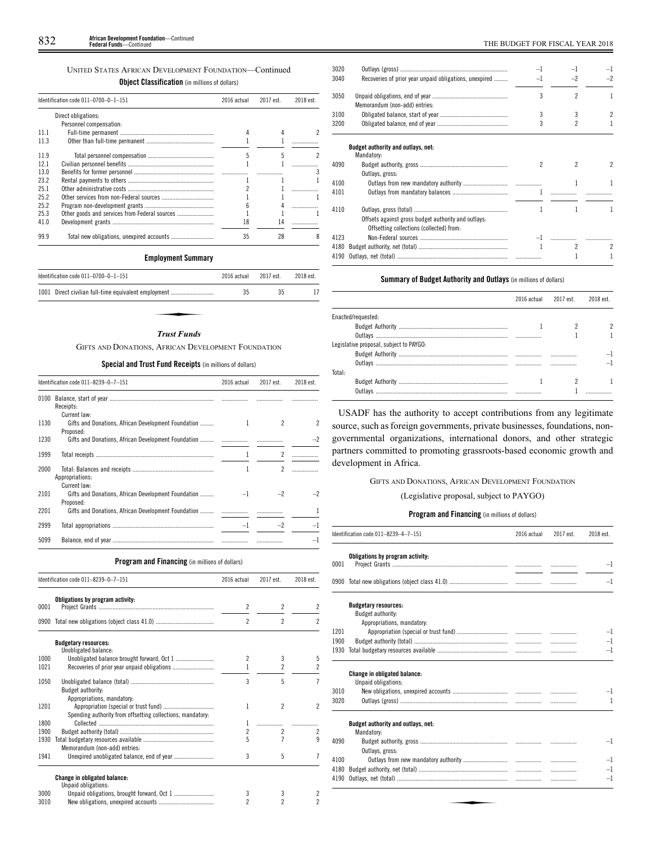## UNITED STATES AFRICAN DEVELOPMENT FOUNDATION—Continued

**Object Classification** (in millions of dollars)

|      | Identification code 011-0700-0-1-151 | 2016 actual | 2017 est. | 2018 est. |
|------|--------------------------------------|-------------|-----------|-----------|
|      | Direct obligations:                  |             |           |           |
|      | Personnel compensation:              |             |           |           |
| 111  |                                      |             |           |           |
| 11.3 |                                      |             |           |           |
| 119  |                                      |             |           |           |
| 121  |                                      |             |           |           |
| 13.0 |                                      |             |           |           |
| 232  |                                      |             |           |           |
| 251  |                                      |             |           |           |
| 25.2 |                                      |             |           |           |
| 25.2 |                                      |             |           |           |
| 25.3 |                                      |             |           |           |
| 41.0 |                                      | 18          |           |           |
| 99.9 |                                      | 35          | 28        |           |

## **Employment Summary**

| Identification code $011-0700-0-1-151$               | 2016 actual | 2017 est. | 2018 est. |
|------------------------------------------------------|-------------|-----------|-----------|
| 1001 Direct civilian full-time equivalent employment | 35          | 35        |           |
|                                                      |             |           |           |
| <b>Trust Funds</b>                                   |             |           |           |

## *Trust Funds*

GIFTS AND DONATIONS, AFRICAN DEVELOPMENT FOUNDATION

## **Special and Trust Fund Receipts** (in millions of dollars)

|      | Identification code 011-8239-0-7-151                                             | 2016 actual | 2017 est. | 2018 est. |
|------|----------------------------------------------------------------------------------|-------------|-----------|-----------|
| 0100 | Receipts:                                                                        |             |           |           |
| 1130 | Current law:<br>Gifts and Donations, African Development Foundation<br>Proposed: |             | 2         | 2         |
| 1230 |                                                                                  |             |           |           |
| 1999 |                                                                                  |             | 2         |           |
| 2000 | Appropriations:<br>Current law:                                                  |             | 2         |           |
| 2101 | Gifts and Donations, African Development Foundation<br>Proposed:                 |             |           |           |
| 2201 | Gifts and Donations, African Development Foundation                              |             |           |           |
| 2999 |                                                                                  | $-1$        | $-2$      |           |
| 5099 |                                                                                  |             |           | -1        |

## **Program and Financing** (in millions of dollars)

|      | Identification code 011-8239-0-7-151                                                     | 2016 actual              | 2017 est.                | 2018 est.      |
|------|------------------------------------------------------------------------------------------|--------------------------|--------------------------|----------------|
| 0001 | Obligations by program activity:                                                         | $\overline{c}$           | 2                        | $\overline{c}$ |
|      |                                                                                          | $\overline{\phantom{a}}$ | $\overline{\phantom{a}}$ | $\overline{2}$ |
|      | <b>Budgetary resources:</b><br>Unobligated balance:                                      |                          |                          |                |
| 1000 |                                                                                          | $\overline{\phantom{a}}$ | 3                        | 5              |
| 1021 |                                                                                          |                          | $\overline{\phantom{a}}$ | $\overline{2}$ |
| 1050 | Budget authority:                                                                        | 3                        | 5                        | $\overline{7}$ |
| 1201 | Appropriations, mandatory:<br>Spending authority from offsetting collections, mandatory: | 1                        | $\overline{\phantom{a}}$ | $\overline{2}$ |
| 1800 |                                                                                          | 1                        |                          |                |
| 1900 |                                                                                          | 2                        | $\overline{2}$           | 2              |
| 1930 | Memorandum (non-add) entries:                                                            | 5                        | 7                        | 9              |
| 1941 |                                                                                          | 3                        | 5                        | 7              |
|      | Change in obligated balance:<br>Unpaid obligations:                                      |                          |                          |                |
| 3000 |                                                                                          | 3                        | 3                        | 2              |
| 3010 |                                                                                          | $\overline{c}$           | $\overline{\phantom{a}}$ | $\overline{c}$ |

| 3020 |                                                                                                 | -1   |                          |                |
|------|-------------------------------------------------------------------------------------------------|------|--------------------------|----------------|
| 3040 | Recoveries of prior year unpaid obligations, unexpired                                          | $-1$ | $-2$                     | $-2$           |
| 3050 | Memorandum (non-add) entries:                                                                   | 3    | $\overline{\phantom{a}}$ | L              |
| 3100 |                                                                                                 | 3    | 3                        | $\overline{c}$ |
| 3200 |                                                                                                 | 3    | 2                        |                |
|      | Budget authority and outlays, net:<br>Mandatory:                                                |      |                          |                |
| 4090 |                                                                                                 | 2    | 2                        | 2              |
|      | Outlays, gross:                                                                                 |      |                          |                |
| 4100 |                                                                                                 |      | 1                        |                |
| 4101 |                                                                                                 | 1    |                          |                |
| 4110 | Offsets against gross budget authority and outlays:<br>Offsetting collections (collected) from: |      |                          |                |
| 4123 |                                                                                                 |      | -1                       |                |
| 4180 |                                                                                                 | 1    | $\overline{2}$           | 2              |
| 4190 |                                                                                                 |      |                          |                |
|      |                                                                                                 |      |                          |                |

## **Summary of Budget Authority and Outlays** (in millions of dollars)

|                                         | 2016 actual | 2017 est. | 2018 est |
|-----------------------------------------|-------------|-----------|----------|
| Enacted/requested:                      |             |           |          |
|                                         |             |           |          |
|                                         |             |           |          |
| Legislative proposal, subject to PAYGO: |             |           |          |
|                                         |             |           |          |
|                                         |             |           |          |
| Total:                                  |             |           |          |
|                                         |             |           |          |
| Outlays                                 |             |           |          |

USADF has the authority to accept contributions from any legitimate source, such as foreign governments, private businesses, foundations, nongovernmental organizations, international donors, and other strategic partners committed to promoting grassroots-based economic growth and development in Africa.

## GIFTS AND DONATIONS, AFRICAN DEVELOPMENT FOUNDATION

## (Legislative proposal, subject to PAYGO)

|      | Identification code 011-8239-4-7-151                                   | 2016 actual | 2017 est. | 2018 est.    |
|------|------------------------------------------------------------------------|-------------|-----------|--------------|
|      | Obligations by program activity:                                       |             |           |              |
| 0001 |                                                                        |             |           | $-1$         |
|      | 0900 Total new obligations (object class 41.0) …………………………………………………………… |             | .         | $-1$         |
|      | <b>Budgetary resources:</b>                                            |             |           |              |
|      | Budget authority:                                                      |             |           |              |
|      | Appropriations, mandatory:                                             |             |           |              |
| 1201 |                                                                        |             | .         | $-1$         |
| 1900 |                                                                        |             | .         | $-1$         |
| 1930 |                                                                        |             | .         | $-1$         |
|      | <b>Change in obligated balance:</b>                                    |             |           |              |
|      | Unpaid obligations:                                                    |             |           |              |
| 3010 |                                                                        |             |           | $^{-1}$      |
| 3020 |                                                                        |             | .         | $\mathbf{1}$ |
|      |                                                                        |             |           |              |
|      | Budget authority and outlays, net:<br>Mandatory:                       |             |           |              |
| 4090 |                                                                        |             |           | $-1$         |
|      | Outlays, gross:                                                        |             |           |              |
| 4100 |                                                                        |             | .         | $-1$         |
| 4180 |                                                                        |             | .         | $-1$         |
| 4190 |                                                                        |             | .         | $-1$         |
|      |                                                                        |             |           |              |
|      |                                                                        |             |           |              |
|      |                                                                        |             |           |              |
|      |                                                                        |             |           |              |
|      |                                                                        |             |           |              |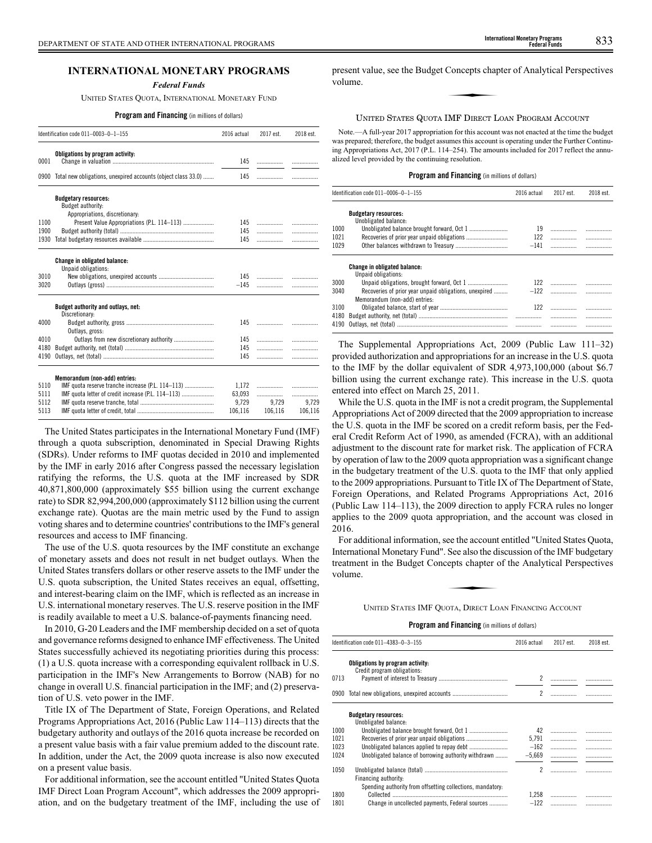*Federal Funds*

UNITED STATES QUOTA, INTERNATIONAL MONETARY FUND

**Program and Financing** (in millions of dollars)

|              | Identification code 011-0003-0-1-155                                               | 2016 actual   | 2017 est. | 2018 est. |
|--------------|------------------------------------------------------------------------------------|---------------|-----------|-----------|
| 0001         | Obligations by program activity:                                                   | 145           | .         |           |
| 0900         | Total new obligations, unexpired accounts (object class 33.0)                      | 145           | .         | .         |
|              | <b>Budgetary resources:</b><br>Budget authority:<br>Appropriations, discretionary: |               |           |           |
| 1100         | Present Value Appropriations (P.L. 114-113)                                        | 145           | .         | .         |
| 1900         |                                                                                    | 145           | .         | .         |
| 1930         |                                                                                    | 145           | .         | .         |
|              | <b>Change in obligated balance:</b><br>Unpaid obligations:                         |               |           |           |
| 3010<br>3020 |                                                                                    | 145<br>$-145$ | .<br>.    | .<br>.    |
|              | Budget authority and outlays, net:<br>Discretionary:                               |               |           |           |
| 4000         | Outlays, gross:                                                                    | 145           | .         |           |
| 4010         |                                                                                    | 145           | .         | .         |
| 4180         |                                                                                    | 145           | .         | .         |
| 4190         |                                                                                    | 145           | .         | .         |
|              | Memorandum (non-add) entries:                                                      |               |           |           |
| 5110         | IMF quota reserve tranche increase (P.L. 114-113)                                  | 1.172         |           |           |
| 5111         | IMF quota letter of credit increase (P.L. 114-113)                                 | 63,093        | .         | .         |
| 5112         |                                                                                    | 9,729         | 9,729     | 9,729     |
| 5113         |                                                                                    | 106,116       | 106.116   | 106,116   |

The United States participates in the International Monetary Fund (IMF) through a quota subscription, denominated in Special Drawing Rights (SDRs). Under reforms to IMF quotas decided in 2010 and implemented by the IMF in early 2016 after Congress passed the necessary legislation ratifying the reforms, the U.S. quota at the IMF increased by SDR 40,871,800,000 (approximately \$55 billion using the current exchange rate) to SDR 82,994,200,000 (approximately \$112 billion using the current exchange rate). Quotas are the main metric used by the Fund to assign voting shares and to determine countries' contributions to the IMF's general resources and access to IMF financing.

The use of the U.S. quota resources by the IMF constitute an exchange of monetary assets and does not result in net budget outlays. When the United States transfers dollars or other reserve assets to the IMF under the U.S. quota subscription, the United States receives an equal, offsetting, and interest-bearing claim on the IMF, which is reflected as an increase in U.S. international monetary reserves. The U.S. reserve position in the IMF is readily available to meet a U.S. balance-of-payments financing need.

In 2010, G-20 Leaders and the IMF membership decided on a set of quota and governance reforms designed to enhance IMF effectiveness. The United States successfully achieved its negotiating priorities during this process: (1) a U.S. quota increase with a corresponding equivalent rollback in U.S. participation in the IMF's New Arrangements to Borrow (NAB) for no change in overall U.S. financial participation in the IMF; and (2) preservation of U.S. veto power in the IMF.

Title IX of The Department of State, Foreign Operations, and Related Programs Appropriations Act, 2016 (Public Law 114–113) directs that the budgetary authority and outlays of the 2016 quota increase be recorded on a present value basis with a fair value premium added to the discount rate. In addition, under the Act, the 2009 quota increase is also now executed on a present value basis.

For additional information, see the account entitled "United States Quota IMF Direct Loan Program Account", which addresses the 2009 appropriation, and on the budgetary treatment of the IMF, including the use of

## UNITED STATES QUOTA IMF DIRECT LOAN PROGRAM ACCOUNT

Note.—A full-year 2017 appropriation for this account was not enacted at the time the budget was prepared; therefore, the budget assumes this account is operating under the Further Continuing Appropriations Act, 2017 (P.L. 114–254). The amounts included for 2017 reflect the annualized level provided by the continuing resolution.

## **Program and Financing** (in millions of dollars)

|              | Identification code 011-0006-0-1-155                                                    | 2016 actual | 2017 est. | 2018 est. |
|--------------|-----------------------------------------------------------------------------------------|-------------|-----------|-----------|
|              | <b>Budgetary resources:</b>                                                             |             |           |           |
|              | Unobligated balance:                                                                    |             |           |           |
| 1000         |                                                                                         | 19          |           |           |
| 1021         |                                                                                         | 122         | .         |           |
| 1029         |                                                                                         | $-141$      |           |           |
|              | <b>Change in obligated balance:</b><br>Unpaid obligations:                              |             |           |           |
| 3000         |                                                                                         | 122         |           |           |
| 3040         | Recoveries of prior year unpaid obligations, unexpired<br>Memorandum (non-add) entries: | $-122$      |           |           |
| 3100         |                                                                                         | 122         |           |           |
| 4180<br>4190 |                                                                                         |             |           |           |
|              |                                                                                         |             |           |           |

The Supplemental Appropriations Act, 2009 (Public Law 111–32) provided authorization and appropriations for an increase in the U.S. quota to the IMF by the dollar equivalent of SDR 4,973,100,000 (about \$6.7 billion using the current exchange rate). This increase in the U.S. quota entered into effect on March 25, 2011.

While the U.S. quota in the IMF is not a credit program, the Supplemental Appropriations Act of 2009 directed that the 2009 appropriation to increase the U.S. quota in the IMF be scored on a credit reform basis, per the Federal Credit Reform Act of 1990, as amended (FCRA), with an additional adjustment to the discount rate for market risk. The application of FCRA by operation of law to the 2009 quota appropriation was a significant change in the budgetary treatment of the U.S. quota to the IMF that only applied to the 2009 appropriations. Pursuant to Title IX of The Department of State, Foreign Operations, and Related Programs Appropriations Act, 2016 (Public Law 114–113), the 2009 direction to apply FCRA rules no longer applies to the 2009 quota appropriation, and the account was closed in 2016.

For additional information, see the account entitled "United States Quota, International Monetary Fund". See also the discussion of the IMF budgetary<br>
International Monetary Fund". See also the discussion of the IMF budgetary<br>
reatment in the Budget Concepts chapter of the Analytical Perspectives treatment in the Budget Concepts chapter of the Analytical Perspectives volume.

UNITED STATES IMF QUOTA, DIRECT LOAN FINANCING ACCOUNT

|      | Identification code 011-4383-0-3-155                       | 2016 actual    | 2017 est. | 2018 est. |
|------|------------------------------------------------------------|----------------|-----------|-----------|
|      | Obligations by program activity:                           |                |           |           |
| 0713 | Credit program obligations:                                | $\overline{2}$ |           |           |
| 0900 |                                                            | 2              |           |           |
|      | <b>Budgetary resources:</b>                                |                |           |           |
|      | Unobligated balance:                                       |                |           |           |
| 1000 |                                                            | 42             |           |           |
| 1021 |                                                            | 5.791          |           |           |
| 1023 |                                                            | $-162$         | .         |           |
| 1024 | Unobligated balance of borrowing authority withdrawn       | $-5.669$       |           |           |
| 1050 | Financing authority:                                       | 2              |           |           |
|      | Spending authority from offsetting collections, mandatory: |                |           |           |
| 1800 | Collected                                                  | 1,258          |           |           |
| 1801 | Change in uncollected payments, Federal sources            | $-122$         | .         |           |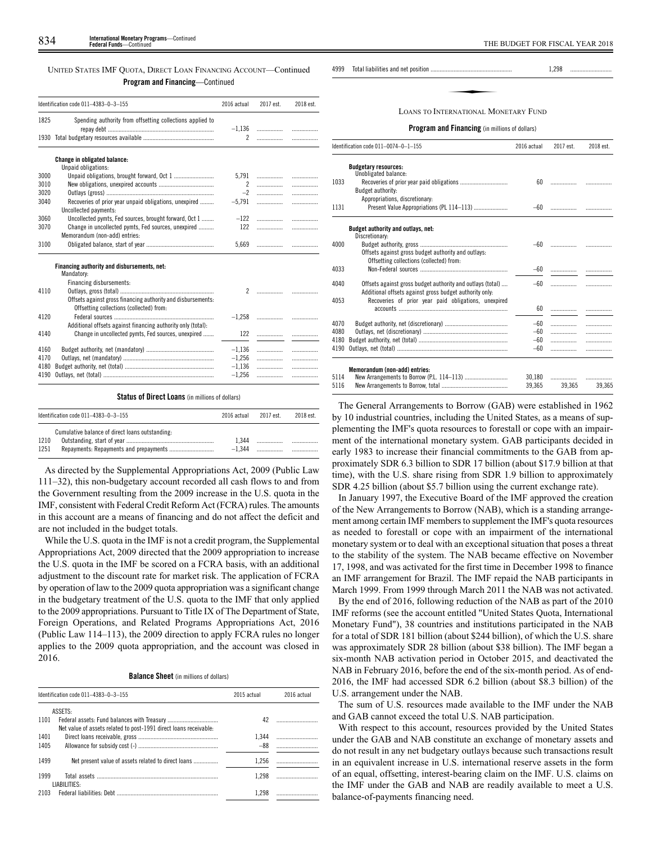## UNITED STATES IMF QUOTA, DIRECT LOAN FINANCING ACCOUNT—Continued **Program and Financing**—Continued

|      | Identification code 011-4383-0-3-155                                                                     | 2016 actual    | 2017 est. | 2018 est. |
|------|----------------------------------------------------------------------------------------------------------|----------------|-----------|-----------|
|      |                                                                                                          |                |           |           |
| 1825 | Spending authority from offsetting collections applied to                                                | $-1,136$       |           | .         |
|      |                                                                                                          | $\overline{2}$ | .         |           |
|      | Change in obligated balance:<br>Unpaid obligations:                                                      |                |           |           |
| 3000 | Unpaid obligations, brought forward, Oct 1                                                               | 5.791          |           | .         |
| 3010 |                                                                                                          | 2              |           | .         |
| 3020 |                                                                                                          | $-2$           |           | .         |
| 3040 | Recoveries of prior year unpaid obligations, unexpired                                                   | $-5,791$       | .         | .         |
|      | Uncollected payments:                                                                                    |                |           |           |
| 3060 | Uncollected pymts, Fed sources, brought forward, Oct 1                                                   | $-122$         |           | .         |
| 3070 | Change in uncollected pymts, Fed sources, unexpired                                                      | 122            |           | .         |
|      | Memorandum (non-add) entries:                                                                            |                |           |           |
| 3100 |                                                                                                          | 5,669          |           | .         |
|      | Financing authority and disbursements, net:<br>Mandatory:                                                |                |           |           |
|      | Financing disbursements:                                                                                 |                |           |           |
| 4110 |                                                                                                          |                |           |           |
|      | Offsets against gross financing authority and disbursements:<br>Offsetting collections (collected) from: |                |           |           |
| 4120 |                                                                                                          | $-1.258$       |           | .         |
|      | Additional offsets against financing authority only (total):                                             |                |           |           |
| 4140 | Change in uncollected pymts, Fed sources, unexpired                                                      | 122            |           | .         |
|      |                                                                                                          |                |           |           |
| 4160 |                                                                                                          | $-1,136$       |           | .         |
| 4170 |                                                                                                          | $-1,256$       | .         | .         |
| 4180 |                                                                                                          | $-1,136$       | .         | .         |
| 4190 |                                                                                                          | $-1,256$       | .         | .         |

## **Status of Direct Loans** (in millions of dollars)

|              | Identification code $011-4383-0-3-155$          | 2016 actual       | 2017 est | 2018 est. |
|--------------|-------------------------------------------------|-------------------|----------|-----------|
| 1210<br>1251 | Cumulative balance of direct loans outstanding: | 1.344<br>$-1.344$ |          |           |

As directed by the Supplemental Appropriations Act, 2009 (Public Law 111–32), this non-budgetary account recorded all cash flows to and from the Government resulting from the 2009 increase in the U.S. quota in the IMF, consistent with Federal Credit Reform Act (FCRA) rules. The amounts in this account are a means of financing and do not affect the deficit and are not included in the budget totals.

While the U.S. quota in the IMF is not a credit program, the Supplemental Appropriations Act, 2009 directed that the 2009 appropriation to increase the U.S. quota in the IMF be scored on a FCRA basis, with an additional adjustment to the discount rate for market risk. The application of FCRA by operation of law to the 2009 quota appropriation was a significant change in the budgetary treatment of the U.S. quota to the IMF that only applied to the 2009 appropriations. Pursuant to Title IX of The Department of State, Foreign Operations, and Related Programs Appropriations Act, 2016 (Public Law 114–113), the 2009 direction to apply FCRA rules no longer applies to the 2009 quota appropriation, and the account was closed in 2016.

**Balance Sheet** (in millions of dollars)

| Identification code 011-4383-0-3-155 |                                                                   | 2015 actual | 2016 actual |  |
|--------------------------------------|-------------------------------------------------------------------|-------------|-------------|--|
|                                      | ASSETS:                                                           |             |             |  |
| 1101                                 | Net value of assets related to post-1991 direct loans receivable: | 42          |             |  |
| 1401                                 |                                                                   | 1.344       |             |  |
| 1405                                 |                                                                   | $-88$       |             |  |
| 1499                                 | Net present value of assets related to direct loans               | 1.256       |             |  |
| 1999                                 | LIABILITIES:                                                      | 1.298       |             |  |
| 2103                                 |                                                                   |             |             |  |

4999 Total liabilities and net position ..................................................... 1,298 ........................... with the transformation of the series of the series of the series of the series of the series of the series of the series of the series of the series of the series of the series of the series of the series of the series of

LOANS TO INTERNATIONAL MONETARY FUND

|              | <b>Program and Financing</b> (in millions of dollars)                                                                                                                         |        |        |        |  |  |
|--------------|-------------------------------------------------------------------------------------------------------------------------------------------------------------------------------|--------|--------|--------|--|--|
|              | Identification code 011-0074-0-1-155<br>2016 actual<br>2017 est.                                                                                                              |        |        |        |  |  |
|              | <b>Budgetary resources:</b><br>Unobligated balance:                                                                                                                           |        |        |        |  |  |
| 1033         | Budget authority:                                                                                                                                                             | 60     | .      |        |  |  |
| 1131         | Appropriations, discretionary:<br>Present Value Appropriations (PL 114-113)                                                                                                   | $-60$  |        |        |  |  |
|              | Budget authority and outlays, net:                                                                                                                                            |        |        |        |  |  |
| 4000         | Discretionary:<br>Offsets against gross budget authority and outlays:<br>Offsetting collections (collected) from:                                                             | -60    |        |        |  |  |
| 4033         |                                                                                                                                                                               | -60    |        | .      |  |  |
| 4040<br>4053 | Offsets against gross budget authority and outlays (total)<br>Additional offsets against gross budget authority only.<br>Recoveries of prior year paid obligations, unexpired | $-60$  |        |        |  |  |
|              |                                                                                                                                                                               | 60     |        |        |  |  |
| 4070         |                                                                                                                                                                               | $-60$  |        | .      |  |  |
| 4080         |                                                                                                                                                                               | $-60$  | .      | .      |  |  |
| 4180         |                                                                                                                                                                               | $-60$  | .      |        |  |  |
| 4190         |                                                                                                                                                                               | $-60$  |        | .      |  |  |
|              | Memorandum (non-add) entries:                                                                                                                                                 |        |        |        |  |  |
| 5114         |                                                                                                                                                                               | 30.180 | .      |        |  |  |
| 5116         |                                                                                                                                                                               | 39,365 | 39,365 | 39,365 |  |  |

The General Arrangements to Borrow (GAB) were established in 1962 by 10 industrial countries, including the United States, as a means of supplementing the IMF's quota resources to forestall or cope with an impairment of the international monetary system. GAB participants decided in early 1983 to increase their financial commitments to the GAB from approximately SDR 6.3 billion to SDR 17 billion (about \$17.9 billion at that time), with the U.S. share rising from SDR 1.9 billion to approximately SDR 4.25 billion (about \$5.7 billion using the current exchange rate).

In January 1997, the Executive Board of the IMF approved the creation of the New Arrangements to Borrow (NAB), which is a standing arrangement among certain IMF members to supplement the IMF's quota resources as needed to forestall or cope with an impairment of the international monetary system or to deal with an exceptional situation that poses a threat to the stability of the system. The NAB became effective on November 17, 1998, and was activated for the first time in December 1998 to finance an IMF arrangement for Brazil. The IMF repaid the NAB participants in March 1999. From 1999 through March 2011 the NAB was not activated.

By the end of 2016, following reduction of the NAB as part of the 2010 IMF reforms (see the account entitled "United States Quota, International Monetary Fund"), 38 countries and institutions participated in the NAB for a total of SDR 181 billion (about \$244 billion), of which the U.S. share was approximately SDR 28 billion (about \$38 billion). The IMF began a six-month NAB activation period in October 2015, and deactivated the NAB in February 2016, before the end of the six-month period. As of end-2016, the IMF had accessed SDR 6.2 billion (about \$8.3 billion) of the U.S. arrangement under the NAB.

The sum of U.S. resources made available to the IMF under the NAB and GAB cannot exceed the total U.S. NAB participation.

With respect to this account, resources provided by the United States under the GAB and NAB constitute an exchange of monetary assets and do not result in any net budgetary outlays because such transactions result in an equivalent increase in U.S. international reserve assets in the form of an equal, offsetting, interest-bearing claim on the IMF. U.S. claims on the IMF under the GAB and NAB are readily available to meet a U.S. balance-of-payments financing need.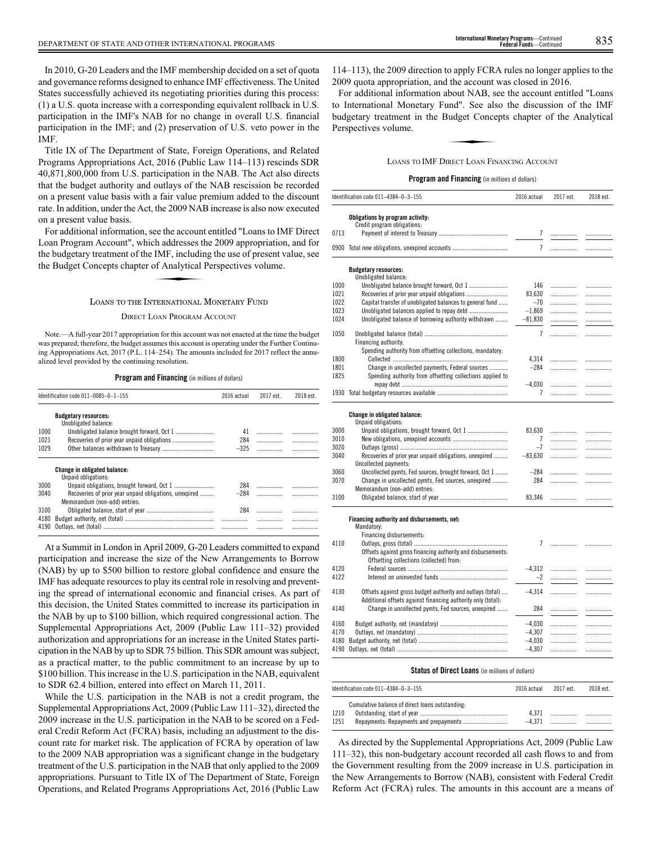In 2010, G-20 Leaders and the IMF membership decided on a set of quota and governance reforms designed to enhance IMF effectiveness. The United States successfully achieved its negotiating priorities during this process: (1) a U.S. quota increase with a corresponding equivalent rollback in U.S. participation in the IMF's NAB for no change in overall U.S. financial participation in the IMF; and (2) preservation of U.S. veto power in the IMF.

Title IX of The Department of State, Foreign Operations, and Related Programs Appropriations Act, 2016 (Public Law 114–113) rescinds SDR 40,871,800,000 from U.S. participation in the NAB. The Act also directs that the budget authority and outlays of the NAB rescission be recorded on a present value basis with a fair value premium added to the discount rate. In addition, under the Act, the 2009 NAB increase is also now executed on a present value basis.

For additional information, see the account entitled "Loans to IMF Direct Loan Program Account", which addresses the 2009 appropriation, and for<br>the budgetary treatment of the IMF, including the use of present value, see<br>the Budget Concepts chapter of Analytical Perspectives volume. the budgetary treatment of the IMF, including the use of present value, see the Budget Concepts chapter of Analytical Perspectives volume.

## LOANS TO THE INTERNATIONAL MONETARY FUND

DIRECT LOAN PROGRAM ACCOUNT

Note.—A full-year 2017 appropriation for this account was not enacted at the time the budget was prepared; therefore, the budget assumes this account is operating under the Further Continuing Appropriations Act, 2017 (P.L. 114–254). The amounts included for 2017 reflect the annualized level provided by the continuing resolution.

#### **Program and Financing** (in millions of dollars)

| Identification code 011-0085-0-1-155 |                                                        | 2016 actual | 2017 est. | 2018 est. |
|--------------------------------------|--------------------------------------------------------|-------------|-----------|-----------|
|                                      | <b>Budgetary resources:</b><br>Unobligated balance:    |             |           |           |
| 1000                                 |                                                        | 41          |           |           |
| 1021                                 |                                                        | 284         |           |           |
| 1029                                 |                                                        | $-325$      | .         |           |
|                                      | <b>Change in obligated balance:</b>                    |             |           |           |
|                                      | Unpaid obligations:                                    |             |           |           |
| 3000                                 |                                                        | 284         |           |           |
| 3040                                 | Recoveries of prior year unpaid obligations, unexpired | $-284$      |           |           |
|                                      | Memorandum (non-add) entries:                          |             |           |           |
| 3100                                 |                                                        | 284         |           | .         |
| 4180                                 |                                                        |             | .         | .         |
| 4190                                 |                                                        |             |           |           |

At a Summit in London in April 2009, G-20 Leaders committed to expand participation and increase the size of the New Arrangements to Borrow (NAB) by up to \$500 billion to restore global confidence and ensure the IMF has adequate resources to play its central role in resolving and preventing the spread of international economic and financial crises. As part of this decision, the United States committed to increase its participation in the NAB by up to \$100 billion, which required congressional action. The Supplemental Appropriations Act, 2009 (Public Law 111–32) provided authorization and appropriations for an increase in the United States participation in the NAB by up to SDR 75 billion. This SDR amount was subject, as a practical matter, to the public commitment to an increase by up to \$100 billion. This increase in the U.S. participation in the NAB, equivalent to SDR 62.4 billion, entered into effect on March 11, 2011.

While the U.S. participation in the NAB is not a credit program, the Supplemental Appropriations Act, 2009 (Public Law 111–32), directed the 2009 increase in the U.S. participation in the NAB to be scored on a Federal Credit Reform Act (FCRA) basis, including an adjustment to the discount rate for market risk. The application of FCRA by operation of law to the 2009 NAB appropriation was a significant change in the budgetary treatment of the U.S. participation in the NAB that only applied to the 2009 appropriations. Pursuant to Title IX of The Department of State, Foreign Operations, and Related Programs Appropriations Act, 2016 (Public Law

114–113), the 2009 direction to apply FCRA rules no longer applies to the 2009 quota appropriation, and the account was closed in 2016.

For additional information about NAB, see the account entitled "Loans to International Monetary Fund". See also the discussion of the IMF<br>budgetary treatment in the Budget Concepts chapter of the Analytical<br>Perspectives volume.<br>LOANS TO IMF DIRECT LOAN FINANCING ACCOUNT budgetary treatment in the Budget Concepts chapter of the Analytical Perspectives volume.

### LOANS TO IMF DIRECT LOAN FINANCING ACCOUNT

#### **Program and Financing** (in millions of dollars)

|      | Identification code 011-4384-0-3-155                         | 2016 actual          | 2017 est. | 2018 est. |
|------|--------------------------------------------------------------|----------------------|-----------|-----------|
|      | Obligations by program activity:                             |                      |           |           |
|      | Credit program obligations:                                  |                      |           |           |
| 0713 |                                                              | $\overline{7}$       | .         | .         |
|      | 0900 Total new obligations, unexpired accounts               | $\overline{7}$       | .         |           |
|      | <b>Budgetary resources:</b>                                  |                      |           |           |
|      | Unobligated balance:                                         |                      |           |           |
| 1000 | Unobligated balance brought forward, Oct 1                   | 146                  |           | .         |
| 1021 |                                                              | 83,630               | .         | .         |
| 1022 | Capital transfer of unobligated balances to general fund     | $-70$                |           | .         |
| 1023 |                                                              | $-1,869$             |           | .         |
| 1024 | Unobligated balance of borrowing authority withdrawn         | $-81,830$            | .         | .         |
| 1050 |                                                              | $\overline{7}$       |           | .         |
|      | Financing authority:                                         |                      |           |           |
|      | Spending authority from offsetting collections, mandatory:   |                      |           |           |
| 1800 |                                                              | 4,314                |           | .         |
| 1801 | Change in uncollected payments, Federal sources              | $-284$               |           | .         |
| 1825 | Spending authority from offsetting collections applied to    |                      |           |           |
|      |                                                              | $-4,030$             | .         | .         |
|      |                                                              | 7                    | .         | .         |
|      |                                                              |                      |           |           |
|      |                                                              |                      |           |           |
|      | Change in obligated balance:<br>Unpaid obligations:          |                      |           |           |
| 3000 |                                                              | 83,630               |           | .         |
| 3010 |                                                              | 7                    | .         | .         |
| 3020 |                                                              | $-7$                 | .         | .         |
| 3040 | Recoveries of prior year unpaid obligations, unexpired       | $-83,630$            | .         | .         |
|      | Uncollected payments:                                        |                      |           |           |
| 3060 | Uncollected pymts, Fed sources, brought forward, Oct 1       | $-284$               | .         | .         |
| 3070 | Change in uncollected pymts, Fed sources, unexpired          | 284                  | .         | .         |
|      | Memorandum (non-add) entries:                                |                      |           |           |
| 3100 |                                                              | 83,346               | .         | .         |
|      |                                                              |                      |           |           |
|      | Financing authority and disbursements, net:                  |                      |           |           |
|      | Mandatory:                                                   |                      |           |           |
|      | Financing disbursements:                                     |                      |           |           |
| 4110 |                                                              | $\overline{7}$       | .         | .         |
|      | Offsets against gross financing authority and disbursements: |                      |           |           |
|      | Offsetting collections (collected) from:                     |                      |           |           |
| 4120 |                                                              | $-4,312$             | .         | .         |
| 4122 |                                                              | $-2$                 | .         | .         |
|      |                                                              |                      |           |           |
| 4130 | Offsets against gross budget authority and outlays (total)   | $-4,314$             | .         | .         |
|      | Additional offsets against financing authority only (total): |                      |           |           |
| 4140 | Change in uncollected pymts, Fed sources, unexpired          | 284                  |           | .         |
| 4160 |                                                              |                      |           |           |
| 4170 |                                                              | $-4,030$<br>$-4,307$ | <br>.     | .         |
| 4180 |                                                              | $-4,030$             | .         | .         |
|      |                                                              | $-4,307$             | .         | .         |
|      |                                                              |                      |           | .         |

#### **Status of Direct Loans** (in millions of dollars)

|      | Identification code $011-4384-0-3-155$          | 2016 actual | 2017 est | 2018 est. |
|------|-------------------------------------------------|-------------|----------|-----------|
|      | Cumulative balance of direct loans outstanding: |             |          |           |
| 1210 |                                                 | 4.371       |          |           |
| 1251 |                                                 | $-4.371$    |          |           |

As directed by the Supplemental Appropriations Act, 2009 (Public Law 111–32), this non-budgetary account recorded all cash flows to and from the Government resulting from the 2009 increase in U.S. participation in the New Arrangements to Borrow (NAB), consistent with Federal Credit Reform Act (FCRA) rules. The amounts in this account are a means of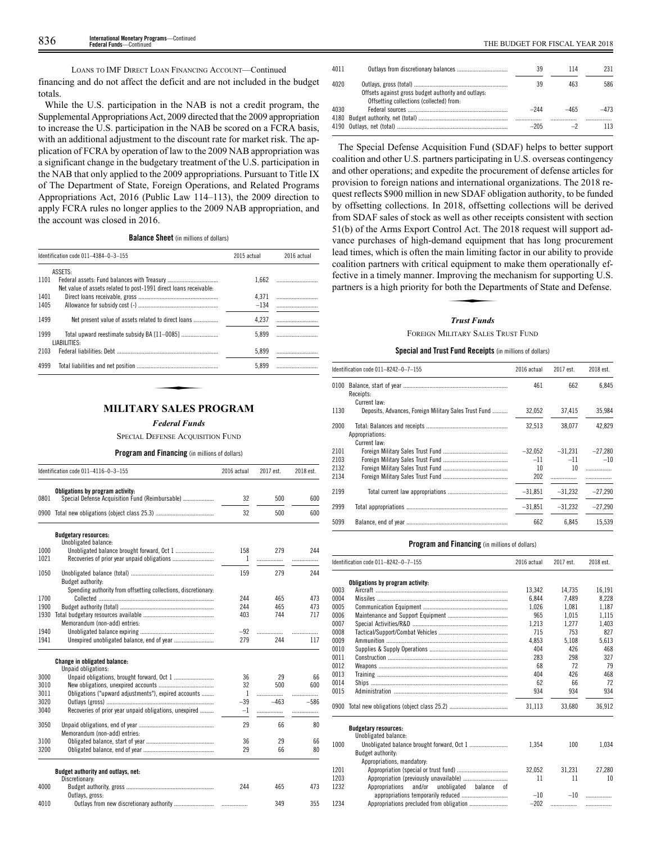financing and do not affect the deficit and are not included in the budget totals.

While the U.S. participation in the NAB is not a credit program, the Supplemental Appropriations Act, 2009 directed that the 2009 appropriation to increase the U.S. participation in the NAB be scored on a FCRA basis, with an additional adjustment to the discount rate for market risk. The application of FCRA by operation of law to the 2009 NAB appropriation was a significant change in the budgetary treatment of the U.S. participation in the NAB that only applied to the 2009 appropriations. Pursuant to Title IX of The Department of State, Foreign Operations, and Related Programs Appropriations Act, 2016 (Public Law 114–113), the 2009 direction to apply FCRA rules no longer applies to the 2009 NAB appropriation, and the account was closed in 2016.

**Balance Sheet** (in millions of dollars)

|      | Identification code 011-4384-0-3-155                              | 2015 actual | 2016 actual |  |
|------|-------------------------------------------------------------------|-------------|-------------|--|
|      | ASSETS:                                                           |             |             |  |
| 1101 | Net value of assets related to post-1991 direct loans receivable: | 1.662       |             |  |
| 1401 |                                                                   | 4.371       |             |  |
| 1405 |                                                                   | $-134$      |             |  |
| 1499 | Net present value of assets related to direct loans               | 4.237       |             |  |
| 1999 | Total upward reestimate subsidy BA [11-0085]<br>LIABILITIES:      | 5.899       |             |  |
| 2103 |                                                                   | 5.899       |             |  |
| 4999 |                                                                   | 5.899       |             |  |
|      |                                                                   |             |             |  |
|      |                                                                   |             |             |  |

## **MILITARY SALES PROGRAM**

*Federal Funds*

SPECIAL DEFENSE ACOUISITION FUND

**Program and Financing** (in millions of dollars)

|      | Identification code 011-4116-0-3-155                                                | 2016 actual | 2017 est. | 2018 est. |
|------|-------------------------------------------------------------------------------------|-------------|-----------|-----------|
| 0801 | Obligations by program activity:<br>Special Defense Acquisition Fund (Reimbursable) | 32          | 500       | 600       |
| 0900 |                                                                                     | 32          | 500       | 600       |
|      | <b>Budgetary resources:</b>                                                         |             |           |           |
|      | Unobligated balance:                                                                |             |           |           |
| 1000 |                                                                                     | 158         | 279       | 244       |
| 1021 |                                                                                     | 1           | .         | .         |
| 1050 |                                                                                     | 159         | 279       | 244       |
|      | Budget authority:                                                                   |             |           |           |
|      | Spending authority from offsetting collections, discretionary:                      |             |           |           |
| 1700 |                                                                                     | 244         | 465       | 473       |
| 1900 |                                                                                     | 244         | 465       | 473       |
| 1930 |                                                                                     | 403         | 744       | 717       |
|      | Memorandum (non-add) entries:                                                       |             |           |           |
| 1940 |                                                                                     | $-92$       | .         | .         |
| 1941 |                                                                                     | 279         | 244       | 117       |
|      |                                                                                     |             |           |           |
|      | <b>Change in obligated balance:</b><br>Unpaid obligations:                          |             |           |           |
| 3000 |                                                                                     | 36          | 29        | 66        |
| 3010 |                                                                                     | 32          | 500       | 600       |
| 3011 | Obligations ("upward adjustments"), expired accounts                                | 1           | .         | .         |
| 3020 |                                                                                     | $-39$       | $-463$    | $-586$    |
| 3040 | Recoveries of prior year unpaid obligations, unexpired                              | $-1$        | .         | .         |
| 3050 |                                                                                     | 29          | 66        | 80        |
|      | Memorandum (non-add) entries:                                                       |             |           |           |
| 3100 |                                                                                     | 36          | 29        | 66        |
| 3200 |                                                                                     | 29          | 66        | 80        |
|      | Budget authority and outlays, net:<br>Discretionary:                                |             |           |           |
| 4000 |                                                                                     | 244         | 465       | 473       |
|      | Outlays, gross:                                                                     |             |           |           |
| 4010 |                                                                                     |             | 349       | 355       |

| 4011 |                                                                                                 | 39     | 114    | 231    |
|------|-------------------------------------------------------------------------------------------------|--------|--------|--------|
| 4020 | Offsets against gross budget authority and outlays:<br>Offsetting collections (collected) from: | 39     | 463    | 586    |
| 4030 |                                                                                                 | $-244$ | $-465$ | $-473$ |
|      |                                                                                                 | $-205$ |        | 113    |

The Special Defense Acquisition Fund (SDAF) helps to better support coalition and other U.S. partners participating in U.S. overseas contingency and other operations; and expedite the procurement of defense articles for provision to foreign nations and international organizations. The 2018 request reflects \$900 million in new SDAF obligation authority, to be funded by offsetting collections. In 2018, offsetting collections will be derived from SDAF sales of stock as well as other receipts consistent with section 51(b) of the Arms Export Control Act. The 2018 request will support advance purchases of high-demand equipment that has long procurement lead times, which is often the main limiting factor in our ability to provide coalition partners with critical equipment to make them operationally effective in a timely manner. Improving the mechanism for supporting U.S. partners is a high priority for both the Departments of State and Defense. Ham mining<br>1 equipment to<br>proving the m<br>both the Depart<br>Trust Funds

## *Trust Funds*

FOREIGN MILITARY SALES TRUST FUND

## **Special and Trust Fund Receipts** (in millions of dollars)

|      | Identification code 011-8242-0-7-155                                  |           | 2017 est. | 2018 est. |
|------|-----------------------------------------------------------------------|-----------|-----------|-----------|
| 0100 | Receipts:                                                             | 461       | 662       | 6.845     |
| 1130 | Current law:<br>Deposits, Advances, Foreign Military Sales Trust Fund | 32,052    | 37.415    | 35,984    |
| 2000 | Appropriations:<br>Current law:                                       | 32.513    | 38.077    | 42.829    |
| 2101 |                                                                       | $-32.052$ | $-31.231$ | $-27,280$ |
| 2103 |                                                                       | $-11$     | $-11$     | $-10$     |
| 2132 |                                                                       | 10        | 10        |           |
| 2134 |                                                                       | 202       |           |           |
| 2199 |                                                                       | $-31.851$ | $-31.232$ | $-27.290$ |
| 2999 |                                                                       | $-31.851$ | $-31.232$ | $-27.290$ |
| 5099 |                                                                       | 662       | 6.845     | 15.539    |

| Obligations by program activity:<br>0003<br>13.342<br>14.735 | 16.191   |
|--------------------------------------------------------------|----------|
| 0004<br>6.844<br>7.489                                       | 8.228    |
| 0005<br>1.026<br>1.081                                       | 1.187    |
| 0006<br>965<br>1.015                                         | 1.115    |
| 0007<br>1.213<br>1.277                                       | 1.403    |
| 0008<br>753<br>715                                           | 827      |
| 0009<br>4.853<br>5.108                                       | 5.613    |
| 0010<br>426<br>404                                           | 468      |
| 0011<br>298<br>283                                           | 327      |
| 0012<br>68                                                   | 79<br>72 |
| 0013<br>404<br>426                                           | 468      |
| 0014<br>62                                                   | 72<br>66 |
| 0015<br>934<br>934                                           | 934      |
| 31,113<br>33.680                                             | 36,912   |
| <b>Budgetary resources:</b><br>Unobligated balance:          |          |
| 1000<br>1,354<br>100                                         | 1.034    |
| Budget authority:                                            |          |
| Appropriations, mandatory:                                   |          |
| 1201<br>32.052<br>31.231                                     | 27.280   |
| 1203<br>11                                                   | 11<br>10 |
| 1232<br>Appropriations<br>and/or unobligated balance<br>0f   |          |
| appropriations temporarily reduced<br>$-10$<br>$-10$         | .        |
| 1234<br>$-202$<br>                                           | .        |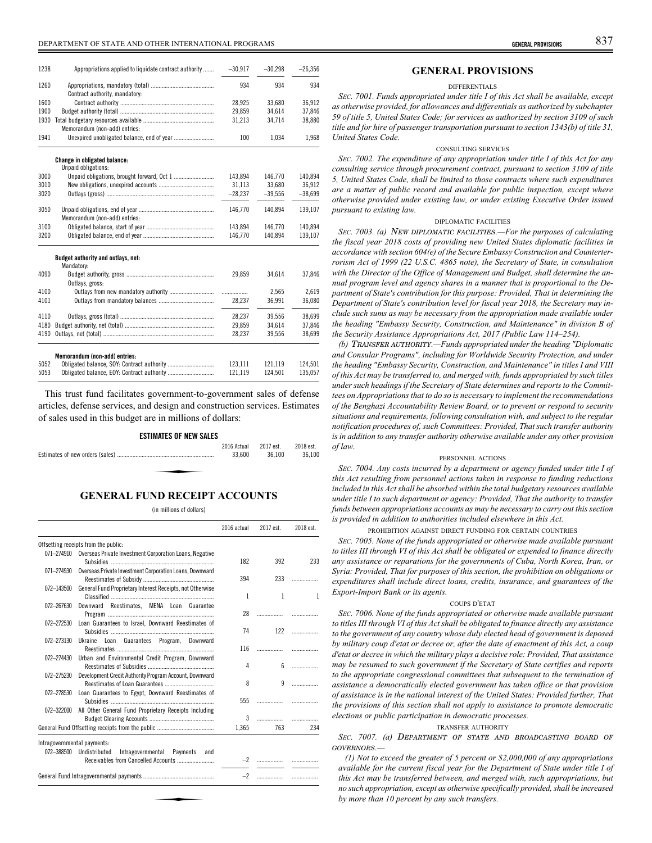# DEPARTMENT OF STATE AND OTHER INTERNATIONAL PROGRAMS **GENERAL PROVISIONS** 837

| 1238         | Appropriations applied to liquidate contract authority | $-30,917$ | $-30,298$ | $-26,356$ |
|--------------|--------------------------------------------------------|-----------|-----------|-----------|
| 1260         |                                                        | 934       | 934       | 934       |
|              | Contract authority, mandatory:                         |           |           |           |
| 1600         |                                                        | 28.925    | 33.680    | 36.912    |
| 1900         |                                                        | 29,859    | 34.614    | 37.846    |
| 1930         |                                                        | 31,213    | 34,714    | 38,880    |
|              | Memorandum (non-add) entries:                          |           |           |           |
| 1941         | Unexpired unobligated balance, end of year             | 100       | 1.034     | 1.968     |
|              | Change in obligated balance:                           |           |           |           |
| 3000         | Unpaid obligations:                                    | 143.894   | 146.770   | 140.894   |
|              |                                                        |           |           |           |
| 3010<br>3020 |                                                        | 31,113    | 33,680    | 36,912    |
|              |                                                        | $-28,237$ | $-39,556$ | $-38,699$ |
| 3050         |                                                        | 146,770   | 140.894   | 139,107   |
|              | Memorandum (non-add) entries:                          |           |           |           |
| 3100         |                                                        | 143.894   | 146.770   | 140.894   |
| 3200         |                                                        | 146,770   | 140,894   | 139,107   |
|              | Budget authority and outlays, net:                     |           |           |           |
| 4090         | Mandatory:                                             |           |           |           |
|              |                                                        | 29,859    | 34,614    | 37,846    |
| 4100         | Outlays, gross:                                        |           | 2.565     | 2.619     |
|              |                                                        | .         |           |           |
| 4101         |                                                        | 28,237    | 36,991    | 36,080    |
| 4110         |                                                        | 28,237    | 39,556    | 38,699    |
| 4180         |                                                        | 29,859    | 34,614    | 37,846    |
| 4190         |                                                        | 28,237    | 39,556    | 38,699    |
|              | Memorandum (non-add) entries:                          |           |           |           |
| 5052         | Obligated balance, SOY: Contract authority             | 123,111   | 121,119   | 124,501   |
| 5053         |                                                        | 121,119   | 124.501   | 135.057   |
|              |                                                        |           |           |           |

This trust fund facilitates government-to-government sales of defense articles, defense services, and design and construction services. Estimates of sales used in this budget are in millions of dollars:

| <b>ESTIMATES OF NEW SALES</b> |                       |                     |                     |
|-------------------------------|-----------------------|---------------------|---------------------|
|                               | 2016 Actual<br>33,600 | 2017 est.<br>36.100 | 2018 est.<br>36.100 |
| $\cdots$ property $\cdots$    |                       |                     |                     |

## **GENERAL FUND RECEIPT ACCOUNTS**

(in millions of dollars)

|            |                                                                    | 2016 actual | 2017 est.    | 2018 est.                |
|------------|--------------------------------------------------------------------|-------------|--------------|--------------------------|
|            | Offsetting receipts from the public:                               |             |              |                          |
|            | 071-274910 Overseas Private Investment Corporation Loans, Negative | 182         | 392          | 233                      |
| 071-274930 | Overseas Private Investment Corporation Loans, Downward            | 394         | 233          |                          |
| 072-143500 | General Fund Proprietary Interest Receipts, not Otherwise          | 1           | $\mathbf{1}$ | 1                        |
| 072-267630 | Downward Reestimates. MENA Loan Guarantee                          | 28          |              |                          |
| 072-272530 | Loan Guarantees to Israel, Downward Reestimates of                 | 74          | 122          |                          |
| 072-273130 | Ukraine Loan Guarantees Program, Downward                          | 116         |              | .                        |
| 072-274430 | Urban and Environmental Credit Program, Downward                   | 4           | 6.           | $\overline{\phantom{a}}$ |
| 072-275230 | Development Credit Authority Program Account, Downward             | 8           | 9            | .                        |
| 072-278530 | Loan Guarantees to Egypt, Downward Reestimates of                  | 555         |              | .                        |
| 072-322000 | All Other General Fund Proprietary Receipts Including              | 3           |              | .                        |
|            |                                                                    | 1,365       | 763          | 234                      |
|            | Intragovernmental payments:                                        |             |              |                          |
|            | 072-388500 Undistributed<br>Intragovernmental<br>Payments and      |             | -2           |                          |
|            |                                                                    | $-2$        | .            |                          |

## **GENERAL PROVISIONS**

#### DIFFERENTIALS

*SEC. 7001. Funds appropriated under title I of this Act shall be available, except as otherwise provided, for allowances and differentials as authorized by subchapter 59 of title 5, United States Code; for services as authorized by section 3109 of such title and for hire of passenger transportation pursuant to section 1343(b) of title 31, United States Code.*

## CONSULTING SERVICES

*SEC. 7002. The expenditure of any appropriation under title I of this Act for any consulting service through procurement contract, pursuant to section 3109 of title 5, United States Code, shall be limited to those contracts where such expenditures are a matter of public record and available for public inspection, except where otherwise provided under existing law, or under existing Executive Order issued pursuant to existing law.*

## DIPLOMATIC FACILITIES

*SEC. 7003. (a)* NEW DIPLOMATIC FACILITIES*.—For the purposes of calculating the fiscal year 2018 costs of providing new United States diplomatic facilities in accordance with section 604(e) of the Secure Embassy Construction and Counterterrorism Act of 1999 (22 U.S.C. 4865 note), the Secretary of State, in consultation with the Director of the Office of Management and Budget, shall determine the annual program level and agency shares in a manner that is proportional to the Department of State's contribution for this purpose: Provided, That in determining the Department of State's contribution level for fiscal year 2018, the Secretary may include such sums as may be necessary from the appropriation made available under the heading "Embassy Security, Construction, and Maintenance" in division B of the Security Assistance Appropriations Act, 2017 (Public Law 114–254).*

*(b)* TRANSFER AUTHORITY*.—Funds appropriated under the heading "Diplomatic and Consular Programs", including for Worldwide Security Protection, and under the heading "Embassy Security, Construction, and Maintenance" in titles I and VIII of this Act may be transferred to, and merged with, funds appropriated by such titles under such headings if the Secretary of State determines and reports to the Committees on Appropriations that to do so is necessary to implement the recommendations of the Benghazi Accountability Review Board, or to prevent or respond to security situations and requirements, following consultation with, and subject to the regular notification procedures of, such Committees: Provided, That such transfer authority is in addition to any transfer authority otherwise available under any other provision of law.*

#### PERSONNEL ACTIONS

*SEC. 7004. Any costs incurred by a department or agency funded under title I of this Act resulting from personnel actions taken in response to funding reductions included in this Act shall be absorbed within the total budgetary resources available under title I to such department or agency: Provided, That the authority to transfer funds between appropriations accounts as may be necessary to carry out this section is provided in addition to authorities included elsewhere in this Act.*

PROHIBITION AGAINST DIRECT FUNDING FOR CERTAIN COUNTRIES

*SEC. 7005. None of the funds appropriated or otherwise made available pursuant to titles III through VI of this Act shall be obligated or expended to finance directly any assistance or reparations for the governments of Cuba, North Korea, Iran, or Syria: Provided, That for purposes of this section, the prohibition on obligations or expenditures shall include direct loans, credits, insurance, and guarantees of the Export-Import Bank or its agents.*

## COUPS D'ETAT

*SEC. 7006. None of the funds appropriated or otherwise made available pursuant to titles III through VI of this Act shall be obligated to finance directly any assistance to the government of any country whose duly elected head of government is deposed by military coup d'etat or decree or, after the date of enactment of this Act, a coup d'etat or decree in which the military plays a decisive role: Provided, That assistance may be resumed to such government if the Secretary of State certifies and reports to the appropriate congressional committees that subsequent to the termination of assistance a democratically elected government has taken office or that provision of assistance is in the national interest of the United States: Provided further, That the provisions of this section shall not apply to assistance to promote democratic elections or public participation in democratic processes.*

#### TRANSFER AUTHORITY

*SEC. 7007. (a)* DEPARTMENT OF STATE AND BROADCASTING BOARD OF GOVERNORS*.—*

*(1) Not to exceed the greater of 5 percent or \$2,000,000 of any appropriations available for the current fiscal year for the Department of State under title I of this Act may be transferred between, and merged with, such appropriations, but no such appropriation, except as otherwise specifically provided, shall be increased by more than 10 percent by any such transfers.*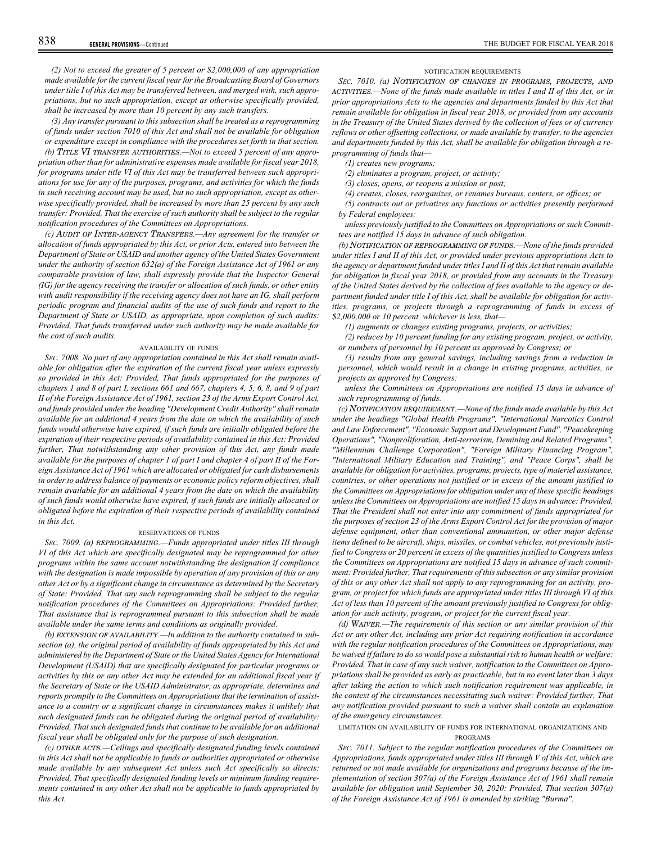*(2) Not to exceed the greater of 5 percent or \$2,000,000 of any appropriation made available for the current fiscal year for the Broadcasting Board of Governors under title I of this Act may be transferred between, and merged with, such appropriations, but no such appropriation, except as otherwise specifically provided, shall be increased by more than 10 percent by any such transfers.*

*(3) Any transfer pursuant to this subsection shall be treated as a reprogramming of funds under section 7010 of this Act and shall not be available for obligation or expenditure except in compliance with the procedures set forth in that section.*

*(b)* TITLE VI TRANSFER AUTHORITIES*.—Not to exceed 5 percent of any appropriation other than for administrative expenses made available for fiscal year 2018, for programs under title VI of this Act may be transferred between such appropriations for use for any of the purposes, programs, and activities for which the funds in such receiving account may be used, but no such appropriation, except as otherwise specifically provided, shall be increased by more than 25 percent by any such transfer: Provided, That the exercise of such authority shall be subject to the regular notification procedures of the Committees on Appropriations.*

*(c)* AUDIT OF INTER-AGENCY TRANSFERS*.—Any agreement for the transfer or allocation of funds appropriated by this Act, or prior Acts, entered into between the Department of State or USAID and another agency of the United States Government under the authority of section 632(a) of the Foreign Assistance Act of 1961 or any comparable provision of law, shall expressly provide that the Inspector General (IG) for the agency receiving the transfer or allocation of such funds, or other entity with audit responsibility if the receiving agency does not have an IG, shall perform periodic program and financial audits of the use of such funds and report to the Department of State or USAID, as appropriate, upon completion of such audits: Provided, That funds transferred under such authority may be made available for the cost of such audits.*

## AVAILABILITY OF FUNDS

*SEC. 7008. No part of any appropriation contained in this Act shall remain available for obligation after the expiration of the current fiscal year unless expressly so provided in this Act: Provided, That funds appropriated for the purposes of chapters 1 and 8 of part I, sections 661 and 667, chapters 4, 5, 6, 8, and 9 of part II of the Foreign Assistance Act of 1961, section 23 of the Arms Export Control Act, and funds provided under the heading "Development Credit Authority" shall remain available for an additional 4 years from the date on which the availability of such funds would otherwise have expired, if such funds are initially obligated before the expiration of their respective periods of availability contained in this Act: Provided further, That notwithstanding any other provision of this Act, any funds made available for the purposes of chapter 1 of part I and chapter 4 of part II of the Foreign Assistance Act of 1961 which are allocated or obligated for cash disbursements in order to address balance of payments or economic policy reform objectives, shall remain available for an additional 4 years from the date on which the availability of such funds would otherwise have expired, if such funds are initially allocated or obligated before the expiration of their respective periods of availability contained in this Act.*

#### RESERVATIONS OF FUNDS

*SEC. 7009. (a)* REPROGRAMMING*.—Funds appropriated under titles III through VI of this Act which are specifically designated may be reprogrammed for other programs within the same account notwithstanding the designation if compliance with the designation is made impossible by operation of any provision of this or any other Act or by a significant change in circumstance as determined by the Secretary of State: Provided, That any such reprogramming shall be subject to the regular notification procedures of the Committees on Appropriations: Provided further, That assistance that is reprogrammed pursuant to this subsection shall be made available under the same terms and conditions as originally provided.*

*(b)* EXTENSION OF AVAILABILITY*.—In addition to the authority contained in subsection (a), the original period of availability of funds appropriated by this Act and administered by the Department of State or the United States Agency for International Development (USAID) that are specifically designated for particular programs or activities by this or any other Act may be extended for an additional fiscal year if the Secretary of State or the USAID Administrator, as appropriate, determines and reports promptly to the Committees on Appropriations that the termination of assistance to a country or a significant change in circumstances makes it unlikely that such designated funds can be obligated during the original period of availability: Provided, That such designated funds that continue to be available for an additional fiscal year shall be obligated only for the purpose of such designation.*

*(c)* OTHER ACTS*.—Ceilings and specifically designated funding levels contained in this Act shall not be applicable to funds or authorities appropriated or otherwise made available by any subsequent Act unless such Act specifically so directs: Provided, That specifically designated funding levels or minimum funding requirements contained in any other Act shall not be applicable to funds appropriated by this Act.*

## NOTIFICATION REQUIREMENTS

*SEC. 7010. (a)* NOTIFICATION OF CHANGES IN PROGRAMS, PROJECTS, AND ACTIVITIES*.—None of the funds made available in titles I and II of this Act, or in prior appropriations Acts to the agencies and departments funded by this Act that remain available for obligation in fiscal year 2018, or provided from any accounts in the Treasury of the United States derived by the collection of fees or of currency reflows or other offsetting collections, or made available by transfer, to the agencies and departments funded by this Act, shall be available for obligation through a reprogramming of funds that—*

*(1) creates new programs;*

*(2) eliminates a program, project, or activity;*

*(3) closes, opens, or reopens a mission or post;*

*(4) creates, closes, reorganizes, or renames bureaus, centers, or offices; or*

*(5) contracts out or privatizes any functions or activities presently performed by Federal employees;*

*unless previously justified to the Committees on Appropriations or such Committees are notified 15 days in advance of such obligation.*

*(b)* NOTIFICATION OF REPROGRAMMING OF FUNDS*.—None of the funds provided under titles I and II of this Act, or provided under previous appropriations Acts to the agency or department funded under titles I and II of this Act that remain available for obligation in fiscal year 2018, or provided from any accounts in the Treasury of the United States derived by the collection of fees available to the agency or department funded under title I of this Act, shall be available for obligation for activities, programs, or projects through a reprogramming of funds in excess of \$2,000,000 or 10 percent, whichever is less, that—*

*(1) augments or changes existing programs, projects, or activities;*

*(2) reduces by 10 percent funding for any existing program, project, or activity, or numbers of personnel by 10 percent as approved by Congress; or*

*(3) results from any general savings, including savings from a reduction in personnel, which would result in a change in existing programs, activities, or projects as approved by Congress;*

*unless the Committees on Appropriations are notified 15 days in advance of such reprogramming of funds.*

*(c)* NOTIFICATION REQUIREMENT*.—None of the funds made available by this Act under the headings "Global Health Programs", "International Narcotics Control and Law Enforcement", "Economic Support and Development Fund", "Peacekeeping Operations", "Nonproliferation, Anti-terrorism, Demining and Related Programs", "Millennium Challenge Corporation", "Foreign Military Financing Program", "International Military Education and Training", and "Peace Corps", shall be available for obligation for activities, programs, projects, type of materiel assistance, countries, or other operations not justified or in excess of the amount justified to the Committees on Appropriations for obligation under any of these specific headings unless the Committees on Appropriations are notified 15 days in advance: Provided, That the President shall not enter into any commitment of funds appropriated for the purposes of section 23 of the Arms Export Control Act for the provision of major defense equipment, other than conventional ammunition, or other major defense items defined to be aircraft, ships, missiles, or combat vehicles, not previously justified to Congress or 20 percent in excess of the quantities justified to Congress unless the Committees on Appropriations are notified 15 days in advance of such commitment: Provided further, That requirements of this subsection or any similar provision of this or any other Act shall not apply to any reprogramming for an activity, program, or project for which funds are appropriated under titles III through VI of this Act of less than 10 percent of the amount previously justified to Congress for obligation for such activity, program, or project for the current fiscal year.*

*(d)* WAIVER*.—The requirements of this section or any similar provision of this Act or any other Act, including any prior Act requiring notification in accordance with the regular notification procedures of the Committees on Appropriations, may be waived if failure to do so would pose a substantial risk to human health or welfare: Provided, That in case of any such waiver, notification to the Committees on Appropriations shall be provided as early as practicable, but in no event later than 3 days after taking the action to which such notification requirement was applicable, in the context of the circumstances necessitating such waiver: Provided further, That any notification provided pursuant to such a waiver shall contain an explanation of the emergency circumstances.*

LIMITATION ON AVAILABILITY OF FUNDS FOR INTERNATIONAL ORGANIZATIONS AND

PROGRAMS

*SEC. 7011. Subject to the regular notification procedures of the Committees on Appropriations, funds appropriated under titles III through V of this Act, which are returned or not made available for organizations and programs because of the implementation of section 307(a) of the Foreign Assistance Act of 1961 shall remain available for obligation until September 30, 2020: Provided, That section 307(a) of the Foreign Assistance Act of 1961 is amended by striking "Burma".*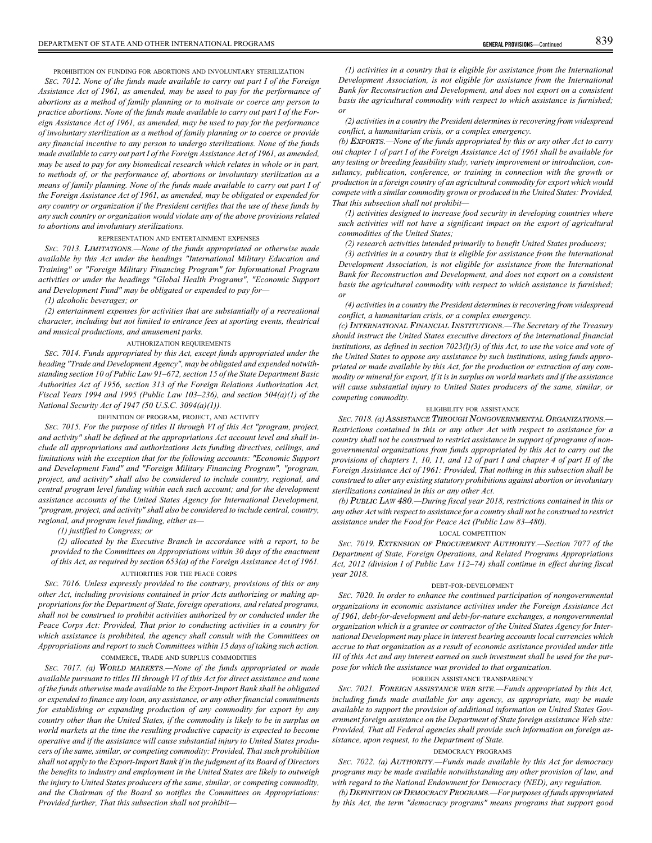PROHIBITION ON FUNDING FOR ABORTIONS AND INVOLUNTARY STERILIZATION

*SEC. 7012. None of the funds made available to carry out part I of the Foreign Assistance Act of 1961, as amended, may be used to pay for the performance of abortions as a method of family planning or to motivate or coerce any person to practice abortions. None of the funds made available to carry out part I of the Foreign Assistance Act of 1961, as amended, may be used to pay for the performance of involuntary sterilization as a method of family planning or to coerce or provide any financial incentive to any person to undergo sterilizations. None of the funds made available to carry out part I of the Foreign Assistance Act of 1961, as amended, may be used to pay for any biomedical research which relates in whole or in part, to methods of, or the performance of, abortions or involuntary sterilization as a means of family planning. None of the funds made available to carry out part I of the Foreign Assistance Act of 1961, as amended, may be obligated or expended for any country or organization if the President certifies that the use of these funds by any such country or organization would violate any of the above provisions related to abortions and involuntary sterilizations.*

## REPRESENTATION AND ENTERTAINMENT EXPENSES

*SEC. 7013.* LIMITATIONS*.—None of the funds appropriated or otherwise made available by this Act under the headings "International Military Education and Training" or "Foreign Military Financing Program" for Informational Program activities or under the headings "Global Health Programs", "Economic Support and Development Fund" may be obligated or expended to pay for—*

*(1) alcoholic beverages; or*

*(2) entertainment expenses for activities that are substantially of a recreational character, including but not limited to entrance fees at sporting events, theatrical and musical productions, and amusement parks.*

#### AUTHORIZATION REQUIREMENTS

*SEC. 7014. Funds appropriated by this Act, except funds appropriated under the heading "Trade and Development Agency", may be obligated and expended notwithstanding section 10 of Public Law 91–672, section 15 of the State Department Basic Authorities Act of 1956, section 313 of the Foreign Relations Authorization Act, Fiscal Years 1994 and 1995 (Public Law 103–236), and section 504(a)(1) of the National Security Act of 1947 (50 U.S.C. 3094(a)(1)).*

## DEFINITION OF PROGRAM, PROJECT, AND ACTIVITY

*SEC. 7015. For the purpose of titles II through VI of this Act "program, project, and activity" shall be defined at the appropriations Act account level and shall include all appropriations and authorizations Acts funding directives, ceilings, and limitations with the exception that for the following accounts: "Economic Support and Development Fund" and "Foreign Military Financing Program", "program, project, and activity" shall also be considered to include country, regional, and central program level funding within each such account; and for the development assistance accounts of the United States Agency for International Development, "program, project, and activity" shall also be considered to include central, country, regional, and program level funding, either as—*

*(1) justified to Congress; or*

*(2) allocated by the Executive Branch in accordance with a report, to be provided to the Committees on Appropriations within 30 days of the enactment of this Act, as required by section 653(a) of the Foreign Assistance Act of 1961.* AUTHORITIES FOR THE PEACE CORPS

*SEC. 7016. Unless expressly provided to the contrary, provisions of this or any other Act, including provisions contained in prior Acts authorizing or making appropriations for the Department of State, foreign operations, and related programs, shall not be construed to prohibit activities authorized by or conducted under the Peace Corps Act: Provided, That prior to conducting activities in a country for which assistance is prohibited, the agency shall consult with the Committees on Appropriations and report to such Committees within 15 days of taking such action.* COMMERCE, TRADE AND SURPLUS COMMODITIES

*SEC. 7017. (a)* WORLD MARKETS*.—None of the funds appropriated or made available pursuant to titles III through VI of this Act for direct assistance and none of the funds otherwise made available to the Export-Import Bank shall be obligated or expended to finance any loan, any assistance, or any other financial commitments for establishing or expanding production of any commodity for export by any country other than the United States, if the commodity is likely to be in surplus on world markets at the time the resulting productive capacity is expected to become operative and if the assistance will cause substantial injury to United States producers of the same, similar, or competing commodity: Provided, That such prohibition shall not apply to the Export-Import Bank if in the judgment of its Board of Directors the benefits to industry and employment in the United States are likely to outweigh the injury to United States producers of the same, similar, or competing commodity, and the Chairman of the Board so notifies the Committees on Appropriations: Provided further, That this subsection shall not prohibit—*

*(1) activities in a country that is eligible for assistance from the International Development Association, is not eligible for assistance from the International Bank for Reconstruction and Development, and does not export on a consistent basis the agricultural commodity with respect to which assistance is furnished; or*

*(2) activities in a country the President determines is recovering from widespread conflict, a humanitarian crisis, or a complex emergency.*

*(b)* EXPORTS*.—None of the funds appropriated by this or any other Act to carry out chapter 1 of part I of the Foreign Assistance Act of 1961 shall be available for any testing or breeding feasibility study, variety improvement or introduction, consultancy, publication, conference, or training in connection with the growth or production in a foreign country of an agricultural commodity for export which would compete with a similar commodity grown or produced in the United States: Provided, That this subsection shall not prohibit—*

*(1) activities designed to increase food security in developing countries where such activities will not have a significant impact on the export of agricultural commodities of the United States;*

*(2) research activities intended primarily to benefit United States producers;*

*(3) activities in a country that is eligible for assistance from the International Development Association, is not eligible for assistance from the International Bank for Reconstruction and Development, and does not export on a consistent basis the agricultural commodity with respect to which assistance is furnished; or*

*(4) activities in a country the President determines is recovering from widespread conflict, a humanitarian crisis, or a complex emergency.*

*(c)* INTERNATIONAL FINANCIAL INSTITUTIONS*.—The Secretary of the Treasury should instruct the United States executive directors of the international financial institutions, as defined in section 7023(l)(3) of this Act, to use the voice and vote of the United States to oppose any assistance by such institutions, using funds appropriated or made available by this Act, for the production or extraction of any commodity or mineral for export, if it is in surplus on world markets and if the assistance will cause substantial injury to United States producers of the same, similar, or competing commodity.*

## ELIGIBILITY FOR ASSISTANCE

*SEC. 7018. (a)* ASSISTANCE THROUGH NONGOVERNMENTAL ORGANIZATIONS*.— Restrictions contained in this or any other Act with respect to assistance for a country shall not be construed to restrict assistance in support of programs of nongovernmental organizations from funds appropriated by this Act to carry out the provisions of chapters 1, 10, 11, and 12 of part I and chapter 4 of part II of the Foreign Assistance Act of 1961: Provided, That nothing in this subsection shall be construed to alter any existing statutory prohibitions against abortion or involuntary sterilizations contained in this or any other Act.*

*(b)* PUBLIC LAW 480*.—During fiscal year 2018, restrictions contained in this or any other Act with respect to assistance for a country shall not be construed to restrict assistance under the Food for Peace Act (Public Law 83–480).*

#### LOCAL COMPETITION

*SEC. 7019.* EXTENSION OF PROCUREMENT AUTHORITY*.—Section 7077 of the Department of State, Foreign Operations, and Related Programs Appropriations Act, 2012 (division I of Public Law 112–74) shall continue in effect during fiscal year 2018.*

## DEBT-FOR-DEVELOPMENT

*SEC. 7020. In order to enhance the continued participation of nongovernmental organizations in economic assistance activities under the Foreign Assistance Act of 1961, debt-for-development and debt-for-nature exchanges, a nongovernmental organization which is a grantee or contractor of the United States Agency for International Development may place in interest bearing accounts local currencies which accrue to that organization as a result of economic assistance provided under title III of this Act and any interest earned on such investment shall be used for the purpose for which the assistance was provided to that organization.*

## FOREIGN ASSISTANCE TRANSPARENCY

*SEC. 7021.* FOREIGN ASSISTANCE WEB SITE*.—Funds appropriated by this Act, including funds made available for any agency, as appropriate, may be made available to support the provision of additional information on United States Government foreign assistance on the Department of State foreign assistance Web site: Provided, That all Federal agencies shall provide such information on foreign assistance, upon request, to the Department of State.*

#### DEMOCRACY PROGRAMS

*SEC. 7022. (a)* AUTHORITY*.—Funds made available by this Act for democracy programs may be made available notwithstanding any other provision of law, and with regard to the National Endowment for Democracy (NED), any regulation.*

*(b)* DEFINITION OF DEMOCRACY PROGRAMS*.—For purposes of funds appropriated by this Act, the term "democracy programs" means programs that support good*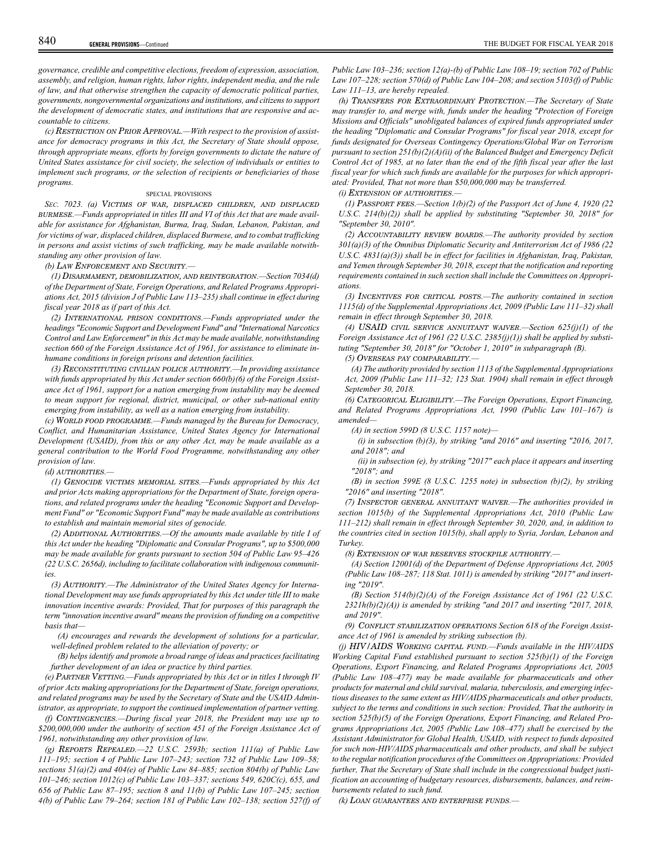*governance, credible and competitive elections, freedom of expression, association, assembly, and religion, human rights, labor rights, independent media, and the rule of law, and that otherwise strengthen the capacity of democratic political parties, governments, nongovernmental organizations and institutions, and citizens to support the development of democratic states, and institutions that are responsive and accountable to citizens.*

*(c)* RESTRICTION ON PRIOR APPROVAL*.—With respect to the provision of assistance for democracy programs in this Act, the Secretary of State should oppose, through appropriate means, efforts by foreign governments to dictate the nature of United States assistance for civil society, the selection of individuals or entities to implement such programs, or the selection of recipients or beneficiaries of those programs.*

## SPECIAL PROVISIONS

*SEC. 7023. (a)* VICTIMS OF WAR, DISPLACED CHILDREN, AND DISPLACED BURMESE*.—Funds appropriated in titles III and VI of this Act that are made available for assistance for Afghanistan, Burma, Iraq, Sudan, Lebanon, Pakistan, and for victims of war, displaced children, displaced Burmese, and to combat trafficking in persons and assist victims of such trafficking, may be made available notwithstanding any other provision of law.*

*(b)* LAW ENFORCEMENT AND SECURITY*.—*

*(1)* DISARMAMENT, DEMOBILIZATION, AND REINTEGRATION*.—Section 7034(d) of the Department of State, Foreign Operations, and Related Programs Appropriations Act, 2015 (division J of Public Law 113–235) shall continue in effect during fiscal year 2018 as if part of this Act.*

*(2)* INTERNATIONAL PRISON CONDITIONS*.—Funds appropriated under the headings "Economic Support and Development Fund" and "International Narcotics Control and Law Enforcement" in this Act may be made available, notwithstanding section 660 of the Foreign Assistance Act of 1961, for assistance to eliminate inhumane conditions in foreign prisons and detention facilities.*

*(3)* RECONSTITUTING CIVILIAN POLICE AUTHORITY*.—In providing assistance with funds appropriated by this Act under section 660(b)(6) of the Foreign Assistance Act of 1961, support for a nation emerging from instability may be deemed to mean support for regional, district, municipal, or other sub-national entity emerging from instability, as well as a nation emerging from instability.*

*(c)* WORLD FOOD PROGRAMME*.—Funds managed by the Bureau for Democracy, Conflict, and Humanitarian Assistance, United States Agency for International Development (USAID), from this or any other Act, may be made available as a general contribution to the World Food Programme, notwithstanding any other provision of law.*

*(d)* AUTHORITIES*.—*

*(1)* GENOCIDE VICTIMS MEMORIAL SITES*.—Funds appropriated by this Act and prior Acts making appropriations for the Department of State, foreign operations, and related programs under the heading "Economic Support and Development Fund" or "Economic Support Fund" may be made available as contributions to establish and maintain memorial sites of genocide.*

*(2)* ADDITIONAL AUTHORITIES*.—Of the amounts made available by title I of this Act under the heading "Diplomatic and Consular Programs", up to \$500,000 may be made available for grants pursuant to section 504 of Public Law 95–426 (22 U.S.C. 2656d), including to facilitate collaboration with indigenous communities.*

*(3)* AUTHORITY*.—The Administrator of the United States Agency for International Development may use funds appropriated by this Act under title III to make innovation incentive awards: Provided, That for purposes of this paragraph the term "innovation incentive award" means the provision of funding on a competitive basis that—*

*(A) encourages and rewards the development of solutions for a particular, well-defined problem related to the alleviation of poverty; or*

*(B) helps identify and promote a broad range of ideas and practices facilitating further development of an idea or practice by third parties.*

*(e)* PARTNER VETTING*.—Funds appropriated by this Act or in titles I through IV of prior Acts making appropriations for the Department of State, foreign operations, and related programs may be used by the Secretary of State and the USAID Administrator, as appropriate, to support the continued implementation of partner vetting.*

*(f)* CONTINGENCIES*.—During fiscal year 2018, the President may use up to \$200,000,000 under the authority of section 451 of the Foreign Assistance Act of 1961, notwithstanding any other provision of law.*

*(g)* REPORTS REPEALED*.—22 U.S.C. 2593b; section 111(a) of Public Law 111–195; section 4 of Public Law 107–243; section 732 of Public Law 109–58; sections 51(a)(2) and 404(e) of Public Law 84–885; section 804(b) of Public Law 101–246; section 1012(c) of Public Law 103–337; sections 549, 620C(c), 655, and 656 of Public Law 87–195; section 8 and 11(b) of Public Law 107–245; section 4(b) of Public Law 79–264; section 181 of Public Law 102–138; section 527(f) of* *Public Law 103–236; section 12(a)-(b) of Public Law 108–19; section 702 of Public Law 107–228; section 570(d) of Public Law 104–208; and section 5103(f) of Public Law 111–13, are hereby repealed.*

*(h)* TRANSFERS FOR EXTRAORDINARY PROTECTION*.—The Secretary of State may transfer to, and merge with, funds under the heading "Protection of Foreign Missions and Officials" unobligated balances of expired funds appropriated under the heading "Diplomatic and Consular Programs" for fiscal year 2018, except for funds designated for Overseas Contingency Operations/Global War on Terrorism pursuant to section 251(b)(2)(A)(ii) of the Balanced Budget and Emergency Deficit Control Act of 1985, at no later than the end of the fifth fiscal year after the last fiscal year for which such funds are available for the purposes for which appropriated: Provided, That not more than \$50,000,000 may be transferred.*

*(i)* EXTENSION OF AUTHORITIES*.—*

*(1)* PASSPORT FEES*.—Section 1(b)(2) of the Passport Act of June 4, 1920 (22 U.S.C. 214(b)(2)) shall be applied by substituting "September 30, 2018" for "September 30, 2010".*

*(2)* ACCOUNTABILITY REVIEW BOARDS*.—The authority provided by section 301(a)(3) of the Omnibus Diplomatic Security and Antiterrorism Act of 1986 (22 U.S.C. 4831(a)(3)) shall be in effect for facilities in Afghanistan, Iraq, Pakistan, and Yemen through September 30, 2018, except that the notification and reporting requirements contained in such section shall include the Committees on Appropriations.*

*(3)* INCENTIVES FOR CRITICAL POSTS*.—The authority contained in section 1115(d) of the Supplemental Appropriations Act, 2009 (Public Law 111–32) shall remain in effect through September 30, 2018.*

*(4)* USAID CIVIL SERVICE ANNUITANT WAIVER*.—Section 625(j)(1) of the Foreign Assistance Act of 1961 (22 U.S.C. 2385(j)(1)) shall be applied by substituting "September 30, 2018" for "October 1, 2010" in subparagraph (B).*

*(5)* OVERSEAS PAY COMPARABILITY*.—*

*(A) The authority provided by section 1113 of the Supplemental Appropriations Act, 2009 (Public Law 111–32; 123 Stat. 1904) shall remain in effect through September 30, 2018.*

*(6)* CATEGORICAL ELIGIBILITY*.—The Foreign Operations, Export Financing, and Related Programs Appropriations Act, 1990 (Public Law 101–167) is amended—*

*(A) in section 599D (8 U.S.C. 1157 note)—*

*(i) in subsection (b)(3), by striking "and 2016" and inserting "2016, 2017, and 2018"; and*

*(ii) in subsection (e), by striking "2017" each place it appears and inserting "2018"; and*

*(B) in section 599E (8 U.S.C. 1255 note) in subsection (b)(2), by striking "2016" and inserting "2018".*

*(7)* INSPECTOR GENERAL ANNUITANT WAIVER*.—The authorities provided in section 1015(b) of the Supplemental Appropriations Act, 2010 (Public Law 111–212) shall remain in effect through September 30, 2020, and, in addition to the countries cited in section 1015(b), shall apply to Syria, Jordan, Lebanon and Turkey.*

*(8)* EXTENSION OF WAR RESERVES STOCKPILE AUTHORITY*.—*

*(A) Section 12001(d) of the Department of Defense Appropriations Act, 2005 (Public Law 108–287; 118 Stat. 1011) is amended by striking "2017" and inserting "2019".*

*(B) Section 514(b)(2)(A) of the Foreign Assistance Act of 1961 (22 U.S.C. 2321h(b)(2)(A)) is amended by striking "and 2017 and inserting "2017, 2018, and 2019".*

*(9)* CONFLICT STABILIZATION OPERATIONS *Section 618 of the Foreign Assistance Act of 1961 is amended by striking subsection (b).*

*(j)* HIV/AIDS WORKING CAPITAL FUND*.—Funds available in the HIV/AIDS Working Capital Fund established pursuant to section 525(b)(1) of the Foreign Operations, Export Financing, and Related Programs Appropriations Act, 2005 (Public Law 108–477) may be made available for pharmaceuticals and other products for maternal and child survival, malaria, tuberculosis, and emerging infectious diseases to the same extent as HIV/AIDS pharmaceuticals and other products, subject to the terms and conditions in such section: Provided, That the authority in section 525(b)(5) of the Foreign Operations, Export Financing, and Related Programs Appropriations Act, 2005 (Public Law 108–477) shall be exercised by the Assistant Administrator for Global Health, USAID, with respect to funds deposited for such non-HIV/AIDS pharmaceuticals and other products, and shall be subject to the regular notification procedures of the Committees on Appropriations: Provided further, That the Secretary of State shall include in the congressional budget justification an accounting of budgetary resources, disbursements, balances, and reimbursements related to such fund.*

*(k)* LOAN GUARANTEES AND ENTERPRISE FUNDS*.—*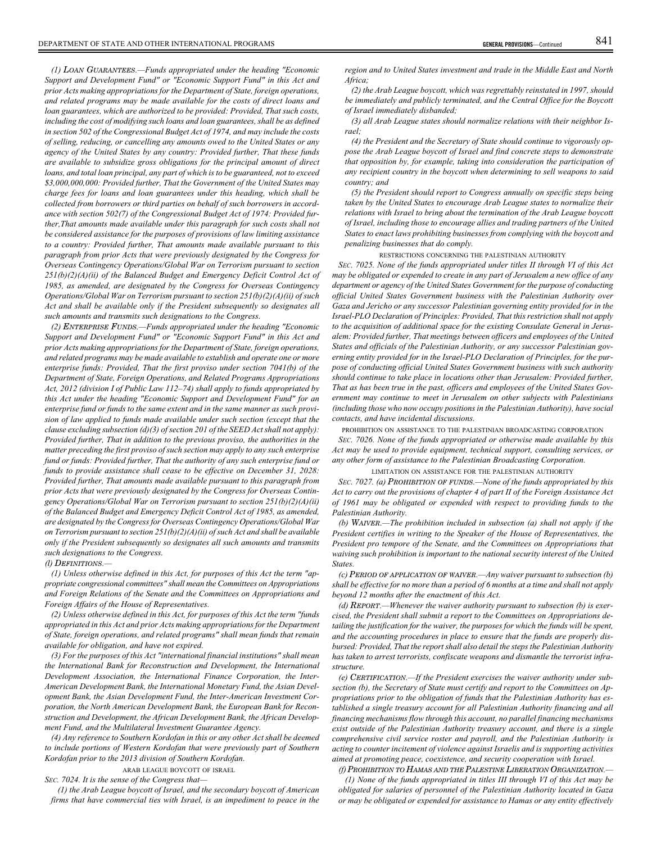*(1)* LOAN GUARANTEES*.—Funds appropriated under the heading "Economic Support and Development Fund" or "Economic Support Fund" in this Act and prior Acts making appropriations for the Department of State, foreign operations, and related programs may be made available for the costs of direct loans and loan guarantees, which are authorized to be provided: Provided, That such costs, including the cost of modifying such loans and loan guarantees, shall be as defined in section 502 of the Congressional Budget Act of 1974, and may include the costs of selling, reducing, or cancelling any amounts owed to the United States or any agency of the United States by any country: Provided further, That these funds are available to subsidize gross obligations for the principal amount of direct loans, and total loan principal, any part of which is to be guaranteed, not to exceed \$3,000,000,000: Provided further, That the Government of the United States may charge fees for loans and loan guarantees under this heading, which shall be collected from borrowers or third parties on behalf of such borrowers in accordance with section 502(7) of the Congressional Budget Act of 1974: Provided further,That amounts made available under this paragraph for such costs shall not be considered assistance for the purposes of provisions of law limiting assistance to a country: Provided further, That amounts made available pursuant to this paragraph from prior Acts that were previously designated by the Congress for Overseas Contingency Operations/Global War on Terrorism pursuant to section 251(b)(2)(A)(ii) of the Balanced Budget and Emergency Deficit Control Act of 1985, as amended, are designated by the Congress for Overseas Contingency Operations/Global War on Terrorism pursuant to section 251(b)(2)(A)(ii) of such Act and shall be available only if the President subsequently so designates all such amounts and transmits such designations to the Congress.*

*(2)* ENTERPRISE FUNDS*.—Funds appropriated under the heading "Economic Support and Development Fund" or "Economic Support Fund" in this Act and prior Acts making appropriations for the Department of State, foreign operations, and related programs may be made available to establish and operate one or more enterprise funds: Provided, That the first proviso under section 7041(b) of the Department of State, Foreign Operations, and Related Programs Appropriations Act, 2012 (division I of Public Law 112–74) shall apply to funds appropriated by this Act under the heading "Economic Support and Development Fund" for an enterprise fund or funds to the same extent and in the same manner as such provision of law applied to funds made available under such section (except that the clause excluding subsection (d)(3) of section 201 of the SEED Act shall not apply): Provided further, That in addition to the previous proviso, the authorities in the matter preceding the first proviso of such section may apply to any such enterprise fund or funds: Provided further, That the authority of any such enterprise fund or funds to provide assistance shall cease to be effective on December 31, 2028: Provided further, That amounts made available pursuant to this paragraph from prior Acts that were previously designated by the Congress for Overseas Contingency Operations/Global War on Terrorism pursuant to section 251(b)(2)(A)(ii) of the Balanced Budget and Emergency Deficit Control Act of 1985, as amended, are designated by the Congress for Overseas Contingency Operations/Global War on Terrorism pursuant to section 251(b)(2)(A)(ii) of such Act and shall be available only if the President subsequently so designates all such amounts and transmits such designations to the Congress.*

#### *(l)* DEFINITIONS*.—*

*(1) Unless otherwise defined in this Act, for purposes of this Act the term "appropriate congressional committees" shall mean the Committees on Appropriations and Foreign Relations of the Senate and the Committees on Appropriations and Foreign Affairs of the House of Representatives.*

*(2) Unless otherwise defined in this Act, for purposes of this Act the term "funds appropriated in this Act and prior Acts making appropriations for the Department of State, foreign operations, and related programs" shall mean funds that remain available for obligation, and have not expired.*

*(3) For the purposes of this Act "international financial institutions" shall mean the International Bank for Reconstruction and Development, the International Development Association, the International Finance Corporation, the Inter-American Development Bank, the International Monetary Fund, the Asian Development Bank, the Asian Development Fund, the Inter-American Investment Corporation, the North American Development Bank, the European Bank for Reconstruction and Development, the African Development Bank, the African Development Fund, and the Multilateral Investment Guarantee Agency.*

*(4) Any reference to Southern Kordofan in this or any other Act shall be deemed to include portions of Western Kordofan that were previously part of Southern Kordofan prior to the 2013 division of Southern Kordofan.*

ARAB LEAGUE BOYCOTT OF ISRAEL

*SEC. 7024. It is the sense of the Congress that—*

*(1) the Arab League boycott of Israel, and the secondary boycott of American firms that have commercial ties with Israel, is an impediment to peace in the*

*region and to United States investment and trade in the Middle East and North Africa;*

*(2) the Arab League boycott, which was regrettably reinstated in 1997, should be immediately and publicly terminated, and the Central Office for the Boycott of Israel immediately disbanded;*

*(3) all Arab League states should normalize relations with their neighbor Israel;*

*(4) the President and the Secretary of State should continue to vigorously oppose the Arab League boycott of Israel and find concrete steps to demonstrate that opposition by, for example, taking into consideration the participation of any recipient country in the boycott when determining to sell weapons to said country; and*

*(5) the President should report to Congress annually on specific steps being taken by the United States to encourage Arab League states to normalize their relations with Israel to bring about the termination of the Arab League boycott of Israel, including those to encourage allies and trading partners of the United States to enact laws prohibiting businesses from complying with the boycott and penalizing businesses that do comply.*

RESTRICTIONS CONCERNING THE PALESTINIAN AUTHORITY

*SEC. 7025. None of the funds appropriated under titles II through VI of this Act may be obligated or expended to create in any part of Jerusalem a new office of any department or agency of the United States Government for the purpose of conducting official United States Government business with the Palestinian Authority over Gaza and Jericho or any successor Palestinian governing entity provided for in the Israel-PLO Declaration of Principles: Provided, That this restriction shall not apply to the acquisition of additional space for the existing Consulate General in Jerusalem: Provided further, That meetings between officers and employees of the United States and officials of the Palestinian Authority, or any successor Palestinian governing entity provided for in the Israel-PLO Declaration of Principles, for the purpose of conducting official United States Government business with such authority should continue to take place in locations other than Jerusalem: Provided further, That as has been true in the past, officers and employees of the United States Government may continue to meet in Jerusalem on other subjects with Palestinians (including those who now occupy positions in the Palestinian Authority), have social contacts, and have incidental discussions.*

PROHIBITION ON ASSISTANCE TO THE PALESTINIAN BROADCASTING CORPORATION *SEC. 7026. None of the funds appropriated or otherwise made available by this Act may be used to provide equipment, technical support, consulting services, or any other form of assistance to the Palestinian Broadcasting Corporation.*

#### LIMITATION ON ASSISTANCE FOR THE PALESTINIAN AUTHORITY

*SEC. 7027. (a)* PROHIBITION OF FUNDS*.—None of the funds appropriated by this Act to carry out the provisions of chapter 4 of part II of the Foreign Assistance Act of 1961 may be obligated or expended with respect to providing funds to the Palestinian Authority.*

*(b)* WAIVER*.—The prohibition included in subsection (a) shall not apply if the President certifies in writing to the Speaker of the House of Representatives, the President pro tempore of the Senate, and the Committees on Appropriations that waiving such prohibition is important to the national security interest of the United States.*

*(c)* PERIOD OF APPLICATION OF WAIVER*.—Any waiver pursuant to subsection (b) shall be effective for no more than a period of 6 months at a time and shall not apply beyond 12 months after the enactment of this Act.*

*(d)* REPORT*.—Whenever the waiver authority pursuant to subsection (b) is exercised, the President shall submit a report to the Committees on Appropriations detailing the justification for the waiver, the purposes for which the funds will be spent, and the accounting procedures in place to ensure that the funds are properly disbursed: Provided, That the report shall also detail the steps the Palestinian Authority has taken to arrest terrorists, confiscate weapons and dismantle the terrorist infrastructure.*

*(e)* CERTIFICATION*.—If the President exercises the waiver authority under subsection (b), the Secretary of State must certify and report to the Committees on Appropriations prior to the obligation of funds that the Palestinian Authority has established a single treasury account for all Palestinian Authority financing and all financing mechanisms flow through this account, no parallel financing mechanisms exist outside of the Palestinian Authority treasury account, and there is a single comprehensive civil service roster and payroll, and the Palestinian Authority is acting to counter incitement of violence against Israelis and is supporting activities aimed at promoting peace, coexistence, and security cooperation with Israel.*

*(f)* PROHIBITION TO HAMAS AND THE PALESTINE LIBERATION ORGANIZATION*.—*

*(1) None of the funds appropriated in titles III through VI of this Act may be obligated for salaries of personnel of the Palestinian Authority located in Gaza or may be obligated or expended for assistance to Hamas or any entity effectively*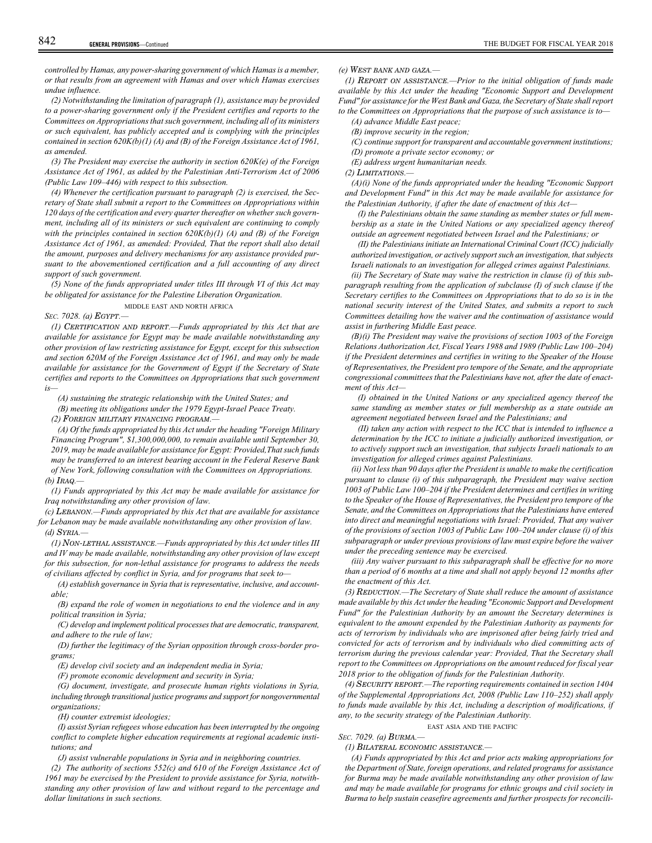*controlled by Hamas, any power-sharing government of which Hamas is a member, or that results from an agreement with Hamas and over which Hamas exercises undue influence.*

*(2) Notwithstanding the limitation of paragraph (1), assistance may be provided to a power-sharing government only if the President certifies and reports to the Committees on Appropriations that such government, including all of its ministers or such equivalent, has publicly accepted and is complying with the principles contained in section 620K(b)(1) (A) and (B) of the Foreign Assistance Act of 1961, as amended.*

*(3) The President may exercise the authority in section 620K(e) of the Foreign Assistance Act of 1961, as added by the Palestinian Anti-Terrorism Act of 2006 (Public Law 109–446) with respect to this subsection.*

*(4) Whenever the certification pursuant to paragraph (2) is exercised, the Secretary of State shall submit a report to the Committees on Appropriations within 120 days of the certification and every quarter thereafter on whether such government, including all of its ministers or such equivalent are continuing to comply with the principles contained in section 620K(b)(1) (A) and (B) of the Foreign Assistance Act of 1961, as amended: Provided, That the report shall also detail the amount, purposes and delivery mechanisms for any assistance provided pursuant to the abovementioned certification and a full accounting of any direct support of such government.*

*(5) None of the funds appropriated under titles III through VI of this Act may be obligated for assistance for the Palestine Liberation Organization.*

MIDDLE EAST AND NORTH AFRICA

## *SEC. 7028. (a)* EGYPT*.—*

*(1)* CERTIFICATION AND REPORT*.—Funds appropriated by this Act that are available for assistance for Egypt may be made available notwithstanding any other provision of law restricting assistance for Egypt, except for this subsection and section 620M of the Foreign Assistance Act of 1961, and may only be made available for assistance for the Government of Egypt if the Secretary of State certifies and reports to the Committees on Appropriations that such government is—*

*(A) sustaining the strategic relationship with the United States; and*

*(B) meeting its obligations under the 1979 Egypt-Israel Peace Treaty.*

*(2)* FOREIGN MILITARY FINANCING PROGRAM*.—*

*(A) Of the funds appropriated by this Act under the heading "Foreign Military Financing Program", \$1,300,000,000, to remain available until September 30, 2019, may be made available for assistance for Egypt: Provided,That such funds may be transferred to an interest bearing account in the Federal Reserve Bank of New York, following consultation with the Committees on Appropriations. (b)* IRAQ*.—*

*(1) Funds appropriated by this Act may be made available for assistance for Iraq notwithstanding any other provision of law.*

*(c)* LEBANON*.—Funds appropriated by this Act that are available for assistance for Lebanon may be made available notwithstanding any other provision of law.*

## *(d)* SYRIA*.—*

*(1)* NON-LETHAL ASSISTANCE*.—Funds appropriated by this Act under titles III and IV may be made available, notwithstanding any other provision of law except for this subsection, for non-lethal assistance for programs to address the needs of civilians affected by conflict in Syria, and for programs that seek to—*

*(A) establish governance in Syria that is representative, inclusive, and accountable;*

*(B) expand the role of women in negotiations to end the violence and in any political transition in Syria;*

*(C) develop and implement political processes that are democratic, transparent, and adhere to the rule of law;*

*(D) further the legitimacy of the Syrian opposition through cross-border programs;*

*(E) develop civil society and an independent media in Syria;*

*(F) promote economic development and security in Syria;*

*(G) document, investigate, and prosecute human rights violations in Syria, including through transitional justice programs and support for nongovernmental organizations;*

*(H) counter extremist ideologies;*

*(I) assist Syrian refugees whose education has been interrupted by the ongoing conflict to complete higher education requirements at regional academic institutions; and*

*(J) assist vulnerable populations in Syria and in neighboring countries.*

*(2) The authority of sections 552(c) and 610 of the Foreign Assistance Act of 1961 may be exercised by the President to provide assistance for Syria, notwithstanding any other provision of law and without regard to the percentage and dollar limitations in such sections.*

## *(e)* WEST BANK AND GAZA*.—*

*(1)* REPORT ON ASSISTANCE*.—Prior to the initial obligation of funds made available by this Act under the heading "Economic Support and Development Fund" for assistance for the West Bank and Gaza, the Secretary of State shall report to the Committees on Appropriations that the purpose of such assistance is to—*

*(A) advance Middle East peace;*

*(B) improve security in the region;*

*(C) continue support for transparent and accountable government institutions; (D) promote a private sector economy; or*

*(E) address urgent humanitarian needs.*

*(2)* LIMITATIONS*.—*

*(A)(i) None of the funds appropriated under the heading "Economic Support and Development Fund" in this Act may be made available for assistance for the Palestinian Authority, if after the date of enactment of this Act—*

*(I) the Palestinians obtain the same standing as member states or full membership as a state in the United Nations or any specialized agency thereof outside an agreement negotiated between Israel and the Palestinians; or*

*(II) the Palestinians initiate an International Criminal Court (ICC) judicially authorized investigation, or actively support such an investigation, that subjects Israeli nationals to an investigation for alleged crimes against Palestinians.*

*(ii) The Secretary of State may waive the restriction in clause (i) of this subparagraph resulting from the application of subclause (I) of such clause if the Secretary certifies to the Committees on Appropriations that to do so is in the national security interest of the United States, and submits a report to such Committees detailing how the waiver and the continuation of assistance would assist in furthering Middle East peace.*

*(B)(i) The President may waive the provisions of section 1003 of the Foreign Relations Authorization Act, Fiscal Years 1988 and 1989 (Public Law 100–204) if the President determines and certifies in writing to the Speaker of the House of Representatives, the President pro tempore of the Senate, and the appropriate congressional committees that the Palestinians have not, after the date of enactment of this Act—*

*(I) obtained in the United Nations or any specialized agency thereof the same standing as member states or full membership as a state outside an agreement negotiated between Israel and the Palestinians; and*

*(II) taken any action with respect to the ICC that is intended to influence a determination by the ICC to initiate a judicially authorized investigation, or to actively support such an investigation, that subjects Israeli nationals to an investigation for alleged crimes against Palestinians.*

*(ii) Not less than 90 days after the President is unable to make the certification pursuant to clause (i) of this subparagraph, the President may waive section 1003 of Public Law 100–204 if the President determines and certifies in writing to the Speaker of the House of Representatives, the President pro tempore of the Senate, and the Committees on Appropriations that the Palestinians have entered into direct and meaningful negotiations with Israel: Provided, That any waiver of the provisions of section 1003 of Public Law 100–204 under clause (i) of this subparagraph or under previous provisions of law must expire before the waiver under the preceding sentence may be exercised.*

*(iii) Any waiver pursuant to this subparagraph shall be effective for no more than a period of 6 months at a time and shall not apply beyond 12 months after the enactment of this Act.*

*(3)* REDUCTION*.—The Secretary of State shall reduce the amount of assistance made available by this Act under the heading "Economic Support and Development Fund" for the Palestinian Authority by an amount the Secretary determines is equivalent to the amount expended by the Palestinian Authority as payments for acts of terrorism by individuals who are imprisoned after being fairly tried and convicted for acts of terrorism and by individuals who died committing acts of terrorism during the previous calendar year: Provided, That the Secretary shall report to the Committees on Appropriations on the amount reduced for fiscal year 2018 prior to the obligation of funds for the Palestinian Authority.*

*(4)* SECURITY REPORT*.—The reporting requirements contained in section 1404 of the Supplemental Appropriations Act, 2008 (Public Law 110–252) shall apply to funds made available by this Act, including a description of modifications, if any, to the security strategy of the Palestinian Authority.*

#### EAST ASIA AND THE PACIFIC

*SEC. 7029. (a)* BURMA*.—*

*(1)* BILATERAL ECONOMIC ASSISTANCE*.—*

*(A) Funds appropriated by this Act and prior acts making appropriations for the Department of State, foreign operations, and related programs for assistance for Burma may be made available notwithstanding any other provision of law and may be made available for programs for ethnic groups and civil society in Burma to help sustain ceasefire agreements and further prospects for reconcili-*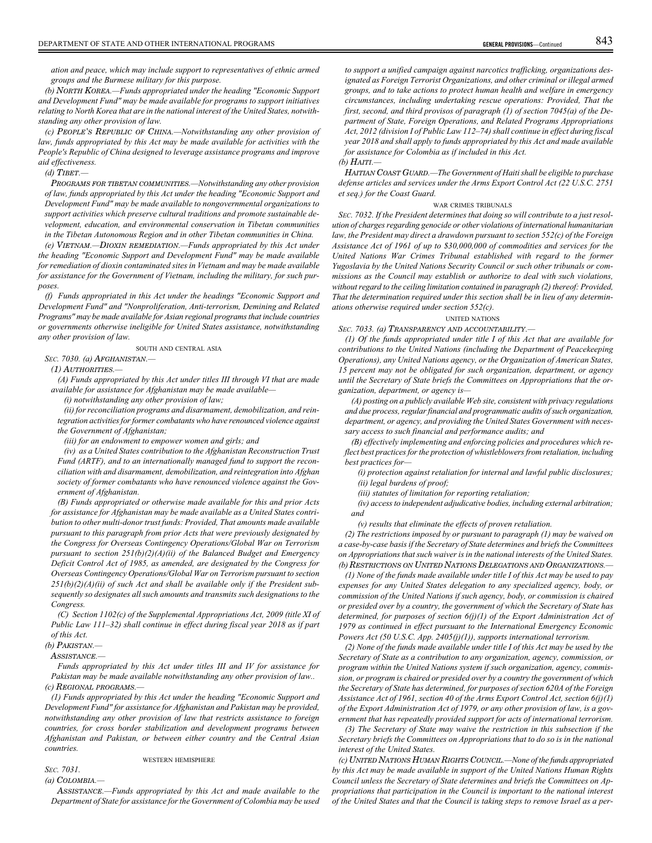*ation and peace, which may include support to representatives of ethnic armed groups and the Burmese military for this purpose.*

*(b)* NORTH KOREA*.—Funds appropriated under the heading "Economic Support and Development Fund" may be made available for programs to support initiatives relating to North Korea that are in the national interest of the United States, notwithstanding any other provision of law.*

*(c)* PEOPLE'S REPUBLIC OF CHINA*.—Notwithstanding any other provision of law, funds appropriated by this Act may be made available for activities with the People's Republic of China designed to leverage assistance programs and improve aid effectiveness.*

## *(d)* TIBET*.—*

PROGRAMS FOR TIBETAN COMMUNITIES*.—Notwithstanding any other provision of law, funds appropriated by this Act under the heading "Economic Support and Development Fund" may be made available to nongovernmental organizations to support activities which preserve cultural traditions and promote sustainable development, education, and environmental conservation in Tibetan communities in the Tibetan Autonomous Region and in other Tibetan communities in China.*

*(e)* VIETNAM*.—*DIOXIN REMEDIATION*.—Funds appropriated by this Act under the heading "Economic Support and Development Fund" may be made available for remediation of dioxin contaminated sites in Vietnam and may be made available for assistance for the Government of Vietnam, including the military, for such purposes.*

*(f) Funds appropriated in this Act under the headings "Economic Support and Development Fund" and "Nonproliferation, Anti-terrorism, Demining and Related Programs" may be made available for Asian regional programs that include countries or governments otherwise ineligible for United States assistance, notwithstanding any other provision of law.*

SOUTH AND CENTRAL ASIA

# *SEC. 7030. (a)* AFGHANISTAN*.—*

(1) AUTHORITIES*.—*

*(A) Funds appropriated by this Act under titles III through VI that are made available for assistance for Afghanistan may be made available—*

*(i) notwithstanding any other provision of law;*

*(ii) for reconciliation programs and disarmament, demobilization, and reintegration activities for former combatants who have renounced violence against the Government of Afghanistan;*

*(iii) for an endowment to empower women and girls; and*

*(iv) as a United States contribution to the Afghanistan Reconstruction Trust Fund (ARTF), and to an internationally managed fund to support the reconciliation with and disarmament, demobilization, and reintegration into Afghan society of former combatants who have renounced violence against the Government of Afghanistan.*

*(B) Funds appropriated or otherwise made available for this and prior Acts for assistance for Afghanistan may be made available as a United States contribution to other multi-donor trust funds: Provided, That amounts made available pursuant to this paragraph from prior Acts that were previously designated by the Congress for Overseas Contingency Operations/Global War on Terrorism pursuant to section 251(b)(2)(A)(ii) of the Balanced Budget and Emergency Deficit Control Act of 1985, as amended, are designated by the Congress for Overseas Contingency Operations/Global War on Terrorism pursuant to section 251(b)(2)(A)(ii) of such Act and shall be available only if the President subsequently so designates all such amounts and transmits such designations to the Congress.*

*(C) Section 1102(c) of the Supplemental Appropriations Act, 2009 (title XI of Public Law 111–32) shall continue in effect during fiscal year 2018 as if part of this Act.*

*(b)* PAKISTAN*.—*

ASSISTANCE*.—*

*Funds appropriated by this Act under titles III and IV for assistance for Pakistan may be made available notwithstanding any other provision of law.. (c)* REGIONAL PROGRAMS*.—*

*(1) Funds appropriated by this Act under the heading "Economic Support and Development Fund" for assistance for Afghanistan and Pakistan may be provided, notwithstanding any other provision of law that restricts assistance to foreign countries, for cross border stabilization and development programs between Afghanistan and Pakistan, or between either country and the Central Asian countries.*

WESTERN HEMISPHERE

# *SEC. 7031.*

*(a)* COLOMBIA*.—*

ASSISTANCE*.—Funds appropriated by this Act and made available to the Department of State for assistance for the Government of Colombia may be used*

*to support a unified campaign against narcotics trafficking, organizations designated as Foreign Terrorist Organizations, and other criminal or illegal armed groups, and to take actions to protect human health and welfare in emergency circumstances, including undertaking rescue operations: Provided, That the first, second, and third provisos of paragraph (1) of section 7045(a) of the Department of State, Foreign Operations, and Related Programs Appropriations Act, 2012 (division I of Public Law 112–74) shall continue in effect during fiscal year 2018 and shall apply to funds appropriated by this Act and made available for assistance for Colombia as if included in this Act.*

## *(b)* HAITI*.—*

HAITIAN COAST GUARD*.—The Government of Haiti shall be eligible to purchase defense articles and services under the Arms Export Control Act (22 U.S.C. 2751 et seq.) for the Coast Guard.*

## WAR CRIMES TRIBUNALS

*SEC. 7032. If the President determines that doing so will contribute to a just resolution of charges regarding genocide or other violations of international humanitarian law, the President may direct a drawdown pursuant to section 552(c) of the Foreign Assistance Act of 1961 of up to \$30,000,000 of commodities and services for the United Nations War Crimes Tribunal established with regard to the former Yugoslavia by the United Nations Security Council or such other tribunals or commissions as the Council may establish or authorize to deal with such violations, without regard to the ceiling limitation contained in paragraph (2) thereof: Provided, That the determination required under this section shall be in lieu of any determinations otherwise required under section 552(c).*

## UNITED NATIONS

*SEC. 7033. (a)* TRANSPARENCY AND ACCOUNTABILITY*.—*

*(1) Of the funds appropriated under title I of this Act that are available for contributions to the United Nations (including the Department of Peacekeeping Operations), any United Nations agency, or the Organization of American States, 15 percent may not be obligated for such organization, department, or agency until the Secretary of State briefs the Committees on Appropriations that the organization, department, or agency is—*

*(A) posting on a publicly available Web site, consistent with privacy regulations and due process, regular financial and programmatic audits of such organization, department, or agency, and providing the United States Government with necessary access to such financial and performance audits; and*

*(B) effectively implementing and enforcing policies and procedures which reflect best practices for the protection of whistleblowers from retaliation, including best practices for—*

*(i) protection against retaliation for internal and lawful public disclosures; (ii) legal burdens of proof;*

*(iii) statutes of limitation for reporting retaliation;*

*(iv) access to independent adjudicative bodies, including external arbitration; and*

*(v) results that eliminate the effects of proven retaliation.*

*(2) The restrictions imposed by or pursuant to paragraph (1) may be waived on a case-by-case basis if the Secretary of State determines and briefs the Committees on Appropriations that such waiver is in the national interests of the United States. (b)* RESTRICTIONS ON UNITED NATIONS DELEGATIONS AND ORGANIZATIONS*.—*

*(1) None of the funds made available under title I of this Act may be used to pay expenses for any United States delegation to any specialized agency, body, or commission of the United Nations if such agency, body, or commission is chaired or presided over by a country, the government of which the Secretary of State has determined, for purposes of section 6(j)(1) of the Export Administration Act of 1979 as continued in effect pursuant to the International Emergency Economic Powers Act (50 U.S.C. App. 2405(j)(1)), supports international terrorism.*

*(2) None of the funds made available under title I of this Act may be used by the Secretary of State as a contribution to any organization, agency, commission, or program within the United Nations system if such organization, agency, commission, or program is chaired or presided over by a country the government of which the Secretary of State has determined, for purposes of section 620A of the Foreign Assistance Act of 1961, section 40 of the Arms Export Control Act, section 6(j)(1) of the Export Administration Act of 1979, or any other provision of law, is a government that has repeatedly provided support for acts of international terrorism.*

*(3) The Secretary of State may waive the restriction in this subsection if the Secretary briefs the Committees on Appropriations that to do so is in the national interest of the United States.*

*(c)* UNITED NATIONS HUMAN RIGHTS COUNCIL*.—None of the funds appropriated by this Act may be made available in support of the United Nations Human Rights Council unless the Secretary of State determines and briefs the Committees on Appropriations that participation in the Council is important to the national interest of the United States and that the Council is taking steps to remove Israel as a per-*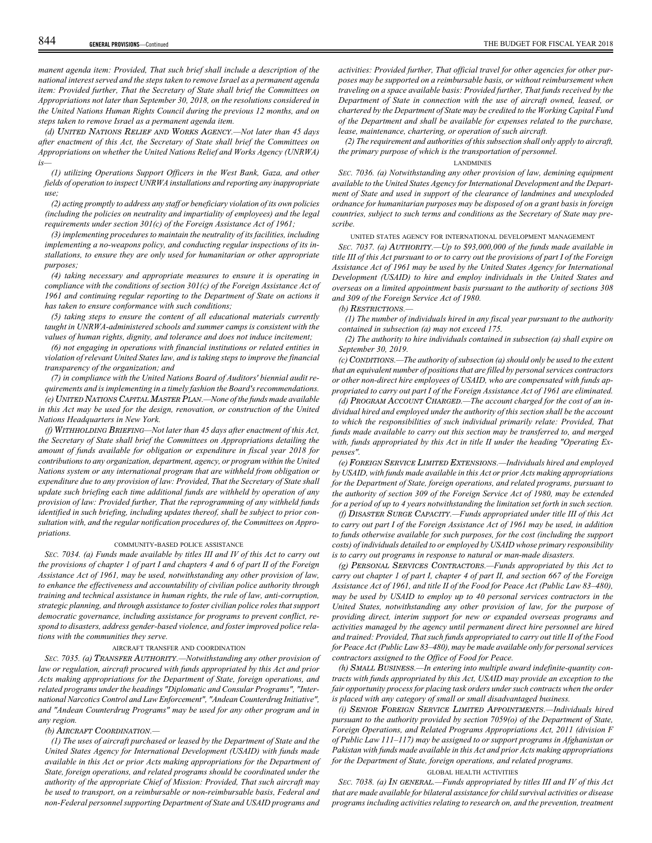*manent agenda item: Provided, That such brief shall include a description of the national interest served and the steps taken to remove Israel as a permanent agenda item: Provided further, That the Secretary of State shall brief the Committees on Appropriations not later than September 30, 2018, on the resolutions considered in the United Nations Human Rights Council during the previous 12 months, and on steps taken to remove Israel as a permanent agenda item.*

*(d)* UNITED NATIONS RELIEF AND WORKS AGENCY*.—Not later than 45 days after enactment of this Act, the Secretary of State shall brief the Committees on Appropriations on whether the United Nations Relief and Works Agency (UNRWA) is—*

*(1) utilizing Operations Support Officers in the West Bank, Gaza, and other fields of operation to inspect UNRWA installations and reporting any inappropriate use;*

*(2) acting promptly to address any staff or beneficiary violation of its own policies (including the policies on neutrality and impartiality of employees) and the legal requirements under section 301(c) of the Foreign Assistance Act of 1961;*

*(3) implementing procedures to maintain the neutrality of its facilities, including implementing a no-weapons policy, and conducting regular inspections of its installations, to ensure they are only used for humanitarian or other appropriate purposes;*

*(4) taking necessary and appropriate measures to ensure it is operating in compliance with the conditions of section 301(c) of the Foreign Assistance Act of 1961 and continuing regular reporting to the Department of State on actions it has taken to ensure conformance with such conditions;*

*(5) taking steps to ensure the content of all educational materials currently taught in UNRWA-administered schools and summer camps is consistent with the values of human rights, dignity, and tolerance and does not induce incitement;*

*(6) not engaging in operations with financial institutions or related entities in violation of relevant United States law, and is taking steps to improve the financial transparency of the organization; and*

*(7) in compliance with the United Nations Board of Auditors' biennial audit requirements and is implementing in a timely fashion the Board's recommendations. (e)* UNITED NATIONS CAPITAL MASTER PLAN*.—None of the funds made available in this Act may be used for the design, renovation, or construction of the United Nations Headquarters in New York.*

*(f)* WITHHOLDING BRIEFING*—Not later than 45 days after enactment of this Act, the Secretary of State shall brief the Committees on Appropriations detailing the amount of funds available for obligation or expenditure in fiscal year 2018 for contributions to any organization, department, agency, or program within the United Nations system or any international program that are withheld from obligation or expenditure due to any provision of law: Provided, That the Secretary of State shall update such briefing each time additional funds are withheld by operation of any provision of law: Provided further, That the reprogramming of any withheld funds identified in such briefing, including updates thereof, shall be subject to prior consultation with, and the regular notification procedures of, the Committees on Appropriations.*

## COMMUNITY-BASED POLICE ASSISTANCE

*SEC. 7034. (a) Funds made available by titles III and IV of this Act to carry out the provisions of chapter 1 of part I and chapters 4 and 6 of part II of the Foreign Assistance Act of 1961, may be used, notwithstanding any other provision of law, to enhance the effectiveness and accountability of civilian police authority through training and technical assistance in human rights, the rule of law, anti-corruption, strategic planning, and through assistance to foster civilian police roles that support democratic governance, including assistance for programs to prevent conflict, respond to disasters, address gender-based violence, and foster improved police relations with the communities they serve.*

## AIRCRAFT TRANSFER AND COORDINATION

*SEC. 7035. (a)* TRANSFER AUTHORITY*.—Notwithstanding any other provision of law or regulation, aircraft procured with funds appropriated by this Act and prior Acts making appropriations for the Department of State, foreign operations, and related programs under the headings "Diplomatic and Consular Programs", "International Narcotics Control and Law Enforcement", "Andean Counterdrug Initiative", and "Andean Counterdrug Programs" may be used for any other program and in any region.*

## *(b)* AIRCRAFT COORDINATION*.—*

*(1) The uses of aircraft purchased or leased by the Department of State and the United States Agency for International Development (USAID) with funds made available in this Act or prior Acts making appropriations for the Department of State, foreign operations, and related programs should be coordinated under the authority of the appropriate Chief of Mission: Provided, That such aircraft may be used to transport, on a reimbursable or non-reimbursable basis, Federal and non-Federal personnel supporting Department of State and USAID programs and*

*activities: Provided further, That official travel for other agencies for other purposes may be supported on a reimbursable basis, or without reimbursement when traveling on a space available basis: Provided further, That funds received by the Department of State in connection with the use of aircraft owned, leased, or chartered by the Department of State may be credited to the Working Capital Fund of the Department and shall be available for expenses related to the purchase, lease, maintenance, chartering, or operation of such aircraft.*

*(2) The requirement and authorities of this subsection shall only apply to aircraft, the primary purpose of which is the transportation of personnel.*

## LANDMINES

*SEC. 7036. (a) Notwithstanding any other provision of law, demining equipment available to the United States Agency for International Development and the Department of State and used in support of the clearance of landmines and unexploded ordnance for humanitarian purposes may be disposed of on a grant basis in foreign countries, subject to such terms and conditions as the Secretary of State may prescribe.*

## UNITED STATES AGENCY FOR INTERNATIONAL DEVELOPMENT MANAGEMENT

*SEC. 7037. (a)* AUTHORITY*.—Up to \$93,000,000 of the funds made available in title III of this Act pursuant to or to carry out the provisions of part I of the Foreign Assistance Act of 1961 may be used by the United States Agency for International Development (USAID) to hire and employ individuals in the United States and overseas on a limited appointment basis pursuant to the authority of sections 308 and 309 of the Foreign Service Act of 1980.*

*(b)* RESTRICTIONS*.—*

*(1) The number of individuals hired in any fiscal year pursuant to the authority contained in subsection (a) may not exceed 175.*

*(2) The authority to hire individuals contained in subsection (a) shall expire on September 30, 2019.*

*(c)* CONDITIONS*.—The authority of subsection (a) should only be used to the extent that an equivalent number of positions that are filled by personal services contractors or other non-direct hire employees of USAID, who are compensated with funds appropriated to carry out part I of the Foreign Assistance Act of 1961 are eliminated.*

*(d)* PROGRAM ACCOUNT CHARGED*.—The account charged for the cost of an individual hired and employed under the authority of this section shall be the account to which the responsibilities of such individual primarily relate: Provided, That funds made available to carry out this section may be transferred to, and merged with, funds appropriated by this Act in title II under the heading "Operating Expenses".*

*(e)* FOREIGN SERVICE LIMITED EXTENSIONS*.—Individuals hired and employed by USAID, with funds made available in this Act or prior Acts making appropriations for the Department of State, foreign operations, and related programs, pursuant to the authority of section 309 of the Foreign Service Act of 1980, may be extended for a period of up to 4 years notwithstanding the limitation set forth in such section.*

*(f)* DISASTER SURGE CAPACITY*.—Funds appropriated under title III of this Act to carry out part I of the Foreign Assistance Act of 1961 may be used, in addition to funds otherwise available for such purposes, for the cost (including the support costs) of individuals detailed to or employed by USAID whose primary responsibility is to carry out programs in response to natural or man-made disasters.*

*(g)* PERSONAL SERVICES CONTRACTORS*.—Funds appropriated by this Act to carry out chapter 1 of part I, chapter 4 of part II, and section 667 of the Foreign Assistance Act of 1961, and title II of the Food for Peace Act (Public Law 83–480), may be used by USAID to employ up to 40 personal services contractors in the United States, notwithstanding any other provision of law, for the purpose of providing direct, interim support for new or expanded overseas programs and activities managed by the agency until permanent direct hire personnel are hired and trained: Provided, That such funds appropriated to carry out title II of the Food for Peace Act (Public Law 83–480), may be made available only for personal services contractors assigned to the Office of Food for Peace.*

*(h)* SMALL BUSINESS*.—In entering into multiple award indefinite-quantity contracts with funds appropriated by this Act, USAID may provide an exception to the fair opportunity process for placing task orders under such contracts when the order is placed with any category of small or small disadvantaged business.*

*(i)* SENIOR FOREIGN SERVICE LIMITED APPOINTMENTS*.—Individuals hired pursuant to the authority provided by section 7059(o) of the Department of State, Foreign Operations, and Related Programs Appropriations Act, 2011 (division F of Public Law 111–117) may be assigned to or support programs in Afghanistan or Pakistan with funds made available in this Act and prior Acts making appropriations for the Department of State, foreign operations, and related programs.*

#### GLOBAL HEALTH ACTIVITIES

*SEC. 7038. (a)* IN GENERAL*.—Funds appropriated by titles III and IV of this Act that are made available for bilateral assistance for child survival activities or disease programs including activities relating to research on, and the prevention, treatment*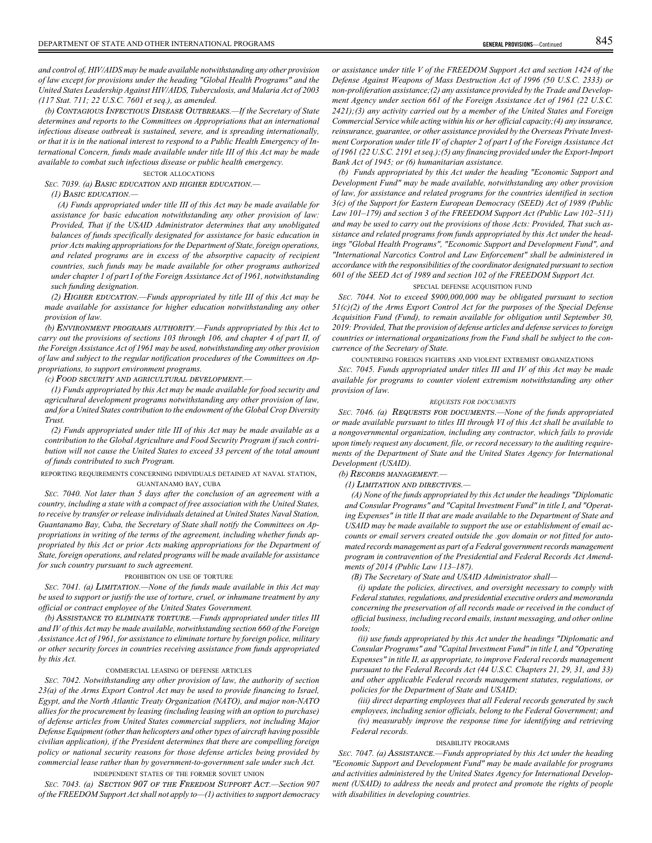*and control of, HIV/AIDS may be made available notwithstanding any other provision of law except for provisions under the heading "Global Health Programs" and the United States Leadership Against HIV/AIDS, Tuberculosis, and Malaria Act of 2003 (117 Stat. 711; 22 U.S.C. 7601 et seq.), as amended.*

*(b)* CONTAGIOUS INFECTIOUS DISEASE OUTBREAKS*.—If the Secretary of State determines and reports to the Committees on Appropriations that an international infectious disease outbreak is sustained, severe, and is spreading internationally, or that it is in the national interest to respond to a Public Health Emergency of International Concern, funds made available under title III of this Act may be made available to combat such infectious disease or public health emergency.*

#### SECTOR ALLOCATIONS

*SEC. 7039. (a)* BASIC EDUCATION AND HIGHER EDUCATION*.—*

## *(1)* BASIC EDUCATION*.—*

*(A) Funds appropriated under title III of this Act may be made available for assistance for basic education notwithstanding any other provision of law: Provided, That if the USAID Administrator determines that any unobligated balances of funds specifically designated for assistance for basic education in prior Acts making appropriations for the Department of State, foreign operations, and related programs are in excess of the absorptive capacity of recipient countries, such funds may be made available for other programs authorized under chapter 1 of part I of the Foreign Assistance Act of 1961, notwithstanding such funding designation.*

*(2)* HIGHER EDUCATION*.—Funds appropriated by title III of this Act may be made available for assistance for higher education notwithstanding any other provision of law.*

*(b)* ENVIRONMENT PROGRAMS AUTHORITY*.—Funds appropriated by this Act to carry out the provisions of sections 103 through 106, and chapter 4 of part II, of the Foreign Assistance Act of 1961 may be used, notwithstanding any other provision of law and subject to the regular notification procedures of the Committees on Appropriations, to support environment programs.*

## *(c)* FOOD SECURITY AND AGRICULTURAL DEVELOPMENT*.—*

*(1) Funds appropriated by this Act may be made available for food security and agricultural development programs notwithstanding any other provision of law, and for a United States contribution to the endowment of the Global Crop Diversity Trust.*

*(2) Funds appropriated under title III of this Act may be made available as a contribution to the Global Agriculture and Food Security Program if such contribution will not cause the United States to exceed 33 percent of the total amount of funds contributed to such Program.*

## REPORTING REQUIREMENTS CONCERNING INDIVIDUALS DETAINED AT NAVAL STATION, GUANTANAMO BAY, CUBA

*SEC. 7040. Not later than 5 days after the conclusion of an agreement with a country, including a state with a compact of free association with the United States, to receive by transfer or release individuals detained at United States Naval Station, Guantanamo Bay, Cuba, the Secretary of State shall notify the Committees on Appropriations in writing of the terms of the agreement, including whether funds appropriated by this Act or prior Acts making appropriations for the Department of State, foreign operations, and related programs will be made available for assistance for such country pursuant to such agreement.*

#### PROHIBITION ON USE OF TORTURE

*SEC. 7041. (a)* LIMITATION*.—None of the funds made available in this Act may be used to support or justify the use of torture, cruel, or inhumane treatment by any official or contract employee of the United States Government.*

*(b)* ASSISTANCE TO ELIMINATE TORTURE*.—Funds appropriated under titles III and IV of this Act may be made available, notwithstanding section 660 of the Foreign Assistance Act of 1961, for assistance to eliminate torture by foreign police, military or other security forces in countries receiving assistance from funds appropriated by this Act.*

#### COMMERCIAL LEASING OF DEFENSE ARTICLES

*SEC. 7042. Notwithstanding any other provision of law, the authority of section 23(a) of the Arms Export Control Act may be used to provide financing to Israel, Egypt, and the North Atlantic Treaty Organization (NATO), and major non-NATO allies for the procurement by leasing (including leasing with an option to purchase) of defense articles from United States commercial suppliers, not including Major Defense Equipment (other than helicopters and other types of aircraft having possible civilian application), if the President determines that there are compelling foreign policy or national security reasons for those defense articles being provided by commercial lease rather than by government-to-government sale under such Act.*

## INDEPENDENT STATES OF THE FORMER SOVIET UNION

*SEC. 7043. (a)* SECTION 907 OF THE FREEDOM SUPPORT ACT*.—Section 907 of the FREEDOM Support Act shall not apply to—(1) activities to support democracy* *or assistance under title V of the FREEDOM Support Act and section 1424 of the Defense Against Weapons of Mass Destruction Act of 1996 (50 U.S.C. 2333) or non-proliferation assistance;(2) any assistance provided by the Trade and Development Agency under section 661 of the Foreign Assistance Act of 1961 (22 U.S.C. 2421);(3) any activity carried out by a member of the United States and Foreign Commercial Service while acting within his or her official capacity;(4) any insurance, reinsurance, guarantee, or other assistance provided by the Overseas Private Investment Corporation under title IV of chapter 2 of part I of the Foreign Assistance Act of 1961 (22 U.S.C. 2191 et seq.);(5) any financing provided under the Export-Import Bank Act of 1945; or (6) humanitarian assistance.*

*(b) Funds appropriated by this Act under the heading "Economic Support and Development Fund" may be made available, notwithstanding any other provision of law, for assistance and related programs for the countries identified in section 3(c) of the Support for Eastern European Democracy (SEED) Act of 1989 (Public Law 101–179) and section 3 of the FREEDOM Support Act (Public Law 102–511) and may be used to carry out the provisions of those Acts: Provided, That such assistance and related programs from funds appropriated by this Act under the headings "Global Health Programs", "Economic Support and Development Fund", and "International Narcotics Control and Law Enforcement" shall be administered in accordance with the responsibilities of the coordinator designated pursuant to section 601 of the SEED Act of 1989 and section 102 of the FREEDOM Support Act.*

## SPECIAL DEFENSE ACQUISITION FUND

*SEC. 7044. Not to exceed \$900,000,000 may be obligated pursuant to section 51(c)(2) of the Arms Export Control Act for the purposes of the Special Defense Acquisition Fund (Fund), to remain available for obligation until September 30, 2019: Provided, That the provision of defense articles and defense services to foreign countries or international organizations from the Fund shall be subject to the concurrence of the Secretary of State.*

COUNTERING FOREIGN FIGHTERS AND VIOLENT EXTREMIST ORGANIZATIONS

*SEC. 7045. Funds appropriated under titles III and IV of this Act may be made available for programs to counter violent extremism notwithstanding any other provision of law.*

## *REQUESTS FOR DOCUMENTS*

*SEC. 7046. (a)* REQUESTS FOR DOCUMENTS*.—None of the funds appropriated or made available pursuant to titles III through VI of this Act shall be available to a nongovernmental organization, including any contractor, which fails to provide upon timely request any document, file, or record necessary to the auditing requirements of the Department of State and the United States Agency for International Development (USAID).*

#### *(b)* RECORDS MANAGEMENT*.—*

*(1)* LIMITATION AND DIRECTIVES*.—*

*(A) None of the funds appropriated by this Act under the headings "Diplomatic and Consular Programs" and "Capital Investment Fund" in title I, and "Operating Expenses" in title II that are made available to the Department of State and USAID may be made available to support the use or establishment of email accounts or email servers created outside the .gov domain or not fitted for automated records management as part of a Federal government records management program in contravention of the Presidential and Federal Records Act Amendments of 2014 (Public Law 113–187).*

*(B) The Secretary of State and USAID Administrator shall—*

*(i) update the policies, directives, and oversight necessary to comply with Federal statutes, regulations, and presidential executive orders and memoranda concerning the preservation of all records made or received in the conduct of official business, including record emails, instant messaging, and other online tools;*

*(ii) use funds appropriated by this Act under the headings "Diplomatic and Consular Programs" and "Capital Investment Fund" in title I, and "Operating Expenses" in title II, as appropriate, to improve Federal records management pursuant to the Federal Records Act (44 U.S.C. Chapters 21, 29, 31, and 33) and other applicable Federal records management statutes, regulations, or policies for the Department of State and USAID;*

*(iii) direct departing employees that all Federal records generated by such employees, including senior officials, belong to the Federal Government; and (iv) measurably improve the response time for identifying and retrieving Federal records.*

#### DISABILITY PROGRAMS

*SEC. 7047. (a)* ASSISTANCE*.—Funds appropriated by this Act under the heading "Economic Support and Development Fund" may be made available for programs and activities administered by the United States Agency for International Development (USAID) to address the needs and protect and promote the rights of people with disabilities in developing countries.*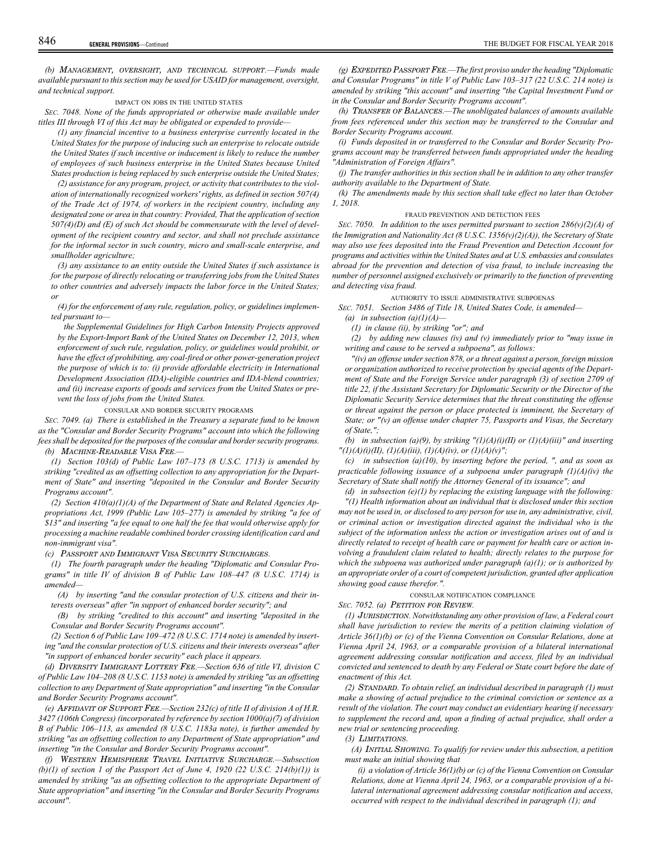*(b)* MANAGEMENT, OVERSIGHT, AND TECHNICAL SUPPORT*.—Funds made available pursuant to this section may be used for USAID for management, oversight, and technical support.*

IMPACT ON JOBS IN THE UNITED STATES

*SEC. 7048. None of the funds appropriated or otherwise made available under titles III through VI of this Act may be obligated or expended to provide—*

*(1) any financial incentive to a business enterprise currently located in the United States for the purpose of inducing such an enterprise to relocate outside the United States if such incentive or inducement is likely to reduce the number of employees of such business enterprise in the United States because United States production is being replaced by such enterprise outside the United States;*

*(2) assistance for any program, project, or activity that contributes to the violation of internationally recognized workers' rights, as defined in section 507(4) of the Trade Act of 1974, of workers in the recipient country, including any designated zone or area in that country: Provided, That the application of section 507(4)(D) and (E) of such Act should be commensurate with the level of development of the recipient country and sector, and shall not preclude assistance for the informal sector in such country, micro and small-scale enterprise, and smallholder agriculture;*

*(3) any assistance to an entity outside the United States if such assistance is for the purpose of directly relocating or transferring jobs from the United States to other countries and adversely impacts the labor force in the United States; or*

*(4) for the enforcement of any rule, regulation, policy, or guidelines implemented pursuant to—*

*the Supplemental Guidelines for High Carbon Intensity Projects approved by the Export-Import Bank of the United States on December 12, 2013, when enforcement of such rule, regulation, policy, or guidelines would prohibit, or have the effect of prohibiting, any coal-fired or other power-generation project the purpose of which is to: (i) provide affordable electricity in International Development Association (IDA)-eligible countries and IDA-blend countries; and (ii) increase exports of goods and services from the United States or prevent the loss of jobs from the United States.*

CONSULAR AND BORDER SECURITY PROGRAMS

*SEC. 7049. (a) There is established in the Treasury a separate fund to be known as the "Consular and Border Security Programs" account into which the following fees shall be deposited for the purposes of the consular and border security programs. (b)* MACHINE-READABLE VISA FEE*.—*

*(1) Section 103(d) of Public Law 107–173 (8 U.S.C. 1713) is amended by striking "credited as an offsetting collection to any appropriation for the Department of State" and inserting "deposited in the Consular and Border Security Programs account".*

*(2) Section 410(a)(1)(A) of the Department of State and Related Agencies Appropriations Act, 1999 (Public Law 105–277) is amended by striking "a fee of \$13" and inserting "a fee equal to one half the fee that would otherwise apply for processing a machine readable combined border crossing identification card and non-immigrant visa".*

*(c)* PASSPORT AND IMMIGRANT VISA SECURITY SURCHARGES*.*

*(1) The fourth paragraph under the heading "Diplomatic and Consular Programs" in title IV of division B of Public Law 108–447 (8 U.S.C. 1714) is amended—*

*(A) by inserting "and the consular protection of U.S. citizens and their interests overseas" after "in support of enhanced border security"; and*

*(B) by striking "credited to this account" and inserting "deposited in the Consular and Border Security Programs account".*

*(2) Section 6 of Public Law 109–472 (8 U.S.C. 1714 note) is amended by inserting "and the consular protection of U.S. citizens and their interests overseas" after "in support of enhanced border security" each place it appears.*

*(d)* DIVERSITY IMMIGRANT LOTTERY FEE*.—Section 636 of title VI, division C of Public Law 104–208 (8 U.S.C. 1153 note) is amended by striking "as an offsetting collection to any Department of State appropriation" and inserting "in the Consular and Border Security Programs account".*

*(e)* AFFIDAVIT OF SUPPORT FEE*.—Section 232(c) of title II of division A of H.R. 3427 (106th Congress) (incorporated by reference by section 1000(a)(7) of division B of Public 106–113, as amended (8 U.S.C. 1183a note), is further amended by striking "as an offsetting collection to any Department of State appropriation" and inserting "in the Consular and Border Security Programs account".*

*(f)* WESTERN HEMISPHERE TRAVEL INITIATIVE SURCHARGE*.—Subsection (b)(1) of section 1 of the Passport Act of June 4, 1920 (22 U.S.C. 214(b)(1)) is amended by striking "as an offsetting collection to the appropriate Department of State appropriation" and inserting "in the Consular and Border Security Programs account".*

*(g)* EXPEDITED PASSPORT FEE*.—The first proviso under the heading "Diplomatic and Consular Programs" in title V of Public Law 103–317 (22 U.S.C. 214 note) is amended by striking "this account" and inserting "the Capital Investment Fund or in the Consular and Border Security Programs account".*

*(h)* TRANSFER OF BALANCES*.—The unobligated balances of amounts available from fees referenced under this section may be transferred to the Consular and Border Security Programs account.*

*(i) Funds deposited in or transferred to the Consular and Border Security Programs account may be transferred between funds appropriated under the heading "Administration of Foreign Affairs".*

*(j) The transfer authorities in this section shall be in addition to any other transfer authority available to the Department of State.*

*(k) The amendments made by this section shall take effect no later than October 1, 2018.*

#### FRAUD PREVENTION AND DETECTION FEES

*SEC. 7050. In addition to the uses permitted pursuant to section 286(v)(2)(A) of the Immigration and Nationality Act (8 U.S.C. 1356(v)(2)(A)), the Secretary of State may also use fees deposited into the Fraud Prevention and Detection Account for programs and activities within the United States and at U.S. embassies and consulates abroad for the prevention and detection of visa fraud, to include increasing the number of personnel assigned exclusively or primarily to the function of preventing and detecting visa fraud.*

AUTHORITY TO ISSUE ADMINISTRATIVE SUBPOENAS

*SEC. 7051. Section 3486 of Title 18, United States Code, is amended—*

*(a) in subsection (a)(1)(A)—*

*(1) in clause (ii), by striking "or"; and*

*(2) by adding new clauses (iv) and (v) immediately prior to "may issue in writing and cause to be served a subpoena", as follows:*

*"(iv) an offense under section 878, or a threat against a person, foreign mission or organization authorized to receive protection by special agents of the Department of State and the Foreign Service under paragraph (3) of section 2709 of title 22, if the Assistant Secretary for Diplomatic Security or the Director of the Diplomatic Security Service determines that the threat constituting the offense or threat against the person or place protected is imminent, the Secretary of State; or "(v) an offense under chapter 75, Passports and Visas, the Secretary of State,";*

*(b)* in subsection (a)(9), by striking  $''(1)(A)(i)(II)$  or  $(1)(A)(iii)''$  and inserting *"(1)(A)(i)(II), (1)(A)(iii), (1)(A)(iv), or (1)(A)(v)";*

*(c) in subsection (a)(10), by inserting before the period, ", and as soon as practicable following issuance of a subpoena under paragraph (1)(A)(iv) the Secretary of State shall notify the Attorney General of its issuance"; and*

*(d) in subsection (e)(1) by replacing the existing language with the following:*

*"(1) Health information about an individual that is disclosed under this section may not be used in, or disclosed to any person for use in, any administrative, civil, or criminal action or investigation directed against the individual who is the subject of the information unless the action or investigation arises out of and is directly related to receipt of health care or payment for health care or action involving a fraudulent claim related to health; directly relates to the purpose for which the subpoena was authorized under paragraph (a)(1); or is authorized by an appropriate order of a court of competent jurisdiction, granted after application showing good cause therefor.".*

CONSULAR NOTIFICATION COMPLIANCE

*SEC. 7052. (a)* PETITION FOR REVIEW*.*

*(1)* JURISDICTION*. Notwithstanding any other provision of law, a Federal court shall have jurisdiction to review the merits of a petition claiming violation of Article 36(1)(b) or (c) of the Vienna Convention on Consular Relations, done at Vienna April 24, 1963, or a comparable provision of a bilateral international agreement addressing consular notification and access, filed by an individual convicted and sentenced to death by any Federal or State court before the date of enactment of this Act.*

*(2)* STANDARD*. To obtain relief, an individual described in paragraph (1) must make a showing of actual prejudice to the criminal conviction or sentence as a result of the violation. The court may conduct an evidentiary hearing if necessary to supplement the record and, upon a finding of actual prejudice, shall order a new trial or sentencing proceeding.*

## *(3)* LIMITATIONS*.*

*(A)* INITIAL SHOWING*. To qualify for review under this subsection, a petition must make an initial showing that*

*(i) a violation of Article 36(1)(b) or (c) of the Vienna Convention on Consular Relations, done at Vienna April 24, 1963, or a comparable provision of a bilateral international agreement addressing consular notification and access, occurred with respect to the individual described in paragraph (1); and*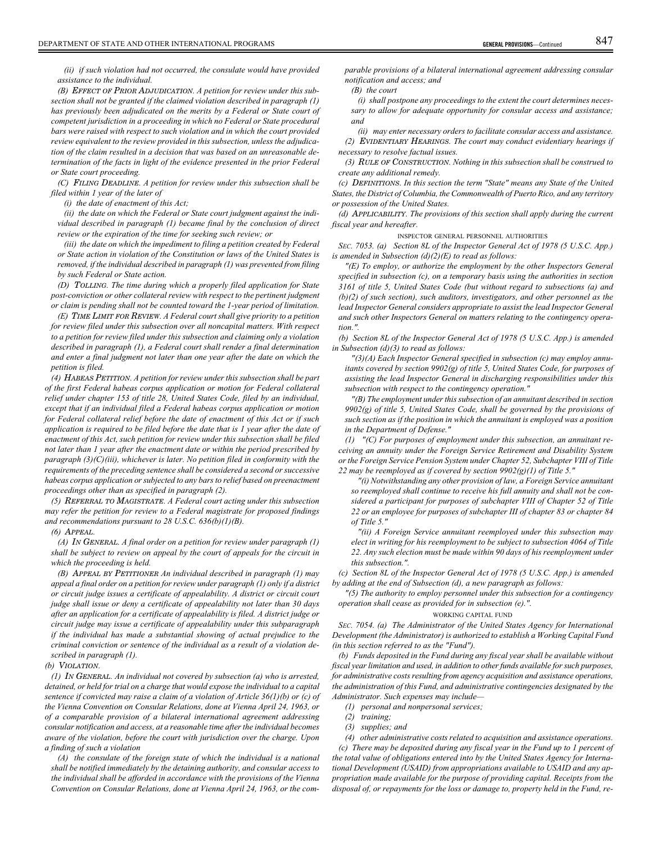*(ii) if such violation had not occurred, the consulate would have provided assistance to the individual.*

*(B)* EFFECT OF PRIOR ADJUDICATION*. A petition for review under this subsection shall not be granted if the claimed violation described in paragraph (1) has previously been adjudicated on the merits by a Federal or State court of competent jurisdiction in a proceeding in which no Federal or State procedural bars were raised with respect to such violation and in which the court provided review equivalent to the review provided in this subsection, unless the adjudication of the claim resulted in a decision that was based on an unreasonable determination of the facts in light of the evidence presented in the prior Federal or State court proceeding.*

*(C)* FILING DEADLINE*. A petition for review under this subsection shall be filed within 1 year of the later of*

*(i) the date of enactment of this Act;*

*(ii) the date on which the Federal or State court judgment against the individual described in paragraph (1) became final by the conclusion of direct review or the expiration of the time for seeking such review; or*

*(iii) the date on which the impediment to filing a petition created by Federal or State action in violation of the Constitution or laws of the United States is removed, if the individual described in paragraph (1) was prevented from filing by such Federal or State action.*

*(D)* TOLLING*. The time during which a properly filed application for State post-conviction or other collateral review with respect to the pertinent judgment or claim is pending shall not be counted toward the 1-year period of limitation.*

*(E)* TIME LIMIT FOR REVIEW*. A Federal court shall give priority to a petition for review filed under this subsection over all noncapital matters. With respect to a petition for review filed under this subsection and claiming only a violation described in paragraph (1), a Federal court shall render a final determination and enter a final judgment not later than one year after the date on which the petition is filed.*

*(4)* HABEAS PETITION*. A petition for review under this subsection shall be part of the first Federal habeas corpus application or motion for Federal collateral relief under chapter 153 of title 28, United States Code, filed by an individual, except that if an individual filed a Federal habeas corpus application or motion for Federal collateral relief before the date of enactment of this Act or if such application is required to be filed before the date that is 1 year after the date of enactment of this Act, such petition for review under this subsection shall be filed not later than 1 year after the enactment date or within the period prescribed by paragraph (3)(C)(iii), whichever is later. No petition filed in conformity with the requirements of the preceding sentence shall be considered a second or successive habeas corpus application or subjected to any bars to relief based on preenactment proceedings other than as specified in paragraph (2).*

*(5)* REFERRAL TO MAGISTRATE*. A Federal court acting under this subsection may refer the petition for review to a Federal magistrate for proposed findings and recommendations pursuant to 28 U.S.C. 636(b)(1)(B).*

## *(6)* APPEAL*.*

*(A)* IN GENERAL*. A final order on a petition for review under paragraph (1) shall be subject to review on appeal by the court of appeals for the circuit in which the proceeding is held.*

*(B)* APPEAL BY PETITIONER *An individual described in paragraph (1) may appeal a final order on a petition for review under paragraph (1) only if a district or circuit judge issues a certificate of appealability. A district or circuit court judge shall issue or deny a certificate of appealability not later than 30 days after an application for a certificate of appealability is filed. A district judge or circuit judge may issue a certificate of appealability under this subparagraph if the individual has made a substantial showing of actual prejudice to the criminal conviction or sentence of the individual as a result of a violation described in paragraph (1).*

#### *(b)* VIOLATION*.*

*(1)* IN GENERAL*. An individual not covered by subsection (a) who is arrested, detained, or held for trial on a charge that would expose the individual to a capital sentence if convicted may raise a claim of a violation of Article 36(1)(b) or (c) of the Vienna Convention on Consular Relations, done at Vienna April 24, 1963, or of a comparable provision of a bilateral international agreement addressing consular notification and access, at a reasonable time after the individual becomes aware of the violation, before the court with jurisdiction over the charge. Upon a finding of such a violation*

*(A) the consulate of the foreign state of which the individual is a national shall be notified immediately by the detaining authority, and consular access to the individual shall be afforded in accordance with the provisions of the Vienna Convention on Consular Relations, done at Vienna April 24, 1963, or the com-* *parable provisions of a bilateral international agreement addressing consular notification and access; and*

*(B) the court*

*(i) shall postpone any proceedings to the extent the court determines necessary to allow for adequate opportunity for consular access and assistance; and*

*(ii) may enter necessary orders to facilitate consular access and assistance. (2)* EVIDENTIARY HEARINGS*. The court may conduct evidentiary hearings if necessary to resolve factual issues.*

*(3)* RULE OF CONSTRUCTION*. Nothing in this subsection shall be construed to create any additional remedy.*

*(c)* DEFINITIONS*. In this section the term "State" means any State of the United States, the District of Columbia, the Commonwealth of Puerto Rico, and any territory or possession of the United States.*

*(d)* APPLICABILITY*. The provisions of this section shall apply during the current fiscal year and hereafter.*

INSPECTOR GENERAL PERSONNEL AUTHORITIES

*SEC. 7053. (a) Section 8L of the Inspector General Act of 1978 (5 U.S.C. App.) is amended in Subsection (d)(2)(E) to read as follows:*

*"(E) To employ, or authorize the employment by the other Inspectors General specified in subsection (c), on a temporary basis using the authorities in section 3161 of title 5, United States Code (but without regard to subsections (a) and (b)(2) of such section), such auditors, investigators, and other personnel as the lead Inspector General considers appropriate to assist the lead Inspector General and such other Inspectors General on matters relating to the contingency operation.".*

*(b) Section 8L of the Inspector General Act of 1978 (5 U.S.C. App.) is amended in Subsection (d)(3) to read as follows:*

*"(3)(A) Each Inspector General specified in subsection (c) may employ annuitants covered by section 9902(g) of title 5, United States Code, for purposes of assisting the lead Inspector General in discharging responsibilities under this subsection with respect to the contingency operation."*

*"(B) The employment under this subsection of an annuitant described in section 9902(g) of title 5, United States Code, shall be governed by the provisions of such section as if the position in which the annuitant is employed was a position in the Department of Defense."*

*(1) "(C) For purposes of employment under this subsection, an annuitant receiving an annuity under the Foreign Service Retirement and Disability System or the Foreign Service Pension System under Chapter 52, Subchapter VIII of Title 22 may be reemployed as if covered by section 9902(g)(1) of Title 5."*

*"(i) Notwithstanding any other provision of law, a Foreign Service annuitant so reemployed shall continue to receive his full annuity and shall not be considered a participant for purposes of subchapter VIII of Chapter 52 of Title 22 or an employee for purposes of subchapter III of chapter 83 or chapter 84 of Title 5."*

*"(ii) A Foreign Service annuitant reemployed under this subsection may elect in writing for his reemployment to be subject to subsection 4064 of Title 22. Any such election must be made within 90 days of his reemployment under this subsection.".*

*(c) Section 8L of the Inspector General Act of 1978 (5 U.S.C. App.) is amended by adding at the end of Subsection (d), a new paragraph as follows:*

*"(5) The authority to employ personnel under this subsection for a contingency operation shall cease as provided for in subsection (e).".*

## WORKING CAPITAL FUND

*SEC. 7054. (a) The Administrator of the United States Agency for International Development (the Administrator) is authorized to establish a Working Capital Fund (in this section referred to as the "Fund").*

*(b) Funds deposited in the Fund during any fiscal year shall be available without fiscal year limitation and used, in addition to other funds available for such purposes, for administrative costs resulting from agency acquisition and assistance operations, the administration of this Fund, and administrative contingencies designated by the Administrator. Such expenses may include—*

*(1) personal and nonpersonal services;*

*(2) training;*

*(3) supplies; and*

*(4) other administrative costs related to acquisition and assistance operations. (c) There may be deposited during any fiscal year in the Fund up to 1 percent of the total value of obligations entered into by the United States Agency for International Development (USAID) from appropriations available to USAID and any appropriation made available for the purpose of providing capital. Receipts from the disposal of, or repayments for the loss or damage to, property held in the Fund, re-*